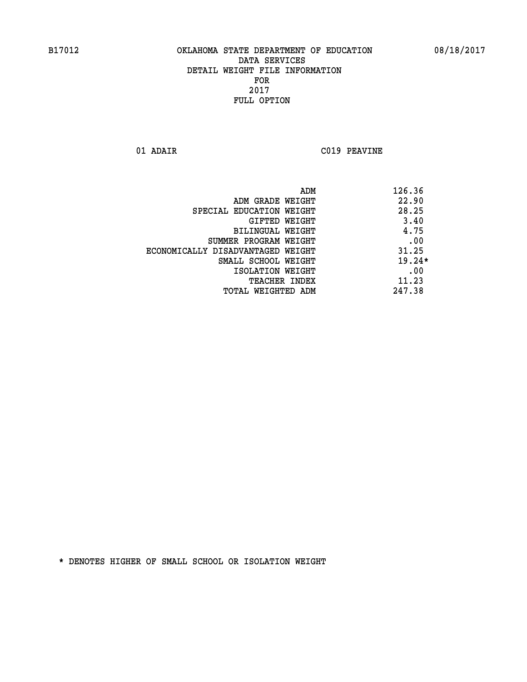**01 ADAIR C019 PEAVINE**

| ADM                               | 126.36   |
|-----------------------------------|----------|
| ADM GRADE WEIGHT                  | 22.90    |
| SPECIAL EDUCATION WEIGHT          | 28.25    |
| <b>GIFTED WEIGHT</b>              | 3.40     |
| BILINGUAL WEIGHT                  | 4.75     |
| SUMMER PROGRAM WEIGHT             | .00      |
| ECONOMICALLY DISADVANTAGED WEIGHT | 31.25    |
| SMALL SCHOOL WEIGHT               | $19.24*$ |
| ISOLATION WEIGHT                  | .00      |
| TEACHER INDEX                     | 11.23    |
| TOTAL WEIGHTED ADM                | 247.38   |
|                                   |          |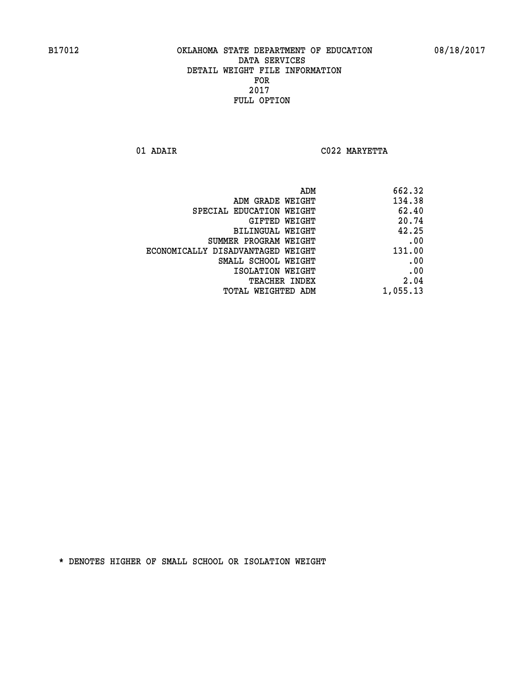**01 ADAIR C022 MARYETTA** 

| 662.32   |
|----------|
| 134.38   |
| 62.40    |
| 20.74    |
| 42.25    |
| .00      |
| 131.00   |
| .00      |
| .00      |
| 2.04     |
| 1,055.13 |
|          |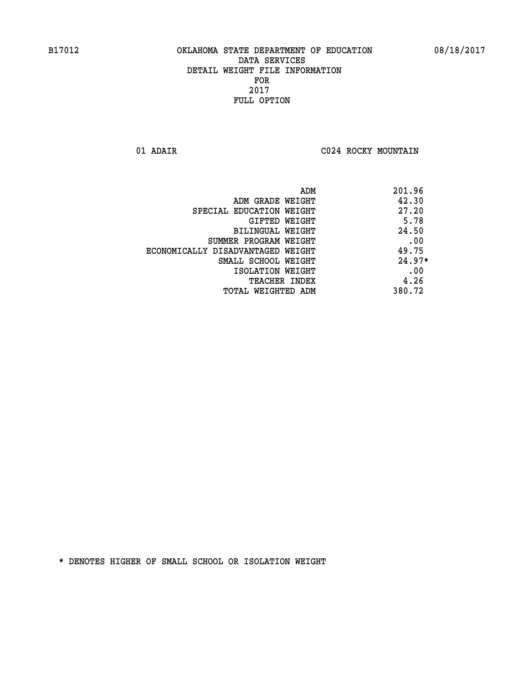**01 ADAIR C024 ROCKY MOUNTAIN** 

|                                   | 201.96<br>ADM |          |
|-----------------------------------|---------------|----------|
| ADM GRADE WEIGHT                  | 42.30         |          |
| SPECIAL EDUCATION WEIGHT          | 27.20         |          |
| GIFTED WEIGHT                     |               | 5.78     |
| BILINGUAL WEIGHT                  | 24.50         |          |
| SUMMER PROGRAM WEIGHT             |               | .00      |
| ECONOMICALLY DISADVANTAGED WEIGHT | 49.75         |          |
| SMALL SCHOOL WEIGHT               |               | $24.97*$ |
| ISOLATION WEIGHT                  |               | .00      |
| <b>TEACHER INDEX</b>              |               | 4.26     |
| TOTAL WEIGHTED ADM                | 380.72        |          |
|                                   |               |          |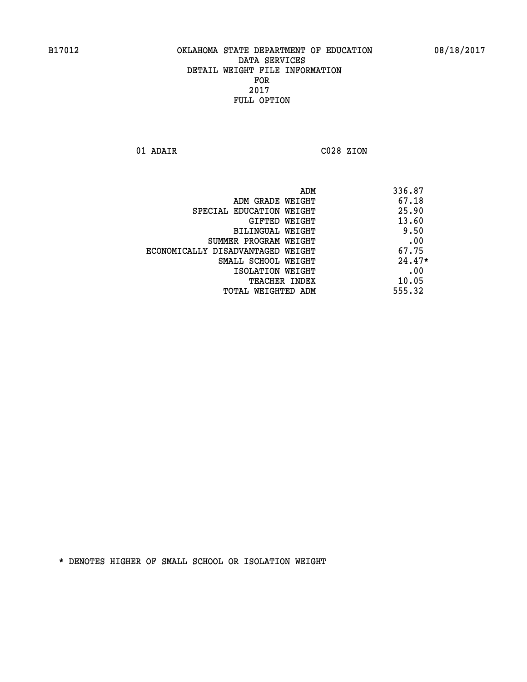**01 ADAIR C028 ZION** 

| 336.87   |
|----------|
| 67.18    |
| 25.90    |
| 13.60    |
| 9.50     |
| .00      |
| 67.75    |
| $24.47*$ |
| .00      |
| 10.05    |
| 555.32   |
|          |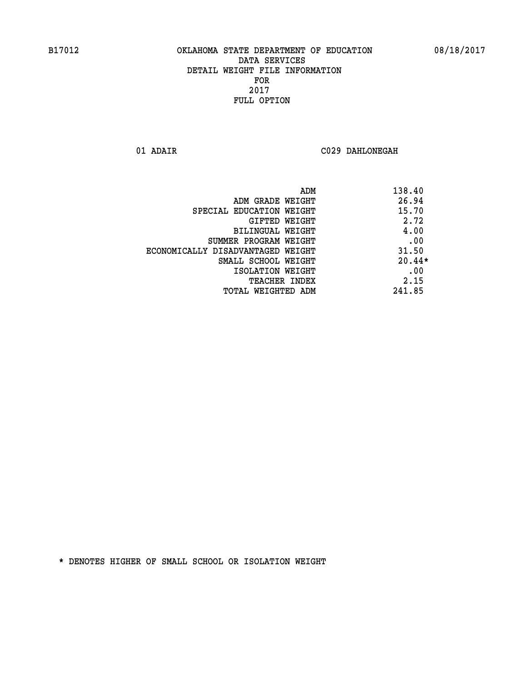**01 ADAIR C029 DAHLONEGAH** 

| ADM                               | 138.40   |
|-----------------------------------|----------|
| ADM GRADE WEIGHT                  | 26.94    |
| SPECIAL EDUCATION WEIGHT          | 15.70    |
| GIFTED WEIGHT                     | 2.72     |
| BILINGUAL WEIGHT                  | 4.00     |
| SUMMER PROGRAM WEIGHT             | .00      |
| ECONOMICALLY DISADVANTAGED WEIGHT | 31.50    |
| SMALL SCHOOL WEIGHT               | $20.44*$ |
| ISOLATION WEIGHT                  | .00      |
| <b>TEACHER INDEX</b>              | 2.15     |
| TOTAL WEIGHTED ADM                | 241.85   |
|                                   |          |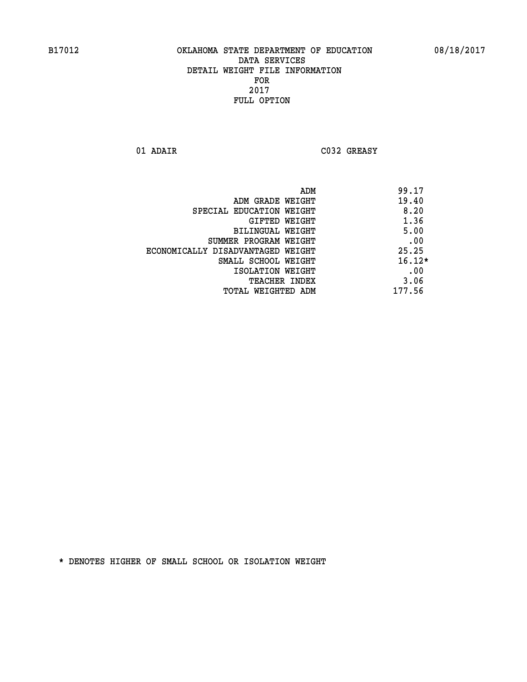**01 ADAIR C032 GREASY** 

|                                   | ADM | 99.17    |
|-----------------------------------|-----|----------|
| ADM GRADE WEIGHT                  |     | 19.40    |
| SPECIAL EDUCATION WEIGHT          |     | 8.20     |
| GIFTED WEIGHT                     |     | 1.36     |
| BILINGUAL WEIGHT                  |     | 5.00     |
| SUMMER PROGRAM WEIGHT             |     | .00      |
| ECONOMICALLY DISADVANTAGED WEIGHT |     | 25.25    |
| SMALL SCHOOL WEIGHT               |     | $16.12*$ |
| ISOLATION WEIGHT                  |     | .00      |
| <b>TEACHER INDEX</b>              |     | 3.06     |
| TOTAL WEIGHTED ADM                |     | 177.56   |
|                                   |     |          |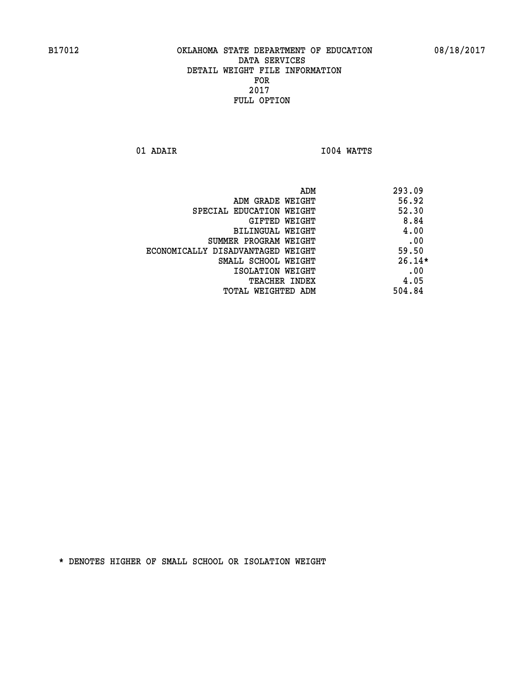**01 ADAIR I004 WATTS** 

|                                   | ADM | 293.09   |
|-----------------------------------|-----|----------|
| ADM GRADE WEIGHT                  |     | 56.92    |
| SPECIAL EDUCATION WEIGHT          |     | 52.30    |
| GIFTED WEIGHT                     |     | 8.84     |
| BILINGUAL WEIGHT                  |     | 4.00     |
| SUMMER PROGRAM WEIGHT             |     | .00      |
| ECONOMICALLY DISADVANTAGED WEIGHT |     | 59.50    |
| SMALL SCHOOL WEIGHT               |     | $26.14*$ |
| ISOLATION WEIGHT                  |     | .00      |
| TEACHER INDEX                     |     | 4.05     |
| TOTAL WEIGHTED ADM                |     | 504.84   |
|                                   |     |          |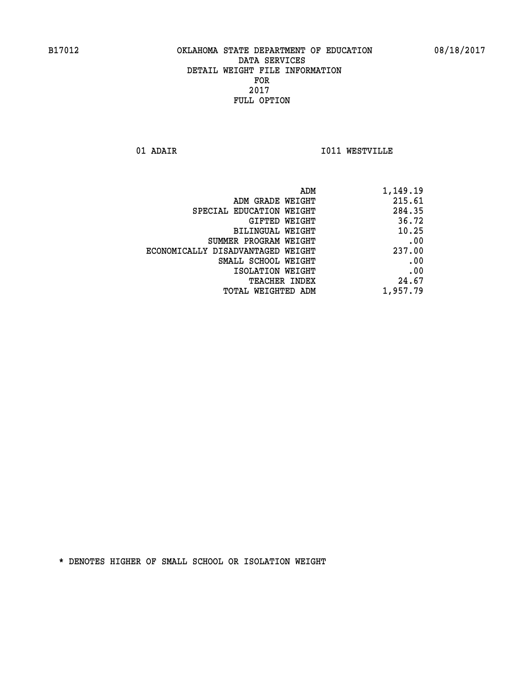**01 ADAIR I011 WESTVILLE** 

| 1,149.19 |
|----------|
| 215.61   |
| 284.35   |
| 36.72    |
| 10.25    |
| .00      |
| 237.00   |
| .00      |
| .00      |
| 24.67    |
| 1,957.79 |
|          |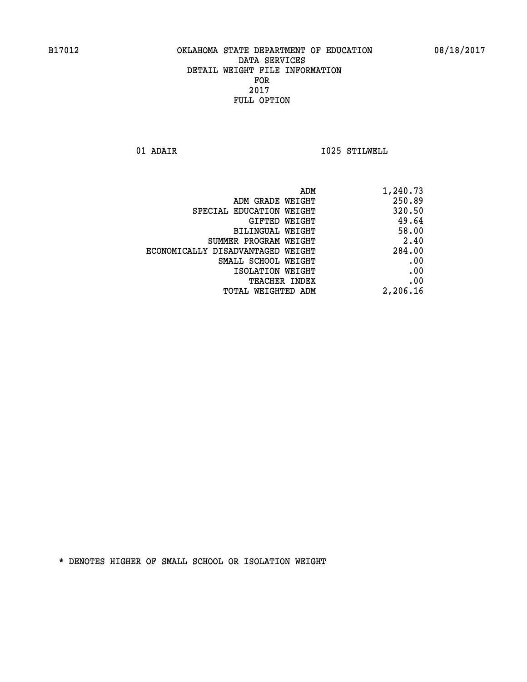**01 ADAIR I025 STILWELL** 

|                                   | ADM<br>1,240.73 |
|-----------------------------------|-----------------|
| ADM GRADE WEIGHT                  | 250.89          |
| SPECIAL EDUCATION WEIGHT          | 320.50          |
| <b>GIFTED WEIGHT</b>              | 49.64           |
| <b>BILINGUAL WEIGHT</b>           | 58.00           |
| SUMMER PROGRAM WEIGHT             | 2.40            |
| ECONOMICALLY DISADVANTAGED WEIGHT | 284.00          |
| SMALL SCHOOL WEIGHT               | .00             |
| ISOLATION WEIGHT                  | .00             |
| TEACHER INDEX                     | .00             |
| TOTAL WEIGHTED ADM                | 2,206.16        |
|                                   |                 |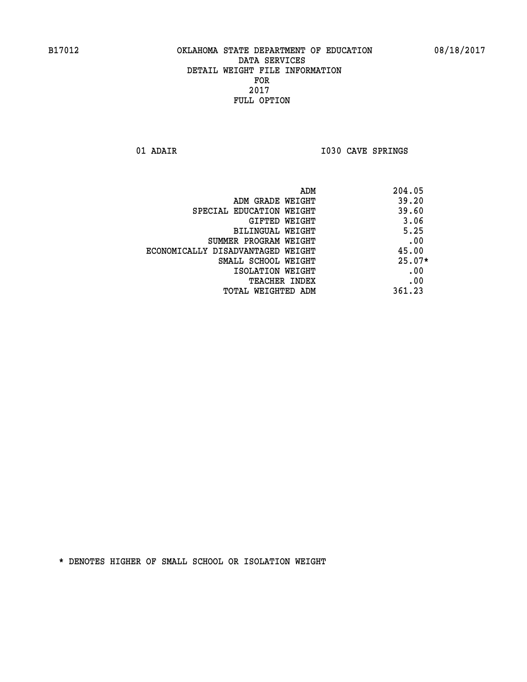01 ADAIR **I030 CAVE SPRINGS** 

|                                   | 204.05<br>ADM |
|-----------------------------------|---------------|
| ADM GRADE WEIGHT                  | 39.20         |
| SPECIAL EDUCATION WEIGHT          | 39.60         |
| GIFTED WEIGHT                     | 3.06          |
| BILINGUAL WEIGHT                  | 5.25          |
| SUMMER PROGRAM WEIGHT             | .00           |
| ECONOMICALLY DISADVANTAGED WEIGHT | 45.00         |
| SMALL SCHOOL WEIGHT               | $25.07*$      |
| ISOLATION WEIGHT                  | .00           |
| <b>TEACHER INDEX</b>              | .00           |
| TOTAL WEIGHTED ADM                | 361.23        |
|                                   |               |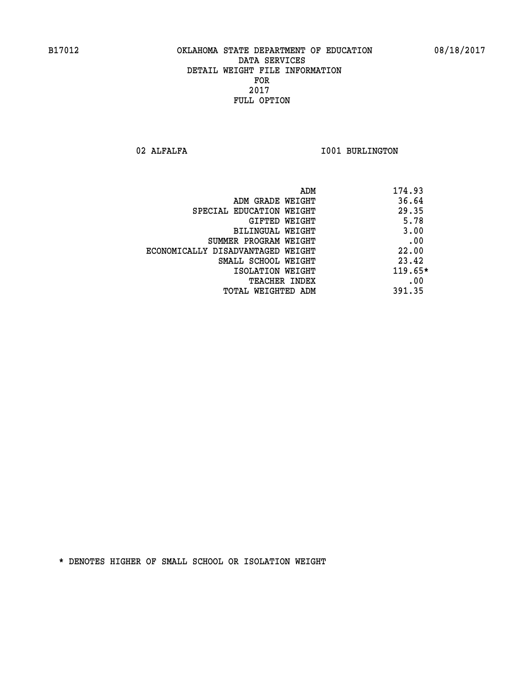02 ALFALFA **I001 BURLINGTON** 

| ADM                               | 174.93    |
|-----------------------------------|-----------|
| ADM GRADE WEIGHT                  | 36.64     |
| SPECIAL EDUCATION WEIGHT          | 29.35     |
| GIFTED WEIGHT                     | 5.78      |
| BILINGUAL WEIGHT                  | 3.00      |
| SUMMER PROGRAM WEIGHT             | .00       |
| ECONOMICALLY DISADVANTAGED WEIGHT | 22.00     |
| SMALL SCHOOL WEIGHT               | 23.42     |
| ISOLATION WEIGHT                  | $119.65*$ |
| <b>TEACHER INDEX</b>              | .00       |
| TOTAL WEIGHTED ADM                | 391.35    |
|                                   |           |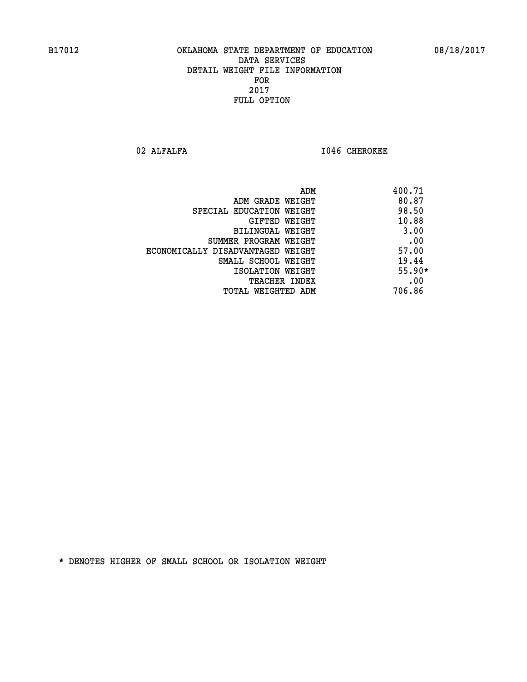02 ALFALFA **I046 CHEROKEE** 

|                                   | 400.71<br>ADM |  |
|-----------------------------------|---------------|--|
| ADM GRADE WEIGHT                  | 80.87         |  |
| SPECIAL EDUCATION WEIGHT          | 98.50         |  |
| GIFTED WEIGHT                     | 10.88         |  |
| BILINGUAL WEIGHT                  | 3.00          |  |
| SUMMER PROGRAM WEIGHT             | .00           |  |
| ECONOMICALLY DISADVANTAGED WEIGHT | 57.00         |  |
| SMALL SCHOOL WEIGHT               | 19.44         |  |
| ISOLATION WEIGHT                  | $55.90*$      |  |
| <b>TEACHER INDEX</b>              | .00           |  |
| TOTAL WEIGHTED ADM                | 706.86        |  |
|                                   |               |  |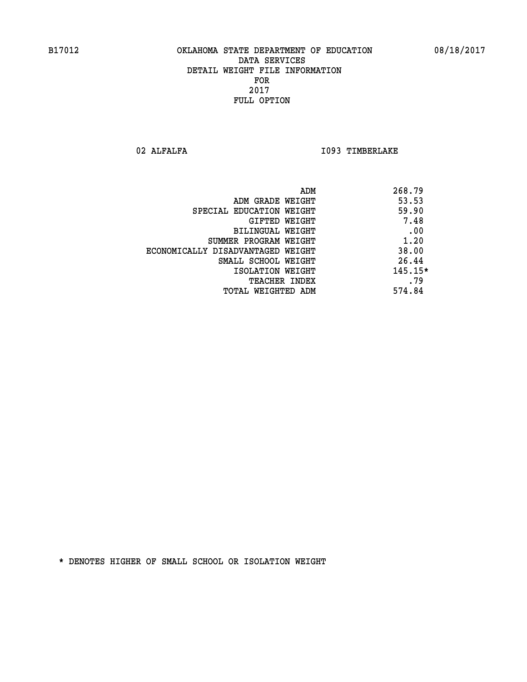02 ALFALFA **I093 TIMBERLAKE** 

| 268.79    | ADM                               |
|-----------|-----------------------------------|
| 53.53     | ADM GRADE WEIGHT                  |
| 59.90     | SPECIAL EDUCATION WEIGHT          |
| 7.48      | GIFTED WEIGHT                     |
| .00       | BILINGUAL WEIGHT                  |
| 1.20      | SUMMER PROGRAM WEIGHT             |
| 38.00     | ECONOMICALLY DISADVANTAGED WEIGHT |
| 26.44     | SMALL SCHOOL WEIGHT               |
| $145.15*$ | ISOLATION WEIGHT                  |
| .79       | <b>TEACHER INDEX</b>              |
| 574.84    | TOTAL WEIGHTED ADM                |
|           |                                   |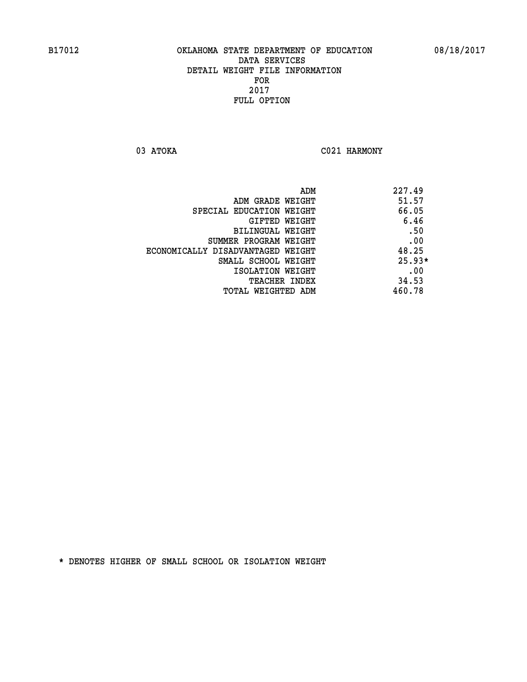03 ATOKA C021 HARMONY

|                                   | ADM | 227.49   |
|-----------------------------------|-----|----------|
| ADM GRADE WEIGHT                  |     | 51.57    |
| SPECIAL EDUCATION WEIGHT          |     | 66.05    |
| <b>GIFTED WEIGHT</b>              |     | 6.46     |
| BILINGUAL WEIGHT                  |     | .50      |
| SUMMER PROGRAM WEIGHT             |     | .00      |
| ECONOMICALLY DISADVANTAGED WEIGHT |     | 48.25    |
| SMALL SCHOOL WEIGHT               |     | $25.93*$ |
| ISOLATION WEIGHT                  |     | .00      |
| TEACHER INDEX                     |     | 34.53    |
| TOTAL WEIGHTED ADM                |     | 460.78   |
|                                   |     |          |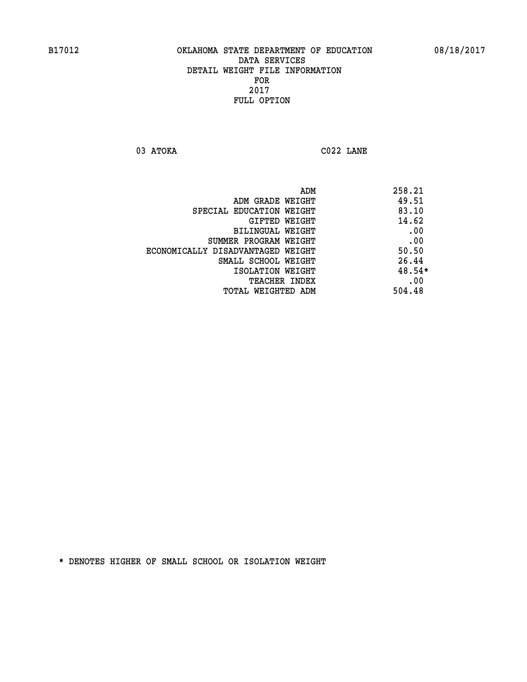**03 ATOKA C022 LANE** 

| ADM                               | 258.21 |
|-----------------------------------|--------|
| ADM GRADE WEIGHT                  | 49.51  |
| SPECIAL EDUCATION WEIGHT          | 83.10  |
| GIFTED WEIGHT                     | 14.62  |
| BILINGUAL WEIGHT                  | .00    |
| SUMMER PROGRAM WEIGHT             | .00    |
| ECONOMICALLY DISADVANTAGED WEIGHT | 50.50  |
| SMALL SCHOOL WEIGHT               | 26.44  |
| ISOLATION WEIGHT                  | 48.54* |
| <b>TEACHER INDEX</b>              | .00    |
| TOTAL WEIGHTED ADM                | 504.48 |
|                                   |        |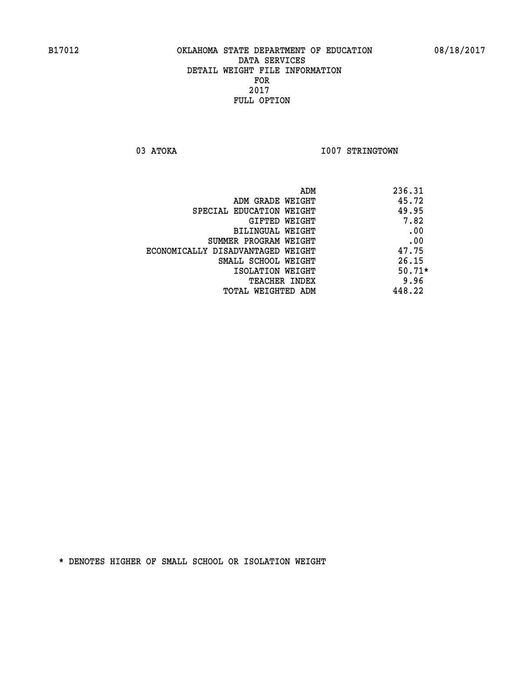03 ATOKA **I007 STRINGTOWN** 

|                                   | ADM | 236.31   |
|-----------------------------------|-----|----------|
| ADM GRADE WEIGHT                  |     | 45.72    |
| SPECIAL EDUCATION WEIGHT          |     | 49.95    |
| GIFTED WEIGHT                     |     | 7.82     |
| BILINGUAL WEIGHT                  |     | .00      |
| SUMMER PROGRAM WEIGHT             |     | .00      |
| ECONOMICALLY DISADVANTAGED WEIGHT |     | 47.75    |
| SMALL SCHOOL WEIGHT               |     | 26.15    |
| ISOLATION WEIGHT                  |     | $50.71*$ |
| TEACHER INDEX                     |     | 9.96     |
| TOTAL WEIGHTED ADM                |     | 448.22   |
|                                   |     |          |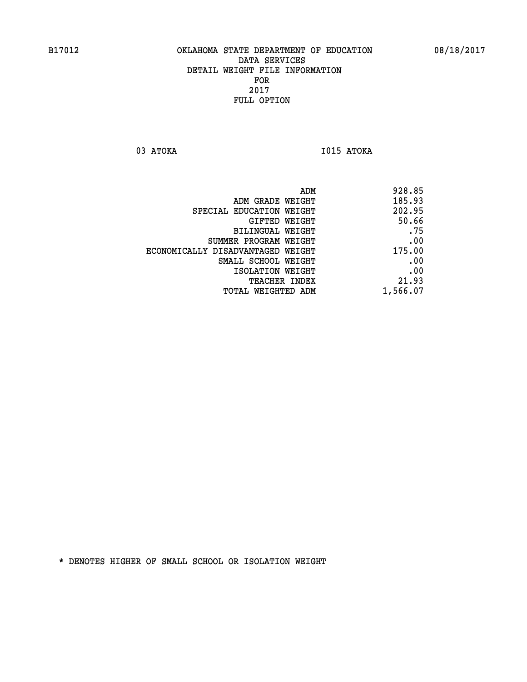**03 ATOKA I015 ATOKA** 

| 928.85   |
|----------|
| 185.93   |
| 202.95   |
| 50.66    |
| .75      |
| .00      |
| 175.00   |
| .00      |
| .00      |
| 21.93    |
| 1,566.07 |
|          |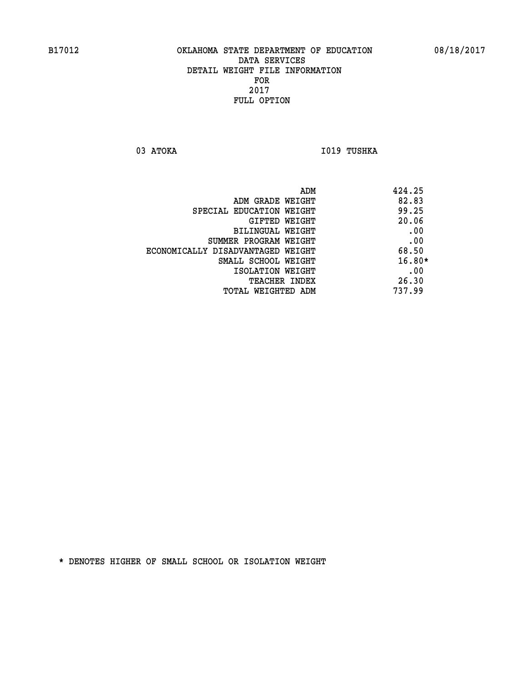03 ATOKA **I019 TUSHKA** 

|                                   | ADM | 424.25   |
|-----------------------------------|-----|----------|
| ADM GRADE WEIGHT                  |     | 82.83    |
| SPECIAL EDUCATION WEIGHT          |     | 99.25    |
| GIFTED WEIGHT                     |     | 20.06    |
| BILINGUAL WEIGHT                  |     | .00      |
| SUMMER PROGRAM WEIGHT             |     | .00      |
| ECONOMICALLY DISADVANTAGED WEIGHT |     | 68.50    |
| SMALL SCHOOL WEIGHT               |     | $16.80*$ |
| ISOLATION WEIGHT                  |     | .00      |
| TEACHER INDEX                     |     | 26.30    |
| TOTAL WEIGHTED ADM                |     | 737.99   |
|                                   |     |          |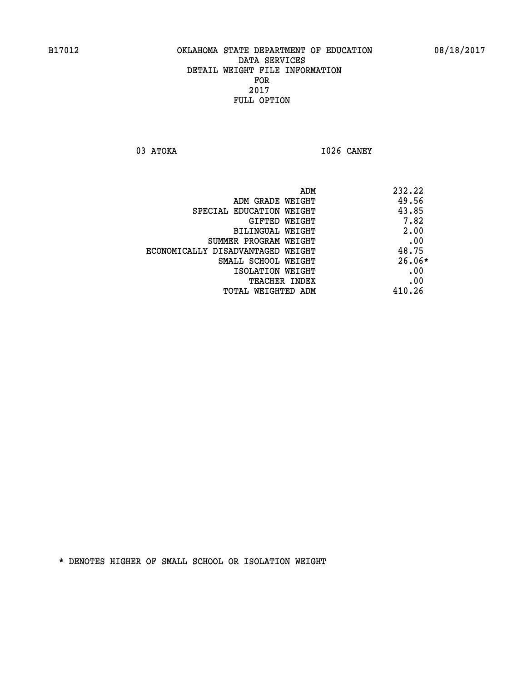**03 ATOKA I026 CANEY** 

|                                   | 232.22<br>ADM |          |
|-----------------------------------|---------------|----------|
| ADM GRADE WEIGHT                  | 49.56         |          |
| SPECIAL EDUCATION WEIGHT          | 43.85         |          |
| GIFTED WEIGHT                     |               | 7.82     |
| BILINGUAL WEIGHT                  |               | 2.00     |
| SUMMER PROGRAM WEIGHT             |               | .00      |
| ECONOMICALLY DISADVANTAGED WEIGHT | 48.75         |          |
| SMALL SCHOOL WEIGHT               |               | $26.06*$ |
| ISOLATION WEIGHT                  |               | .00      |
| <b>TEACHER INDEX</b>              |               | .00      |
| TOTAL WEIGHTED ADM                | 410.26        |          |
|                                   |               |          |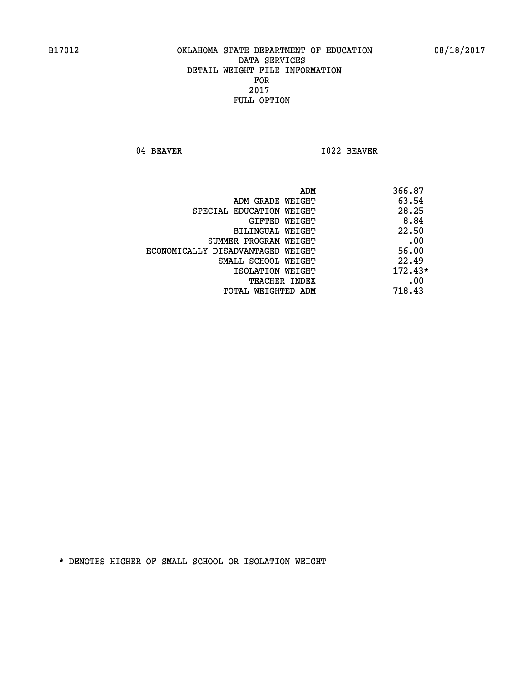04 BEAVER 1022 BEAVER

|                                   | ADM | 366.87    |
|-----------------------------------|-----|-----------|
| ADM GRADE WEIGHT                  |     | 63.54     |
| SPECIAL EDUCATION WEIGHT          |     | 28.25     |
| GIFTED WEIGHT                     |     | 8.84      |
| BILINGUAL WEIGHT                  |     | 22.50     |
| SUMMER PROGRAM WEIGHT             |     | .00       |
| ECONOMICALLY DISADVANTAGED WEIGHT |     | 56.00     |
| SMALL SCHOOL WEIGHT               |     | 22.49     |
| ISOLATION WEIGHT                  |     | $172.43*$ |
| <b>TEACHER INDEX</b>              |     | .00       |
| TOTAL WEIGHTED ADM                |     | 718.43    |
|                                   |     |           |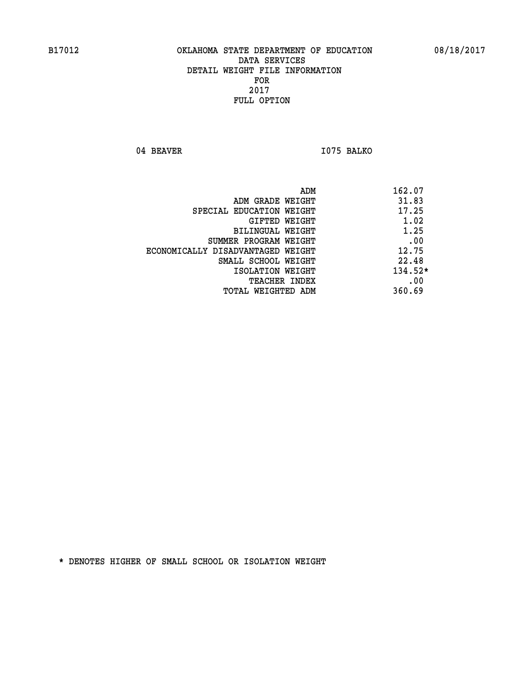04 BEAVER 1075 BALKO

|                                   | ADM | 162.07    |
|-----------------------------------|-----|-----------|
| ADM GRADE WEIGHT                  |     | 31.83     |
| SPECIAL EDUCATION WEIGHT          |     | 17.25     |
| GIFTED WEIGHT                     |     | 1.02      |
| BILINGUAL WEIGHT                  |     | 1.25      |
| SUMMER PROGRAM WEIGHT             |     | .00       |
| ECONOMICALLY DISADVANTAGED WEIGHT |     | 12.75     |
| SMALL SCHOOL WEIGHT               |     | 22.48     |
| ISOLATION WEIGHT                  |     | $134.52*$ |
| TEACHER INDEX                     |     | .00       |
| TOTAL WEIGHTED ADM                |     | 360.69    |
|                                   |     |           |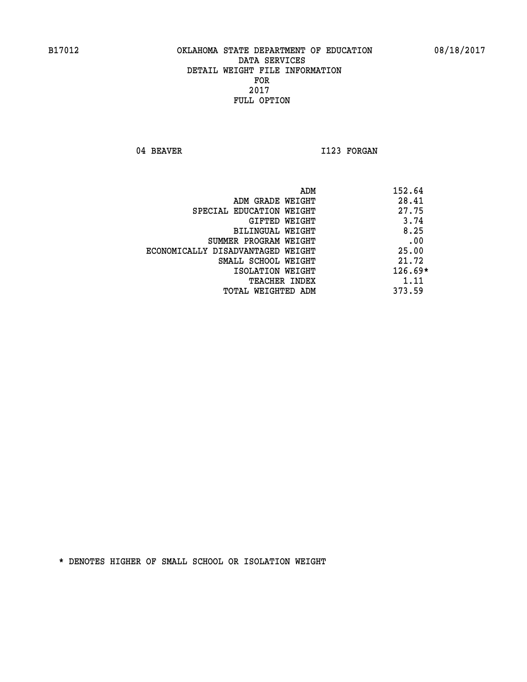04 BEAVER 1123 FORGAN

|                                   | ADM | 152.64    |
|-----------------------------------|-----|-----------|
| ADM GRADE WEIGHT                  |     | 28.41     |
| SPECIAL EDUCATION WEIGHT          |     | 27.75     |
| GIFTED WEIGHT                     |     | 3.74      |
| BILINGUAL WEIGHT                  |     | 8.25      |
| SUMMER PROGRAM WEIGHT             |     | .00       |
| ECONOMICALLY DISADVANTAGED WEIGHT |     | 25.00     |
| SMALL SCHOOL WEIGHT               |     | 21.72     |
| ISOLATION WEIGHT                  |     | $126.69*$ |
| TEACHER INDEX                     |     | 1.11      |
| TOTAL WEIGHTED ADM                |     | 373.59    |
|                                   |     |           |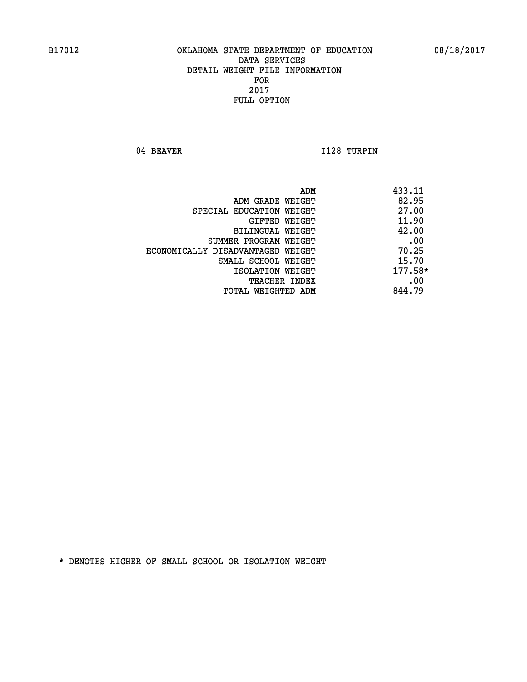04 BEAVER 1128 TURPIN

|                                   | ADM | 433.11    |
|-----------------------------------|-----|-----------|
| ADM GRADE WEIGHT                  |     | 82.95     |
| SPECIAL EDUCATION WEIGHT          |     | 27.00     |
| GIFTED WEIGHT                     |     | 11.90     |
| BILINGUAL WEIGHT                  |     | 42.00     |
| SUMMER PROGRAM WEIGHT             |     | .00       |
| ECONOMICALLY DISADVANTAGED WEIGHT |     | 70.25     |
| SMALL SCHOOL WEIGHT               |     | 15.70     |
| ISOLATION WEIGHT                  |     | $177.58*$ |
| TEACHER INDEX                     |     | .00       |
| TOTAL WEIGHTED ADM                |     | 844.79    |
|                                   |     |           |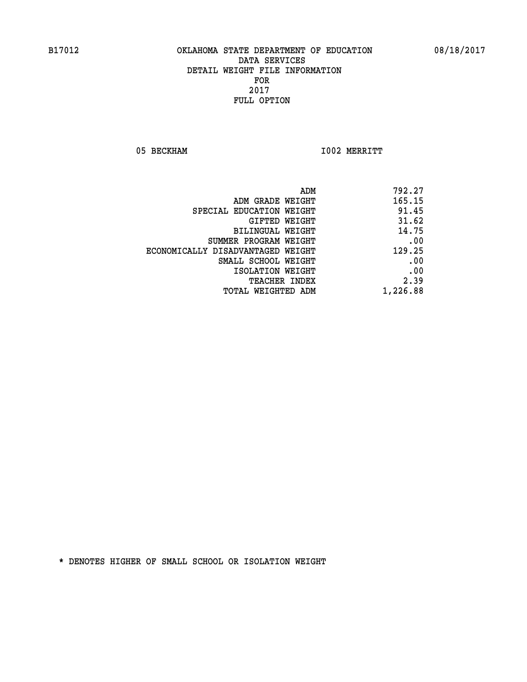05 BECKHAM 1002 MERRITT

| 792.27                                                                                                                                                                                                   |
|----------------------------------------------------------------------------------------------------------------------------------------------------------------------------------------------------------|
| 165.15                                                                                                                                                                                                   |
| 91.45                                                                                                                                                                                                    |
| 31.62                                                                                                                                                                                                    |
| 14.75                                                                                                                                                                                                    |
| .00<br>SUMMER PROGRAM WEIGHT                                                                                                                                                                             |
| 129.25                                                                                                                                                                                                   |
| .00                                                                                                                                                                                                      |
| .00                                                                                                                                                                                                      |
| 2.39                                                                                                                                                                                                     |
| 1,226.88                                                                                                                                                                                                 |
| ADM GRADE WEIGHT<br>SPECIAL EDUCATION WEIGHT<br>GIFTED WEIGHT<br>BILINGUAL WEIGHT<br>ECONOMICALLY DISADVANTAGED WEIGHT<br>SMALL SCHOOL WEIGHT<br>ISOLATION WEIGHT<br>TEACHER INDEX<br>TOTAL WEIGHTED ADM |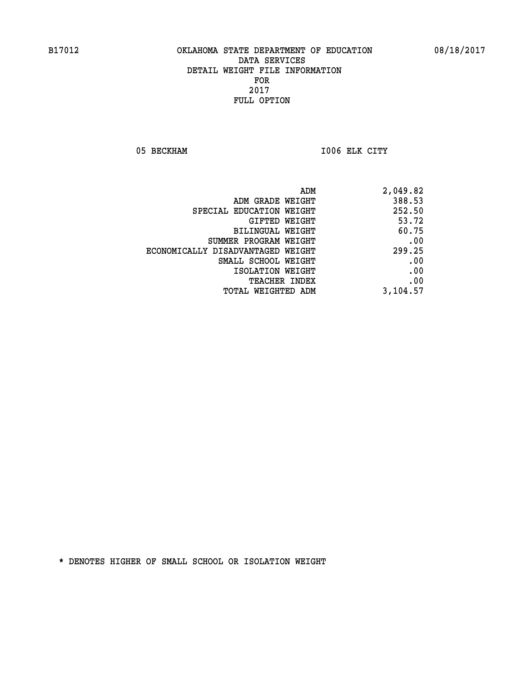05 BECKHAM **I006 ELK CITY** 

| ADM                               | 2,049.82 |
|-----------------------------------|----------|
| ADM GRADE WEIGHT                  | 388.53   |
| SPECIAL EDUCATION WEIGHT          | 252.50   |
| GIFTED WEIGHT                     | 53.72    |
| BILINGUAL WEIGHT                  | 60.75    |
| SUMMER PROGRAM WEIGHT             | .00      |
| ECONOMICALLY DISADVANTAGED WEIGHT | 299.25   |
| SMALL SCHOOL WEIGHT               | .00      |
| ISOLATION WEIGHT                  | .00      |
| <b>TEACHER INDEX</b>              | .00      |
| TOTAL WEIGHTED ADM                | 3,104.57 |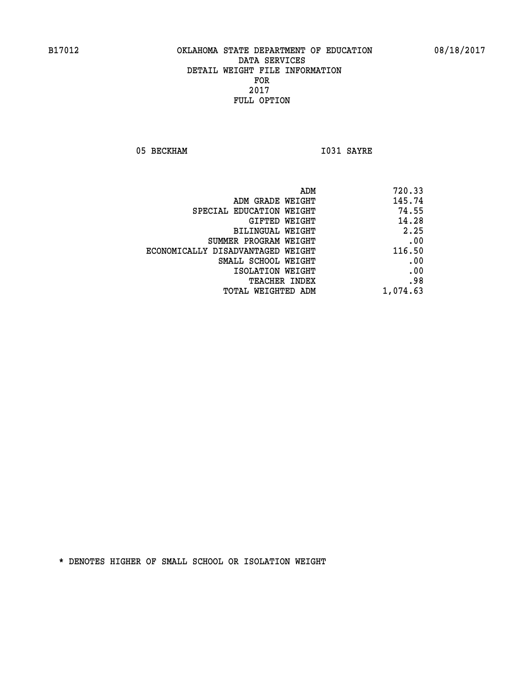05 BECKHAM 1031 SAYRE

| ADM                               | 720.33   |
|-----------------------------------|----------|
| ADM GRADE WEIGHT                  | 145.74   |
| SPECIAL EDUCATION WEIGHT          | 74.55    |
| <b>GIFTED WEIGHT</b>              | 14.28    |
| <b>BILINGUAL WEIGHT</b>           | 2.25     |
| SUMMER PROGRAM WEIGHT             | .00      |
| ECONOMICALLY DISADVANTAGED WEIGHT | 116.50   |
| SMALL SCHOOL WEIGHT               | .00      |
| ISOLATION WEIGHT                  | .00      |
| TEACHER INDEX                     | .98      |
| TOTAL WEIGHTED ADM                | 1,074.63 |
|                                   |          |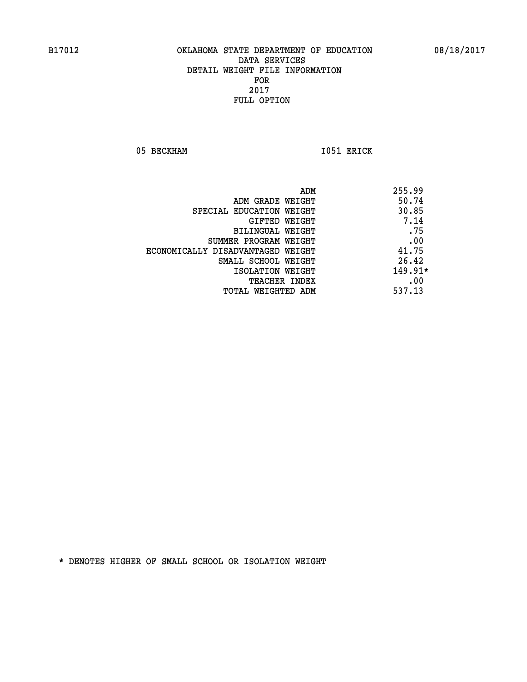05 BECKHAM 1051 ERICK

|                                   | ADM | 255.99    |
|-----------------------------------|-----|-----------|
| ADM GRADE WEIGHT                  |     | 50.74     |
| SPECIAL EDUCATION WEIGHT          |     | 30.85     |
| GIFTED WEIGHT                     |     | 7.14      |
| BILINGUAL WEIGHT                  |     | .75       |
| SUMMER PROGRAM WEIGHT             |     | .00       |
| ECONOMICALLY DISADVANTAGED WEIGHT |     | 41.75     |
| SMALL SCHOOL WEIGHT               |     | 26.42     |
| ISOLATION WEIGHT                  |     | $149.91*$ |
| <b>TEACHER INDEX</b>              |     | .00       |
| TOTAL WEIGHTED ADM                |     | 537.13    |
|                                   |     |           |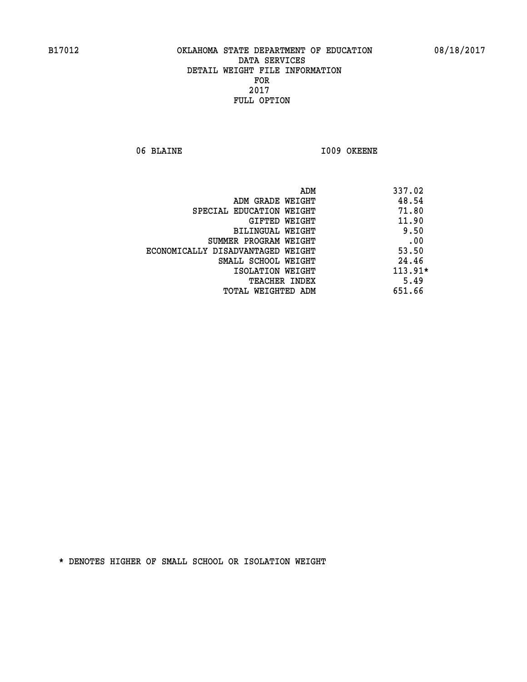06 BLAINE **I009 OKEENE** 

| ADM<br>337.02                     |           |
|-----------------------------------|-----------|
| 48.54<br>ADM GRADE WEIGHT         |           |
| SPECIAL EDUCATION WEIGHT          | 71.80     |
| GIFTED WEIGHT                     | 11.90     |
| BILINGUAL WEIGHT                  | 9.50      |
| SUMMER PROGRAM WEIGHT             | .00       |
| ECONOMICALLY DISADVANTAGED WEIGHT | 53.50     |
| SMALL SCHOOL WEIGHT               | 24.46     |
| ISOLATION WEIGHT                  | $113.91*$ |
| <b>TEACHER INDEX</b>              | 5.49      |
| 651.66<br>TOTAL WEIGHTED ADM      |           |
|                                   |           |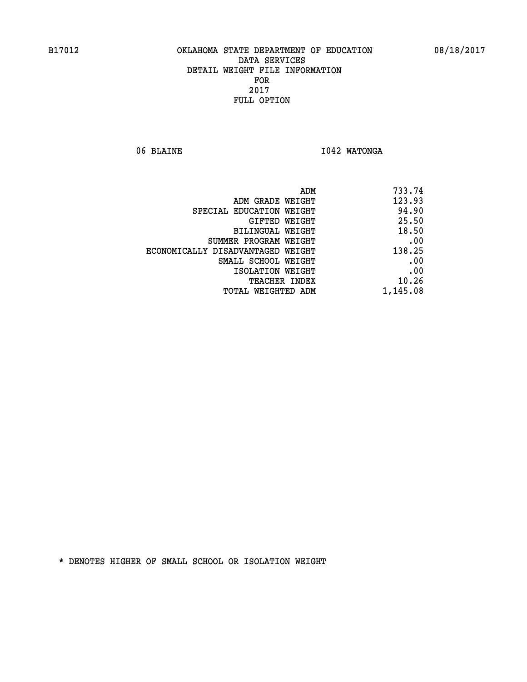06 BLAINE **I042 WATONGA** 

| 733.74   |
|----------|
| 123.93   |
| 94.90    |
| 25.50    |
| 18.50    |
| .00      |
| 138.25   |
| .00      |
| .00      |
| 10.26    |
| 1,145.08 |
|          |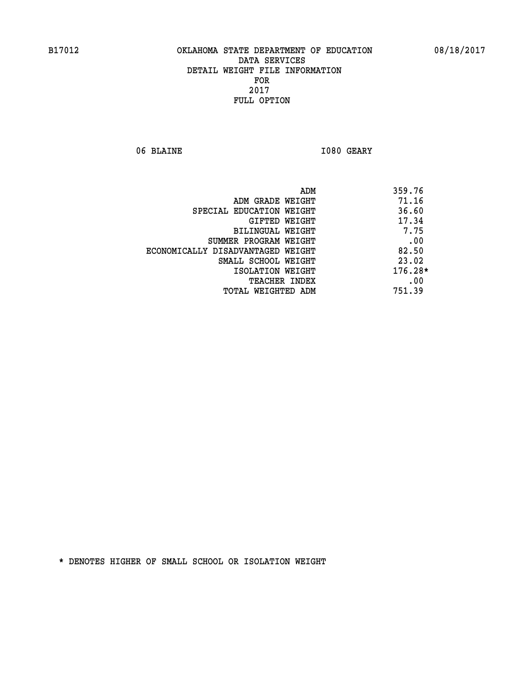06 BLAINE **I080 GEARY** 

|                                   | ADM | 359.76    |
|-----------------------------------|-----|-----------|
| ADM GRADE WEIGHT                  |     | 71.16     |
| SPECIAL EDUCATION WEIGHT          |     | 36.60     |
| GIFTED WEIGHT                     |     | 17.34     |
| BILINGUAL WEIGHT                  |     | 7.75      |
| SUMMER PROGRAM WEIGHT             |     | .00       |
| ECONOMICALLY DISADVANTAGED WEIGHT |     | 82.50     |
| SMALL SCHOOL WEIGHT               |     | 23.02     |
| ISOLATION WEIGHT                  |     | $176.28*$ |
| <b>TEACHER INDEX</b>              |     | .00       |
| TOTAL WEIGHTED ADM                |     | 751.39    |
|                                   |     |           |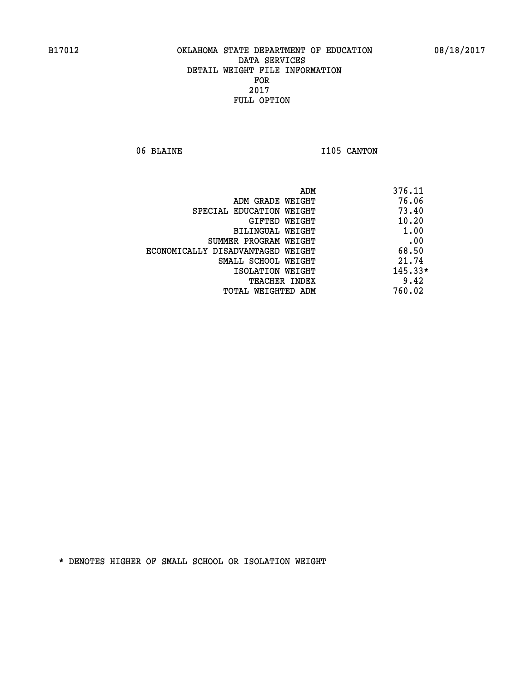06 BLAINE 1105 CANTON

|                                   | ADM | 376.11    |
|-----------------------------------|-----|-----------|
| ADM GRADE WEIGHT                  |     | 76.06     |
| SPECIAL EDUCATION WEIGHT          |     | 73.40     |
| GIFTED WEIGHT                     |     | 10.20     |
| BILINGUAL WEIGHT                  |     | 1.00      |
| SUMMER PROGRAM WEIGHT             |     | .00       |
| ECONOMICALLY DISADVANTAGED WEIGHT |     | 68.50     |
| SMALL SCHOOL WEIGHT               |     | 21.74     |
| ISOLATION WEIGHT                  |     | $145.33*$ |
| TEACHER INDEX                     |     | 9.42      |
| TOTAL WEIGHTED ADM                |     | 760.02    |
|                                   |     |           |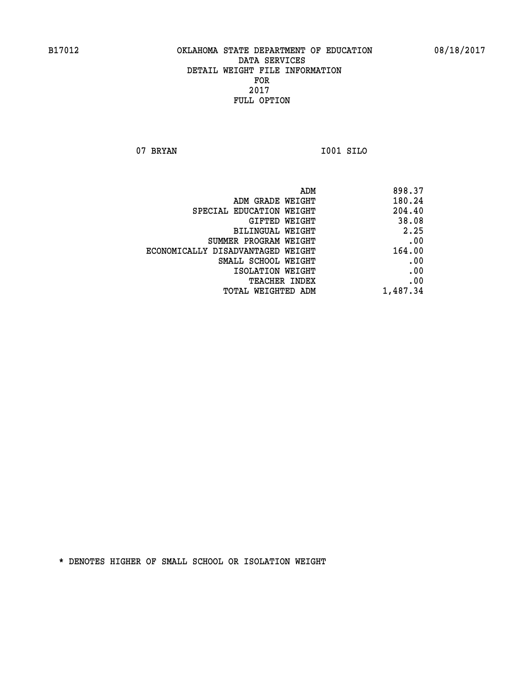**07 BRYAN I001 SILO** 

| ADM                               | 898.37   |
|-----------------------------------|----------|
| ADM GRADE WEIGHT                  | 180.24   |
| SPECIAL EDUCATION WEIGHT          | 204.40   |
| GIFTED WEIGHT                     | 38.08    |
| BILINGUAL WEIGHT                  | 2.25     |
| SUMMER PROGRAM WEIGHT             | .00      |
| ECONOMICALLY DISADVANTAGED WEIGHT | 164.00   |
| SMALL SCHOOL WEIGHT               | .00      |
| ISOLATION WEIGHT                  | .00      |
| <b>TEACHER INDEX</b>              | .00      |
| TOTAL WEIGHTED ADM                | 1,487.34 |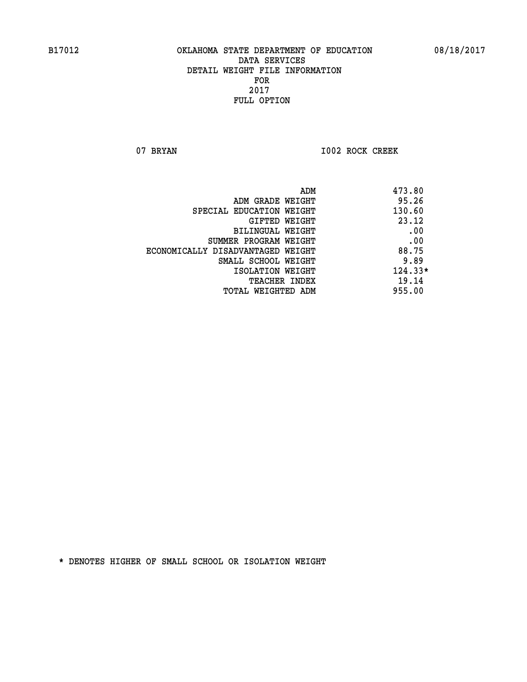07 BRYAN 1002 ROCK CREEK

| ADM                               | 473.80    |
|-----------------------------------|-----------|
| ADM GRADE WEIGHT                  | 95.26     |
| SPECIAL EDUCATION WEIGHT          | 130.60    |
| GIFTED WEIGHT                     | 23.12     |
| <b>BILINGUAL WEIGHT</b>           | .00       |
| SUMMER PROGRAM WEIGHT             | .00       |
| ECONOMICALLY DISADVANTAGED WEIGHT | 88.75     |
| SMALL SCHOOL WEIGHT               | 9.89      |
| ISOLATION WEIGHT                  | $124.33*$ |
| <b>TEACHER INDEX</b>              | 19.14     |
| TOTAL WEIGHTED ADM                | 955.00    |
|                                   |           |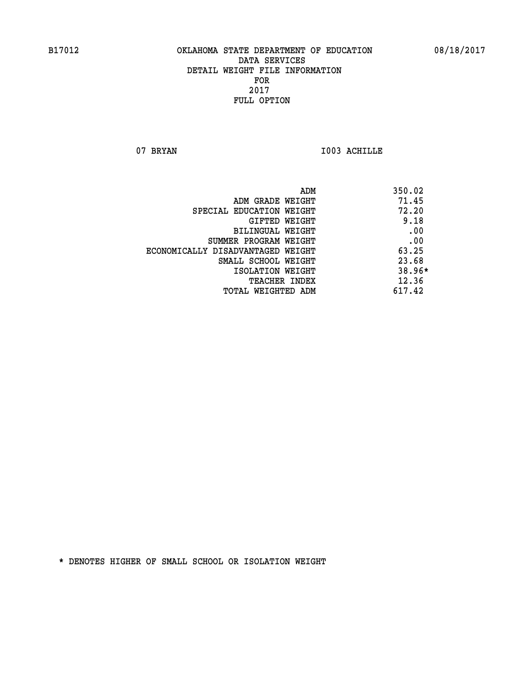07 BRYAN 1003 ACHILLE

|                                   | ADM<br>350.02 |
|-----------------------------------|---------------|
| ADM GRADE WEIGHT                  | 71.45         |
| SPECIAL EDUCATION WEIGHT          | 72.20         |
| GIFTED WEIGHT                     | 9.18          |
| BILINGUAL WEIGHT                  | .00           |
| SUMMER PROGRAM WEIGHT             | .00           |
| ECONOMICALLY DISADVANTAGED WEIGHT | 63.25         |
| SMALL SCHOOL WEIGHT               | 23.68         |
| ISOLATION WEIGHT                  | $38.96*$      |
| <b>TEACHER INDEX</b>              | 12.36         |
| TOTAL WEIGHTED ADM                | 617.42        |
|                                   |               |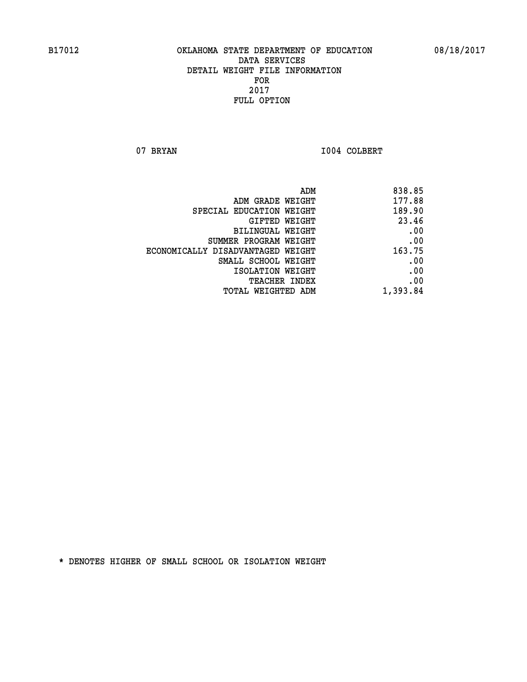07 BRYAN 1004 COLBERT

| ADM                               | 838.85   |
|-----------------------------------|----------|
| ADM GRADE WEIGHT                  | 177.88   |
| SPECIAL EDUCATION WEIGHT          | 189.90   |
| GIFTED WEIGHT                     | 23.46    |
| BILINGUAL WEIGHT                  | .00      |
| SUMMER PROGRAM WEIGHT             | .00      |
| ECONOMICALLY DISADVANTAGED WEIGHT | 163.75   |
| SMALL SCHOOL WEIGHT               | .00      |
| ISOLATION WEIGHT                  | .00      |
| TEACHER INDEX                     | .00      |
| TOTAL WEIGHTED ADM                | 1,393.84 |
|                                   |          |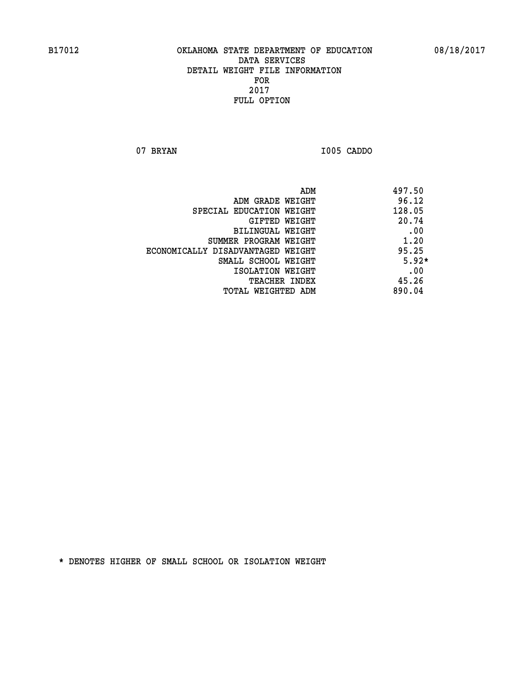**07 BRYAN I005 CADDO** 

|                                   | 497.50<br>ADM |
|-----------------------------------|---------------|
| ADM GRADE WEIGHT                  | 96.12         |
| SPECIAL EDUCATION WEIGHT          | 128.05        |
| GIFTED WEIGHT                     | 20.74         |
| BILINGUAL WEIGHT                  | .00           |
| SUMMER PROGRAM WEIGHT             | 1.20          |
| ECONOMICALLY DISADVANTAGED WEIGHT | 95.25         |
| SMALL SCHOOL WEIGHT               | $5.92*$       |
| ISOLATION WEIGHT                  | .00           |
| TEACHER INDEX                     | 45.26         |
| TOTAL WEIGHTED ADM                | 890.04        |
|                                   |               |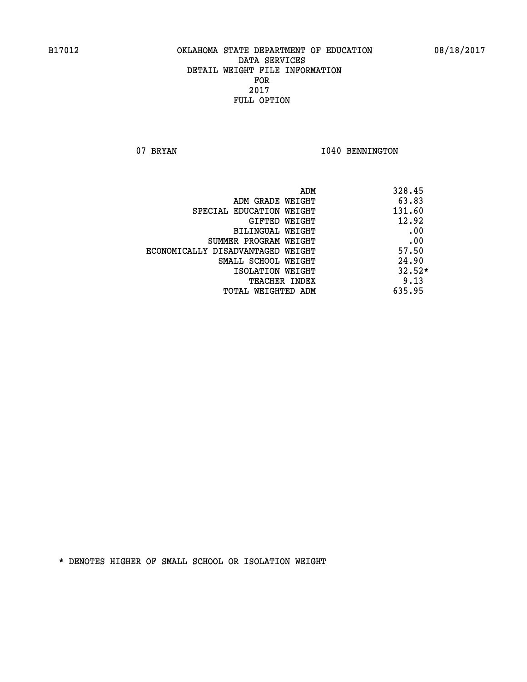07 BRYAN 1040 BENNINGTON

| ADM                               | 328.45   |
|-----------------------------------|----------|
| ADM GRADE WEIGHT                  | 63.83    |
| SPECIAL EDUCATION WEIGHT          | 131.60   |
| GIFTED WEIGHT                     | 12.92    |
| BILINGUAL WEIGHT                  | .00      |
| SUMMER PROGRAM WEIGHT             | .00      |
| ECONOMICALLY DISADVANTAGED WEIGHT | 57.50    |
| SMALL SCHOOL WEIGHT               | 24.90    |
| ISOLATION WEIGHT                  | $32.52*$ |
| <b>TEACHER INDEX</b>              | 9.13     |
| TOTAL WEIGHTED ADM                | 635.95   |
|                                   |          |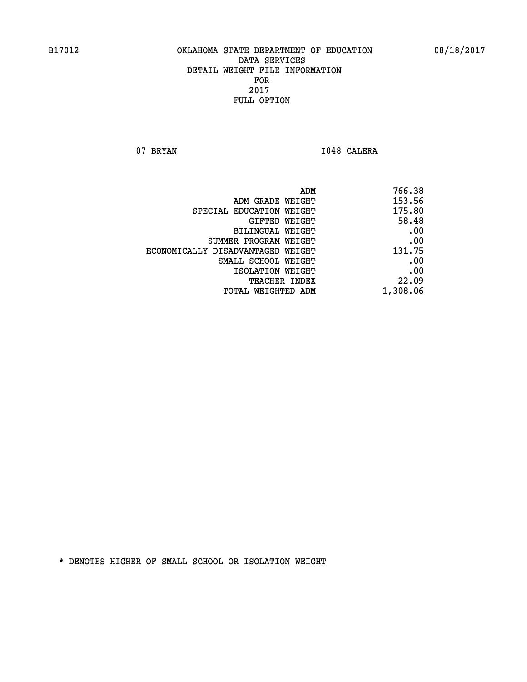07 BRYAN 1048 CALERA

| 766.38   |
|----------|
| 153.56   |
| 175.80   |
| 58.48    |
| .00      |
| .00      |
| 131.75   |
| .00      |
| .00      |
| 22.09    |
| 1,308.06 |
|          |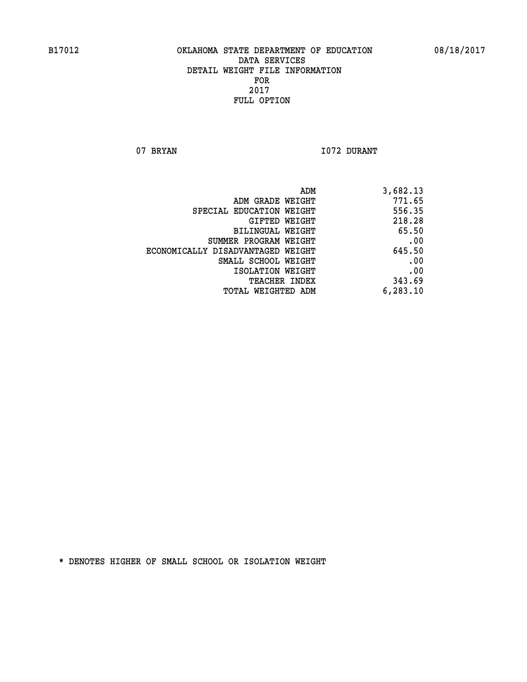07 BRYAN 1072 DURANT

| ADM                               | 3,682.13 |
|-----------------------------------|----------|
| ADM GRADE WEIGHT                  | 771.65   |
| SPECIAL EDUCATION WEIGHT          | 556.35   |
| GIFTED WEIGHT                     | 218.28   |
| BILINGUAL WEIGHT                  | 65.50    |
| SUMMER PROGRAM WEIGHT             | .00      |
| ECONOMICALLY DISADVANTAGED WEIGHT | 645.50   |
| SMALL SCHOOL WEIGHT               | .00      |
| ISOLATION WEIGHT                  | .00      |
| TEACHER INDEX                     | 343.69   |
| TOTAL WEIGHTED ADM                | 6,283.10 |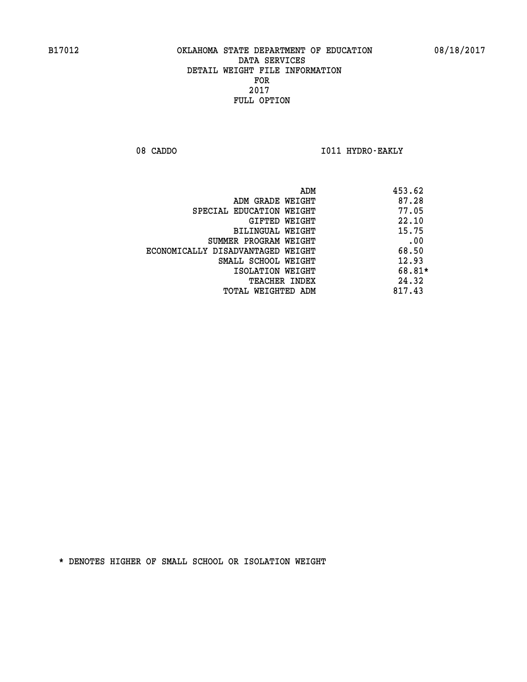08 CADDO **I011 HYDRO-EAKLY** 

|                                   | ADM | 453.62 |
|-----------------------------------|-----|--------|
| ADM GRADE WEIGHT                  |     | 87.28  |
| SPECIAL EDUCATION WEIGHT          |     | 77.05  |
| GIFTED WEIGHT                     |     | 22.10  |
| BILINGUAL WEIGHT                  |     | 15.75  |
| SUMMER PROGRAM WEIGHT             |     | .00    |
| ECONOMICALLY DISADVANTAGED WEIGHT |     | 68.50  |
| SMALL SCHOOL WEIGHT               |     | 12.93  |
| ISOLATION WEIGHT                  |     | 68.81* |
| <b>TEACHER INDEX</b>              |     | 24.32  |
| TOTAL WEIGHTED ADM                |     | 817.43 |
|                                   |     |        |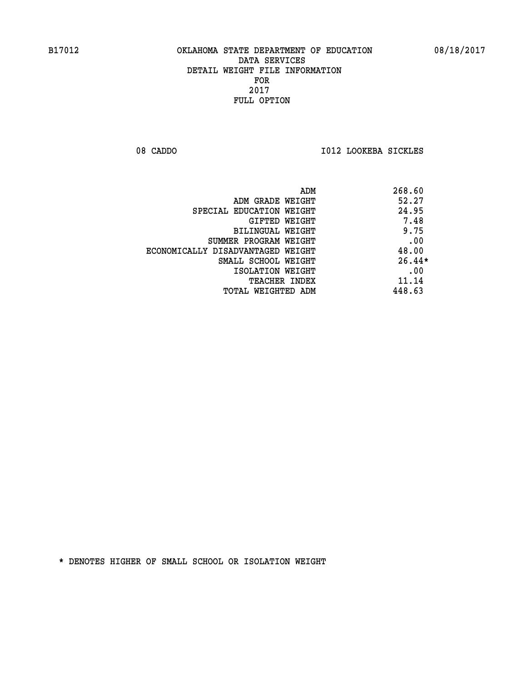08 CADDO **I012 LOOKEBA SICKLES** 

|                                   | 268.60<br>ADM |  |
|-----------------------------------|---------------|--|
| ADM GRADE WEIGHT                  | 52.27         |  |
| SPECIAL EDUCATION WEIGHT          | 24.95         |  |
| GIFTED WEIGHT                     | 7.48          |  |
| BILINGUAL WEIGHT                  | 9.75          |  |
| SUMMER PROGRAM WEIGHT             | .00           |  |
| ECONOMICALLY DISADVANTAGED WEIGHT | 48.00         |  |
| SMALL SCHOOL WEIGHT               | $26.44*$      |  |
| ISOLATION WEIGHT                  | .00           |  |
| TEACHER INDEX                     | 11.14         |  |
| TOTAL WEIGHTED ADM                | 448.63        |  |
|                                   |               |  |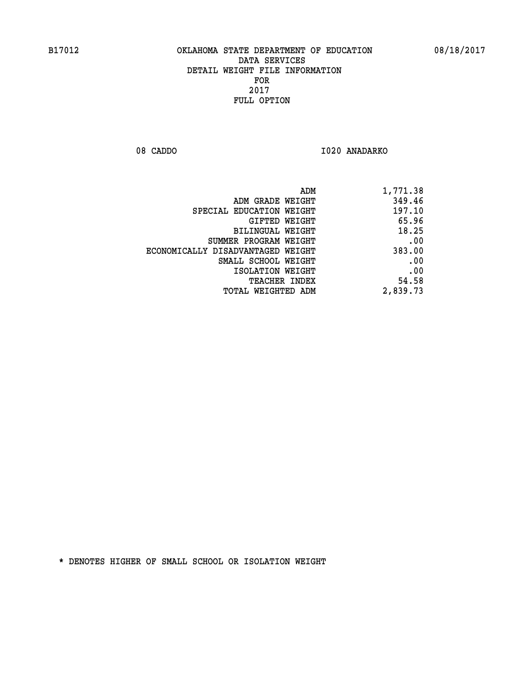08 CADDO 1020 ANADARKO

| 1,771.38 |
|----------|
| 349.46   |
| 197.10   |
| 65.96    |
| 18.25    |
| .00      |
| 383.00   |
| .00      |
| .00      |
| 54.58    |
| 2,839.73 |
|          |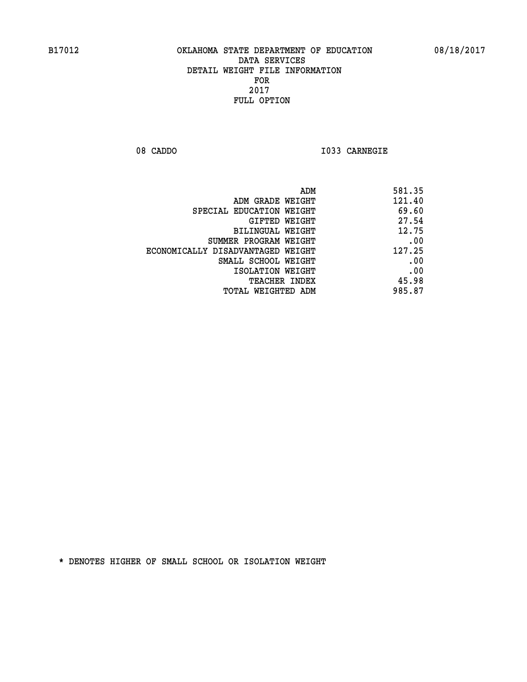**08 CADDO I033 CARNEGIE** 

| 581.35 |
|--------|
| 121.40 |
| 69.60  |
| 27.54  |
| 12.75  |
| .00    |
| 127.25 |
| .00    |
| .00    |
| 45.98  |
| 985.87 |
|        |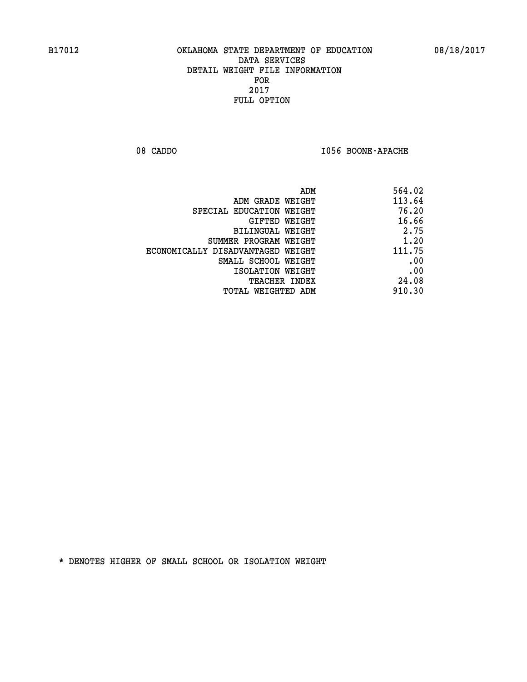08 CADDO **I056 BOONE-APACHE** 

| 564.02 |
|--------|
| 113.64 |
| 76.20  |
| 16.66  |
| 2.75   |
| 1.20   |
| 111.75 |
| .00    |
| .00    |
| 24.08  |
| 910.30 |
|        |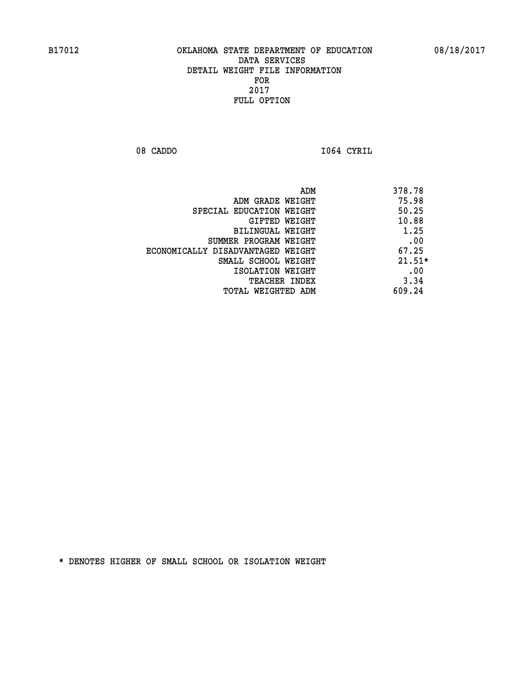**08 CADDO I064 CYRIL** 

|                                   | 378.78<br>ADM |
|-----------------------------------|---------------|
| ADM GRADE WEIGHT                  | 75.98         |
| SPECIAL EDUCATION WEIGHT          | 50.25         |
| GIFTED WEIGHT                     | 10.88         |
| BILINGUAL WEIGHT                  | 1.25          |
| SUMMER PROGRAM WEIGHT             | .00           |
| ECONOMICALLY DISADVANTAGED WEIGHT | 67.25         |
| SMALL SCHOOL WEIGHT               | $21.51*$      |
| ISOLATION WEIGHT                  | .00           |
| <b>TEACHER INDEX</b>              | 3.34          |
| TOTAL WEIGHTED ADM                | 609.24        |
|                                   |               |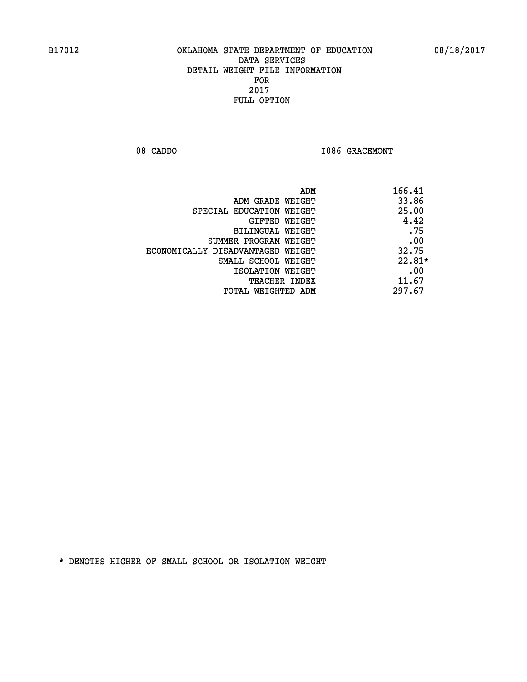08 CADDO **I086 GRACEMONT** 

| 166.41<br>ADM |                                   |
|---------------|-----------------------------------|
| 33.86         | ADM GRADE WEIGHT                  |
| 25.00         | SPECIAL EDUCATION WEIGHT          |
| 4.42          | GIFTED WEIGHT                     |
| .75           | BILINGUAL WEIGHT                  |
| .00           | SUMMER PROGRAM WEIGHT             |
| 32.75         | ECONOMICALLY DISADVANTAGED WEIGHT |
| $22.81*$      | SMALL SCHOOL WEIGHT               |
| .00           | ISOLATION WEIGHT                  |
| 11.67         | <b>TEACHER INDEX</b>              |
| 297.67        | TOTAL WEIGHTED ADM                |
|               |                                   |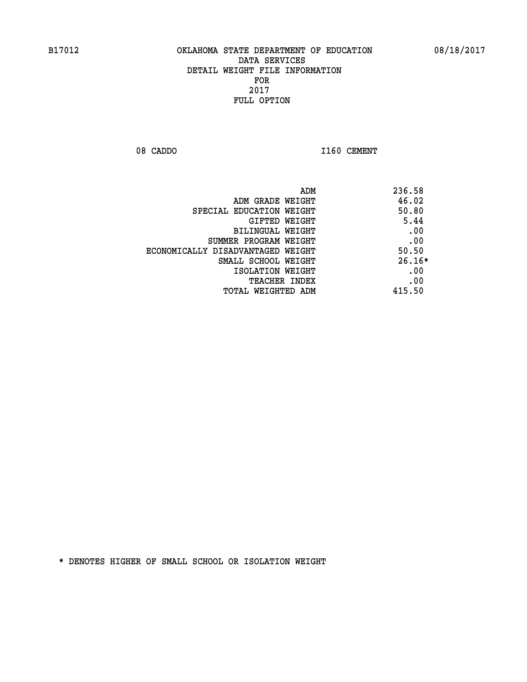08 CADDO 1160 CEMENT

|                                   | ADM<br>236.58 |  |
|-----------------------------------|---------------|--|
| ADM GRADE WEIGHT                  | 46.02         |  |
| SPECIAL EDUCATION WEIGHT          | 50.80         |  |
| GIFTED WEIGHT                     | 5.44          |  |
| <b>BILINGUAL WEIGHT</b>           | .00           |  |
| SUMMER PROGRAM WEIGHT             | .00           |  |
| ECONOMICALLY DISADVANTAGED WEIGHT | 50.50         |  |
| SMALL SCHOOL WEIGHT               | $26.16*$      |  |
| ISOLATION WEIGHT                  | .00           |  |
| <b>TEACHER INDEX</b>              | .00           |  |
| TOTAL WEIGHTED ADM                | 415.50        |  |
|                                   |               |  |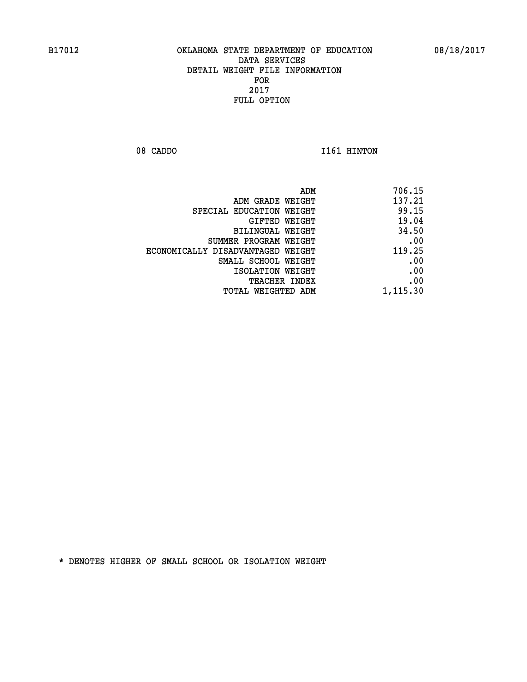08 CADDO 1161 HINTON

| 706.15   |
|----------|
| 137.21   |
| 99.15    |
| 19.04    |
| 34.50    |
| .00      |
| 119.25   |
| .00      |
| .00      |
| .00      |
| 1,115.30 |
|          |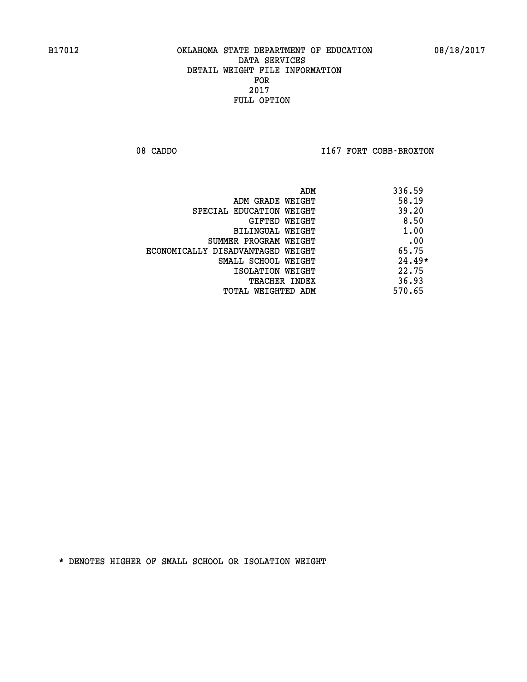08 CADDO **I167 FORT COBB-BROXTON** 

| 336.59<br>ADM                              |  |
|--------------------------------------------|--|
| 58.19<br>ADM GRADE WEIGHT                  |  |
| 39.20<br>SPECIAL EDUCATION WEIGHT          |  |
| 8.50<br>GIFTED WEIGHT                      |  |
| 1.00<br>BILINGUAL WEIGHT                   |  |
| .00<br>SUMMER PROGRAM WEIGHT               |  |
| 65.75<br>ECONOMICALLY DISADVANTAGED WEIGHT |  |
| $24.49*$<br>SMALL SCHOOL WEIGHT            |  |
| 22.75<br>ISOLATION WEIGHT                  |  |
| 36.93<br><b>TEACHER INDEX</b>              |  |
| 570.65<br>TOTAL WEIGHTED ADM               |  |
|                                            |  |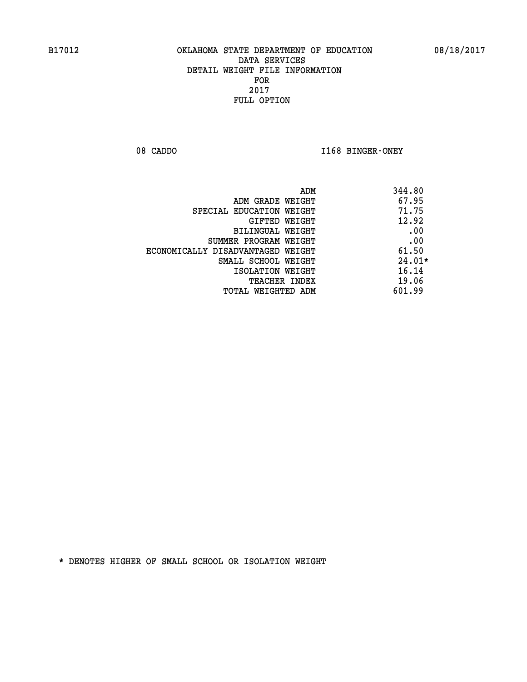08 CADDO **I168 BINGER-ONEY** 

| 344.80<br>ADM                              |          |
|--------------------------------------------|----------|
| 67.95<br>ADM GRADE WEIGHT                  |          |
| 71.75<br>SPECIAL EDUCATION WEIGHT          |          |
| 12.92<br>GIFTED WEIGHT                     |          |
| BILINGUAL WEIGHT                           | .00      |
| SUMMER PROGRAM WEIGHT                      | .00      |
| 61.50<br>ECONOMICALLY DISADVANTAGED WEIGHT |          |
| SMALL SCHOOL WEIGHT                        | $24.01*$ |
| 16.14<br>ISOLATION WEIGHT                  |          |
| 19.06<br><b>TEACHER INDEX</b>              |          |
| 601.99<br>TOTAL WEIGHTED ADM               |          |
|                                            |          |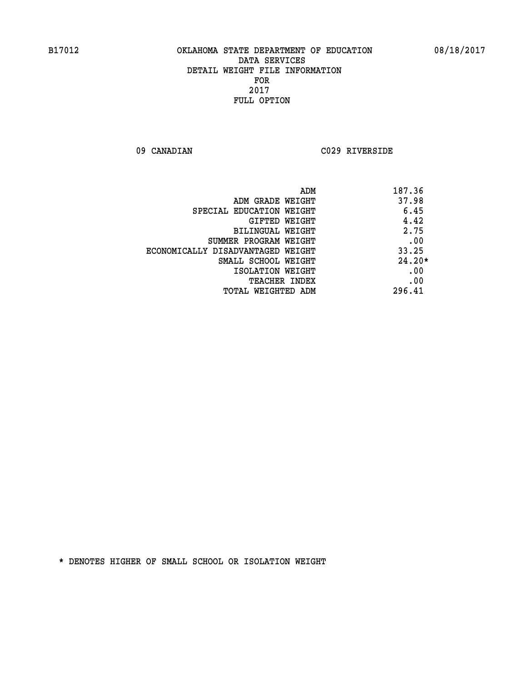**09 CANADIAN C029 RIVERSIDE** 

| ADM                               | 187.36   |
|-----------------------------------|----------|
| ADM GRADE WEIGHT                  | 37.98    |
| SPECIAL EDUCATION WEIGHT          | 6.45     |
| GIFTED WEIGHT                     | 4.42     |
| BILINGUAL WEIGHT                  | 2.75     |
| SUMMER PROGRAM WEIGHT             | .00      |
| ECONOMICALLY DISADVANTAGED WEIGHT | 33.25    |
| SMALL SCHOOL WEIGHT               | $24.20*$ |
| ISOLATION WEIGHT                  | .00      |
| <b>TEACHER INDEX</b>              | .00      |
| TOTAL WEIGHTED ADM                | 296.41   |
|                                   |          |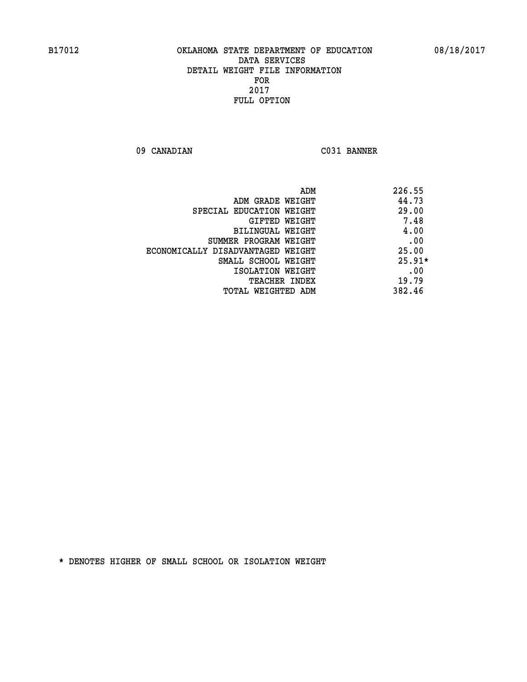**09 CANADIAN C031 BANNER** 

|                                   | 226.55<br>ADM |
|-----------------------------------|---------------|
| ADM GRADE WEIGHT                  | 44.73         |
| SPECIAL EDUCATION WEIGHT          | 29.00         |
| GIFTED WEIGHT                     | 7.48          |
| BILINGUAL WEIGHT                  | 4.00          |
| SUMMER PROGRAM WEIGHT             | .00           |
| ECONOMICALLY DISADVANTAGED WEIGHT | 25.00         |
| SMALL SCHOOL WEIGHT               | $25.91*$      |
| ISOLATION WEIGHT                  | .00           |
| <b>TEACHER INDEX</b>              | 19.79         |
| TOTAL WEIGHTED ADM                | 382.46        |
|                                   |               |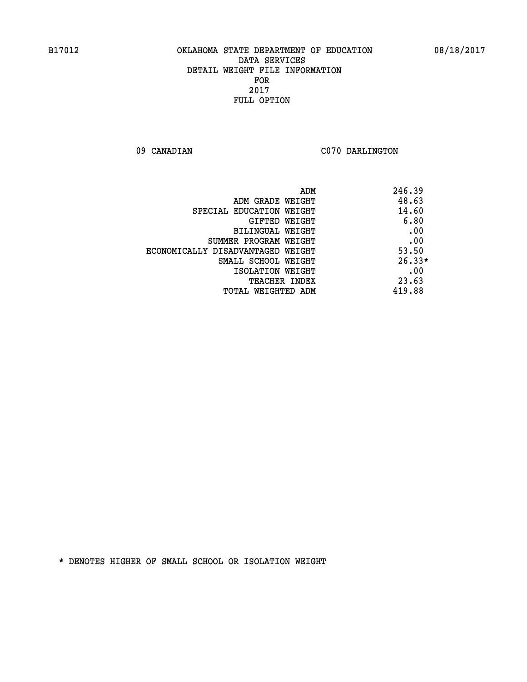09 CANADIAN C070 DARLINGTON

| ADM                               | 246.39   |
|-----------------------------------|----------|
| ADM GRADE WEIGHT                  | 48.63    |
| SPECIAL EDUCATION WEIGHT          | 14.60    |
| <b>GIFTED WEIGHT</b>              | 6.80     |
| BILINGUAL WEIGHT                  | .00      |
| SUMMER PROGRAM WEIGHT             | .00      |
| ECONOMICALLY DISADVANTAGED WEIGHT | 53.50    |
| SMALL SCHOOL WEIGHT               | $26.33*$ |
| ISOLATION WEIGHT                  | .00      |
| <b>TEACHER INDEX</b>              | 23.63    |
| TOTAL WEIGHTED ADM                | 419.88   |
|                                   |          |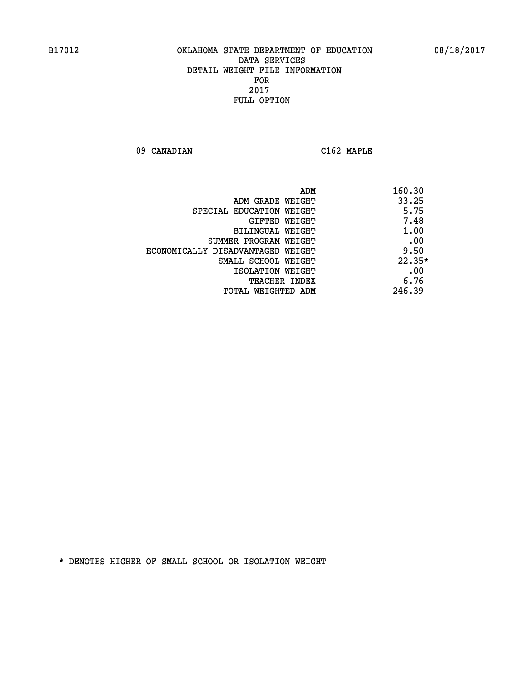**09 CANADIAN C162 MAPLE** 

| ADM                               | 160.30   |
|-----------------------------------|----------|
| ADM GRADE WEIGHT                  | 33.25    |
| SPECIAL EDUCATION WEIGHT          | 5.75     |
| <b>GIFTED WEIGHT</b>              | 7.48     |
| BILINGUAL WEIGHT                  | 1.00     |
| SUMMER PROGRAM WEIGHT             | .00      |
| ECONOMICALLY DISADVANTAGED WEIGHT | 9.50     |
| SMALL SCHOOL WEIGHT               | $22.35*$ |
| ISOLATION WEIGHT                  | .00      |
| <b>TEACHER INDEX</b>              | 6.76     |
| TOTAL WEIGHTED ADM                | 246.39   |
|                                   |          |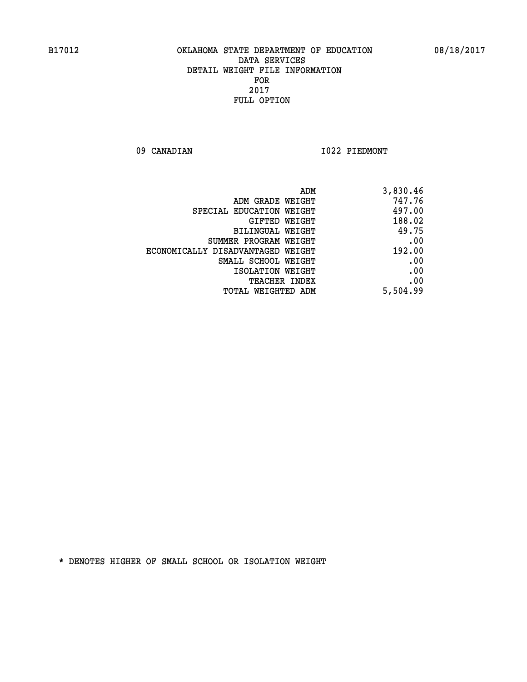09 CANADIAN 1022 PIEDMONT

| ADM                               | 3,830.46 |
|-----------------------------------|----------|
| ADM GRADE WEIGHT                  | 747.76   |
| SPECIAL EDUCATION WEIGHT          | 497.00   |
| GIFTED WEIGHT                     | 188.02   |
| BILINGUAL WEIGHT                  | 49.75    |
| SUMMER PROGRAM WEIGHT             | .00      |
| ECONOMICALLY DISADVANTAGED WEIGHT | 192.00   |
| SMALL SCHOOL WEIGHT               | .00      |
| ISOLATION WEIGHT                  | .00      |
| <b>TEACHER INDEX</b>              | .00      |
| TOTAL WEIGHTED ADM                | 5,504.99 |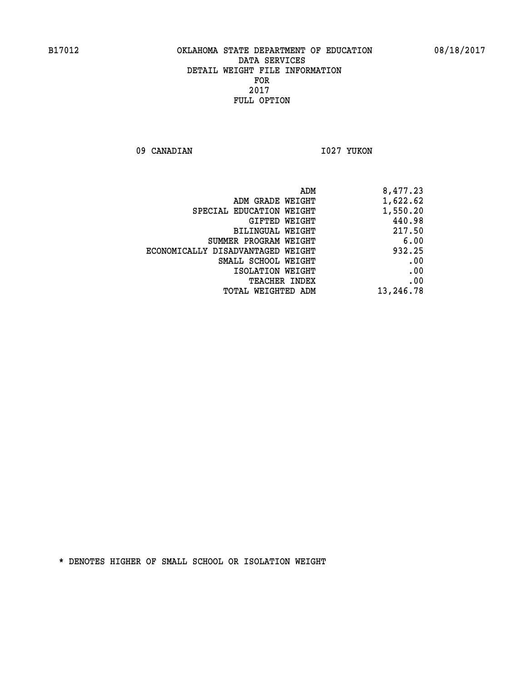09 CANADIAN 1027 YUKON

|                                   | ADM<br>8,477.23 |
|-----------------------------------|-----------------|
| ADM GRADE WEIGHT                  | 1,622.62        |
| SPECIAL EDUCATION WEIGHT          | 1,550.20        |
| GIFTED WEIGHT                     | 440.98          |
| <b>BILINGUAL WEIGHT</b>           | 217.50          |
| SUMMER PROGRAM WEIGHT             | 6.00            |
| ECONOMICALLY DISADVANTAGED WEIGHT | 932.25          |
| SMALL SCHOOL WEIGHT               | .00             |
| ISOLATION WEIGHT                  | .00             |
| TEACHER INDEX                     | .00             |
| TOTAL WEIGHTED ADM                | 13,246.78       |
|                                   |                 |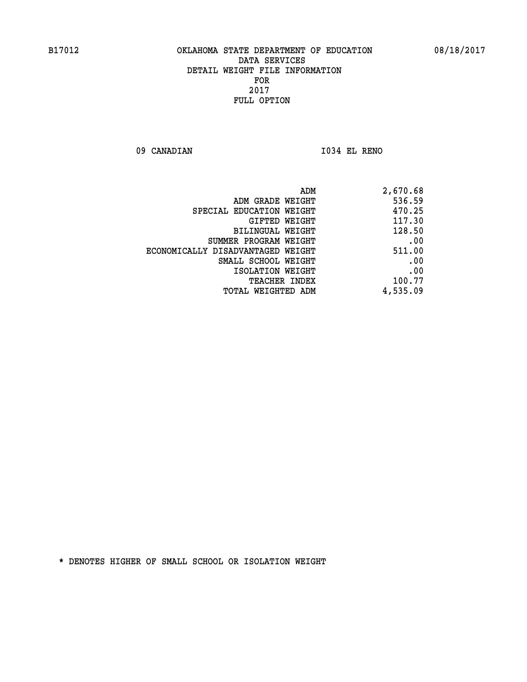**09 CANADIAN I034 EL RENO** 

| 2,670.68 |
|----------|
| 536.59   |
| 470.25   |
| 117.30   |
| 128.50   |
| .00      |
| 511.00   |
| .00      |
| .00      |
| 100.77   |
| 4,535.09 |
|          |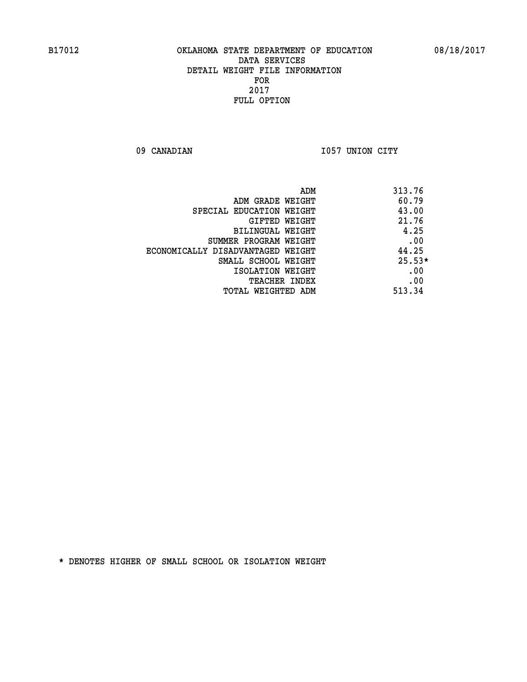09 CANADIAN 1057 UNION CITY

|                                   | 313.76<br>ADM |          |
|-----------------------------------|---------------|----------|
| ADM GRADE WEIGHT                  |               | 60.79    |
| SPECIAL EDUCATION WEIGHT          |               | 43.00    |
| GIFTED WEIGHT                     |               | 21.76    |
| BILINGUAL WEIGHT                  |               | 4.25     |
| SUMMER PROGRAM WEIGHT             |               | .00      |
| ECONOMICALLY DISADVANTAGED WEIGHT |               | 44.25    |
| SMALL SCHOOL WEIGHT               |               | $25.53*$ |
| ISOLATION WEIGHT                  |               | .00      |
| <b>TEACHER INDEX</b>              |               | .00      |
| TOTAL WEIGHTED ADM                | 513.34        |          |
|                                   |               |          |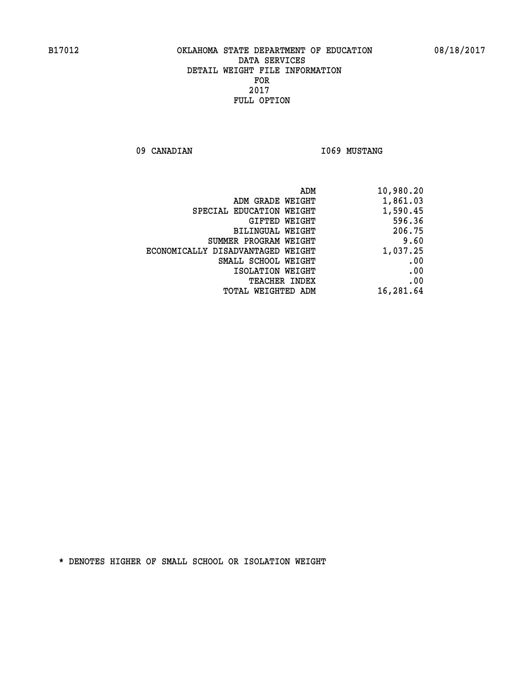09 CANADIAN **I069 MUSTANG** 

| ADM<br>10,980.20             |                                   |
|------------------------------|-----------------------------------|
| 1,861.03<br>ADM GRADE WEIGHT |                                   |
| 1,590.45                     | SPECIAL EDUCATION WEIGHT          |
| 596.36<br>GIFTED WEIGHT      |                                   |
| 206.75<br>BILINGUAL WEIGHT   |                                   |
| 9.60                         | SUMMER PROGRAM WEIGHT             |
| 1,037.25                     | ECONOMICALLY DISADVANTAGED WEIGHT |
| .00                          | SMALL SCHOOL WEIGHT               |
| .00<br>ISOLATION WEIGHT      |                                   |
| .00<br><b>TEACHER INDEX</b>  |                                   |
| 16,281.64                    | TOTAL WEIGHTED ADM                |
|                              |                                   |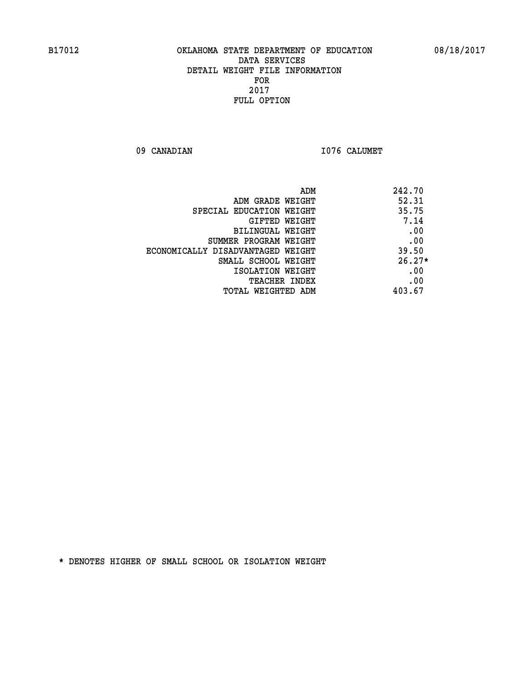09 CANADIAN 1076 CALUMET

| ADM                               | 242.70   |
|-----------------------------------|----------|
| ADM GRADE WEIGHT                  | 52.31    |
| SPECIAL EDUCATION WEIGHT          | 35.75    |
| GIFTED WEIGHT                     | 7.14     |
| BILINGUAL WEIGHT                  | .00      |
| SUMMER PROGRAM WEIGHT             | .00      |
| ECONOMICALLY DISADVANTAGED WEIGHT | 39.50    |
| SMALL SCHOOL WEIGHT               | $26.27*$ |
| ISOLATION WEIGHT                  | .00      |
| <b>TEACHER INDEX</b>              | .00      |
| TOTAL WEIGHTED ADM                | 403.67   |
|                                   |          |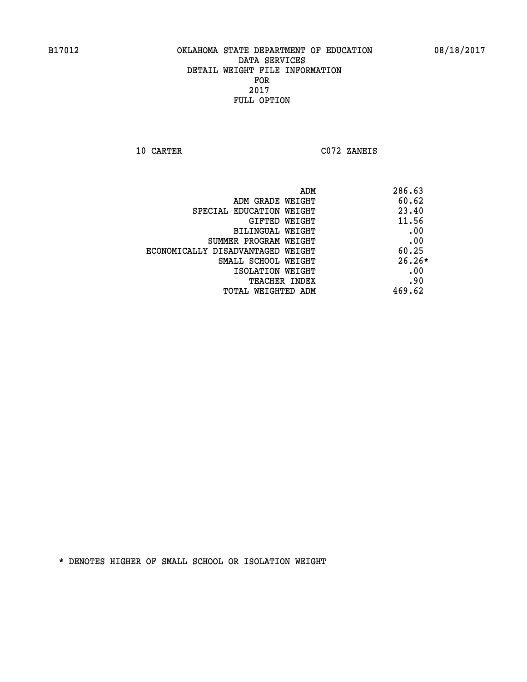**10 CARTER C072 ZANEIS** 

| ADM                               | 286.63   |
|-----------------------------------|----------|
| ADM GRADE WEIGHT                  | 60.62    |
| SPECIAL EDUCATION WEIGHT          | 23.40    |
| GIFTED WEIGHT                     | 11.56    |
| BILINGUAL WEIGHT                  | .00      |
| SUMMER PROGRAM WEIGHT             | .00      |
| ECONOMICALLY DISADVANTAGED WEIGHT | 60.25    |
| SMALL SCHOOL WEIGHT               | $26.26*$ |
| ISOLATION WEIGHT                  | .00      |
| <b>TEACHER INDEX</b>              | .90      |
| TOTAL WEIGHTED ADM                | 469.62   |
|                                   |          |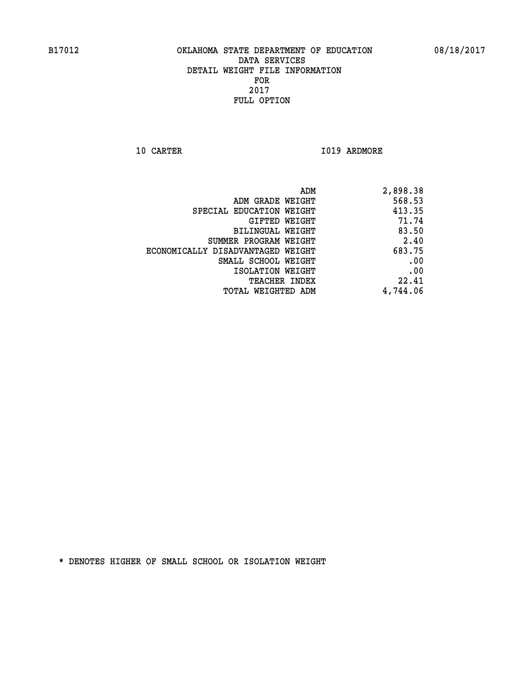**10 CARTER 1019 ARDMORE** 

| 2,898.38 |
|----------|
| 568.53   |
| 413.35   |
| 71.74    |
| 83.50    |
| 2.40     |
| 683.75   |
| .00      |
| .00      |
| 22.41    |
| 4,744.06 |
|          |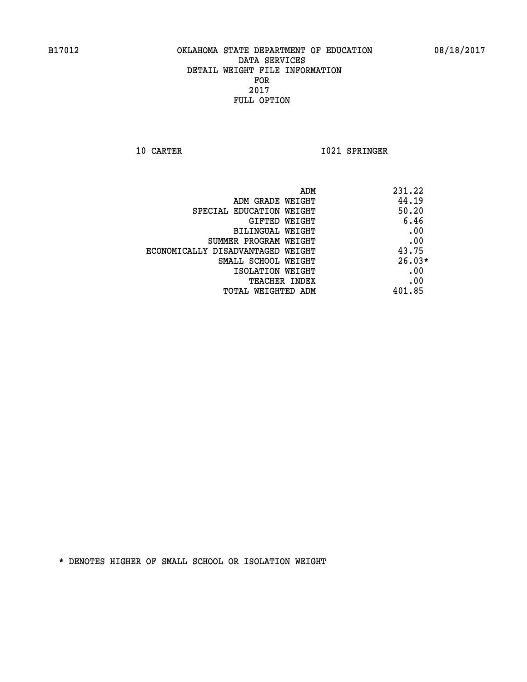**10 CARTER 1021 SPRINGER** 

| ADM                               | 231.22   |
|-----------------------------------|----------|
| ADM GRADE WEIGHT                  | 44.19    |
| SPECIAL EDUCATION WEIGHT          | 50.20    |
| GIFTED WEIGHT                     | 6.46     |
| BILINGUAL WEIGHT                  | .00      |
| SUMMER PROGRAM WEIGHT             | .00      |
| ECONOMICALLY DISADVANTAGED WEIGHT | 43.75    |
| SMALL SCHOOL WEIGHT               | $26.03*$ |
| ISOLATION WEIGHT                  | .00      |
| <b>TEACHER INDEX</b>              | .00      |
| TOTAL WEIGHTED ADM                | 401.85   |
|                                   |          |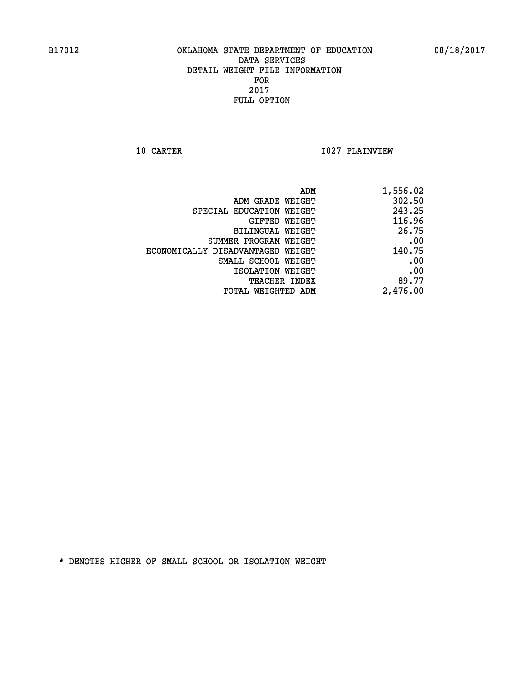**10 CARTER 1027 PLAINVIEW** 

| 1,556.02 |
|----------|
| 302.50   |
| 243.25   |
| 116.96   |
| 26.75    |
| .00      |
| 140.75   |
| .00      |
| .00      |
| 89.77    |
| 2,476.00 |
|          |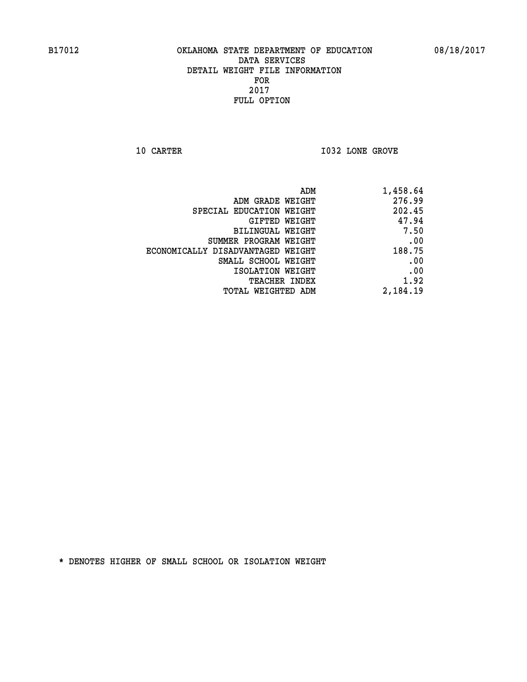**10 CARTER 10 CARTER 1032 LONE GROVE** 

| ADM                               | 1,458.64 |
|-----------------------------------|----------|
| ADM GRADE WEIGHT                  | 276.99   |
| SPECIAL EDUCATION WEIGHT          | 202.45   |
| GIFTED WEIGHT                     | 47.94    |
| BILINGUAL WEIGHT                  | 7.50     |
| SUMMER PROGRAM WEIGHT             | .00      |
| ECONOMICALLY DISADVANTAGED WEIGHT | 188.75   |
| SMALL SCHOOL WEIGHT               | .00      |
| ISOLATION WEIGHT                  | .00      |
| TEACHER INDEX                     | 1.92     |
| TOTAL WEIGHTED ADM                | 2,184.19 |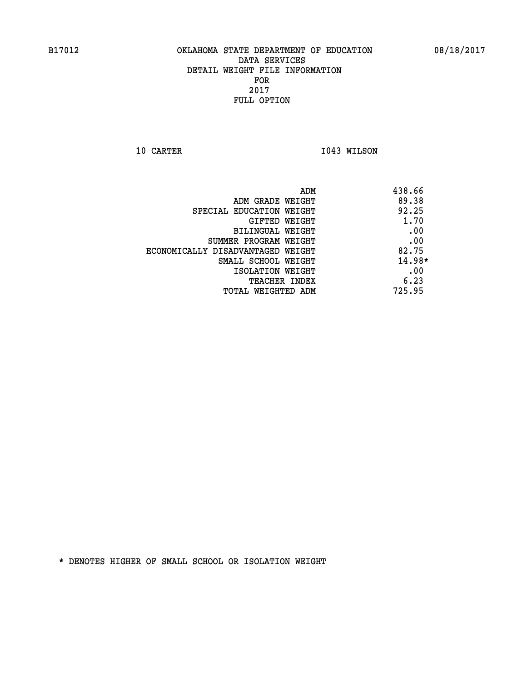**10 CARTER 1043 WILSON** 

| ADM                               | 438.66   |
|-----------------------------------|----------|
| ADM GRADE WEIGHT                  | 89.38    |
| SPECIAL EDUCATION WEIGHT          | 92.25    |
| GIFTED WEIGHT                     | 1.70     |
| BILINGUAL WEIGHT                  | .00      |
| SUMMER PROGRAM WEIGHT             | .00      |
| ECONOMICALLY DISADVANTAGED WEIGHT | 82.75    |
| SMALL SCHOOL WEIGHT               | $14.98*$ |
| ISOLATION WEIGHT                  | .00      |
| <b>TEACHER INDEX</b>              | 6.23     |
| TOTAL WEIGHTED ADM                | 725.95   |
|                                   |          |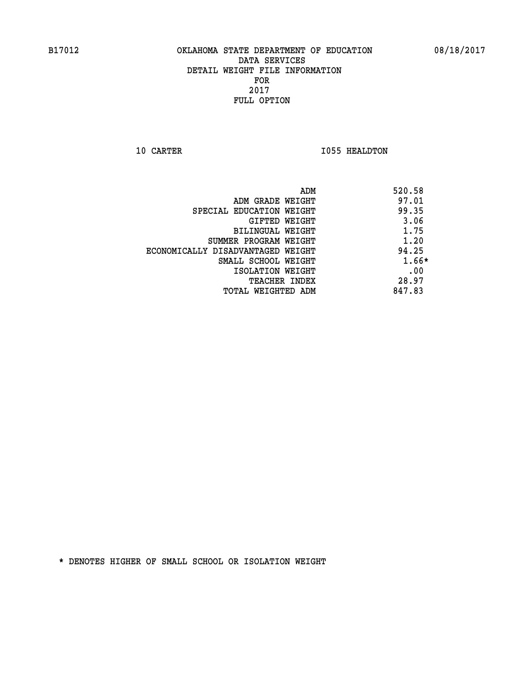**10 CARTER 1055 HEALDTON** 

|                                   | ADM<br>520.58 |         |
|-----------------------------------|---------------|---------|
| ADM GRADE WEIGHT                  | 97.01         |         |
| SPECIAL EDUCATION WEIGHT          | 99.35         |         |
| GIFTED WEIGHT                     | 3.06          |         |
| BILINGUAL WEIGHT                  | 1.75          |         |
| SUMMER PROGRAM WEIGHT             | 1.20          |         |
| ECONOMICALLY DISADVANTAGED WEIGHT | 94.25         |         |
| SMALL SCHOOL WEIGHT               |               | $1.66*$ |
| ISOLATION WEIGHT                  |               | .00     |
| <b>TEACHER INDEX</b>              | 28.97         |         |
| TOTAL WEIGHTED ADM                | 847.83        |         |
|                                   |               |         |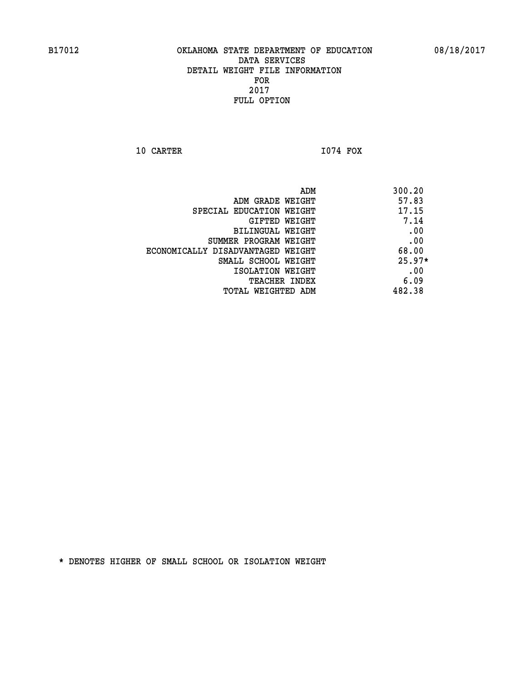**10 CARTER I074 FOX** 

| ADM<br>300.20                              |  |
|--------------------------------------------|--|
| 57.83<br>ADM GRADE WEIGHT                  |  |
| 17.15<br>SPECIAL EDUCATION WEIGHT          |  |
| 7.14<br><b>GIFTED WEIGHT</b>               |  |
| .00<br>BILINGUAL WEIGHT                    |  |
| .00<br>SUMMER PROGRAM WEIGHT               |  |
| 68.00<br>ECONOMICALLY DISADVANTAGED WEIGHT |  |
| $25.97*$<br>SMALL SCHOOL WEIGHT            |  |
| .00<br>ISOLATION WEIGHT                    |  |
| 6.09<br><b>TEACHER INDEX</b>               |  |
| 482.38<br>TOTAL WEIGHTED ADM               |  |
|                                            |  |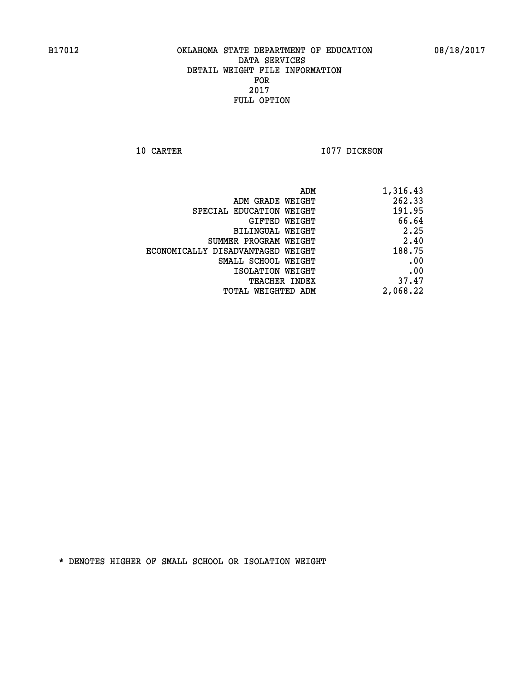**10 CARTER 1077 DICKSON** 

| 1,316.43 |
|----------|
| 262.33   |
| 191.95   |
| 66.64    |
| 2.25     |
| 2.40     |
| 188.75   |
| .00      |
| .00      |
| 37.47    |
| 2,068.22 |
|          |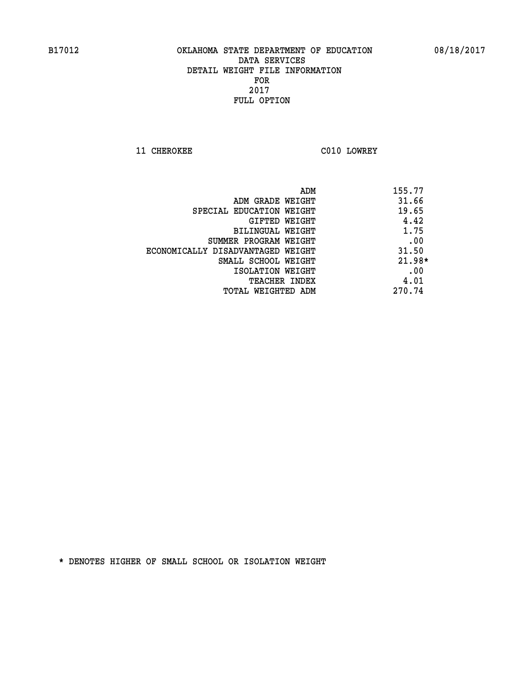**11 CHEROKEE C010 LOWREY** 

| ADM                               | 155.77   |
|-----------------------------------|----------|
| ADM GRADE WEIGHT                  | 31.66    |
| SPECIAL EDUCATION WEIGHT          | 19.65    |
| GIFTED WEIGHT                     | 4.42     |
| BILINGUAL WEIGHT                  | 1.75     |
| SUMMER PROGRAM WEIGHT             | .00      |
| ECONOMICALLY DISADVANTAGED WEIGHT | 31.50    |
| SMALL SCHOOL WEIGHT               | $21.98*$ |
| ISOLATION WEIGHT                  | .00      |
| <b>TEACHER INDEX</b>              | 4.01     |
| TOTAL WEIGHTED ADM                | 270.74   |
|                                   |          |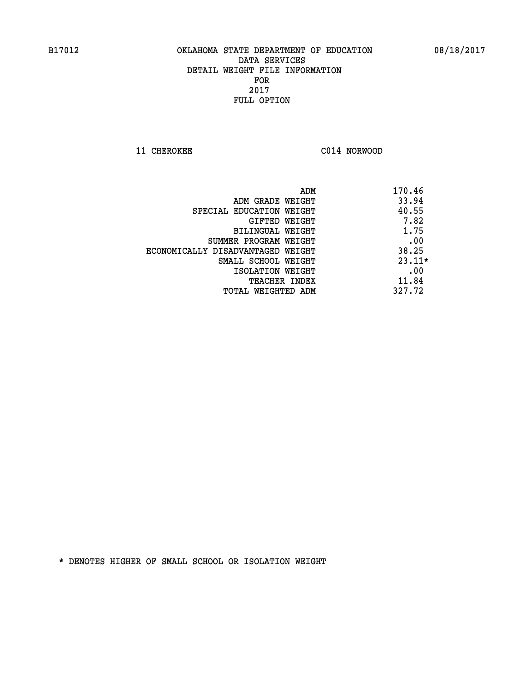**11 CHEROKEE C014 NORWOOD** 

|                                   | ADM | 170.46   |
|-----------------------------------|-----|----------|
| ADM GRADE WEIGHT                  |     | 33.94    |
| SPECIAL EDUCATION WEIGHT          |     | 40.55    |
| GIFTED WEIGHT                     |     | 7.82     |
| BILINGUAL WEIGHT                  |     | 1.75     |
| SUMMER PROGRAM WEIGHT             |     | .00      |
| ECONOMICALLY DISADVANTAGED WEIGHT |     | 38.25    |
| SMALL SCHOOL WEIGHT               |     | $23.11*$ |
| ISOLATION WEIGHT                  |     | .00      |
| <b>TEACHER INDEX</b>              |     | 11.84    |
| TOTAL WEIGHTED ADM                |     | 327.72   |
|                                   |     |          |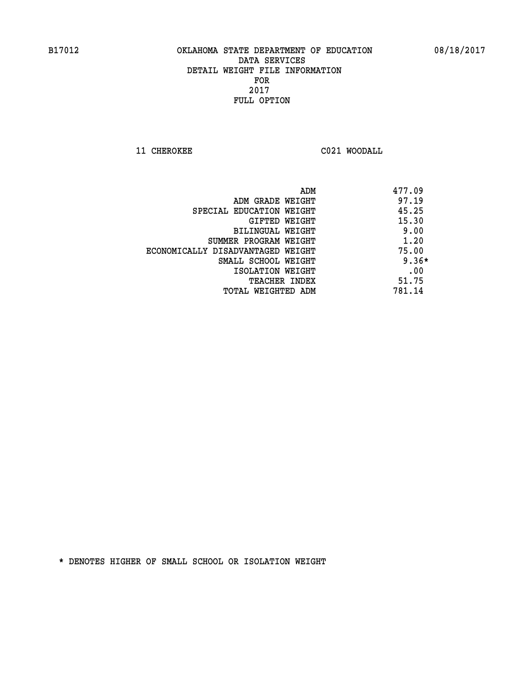**11 CHEROKEE C021 WOODALL** 

|                                   | ADM | 477.09  |
|-----------------------------------|-----|---------|
| ADM GRADE WEIGHT                  |     | 97.19   |
| SPECIAL EDUCATION WEIGHT          |     | 45.25   |
| GIFTED WEIGHT                     |     | 15.30   |
| BILINGUAL WEIGHT                  |     | 9.00    |
| SUMMER PROGRAM WEIGHT             |     | 1.20    |
| ECONOMICALLY DISADVANTAGED WEIGHT |     | 75.00   |
| SMALL SCHOOL WEIGHT               |     | $9.36*$ |
| ISOLATION WEIGHT                  |     | .00     |
| <b>TEACHER INDEX</b>              |     | 51.75   |
| TOTAL WEIGHTED ADM                |     | 781.14  |
|                                   |     |         |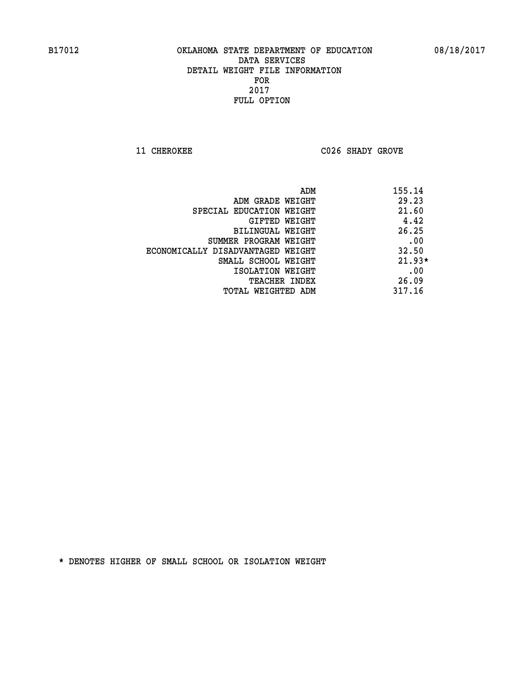**11 CHEROKEE C026 SHADY GROVE** 

|                                   | 155.14<br>ADM |
|-----------------------------------|---------------|
| ADM GRADE WEIGHT                  | 29.23         |
| SPECIAL EDUCATION WEIGHT          | 21.60         |
| GIFTED WEIGHT                     | 4.42          |
| BILINGUAL WEIGHT                  | 26.25         |
| SUMMER PROGRAM WEIGHT             | .00           |
| ECONOMICALLY DISADVANTAGED WEIGHT | 32.50         |
| SMALL SCHOOL WEIGHT               | $21.93*$      |
| ISOLATION WEIGHT                  | .00           |
| <b>TEACHER INDEX</b>              | 26.09         |
| TOTAL WEIGHTED ADM                | 317.16        |
|                                   |               |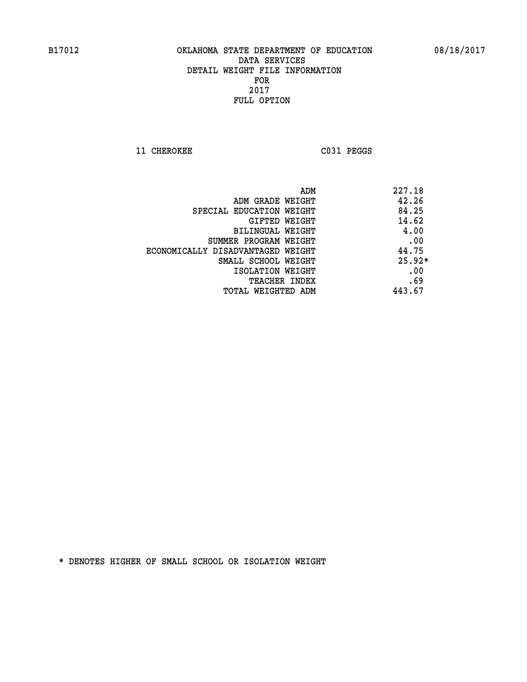**11 CHEROKEE C031 PEGGS** 

|                                   | ADM | 227.18   |
|-----------------------------------|-----|----------|
| ADM GRADE WEIGHT                  |     | 42.26    |
| SPECIAL EDUCATION WEIGHT          |     | 84.25    |
| GIFTED WEIGHT                     |     | 14.62    |
| BILINGUAL WEIGHT                  |     | 4.00     |
| SUMMER PROGRAM WEIGHT             |     | .00      |
| ECONOMICALLY DISADVANTAGED WEIGHT |     | 44.75    |
| SMALL SCHOOL WEIGHT               |     | $25.92*$ |
| ISOLATION WEIGHT                  |     | .00      |
| <b>TEACHER INDEX</b>              |     | .69      |
| TOTAL WEIGHTED ADM                |     | 443.67   |
|                                   |     |          |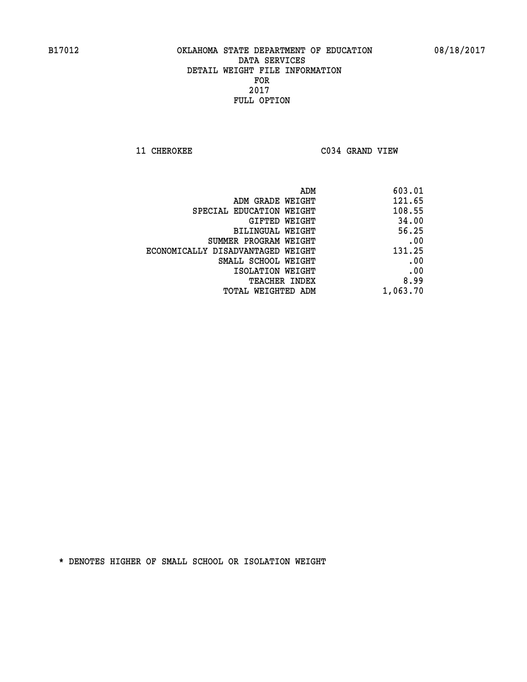**11 CHEROKEE C034 GRAND VIEW** 

| ADM                               | 603.01   |
|-----------------------------------|----------|
| ADM GRADE WEIGHT                  | 121.65   |
| SPECIAL EDUCATION WEIGHT          | 108.55   |
| GIFTED WEIGHT                     | 34.00    |
| BILINGUAL WEIGHT                  | 56.25    |
| SUMMER PROGRAM WEIGHT             | .00      |
| ECONOMICALLY DISADVANTAGED WEIGHT | 131.25   |
| SMALL SCHOOL WEIGHT               | .00      |
| ISOLATION WEIGHT                  | .00      |
| <b>TEACHER INDEX</b>              | 8.99     |
| TOTAL WEIGHTED ADM                | 1,063.70 |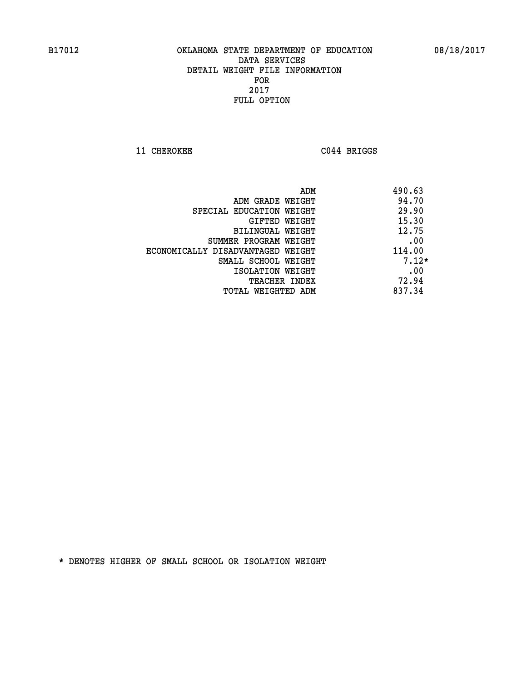**11 CHEROKEE C044 BRIGGS** 

|                                   | ADM | 490.63  |
|-----------------------------------|-----|---------|
| ADM GRADE WEIGHT                  |     | 94.70   |
| SPECIAL EDUCATION WEIGHT          |     | 29.90   |
| GIFTED WEIGHT                     |     | 15.30   |
| BILINGUAL WEIGHT                  |     | 12.75   |
| SUMMER PROGRAM WEIGHT             |     | .00     |
| ECONOMICALLY DISADVANTAGED WEIGHT |     | 114.00  |
| SMALL SCHOOL WEIGHT               |     | $7.12*$ |
| ISOLATION WEIGHT                  |     | .00     |
| <b>TEACHER INDEX</b>              |     | 72.94   |
| TOTAL WEIGHTED ADM                |     | 837.34  |
|                                   |     |         |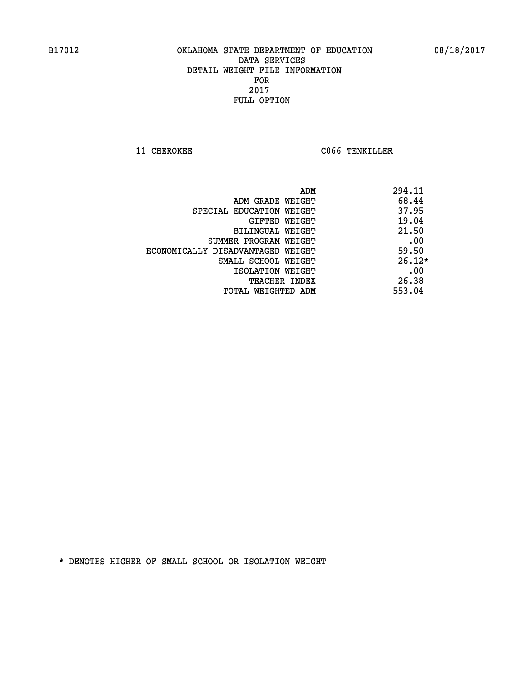**11 CHEROKEE CO66 TENKILLER** 

| ADM                               | 294.11   |
|-----------------------------------|----------|
| ADM GRADE WEIGHT                  | 68.44    |
| SPECIAL EDUCATION WEIGHT          | 37.95    |
| GIFTED WEIGHT                     | 19.04    |
| BILINGUAL WEIGHT                  | 21.50    |
| SUMMER PROGRAM WEIGHT             | .00      |
| ECONOMICALLY DISADVANTAGED WEIGHT | 59.50    |
| SMALL SCHOOL WEIGHT               | $26.12*$ |
| ISOLATION WEIGHT                  | .00      |
| <b>TEACHER INDEX</b>              | 26.38    |
| TOTAL WEIGHTED ADM                | 553.04   |
|                                   |          |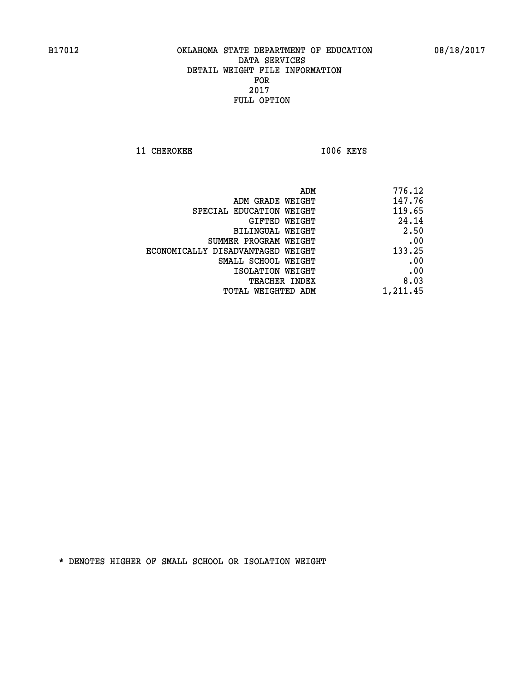11 CHEROKEE 1006 KEYS

| ADM                               | 776.12   |
|-----------------------------------|----------|
| ADM GRADE WEIGHT                  | 147.76   |
| SPECIAL EDUCATION WEIGHT          | 119.65   |
| GIFTED WEIGHT                     | 24.14    |
| BILINGUAL WEIGHT                  | 2.50     |
| SUMMER PROGRAM WEIGHT             | .00      |
| ECONOMICALLY DISADVANTAGED WEIGHT | 133.25   |
| SMALL SCHOOL WEIGHT               | .00      |
| ISOLATION WEIGHT                  | .00      |
| <b>TEACHER INDEX</b>              | 8.03     |
| TOTAL WEIGHTED ADM                | 1,211.45 |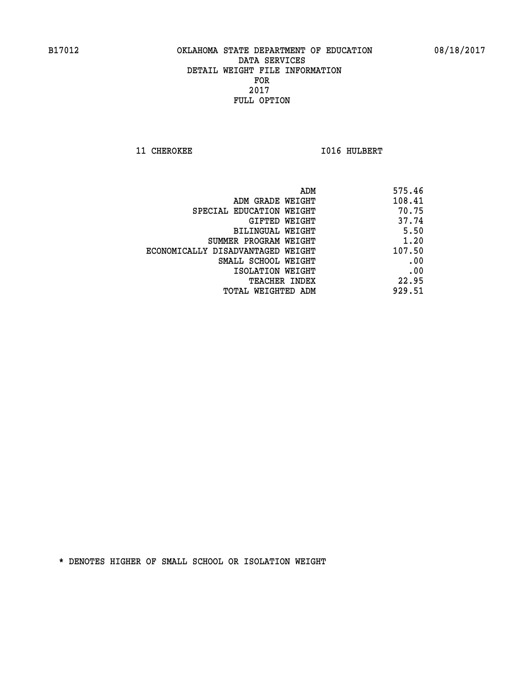**11 CHEROKEE 1016 HULBERT** 

| ADM                               | 575.46 |
|-----------------------------------|--------|
| ADM GRADE WEIGHT                  | 108.41 |
| SPECIAL EDUCATION WEIGHT          | 70.75  |
| GIFTED WEIGHT                     | 37.74  |
| BILINGUAL WEIGHT                  | 5.50   |
| SUMMER PROGRAM WEIGHT             | 1.20   |
| ECONOMICALLY DISADVANTAGED WEIGHT | 107.50 |
| SMALL SCHOOL WEIGHT               | .00    |
| ISOLATION WEIGHT                  | .00    |
| TEACHER INDEX                     | 22.95  |
| TOTAL WEIGHTED ADM                | 929.51 |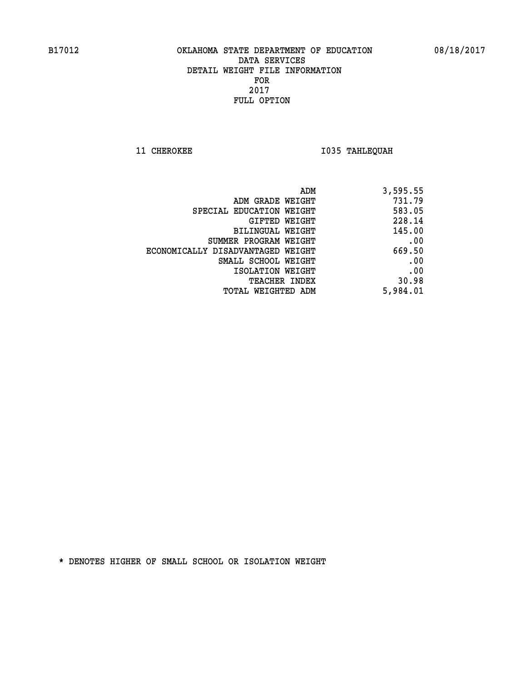**11 CHEROKEE 1035 TAHLEQUAH** 

| ADM                               | 3,595.55 |
|-----------------------------------|----------|
| ADM GRADE WEIGHT                  | 731.79   |
| SPECIAL EDUCATION WEIGHT          | 583.05   |
| GIFTED WEIGHT                     | 228.14   |
| <b>BILINGUAL WEIGHT</b>           | 145.00   |
| SUMMER PROGRAM WEIGHT             | .00      |
| ECONOMICALLY DISADVANTAGED WEIGHT | 669.50   |
| SMALL SCHOOL WEIGHT               | .00      |
| ISOLATION WEIGHT                  | .00      |
| TEACHER INDEX                     | 30.98    |
| TOTAL WEIGHTED ADM                | 5,984.01 |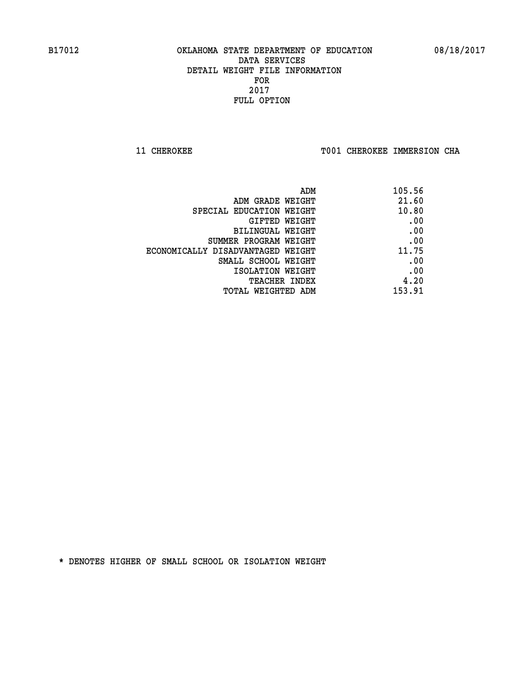**11 CHEROKEE TOO1 CHEROKEE IMMERSION CHA** 

| ADM                               | 105.56 |
|-----------------------------------|--------|
| ADM GRADE WEIGHT                  | 21.60  |
| SPECIAL EDUCATION WEIGHT          | 10.80  |
| GIFTED WEIGHT                     | .00    |
| BILINGUAL WEIGHT                  | .00    |
| SUMMER PROGRAM WEIGHT             | .00    |
| ECONOMICALLY DISADVANTAGED WEIGHT | 11.75  |
| SMALL SCHOOL WEIGHT               | .00    |
| ISOLATION WEIGHT                  | .00    |
| <b>TEACHER INDEX</b>              | 4.20   |
| TOTAL WEIGHTED ADM                | 153.91 |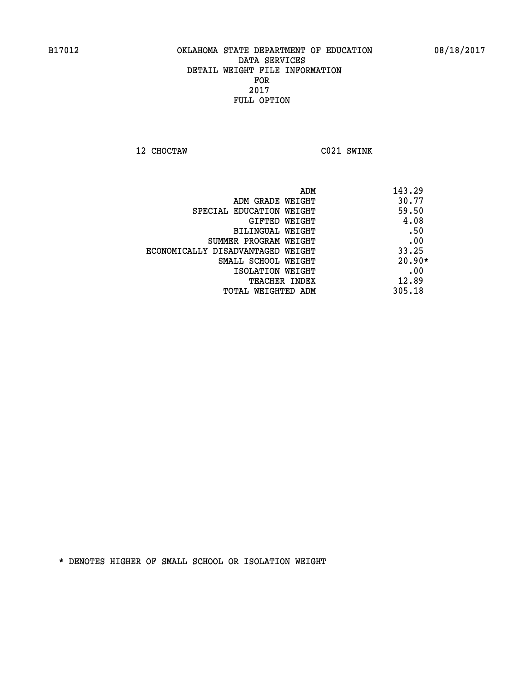**12 CHOCTAW C021 SWINK** 

| ADM                               | 143.29   |
|-----------------------------------|----------|
| ADM GRADE WEIGHT                  | 30.77    |
| SPECIAL EDUCATION WEIGHT          | 59.50    |
| GIFTED WEIGHT                     | 4.08     |
| BILINGUAL WEIGHT                  | .50      |
| SUMMER PROGRAM WEIGHT             | .00      |
| ECONOMICALLY DISADVANTAGED WEIGHT | 33.25    |
| SMALL SCHOOL WEIGHT               | $20.90*$ |
| ISOLATION WEIGHT                  | .00      |
| <b>TEACHER INDEX</b>              | 12.89    |
| TOTAL WEIGHTED ADM                | 305.18   |
|                                   |          |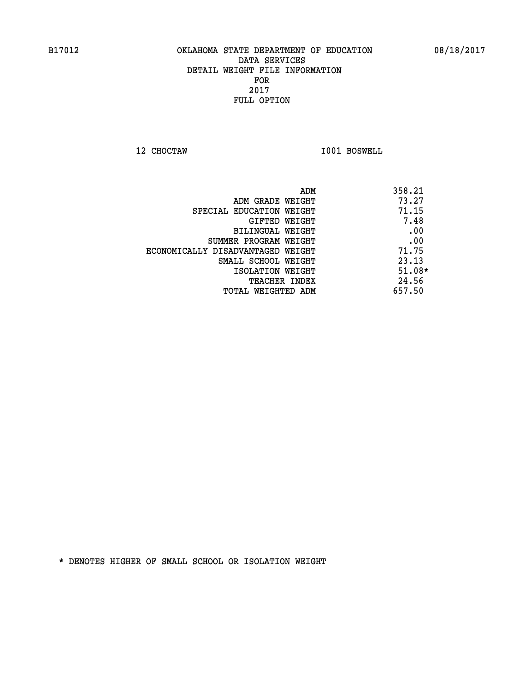**12 CHOCTAW I001 BOSWELL** 

|                                   | 358.21<br>ADM |
|-----------------------------------|---------------|
| ADM GRADE WEIGHT                  | 73.27         |
| SPECIAL EDUCATION WEIGHT          | 71.15         |
| GIFTED WEIGHT                     | 7.48          |
| BILINGUAL WEIGHT                  | .00           |
| SUMMER PROGRAM WEIGHT             | .00           |
| ECONOMICALLY DISADVANTAGED WEIGHT | 71.75         |
| SMALL SCHOOL WEIGHT               | 23.13         |
| ISOLATION WEIGHT                  | $51.08*$      |
| TEACHER INDEX                     | 24.56         |
| TOTAL WEIGHTED ADM                | 657.50        |
|                                   |               |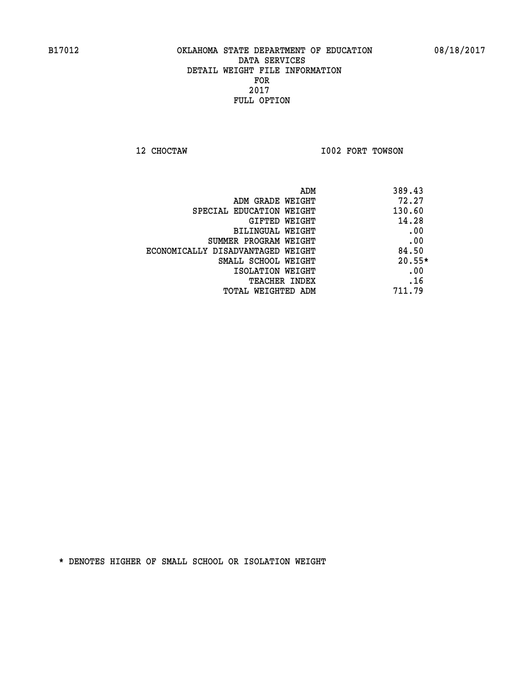**12 CHOCTAW I002 FORT TOWSON** 

|                                   | 389.43<br>ADM |
|-----------------------------------|---------------|
| ADM GRADE WEIGHT                  | 72.27         |
| SPECIAL EDUCATION WEIGHT          | 130.60        |
| GIFTED WEIGHT                     | 14.28         |
| BILINGUAL WEIGHT                  | .00           |
| SUMMER PROGRAM WEIGHT             | .00           |
| ECONOMICALLY DISADVANTAGED WEIGHT | 84.50         |
| SMALL SCHOOL WEIGHT               | $20.55*$      |
| ISOLATION WEIGHT                  | .00           |
| <b>TEACHER INDEX</b>              | .16           |
| TOTAL WEIGHTED ADM                | 711.79        |
|                                   |               |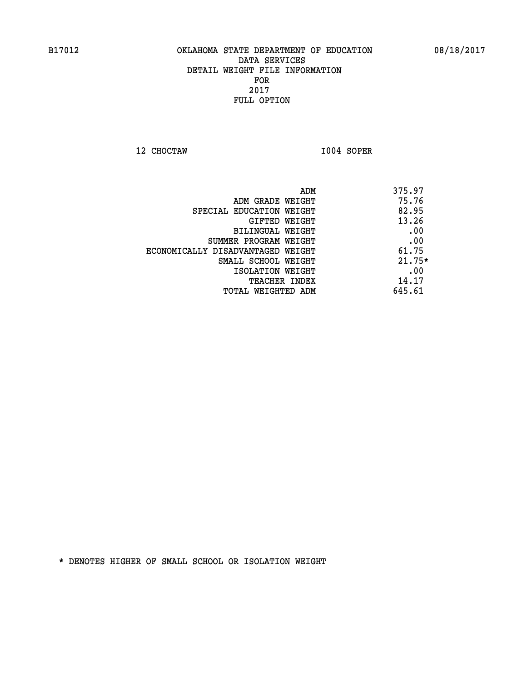**12 CHOCTAW I004 SOPER** 

|                                   | 375.97<br>ADM |
|-----------------------------------|---------------|
| ADM GRADE WEIGHT                  | 75.76         |
| SPECIAL EDUCATION WEIGHT          | 82.95         |
| GIFTED WEIGHT                     | 13.26         |
| BILINGUAL WEIGHT                  | .00           |
| SUMMER PROGRAM WEIGHT             | .00           |
| ECONOMICALLY DISADVANTAGED WEIGHT | 61.75         |
| SMALL SCHOOL WEIGHT               | $21.75*$      |
| ISOLATION WEIGHT                  | .00           |
| <b>TEACHER INDEX</b>              | 14.17         |
| TOTAL WEIGHTED ADM                | 645.61        |
|                                   |               |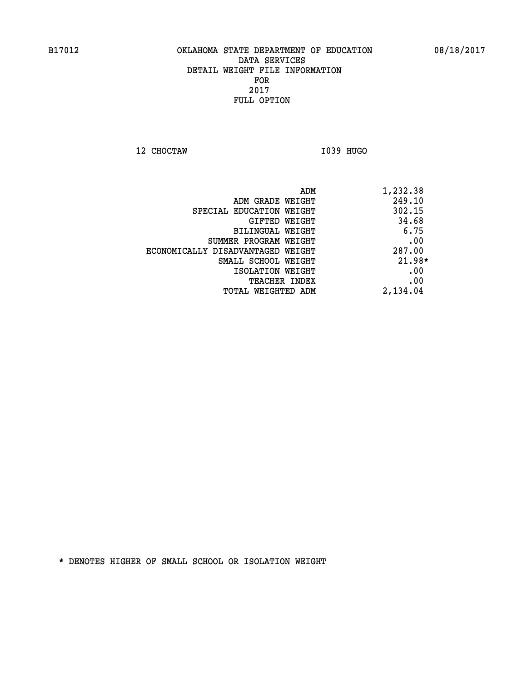**12 CHOCTAW I039 HUGO** 

|                                   | 1,232.38<br>ADM |          |
|-----------------------------------|-----------------|----------|
| ADM GRADE WEIGHT                  |                 | 249.10   |
| SPECIAL EDUCATION WEIGHT          |                 | 302.15   |
| GIFTED WEIGHT                     |                 | 34.68    |
| BILINGUAL WEIGHT                  |                 | 6.75     |
| SUMMER PROGRAM WEIGHT             |                 | .00      |
| ECONOMICALLY DISADVANTAGED WEIGHT |                 | 287.00   |
| SMALL SCHOOL WEIGHT               |                 | $21.98*$ |
| ISOLATION WEIGHT                  |                 | .00      |
| <b>TEACHER INDEX</b>              |                 | .00      |
| TOTAL WEIGHTED ADM                | 2,134.04        |          |
|                                   |                 |          |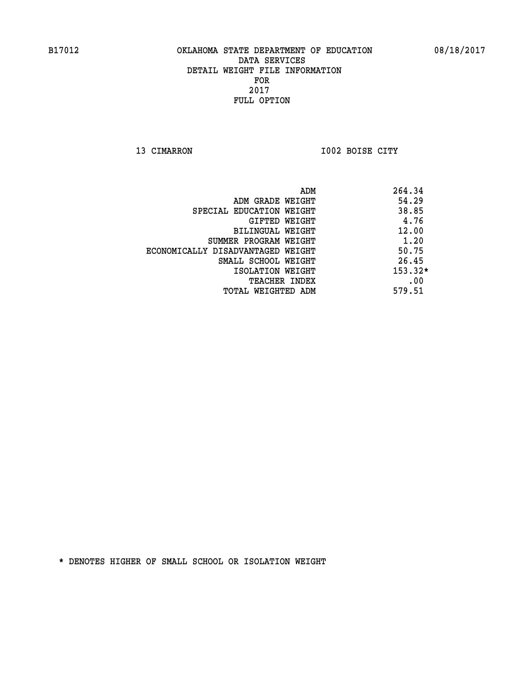**13 CIMARRON I002 BOISE CITY** 

|                                   | ADM | 264.34    |
|-----------------------------------|-----|-----------|
| ADM GRADE WEIGHT                  |     | 54.29     |
| SPECIAL EDUCATION WEIGHT          |     | 38.85     |
| GIFTED WEIGHT                     |     | 4.76      |
| BILINGUAL WEIGHT                  |     | 12.00     |
| SUMMER PROGRAM WEIGHT             |     | 1.20      |
| ECONOMICALLY DISADVANTAGED WEIGHT |     | 50.75     |
| SMALL SCHOOL WEIGHT               |     | 26.45     |
| ISOLATION WEIGHT                  |     | $153.32*$ |
| <b>TEACHER INDEX</b>              |     | .00       |
| TOTAL WEIGHTED ADM                |     | 579.51    |
|                                   |     |           |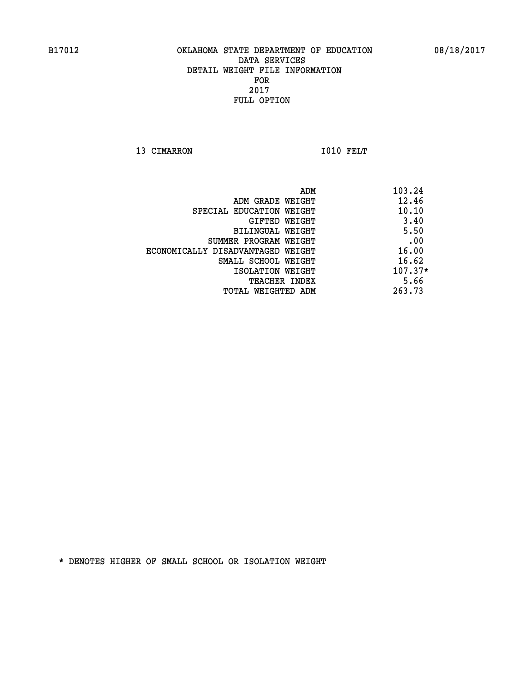13 CIMARRON 1010 FELT

| ADM                               | 103.24    |
|-----------------------------------|-----------|
| ADM GRADE WEIGHT                  | 12.46     |
| SPECIAL EDUCATION WEIGHT          | 10.10     |
| GIFTED WEIGHT                     | 3.40      |
| BILINGUAL WEIGHT                  | 5.50      |
| SUMMER PROGRAM WEIGHT             | .00       |
| ECONOMICALLY DISADVANTAGED WEIGHT | 16.00     |
| SMALL SCHOOL WEIGHT               | 16.62     |
| ISOLATION WEIGHT                  | $107.37*$ |
| <b>TEACHER INDEX</b>              | 5.66      |
| TOTAL WEIGHTED ADM                | 263.73    |
|                                   |           |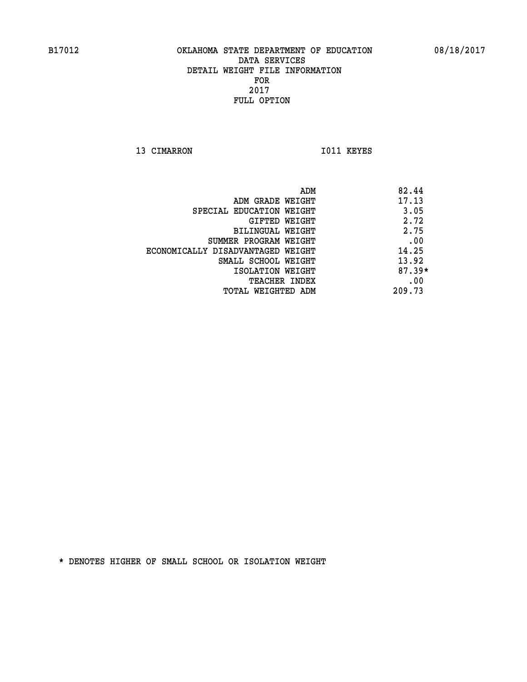13 CIMARRON 1011 KEYES

|                                   | 82.44<br>ADM |
|-----------------------------------|--------------|
| ADM GRADE WEIGHT                  | 17.13        |
| SPECIAL EDUCATION WEIGHT          | 3.05         |
| GIFTED WEIGHT                     | 2.72         |
| BILINGUAL WEIGHT                  | 2.75         |
| SUMMER PROGRAM WEIGHT             | .00          |
| ECONOMICALLY DISADVANTAGED WEIGHT | 14.25        |
| SMALL SCHOOL WEIGHT               | 13.92        |
| ISOLATION WEIGHT                  | $87.39*$     |
| <b>TEACHER INDEX</b>              | .00          |
| TOTAL WEIGHTED ADM                | 209.73       |
|                                   |              |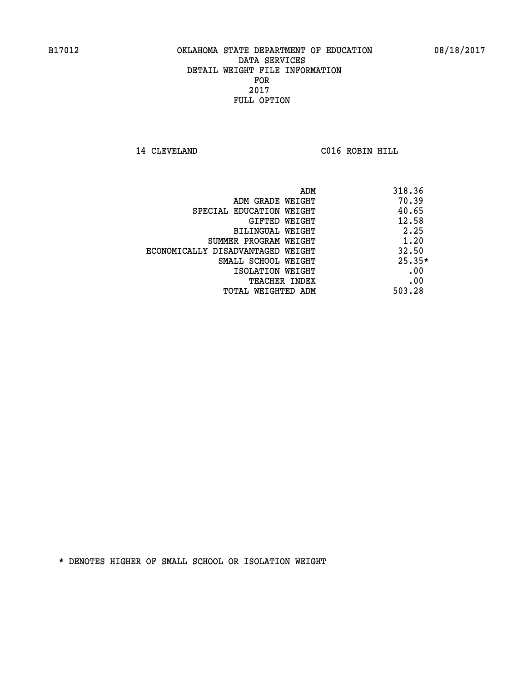**14 CLEVELAND C016 ROBIN HILL** 

|                                   | ADM | 318.36   |
|-----------------------------------|-----|----------|
| ADM GRADE WEIGHT                  |     | 70.39    |
| SPECIAL EDUCATION WEIGHT          |     | 40.65    |
| GIFTED WEIGHT                     |     | 12.58    |
| BILINGUAL WEIGHT                  |     | 2.25     |
| SUMMER PROGRAM WEIGHT             |     | 1.20     |
| ECONOMICALLY DISADVANTAGED WEIGHT |     | 32.50    |
| SMALL SCHOOL WEIGHT               |     | $25.35*$ |
| ISOLATION WEIGHT                  |     | .00      |
| <b>TEACHER INDEX</b>              |     | .00      |
| TOTAL WEIGHTED ADM                |     | 503.28   |
|                                   |     |          |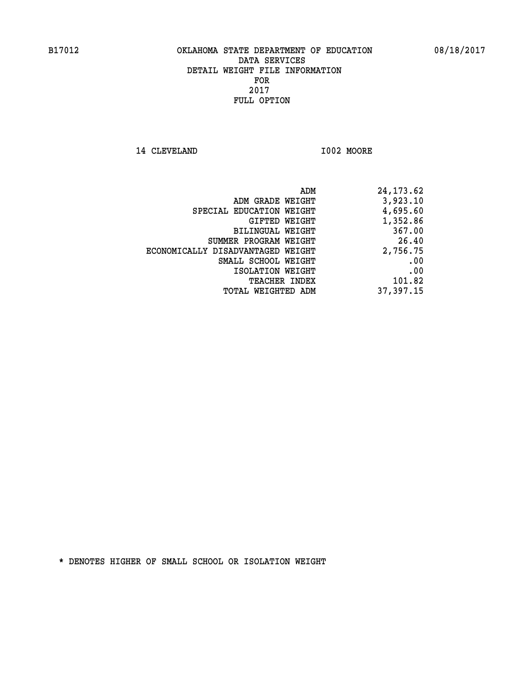14 CLEVELAND 1002 MOORE

|                                   | ADM | 24,173.62 |
|-----------------------------------|-----|-----------|
| ADM GRADE WEIGHT                  |     | 3,923.10  |
| SPECIAL EDUCATION WEIGHT          |     | 4,695.60  |
| GIFTED WEIGHT                     |     | 1,352.86  |
| <b>BILINGUAL WEIGHT</b>           |     | 367.00    |
| SUMMER PROGRAM WEIGHT             |     | 26.40     |
| ECONOMICALLY DISADVANTAGED WEIGHT |     | 2,756.75  |
| SMALL SCHOOL WEIGHT               |     | .00       |
| ISOLATION WEIGHT                  |     | .00       |
| TEACHER INDEX                     |     | 101.82    |
| TOTAL WEIGHTED ADM                |     | 37,397.15 |
|                                   |     |           |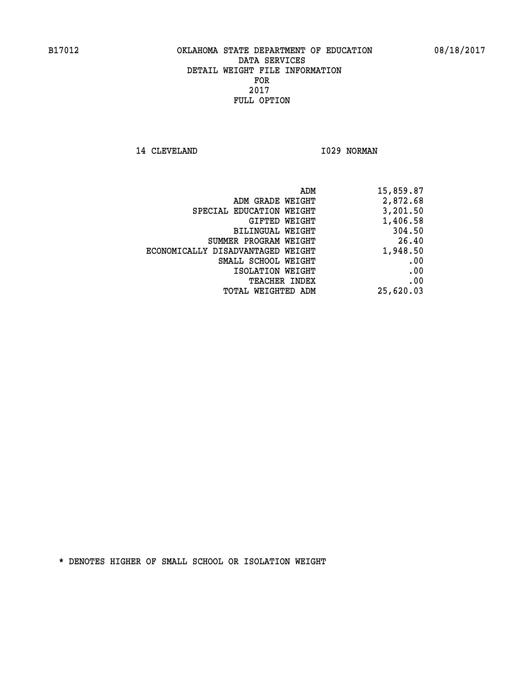14 CLEVELAND 1029 NORMAN

| 15,859.87 |
|-----------|
| 2,872.68  |
| 3,201.50  |
| 1,406.58  |
| 304.50    |
| 26.40     |
| 1,948.50  |
| .00       |
| .00       |
| .00       |
| 25,620.03 |
|           |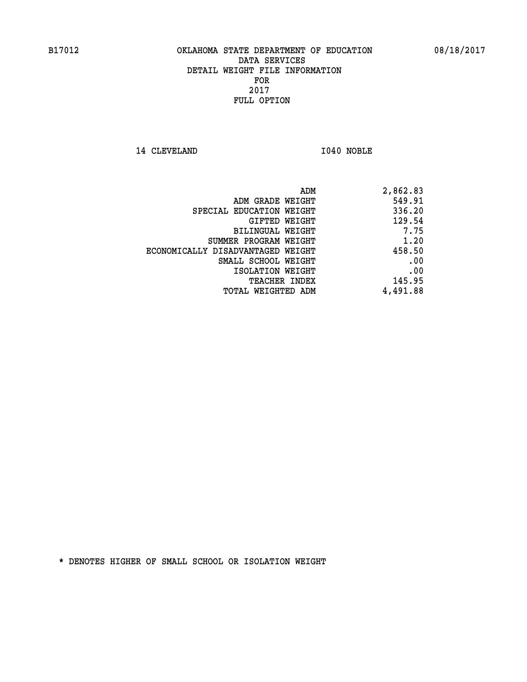14 CLEVELAND 1040 NOBLE

| 2,862.83 |
|----------|
| 549.91   |
| 336.20   |
| 129.54   |
| 7.75     |
| 1.20     |
| 458.50   |
| .00      |
| .00      |
| 145.95   |
| 4,491.88 |
|          |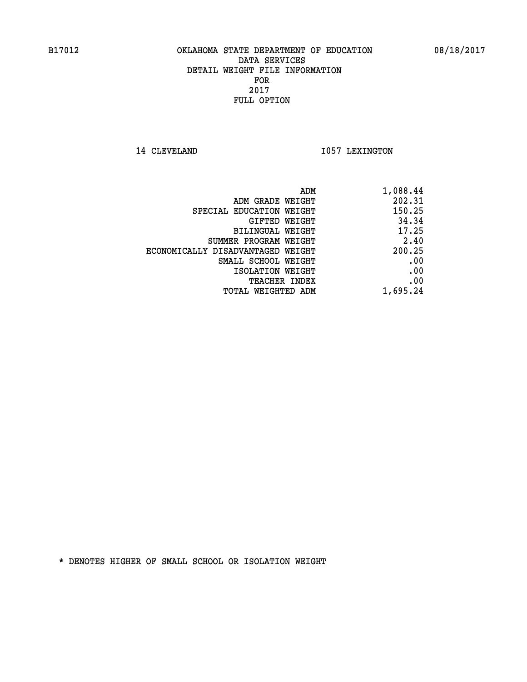14 CLEVELAND 1057 LEXINGTON

| ADM                               | 1,088.44 |
|-----------------------------------|----------|
| ADM GRADE WEIGHT                  | 202.31   |
| SPECIAL EDUCATION WEIGHT          | 150.25   |
| GIFTED WEIGHT                     | 34.34    |
| <b>BILINGUAL WEIGHT</b>           | 17.25    |
| SUMMER PROGRAM WEIGHT             | 2.40     |
| ECONOMICALLY DISADVANTAGED WEIGHT | 200.25   |
| SMALL SCHOOL WEIGHT               | .00      |
| ISOLATION WEIGHT                  | .00      |
| TEACHER INDEX                     | .00      |
| TOTAL WEIGHTED ADM                | 1,695.24 |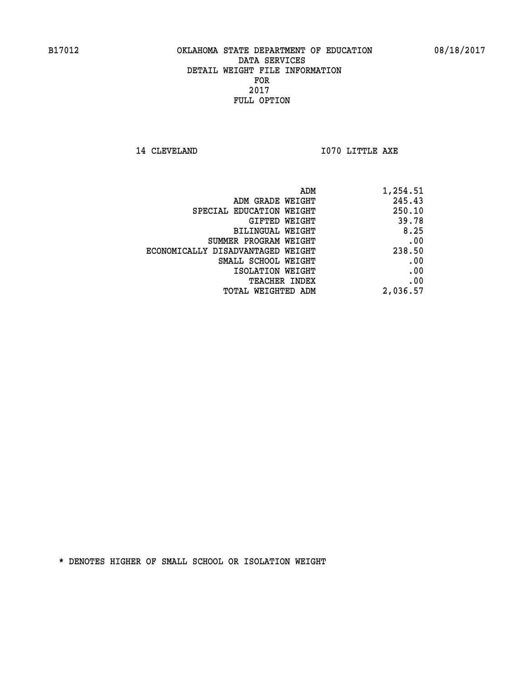**14 CLEVELAND 1070 LITTLE AXE** 

| 1,254.51 | ADM                               |
|----------|-----------------------------------|
| 245.43   | ADM GRADE WEIGHT                  |
| 250.10   | SPECIAL EDUCATION WEIGHT          |
| 39.78    | GIFTED WEIGHT                     |
| 8.25     | BILINGUAL WEIGHT                  |
| .00      | SUMMER PROGRAM WEIGHT             |
| 238.50   | ECONOMICALLY DISADVANTAGED WEIGHT |
| .00      | SMALL SCHOOL WEIGHT               |
| .00      | ISOLATION WEIGHT                  |
| .00      | <b>TEACHER INDEX</b>              |
| 2,036.57 | <b>TOTAL WEIGHTED ADM</b>         |
|          |                                   |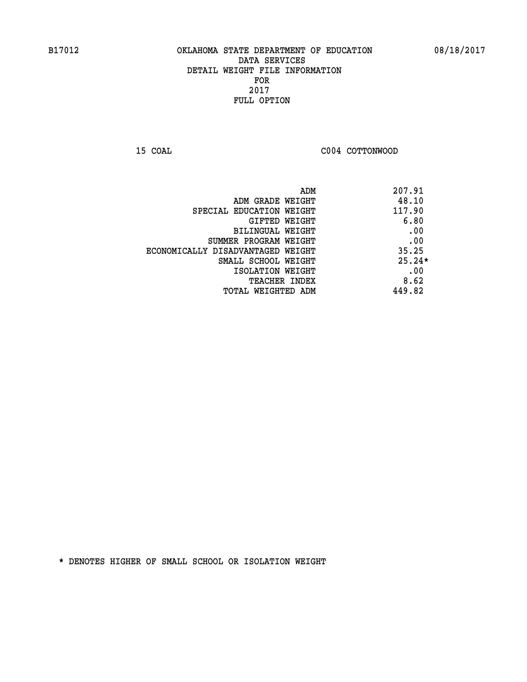**15 COAL COAL COAL COAL COAL COTTONWOOD** 

| ADM<br>207.91                              |  |
|--------------------------------------------|--|
| 48.10<br>ADM GRADE WEIGHT                  |  |
| 117.90<br>SPECIAL EDUCATION WEIGHT         |  |
| 6.80<br><b>GIFTED WEIGHT</b>               |  |
| .00<br>BILINGUAL WEIGHT                    |  |
| .00<br>SUMMER PROGRAM WEIGHT               |  |
| 35.25<br>ECONOMICALLY DISADVANTAGED WEIGHT |  |
| $25.24*$<br>SMALL SCHOOL WEIGHT            |  |
| .00<br>ISOLATION WEIGHT                    |  |
| 8.62<br><b>TEACHER INDEX</b>               |  |
| 449.82<br>TOTAL WEIGHTED ADM               |  |
|                                            |  |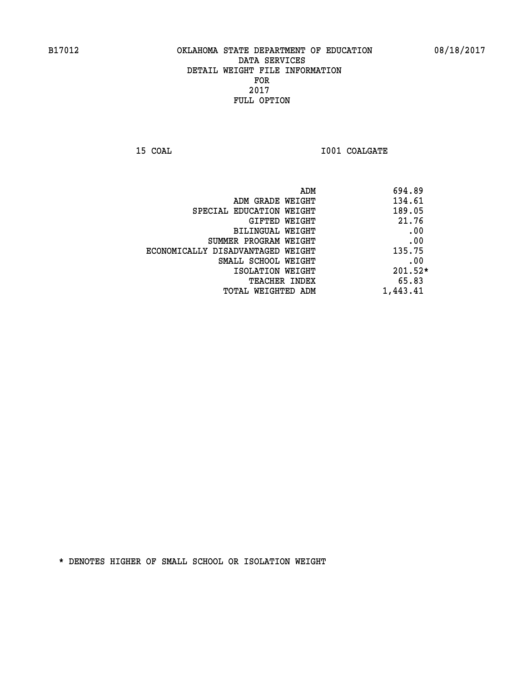**15 COAL 15 COAL I001 COALGATE** 

| 694.89<br>ADM |                                   |
|---------------|-----------------------------------|
| 134.61        | ADM GRADE WEIGHT                  |
| 189.05        | SPECIAL EDUCATION WEIGHT          |
| 21.76         | GIFTED WEIGHT                     |
| .00           | BILINGUAL WEIGHT                  |
| .00           | SUMMER PROGRAM WEIGHT             |
| 135.75        | ECONOMICALLY DISADVANTAGED WEIGHT |
| .00           | SMALL SCHOOL WEIGHT               |
| $201.52*$     | ISOLATION WEIGHT                  |
| 65.83         | TEACHER INDEX                     |
| 1,443.41      | TOTAL WEIGHTED ADM                |
|               |                                   |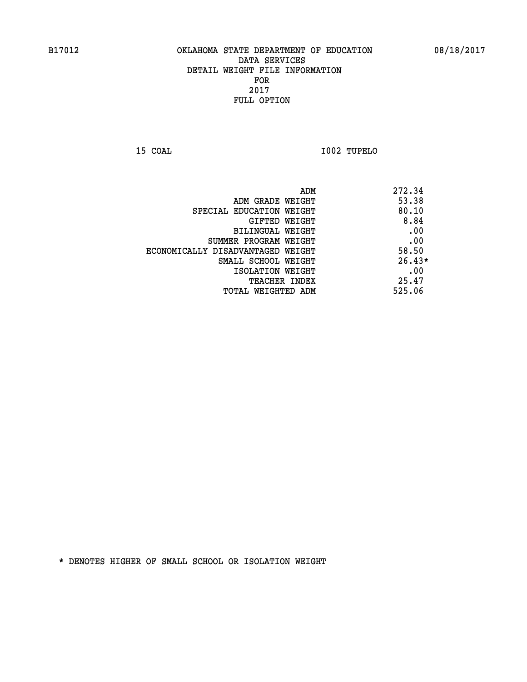**15 COAL I002 TUPELO** 

| ADM                               | 272.34   |
|-----------------------------------|----------|
| ADM GRADE WEIGHT                  | 53.38    |
| SPECIAL EDUCATION WEIGHT          | 80.10    |
| GIFTED WEIGHT                     | 8.84     |
| BILINGUAL WEIGHT                  | .00      |
| SUMMER PROGRAM WEIGHT             | .00      |
| ECONOMICALLY DISADVANTAGED WEIGHT | 58.50    |
| SMALL SCHOOL WEIGHT               | $26.43*$ |
| ISOLATION WEIGHT                  | .00      |
| <b>TEACHER INDEX</b>              | 25.47    |
| TOTAL WEIGHTED ADM                | 525.06   |
|                                   |          |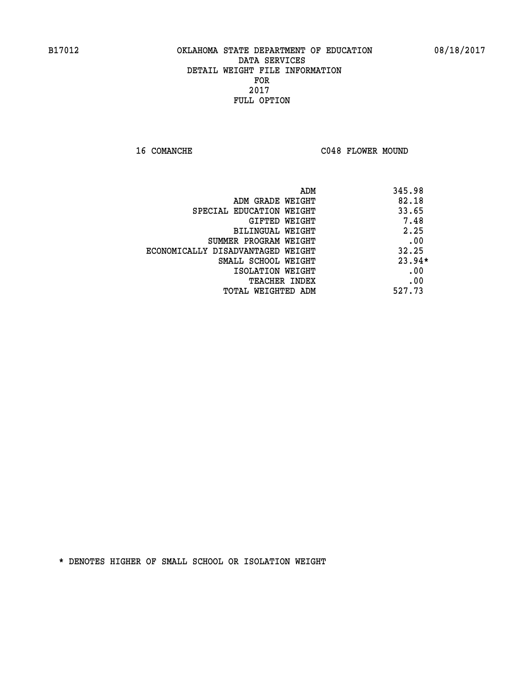16 COMANCHE C048 FLOWER MOUND

|                                   | 345.98<br>ADM |
|-----------------------------------|---------------|
| ADM GRADE WEIGHT                  | 82.18         |
| SPECIAL EDUCATION WEIGHT          | 33.65         |
| GIFTED WEIGHT                     | 7.48          |
| BILINGUAL WEIGHT                  | 2.25          |
| SUMMER PROGRAM WEIGHT             | .00           |
| ECONOMICALLY DISADVANTAGED WEIGHT | 32.25         |
| SMALL SCHOOL WEIGHT               | $23.94*$      |
| ISOLATION WEIGHT                  | .00           |
| <b>TEACHER INDEX</b>              | .00           |
| TOTAL WEIGHTED ADM                | 527.73        |
|                                   |               |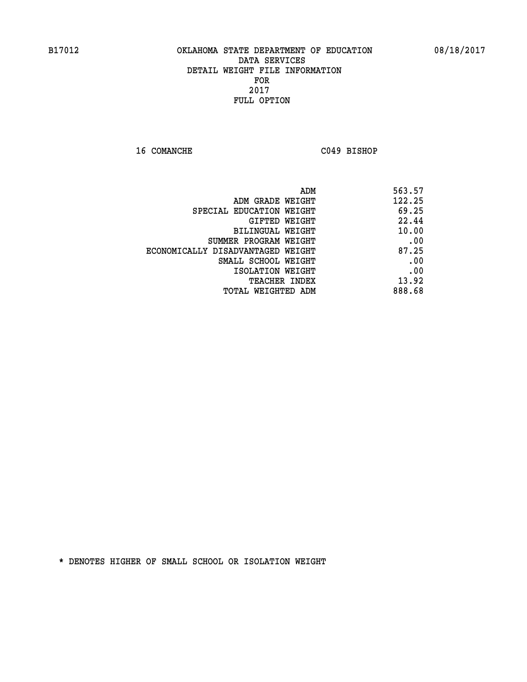**16 COMANCHE C049 BISHOP** 

| 563.57<br>ADM                              |
|--------------------------------------------|
| 122.25<br>ADM GRADE WEIGHT                 |
| 69.25<br>SPECIAL EDUCATION WEIGHT          |
| 22.44<br>GIFTED WEIGHT                     |
| 10.00<br>BILINGUAL WEIGHT                  |
| .00<br>SUMMER PROGRAM WEIGHT               |
| 87.25<br>ECONOMICALLY DISADVANTAGED WEIGHT |
| .00<br>SMALL SCHOOL WEIGHT                 |
| .00<br>ISOLATION WEIGHT                    |
| 13.92<br>TEACHER INDEX                     |
| 888.68<br>TOTAL WEIGHTED ADM               |
|                                            |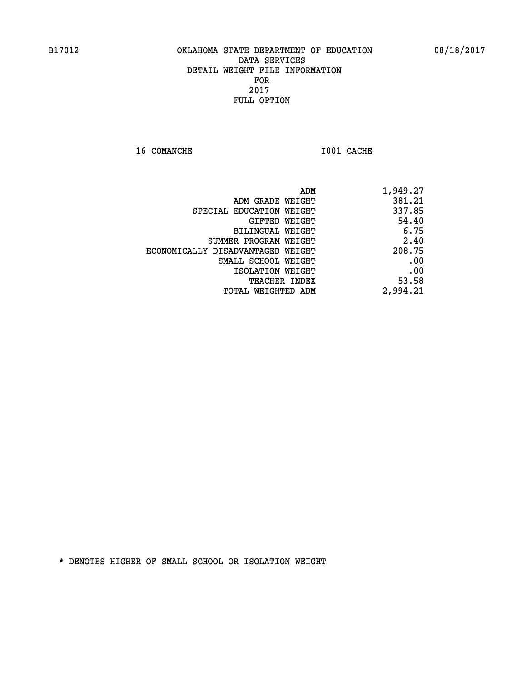**16 COMANCHE 1001 CACHE** 

| 1,949.27 |
|----------|
| 381.21   |
| 337.85   |
| 54.40    |
| 6.75     |
| 2.40     |
| 208.75   |
| .00      |
| .00      |
| 53.58    |
| 2,994.21 |
|          |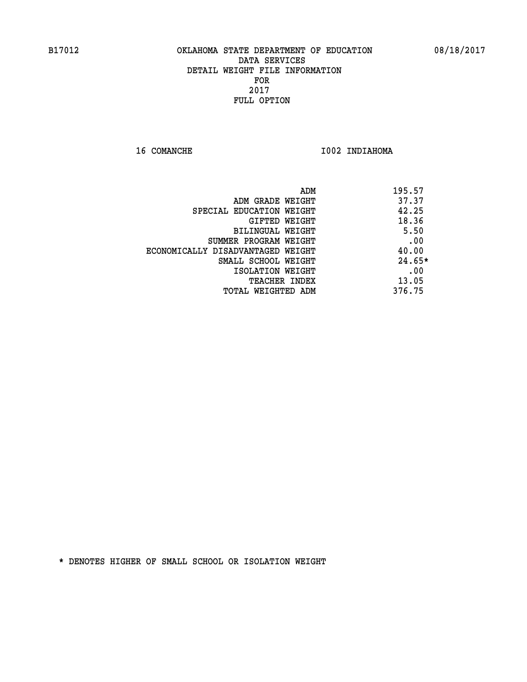16 COMANCHE 1002 INDIAHOMA

|                                   | 195.57<br>ADM |
|-----------------------------------|---------------|
| ADM GRADE WEIGHT                  | 37.37         |
| SPECIAL EDUCATION WEIGHT          | 42.25         |
| GIFTED WEIGHT                     | 18.36         |
| BILINGUAL WEIGHT                  | 5.50          |
| SUMMER PROGRAM WEIGHT             | .00           |
| ECONOMICALLY DISADVANTAGED WEIGHT | 40.00         |
| SMALL SCHOOL WEIGHT               | $24.65*$      |
| ISOLATION WEIGHT                  | .00           |
| TEACHER INDEX                     | 13.05         |
| TOTAL WEIGHTED ADM                | 376.75        |
|                                   |               |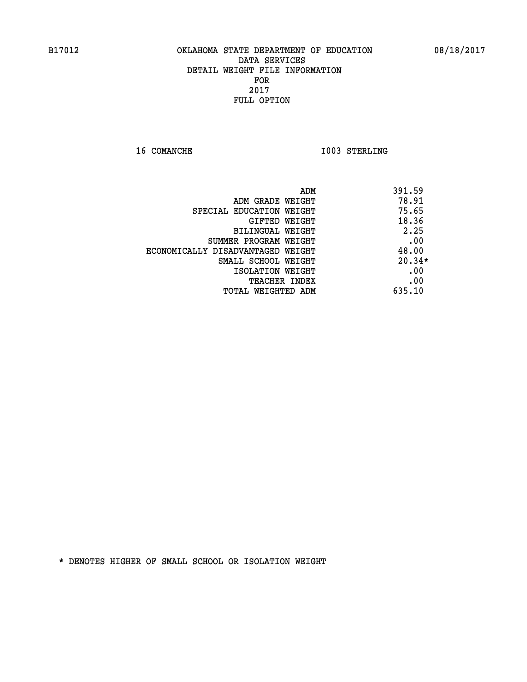**16 COMANCHE 1003 STERLING** 

|                                   | ADM | 391.59   |
|-----------------------------------|-----|----------|
| ADM GRADE WEIGHT                  |     | 78.91    |
| SPECIAL EDUCATION WEIGHT          |     | 75.65    |
| GIFTED WEIGHT                     |     | 18.36    |
| BILINGUAL WEIGHT                  |     | 2.25     |
| SUMMER PROGRAM WEIGHT             |     | .00      |
| ECONOMICALLY DISADVANTAGED WEIGHT |     | 48.00    |
| SMALL SCHOOL WEIGHT               |     | $20.34*$ |
| ISOLATION WEIGHT                  |     | .00      |
| <b>TEACHER INDEX</b>              |     | .00      |
| TOTAL WEIGHTED ADM                |     | 635.10   |
|                                   |     |          |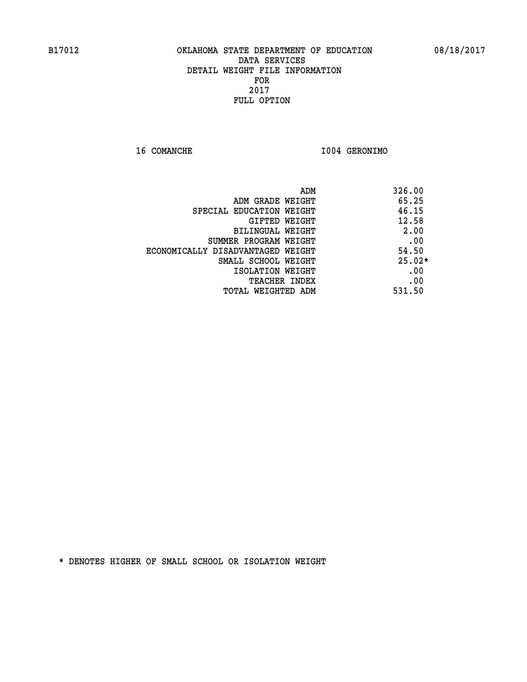**16 COMANCHE I004 GERONIMO** 

|                                   | ADM | 326.00   |
|-----------------------------------|-----|----------|
| ADM GRADE WEIGHT                  |     | 65.25    |
| SPECIAL EDUCATION WEIGHT          |     | 46.15    |
| GIFTED WEIGHT                     |     | 12.58    |
| BILINGUAL WEIGHT                  |     | 2.00     |
| SUMMER PROGRAM WEIGHT             |     | .00      |
| ECONOMICALLY DISADVANTAGED WEIGHT |     | 54.50    |
| SMALL SCHOOL WEIGHT               |     | $25.02*$ |
| ISOLATION WEIGHT                  |     | .00      |
| <b>TEACHER INDEX</b>              |     | .00      |
| TOTAL WEIGHTED ADM                |     | 531.50   |
|                                   |     |          |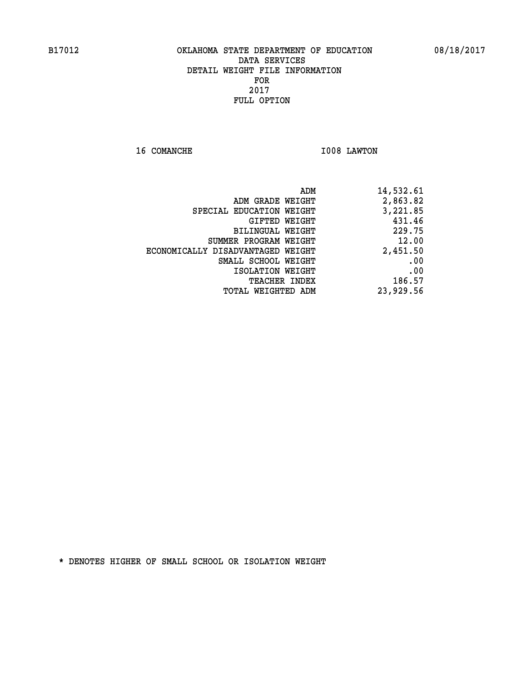**16 COMANCHE 1008 LAWTON** 

| 14,532.61 |
|-----------|
| 2,863.82  |
| 3,221.85  |
| 431.46    |
| 229.75    |
| 12.00     |
| 2,451.50  |
| .00       |
| .00       |
| 186.57    |
| 23,929.56 |
|           |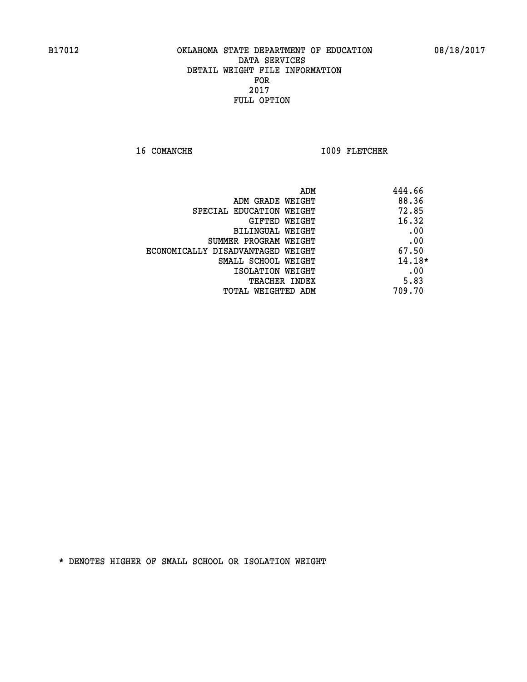16 COMANCHE 1009 FLETCHER

| 444.66   | ADM                               |
|----------|-----------------------------------|
| 88.36    | ADM GRADE WEIGHT                  |
| 72.85    | SPECIAL EDUCATION WEIGHT          |
| 16.32    | <b>GIFTED WEIGHT</b>              |
| .00      | BILINGUAL WEIGHT                  |
| .00      | SUMMER PROGRAM WEIGHT             |
| 67.50    | ECONOMICALLY DISADVANTAGED WEIGHT |
| $14.18*$ | SMALL SCHOOL WEIGHT               |
| .00      | ISOLATION WEIGHT                  |
| 5.83     | <b>TEACHER INDEX</b>              |
| 709.70   | TOTAL WEIGHTED ADM                |
|          |                                   |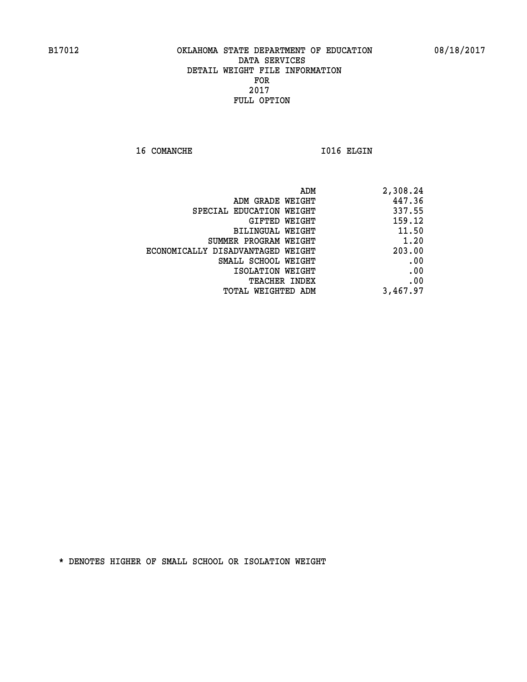16 COMANCHE 1016 ELGIN

| 2,308.24 |
|----------|
| 447.36   |
| 337.55   |
| 159.12   |
| 11.50    |
| 1.20     |
| 203.00   |
| .00      |
| .00      |
| .00      |
| 3,467.97 |
|          |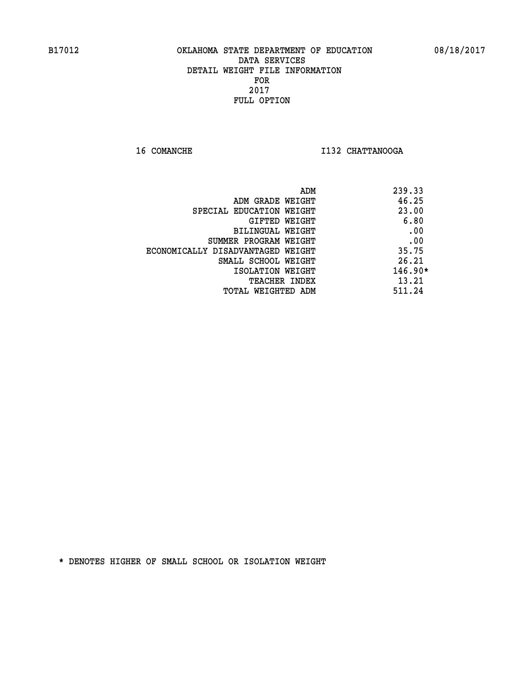**16 COMANCHE I132 CHATTANOOGA** 

|                                   | ADM | 239.33    |
|-----------------------------------|-----|-----------|
| ADM GRADE WEIGHT                  |     | 46.25     |
| SPECIAL EDUCATION WEIGHT          |     | 23.00     |
| GIFTED WEIGHT                     |     | 6.80      |
| BILINGUAL WEIGHT                  |     | .00       |
| SUMMER PROGRAM WEIGHT             |     | .00       |
| ECONOMICALLY DISADVANTAGED WEIGHT |     | 35.75     |
| SMALL SCHOOL WEIGHT               |     | 26.21     |
| ISOLATION WEIGHT                  |     | $146.90*$ |
| <b>TEACHER INDEX</b>              |     | 13.21     |
| TOTAL WEIGHTED ADM                |     | 511.24    |
|                                   |     |           |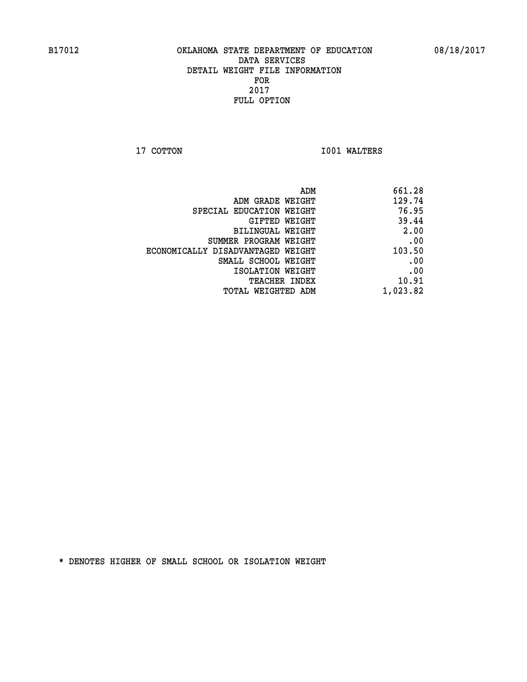**17 COTTON 1001 WALTERS** 

| ADM                               | 661.28   |
|-----------------------------------|----------|
| ADM GRADE WEIGHT                  | 129.74   |
| SPECIAL EDUCATION WEIGHT          | 76.95    |
| GIFTED WEIGHT                     | 39.44    |
| BILINGUAL WEIGHT                  | 2.00     |
| SUMMER PROGRAM WEIGHT             | .00      |
| ECONOMICALLY DISADVANTAGED WEIGHT | 103.50   |
| SMALL SCHOOL WEIGHT               | .00      |
| ISOLATION WEIGHT                  | .00      |
| <b>TEACHER INDEX</b>              | 10.91    |
| TOTAL WEIGHTED ADM                | 1,023.82 |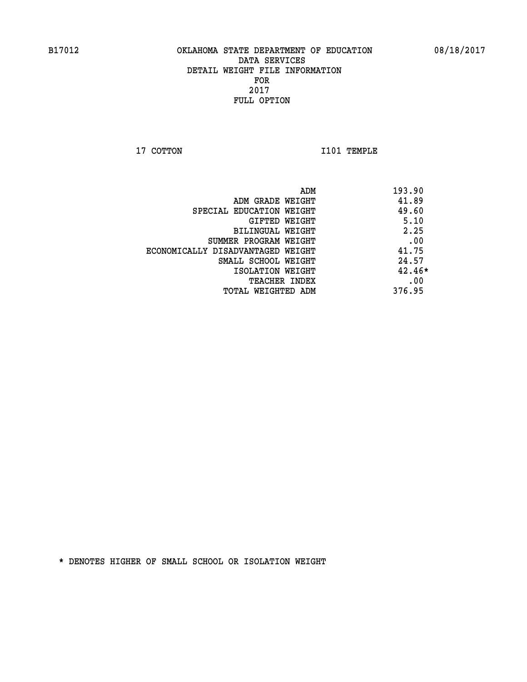**17 COTTON 1101 TEMPLE** 

|                                   | 193.90<br>ADM |
|-----------------------------------|---------------|
| ADM GRADE WEIGHT                  | 41.89         |
| SPECIAL EDUCATION WEIGHT          | 49.60         |
| GIFTED WEIGHT                     | 5.10          |
| BILINGUAL WEIGHT                  | 2.25          |
| SUMMER PROGRAM WEIGHT             | .00           |
| ECONOMICALLY DISADVANTAGED WEIGHT | 41.75         |
| SMALL SCHOOL WEIGHT               | 24.57         |
| ISOLATION WEIGHT                  | $42.46*$      |
| <b>TEACHER INDEX</b>              | .00           |
| TOTAL WEIGHTED ADM                | 376.95        |
|                                   |               |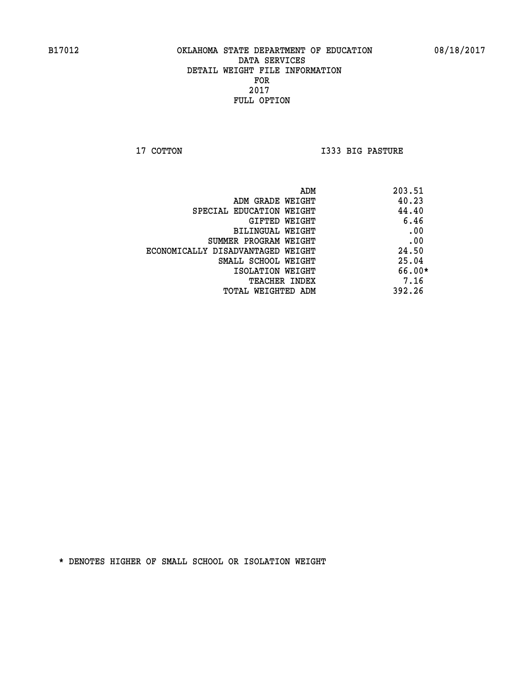**17 COTTON I333 BIG PASTURE** 

|                                   | 203.51<br>ADM |
|-----------------------------------|---------------|
| ADM GRADE WEIGHT                  | 40.23         |
| SPECIAL EDUCATION WEIGHT          | 44.40         |
| GIFTED WEIGHT                     | 6.46          |
| BILINGUAL WEIGHT                  | .00           |
| SUMMER PROGRAM WEIGHT             | .00           |
| ECONOMICALLY DISADVANTAGED WEIGHT | 24.50         |
| SMALL SCHOOL WEIGHT               | 25.04         |
| ISOLATION WEIGHT                  | 66.00*        |
| TEACHER INDEX                     | 7.16          |
| TOTAL WEIGHTED ADM                | 392.26        |
|                                   |               |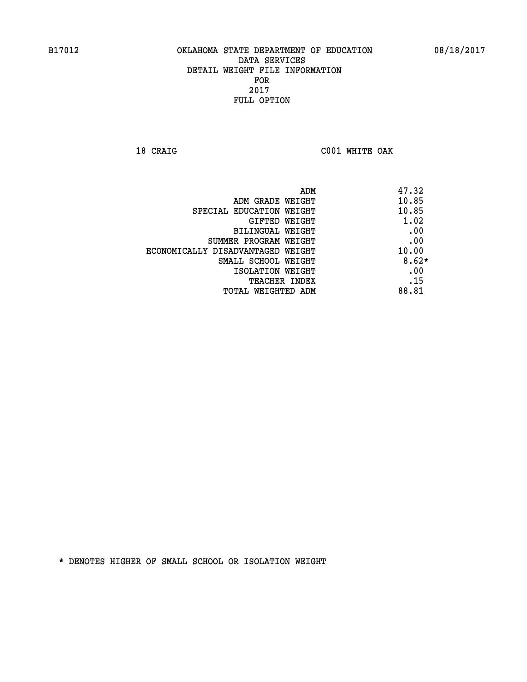**18 CRAIG C001 WHITE OAK** 

| ADM                               | 47.32   |
|-----------------------------------|---------|
| ADM GRADE WEIGHT                  | 10.85   |
| SPECIAL EDUCATION WEIGHT          | 10.85   |
| GIFTED WEIGHT                     | 1.02    |
| BILINGUAL WEIGHT                  | .00     |
| SUMMER PROGRAM WEIGHT             | .00     |
| ECONOMICALLY DISADVANTAGED WEIGHT | 10.00   |
| SMALL SCHOOL WEIGHT               | $8.62*$ |
| ISOLATION WEIGHT                  | .00     |
| <b>TEACHER INDEX</b>              | .15     |
| TOTAL WEIGHTED ADM                | 88.81   |
|                                   |         |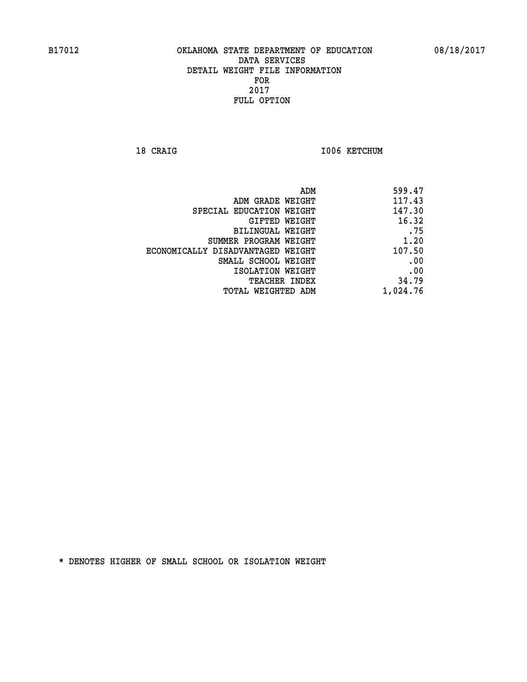18 CRAIG **I006 KETCHUM** 

| ADM                               | 599.47   |
|-----------------------------------|----------|
| ADM GRADE WEIGHT                  | 117.43   |
| SPECIAL EDUCATION WEIGHT          | 147.30   |
| GIFTED WEIGHT                     | 16.32    |
| BILINGUAL WEIGHT                  | .75      |
| SUMMER PROGRAM WEIGHT             | 1.20     |
| ECONOMICALLY DISADVANTAGED WEIGHT | 107.50   |
| SMALL SCHOOL WEIGHT               | .00      |
| ISOLATION WEIGHT                  | .00      |
| TEACHER INDEX                     | 34.79    |
| TOTAL WEIGHTED ADM                | 1,024.76 |
|                                   |          |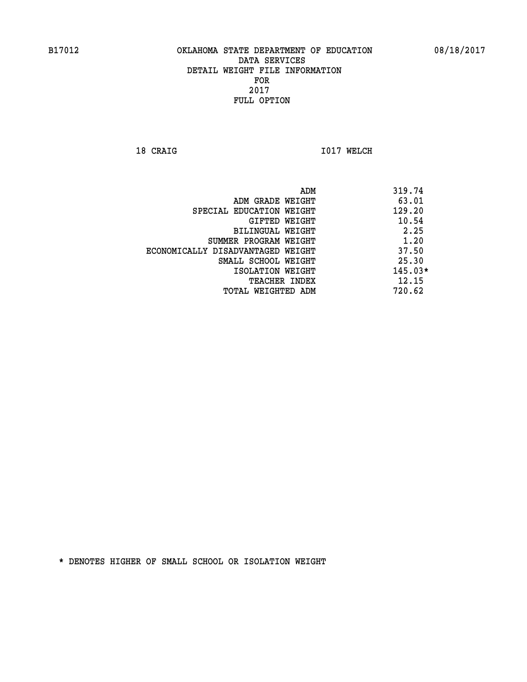**18 CRAIG 1017 WELCH** 

|                                   | ADM | 319.74    |
|-----------------------------------|-----|-----------|
| ADM GRADE WEIGHT                  |     | 63.01     |
| SPECIAL EDUCATION WEIGHT          |     | 129.20    |
| GIFTED WEIGHT                     |     | 10.54     |
| BILINGUAL WEIGHT                  |     | 2.25      |
| SUMMER PROGRAM WEIGHT             |     | 1.20      |
| ECONOMICALLY DISADVANTAGED WEIGHT |     | 37.50     |
| SMALL SCHOOL WEIGHT               |     | 25.30     |
| ISOLATION WEIGHT                  |     | $145.03*$ |
| TEACHER INDEX                     |     | 12.15     |
| TOTAL WEIGHTED ADM                |     | 720.62    |
|                                   |     |           |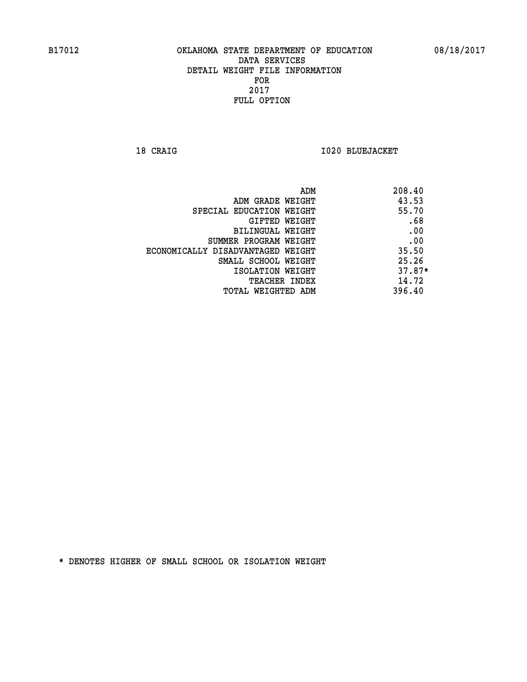**18 CRAIG I020 BLUEJACKET** 

| ADM                               | 208.40   |
|-----------------------------------|----------|
| ADM GRADE WEIGHT                  | 43.53    |
| SPECIAL EDUCATION WEIGHT          | 55.70    |
| GIFTED WEIGHT                     | .68      |
| <b>BILINGUAL WEIGHT</b>           | .00      |
| SUMMER PROGRAM WEIGHT             | .00      |
| ECONOMICALLY DISADVANTAGED WEIGHT | 35.50    |
| SMALL SCHOOL WEIGHT               | 25.26    |
| ISOLATION WEIGHT                  | $37.87*$ |
| <b>TEACHER INDEX</b>              | 14.72    |
| TOTAL WEIGHTED ADM                | 396.40   |
|                                   |          |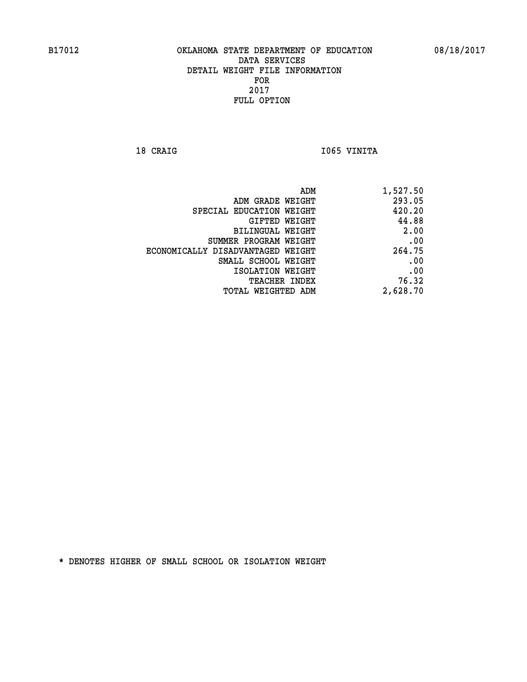18 CRAIG **I** 1065 VINITA

| 1,527.50 |
|----------|
| 293.05   |
| 420.20   |
| 44.88    |
| 2.00     |
| .00      |
| 264.75   |
| .00      |
| .00      |
| 76.32    |
| 2,628.70 |
|          |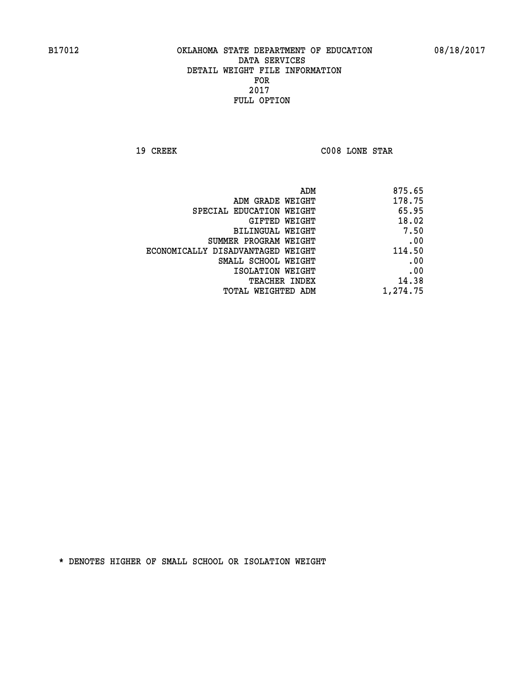**19 CREEK C008 LONE STAR** 

| 875.65   |
|----------|
| 178.75   |
| 65.95    |
| 18.02    |
| 7.50     |
| .00      |
| 114.50   |
| .00      |
| .00      |
| 14.38    |
| 1,274.75 |
|          |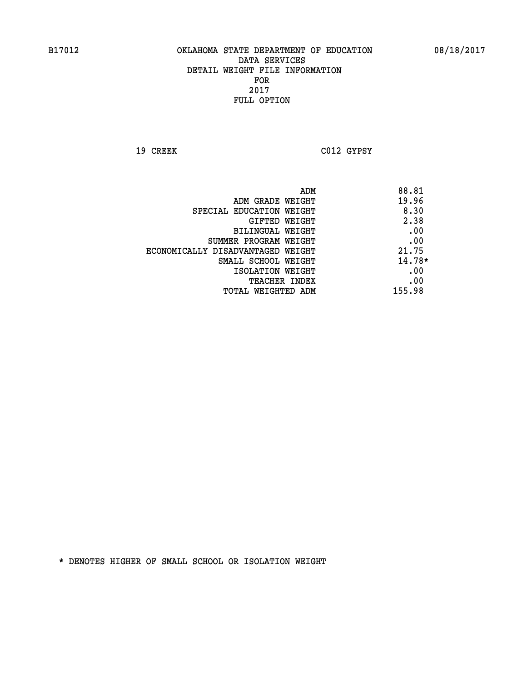**19 CREEK C012 GYPSY** 

| ADM                               | 88.81    |
|-----------------------------------|----------|
| ADM GRADE WEIGHT                  | 19.96    |
| SPECIAL EDUCATION WEIGHT          | 8.30     |
| GIFTED WEIGHT                     | 2.38     |
| BILINGUAL WEIGHT                  | .00      |
| SUMMER PROGRAM WEIGHT             | .00      |
| ECONOMICALLY DISADVANTAGED WEIGHT | 21.75    |
| SMALL SCHOOL WEIGHT               | $14.78*$ |
| ISOLATION WEIGHT                  | .00      |
| <b>TEACHER INDEX</b>              | .00      |
| TOTAL WEIGHTED ADM                | 155.98   |
|                                   |          |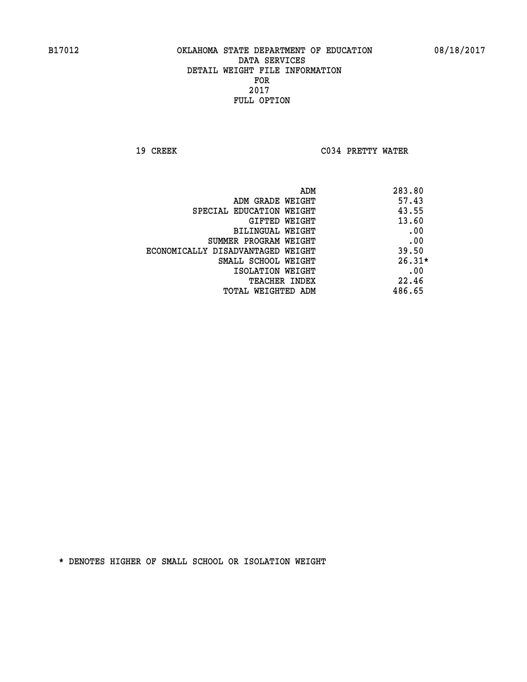**19 CREEK C034 PRETTY WATER** 

| ADM                               | 283.80   |
|-----------------------------------|----------|
| ADM GRADE WEIGHT                  | 57.43    |
| SPECIAL EDUCATION WEIGHT          | 43.55    |
| <b>GIFTED WEIGHT</b>              | 13.60    |
| BILINGUAL WEIGHT                  | .00      |
| SUMMER PROGRAM WEIGHT             | .00      |
| ECONOMICALLY DISADVANTAGED WEIGHT | 39.50    |
| SMALL SCHOOL WEIGHT               | $26.31*$ |
| ISOLATION WEIGHT                  | .00      |
| <b>TEACHER INDEX</b>              | 22.46    |
| TOTAL WEIGHTED ADM                | 486.65   |
|                                   |          |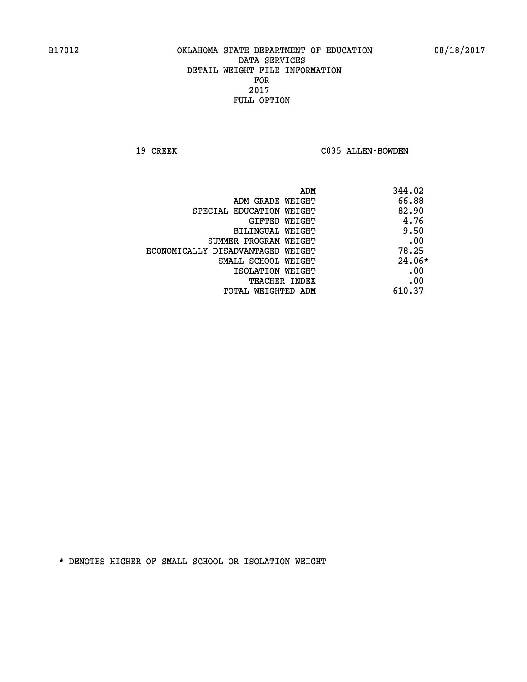19 CREEK C035 ALLEN-BOWDEN

| ADM                               | 344.02   |
|-----------------------------------|----------|
| ADM GRADE WEIGHT                  | 66.88    |
| SPECIAL EDUCATION WEIGHT          | 82.90    |
| GIFTED WEIGHT                     | 4.76     |
| BILINGUAL WEIGHT                  | 9.50     |
| SUMMER PROGRAM WEIGHT             | .00      |
| ECONOMICALLY DISADVANTAGED WEIGHT | 78.25    |
| SMALL SCHOOL WEIGHT               | $24.06*$ |
| ISOLATION WEIGHT                  | .00      |
| <b>TEACHER INDEX</b>              | .00      |
| TOTAL WEIGHTED ADM                | 610.37   |
|                                   |          |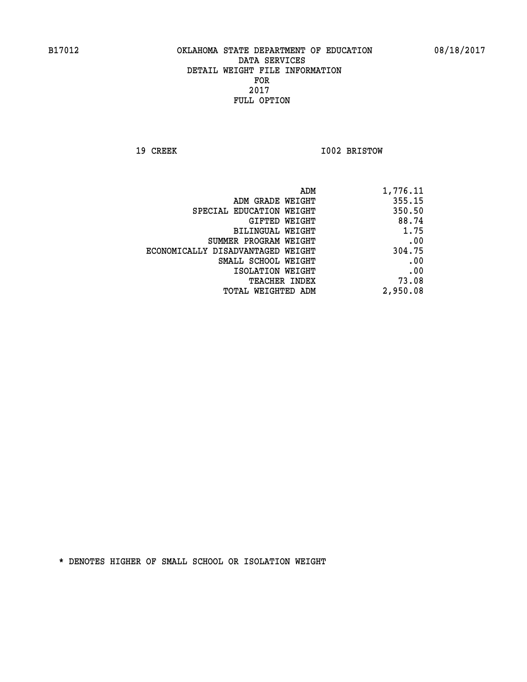**19 CREEK 1002 BRISTOW** 

| 1,776.11 |
|----------|
| 355.15   |
| 350.50   |
| 88.74    |
| 1.75     |
| .00      |
| 304.75   |
| .00      |
| .00      |
| 73.08    |
| 2,950.08 |
|          |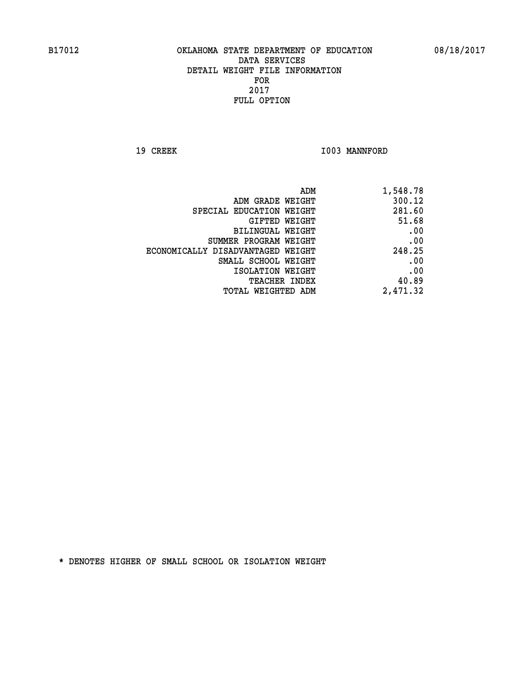19 CREEK 1003 MANNFORD

| ADM                               | 1,548.78 |
|-----------------------------------|----------|
| ADM GRADE WEIGHT                  | 300.12   |
| SPECIAL EDUCATION WEIGHT          | 281.60   |
| GIFTED WEIGHT                     | 51.68    |
| BILINGUAL WEIGHT                  | .00      |
| SUMMER PROGRAM WEIGHT             | .00      |
| ECONOMICALLY DISADVANTAGED WEIGHT | 248.25   |
| SMALL SCHOOL WEIGHT               | .00      |
| ISOLATION WEIGHT                  | .00      |
| TEACHER INDEX                     | 40.89    |
| TOTAL WEIGHTED ADM                | 2,471.32 |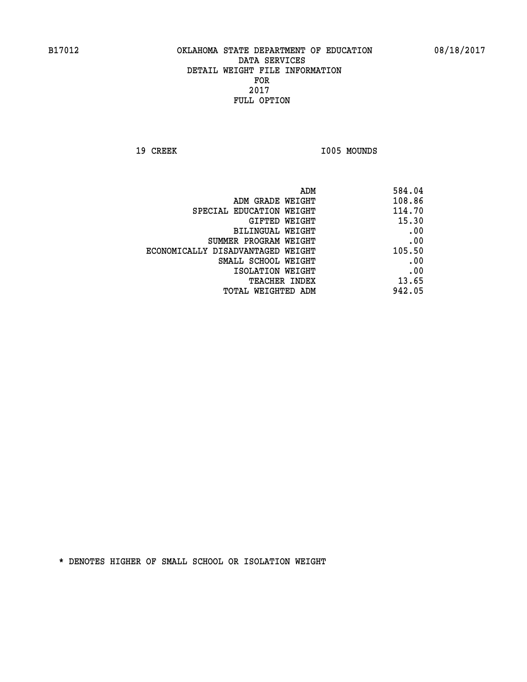19 CREEK 1005 MOUNDS

| ADM                               | 584.04 |
|-----------------------------------|--------|
| ADM GRADE WEIGHT                  | 108.86 |
| SPECIAL EDUCATION WEIGHT          | 114.70 |
| GIFTED WEIGHT                     | 15.30  |
| BILINGUAL WEIGHT                  | .00    |
| SUMMER PROGRAM WEIGHT             | .00    |
| ECONOMICALLY DISADVANTAGED WEIGHT | 105.50 |
| SMALL SCHOOL WEIGHT               | .00    |
| ISOLATION WEIGHT                  | .00    |
| TEACHER INDEX                     | 13.65  |
| TOTAL WEIGHTED ADM                | 942.05 |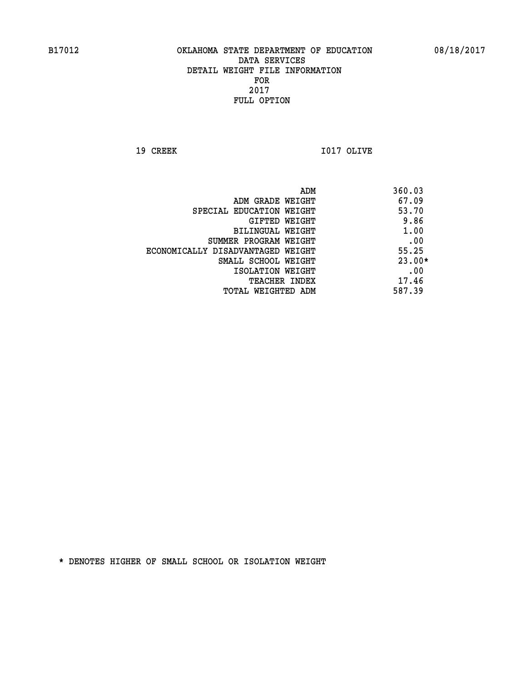**19 CREEK I017 OLIVE** 

|                                   | ADM | 360.03   |
|-----------------------------------|-----|----------|
| ADM GRADE WEIGHT                  |     | 67.09    |
| SPECIAL EDUCATION WEIGHT          |     | 53.70    |
| GIFTED WEIGHT                     |     | 9.86     |
| BILINGUAL WEIGHT                  |     | 1.00     |
| SUMMER PROGRAM WEIGHT             |     | .00      |
| ECONOMICALLY DISADVANTAGED WEIGHT |     | 55.25    |
| SMALL SCHOOL WEIGHT               |     | $23.00*$ |
| ISOLATION WEIGHT                  |     | .00      |
| <b>TEACHER INDEX</b>              |     | 17.46    |
| TOTAL WEIGHTED ADM                |     | 587.39   |
|                                   |     |          |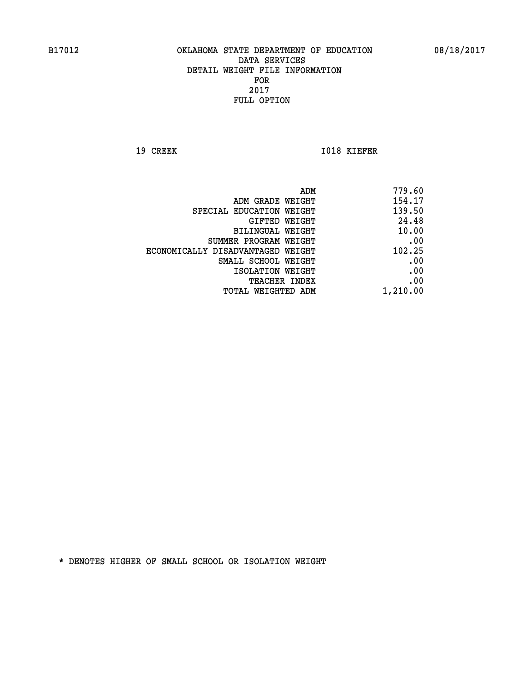**19 CREEK 1018 KIEFER** 

|                                   | 779.60<br>ADM |
|-----------------------------------|---------------|
| ADM GRADE WEIGHT                  | 154.17        |
| SPECIAL EDUCATION WEIGHT          | 139.50        |
| GIFTED WEIGHT                     | 24.48         |
| BILINGUAL WEIGHT                  | 10.00         |
| SUMMER PROGRAM WEIGHT             | .00           |
| ECONOMICALLY DISADVANTAGED WEIGHT | 102.25        |
| SMALL SCHOOL WEIGHT               | .00           |
| ISOLATION WEIGHT                  | .00           |
| TEACHER INDEX                     | .00           |
| TOTAL WEIGHTED ADM                | 1,210.00      |
|                                   |               |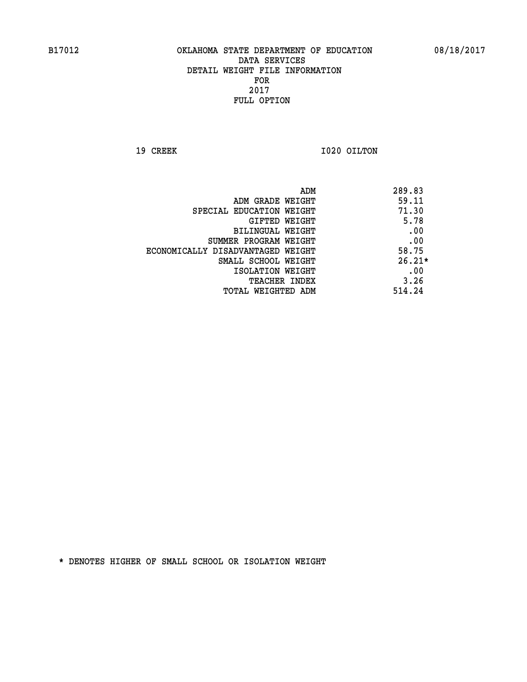**19 CREEK 1020 OILTON** 

|                                   | ADM | 289.83   |
|-----------------------------------|-----|----------|
| ADM GRADE WEIGHT                  |     | 59.11    |
| SPECIAL EDUCATION WEIGHT          |     | 71.30    |
| GIFTED WEIGHT                     |     | 5.78     |
| BILINGUAL WEIGHT                  |     | .00      |
| SUMMER PROGRAM WEIGHT             |     | .00      |
| ECONOMICALLY DISADVANTAGED WEIGHT |     | 58.75    |
| SMALL SCHOOL WEIGHT               |     | $26.21*$ |
| ISOLATION WEIGHT                  |     | .00      |
| TEACHER INDEX                     |     | 3.26     |
| TOTAL WEIGHTED ADM                |     | 514.24   |
|                                   |     |          |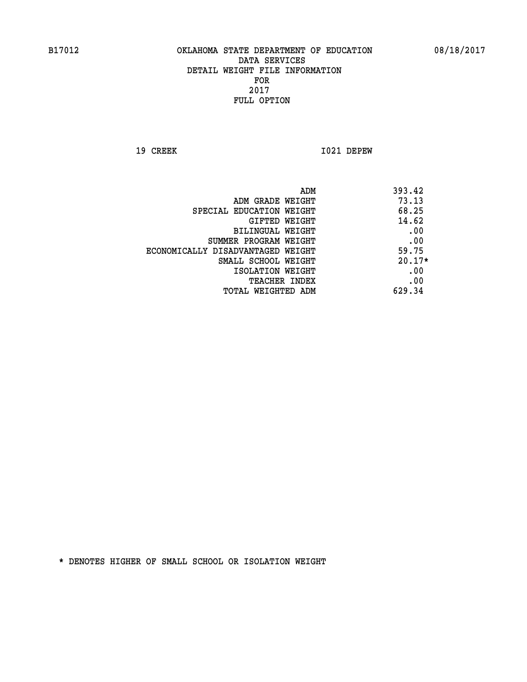**19 CREEK I021 DEPEW** 

|                                   | ADM | 393.42   |
|-----------------------------------|-----|----------|
| ADM GRADE WEIGHT                  |     | 73.13    |
| SPECIAL EDUCATION WEIGHT          |     | 68.25    |
| GIFTED WEIGHT                     |     | 14.62    |
| BILINGUAL WEIGHT                  |     | .00      |
| SUMMER PROGRAM WEIGHT             |     | .00      |
| ECONOMICALLY DISADVANTAGED WEIGHT |     | 59.75    |
| SMALL SCHOOL WEIGHT               |     | $20.17*$ |
| ISOLATION WEIGHT                  |     | .00      |
| TEACHER INDEX                     |     | .00      |
| TOTAL WEIGHTED ADM                |     | 629.34   |
|                                   |     |          |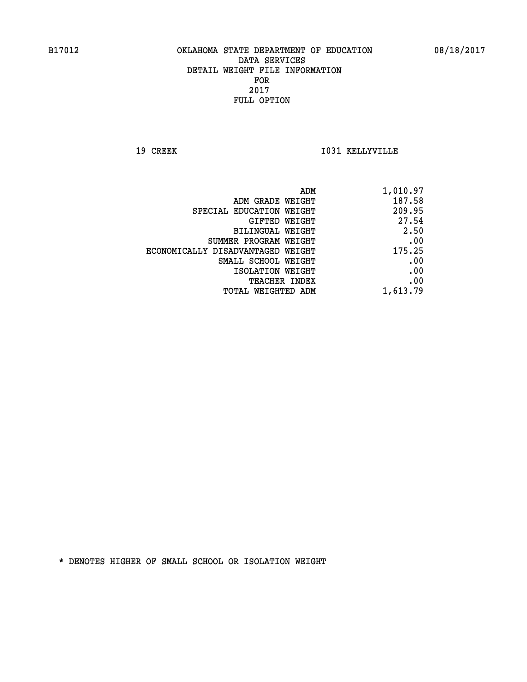**19 CREEK I031 KELLYVILLE** 

| ADM                               | 1,010.97 |
|-----------------------------------|----------|
| ADM GRADE WEIGHT                  | 187.58   |
| SPECIAL EDUCATION WEIGHT          | 209.95   |
| GIFTED WEIGHT                     | 27.54    |
| <b>BILINGUAL WEIGHT</b>           | 2.50     |
| SUMMER PROGRAM WEIGHT             | .00      |
| ECONOMICALLY DISADVANTAGED WEIGHT | 175.25   |
| SMALL SCHOOL WEIGHT               | .00      |
| ISOLATION WEIGHT                  | .00      |
| TEACHER INDEX                     | .00      |
| TOTAL WEIGHTED ADM                | 1,613.79 |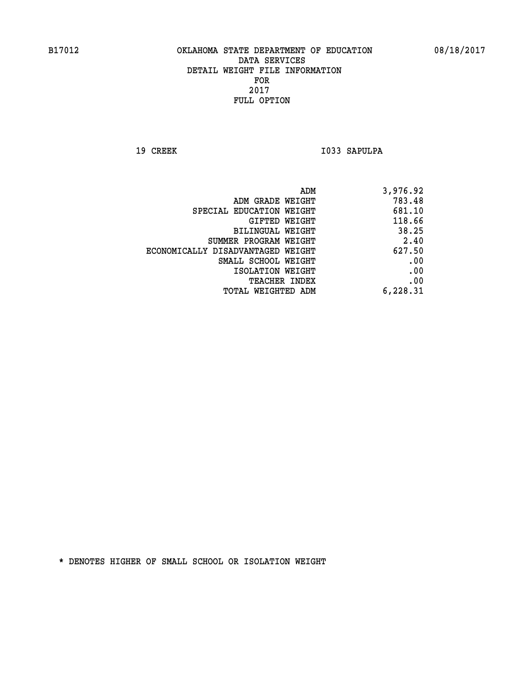19 CREEK 1033 SAPULPA

| 3,976.92 |
|----------|
| 783.48   |
| 681.10   |
| 118.66   |
| 38.25    |
| 2.40     |
| 627.50   |
| .00      |
| .00      |
| .00      |
| 6,228.31 |
|          |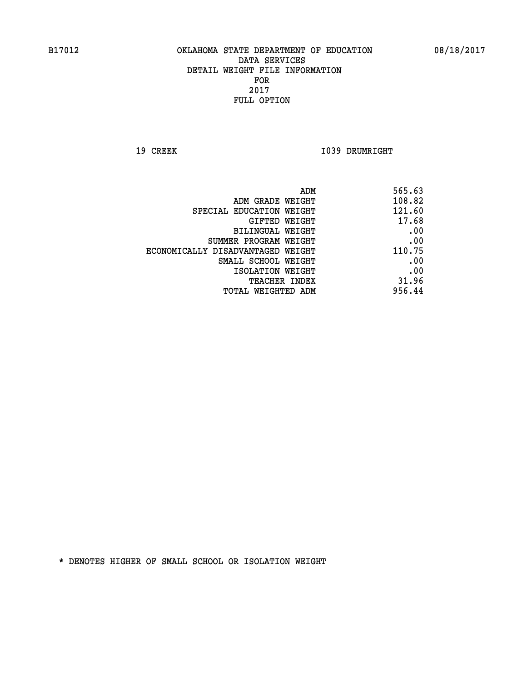**19 CREEK 1039 DRUMRIGHT** 

| 565.63 |
|--------|
| 108.82 |
| 121.60 |
| 17.68  |
| .00    |
| .00    |
| 110.75 |
| .00    |
| .00    |
| 31.96  |
| 956.44 |
|        |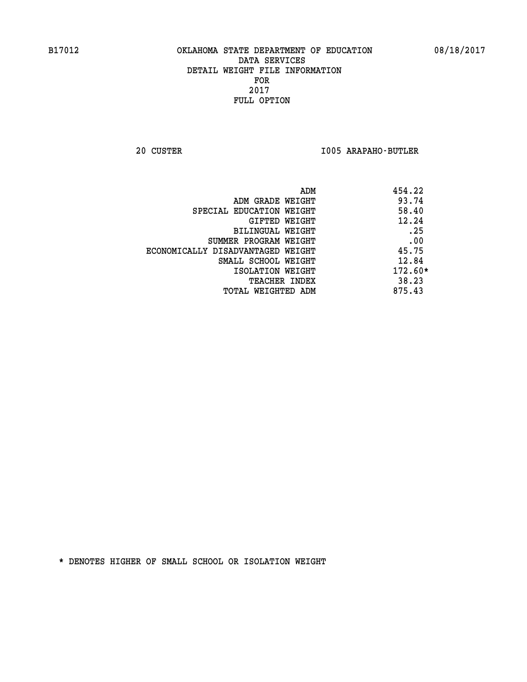**20 CUSTER I005 ARAPAHO-BUTLER** 

| 454.22<br>ADM                 |                                   |
|-------------------------------|-----------------------------------|
| 93.74                         | ADM GRADE WEIGHT                  |
| 58.40                         | SPECIAL EDUCATION WEIGHT          |
| 12.24<br>GIFTED WEIGHT        |                                   |
| .25                           | BILINGUAL WEIGHT                  |
| .00                           | SUMMER PROGRAM WEIGHT             |
| 45.75                         | ECONOMICALLY DISADVANTAGED WEIGHT |
| 12.84                         | SMALL SCHOOL WEIGHT               |
| 172.60*<br>ISOLATION WEIGHT   |                                   |
| 38.23<br><b>TEACHER INDEX</b> |                                   |
| 875.43                        | TOTAL WEIGHTED ADM                |
|                               |                                   |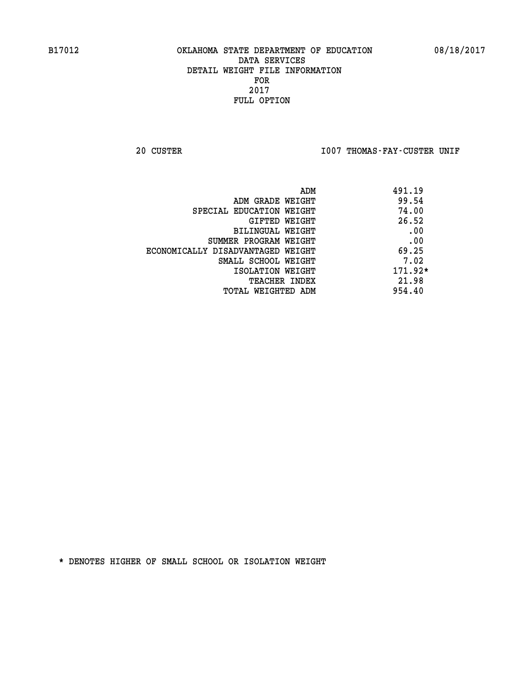20 CUSTER **IOO7 THOMAS-FAY-CUSTER UNIF** 

|                                   | ADM | 491.19    |
|-----------------------------------|-----|-----------|
| ADM GRADE WEIGHT                  |     | 99.54     |
| SPECIAL EDUCATION WEIGHT          |     | 74.00     |
| GIFTED WEIGHT                     |     | 26.52     |
| BILINGUAL WEIGHT                  |     | .00       |
| SUMMER PROGRAM WEIGHT             |     | .00       |
| ECONOMICALLY DISADVANTAGED WEIGHT |     | 69.25     |
| SMALL SCHOOL WEIGHT               |     | 7.02      |
| ISOLATION WEIGHT                  |     | $171.92*$ |
| TEACHER INDEX                     |     | 21.98     |
| TOTAL WEIGHTED ADM                |     | 954.40    |
|                                   |     |           |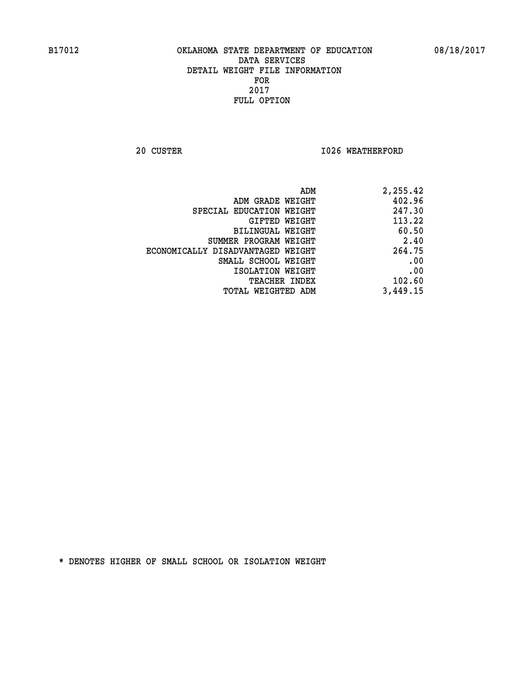**20 CUSTER 1026 WEATHERFORD** 

| 2,255.42 |
|----------|
| 402.96   |
| 247.30   |
| 113.22   |
| 60.50    |
| 2.40     |
| 264.75   |
| .00      |
| .00      |
| 102.60   |
| 3,449.15 |
|          |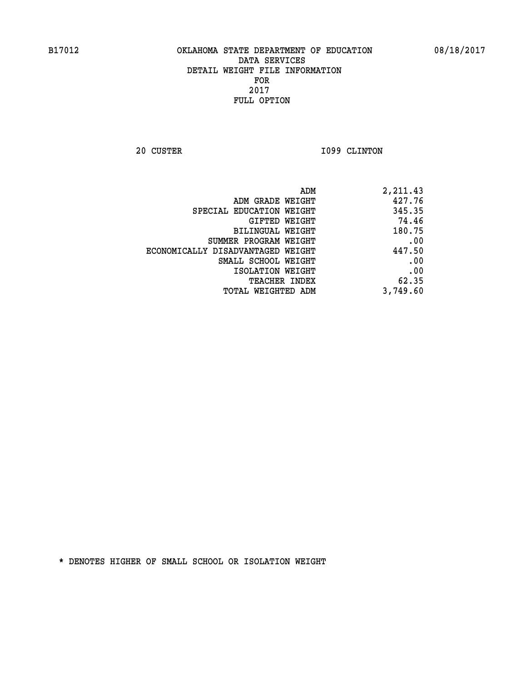**20 CUSTER 1099 CLINTON** 

| 2,211.43 |
|----------|
| 427.76   |
| 345.35   |
| 74.46    |
| 180.75   |
| .00      |
| 447.50   |
| .00      |
| .00      |
| 62.35    |
| 3,749.60 |
|          |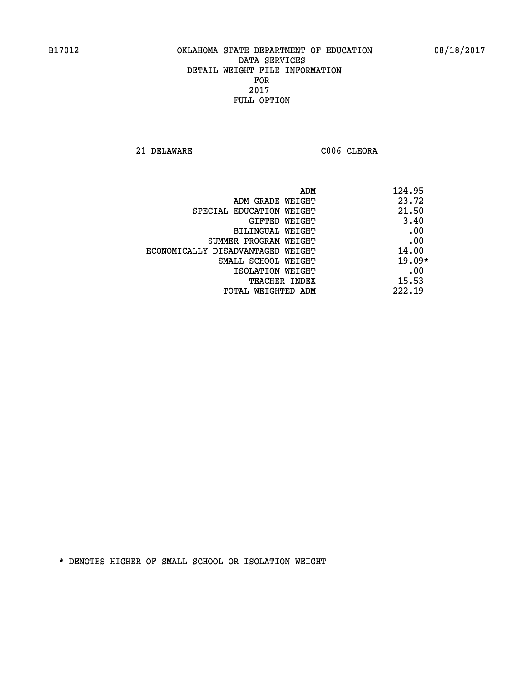**21 DELAWARE C006 CLEORA** 

| ADM                               | 124.95   |
|-----------------------------------|----------|
| ADM GRADE WEIGHT                  | 23.72    |
| SPECIAL EDUCATION WEIGHT          | 21.50    |
| GIFTED WEIGHT                     | 3.40     |
| BILINGUAL WEIGHT                  | .00      |
| SUMMER PROGRAM WEIGHT             | .00      |
| ECONOMICALLY DISADVANTAGED WEIGHT | 14.00    |
| SMALL SCHOOL WEIGHT               | $19.09*$ |
| ISOLATION WEIGHT                  | .00      |
| TEACHER INDEX                     | 15.53    |
| TOTAL WEIGHTED ADM                | 222.19   |
|                                   |          |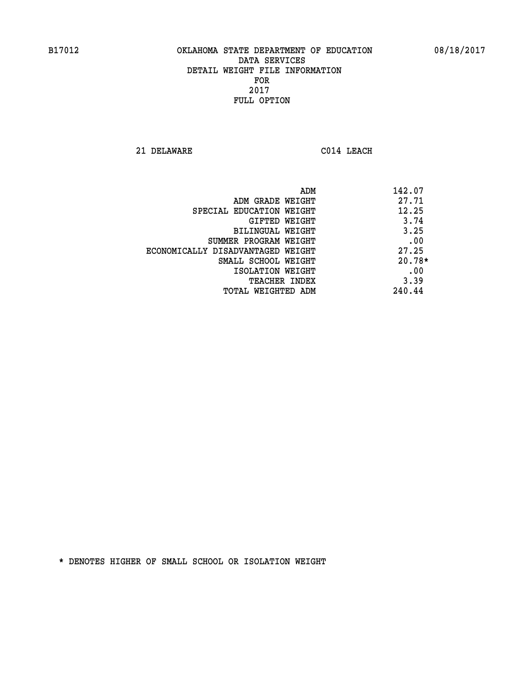**21 DELAWARE C014 LEACH** 

| ADM                               | 142.07   |
|-----------------------------------|----------|
| ADM GRADE WEIGHT                  | 27.71    |
| SPECIAL EDUCATION WEIGHT          | 12.25    |
| GIFTED WEIGHT                     | 3.74     |
| BILINGUAL WEIGHT                  | 3.25     |
| SUMMER PROGRAM WEIGHT             | .00      |
| ECONOMICALLY DISADVANTAGED WEIGHT | 27.25    |
| SMALL SCHOOL WEIGHT               | $20.78*$ |
| ISOLATION WEIGHT                  | .00      |
| <b>TEACHER INDEX</b>              | 3.39     |
| TOTAL WEIGHTED ADM                | 240.44   |
|                                   |          |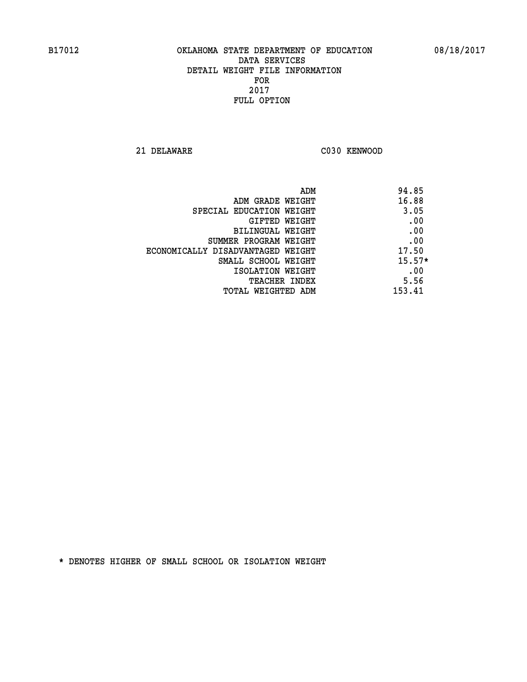**21 DELAWARE C030 KENWOOD** 

| ADM                               | 94.85    |
|-----------------------------------|----------|
| ADM GRADE WEIGHT                  | 16.88    |
| SPECIAL EDUCATION WEIGHT          | 3.05     |
| GIFTED WEIGHT                     | .00      |
| BILINGUAL WEIGHT                  | .00      |
| SUMMER PROGRAM WEIGHT             | .00      |
| ECONOMICALLY DISADVANTAGED WEIGHT | 17.50    |
| SMALL SCHOOL WEIGHT               | $15.57*$ |
| ISOLATION WEIGHT                  | .00      |
| <b>TEACHER INDEX</b>              | 5.56     |
| TOTAL WEIGHTED ADM                | 153.41   |
|                                   |          |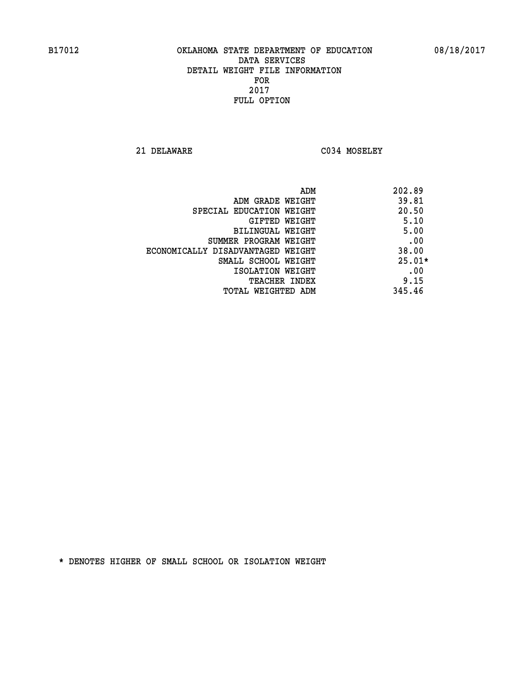**21 DELAWARE C034 MOSELEY** 

|                                   | 202.89<br>ADM |
|-----------------------------------|---------------|
| ADM GRADE WEIGHT                  | 39.81         |
| SPECIAL EDUCATION WEIGHT          | 20.50         |
| GIFTED WEIGHT                     | 5.10          |
| <b>BILINGUAL WEIGHT</b>           | 5.00          |
| SUMMER PROGRAM WEIGHT             | .00           |
| ECONOMICALLY DISADVANTAGED WEIGHT | 38.00         |
| SMALL SCHOOL WEIGHT               | $25.01*$      |
| ISOLATION WEIGHT                  | .00           |
| <b>TEACHER INDEX</b>              | 9.15          |
| TOTAL WEIGHTED ADM                | 345.46        |
|                                   |               |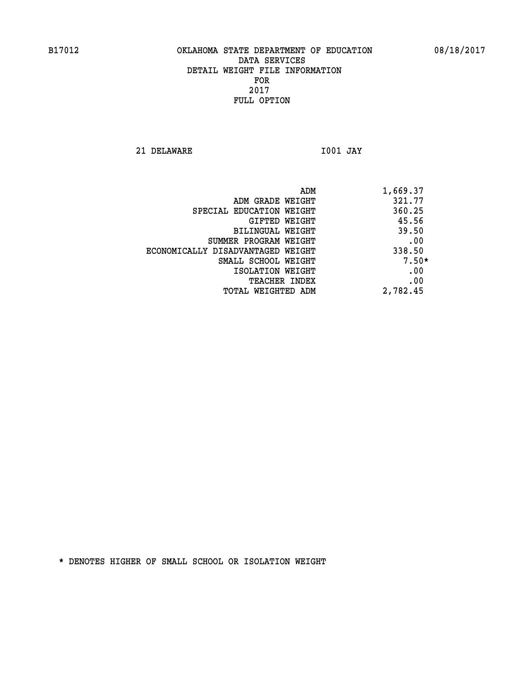**21 DELAWARE I001 JAY** 

 **ADM 1,669.37 ADM GRADE WEIGHT 321.77 SPECIAL EDUCATION WEIGHT 360.25 GIFTED WEIGHT 45.56 BILINGUAL WEIGHT 39.50 SUMMER PROGRAM WEIGHT .00 ECONOMICALLY DISADVANTAGED WEIGHT 338.50 SMALL SCHOOL WEIGHT 7.50\* EXECUTED ISOLATION WEIGHT AND RESOLATION WEIGHT TEACHER INDEX** .00  **TOTAL WEIGHTED ADM 2,782.45**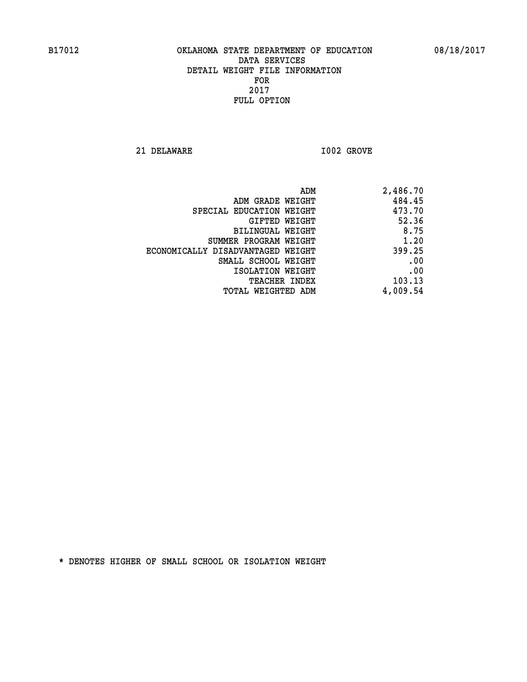**21 DELAWARE I002 GROVE** 

| 2,486.70 |
|----------|
| 484.45   |
| 473.70   |
| 52.36    |
| 8.75     |
| 1.20     |
| 399.25   |
| .00      |
| .00      |
| 103.13   |
| 4,009.54 |
|          |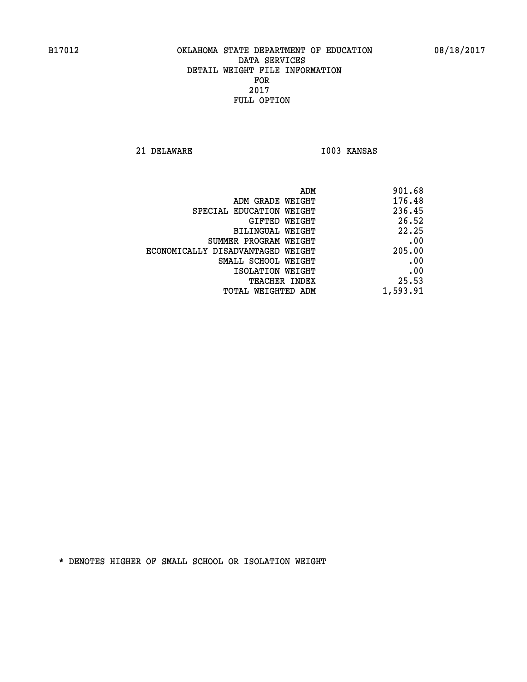**21 DELAWARE I003 KANSAS** 

| 901.68<br>ADM                               |
|---------------------------------------------|
| 176.48<br>ADM GRADE WEIGHT                  |
| 236.45<br>SPECIAL EDUCATION WEIGHT          |
| 26.52<br>GIFTED WEIGHT                      |
| 22.25<br>BILINGUAL WEIGHT                   |
| .00<br>SUMMER PROGRAM WEIGHT                |
| 205.00<br>ECONOMICALLY DISADVANTAGED WEIGHT |
| .00<br>SMALL SCHOOL WEIGHT                  |
| .00<br>ISOLATION WEIGHT                     |
| 25.53<br><b>TEACHER INDEX</b>               |
| 1,593.91<br>TOTAL WEIGHTED ADM              |
|                                             |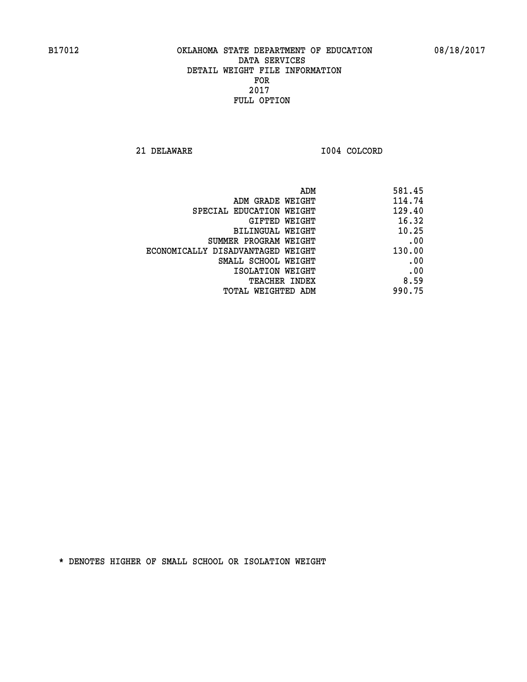**21 DELAWARE I004 COLCORD** 

| 581.45 |
|--------|
| 114.74 |
| 129.40 |
| 16.32  |
| 10.25  |
| .00    |
| 130.00 |
| .00    |
| .00    |
| 8.59   |
| 990.75 |
|        |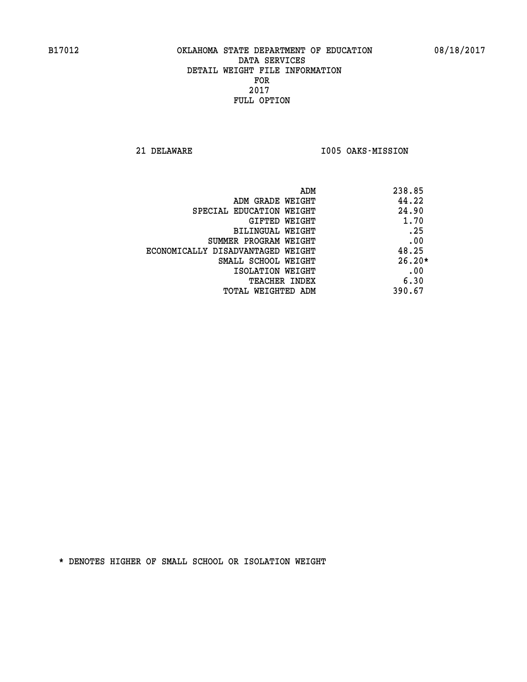**21 DELAWARE I005 OAKS-MISSION** 

| 238.85<br>ADM                              |  |
|--------------------------------------------|--|
| 44.22<br>ADM GRADE WEIGHT                  |  |
| 24.90<br>SPECIAL EDUCATION WEIGHT          |  |
| 1.70<br>GIFTED WEIGHT                      |  |
| .25<br>BILINGUAL WEIGHT                    |  |
| .00<br>SUMMER PROGRAM WEIGHT               |  |
| 48.25<br>ECONOMICALLY DISADVANTAGED WEIGHT |  |
| $26.20*$<br>SMALL SCHOOL WEIGHT            |  |
| .00<br>ISOLATION WEIGHT                    |  |
| 6.30<br><b>TEACHER INDEX</b>               |  |
| 390.67<br>TOTAL WEIGHTED ADM               |  |
|                                            |  |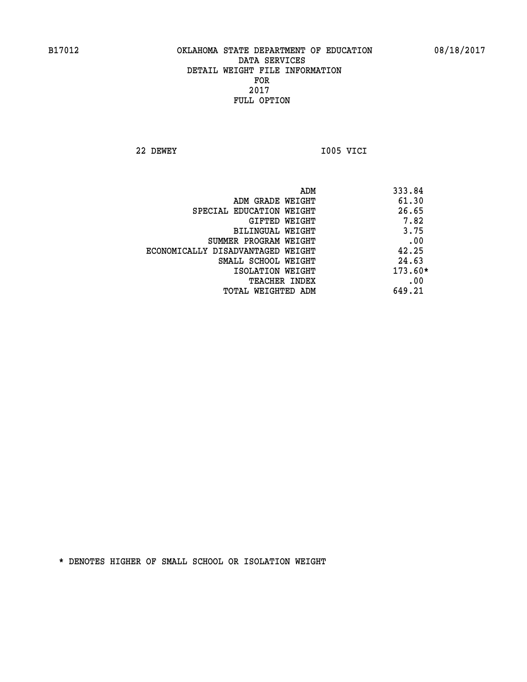**22 DEWEY I005 VICI** 

| ADM                               | 333.84  |
|-----------------------------------|---------|
| ADM GRADE WEIGHT                  | 61.30   |
| SPECIAL EDUCATION WEIGHT          | 26.65   |
| GIFTED WEIGHT                     | 7.82    |
| BILINGUAL WEIGHT                  | 3.75    |
| SUMMER PROGRAM WEIGHT             | .00     |
| ECONOMICALLY DISADVANTAGED WEIGHT | 42.25   |
| SMALL SCHOOL WEIGHT               | 24.63   |
| ISOLATION WEIGHT                  | 173.60* |
| <b>TEACHER INDEX</b>              | .00     |
| TOTAL WEIGHTED ADM                | 649.21  |
|                                   |         |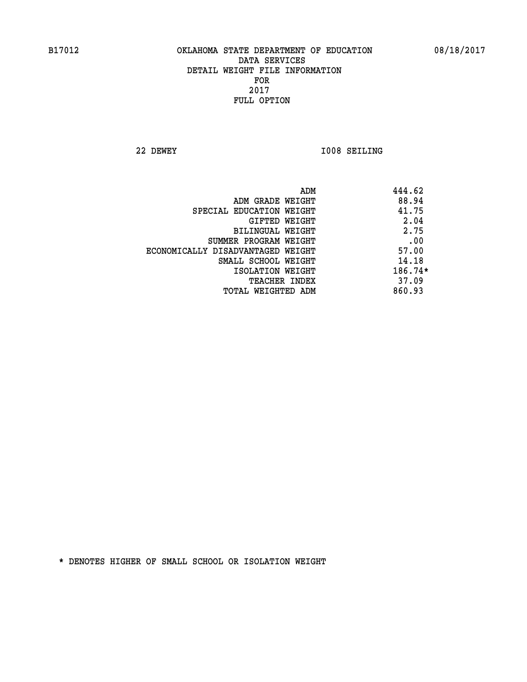**22 DEWEY I008 SEILING** 

|                                   | ADM | 444.62    |
|-----------------------------------|-----|-----------|
| ADM GRADE WEIGHT                  |     | 88.94     |
| SPECIAL EDUCATION WEIGHT          |     | 41.75     |
| GIFTED WEIGHT                     |     | 2.04      |
| BILINGUAL WEIGHT                  |     | 2.75      |
| SUMMER PROGRAM WEIGHT             |     | .00       |
| ECONOMICALLY DISADVANTAGED WEIGHT |     | 57.00     |
| SMALL SCHOOL WEIGHT               |     | 14.18     |
| ISOLATION WEIGHT                  |     | $186.74*$ |
| TEACHER INDEX                     |     | 37.09     |
| TOTAL WEIGHTED ADM                |     | 860.93    |
|                                   |     |           |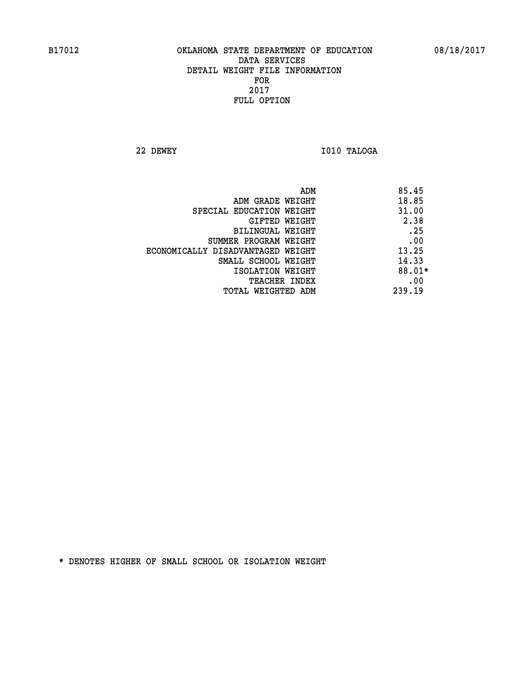**22 DEWEY I010 TALOGA** 

|                                   | ADM | 85.45  |
|-----------------------------------|-----|--------|
| ADM GRADE WEIGHT                  |     | 18.85  |
| SPECIAL EDUCATION WEIGHT          |     | 31.00  |
| GIFTED WEIGHT                     |     | 2.38   |
| BILINGUAL WEIGHT                  |     | .25    |
| SUMMER PROGRAM WEIGHT             |     | .00    |
| ECONOMICALLY DISADVANTAGED WEIGHT |     | 13.25  |
| SMALL SCHOOL WEIGHT               |     | 14.33  |
| ISOLATION WEIGHT                  |     | 88.01* |
| <b>TEACHER INDEX</b>              |     | .00    |
| TOTAL WEIGHTED ADM                |     | 239.19 |
|                                   |     |        |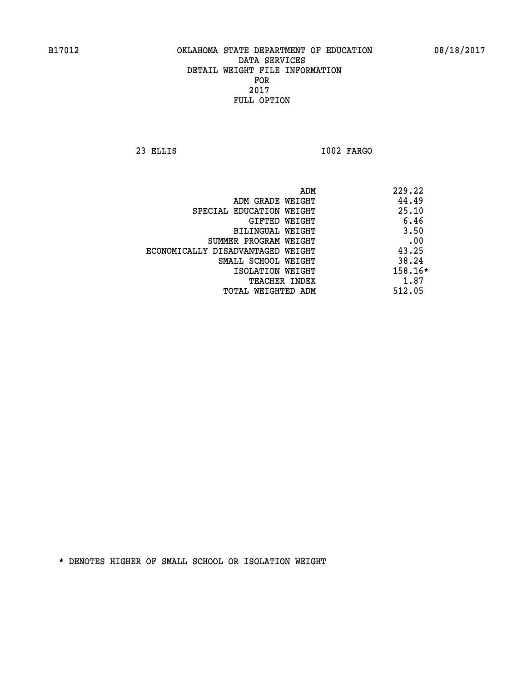**23 ELLIS I002 FARGO** 

|                                   | 229.22<br>ADM |  |
|-----------------------------------|---------------|--|
| ADM GRADE WEIGHT                  | 44.49         |  |
| SPECIAL EDUCATION WEIGHT          | 25.10         |  |
| GIFTED WEIGHT                     | 6.46          |  |
| BILINGUAL WEIGHT                  | 3.50          |  |
| SUMMER PROGRAM WEIGHT             | .00           |  |
| ECONOMICALLY DISADVANTAGED WEIGHT | 43.25         |  |
| SMALL SCHOOL WEIGHT               | 38.24         |  |
| ISOLATION WEIGHT                  | 158.16*       |  |
| <b>TEACHER INDEX</b>              | 1.87          |  |
| TOTAL WEIGHTED ADM                | 512.05        |  |
|                                   |               |  |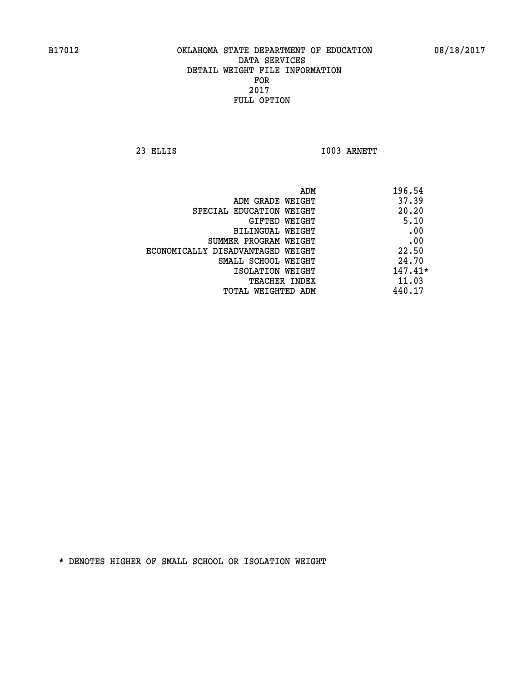**23 ELLIS I003 ARNETT** 

|                                   | ADM | 196.54    |
|-----------------------------------|-----|-----------|
| ADM GRADE WEIGHT                  |     | 37.39     |
| SPECIAL EDUCATION WEIGHT          |     | 20.20     |
| GIFTED WEIGHT                     |     | 5.10      |
| BILINGUAL WEIGHT                  |     | .00       |
| SUMMER PROGRAM WEIGHT             |     | .00       |
| ECONOMICALLY DISADVANTAGED WEIGHT |     | 22.50     |
| SMALL SCHOOL WEIGHT               |     | 24.70     |
| ISOLATION WEIGHT                  |     | $147.41*$ |
| <b>TEACHER INDEX</b>              |     | 11.03     |
| TOTAL WEIGHTED ADM                |     | 440.17    |
|                                   |     |           |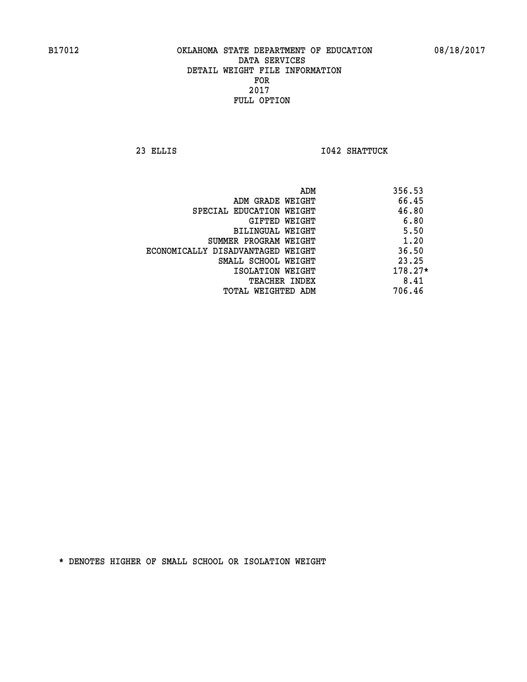**23 ELLIS I042 SHATTUCK** 

|                                   | ADM | 356.53    |
|-----------------------------------|-----|-----------|
| ADM GRADE WEIGHT                  |     | 66.45     |
| SPECIAL EDUCATION WEIGHT          |     | 46.80     |
| GIFTED WEIGHT                     |     | 6.80      |
| BILINGUAL WEIGHT                  |     | 5.50      |
| SUMMER PROGRAM WEIGHT             |     | 1.20      |
| ECONOMICALLY DISADVANTAGED WEIGHT |     | 36.50     |
| SMALL SCHOOL WEIGHT               |     | 23.25     |
| ISOLATION WEIGHT                  |     | $178.27*$ |
| TEACHER INDEX                     |     | 8.41      |
| TOTAL WEIGHTED ADM                |     | 706.46    |
|                                   |     |           |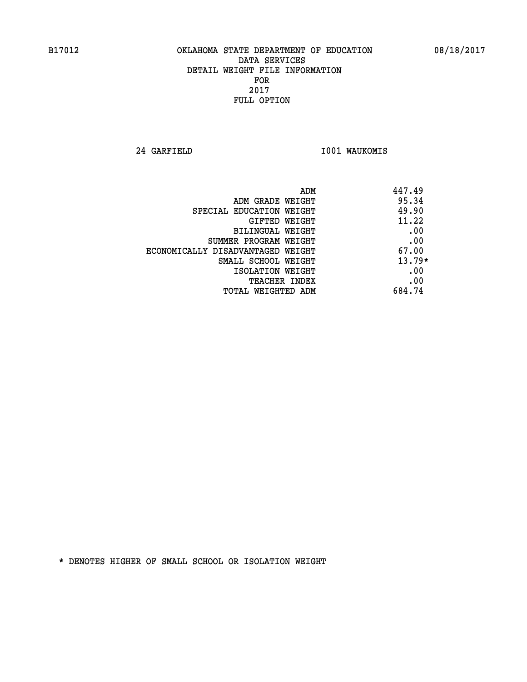**24 GARFIELD I001 WAUKOMIS** 

| 447.49<br>ADM                              |     |
|--------------------------------------------|-----|
| 95.34<br>ADM GRADE WEIGHT                  |     |
| 49.90<br>SPECIAL EDUCATION WEIGHT          |     |
| 11.22<br>GIFTED WEIGHT                     |     |
| BILINGUAL WEIGHT                           | .00 |
| SUMMER PROGRAM WEIGHT                      | .00 |
| 67.00<br>ECONOMICALLY DISADVANTAGED WEIGHT |     |
| $13.79*$<br>SMALL SCHOOL WEIGHT            |     |
| ISOLATION WEIGHT                           | .00 |
| <b>TEACHER INDEX</b>                       | .00 |
| 684.74<br>TOTAL WEIGHTED ADM               |     |
|                                            |     |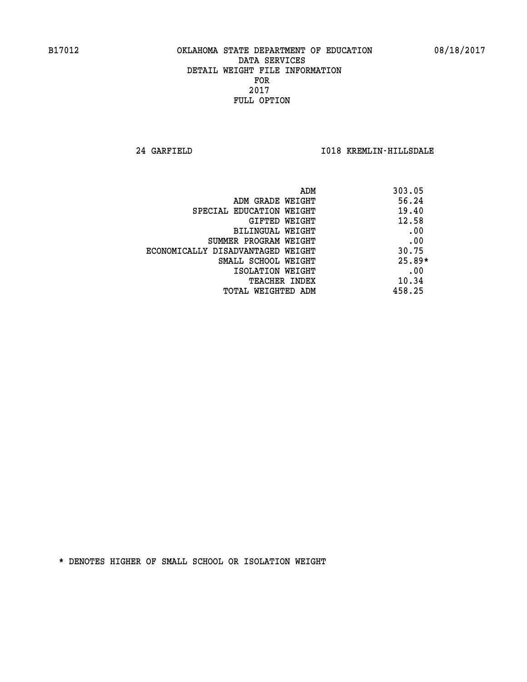**24 GARFIELD I018 KREMLIN-HILLSDALE** 

| ADM                               | 303.05   |
|-----------------------------------|----------|
| ADM GRADE WEIGHT                  | 56.24    |
| SPECIAL EDUCATION WEIGHT          | 19.40    |
| GIFTED WEIGHT                     | 12.58    |
| BILINGUAL WEIGHT                  | .00      |
| SUMMER PROGRAM WEIGHT             | .00      |
| ECONOMICALLY DISADVANTAGED WEIGHT | 30.75    |
| SMALL SCHOOL WEIGHT               | $25.89*$ |
| ISOLATION WEIGHT                  | .00      |
| <b>TEACHER INDEX</b>              | 10.34    |
| TOTAL WEIGHTED ADM                | 458.25   |
|                                   |          |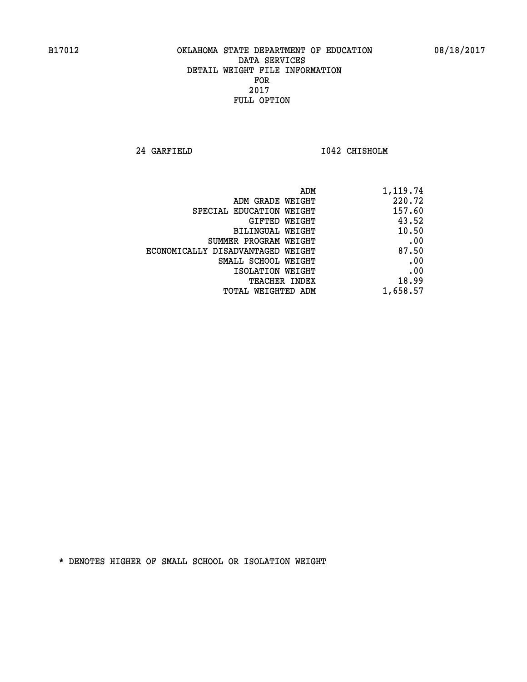**24 GARFIELD I042 CHISHOLM** 

| 220.72<br>ADM GRADE WEIGHT<br>157.60<br>SPECIAL EDUCATION WEIGHT<br>43.52<br>GIFTED WEIGHT<br>10.50<br>BILINGUAL WEIGHT<br>SUMMER PROGRAM WEIGHT<br>87.50<br>ECONOMICALLY DISADVANTAGED WEIGHT<br>SMALL SCHOOL WEIGHT<br>ISOLATION WEIGHT |
|-------------------------------------------------------------------------------------------------------------------------------------------------------------------------------------------------------------------------------------------|
|                                                                                                                                                                                                                                           |
|                                                                                                                                                                                                                                           |
|                                                                                                                                                                                                                                           |
|                                                                                                                                                                                                                                           |
|                                                                                                                                                                                                                                           |
|                                                                                                                                                                                                                                           |
|                                                                                                                                                                                                                                           |
|                                                                                                                                                                                                                                           |
| 18.99<br><b>TEACHER INDEX</b>                                                                                                                                                                                                             |
| 1,658.57<br><b>TOTAL WEIGHTED ADM</b>                                                                                                                                                                                                     |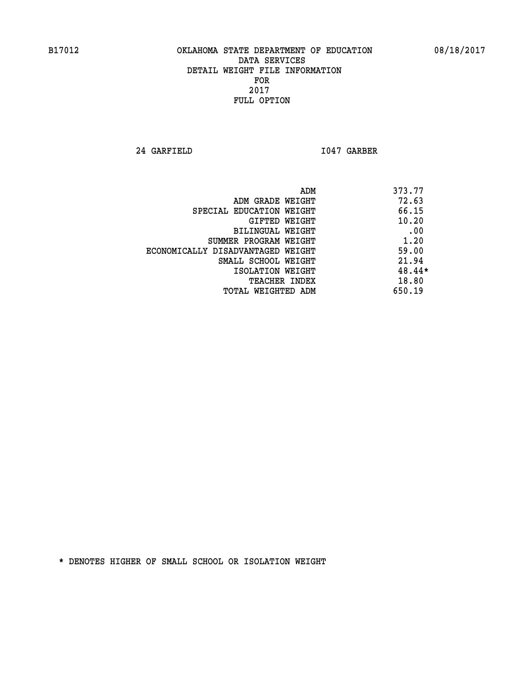**24 GARFIELD I047 GARBER** 

|                                   | ADM | 373.77 |
|-----------------------------------|-----|--------|
| ADM GRADE WEIGHT                  |     | 72.63  |
| SPECIAL EDUCATION WEIGHT          |     | 66.15  |
| GIFTED WEIGHT                     |     | 10.20  |
| BILINGUAL WEIGHT                  |     | .00    |
| SUMMER PROGRAM WEIGHT             |     | 1.20   |
| ECONOMICALLY DISADVANTAGED WEIGHT |     | 59.00  |
| SMALL SCHOOL WEIGHT               |     | 21.94  |
| ISOLATION WEIGHT                  |     | 48.44* |
| <b>TEACHER INDEX</b>              |     | 18.80  |
| TOTAL WEIGHTED ADM                |     | 650.19 |
|                                   |     |        |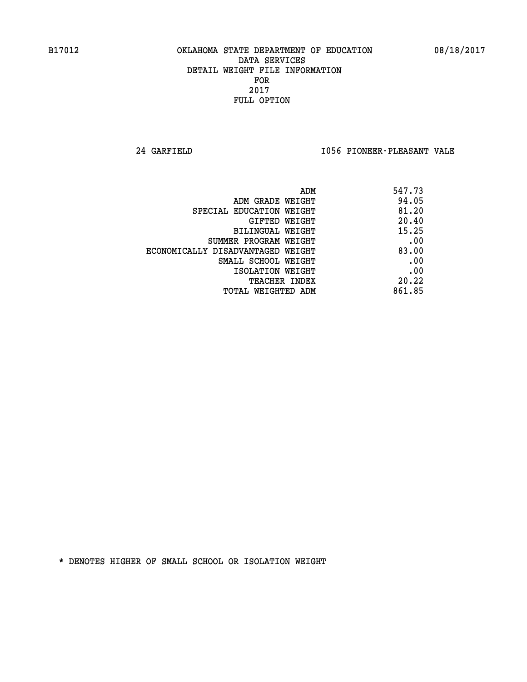**24 GARFIELD I056 PIONEER-PLEASANT VALE** 

| 547.73        |
|---------------|
| 94.05         |
| 81.20         |
| 20.40         |
| 15.25         |
| .00           |
| 83.00         |
| .00           |
| .00           |
| 20.22         |
| 861.85        |
| GIFTED WEIGHT |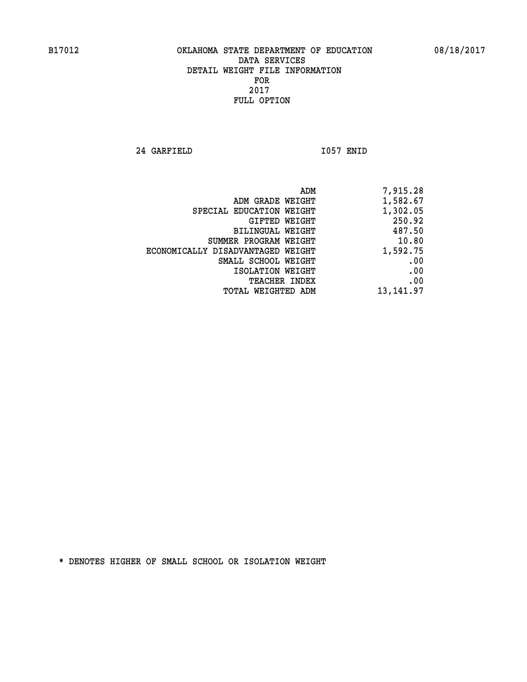**24 GARFIELD I057 ENID** 

| 7,915.28  |
|-----------|
| 1,582.67  |
| 1,302.05  |
| 250.92    |
| 487.50    |
| 10.80     |
| 1,592.75  |
| .00       |
| .00       |
| .00       |
| 13,141.97 |
|           |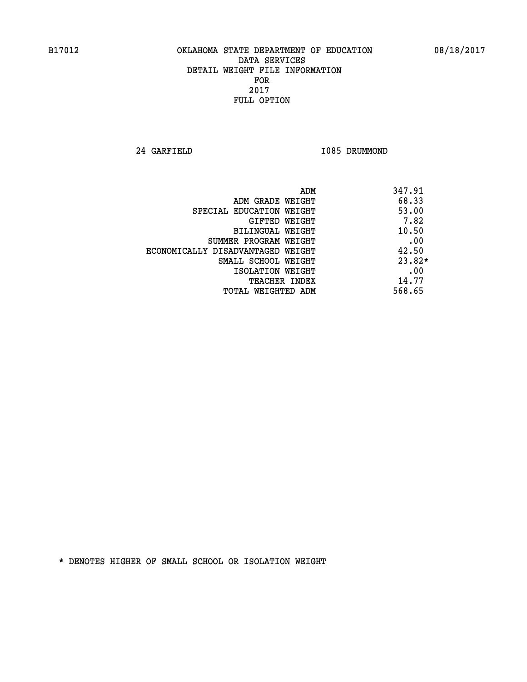**24 GARFIELD I085 DRUMMOND** 

| ADM                               | 347.91   |
|-----------------------------------|----------|
| ADM GRADE WEIGHT                  | 68.33    |
| SPECIAL EDUCATION WEIGHT          | 53.00    |
| GIFTED WEIGHT                     | 7.82     |
| BILINGUAL WEIGHT                  | 10.50    |
| SUMMER PROGRAM WEIGHT             | .00      |
| ECONOMICALLY DISADVANTAGED WEIGHT | 42.50    |
| SMALL SCHOOL WEIGHT               | $23.82*$ |
| ISOLATION WEIGHT                  | .00      |
| <b>TEACHER INDEX</b>              | 14.77    |
| TOTAL WEIGHTED ADM                | 568.65   |
|                                   |          |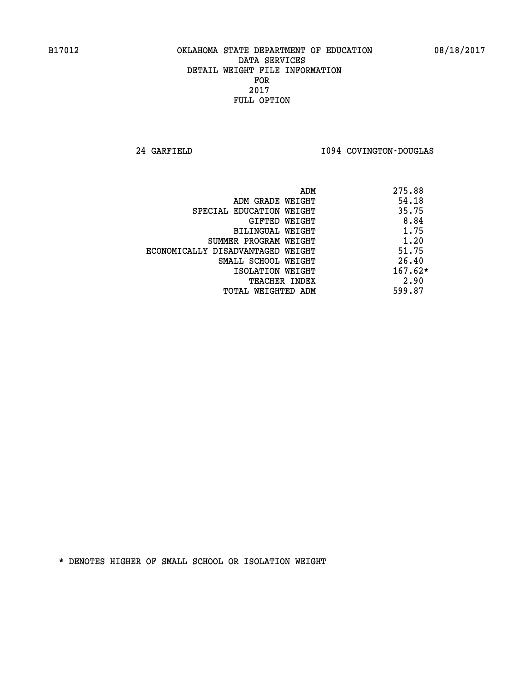**24 GARFIELD I094 COVINGTON-DOUGLAS** 

|                                   | ADM | 275.88    |
|-----------------------------------|-----|-----------|
| ADM GRADE WEIGHT                  |     | 54.18     |
| SPECIAL EDUCATION WEIGHT          |     | 35.75     |
| GIFTED WEIGHT                     |     | 8.84      |
| BILINGUAL WEIGHT                  |     | 1.75      |
| SUMMER PROGRAM WEIGHT             |     | 1.20      |
| ECONOMICALLY DISADVANTAGED WEIGHT |     | 51.75     |
| SMALL SCHOOL WEIGHT               |     | 26.40     |
| ISOLATION WEIGHT                  |     | $167.62*$ |
| <b>TEACHER INDEX</b>              |     | 2.90      |
| TOTAL WEIGHTED ADM                |     | 599.87    |
|                                   |     |           |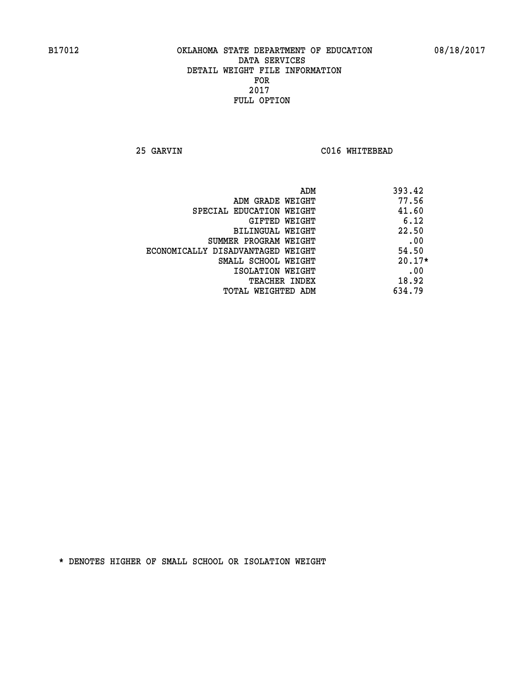**25 GARVIN C016 WHITEBEAD** 

| ADM                               | 393.42   |
|-----------------------------------|----------|
| ADM GRADE WEIGHT                  | 77.56    |
| SPECIAL EDUCATION WEIGHT          | 41.60    |
| GIFTED WEIGHT                     | 6.12     |
| BILINGUAL WEIGHT                  | 22.50    |
| SUMMER PROGRAM WEIGHT             | .00      |
| ECONOMICALLY DISADVANTAGED WEIGHT | 54.50    |
| SMALL SCHOOL WEIGHT               | $20.17*$ |
| ISOLATION WEIGHT                  | .00      |
| <b>TEACHER INDEX</b>              | 18.92    |
| TOTAL WEIGHTED ADM                | 634.79   |
|                                   |          |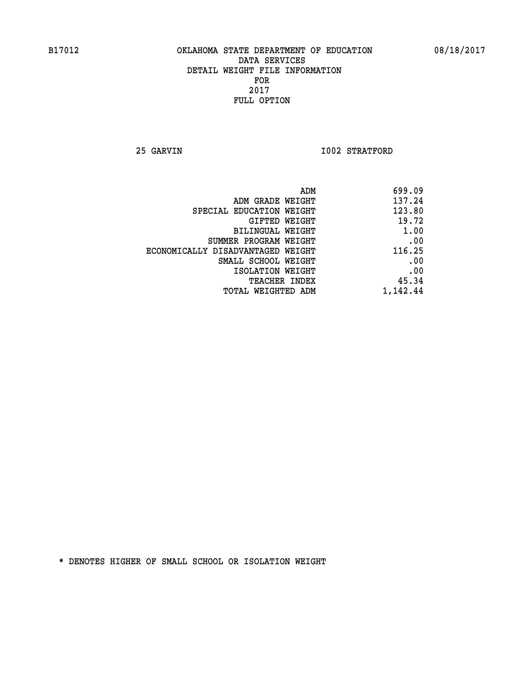**25 GARVIN 1002 STRATFORD** 

| 699.09   | ADM                               |
|----------|-----------------------------------|
| 137.24   | ADM GRADE WEIGHT                  |
| 123.80   | SPECIAL EDUCATION WEIGHT          |
| 19.72    | GIFTED WEIGHT                     |
| 1.00     | BILINGUAL WEIGHT                  |
| .00      | SUMMER PROGRAM WEIGHT             |
| 116.25   | ECONOMICALLY DISADVANTAGED WEIGHT |
| .00      | SMALL SCHOOL WEIGHT               |
| .00      | ISOLATION WEIGHT                  |
| 45.34    | <b>TEACHER INDEX</b>              |
| 1,142.44 | TOTAL WEIGHTED ADM                |
|          |                                   |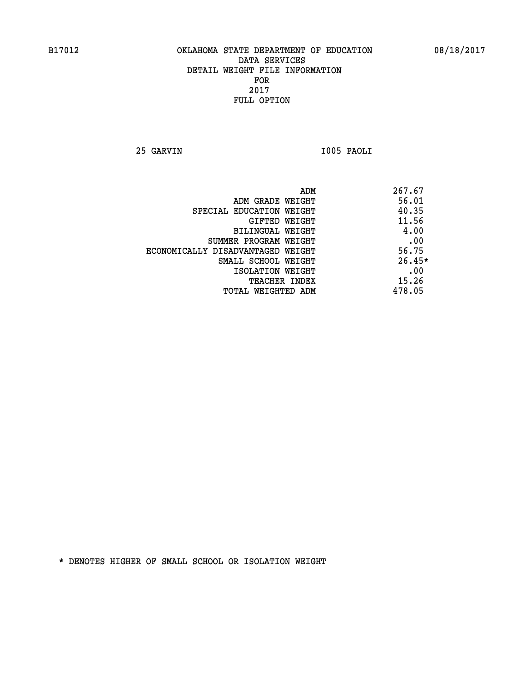**25 GARVIN I005 PAOLI** 

| ADM                               | 267.67   |
|-----------------------------------|----------|
| ADM GRADE WEIGHT                  | 56.01    |
| SPECIAL EDUCATION WEIGHT          | 40.35    |
| GIFTED WEIGHT                     | 11.56    |
| BILINGUAL WEIGHT                  | 4.00     |
| SUMMER PROGRAM WEIGHT             | .00      |
| ECONOMICALLY DISADVANTAGED WEIGHT | 56.75    |
| SMALL SCHOOL WEIGHT               | $26.45*$ |
| ISOLATION WEIGHT                  | .00      |
| <b>TEACHER INDEX</b>              | 15.26    |
| TOTAL WEIGHTED ADM                | 478.05   |
|                                   |          |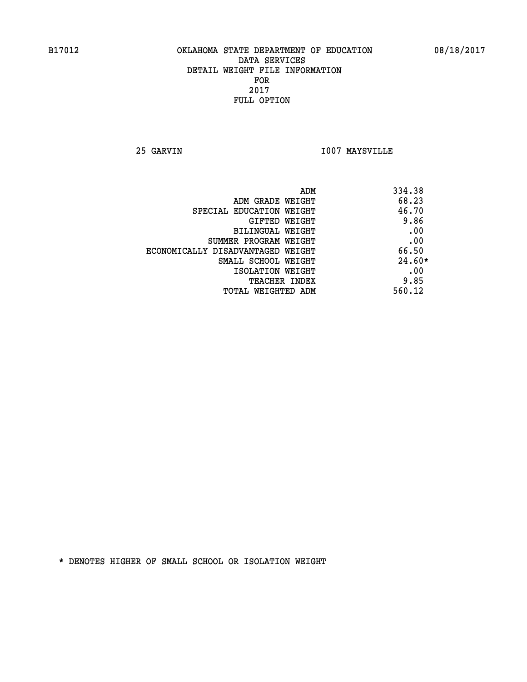**25 GARVIN I007 MAYSVILLE** 

| ADM<br>334.38                |                                   |
|------------------------------|-----------------------------------|
| 68.23                        | ADM GRADE WEIGHT                  |
| 46.70                        | SPECIAL EDUCATION WEIGHT          |
| 9.86<br><b>GIFTED WEIGHT</b> |                                   |
| .00                          | BILINGUAL WEIGHT                  |
| .00                          | SUMMER PROGRAM WEIGHT             |
| 66.50                        | ECONOMICALLY DISADVANTAGED WEIGHT |
| $24.60*$                     | SMALL SCHOOL WEIGHT               |
| .00                          | ISOLATION WEIGHT                  |
| 9.85<br><b>TEACHER INDEX</b> |                                   |
| 560.12                       | TOTAL WEIGHTED ADM                |
|                              |                                   |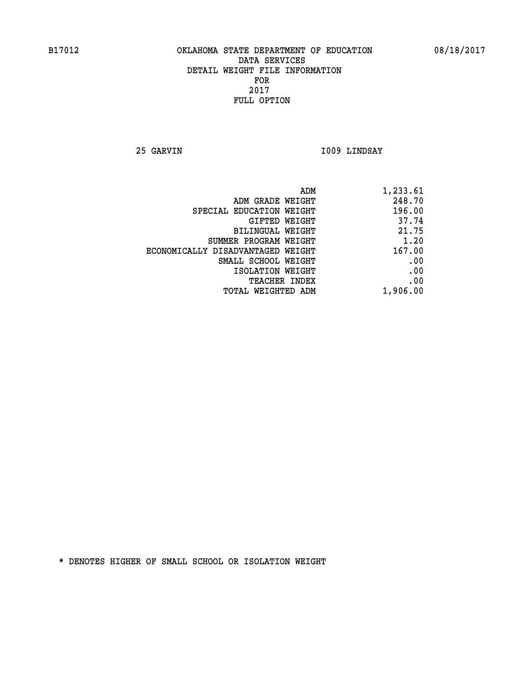**25 GARVIN I009 LINDSAY** 

| 1,233.61 |
|----------|
| 248.70   |
| 196.00   |
| 37.74    |
| 21.75    |
| 1.20     |
| 167.00   |
| .00      |
| .00      |
| .00      |
| 1,906.00 |
|          |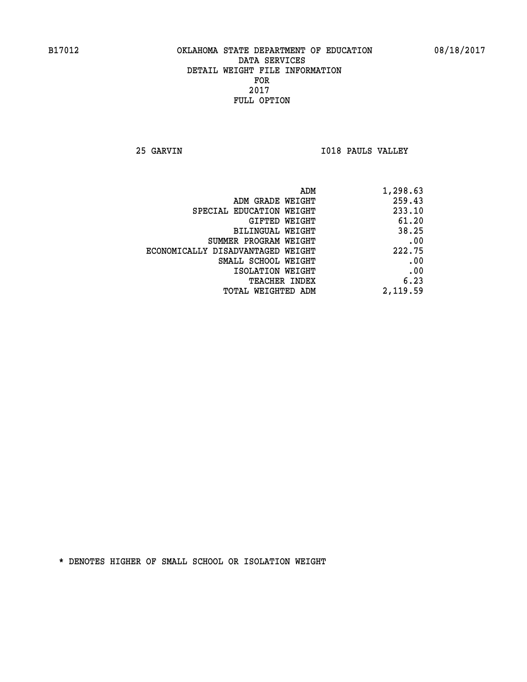**25 GARVIN I018 PAULS VALLEY** 

| ADM                               | 1,298.63 |
|-----------------------------------|----------|
| ADM GRADE WEIGHT                  | 259.43   |
| SPECIAL EDUCATION WEIGHT          | 233.10   |
| <b>GIFTED WEIGHT</b>              | 61.20    |
| BILINGUAL WEIGHT                  | 38.25    |
| SUMMER PROGRAM WEIGHT             | .00      |
| ECONOMICALLY DISADVANTAGED WEIGHT | 222.75   |
| SMALL SCHOOL WEIGHT               | .00      |
| ISOLATION WEIGHT                  | .00      |
| <b>TEACHER INDEX</b>              | 6.23     |
| TOTAL WEIGHTED ADM                | 2,119.59 |
|                                   |          |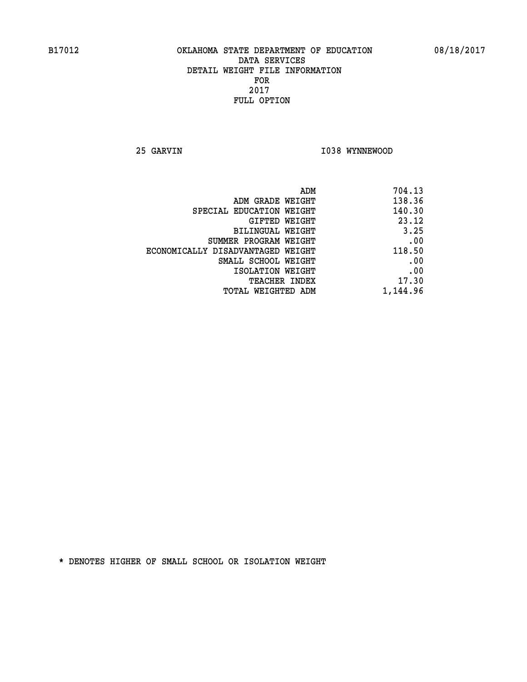**25 GARVIN 1038 WYNNEWOOD** 

|                                   | ADM<br>704.13 |
|-----------------------------------|---------------|
| ADM GRADE WEIGHT                  | 138.36        |
| SPECIAL EDUCATION WEIGHT          | 140.30        |
| GIFTED WEIGHT                     | 23.12         |
| <b>BILINGUAL WEIGHT</b>           | 3.25          |
| SUMMER PROGRAM WEIGHT             | .00           |
| ECONOMICALLY DISADVANTAGED WEIGHT | 118.50        |
| SMALL SCHOOL WEIGHT               | .00           |
| ISOLATION WEIGHT                  | .00           |
| TEACHER INDEX                     | 17.30         |
| TOTAL WEIGHTED ADM                | 1,144.96      |
|                                   |               |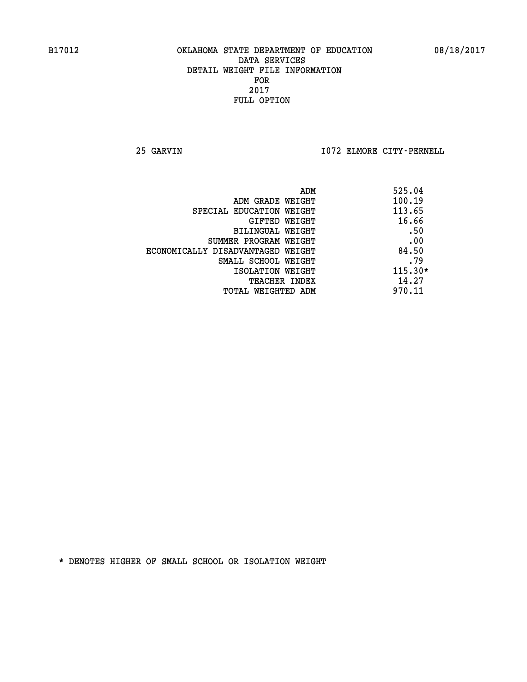**25 GARVIN I072 ELMORE CITY-PERNELL** 

| 525.04    |
|-----------|
| 100.19    |
| 113.65    |
| 16.66     |
| .50       |
| .00       |
| 84.50     |
| .79       |
| $115.30*$ |
| 14.27     |
| 970.11    |
|           |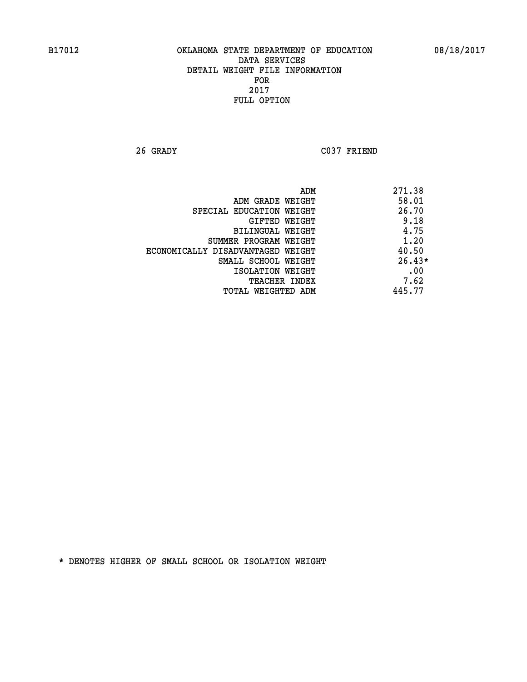**26 GRADY C037 FRIEND** 

|                                   | ADM<br>271.38 |
|-----------------------------------|---------------|
| ADM GRADE WEIGHT                  | 58.01         |
| SPECIAL EDUCATION WEIGHT          | 26.70         |
| GIFTED WEIGHT                     | 9.18          |
| <b>BILINGUAL WEIGHT</b>           | 4.75          |
| SUMMER PROGRAM WEIGHT             | 1.20          |
| ECONOMICALLY DISADVANTAGED WEIGHT | 40.50         |
| SMALL SCHOOL WEIGHT               | $26.43*$      |
| ISOLATION WEIGHT                  | .00           |
| <b>TEACHER INDEX</b>              | 7.62          |
| TOTAL WEIGHTED ADM                | 445.77        |
|                                   |               |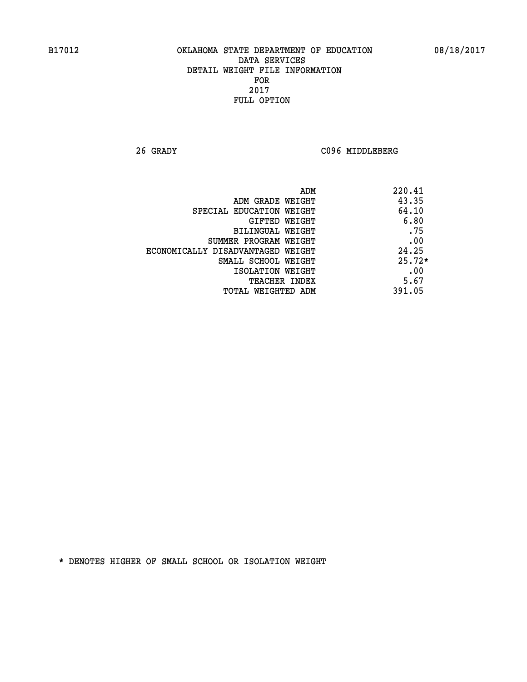**26 GRADY C096 MIDDLEBERG** 

| ADM                               | 220.41   |
|-----------------------------------|----------|
| ADM GRADE WEIGHT                  | 43.35    |
| SPECIAL EDUCATION WEIGHT          | 64.10    |
| GIFTED WEIGHT                     | 6.80     |
| BILINGUAL WEIGHT                  | .75      |
| SUMMER PROGRAM WEIGHT             | .00      |
| ECONOMICALLY DISADVANTAGED WEIGHT | 24.25    |
| SMALL SCHOOL WEIGHT               | $25.72*$ |
| ISOLATION WEIGHT                  | .00      |
| <b>TEACHER INDEX</b>              | 5.67     |
| TOTAL WEIGHTED ADM                | 391.05   |
|                                   |          |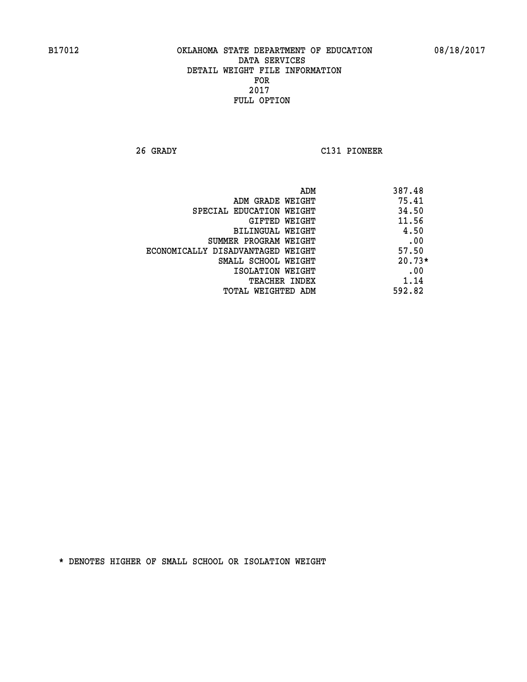**26 GRADY C131 PIONEER** 

|                                   | 387.48<br>ADM |
|-----------------------------------|---------------|
| ADM GRADE WEIGHT                  | 75.41         |
| SPECIAL EDUCATION WEIGHT          | 34.50         |
| <b>GIFTED WEIGHT</b>              | 11.56         |
| BILINGUAL WEIGHT                  | 4.50          |
| SUMMER PROGRAM WEIGHT             | .00           |
| ECONOMICALLY DISADVANTAGED WEIGHT | 57.50         |
| SMALL SCHOOL WEIGHT               | $20.73*$      |
| ISOLATION WEIGHT                  | .00           |
| <b>TEACHER INDEX</b>              | 1.14          |
| TOTAL WEIGHTED ADM                | 592.82        |
|                                   |               |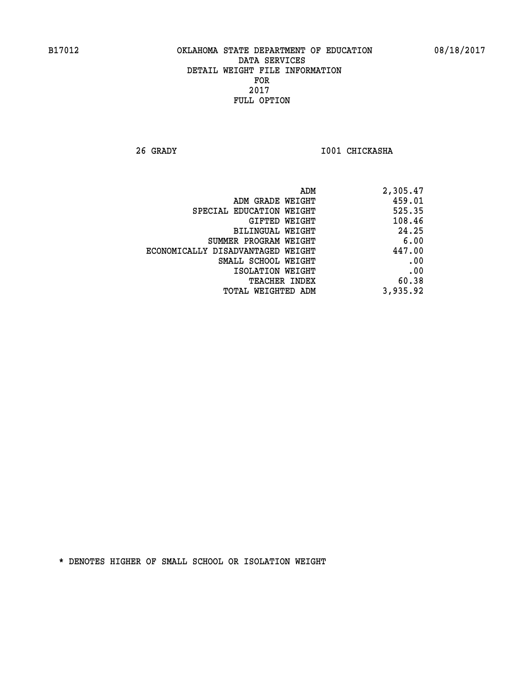**26 GRADY I001 CHICKASHA** 

| 2,305.47 |
|----------|
| 459.01   |
| 525.35   |
| 108.46   |
| 24.25    |
| 6.00     |
| 447.00   |
| .00      |
| .00      |
| 60.38    |
| 3,935.92 |
|          |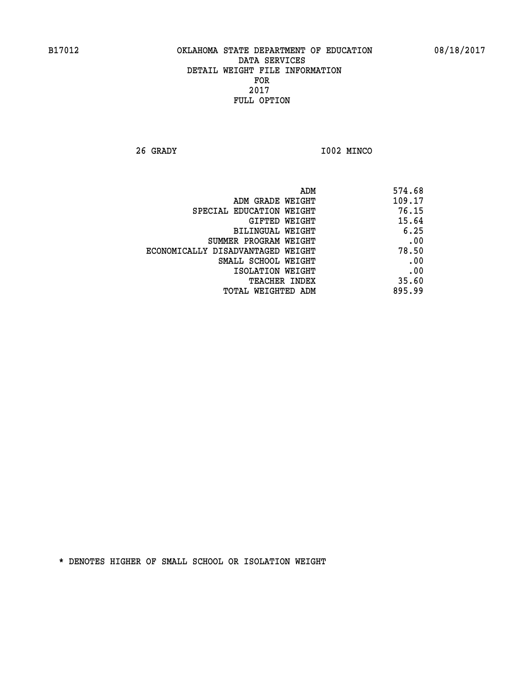**26 GRADY I002 MINCO** 

| 574.68 |
|--------|
| 109.17 |
| 76.15  |
| 15.64  |
| 6.25   |
| .00    |
| 78.50  |
| .00    |
| .00    |
| 35.60  |
| 895.99 |
|        |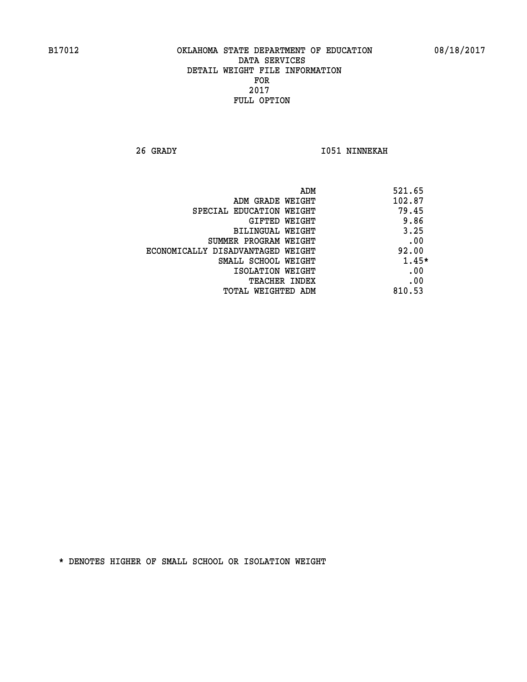**26 GRADY I051 NINNEKAH** 

|                                   | ADM<br>521.65 |
|-----------------------------------|---------------|
| ADM GRADE WEIGHT                  | 102.87        |
| SPECIAL EDUCATION WEIGHT          | 79.45         |
| GIFTED WEIGHT                     | 9.86          |
| BILINGUAL WEIGHT                  | 3.25          |
| SUMMER PROGRAM WEIGHT             | .00           |
| ECONOMICALLY DISADVANTAGED WEIGHT | 92.00         |
| SMALL SCHOOL WEIGHT               | 1.45*         |
| ISOLATION WEIGHT                  | .00           |
| <b>TEACHER INDEX</b>              | .00           |
| TOTAL WEIGHTED ADM                | 810.53        |
|                                   |               |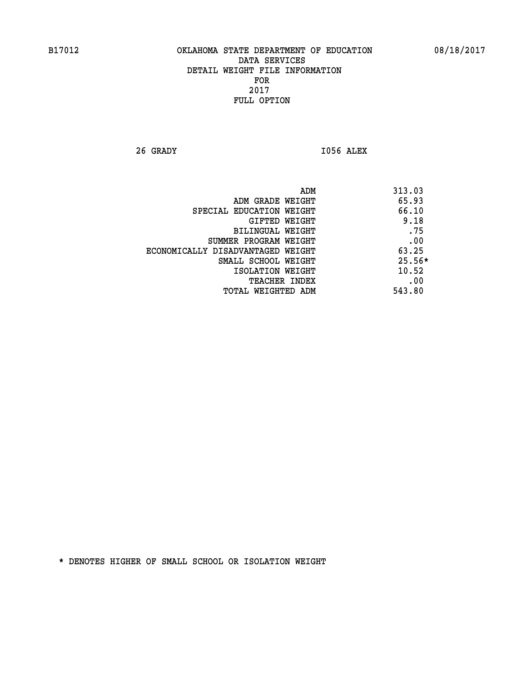**26 GRADY I056 ALEX** 

|                                   | ADM | 313.03   |
|-----------------------------------|-----|----------|
| ADM GRADE WEIGHT                  |     | 65.93    |
| SPECIAL EDUCATION WEIGHT          |     | 66.10    |
| <b>GIFTED WEIGHT</b>              |     | 9.18     |
| BILINGUAL WEIGHT                  |     | .75      |
| SUMMER PROGRAM WEIGHT             |     | .00      |
| ECONOMICALLY DISADVANTAGED WEIGHT |     | 63.25    |
| SMALL SCHOOL WEIGHT               |     | $25.56*$ |
| ISOLATION WEIGHT                  |     | 10.52    |
| TEACHER INDEX                     |     | .00      |
| TOTAL WEIGHTED ADM                |     | 543.80   |
|                                   |     |          |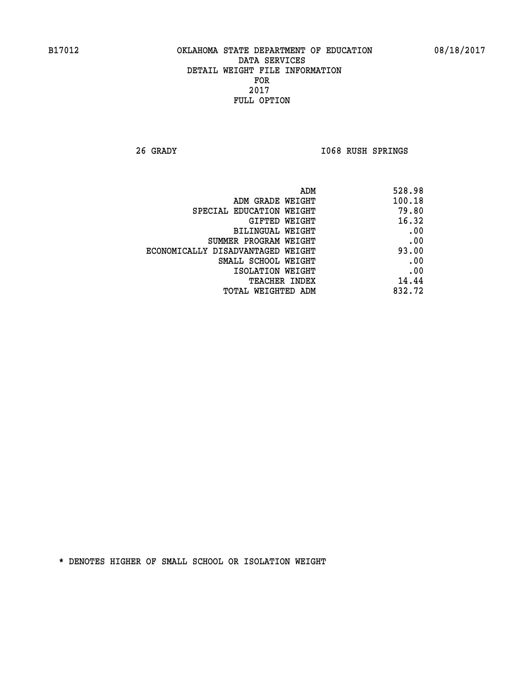**26 GRADY I068 RUSH SPRINGS** 

| 528.98 |
|--------|
| 100.18 |
| 79.80  |
| 16.32  |
| .00    |
| .00    |
| 93.00  |
| .00    |
| .00    |
| 14.44  |
| 832.72 |
|        |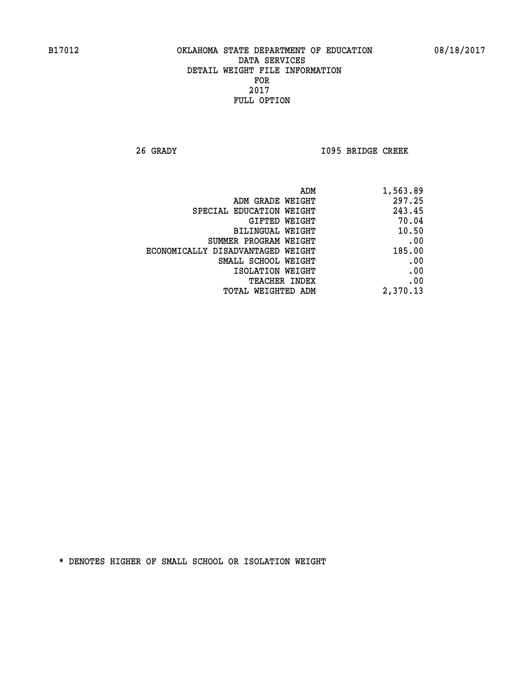**26 GRADY I095 BRIDGE CREEK** 

| ADM                               | 1,563.89 |
|-----------------------------------|----------|
| ADM GRADE WEIGHT                  | 297.25   |
| SPECIAL EDUCATION WEIGHT          | 243.45   |
| GIFTED WEIGHT                     | 70.04    |
| BILINGUAL WEIGHT                  | 10.50    |
| SUMMER PROGRAM WEIGHT             | .00      |
| ECONOMICALLY DISADVANTAGED WEIGHT | 185.00   |
| SMALL SCHOOL WEIGHT               | .00      |
| ISOLATION WEIGHT                  | .00      |
| <b>TEACHER INDEX</b>              | .00      |
| <b>TOTAL WEIGHTED ADM</b>         | 2,370.13 |
|                                   |          |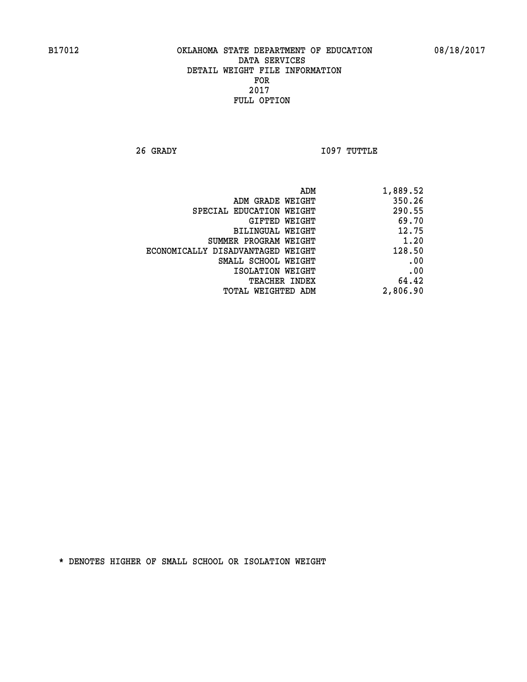**26 GRADY I097 TUTTLE** 

| 1,889.52 |
|----------|
| 350.26   |
| 290.55   |
| 69.70    |
| 12.75    |
| 1.20     |
| 128.50   |
| .00      |
| .00      |
| 64.42    |
| 2,806.90 |
|          |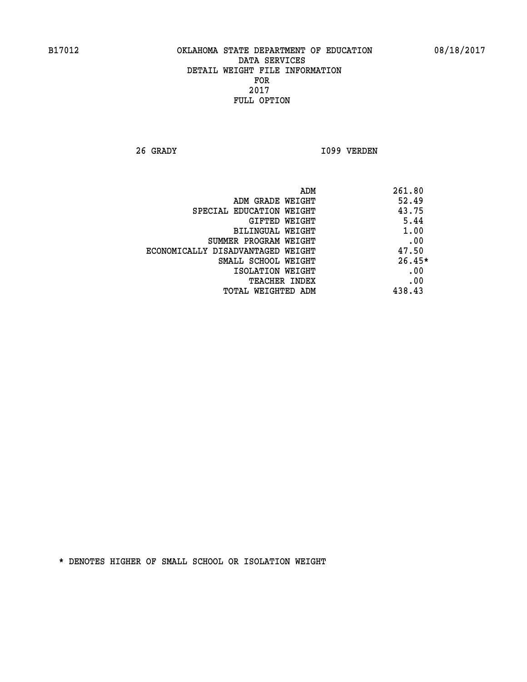**26 GRADY I099 VERDEN** 

| ADM                               | 261.80   |
|-----------------------------------|----------|
| ADM GRADE WEIGHT                  | 52.49    |
| SPECIAL EDUCATION WEIGHT          | 43.75    |
| GIFTED WEIGHT                     | 5.44     |
| BILINGUAL WEIGHT                  | 1.00     |
| SUMMER PROGRAM WEIGHT             | .00      |
| ECONOMICALLY DISADVANTAGED WEIGHT | 47.50    |
| SMALL SCHOOL WEIGHT               | $26.45*$ |
| ISOLATION WEIGHT                  | .00      |
| <b>TEACHER INDEX</b>              | .00      |
| TOTAL WEIGHTED ADM                | 438.43   |
|                                   |          |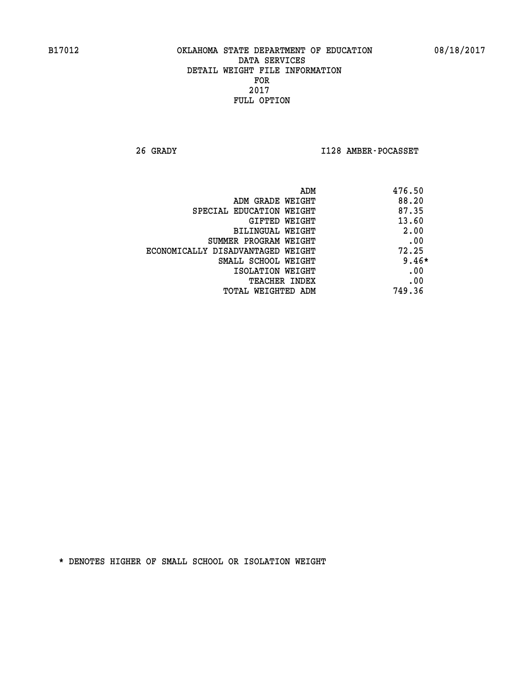**26 GRADY I128 AMBER-POCASSET** 

|                                   | 476.50<br>ADM |
|-----------------------------------|---------------|
| ADM GRADE WEIGHT                  | 88.20         |
| SPECIAL EDUCATION WEIGHT          | 87.35         |
| <b>GIFTED WEIGHT</b>              | 13.60         |
| BILINGUAL WEIGHT                  | 2.00          |
| SUMMER PROGRAM WEIGHT             | .00           |
| ECONOMICALLY DISADVANTAGED WEIGHT | 72.25         |
| SMALL SCHOOL WEIGHT               | $9.46*$       |
| ISOLATION WEIGHT                  | .00           |
| <b>TEACHER INDEX</b>              | .00           |
| TOTAL WEIGHTED ADM                | 749.36        |
|                                   |               |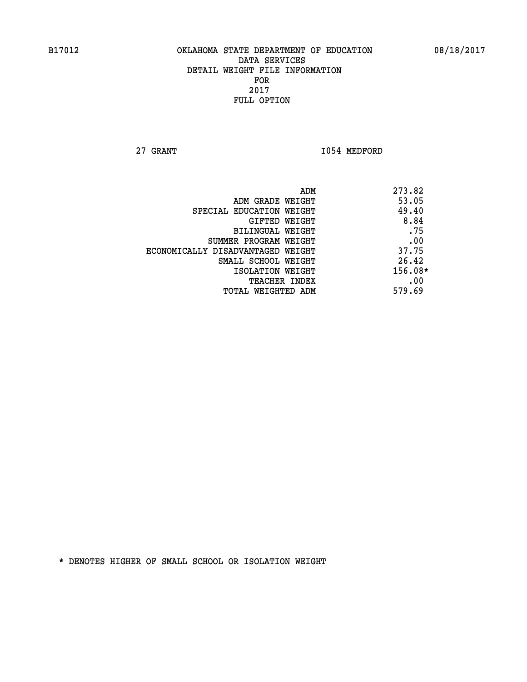**27 GRANT 1054 MEDFORD** 

|                                   | ADM | 273.82    |
|-----------------------------------|-----|-----------|
| ADM GRADE WEIGHT                  |     | 53.05     |
| SPECIAL EDUCATION WEIGHT          |     | 49.40     |
| <b>GIFTED WEIGHT</b>              |     | 8.84      |
| BILINGUAL WEIGHT                  |     | .75       |
| SUMMER PROGRAM WEIGHT             |     | .00       |
| ECONOMICALLY DISADVANTAGED WEIGHT |     | 37.75     |
| SMALL SCHOOL WEIGHT               |     | 26.42     |
| ISOLATION WEIGHT                  |     | $156.08*$ |
| TEACHER INDEX                     |     | .00       |
| TOTAL WEIGHTED ADM                |     | 579.69    |
|                                   |     |           |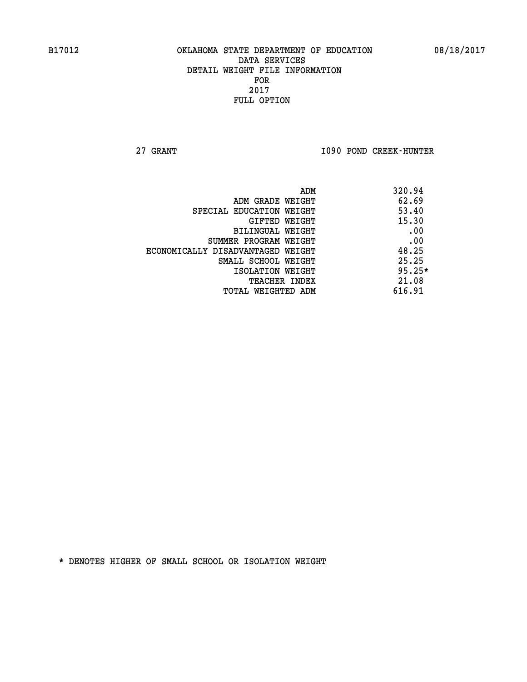**27 GRANT I090 POND CREEK-HUNTER** 

|                                   | ADM | 320.94   |
|-----------------------------------|-----|----------|
| ADM GRADE WEIGHT                  |     | 62.69    |
| SPECIAL EDUCATION WEIGHT          |     | 53.40    |
| GIFTED WEIGHT                     |     | 15.30    |
| BILINGUAL WEIGHT                  |     | .00      |
| SUMMER PROGRAM WEIGHT             |     | .00      |
| ECONOMICALLY DISADVANTAGED WEIGHT |     | 48.25    |
| SMALL SCHOOL WEIGHT               |     | 25.25    |
| ISOLATION WEIGHT                  |     | $95.25*$ |
| <b>TEACHER INDEX</b>              |     | 21.08    |
| TOTAL WEIGHTED ADM                |     | 616.91   |
|                                   |     |          |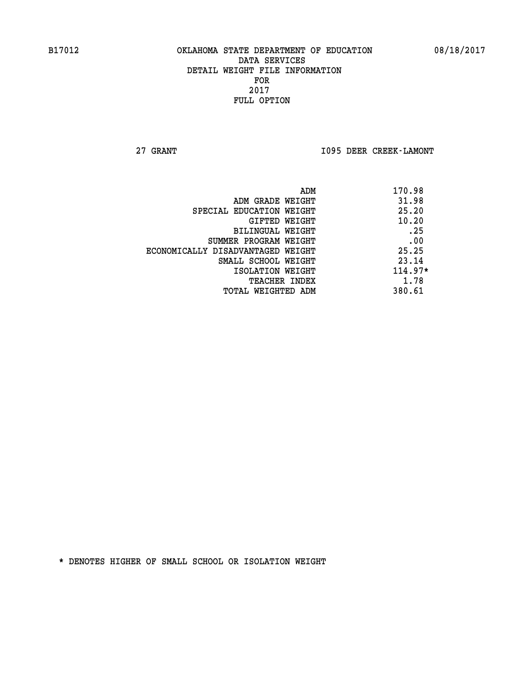**27 GRANT I095 DEER CREEK-LAMONT** 

| ADM                               | 170.98    |
|-----------------------------------|-----------|
| ADM GRADE WEIGHT                  | 31.98     |
| SPECIAL EDUCATION WEIGHT          | 25.20     |
| GIFTED WEIGHT                     | 10.20     |
| <b>BILINGUAL WEIGHT</b>           | .25       |
| SUMMER PROGRAM WEIGHT             | .00       |
| ECONOMICALLY DISADVANTAGED WEIGHT | 25.25     |
| SMALL SCHOOL WEIGHT               | 23.14     |
| ISOLATION WEIGHT                  | $114.97*$ |
| <b>TEACHER INDEX</b>              | 1.78      |
| TOTAL WEIGHTED ADM                | 380.61    |
|                                   |           |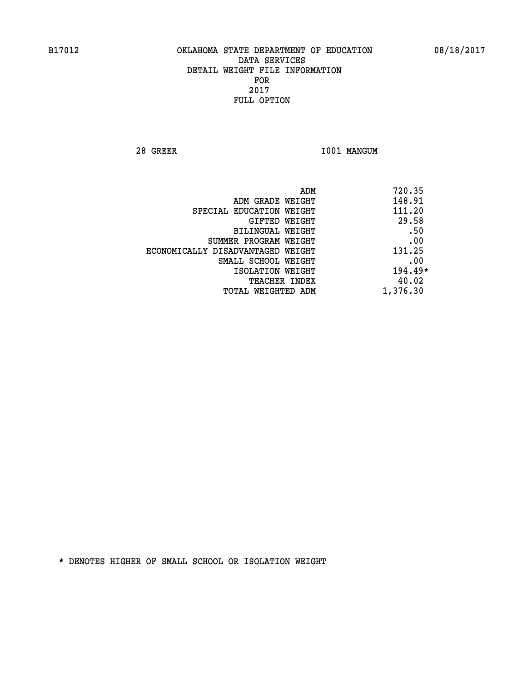**28 GREER I001 MANGUM** 

|                                   | 720.35<br>ADM |
|-----------------------------------|---------------|
| ADM GRADE WEIGHT                  | 148.91        |
| SPECIAL EDUCATION WEIGHT          | 111.20        |
| GIFTED WEIGHT                     | 29.58         |
| BILINGUAL WEIGHT                  | .50           |
| SUMMER PROGRAM WEIGHT             | .00           |
| ECONOMICALLY DISADVANTAGED WEIGHT | 131.25        |
| SMALL SCHOOL WEIGHT               | .00           |
| ISOLATION WEIGHT                  | 194.49*       |
| TEACHER INDEX                     | 40.02         |
| TOTAL WEIGHTED ADM                | 1,376.30      |
|                                   |               |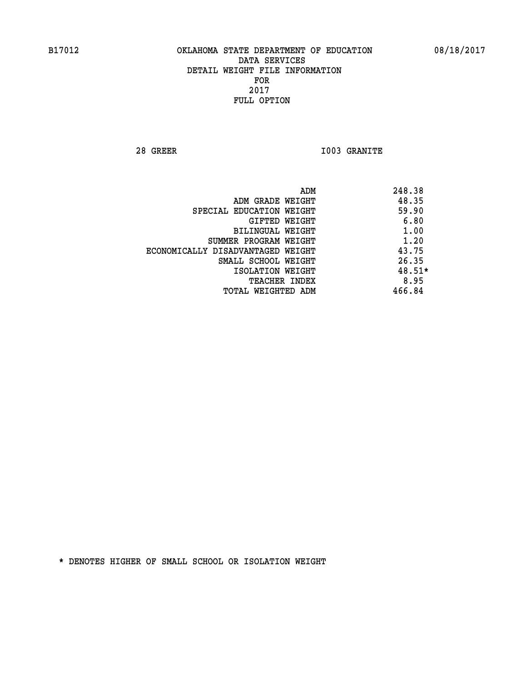**28 GREER I003 GRANITE** 

|                                   | ADM | 248.38 |
|-----------------------------------|-----|--------|
| ADM GRADE WEIGHT                  |     | 48.35  |
| SPECIAL EDUCATION WEIGHT          |     | 59.90  |
| GIFTED WEIGHT                     |     | 6.80   |
| BILINGUAL WEIGHT                  |     | 1.00   |
| SUMMER PROGRAM WEIGHT             |     | 1.20   |
| ECONOMICALLY DISADVANTAGED WEIGHT |     | 43.75  |
| SMALL SCHOOL WEIGHT               |     | 26.35  |
| ISOLATION WEIGHT                  |     | 48.51* |
| <b>TEACHER INDEX</b>              |     | 8.95   |
| TOTAL WEIGHTED ADM                |     | 466.84 |
|                                   |     |        |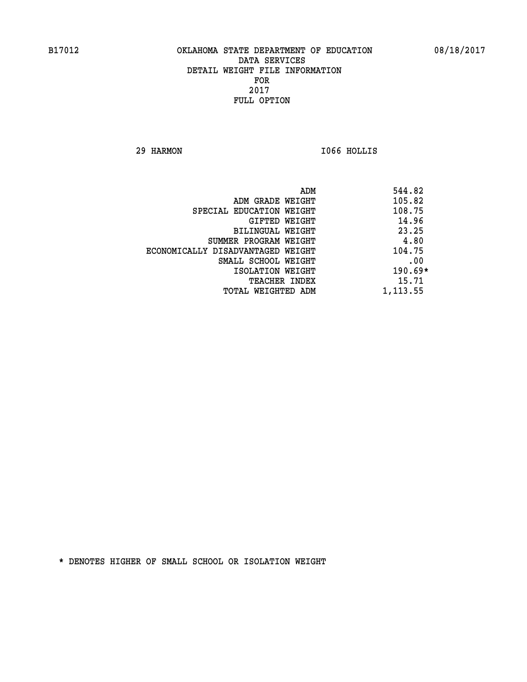**29 HARMON I066 HOLLIS** 

| 544.82    | ADM                               |
|-----------|-----------------------------------|
| 105.82    | ADM GRADE WEIGHT                  |
| 108.75    | SPECIAL EDUCATION WEIGHT          |
| 14.96     | GIFTED WEIGHT                     |
| 23.25     | BILINGUAL WEIGHT                  |
| 4.80      | SUMMER PROGRAM WEIGHT             |
| 104.75    | ECONOMICALLY DISADVANTAGED WEIGHT |
| .00       | SMALL SCHOOL WEIGHT               |
| $190.69*$ | ISOLATION WEIGHT                  |
| 15.71     | <b>TEACHER INDEX</b>              |
| 1,113.55  | TOTAL WEIGHTED ADM                |
|           |                                   |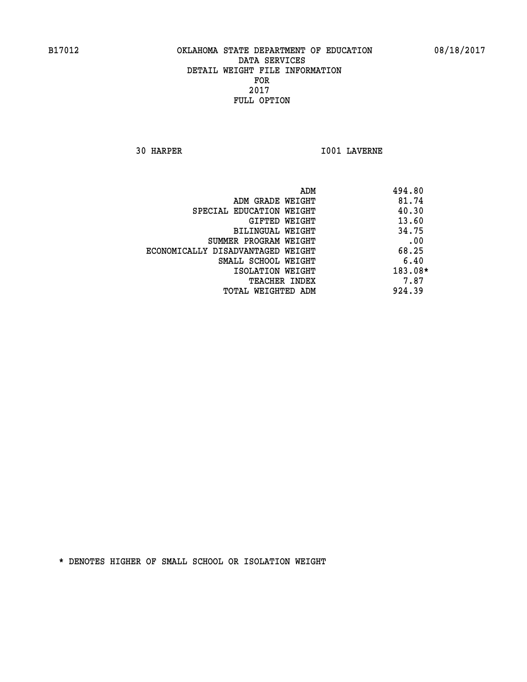**30 HARPER I001 LAVERNE** 

| ADM<br>494.80                              |      |
|--------------------------------------------|------|
| 81.74<br>ADM GRADE WEIGHT                  |      |
| 40.30<br>SPECIAL EDUCATION WEIGHT          |      |
| 13.60<br>GIFTED WEIGHT                     |      |
| 34.75<br>BILINGUAL WEIGHT                  |      |
| SUMMER PROGRAM WEIGHT                      | .00  |
| 68.25<br>ECONOMICALLY DISADVANTAGED WEIGHT |      |
| SMALL SCHOOL WEIGHT                        | 6.40 |
| 183.08*<br>ISOLATION WEIGHT                |      |
| <b>TEACHER INDEX</b>                       | 7.87 |
| 924.39<br>TOTAL WEIGHTED ADM               |      |
|                                            |      |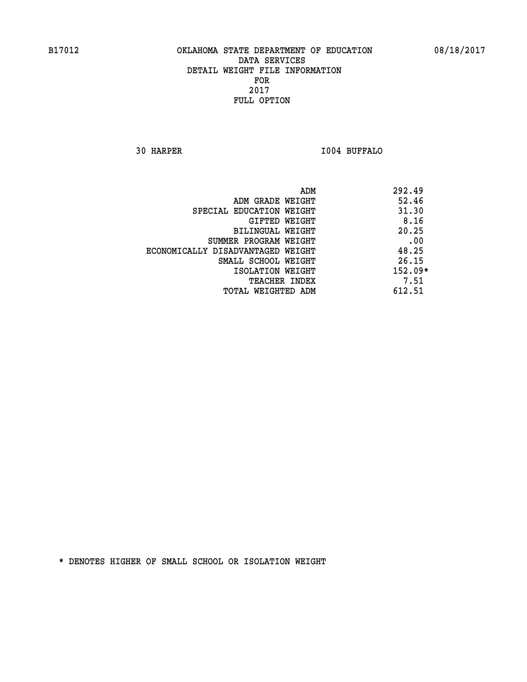**30 HARPER I004 BUFFALO** 

|                                   | ADM | 292.49    |
|-----------------------------------|-----|-----------|
| ADM GRADE WEIGHT                  |     | 52.46     |
| SPECIAL EDUCATION WEIGHT          |     | 31.30     |
| GIFTED WEIGHT                     |     | 8.16      |
| BILINGUAL WEIGHT                  |     | 20.25     |
| SUMMER PROGRAM WEIGHT             |     | .00       |
| ECONOMICALLY DISADVANTAGED WEIGHT |     | 48.25     |
| SMALL SCHOOL WEIGHT               |     | 26.15     |
| ISOLATION WEIGHT                  |     | $152.09*$ |
| TEACHER INDEX                     |     | 7.51      |
| TOTAL WEIGHTED ADM                |     | 612.51    |
|                                   |     |           |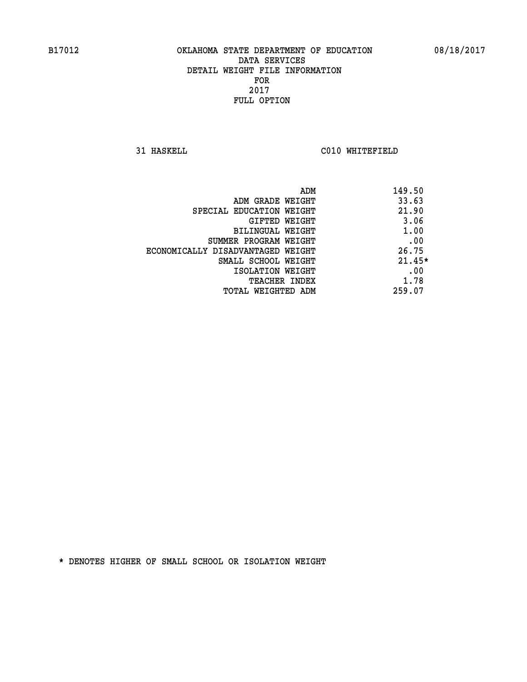**31 HASKELL C010 WHITEFIELD** 

|                                   | 149.50<br>ADM |
|-----------------------------------|---------------|
| ADM GRADE WEIGHT                  | 33.63         |
| SPECIAL EDUCATION WEIGHT          | 21.90         |
| GIFTED WEIGHT                     | 3.06          |
| BILINGUAL WEIGHT                  | 1.00          |
| SUMMER PROGRAM WEIGHT             | .00           |
| ECONOMICALLY DISADVANTAGED WEIGHT | 26.75         |
| SMALL SCHOOL WEIGHT               | $21.45*$      |
| ISOLATION WEIGHT                  | .00           |
| <b>TEACHER INDEX</b>              | 1.78          |
| TOTAL WEIGHTED ADM                | 259.07        |
|                                   |               |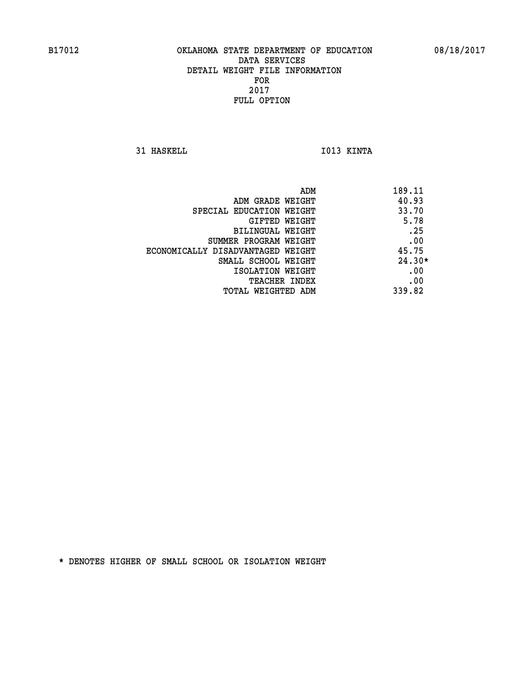**31 HASKELL IO13 KINTA** 

| ADM                               | 189.11   |
|-----------------------------------|----------|
| ADM GRADE WEIGHT                  | 40.93    |
| SPECIAL EDUCATION WEIGHT          | 33.70    |
| GIFTED WEIGHT                     | 5.78     |
| BILINGUAL WEIGHT                  | .25      |
| SUMMER PROGRAM WEIGHT             | .00      |
| ECONOMICALLY DISADVANTAGED WEIGHT | 45.75    |
| SMALL SCHOOL WEIGHT               | $24.30*$ |
| ISOLATION WEIGHT                  | .00      |
| <b>TEACHER INDEX</b>              | .00      |
| TOTAL WEIGHTED ADM                | 339.82   |
|                                   |          |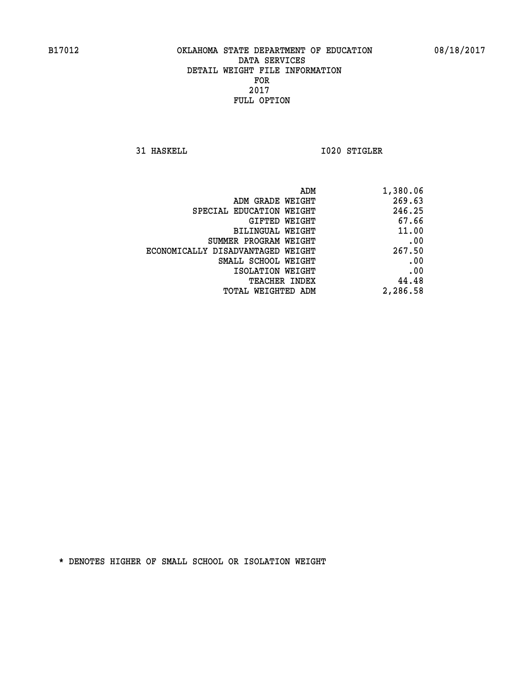**31 HASKELL 1020 STIGLER** 

| 1,380.06 |
|----------|
| 269.63   |
| 246.25   |
| 67.66    |
| 11.00    |
| .00      |
| 267.50   |
| .00      |
| .00      |
| 44.48    |
| 2,286.58 |
|          |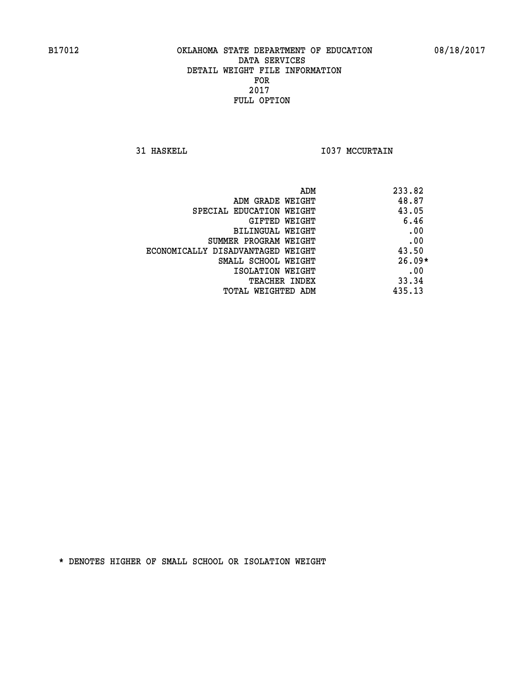**31 HASKELL 1037 MCCURTAIN** 

| ADM                               | 233.82   |
|-----------------------------------|----------|
| ADM GRADE WEIGHT                  | 48.87    |
| SPECIAL EDUCATION WEIGHT          | 43.05    |
| GIFTED WEIGHT                     | 6.46     |
| BILINGUAL WEIGHT                  | .00      |
| SUMMER PROGRAM WEIGHT             | .00      |
| ECONOMICALLY DISADVANTAGED WEIGHT | 43.50    |
| SMALL SCHOOL WEIGHT               | $26.09*$ |
| ISOLATION WEIGHT                  | .00      |
| TEACHER INDEX                     | 33.34    |
| TOTAL WEIGHTED ADM                | 435.13   |
|                                   |          |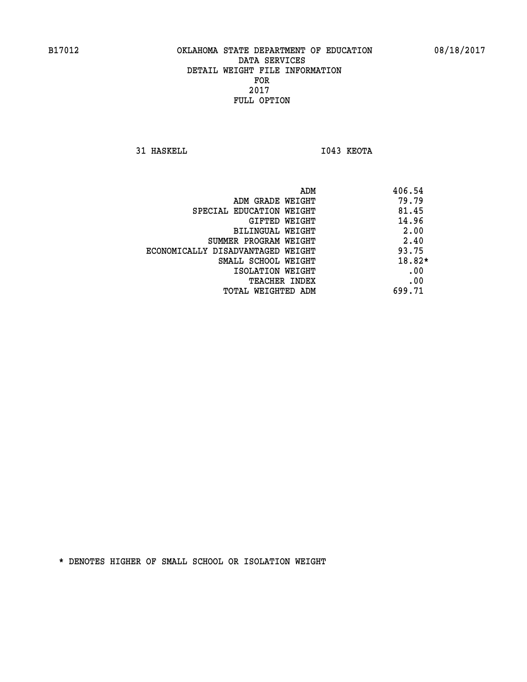**31 HASKELL I043 KEOTA** 

|                                   | 406.54<br>ADM |          |
|-----------------------------------|---------------|----------|
| ADM GRADE WEIGHT                  | 79.79         |          |
| SPECIAL EDUCATION WEIGHT          |               | 81.45    |
| GIFTED WEIGHT                     |               | 14.96    |
| BILINGUAL WEIGHT                  |               | 2.00     |
| SUMMER PROGRAM WEIGHT             |               | 2.40     |
| ECONOMICALLY DISADVANTAGED WEIGHT |               | 93.75    |
| SMALL SCHOOL WEIGHT               |               | $18.82*$ |
| ISOLATION WEIGHT                  |               | .00      |
| <b>TEACHER INDEX</b>              |               | .00      |
| TOTAL WEIGHTED ADM                | 699.71        |          |
|                                   |               |          |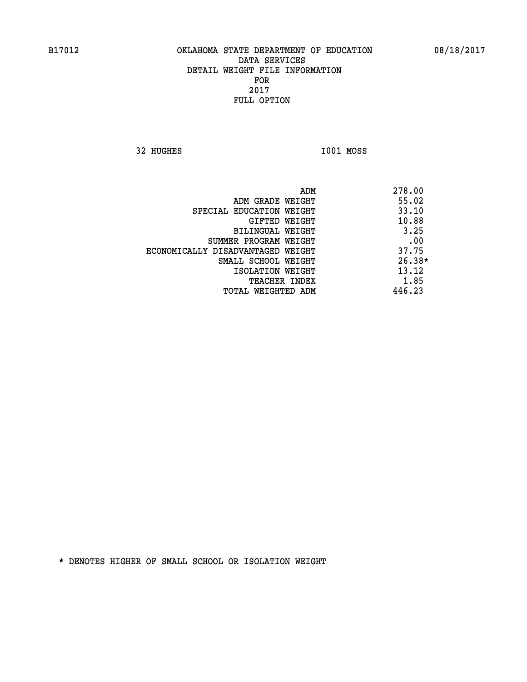**32 HUGHES I001 MOSS** 

|                                   | 278.00<br>ADM |
|-----------------------------------|---------------|
| ADM GRADE WEIGHT                  | 55.02         |
| SPECIAL EDUCATION WEIGHT          | 33.10         |
| GIFTED WEIGHT                     | 10.88         |
| BILINGUAL WEIGHT                  | 3.25          |
| SUMMER PROGRAM WEIGHT             | .00           |
| ECONOMICALLY DISADVANTAGED WEIGHT | 37.75         |
| SMALL SCHOOL WEIGHT               | $26.38*$      |
| ISOLATION WEIGHT                  | 13.12         |
| <b>TEACHER INDEX</b>              | 1.85          |
| TOTAL WEIGHTED ADM                | 446.23        |
|                                   |               |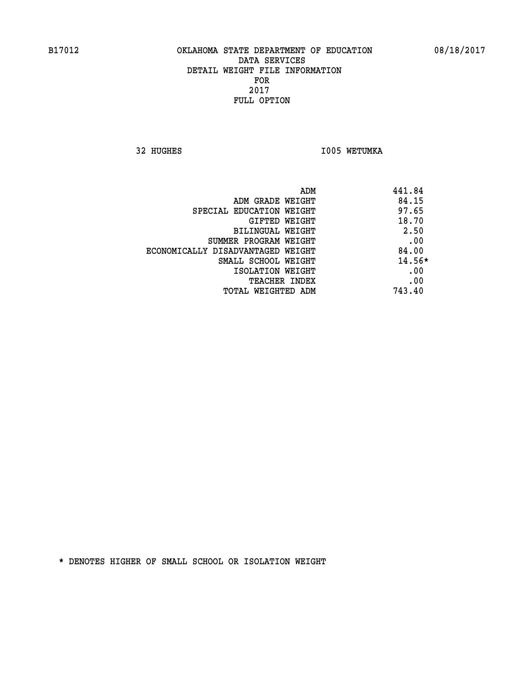32 HUGHES **I005 WETUMKA** 

| ADM                               | 441.84   |
|-----------------------------------|----------|
| ADM GRADE WEIGHT                  | 84.15    |
| SPECIAL EDUCATION WEIGHT          | 97.65    |
| GIFTED WEIGHT                     | 18.70    |
| BILINGUAL WEIGHT                  | 2.50     |
| SUMMER PROGRAM WEIGHT             | .00      |
| ECONOMICALLY DISADVANTAGED WEIGHT | 84.00    |
| SMALL SCHOOL WEIGHT               | $14.56*$ |
| ISOLATION WEIGHT                  | .00      |
| <b>TEACHER INDEX</b>              | .00      |
| TOTAL WEIGHTED ADM                | 743.40   |
|                                   |          |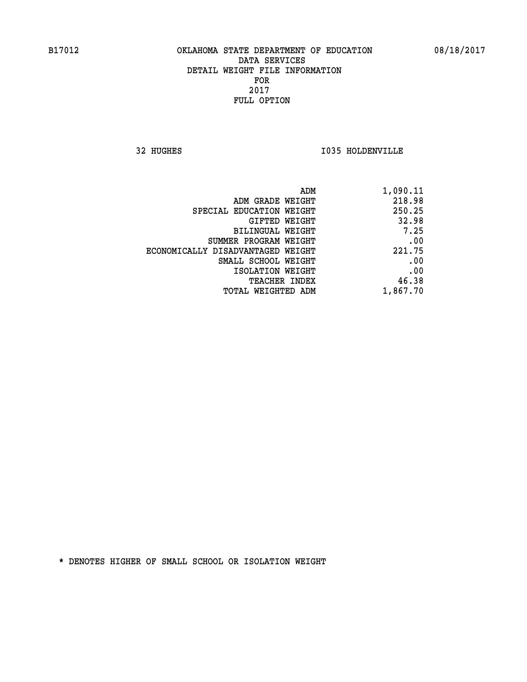**32 HUGHES I035 HOLDENVILLE** 

| 1,090.11 |
|----------|
| 218.98   |
| 250.25   |
| 32.98    |
| 7.25     |
| .00      |
| 221.75   |
| .00      |
| .00      |
| 46.38    |
| 1,867.70 |
|          |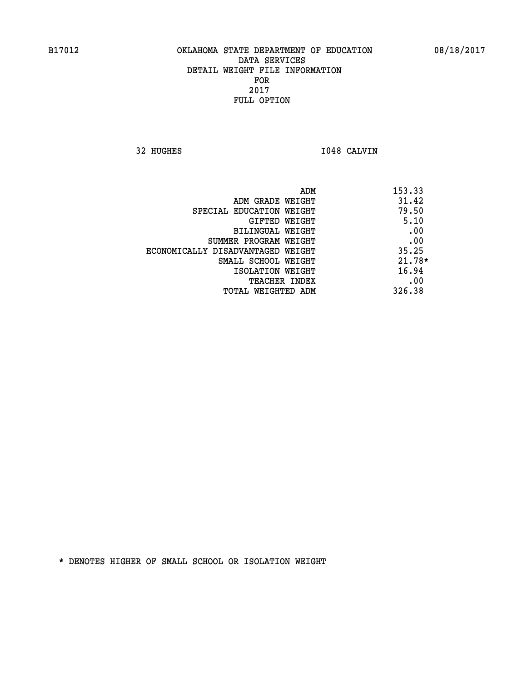**32 HUGHES I048 CALVIN** 

|                                   | ADM | 153.33   |
|-----------------------------------|-----|----------|
| ADM GRADE WEIGHT                  |     | 31.42    |
| SPECIAL EDUCATION WEIGHT          |     | 79.50    |
| GIFTED WEIGHT                     |     | 5.10     |
| BILINGUAL WEIGHT                  |     | .00      |
| SUMMER PROGRAM WEIGHT             |     | .00      |
| ECONOMICALLY DISADVANTAGED WEIGHT |     | 35.25    |
| SMALL SCHOOL WEIGHT               |     | $21.78*$ |
| ISOLATION WEIGHT                  |     | 16.94    |
| <b>TEACHER INDEX</b>              |     | .00      |
| TOTAL WEIGHTED ADM                |     | 326.38   |
|                                   |     |          |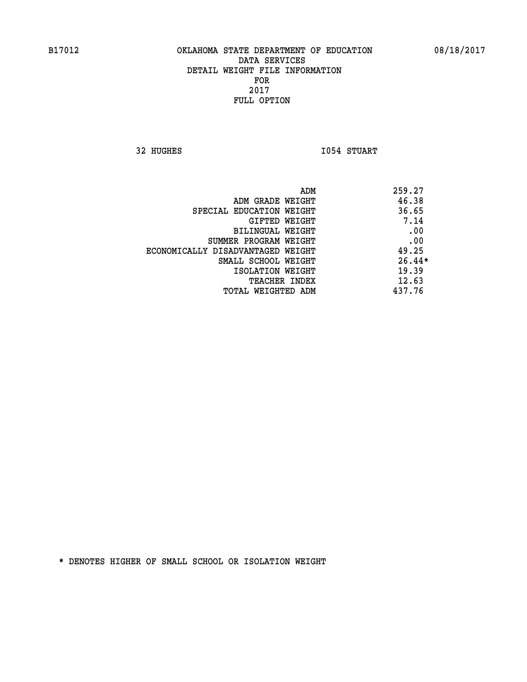**32 HUGHES I054 STUART** 

| 259.27<br>ADM                              |     |
|--------------------------------------------|-----|
| 46.38<br>ADM GRADE WEIGHT                  |     |
| 36.65<br>SPECIAL EDUCATION WEIGHT          |     |
| 7.14<br>GIFTED WEIGHT                      |     |
| BILINGUAL WEIGHT                           | .00 |
| SUMMER PROGRAM WEIGHT                      | .00 |
| 49.25<br>ECONOMICALLY DISADVANTAGED WEIGHT |     |
| $26.44*$<br>SMALL SCHOOL WEIGHT            |     |
| 19.39<br>ISOLATION WEIGHT                  |     |
| 12.63<br>TEACHER INDEX                     |     |
| 437.76<br>TOTAL WEIGHTED ADM               |     |
|                                            |     |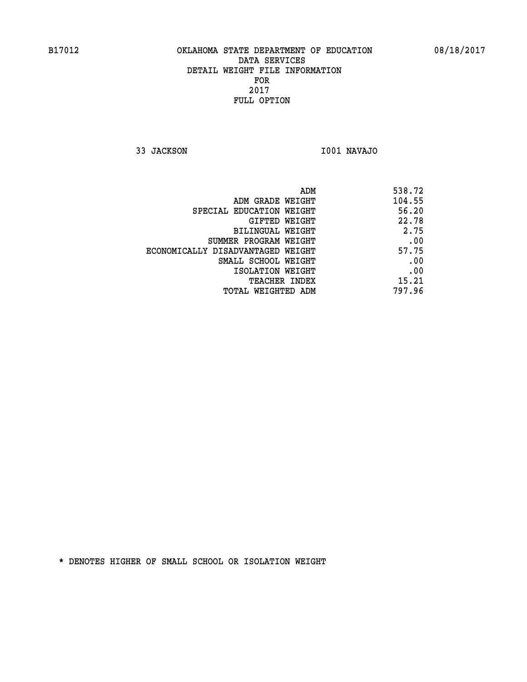**33 JACKSON I001 NAVAJO** 

| 538.72 |
|--------|
| 104.55 |
| 56.20  |
| 22.78  |
| 2.75   |
| .00    |
| 57.75  |
| .00    |
| .00    |
| 15.21  |
| 797.96 |
|        |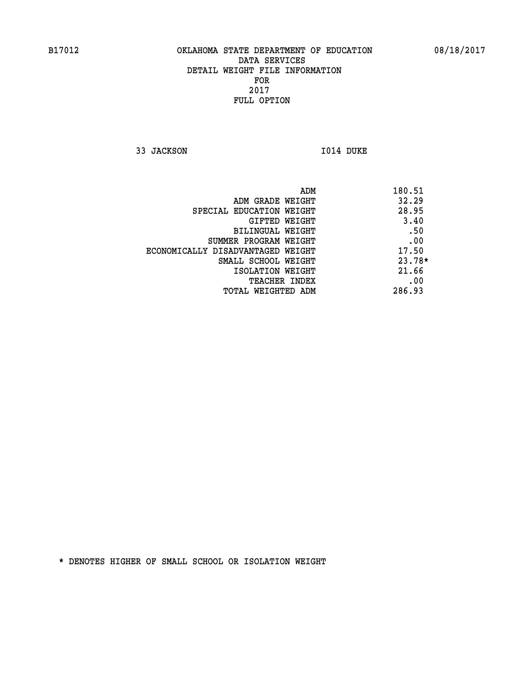**33 JACKSON 1014 DUKE** 

|                                   | 180.51<br>ADM |
|-----------------------------------|---------------|
| ADM GRADE WEIGHT                  | 32.29         |
| SPECIAL EDUCATION WEIGHT          | 28.95         |
| GIFTED WEIGHT                     | 3.40          |
| BILINGUAL WEIGHT                  | .50           |
| SUMMER PROGRAM WEIGHT             | .00           |
| ECONOMICALLY DISADVANTAGED WEIGHT | 17.50         |
| SMALL SCHOOL WEIGHT               | $23.78*$      |
| ISOLATION WEIGHT                  | 21.66         |
| <b>TEACHER INDEX</b>              | .00           |
| TOTAL WEIGHTED ADM                | 286.93        |
|                                   |               |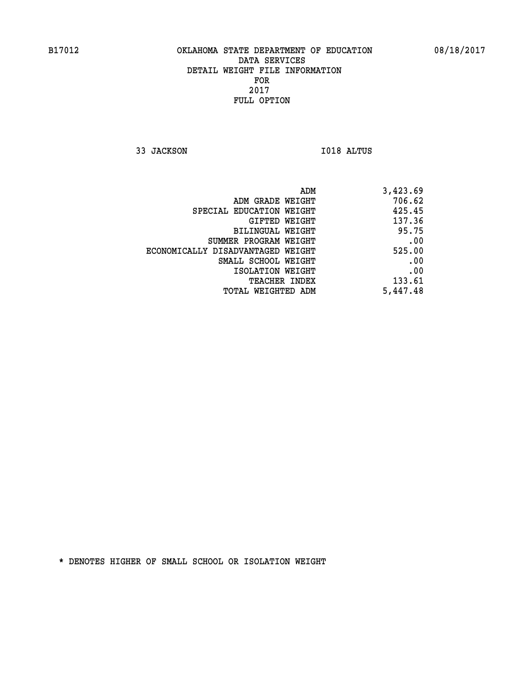**33 JACKSON I018 ALTUS** 

| 3,423.69 |
|----------|
| 706.62   |
| 425.45   |
| 137.36   |
| 95.75    |
| .00      |
| 525.00   |
| .00      |
| .00      |
| 133.61   |
| 5,447.48 |
|          |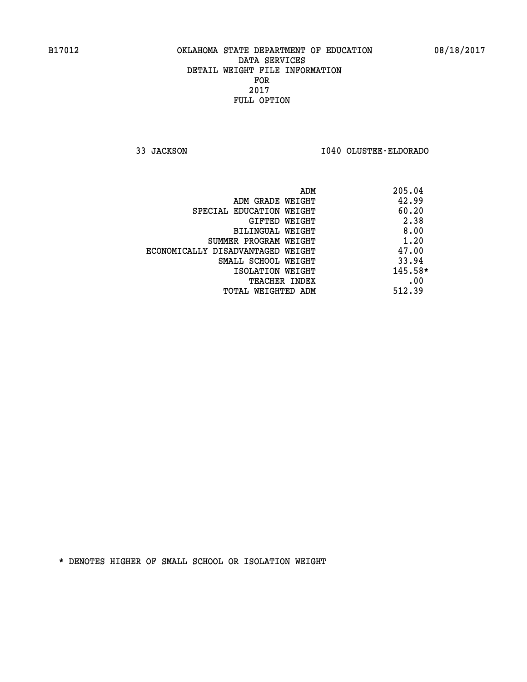**33 JACKSON I040 OLUSTEE-ELDORADO** 

|                                   | 205.04<br>ADM |
|-----------------------------------|---------------|
| ADM GRADE WEIGHT                  | 42.99         |
| SPECIAL EDUCATION WEIGHT          | 60.20         |
| GIFTED WEIGHT                     | 2.38          |
| BILINGUAL WEIGHT                  | 8.00          |
| SUMMER PROGRAM WEIGHT             | 1.20          |
| ECONOMICALLY DISADVANTAGED WEIGHT | 47.00         |
| SMALL SCHOOL WEIGHT               | 33.94         |
| ISOLATION WEIGHT                  | $145.58*$     |
| <b>TEACHER INDEX</b>              | .00           |
| TOTAL WEIGHTED ADM                | 512.39        |
|                                   |               |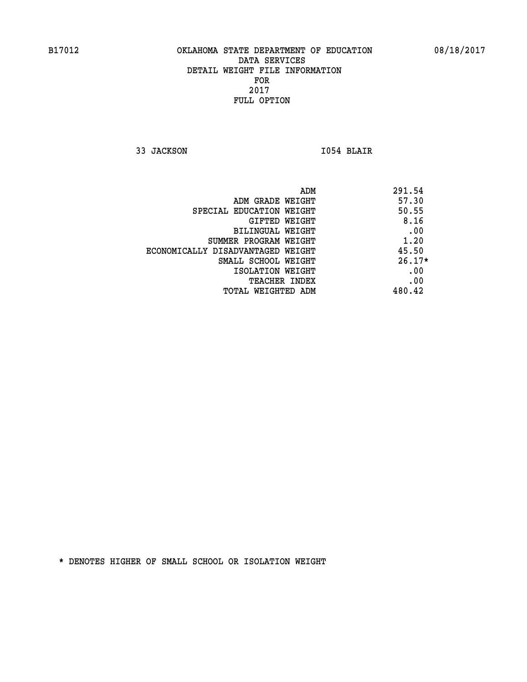**33 JACKSON I054 BLAIR** 

 **ADM 291.54 ADM GRADE WEIGHT 57.30 SPECIAL EDUCATION WEIGHT 50.55 GIFTED WEIGHT 8.16 BILINGUAL WEIGHT .00 SUMMER PROGRAM WEIGHT 1.20 ECONOMICALLY DISADVANTAGED WEIGHT 45.50 SMALL SCHOOL WEIGHT 26.17\* EXECUTED ISOLATION WEIGHT AND RESOLATION WEIGHT TEACHER INDEX** .00  **TOTAL WEIGHTED ADM 480.42**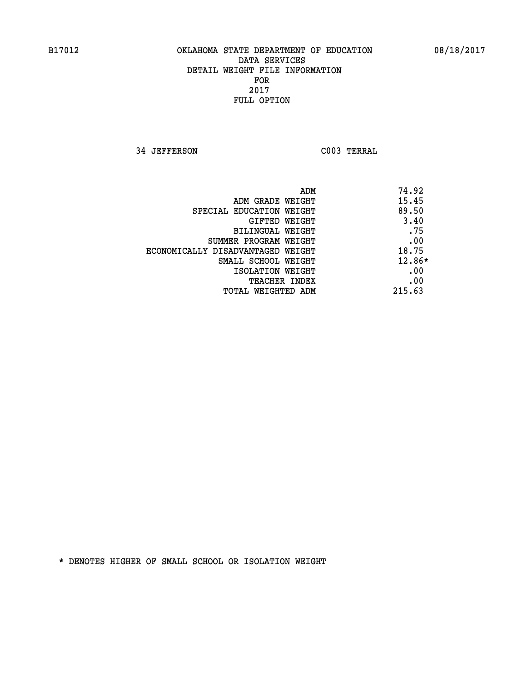**34 JEFFERSON C003 TERRAL** 

| ADM                               | 74.92  |
|-----------------------------------|--------|
| ADM GRADE WEIGHT                  | 15.45  |
| SPECIAL EDUCATION WEIGHT          | 89.50  |
| GIFTED WEIGHT                     | 3.40   |
| BILINGUAL WEIGHT                  | .75    |
| SUMMER PROGRAM WEIGHT             | .00    |
| ECONOMICALLY DISADVANTAGED WEIGHT | 18.75  |
| SMALL SCHOOL WEIGHT               | 12.86* |
| ISOLATION WEIGHT                  | .00    |
| <b>TEACHER INDEX</b>              | .00    |
| TOTAL WEIGHTED ADM                | 215.63 |
|                                   |        |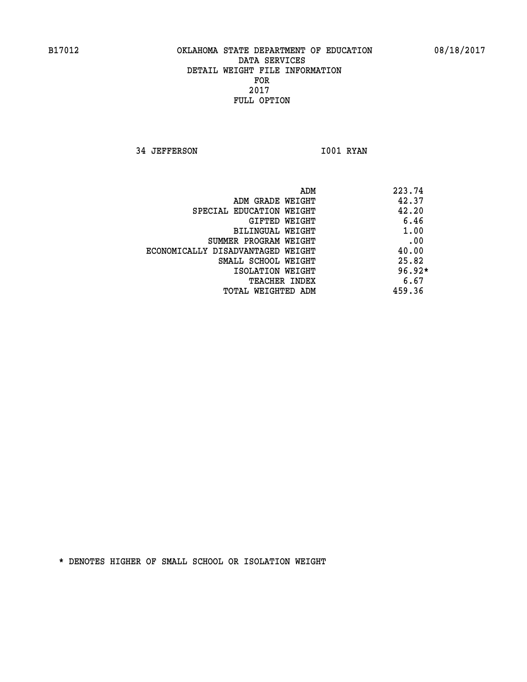**34 JEFFERSON 1001 RYAN** 

|                                   | ADM | 223.74   |
|-----------------------------------|-----|----------|
| ADM GRADE WEIGHT                  |     | 42.37    |
| SPECIAL EDUCATION WEIGHT          |     | 42.20    |
| GIFTED WEIGHT                     |     | 6.46     |
| BILINGUAL WEIGHT                  |     | 1.00     |
| SUMMER PROGRAM WEIGHT             |     | .00      |
| ECONOMICALLY DISADVANTAGED WEIGHT |     | 40.00    |
| SMALL SCHOOL WEIGHT               |     | 25.82    |
| ISOLATION WEIGHT                  |     | $96.92*$ |
| TEACHER INDEX                     |     | 6.67     |
| TOTAL WEIGHTED ADM                |     | 459.36   |
|                                   |     |          |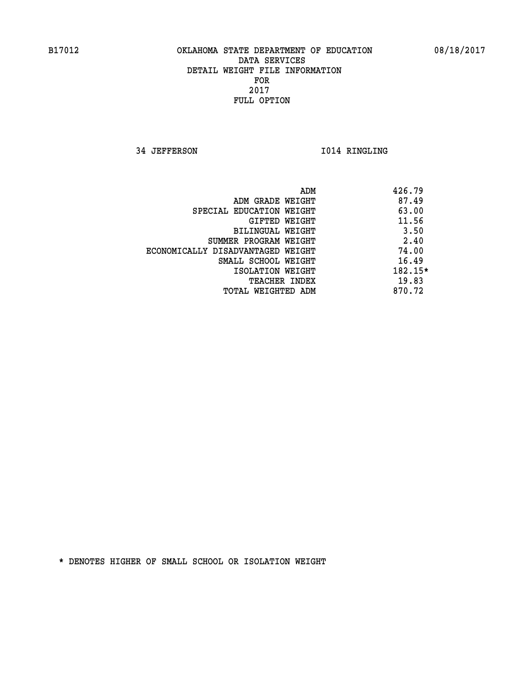**34 JEFFERSON I014 RINGLING** 

|                                   | 426.79<br>ADM |           |
|-----------------------------------|---------------|-----------|
| ADM GRADE WEIGHT                  |               | 87.49     |
| SPECIAL EDUCATION WEIGHT          |               | 63.00     |
| <b>GIFTED WEIGHT</b>              |               | 11.56     |
| BILINGUAL WEIGHT                  |               | 3.50      |
| SUMMER PROGRAM WEIGHT             |               | 2.40      |
| ECONOMICALLY DISADVANTAGED WEIGHT |               | 74.00     |
| SMALL SCHOOL WEIGHT               |               | 16.49     |
| ISOLATION WEIGHT                  |               | $182.15*$ |
| <b>TEACHER INDEX</b>              |               | 19.83     |
| TOTAL WEIGHTED ADM                | 870.72        |           |
|                                   |               |           |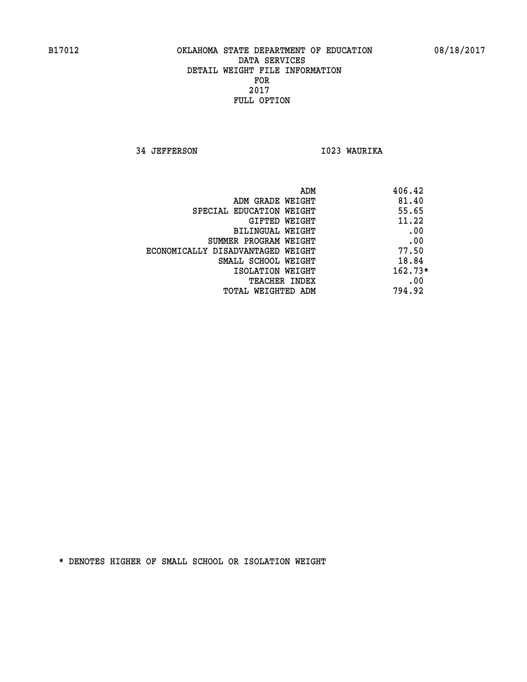**34 JEFFERSON I023 WAURIKA** 

|                                   | ADM | 406.42    |
|-----------------------------------|-----|-----------|
| ADM GRADE WEIGHT                  |     | 81.40     |
| SPECIAL EDUCATION WEIGHT          |     | 55.65     |
| GIFTED WEIGHT                     |     | 11.22     |
| BILINGUAL WEIGHT                  |     | .00       |
| SUMMER PROGRAM WEIGHT             |     | .00       |
| ECONOMICALLY DISADVANTAGED WEIGHT |     | 77.50     |
| SMALL SCHOOL WEIGHT               |     | 18.84     |
| ISOLATION WEIGHT                  |     | $162.73*$ |
| <b>TEACHER INDEX</b>              |     | .00       |
| TOTAL WEIGHTED ADM                |     | 794.92    |
|                                   |     |           |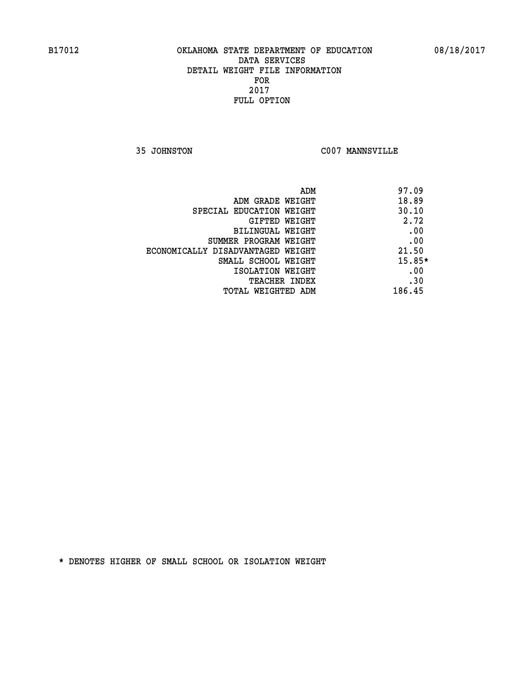**35 JOHNSTON C007 MANNSVILLE** 

| ADM                               | 97.09    |
|-----------------------------------|----------|
| ADM GRADE WEIGHT                  | 18.89    |
| SPECIAL EDUCATION WEIGHT          | 30.10    |
| GIFTED WEIGHT                     | 2.72     |
| BILINGUAL WEIGHT                  | .00      |
| SUMMER PROGRAM WEIGHT             | .00      |
| ECONOMICALLY DISADVANTAGED WEIGHT | 21.50    |
| SMALL SCHOOL WEIGHT               | $15.85*$ |
| ISOLATION WEIGHT                  | .00      |
| <b>TEACHER INDEX</b>              | .30      |
| TOTAL WEIGHTED ADM                | 186.45   |
|                                   |          |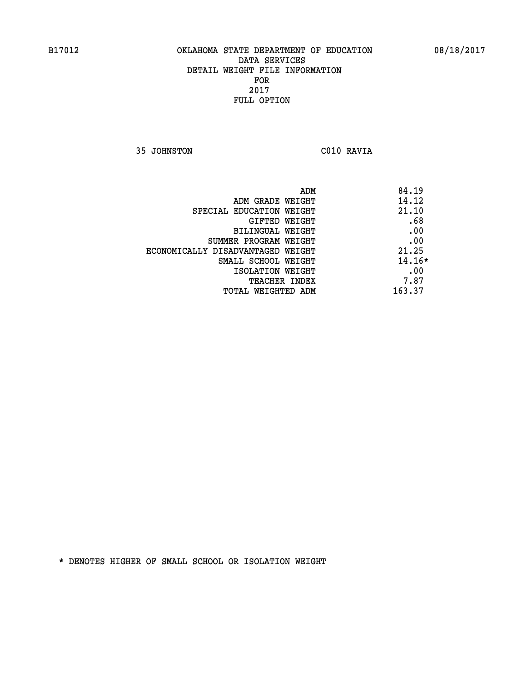**35 JOHNSTON C010 RAVIA** 

| ADM                               | 84.19    |
|-----------------------------------|----------|
| ADM GRADE WEIGHT                  | 14.12    |
| SPECIAL EDUCATION WEIGHT          | 21.10    |
| GIFTED WEIGHT                     | .68      |
| BILINGUAL WEIGHT                  | .00      |
| SUMMER PROGRAM WEIGHT             | .00      |
| ECONOMICALLY DISADVANTAGED WEIGHT | 21.25    |
| SMALL SCHOOL WEIGHT               | $14.16*$ |
| ISOLATION WEIGHT                  | .00      |
| <b>TEACHER INDEX</b>              | 7.87     |
| TOTAL WEIGHTED ADM                | 163.37   |
|                                   |          |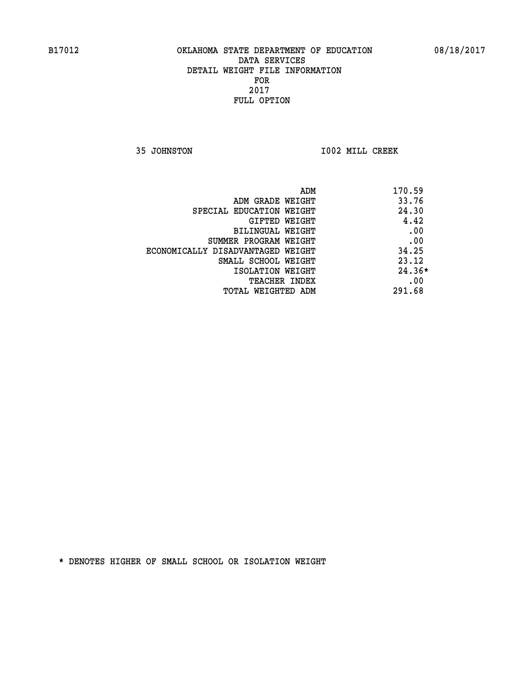**35 JOHNSTON I002 MILL CREEK** 

| ADM                               | 170.59   |
|-----------------------------------|----------|
| ADM GRADE WEIGHT                  | 33.76    |
| SPECIAL EDUCATION WEIGHT          | 24.30    |
| GIFTED WEIGHT                     | 4.42     |
| BILINGUAL WEIGHT                  | .00      |
| SUMMER PROGRAM WEIGHT             | .00      |
| ECONOMICALLY DISADVANTAGED WEIGHT | 34.25    |
| SMALL SCHOOL WEIGHT               | 23.12    |
| ISOLATION WEIGHT                  | $24.36*$ |
| <b>TEACHER INDEX</b>              | .00      |
| TOTAL WEIGHTED ADM                | 291.68   |
|                                   |          |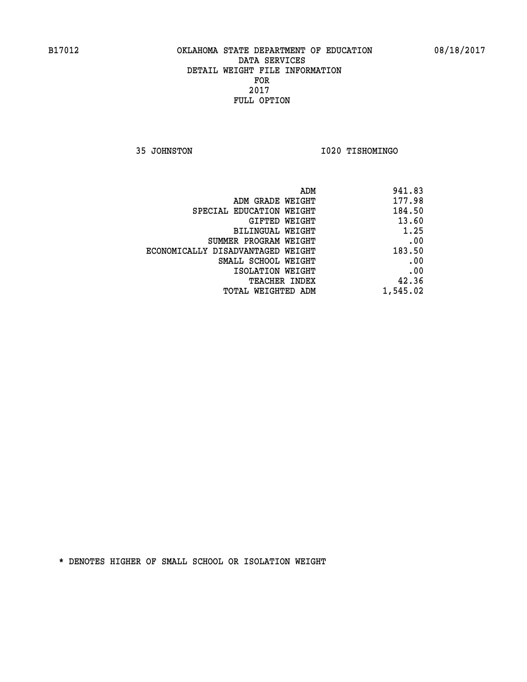**35 JOHNSTON I020 TISHOMINGO** 

| 941.83   |
|----------|
| 177.98   |
| 184.50   |
| 13.60    |
| 1.25     |
| .00      |
| 183.50   |
| .00      |
| .00      |
| 42.36    |
| 1,545.02 |
|          |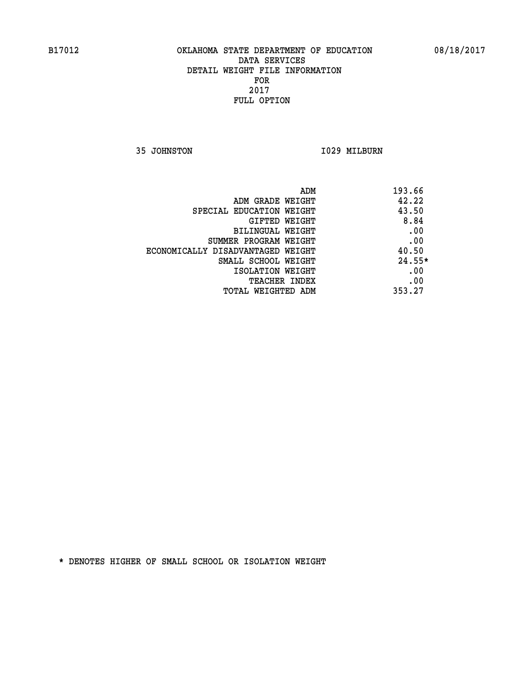**35 JOHNSTON 1029 MILBURN** 

| ADM                               | 193.66   |
|-----------------------------------|----------|
| ADM GRADE WEIGHT                  | 42.22    |
| SPECIAL EDUCATION WEIGHT          | 43.50    |
| GIFTED WEIGHT                     | 8.84     |
| BILINGUAL WEIGHT                  | .00      |
| SUMMER PROGRAM WEIGHT             | .00      |
| ECONOMICALLY DISADVANTAGED WEIGHT | 40.50    |
| SMALL SCHOOL WEIGHT               | $24.55*$ |
| ISOLATION WEIGHT                  | .00      |
| <b>TEACHER INDEX</b>              | .00      |
| TOTAL WEIGHTED ADM                | 353.27   |
|                                   |          |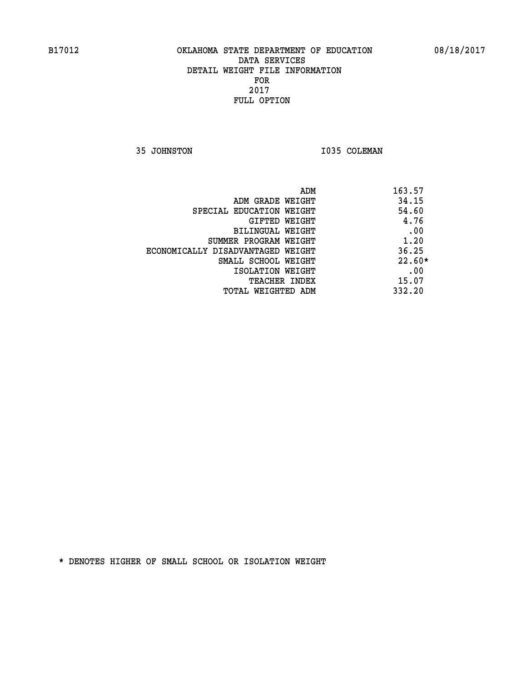**35 JOHNSTON 1035 COLEMAN** 

| ADM                               | 163.57   |
|-----------------------------------|----------|
| ADM GRADE WEIGHT                  | 34.15    |
| SPECIAL EDUCATION WEIGHT          | 54.60    |
| GIFTED WEIGHT                     | 4.76     |
| BILINGUAL WEIGHT                  | .00      |
| SUMMER PROGRAM WEIGHT             | 1.20     |
| ECONOMICALLY DISADVANTAGED WEIGHT | 36.25    |
| SMALL SCHOOL WEIGHT               | $22.60*$ |
| ISOLATION WEIGHT                  | .00      |
| <b>TEACHER INDEX</b>              | 15.07    |
| TOTAL WEIGHTED ADM                | 332.20   |
|                                   |          |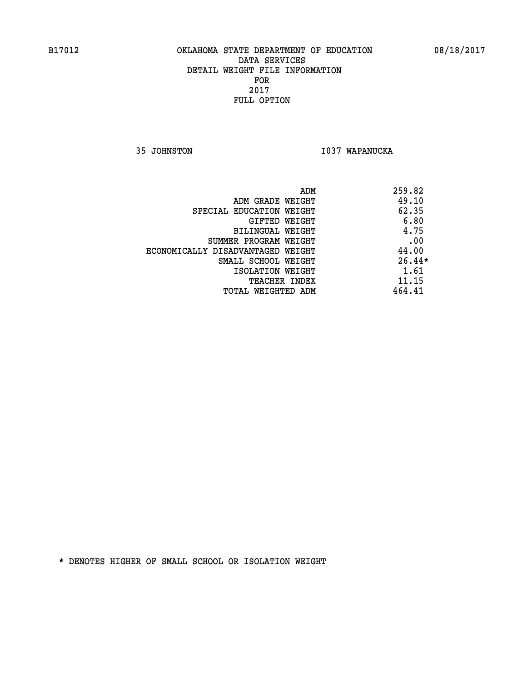**35 JOHNSTON I037 WAPANUCKA** 

| 259.82<br>ADM                              |  |
|--------------------------------------------|--|
| 49.10<br>ADM GRADE WEIGHT                  |  |
| 62.35<br>SPECIAL EDUCATION WEIGHT          |  |
| 6.80<br>GIFTED WEIGHT                      |  |
| 4.75<br>BILINGUAL WEIGHT                   |  |
| .00<br>SUMMER PROGRAM WEIGHT               |  |
| 44.00<br>ECONOMICALLY DISADVANTAGED WEIGHT |  |
| $26.44*$<br>SMALL SCHOOL WEIGHT            |  |
| 1.61<br>ISOLATION WEIGHT                   |  |
| 11.15<br><b>TEACHER INDEX</b>              |  |
| 464.41<br>TOTAL WEIGHTED ADM               |  |
|                                            |  |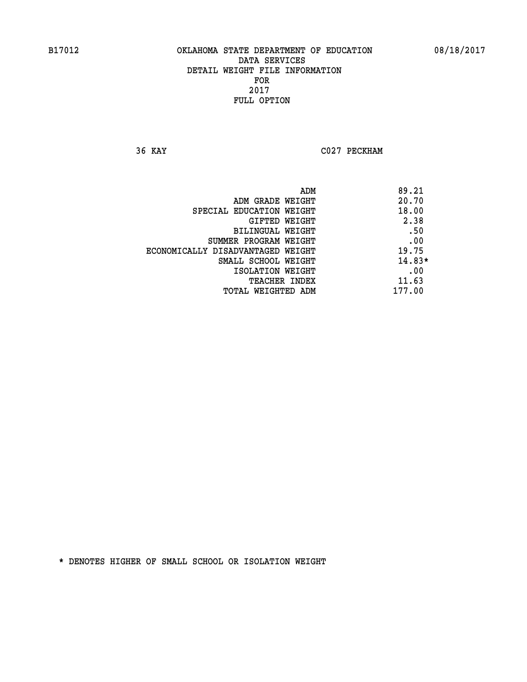**36 KAY C027 PECKHAM** 

|                                   | ADM | 89.21    |
|-----------------------------------|-----|----------|
| ADM GRADE WEIGHT                  |     | 20.70    |
| SPECIAL EDUCATION WEIGHT          |     | 18.00    |
| GIFTED WEIGHT                     |     | 2.38     |
| BILINGUAL WEIGHT                  |     | .50      |
| SUMMER PROGRAM WEIGHT             |     | .00      |
| ECONOMICALLY DISADVANTAGED WEIGHT |     | 19.75    |
| SMALL SCHOOL WEIGHT               |     | $14.83*$ |
| ISOLATION WEIGHT                  |     | .00      |
| TEACHER INDEX                     |     | 11.63    |
| TOTAL WEIGHTED ADM                |     | 177.00   |
|                                   |     |          |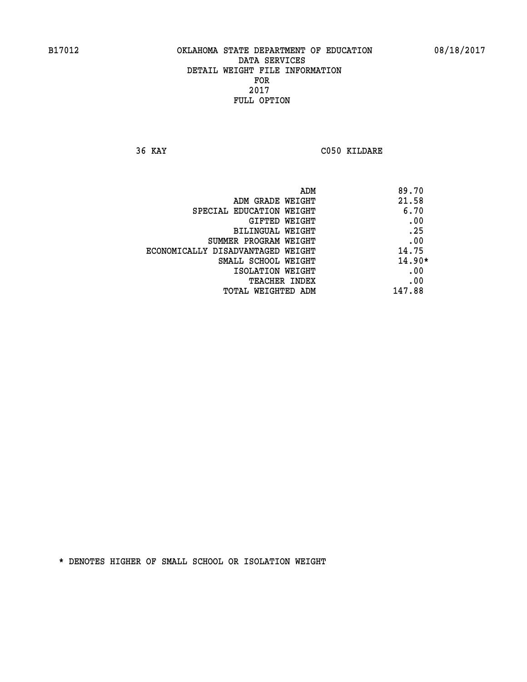**36 KAY C050 KILDARE** 

| ADM                               | 89.70    |
|-----------------------------------|----------|
| ADM GRADE WEIGHT                  | 21.58    |
| SPECIAL EDUCATION WEIGHT          | 6.70     |
| GIFTED WEIGHT                     | .00      |
| BILINGUAL WEIGHT                  | .25      |
| SUMMER PROGRAM WEIGHT             | .00      |
| ECONOMICALLY DISADVANTAGED WEIGHT | 14.75    |
| SMALL SCHOOL WEIGHT               | $14.90*$ |
| ISOLATION WEIGHT                  | .00      |
| TEACHER INDEX                     | .00      |
| TOTAL WEIGHTED ADM                | 147.88   |
|                                   |          |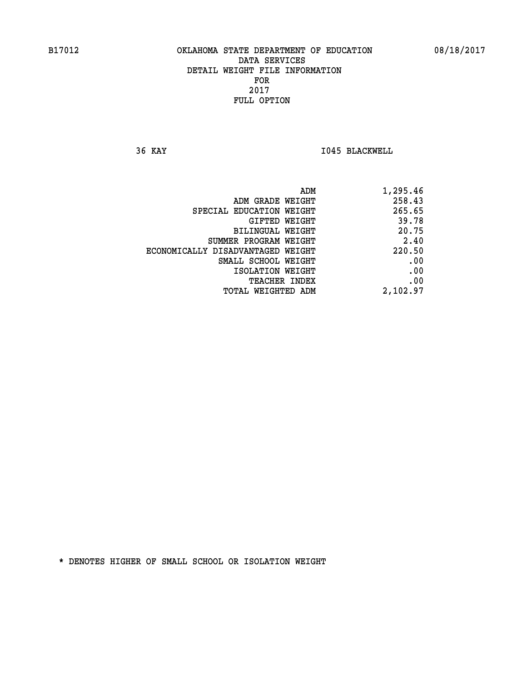**36 KAY I045 BLACKWELL** 

| 1,295.46 |
|----------|
| 258.43   |
| 265.65   |
| 39.78    |
| 20.75    |
| 2.40     |
| 220.50   |
| .00      |
| .00      |
| .00      |
| 2,102.97 |
|          |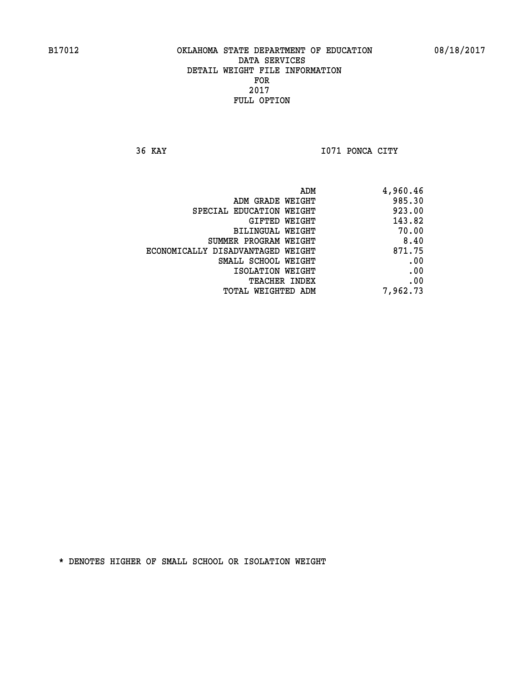**36 KAY I071 PONCA CITY** 

| ADM                               | 4,960.46 |
|-----------------------------------|----------|
| ADM GRADE WEIGHT                  | 985.30   |
| SPECIAL EDUCATION WEIGHT          | 923.00   |
| GIFTED WEIGHT                     | 143.82   |
| BILINGUAL WEIGHT                  | 70.00    |
| SUMMER PROGRAM WEIGHT             | 8.40     |
| ECONOMICALLY DISADVANTAGED WEIGHT | 871.75   |
| SMALL SCHOOL WEIGHT               | .00      |
| ISOLATION WEIGHT                  | .00      |
| TEACHER INDEX                     | .00      |
| TOTAL WEIGHTED ADM                | 7,962.73 |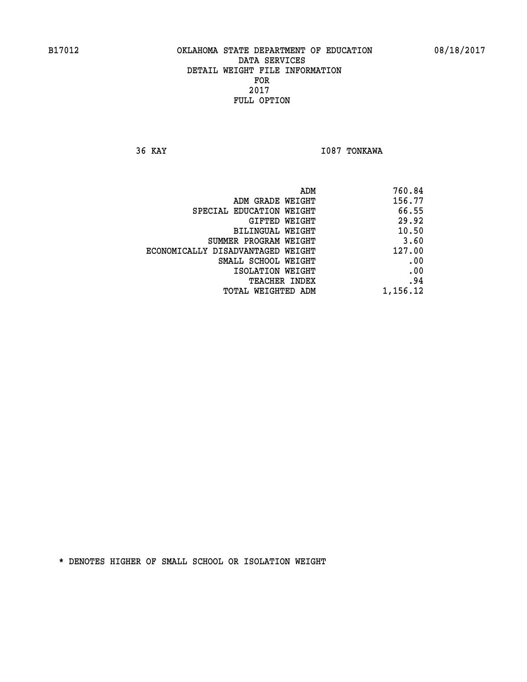**36 KAY I087 TONKAWA** 

| 760.84   |
|----------|
| 156.77   |
| 66.55    |
| 29.92    |
| 10.50    |
| 3.60     |
| 127.00   |
| .00      |
| .00      |
| .94      |
| 1,156.12 |
|          |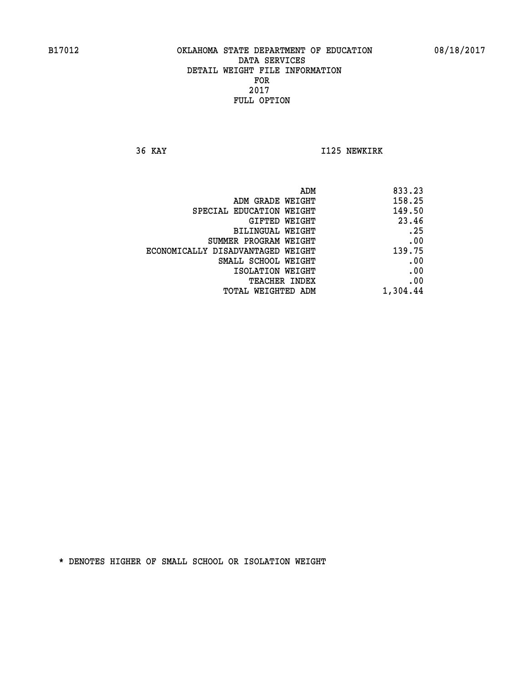**36 KAY I125 NEWKIRK** 

| 833.23   |
|----------|
| 158.25   |
| 149.50   |
| 23.46    |
| .25      |
| .00      |
| 139.75   |
| .00      |
| .00      |
| .00      |
| 1,304.44 |
|          |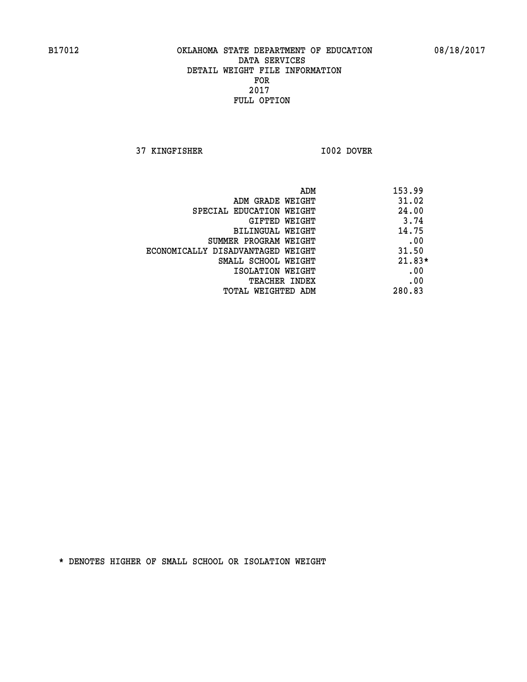**37 KINGFISHER I002 DOVER** 

|                                   | 153.99<br>ADM |
|-----------------------------------|---------------|
| ADM GRADE WEIGHT                  | 31.02         |
| SPECIAL EDUCATION WEIGHT          | 24.00         |
| GIFTED WEIGHT                     | 3.74          |
| BILINGUAL WEIGHT                  | 14.75         |
| SUMMER PROGRAM WEIGHT             | .00           |
| ECONOMICALLY DISADVANTAGED WEIGHT | 31.50         |
| SMALL SCHOOL WEIGHT               | $21.83*$      |
| ISOLATION WEIGHT                  | .00           |
| <b>TEACHER INDEX</b>              | .00           |
| TOTAL WEIGHTED ADM                | 280.83        |
|                                   |               |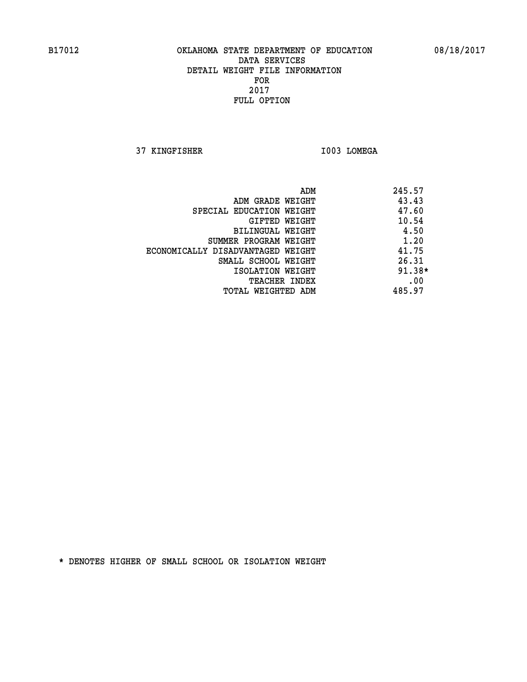**37 KINGFISHER I003 LOMEGA** 

|                                   | ADM | 245.57   |
|-----------------------------------|-----|----------|
| ADM GRADE WEIGHT                  |     | 43.43    |
| SPECIAL EDUCATION WEIGHT          |     | 47.60    |
| GIFTED WEIGHT                     |     | 10.54    |
| BILINGUAL WEIGHT                  |     | 4.50     |
| SUMMER PROGRAM WEIGHT             |     | 1.20     |
| ECONOMICALLY DISADVANTAGED WEIGHT |     | 41.75    |
| SMALL SCHOOL WEIGHT               |     | 26.31    |
| ISOLATION WEIGHT                  |     | $91.38*$ |
| <b>TEACHER INDEX</b>              |     | .00      |
| TOTAL WEIGHTED ADM                |     | 485.97   |
|                                   |     |          |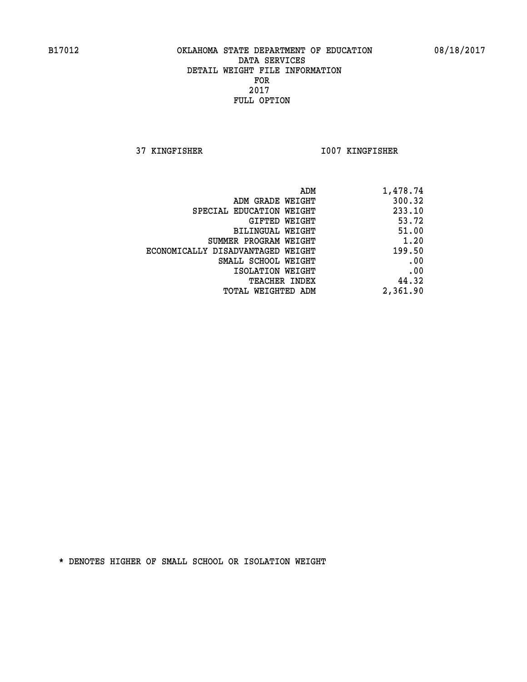**37 KINGFISHER I007 KINGFISHER** 

| ADM                               | 1,478.74 |
|-----------------------------------|----------|
| ADM GRADE WEIGHT                  | 300.32   |
| SPECIAL EDUCATION WEIGHT          | 233.10   |
| GIFTED WEIGHT                     | 53.72    |
| BILINGUAL WEIGHT                  | 51.00    |
| SUMMER PROGRAM WEIGHT             | 1.20     |
| ECONOMICALLY DISADVANTAGED WEIGHT | 199.50   |
| SMALL SCHOOL WEIGHT               | .00      |
| ISOLATION WEIGHT                  | .00      |
| TEACHER INDEX                     | 44.32    |
| TOTAL WEIGHTED ADM                | 2,361.90 |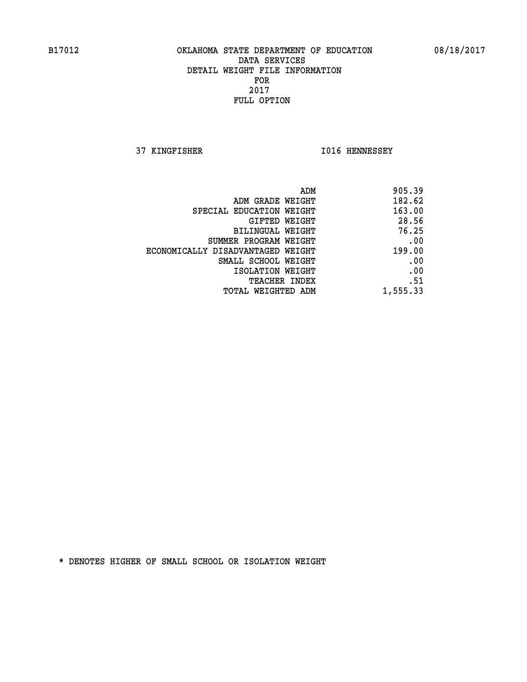**37 KINGFISHER I016 HENNESSEY** 

|                                   | 905.39<br>ADM |
|-----------------------------------|---------------|
| ADM GRADE WEIGHT                  | 182.62        |
| SPECIAL EDUCATION WEIGHT          | 163.00        |
| GIFTED WEIGHT                     | 28.56         |
| <b>BILINGUAL WEIGHT</b>           | 76.25         |
| SUMMER PROGRAM WEIGHT             | .00           |
| ECONOMICALLY DISADVANTAGED WEIGHT | 199.00        |
| SMALL SCHOOL WEIGHT               | .00           |
| ISOLATION WEIGHT                  | .00           |
| TEACHER INDEX                     | .51           |
| TOTAL WEIGHTED ADM                | 1,555.33      |
|                                   |               |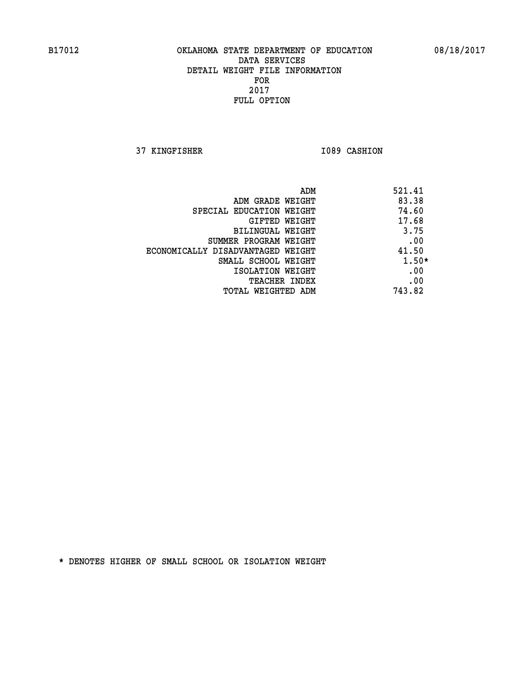**37 KINGFISHER 1089 CASHION** 

| ADM                               | 521.41  |
|-----------------------------------|---------|
| ADM GRADE WEIGHT                  | 83.38   |
| SPECIAL EDUCATION WEIGHT          | 74.60   |
| GIFTED WEIGHT                     | 17.68   |
| BILINGUAL WEIGHT                  | 3.75    |
| SUMMER PROGRAM WEIGHT             | .00     |
| ECONOMICALLY DISADVANTAGED WEIGHT | 41.50   |
| SMALL SCHOOL WEIGHT               | $1.50*$ |
| ISOLATION WEIGHT                  | .00     |
| <b>TEACHER INDEX</b>              | .00     |
| TOTAL WEIGHTED ADM                | 743.82  |
|                                   |         |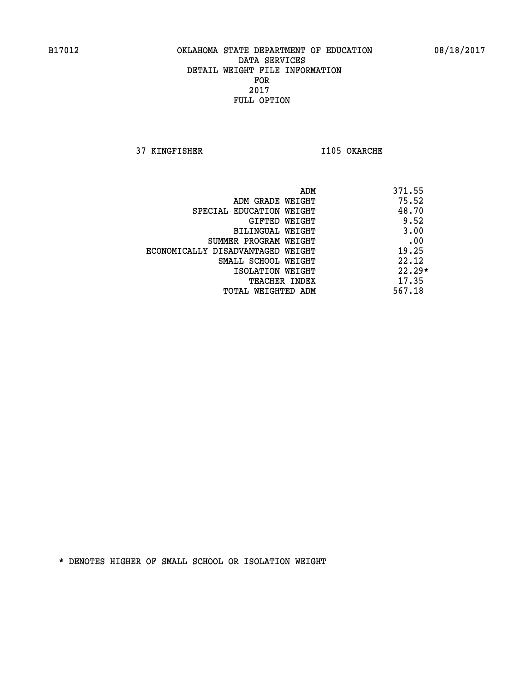**37 KINGFISHER I105 OKARCHE** 

|                                   | ADM | 371.55   |
|-----------------------------------|-----|----------|
| ADM GRADE WEIGHT                  |     | 75.52    |
| SPECIAL EDUCATION WEIGHT          |     | 48.70    |
| GIFTED WEIGHT                     |     | 9.52     |
| BILINGUAL WEIGHT                  |     | 3.00     |
| SUMMER PROGRAM WEIGHT             |     | .00      |
| ECONOMICALLY DISADVANTAGED WEIGHT |     | 19.25    |
| SMALL SCHOOL WEIGHT               |     | 22.12    |
| ISOLATION WEIGHT                  |     | $22.29*$ |
| <b>TEACHER INDEX</b>              |     | 17.35    |
| TOTAL WEIGHTED ADM                |     | 567.18   |
|                                   |     |          |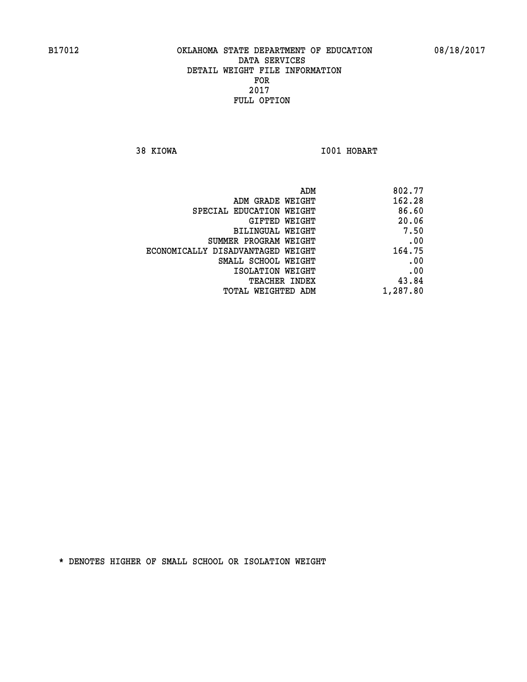**38 KIOWA I001 HOBART** 

| 802.77   |
|----------|
| 162.28   |
| 86.60    |
| 20.06    |
| 7.50     |
| .00      |
| 164.75   |
| .00      |
| .00      |
| 43.84    |
| 1,287.80 |
|          |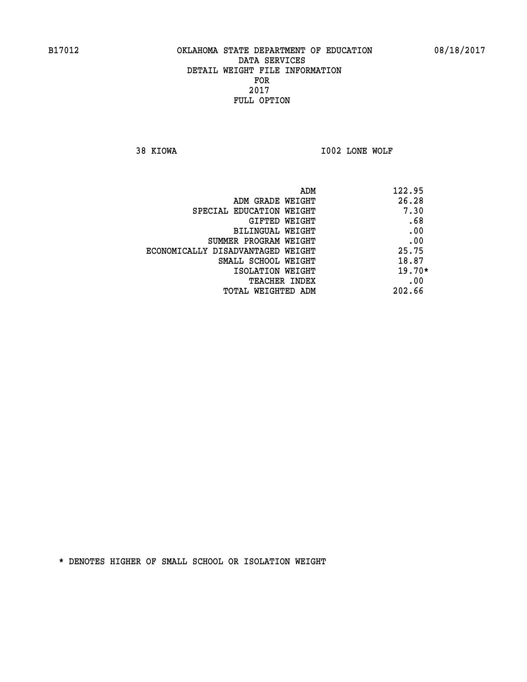**38 KIOWA I002 LONE WOLF** 

| ADM                               | 122.95   |
|-----------------------------------|----------|
| ADM GRADE WEIGHT                  | 26.28    |
| SPECIAL EDUCATION WEIGHT          | 7.30     |
| GIFTED WEIGHT                     | .68      |
| BILINGUAL WEIGHT                  | .00      |
| SUMMER PROGRAM WEIGHT             | .00      |
| ECONOMICALLY DISADVANTAGED WEIGHT | 25.75    |
| SMALL SCHOOL WEIGHT               | 18.87    |
| ISOLATION WEIGHT                  | $19.70*$ |
| <b>TEACHER INDEX</b>              | .00      |
| TOTAL WEIGHTED ADM                | 202.66   |
|                                   |          |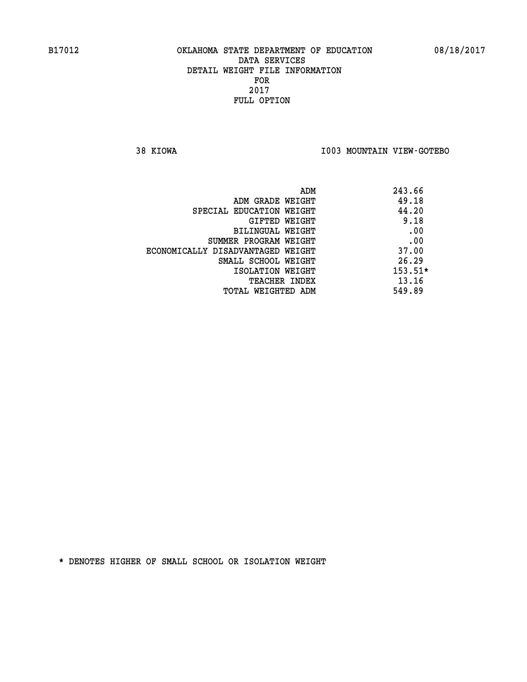**38 KIOWA I003 MOUNTAIN VIEW-GOTEBO** 

|                                   | ADM | 243.66    |
|-----------------------------------|-----|-----------|
| ADM GRADE WEIGHT                  |     | 49.18     |
| SPECIAL EDUCATION WEIGHT          |     | 44.20     |
| GIFTED WEIGHT                     |     | 9.18      |
| BILINGUAL WEIGHT                  |     | .00       |
| SUMMER PROGRAM WEIGHT             |     | .00       |
| ECONOMICALLY DISADVANTAGED WEIGHT |     | 37.00     |
| SMALL SCHOOL WEIGHT               |     | 26.29     |
| ISOLATION WEIGHT                  |     | $153.51*$ |
| <b>TEACHER INDEX</b>              |     | 13.16     |
| TOTAL WEIGHTED ADM                |     | 549.89    |
|                                   |     |           |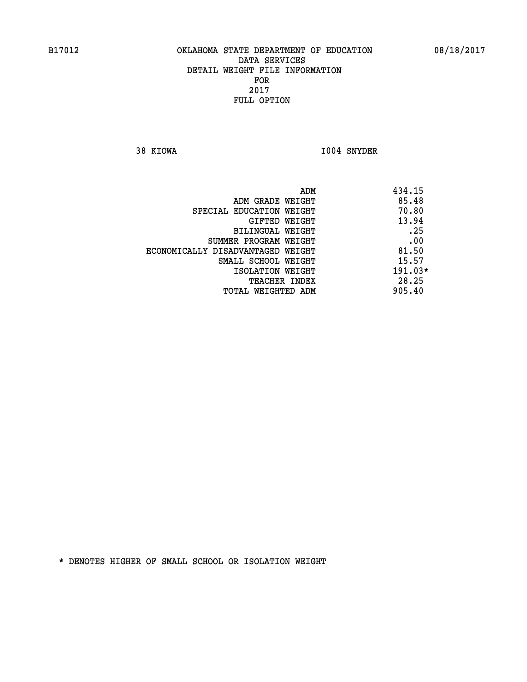**38 KIOWA I004 SNYDER** 

|                                   | ADM | 434.15    |
|-----------------------------------|-----|-----------|
| ADM GRADE WEIGHT                  |     | 85.48     |
| SPECIAL EDUCATION WEIGHT          |     | 70.80     |
| GIFTED WEIGHT                     |     | 13.94     |
| BILINGUAL WEIGHT                  |     | .25       |
| SUMMER PROGRAM WEIGHT             |     | .00       |
| ECONOMICALLY DISADVANTAGED WEIGHT |     | 81.50     |
| SMALL SCHOOL WEIGHT               |     | 15.57     |
| ISOLATION WEIGHT                  |     | $191.03*$ |
| TEACHER INDEX                     |     | 28.25     |
| TOTAL WEIGHTED ADM                |     | 905.40    |
|                                   |     |           |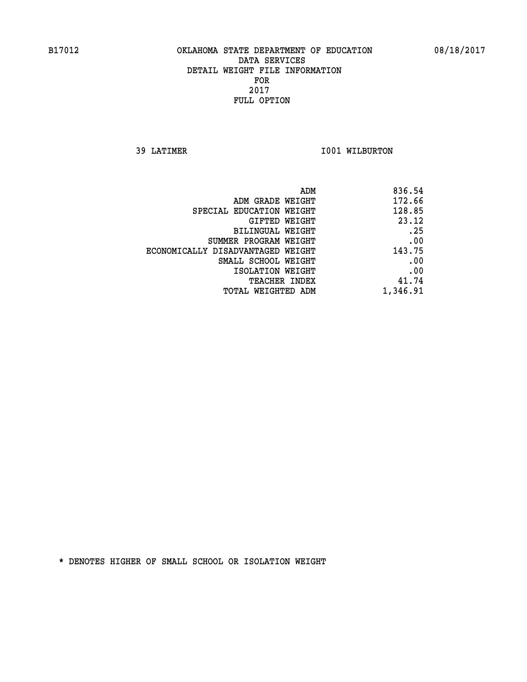**39 LATIMER 1001 WILBURTON** 

| 836.54   |
|----------|
| 172.66   |
| 128.85   |
| 23.12    |
| .25      |
| .00      |
| 143.75   |
| .00      |
| .00      |
| 41.74    |
| 1,346.91 |
|          |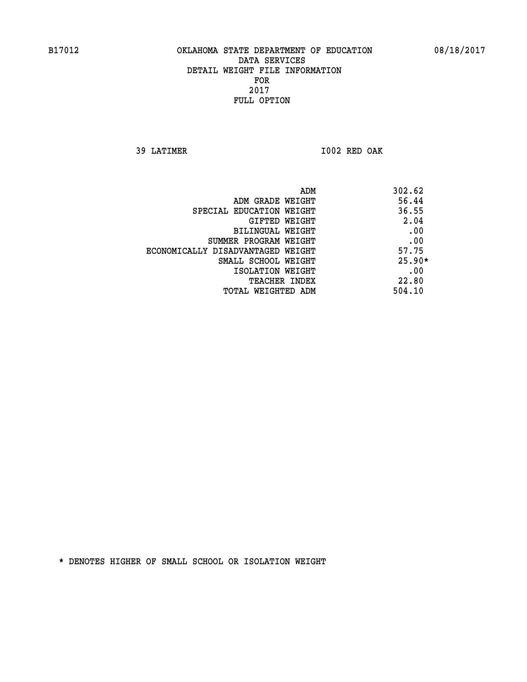**39 LATIMER I002 RED OAK** 

| ADM<br>302.62                   |                                   |
|---------------------------------|-----------------------------------|
| 56.44<br>ADM GRADE WEIGHT       |                                   |
| 36.55                           | SPECIAL EDUCATION WEIGHT          |
| 2.04<br>GIFTED WEIGHT           |                                   |
| .00<br>BILINGUAL WEIGHT         |                                   |
| .00                             | SUMMER PROGRAM WEIGHT             |
| 57.75                           | ECONOMICALLY DISADVANTAGED WEIGHT |
| $25.90*$<br>SMALL SCHOOL WEIGHT |                                   |
| .00<br>ISOLATION WEIGHT         |                                   |
| 22.80<br><b>TEACHER INDEX</b>   |                                   |
| 504.10<br>TOTAL WEIGHTED ADM    |                                   |
|                                 |                                   |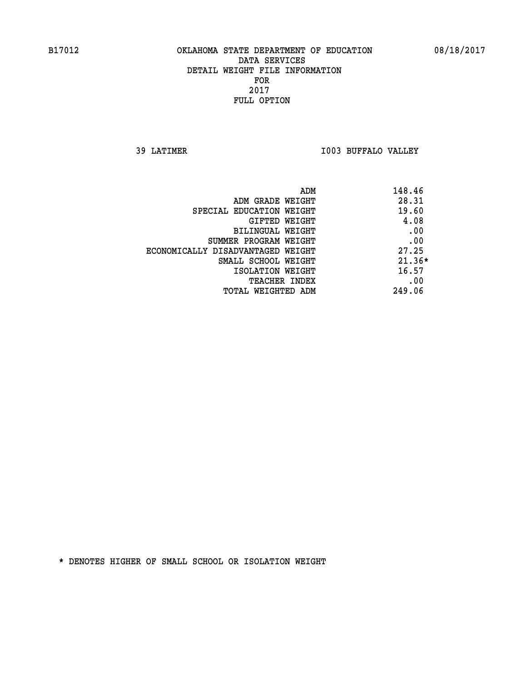**39 LATIMER I003 BUFFALO VALLEY** 

| ADM                               | 148.46   |
|-----------------------------------|----------|
| ADM GRADE WEIGHT                  | 28.31    |
| SPECIAL EDUCATION WEIGHT          | 19.60    |
| GIFTED WEIGHT                     | 4.08     |
| BILINGUAL WEIGHT                  | .00      |
| SUMMER PROGRAM WEIGHT             | .00      |
| ECONOMICALLY DISADVANTAGED WEIGHT | 27.25    |
| SMALL SCHOOL WEIGHT               | $21.36*$ |
| ISOLATION WEIGHT                  | 16.57    |
| <b>TEACHER INDEX</b>              | .00      |
| TOTAL WEIGHTED ADM                | 249.06   |
|                                   |          |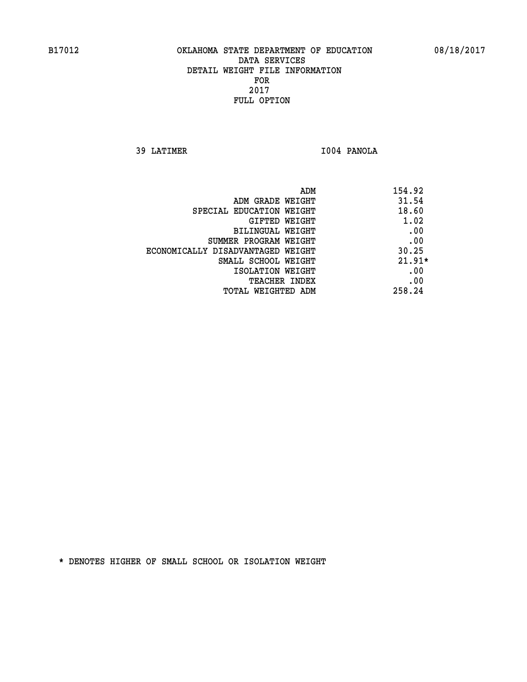**39 LATIMER I004 PANOLA** 

| ADM                               | 154.92   |
|-----------------------------------|----------|
| ADM GRADE WEIGHT                  | 31.54    |
| SPECIAL EDUCATION WEIGHT          | 18.60    |
| GIFTED WEIGHT                     | 1.02     |
| BILINGUAL WEIGHT                  | .00      |
| SUMMER PROGRAM WEIGHT             | .00      |
| ECONOMICALLY DISADVANTAGED WEIGHT | 30.25    |
| SMALL SCHOOL WEIGHT               | $21.91*$ |
| ISOLATION WEIGHT                  | .00      |
| <b>TEACHER INDEX</b>              | .00      |
| TOTAL WEIGHTED ADM                | 258.24   |
|                                   |          |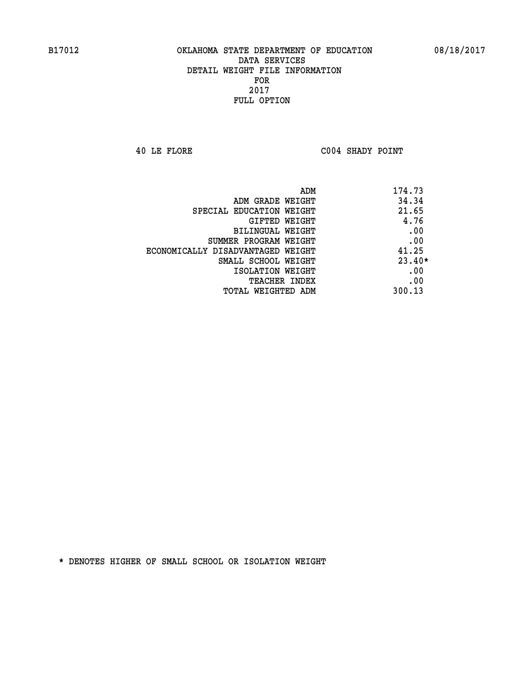**40 LE FLORE C004 SHADY POINT** 

| ADM                               | 174.73   |
|-----------------------------------|----------|
| ADM GRADE WEIGHT                  | 34.34    |
| SPECIAL EDUCATION WEIGHT          | 21.65    |
| GIFTED WEIGHT                     | 4.76     |
| BILINGUAL WEIGHT                  | .00      |
| SUMMER PROGRAM WEIGHT             | .00      |
| ECONOMICALLY DISADVANTAGED WEIGHT | 41.25    |
| SMALL SCHOOL WEIGHT               | $23.40*$ |
| ISOLATION WEIGHT                  | .00      |
| TEACHER INDEX                     | .00      |
| TOTAL WEIGHTED ADM                | 300.13   |
|                                   |          |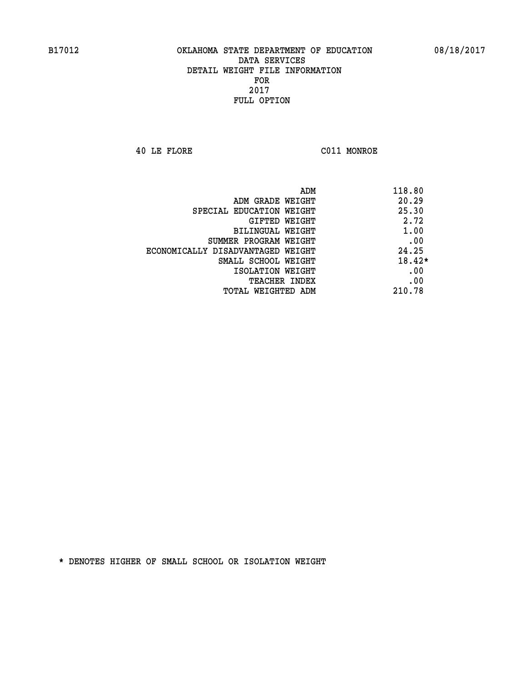**40 LE FLORE C011 MONROE** 

|                                   | 118.80<br>ADM |
|-----------------------------------|---------------|
| ADM GRADE WEIGHT                  | 20.29         |
| SPECIAL EDUCATION WEIGHT          | 25.30         |
| GIFTED WEIGHT                     | 2.72          |
| BILINGUAL WEIGHT                  | 1.00          |
| SUMMER PROGRAM WEIGHT             | .00           |
| ECONOMICALLY DISADVANTAGED WEIGHT | 24.25         |
| SMALL SCHOOL WEIGHT               | $18.42*$      |
| ISOLATION WEIGHT                  | .00           |
| <b>TEACHER INDEX</b>              | .00           |
| TOTAL WEIGHTED ADM                | 210.78        |
|                                   |               |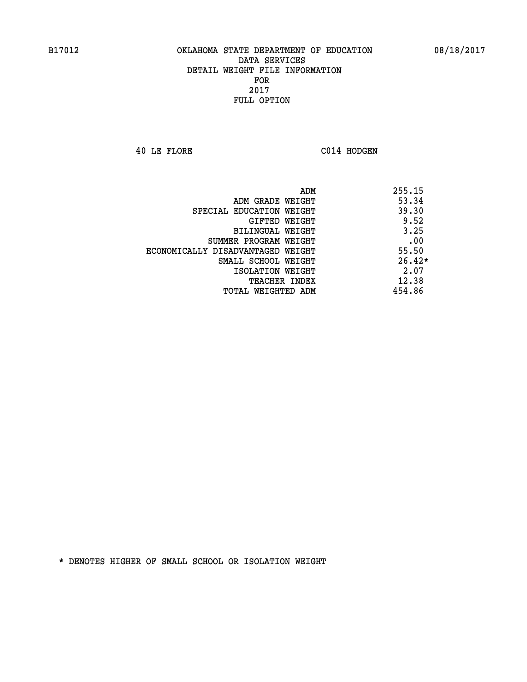**40 LE FLORE C014 HODGEN** 

|                                   | ADM<br>255.15 |
|-----------------------------------|---------------|
| ADM GRADE WEIGHT                  | 53.34         |
| SPECIAL EDUCATION WEIGHT          | 39.30         |
| GIFTED WEIGHT                     | 9.52          |
| BILINGUAL WEIGHT                  | 3.25          |
| SUMMER PROGRAM WEIGHT             | .00           |
| ECONOMICALLY DISADVANTAGED WEIGHT | 55.50         |
| SMALL SCHOOL WEIGHT               | $26.42*$      |
| ISOLATION WEIGHT                  | 2.07          |
| <b>TEACHER INDEX</b>              | 12.38         |
| TOTAL WEIGHTED ADM                | 454.86        |
|                                   |               |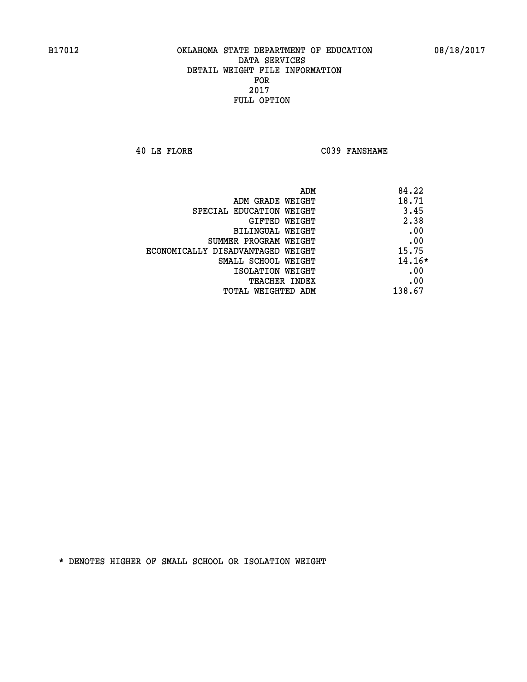**40 LE FLORE C039 FANSHAWE** 

| ADM                               | 84.22    |
|-----------------------------------|----------|
| ADM GRADE WEIGHT                  | 18.71    |
| SPECIAL EDUCATION WEIGHT          | 3.45     |
| GIFTED WEIGHT                     | 2.38     |
| BILINGUAL WEIGHT                  | .00      |
| SUMMER PROGRAM WEIGHT             | .00      |
| ECONOMICALLY DISADVANTAGED WEIGHT | 15.75    |
| SMALL SCHOOL WEIGHT               | $14.16*$ |
| ISOLATION WEIGHT                  | .00      |
| <b>TEACHER INDEX</b>              | .00      |
| TOTAL WEIGHTED ADM                | 138.67   |
|                                   |          |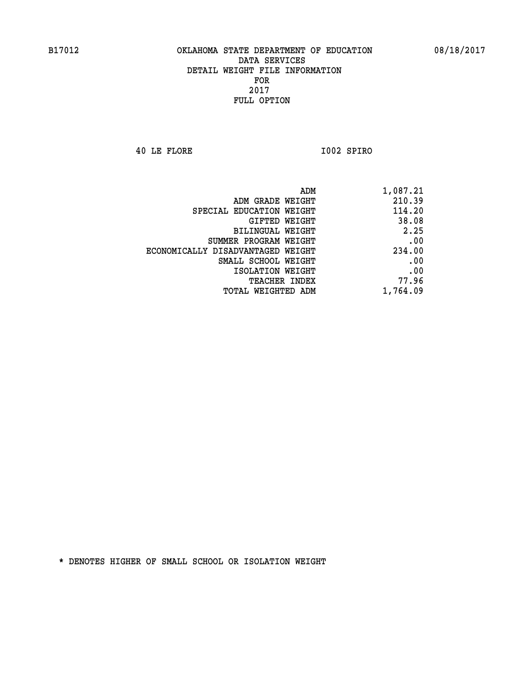**40 LE FLORE I002 SPIRO** 

| 1,087.21 |
|----------|
| 210.39   |
| 114.20   |
| 38.08    |
| 2.25     |
| .00      |
| 234.00   |
| .00      |
| .00      |
| 77.96    |
| 1,764.09 |
|          |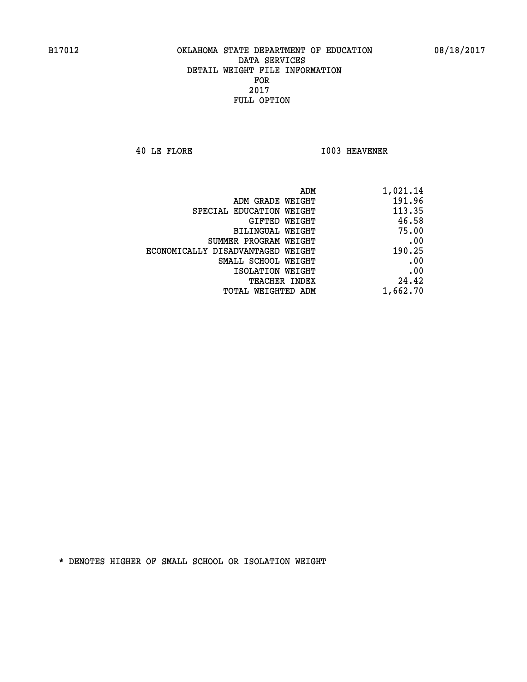**40 LE FLORE I003 HEAVENER** 

| 1,021.14 |
|----------|
| 191.96   |
| 113.35   |
| 46.58    |
| 75.00    |
| .00      |
| 190.25   |
| .00      |
| .00      |
| 24.42    |
| 1,662.70 |
|          |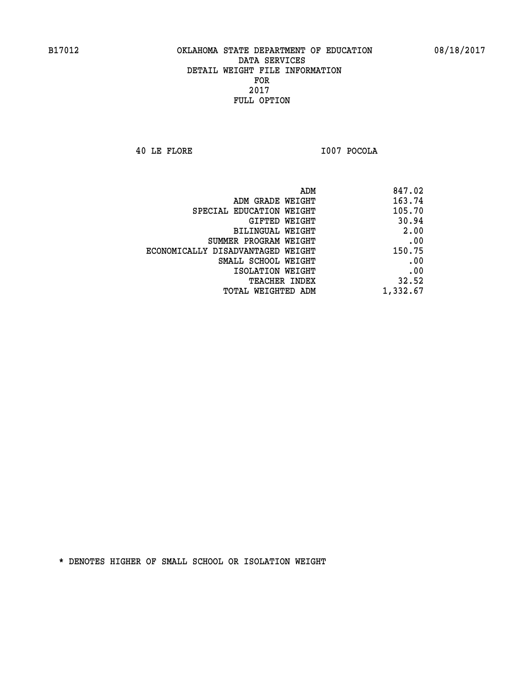**40 LE FLORE I007 POCOLA** 

|                                   | ADM | 847.02   |
|-----------------------------------|-----|----------|
| ADM GRADE WEIGHT                  |     | 163.74   |
| SPECIAL EDUCATION WEIGHT          |     | 105.70   |
| GIFTED WEIGHT                     |     | 30.94    |
| BILINGUAL WEIGHT                  |     | 2.00     |
| SUMMER PROGRAM WEIGHT             |     | .00      |
| ECONOMICALLY DISADVANTAGED WEIGHT |     | 150.75   |
| SMALL SCHOOL WEIGHT               |     | .00      |
| ISOLATION WEIGHT                  |     | .00      |
| TEACHER INDEX                     |     | 32.52    |
| TOTAL WEIGHTED ADM                |     | 1,332.67 |
|                                   |     |          |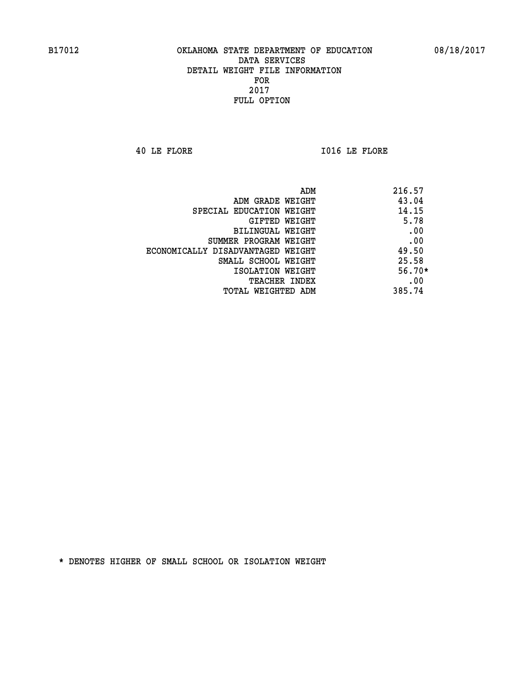**40 LE FLORE I016 LE FLORE** 

| ADM                               | 216.57   |
|-----------------------------------|----------|
| ADM GRADE WEIGHT                  | 43.04    |
| SPECIAL EDUCATION WEIGHT          | 14.15    |
| <b>GIFTED WEIGHT</b>              | 5.78     |
| <b>BILINGUAL WEIGHT</b>           | .00      |
| SUMMER PROGRAM WEIGHT             | .00      |
| ECONOMICALLY DISADVANTAGED WEIGHT | 49.50    |
| SMALL SCHOOL WEIGHT               | 25.58    |
| ISOLATION WEIGHT                  | $56.70*$ |
| <b>TEACHER INDEX</b>              | .00      |
| TOTAL WEIGHTED ADM                | 385.74   |
|                                   |          |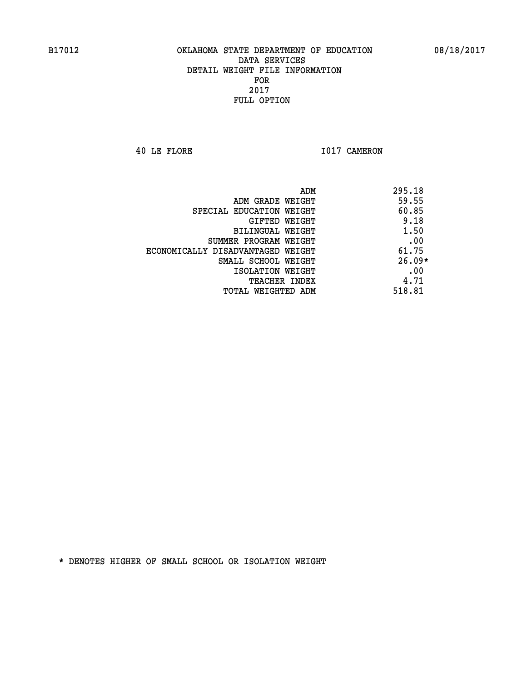**40 LE FLORE 1017 CAMERON** 

|                                   | ADM<br>295.18 |
|-----------------------------------|---------------|
| ADM GRADE WEIGHT                  | 59.55         |
| SPECIAL EDUCATION WEIGHT          | 60.85         |
| GIFTED WEIGHT                     | 9.18          |
| BILINGUAL WEIGHT                  | 1.50          |
| SUMMER PROGRAM WEIGHT             | .00           |
| ECONOMICALLY DISADVANTAGED WEIGHT | 61.75         |
| SMALL SCHOOL WEIGHT               | $26.09*$      |
| ISOLATION WEIGHT                  | .00           |
| <b>TEACHER INDEX</b>              | 4.71          |
| TOTAL WEIGHTED ADM                | 518.81        |
|                                   |               |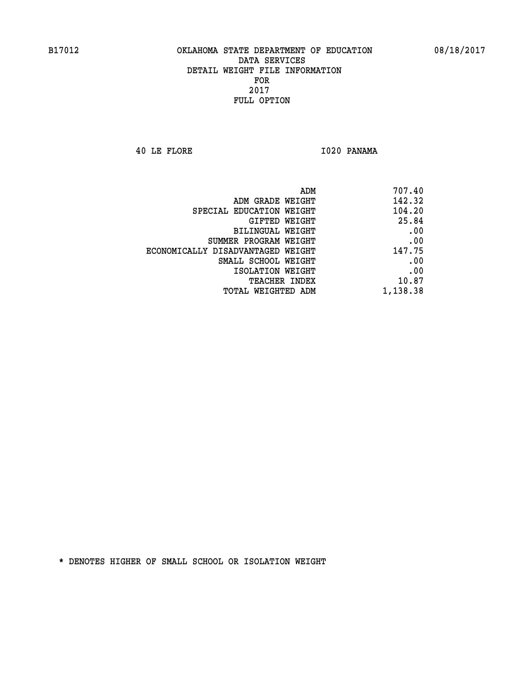**40 LE FLORE I020 PANAMA** 

| 707.40   |
|----------|
| 142.32   |
| 104.20   |
| 25.84    |
| .00      |
| .00      |
| 147.75   |
| .00      |
| .00      |
| 10.87    |
| 1,138.38 |
|          |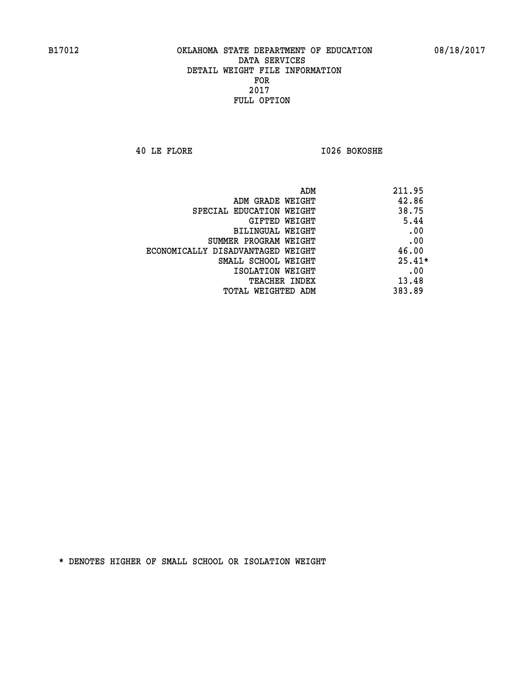**40 LE FLORE I026 BOKOSHE** 

| ADM                               | 211.95   |
|-----------------------------------|----------|
| ADM GRADE WEIGHT                  | 42.86    |
| SPECIAL EDUCATION WEIGHT          | 38.75    |
| GIFTED WEIGHT                     | 5.44     |
| BILINGUAL WEIGHT                  | .00      |
| SUMMER PROGRAM WEIGHT             | .00      |
| ECONOMICALLY DISADVANTAGED WEIGHT | 46.00    |
| SMALL SCHOOL WEIGHT               | $25.41*$ |
| ISOLATION WEIGHT                  | .00      |
| <b>TEACHER INDEX</b>              | 13.48    |
| TOTAL WEIGHTED ADM                | 383.89   |
|                                   |          |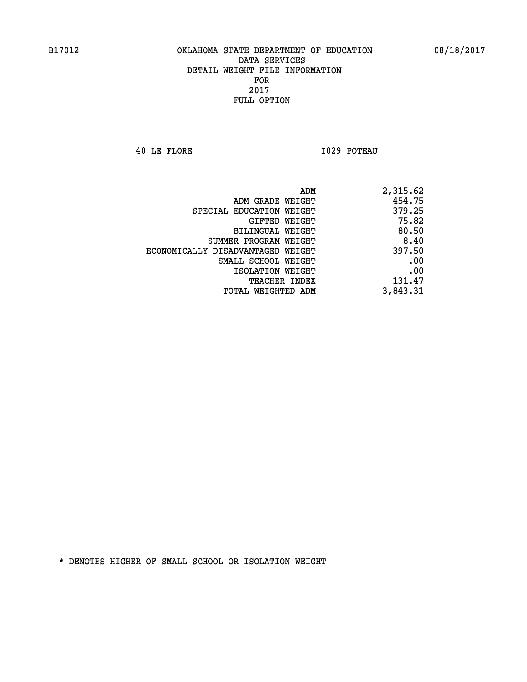**40 LE FLORE I029 POTEAU** 

| 2,315.62 |
|----------|
| 454.75   |
| 379.25   |
| 75.82    |
| 80.50    |
| 8.40     |
| 397.50   |
| .00      |
| .00      |
| 131.47   |
| 3,843.31 |
|          |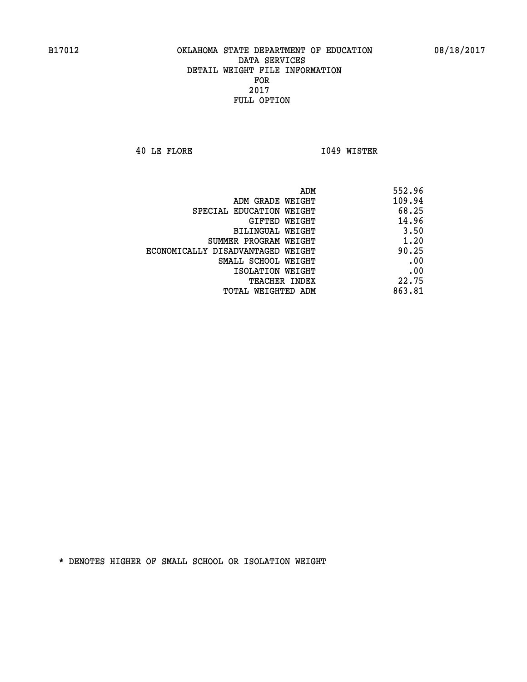**40 LE FLORE I049 WISTER** 

| ADM                               | 552.96 |
|-----------------------------------|--------|
| ADM GRADE WEIGHT                  | 109.94 |
| SPECIAL EDUCATION WEIGHT          | 68.25  |
| <b>GIFTED WEIGHT</b>              | 14.96  |
| <b>BILINGUAL WEIGHT</b>           | 3.50   |
| SUMMER PROGRAM WEIGHT             | 1.20   |
| ECONOMICALLY DISADVANTAGED WEIGHT | 90.25  |
| SMALL SCHOOL WEIGHT               | .00    |
| ISOLATION WEIGHT                  | .00    |
| TEACHER INDEX                     | 22.75  |
| TOTAL WEIGHTED ADM                | 863.81 |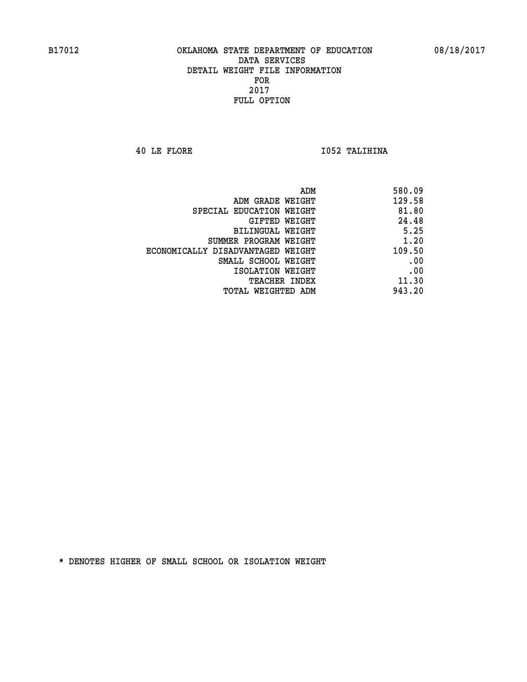**40 LE FLORE I052 TALIHINA** 

| ADM<br>580.09                               |
|---------------------------------------------|
| 129.58<br>ADM GRADE WEIGHT                  |
| 81.80<br>SPECIAL EDUCATION WEIGHT           |
| 24.48<br>GIFTED WEIGHT                      |
| 5.25<br>BILINGUAL WEIGHT                    |
| 1.20<br>SUMMER PROGRAM WEIGHT               |
| 109.50<br>ECONOMICALLY DISADVANTAGED WEIGHT |
| .00<br>SMALL SCHOOL WEIGHT                  |
| .00<br>ISOLATION WEIGHT                     |
| 11.30<br><b>TEACHER INDEX</b>               |
| 943.20<br>TOTAL WEIGHTED ADM                |
|                                             |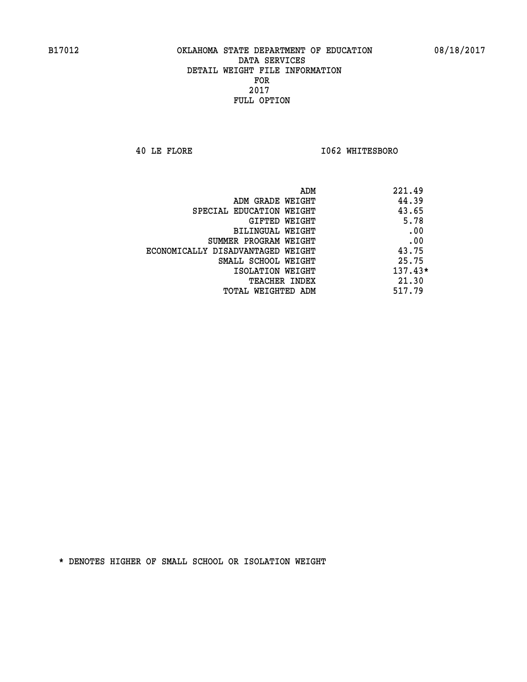**40 LE FLORE I062 WHITESBORO** 

| ADM                               | 221.49    |
|-----------------------------------|-----------|
| ADM GRADE WEIGHT                  | 44.39     |
| SPECIAL EDUCATION WEIGHT          | 43.65     |
| GIFTED WEIGHT                     | 5.78      |
| BILINGUAL WEIGHT                  | .00       |
| SUMMER PROGRAM WEIGHT             | .00       |
| ECONOMICALLY DISADVANTAGED WEIGHT | 43.75     |
| SMALL SCHOOL WEIGHT               | 25.75     |
| ISOLATION WEIGHT                  | $137.43*$ |
| TEACHER INDEX                     | 21.30     |
| TOTAL WEIGHTED ADM                | 517.79    |
|                                   |           |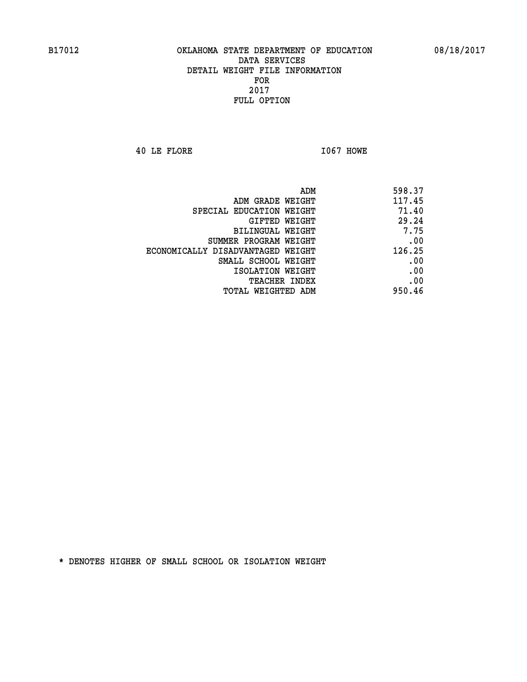**40 LE FLORE I067 HOWE** 

| ADM                               | 598.37 |
|-----------------------------------|--------|
| ADM GRADE WEIGHT                  | 117.45 |
| SPECIAL EDUCATION WEIGHT          | 71.40  |
| GIFTED WEIGHT                     | 29.24  |
| <b>BILINGUAL WEIGHT</b>           | 7.75   |
| SUMMER PROGRAM WEIGHT             | .00    |
| ECONOMICALLY DISADVANTAGED WEIGHT | 126.25 |
| SMALL SCHOOL WEIGHT               | .00    |
| ISOLATION WEIGHT                  | .00    |
| TEACHER INDEX                     | .00    |
| TOTAL WEIGHTED ADM                | 950.46 |
|                                   |        |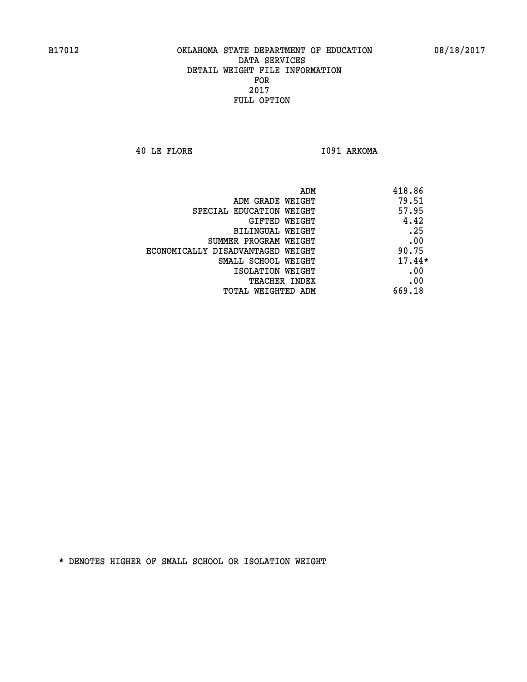**40 LE FLORE I091 ARKOMA** 

| ADM<br>418.86                              |  |
|--------------------------------------------|--|
| 79.51<br>ADM GRADE WEIGHT                  |  |
| 57.95<br>SPECIAL EDUCATION WEIGHT          |  |
| 4.42<br>GIFTED WEIGHT                      |  |
| .25<br>BILINGUAL WEIGHT                    |  |
| .00<br>SUMMER PROGRAM WEIGHT               |  |
| 90.75<br>ECONOMICALLY DISADVANTAGED WEIGHT |  |
| $17.44*$<br>SMALL SCHOOL WEIGHT            |  |
| .00<br>ISOLATION WEIGHT                    |  |
| .00<br><b>TEACHER INDEX</b>                |  |
| 669.18<br>TOTAL WEIGHTED ADM               |  |
|                                            |  |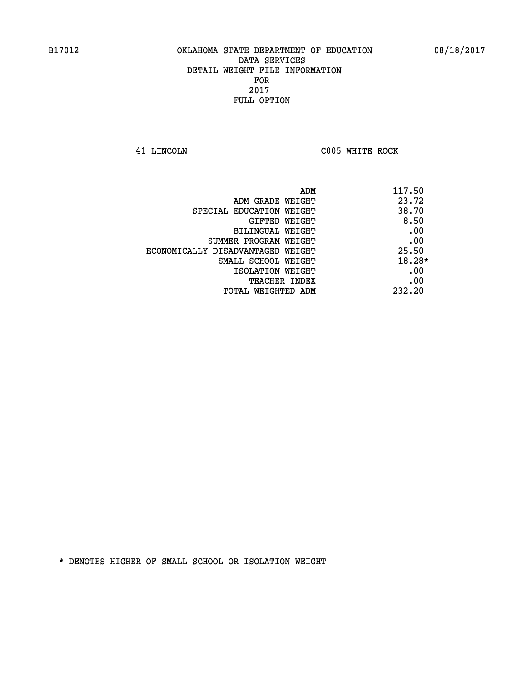**41 LINCOLN C005 WHITE ROCK** 

| ADM                               | 117.50   |
|-----------------------------------|----------|
| ADM GRADE WEIGHT                  | 23.72    |
| SPECIAL EDUCATION WEIGHT          | 38.70    |
| <b>GIFTED WEIGHT</b>              | 8.50     |
| BILINGUAL WEIGHT                  | .00      |
| SUMMER PROGRAM WEIGHT             | .00      |
| ECONOMICALLY DISADVANTAGED WEIGHT | 25.50    |
| SMALL SCHOOL WEIGHT               | $18.28*$ |
| ISOLATION WEIGHT                  | .00      |
| <b>TEACHER INDEX</b>              | .00      |
| TOTAL WEIGHTED ADM                | 232.20   |
|                                   |          |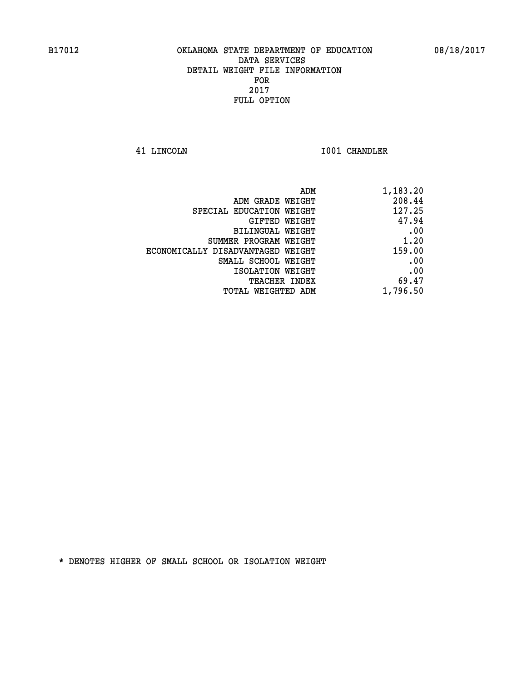**41 LINCOLN I001 CHANDLER** 

| ADM                               | 1,183.20 |
|-----------------------------------|----------|
| ADM GRADE WEIGHT                  | 208.44   |
| SPECIAL EDUCATION WEIGHT          | 127.25   |
| GIFTED WEIGHT                     | 47.94    |
| BILINGUAL WEIGHT                  | .00      |
| SUMMER PROGRAM WEIGHT             | 1.20     |
| ECONOMICALLY DISADVANTAGED WEIGHT | 159.00   |
| SMALL SCHOOL WEIGHT               | .00      |
| ISOLATION WEIGHT                  | .00      |
| <b>TEACHER INDEX</b>              | 69.47    |
| TOTAL WEIGHTED ADM                | 1,796.50 |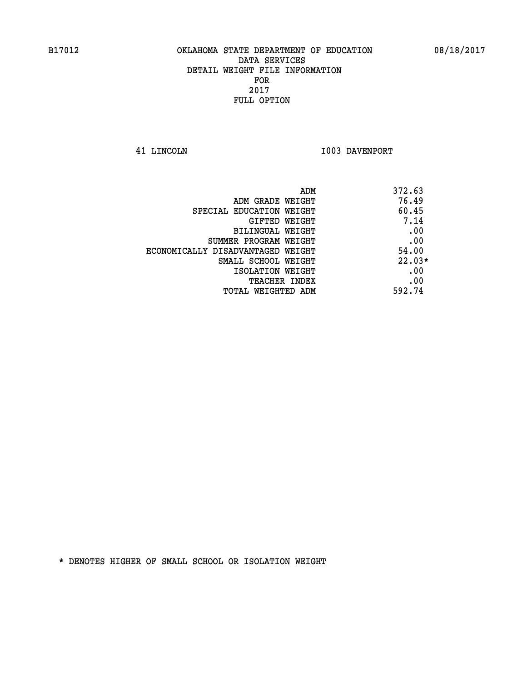**41 LINCOLN I003 DAVENPORT** 

| ADM<br>372.63                              |  |
|--------------------------------------------|--|
| 76.49<br>ADM GRADE WEIGHT                  |  |
| 60.45<br>SPECIAL EDUCATION WEIGHT          |  |
| 7.14<br><b>GIFTED WEIGHT</b>               |  |
| .00<br>BILINGUAL WEIGHT                    |  |
| .00<br>SUMMER PROGRAM WEIGHT               |  |
| 54.00<br>ECONOMICALLY DISADVANTAGED WEIGHT |  |
| $22.03*$<br>SMALL SCHOOL WEIGHT            |  |
| .00<br>ISOLATION WEIGHT                    |  |
| .00<br><b>TEACHER INDEX</b>                |  |
| 592.74<br>TOTAL WEIGHTED ADM               |  |
|                                            |  |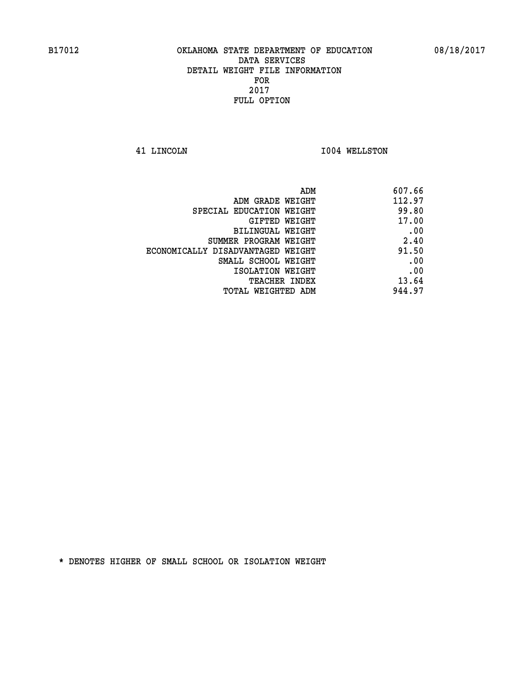**41 LINCOLN I004 WELLSTON** 

| 607.66 |
|--------|
| 112.97 |
| 99.80  |
| 17.00  |
| .00    |
| 2.40   |
| 91.50  |
| .00    |
| .00    |
| 13.64  |
| 944.97 |
|        |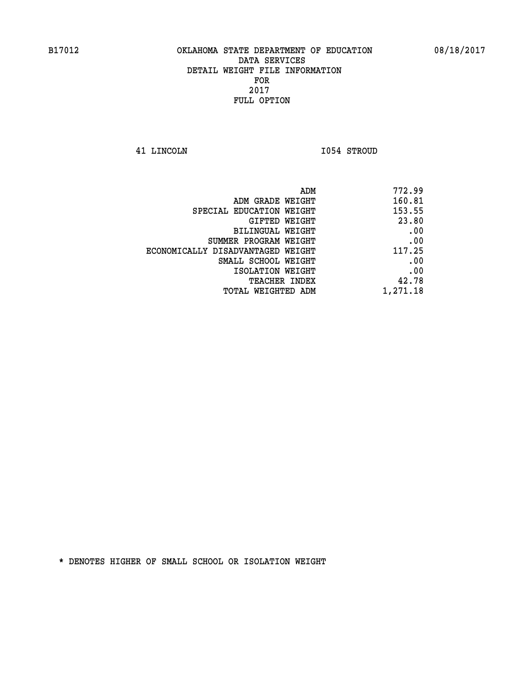**41 LINCOLN I054 STROUD** 

| ADM                               | 772.99   |
|-----------------------------------|----------|
| ADM GRADE WEIGHT                  | 160.81   |
| SPECIAL EDUCATION WEIGHT          | 153.55   |
| GIFTED WEIGHT                     | 23.80    |
| BILINGUAL WEIGHT                  | .00      |
| SUMMER PROGRAM WEIGHT             | .00      |
| ECONOMICALLY DISADVANTAGED WEIGHT | 117.25   |
| SMALL SCHOOL WEIGHT               | .00      |
| ISOLATION WEIGHT                  | .00      |
| TEACHER INDEX                     | 42.78    |
| TOTAL WEIGHTED ADM                | 1,271.18 |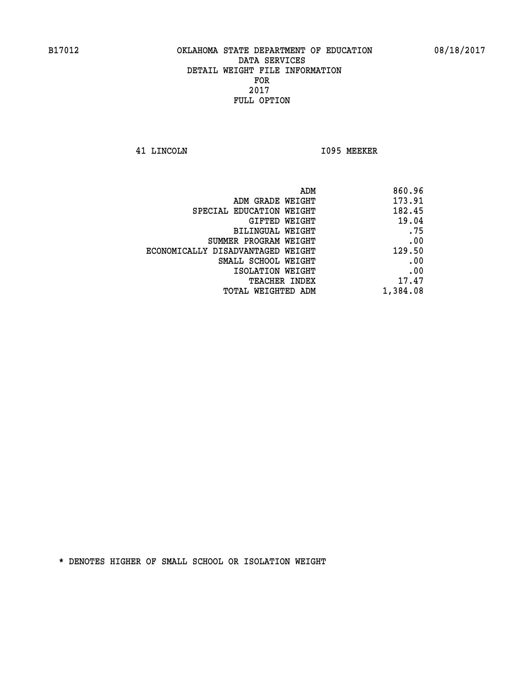**41 LINCOLN I095 MEEKER** 

| 860.96   |
|----------|
| 173.91   |
| 182.45   |
| 19.04    |
| .75      |
| .00      |
| 129.50   |
| .00      |
| .00      |
| 17.47    |
| 1,384.08 |
|          |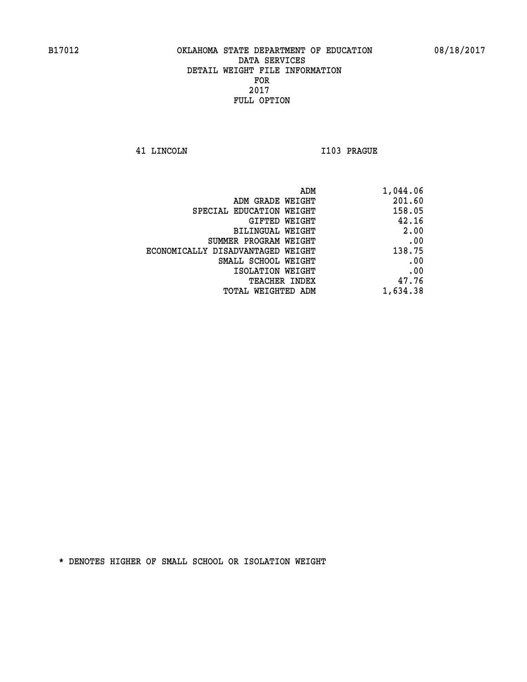**41 LINCOLN I103 PRAGUE** 

| 1,044.06 |
|----------|
| 201.60   |
| 158.05   |
| 42.16    |
| 2.00     |
| .00      |
| 138.75   |
| .00      |
| .00      |
| 47.76    |
| 1,634.38 |
|          |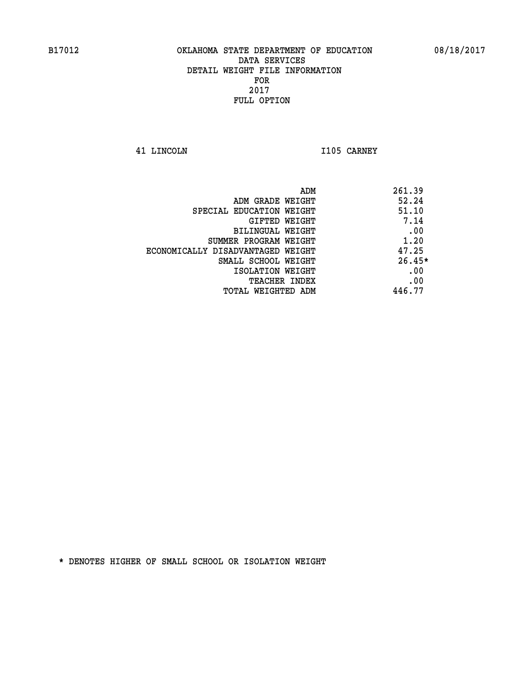**41 LINCOLN I105 CARNEY** 

| ADM                               | 261.39   |
|-----------------------------------|----------|
| ADM GRADE WEIGHT                  | 52.24    |
| SPECIAL EDUCATION WEIGHT          | 51.10    |
| GIFTED WEIGHT                     | 7.14     |
| BILINGUAL WEIGHT                  | .00      |
| SUMMER PROGRAM WEIGHT             | 1.20     |
| ECONOMICALLY DISADVANTAGED WEIGHT | 47.25    |
| SMALL SCHOOL WEIGHT               | $26.45*$ |
| ISOLATION WEIGHT                  | .00      |
| <b>TEACHER INDEX</b>              | .00      |
| TOTAL WEIGHTED ADM                | 446.77   |
|                                   |          |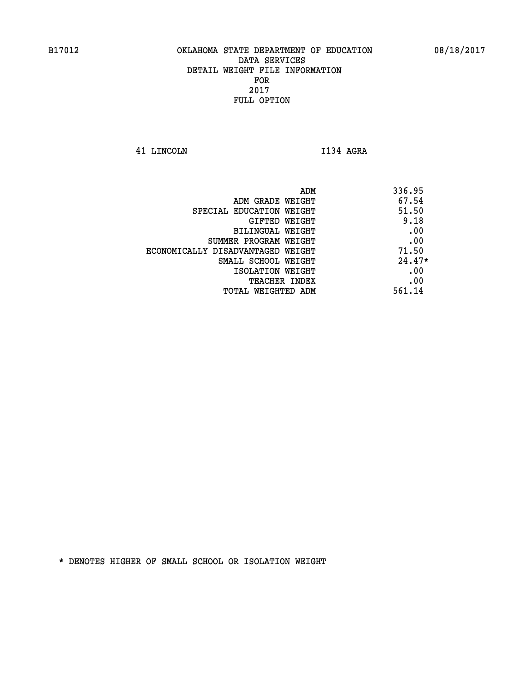**41 LINCOLN I134 AGRA** 

| 336.95   |
|----------|
| 67.54    |
| 51.50    |
| 9.18     |
| .00      |
| .00      |
| 71.50    |
| $24.47*$ |
| .00      |
| .00      |
| 561.14   |
|          |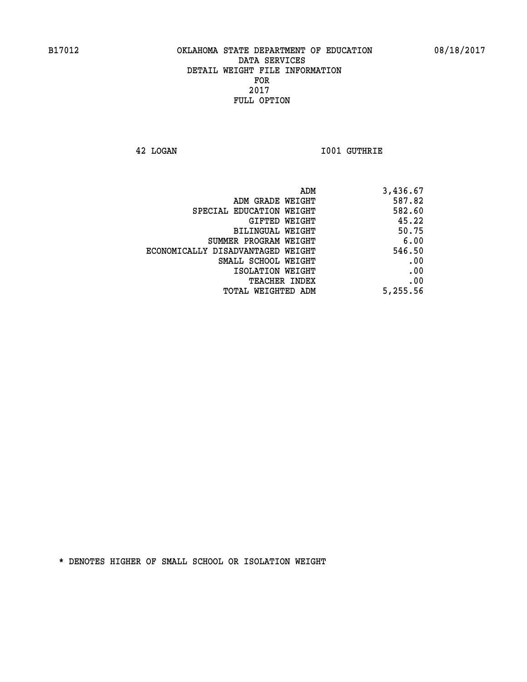**42 LOGAN I001 GUTHRIE** 

| 3,436.67 |
|----------|
| 587.82   |
| 582.60   |
| 45.22    |
| 50.75    |
| 6.00     |
| 546.50   |
| .00      |
| .00      |
| .00      |
| 5,255.56 |
|          |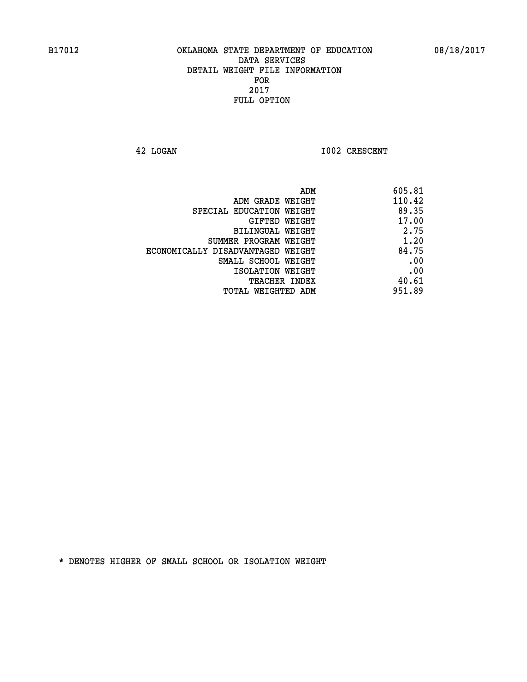**42 LOGAN 1002 CRESCENT** 

| 605.81 |
|--------|
| 110.42 |
| 89.35  |
| 17.00  |
| 2.75   |
| 1.20   |
| 84.75  |
| .00    |
| .00    |
| 40.61  |
| 951.89 |
|        |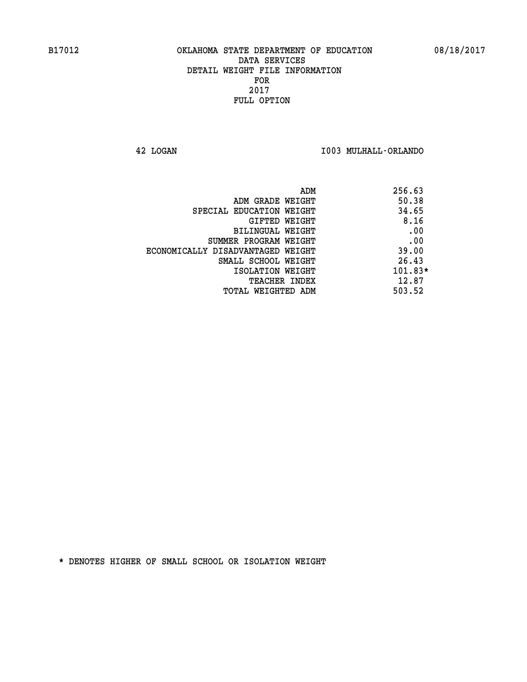**42 LOGAN I003 MULHALL-ORLANDO** 

| ADM                               | 256.63    |
|-----------------------------------|-----------|
| ADM GRADE WEIGHT                  | 50.38     |
| SPECIAL EDUCATION WEIGHT          | 34.65     |
| GIFTED WEIGHT                     | 8.16      |
| BILINGUAL WEIGHT                  | .00       |
| SUMMER PROGRAM WEIGHT             | .00       |
| ECONOMICALLY DISADVANTAGED WEIGHT | 39.00     |
| SMALL SCHOOL WEIGHT               | 26.43     |
| ISOLATION WEIGHT                  | $101.83*$ |
| <b>TEACHER INDEX</b>              | 12.87     |
| TOTAL WEIGHTED ADM                | 503.52    |
|                                   |           |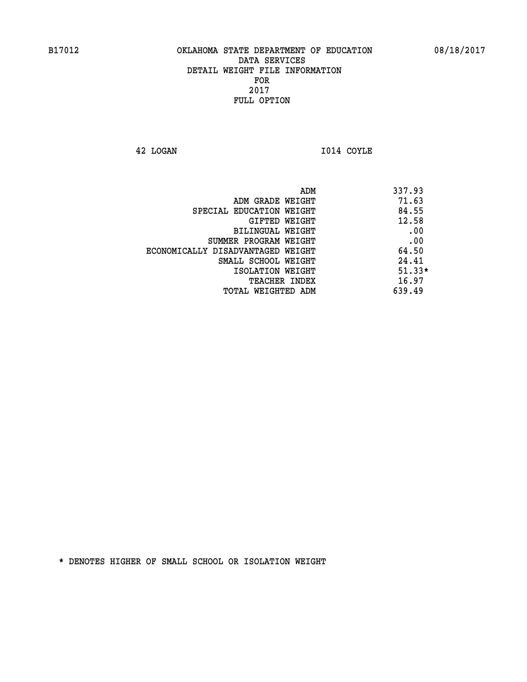**42 LOGAN I014 COYLE** 

|                                   | ADM<br>337.93 |
|-----------------------------------|---------------|
| ADM GRADE WEIGHT                  | 71.63         |
| SPECIAL EDUCATION WEIGHT          | 84.55         |
| GIFTED WEIGHT                     | 12.58         |
| BILINGUAL WEIGHT                  | .00           |
| SUMMER PROGRAM WEIGHT             | .00           |
| ECONOMICALLY DISADVANTAGED WEIGHT | 64.50         |
| SMALL SCHOOL WEIGHT               | 24.41         |
| ISOLATION WEIGHT                  | $51.33*$      |
| <b>TEACHER INDEX</b>              | 16.97         |
| TOTAL WEIGHTED ADM                | 639.49        |
|                                   |               |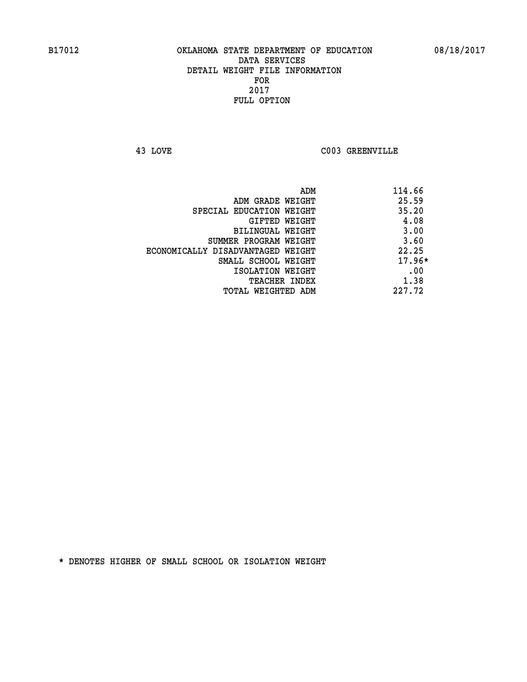**43 LOVE C003 GREENVILLE** 

| ADM                               | 114.66   |
|-----------------------------------|----------|
| ADM GRADE WEIGHT                  | 25.59    |
| SPECIAL EDUCATION WEIGHT          | 35.20    |
| GIFTED WEIGHT                     | 4.08     |
| <b>BILINGUAL WEIGHT</b>           | 3.00     |
| SUMMER PROGRAM WEIGHT             | 3.60     |
| ECONOMICALLY DISADVANTAGED WEIGHT | 22.25    |
| SMALL SCHOOL WEIGHT               | $17.96*$ |
| ISOLATION WEIGHT                  | .00      |
| <b>TEACHER INDEX</b>              | 1.38     |
| TOTAL WEIGHTED ADM                | 227.72   |
|                                   |          |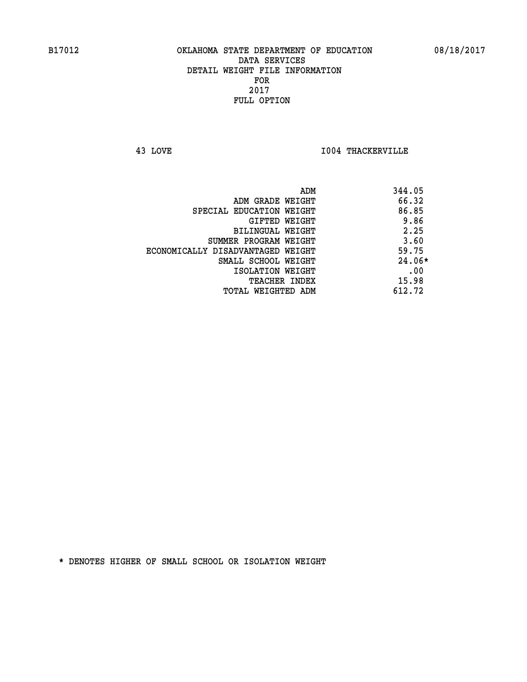**43 LOVE I004 THACKERVILLE** 

|                                   | ADM | 344.05   |
|-----------------------------------|-----|----------|
| ADM GRADE WEIGHT                  |     | 66.32    |
| SPECIAL EDUCATION WEIGHT          |     | 86.85    |
| GIFTED WEIGHT                     |     | 9.86     |
| BILINGUAL WEIGHT                  |     | 2.25     |
| SUMMER PROGRAM WEIGHT             |     | 3.60     |
| ECONOMICALLY DISADVANTAGED WEIGHT |     | 59.75    |
| SMALL SCHOOL WEIGHT               |     | $24.06*$ |
| ISOLATION WEIGHT                  |     | .00      |
| TEACHER INDEX                     |     | 15.98    |
| TOTAL WEIGHTED ADM                |     | 612.72   |
|                                   |     |          |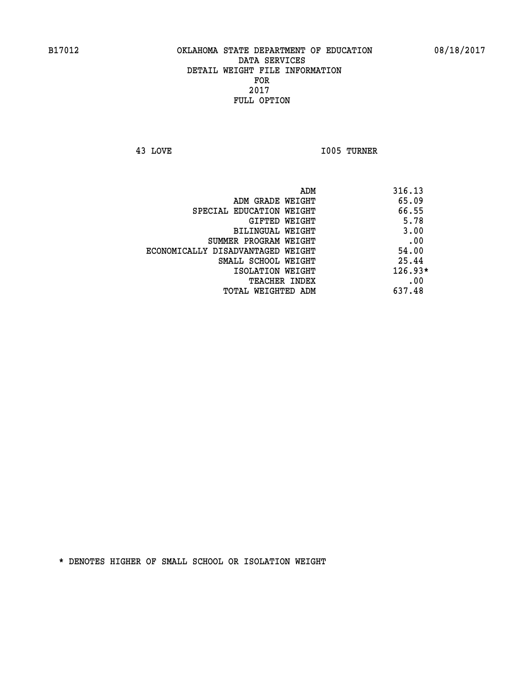**43 LOVE I005 TURNER** 

|                                   | ADM | 316.13    |
|-----------------------------------|-----|-----------|
| ADM GRADE WEIGHT                  |     | 65.09     |
| SPECIAL EDUCATION WEIGHT          |     | 66.55     |
| GIFTED WEIGHT                     |     | 5.78      |
| BILINGUAL WEIGHT                  |     | 3.00      |
| SUMMER PROGRAM WEIGHT             |     | .00       |
| ECONOMICALLY DISADVANTAGED WEIGHT |     | 54.00     |
| SMALL SCHOOL WEIGHT               |     | 25.44     |
| ISOLATION WEIGHT                  |     | $126.93*$ |
| TEACHER INDEX                     |     | .00       |
| TOTAL WEIGHTED ADM                |     | 637.48    |
|                                   |     |           |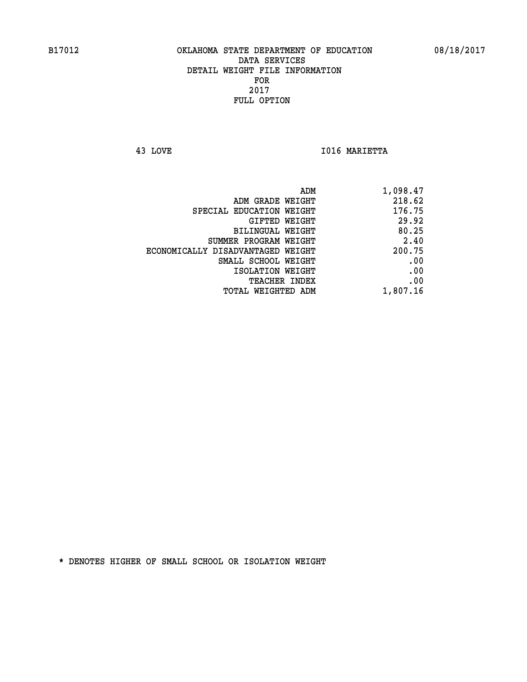**43 LOVE I016 MARIETTA** 

| 1,098.47 |
|----------|
| 218.62   |
| 176.75   |
| 29.92    |
| 80.25    |
| 2.40     |
| 200.75   |
| .00      |
| .00      |
| .00      |
| 1,807.16 |
|          |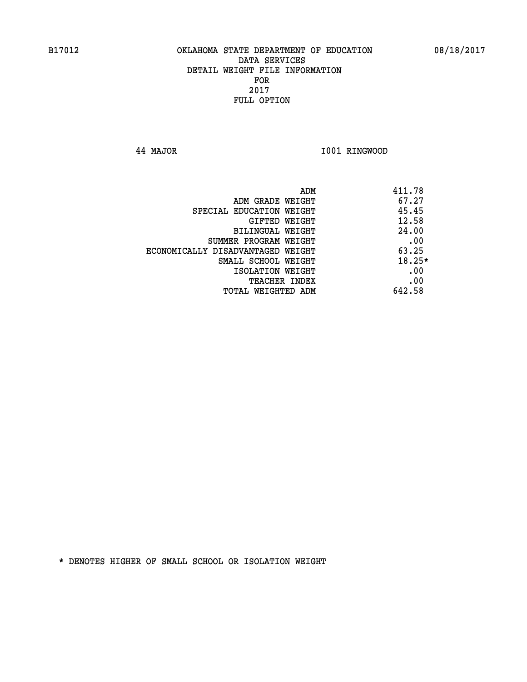**44 MAJOR I001 RINGWOOD** 

| ADM<br>411.78                              |     |
|--------------------------------------------|-----|
| 67.27<br>ADM GRADE WEIGHT                  |     |
| 45.45<br>SPECIAL EDUCATION WEIGHT          |     |
| 12.58<br>GIFTED WEIGHT                     |     |
| 24.00<br><b>BILINGUAL WEIGHT</b>           |     |
| SUMMER PROGRAM WEIGHT                      | .00 |
| 63.25<br>ECONOMICALLY DISADVANTAGED WEIGHT |     |
| $18.25*$<br>SMALL SCHOOL WEIGHT            |     |
| ISOLATION WEIGHT                           | .00 |
| <b>TEACHER INDEX</b>                       | .00 |
| 642.58<br>TOTAL WEIGHTED ADM               |     |
|                                            |     |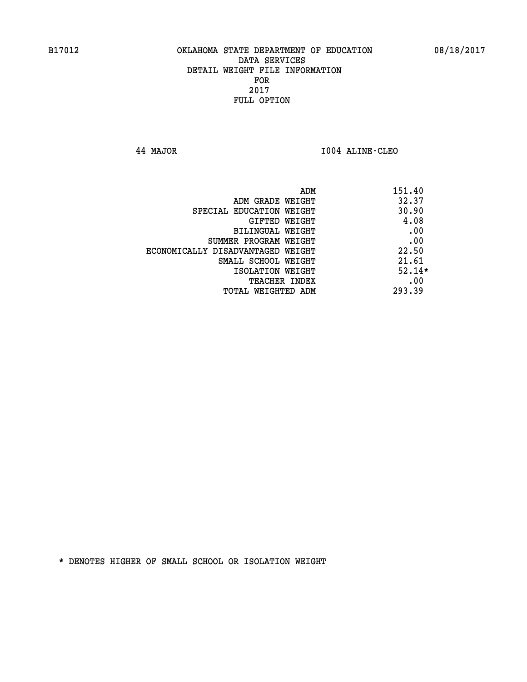**44 MAJOR I004 ALINE-CLEO** 

| ADM                               | 151.40   |
|-----------------------------------|----------|
| ADM GRADE WEIGHT                  | 32.37    |
| SPECIAL EDUCATION WEIGHT          | 30.90    |
| GIFTED WEIGHT                     | 4.08     |
| BILINGUAL WEIGHT                  | .00      |
| SUMMER PROGRAM WEIGHT             | .00      |
| ECONOMICALLY DISADVANTAGED WEIGHT | 22.50    |
| SMALL SCHOOL WEIGHT               | 21.61    |
| ISOLATION WEIGHT                  | $52.14*$ |
| <b>TEACHER INDEX</b>              | .00      |
| TOTAL WEIGHTED ADM                | 293.39   |
|                                   |          |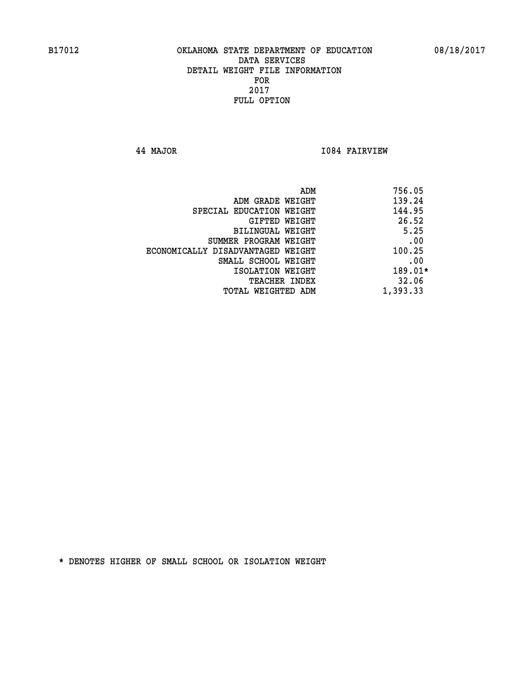**44 MAJOR I084 FAIRVIEW** 

|                                   | ADM<br>756.05 |
|-----------------------------------|---------------|
| ADM GRADE WEIGHT                  | 139.24        |
| SPECIAL EDUCATION WEIGHT          | 144.95        |
| GIFTED WEIGHT                     | 26.52         |
| BILINGUAL WEIGHT                  | 5.25          |
| SUMMER PROGRAM WEIGHT             | .00           |
| ECONOMICALLY DISADVANTAGED WEIGHT | 100.25        |
| SMALL SCHOOL WEIGHT               | .00           |
| ISOLATION WEIGHT                  | $189.01*$     |
| <b>TEACHER INDEX</b>              | 32.06         |
| TOTAL WEIGHTED ADM                | 1,393.33      |
|                                   |               |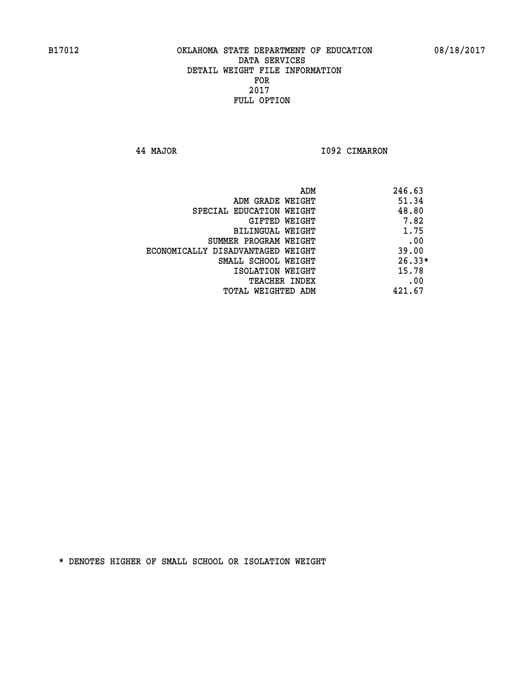**44 MAJOR I092 CIMARRON** 

|                                   | ADM<br>246.63 |
|-----------------------------------|---------------|
| ADM GRADE WEIGHT                  | 51.34         |
| SPECIAL EDUCATION WEIGHT          | 48.80         |
| GIFTED WEIGHT                     | 7.82          |
| BILINGUAL WEIGHT                  | 1.75          |
| SUMMER PROGRAM WEIGHT             | .00           |
| ECONOMICALLY DISADVANTAGED WEIGHT | 39.00         |
| SMALL SCHOOL WEIGHT               | $26.33*$      |
| ISOLATION WEIGHT                  | 15.78         |
| <b>TEACHER INDEX</b>              | .00           |
| TOTAL WEIGHTED ADM                | 421.67        |
|                                   |               |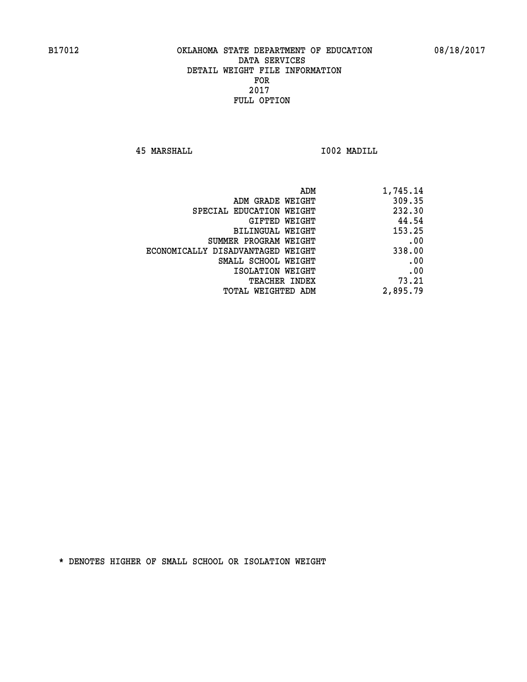**45 MARSHALL I002 MADILL** 

| ADM                               | 1,745.14 |
|-----------------------------------|----------|
| ADM GRADE WEIGHT                  | 309.35   |
| SPECIAL EDUCATION WEIGHT          | 232.30   |
| GIFTED WEIGHT                     | 44.54    |
| <b>BILINGUAL WEIGHT</b>           | 153.25   |
| SUMMER PROGRAM WEIGHT             | .00      |
| ECONOMICALLY DISADVANTAGED WEIGHT | 338.00   |
| SMALL SCHOOL WEIGHT               | .00      |
| ISOLATION WEIGHT                  | .00      |
| <b>TEACHER INDEX</b>              | 73.21    |
| TOTAL WEIGHTED ADM                | 2,895.79 |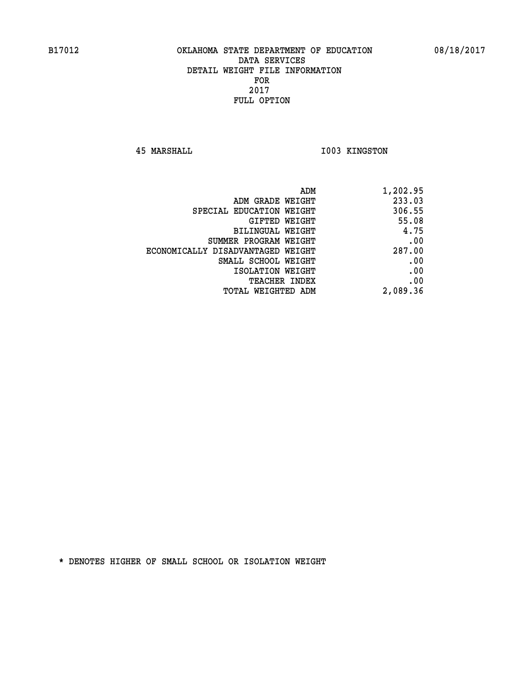**45 MARSHALL I003 KINGSTON** 

| ADM                               | 1,202.95 |
|-----------------------------------|----------|
| ADM GRADE WEIGHT                  | 233.03   |
| SPECIAL EDUCATION WEIGHT          | 306.55   |
| GIFTED WEIGHT                     | 55.08    |
| BILINGUAL WEIGHT                  | 4.75     |
| SUMMER PROGRAM WEIGHT             | .00      |
| ECONOMICALLY DISADVANTAGED WEIGHT | 287.00   |
| SMALL SCHOOL WEIGHT               | .00      |
| ISOLATION WEIGHT                  | .00      |
| TEACHER INDEX                     | .00      |
| TOTAL WEIGHTED ADM                | 2,089.36 |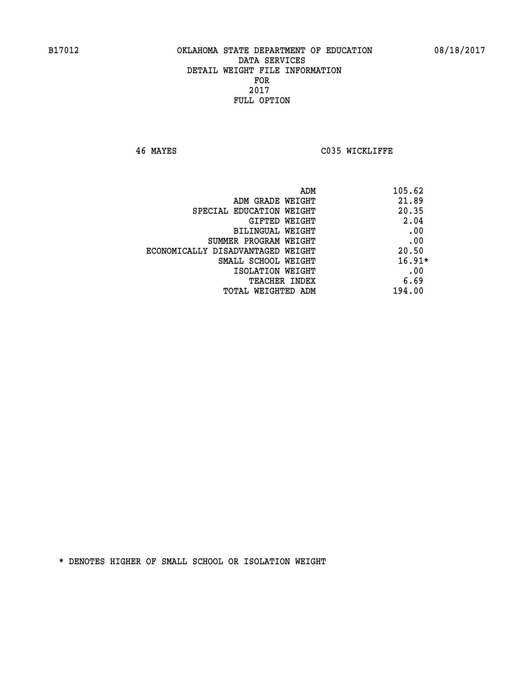**46 MAYES C035 WICKLIFFE** 

| ADM                               | 105.62   |
|-----------------------------------|----------|
| ADM GRADE WEIGHT                  | 21.89    |
| SPECIAL EDUCATION WEIGHT          | 20.35    |
| GIFTED WEIGHT                     | 2.04     |
| BILINGUAL WEIGHT                  | .00      |
| SUMMER PROGRAM WEIGHT             | .00      |
| ECONOMICALLY DISADVANTAGED WEIGHT | 20.50    |
| SMALL SCHOOL WEIGHT               | $16.91*$ |
| ISOLATION WEIGHT                  | .00      |
| <b>TEACHER INDEX</b>              | 6.69     |
| TOTAL WEIGHTED ADM                | 194.00   |
|                                   |          |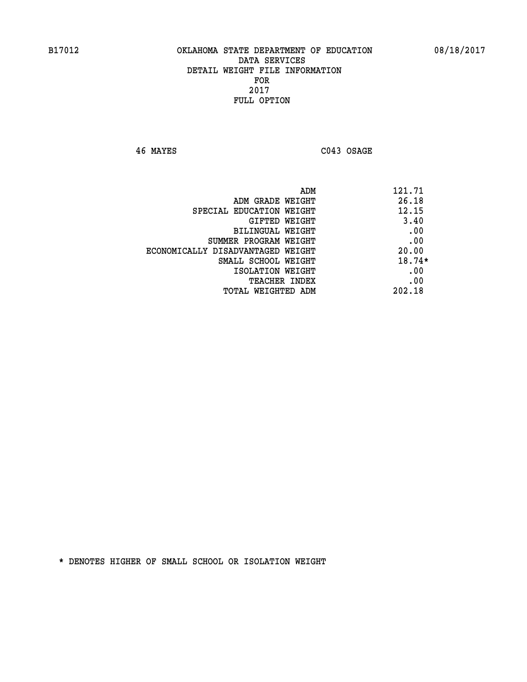**46 MAYES C043 OSAGE** 

| ADM                               | 121.71   |
|-----------------------------------|----------|
| ADM GRADE WEIGHT                  | 26.18    |
| SPECIAL EDUCATION WEIGHT          | 12.15    |
| GIFTED WEIGHT                     | 3.40     |
| BILINGUAL WEIGHT                  | .00      |
| SUMMER PROGRAM WEIGHT             | .00      |
| ECONOMICALLY DISADVANTAGED WEIGHT | 20.00    |
| SMALL SCHOOL WEIGHT               | $18.74*$ |
| ISOLATION WEIGHT                  | .00      |
| <b>TEACHER INDEX</b>              | .00      |
| TOTAL WEIGHTED ADM                | 202.18   |
|                                   |          |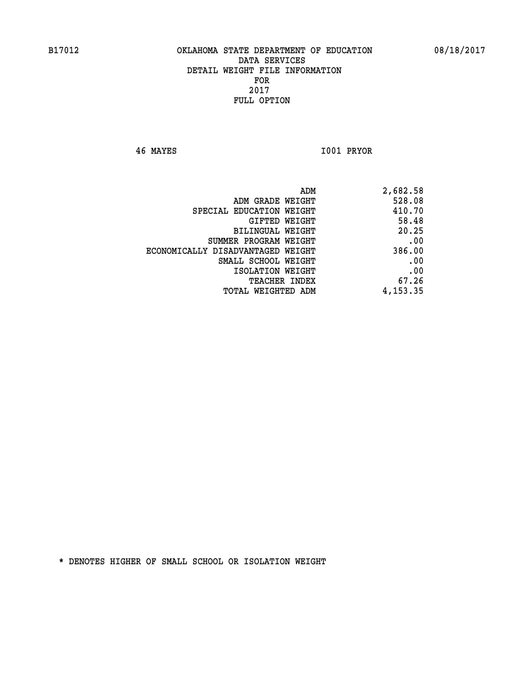**46 MAYES I001 PRYOR** 

| 2,682.58 |
|----------|
| 528.08   |
| 410.70   |
| 58.48    |
| 20.25    |
| .00      |
| 386.00   |
| .00      |
| .00      |
| 67.26    |
| 4,153.35 |
|          |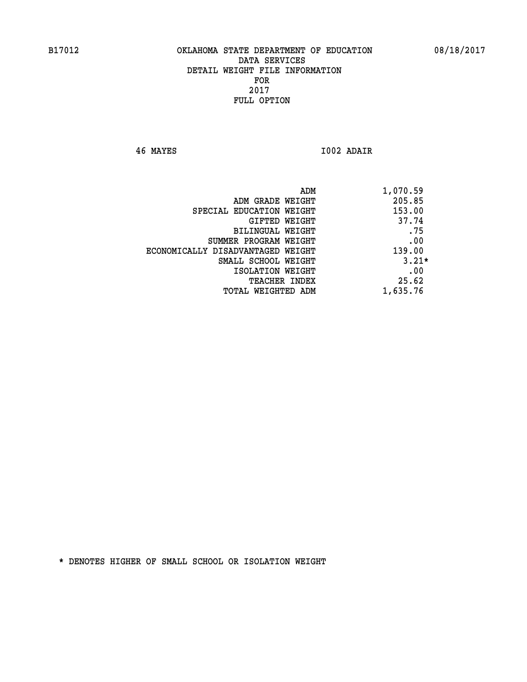**46 MAYES I002 ADAIR** 

| ADM                               | 1,070.59 |
|-----------------------------------|----------|
| ADM GRADE WEIGHT                  | 205.85   |
| SPECIAL EDUCATION WEIGHT          | 153.00   |
| GIFTED WEIGHT                     | 37.74    |
| BILINGUAL WEIGHT                  | .75      |
| SUMMER PROGRAM WEIGHT             | .00      |
| ECONOMICALLY DISADVANTAGED WEIGHT | 139.00   |
| SMALL SCHOOL WEIGHT               | $3.21*$  |
| ISOLATION WEIGHT                  | .00      |
| <b>TEACHER INDEX</b>              | 25.62    |
| TOTAL WEIGHTED ADM                | 1,635.76 |
|                                   |          |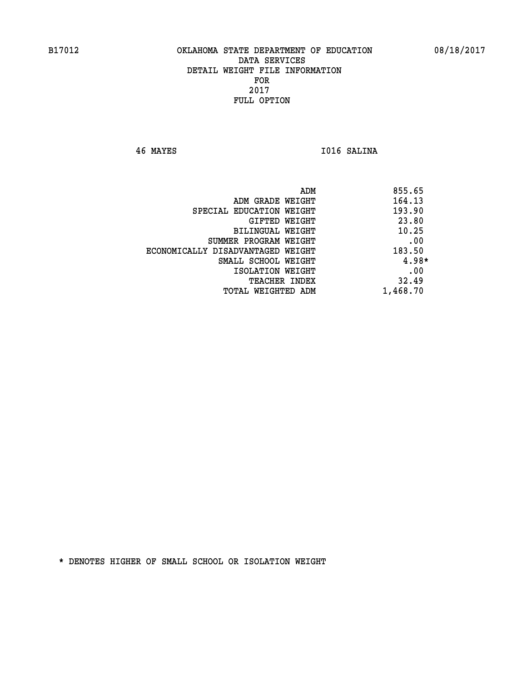**46 MAYES I016 SALINA** 

| ADM                               | 855.65   |
|-----------------------------------|----------|
| ADM GRADE WEIGHT                  | 164.13   |
| SPECIAL EDUCATION WEIGHT          | 193.90   |
| GIFTED WEIGHT                     | 23.80    |
| BILINGUAL WEIGHT                  | 10.25    |
| SUMMER PROGRAM WEIGHT             | .00      |
| ECONOMICALLY DISADVANTAGED WEIGHT | 183.50   |
| SMALL SCHOOL WEIGHT               | $4.98*$  |
| ISOLATION WEIGHT                  | .00      |
| TEACHER INDEX                     | 32.49    |
| TOTAL WEIGHTED ADM                | 1,468.70 |
|                                   |          |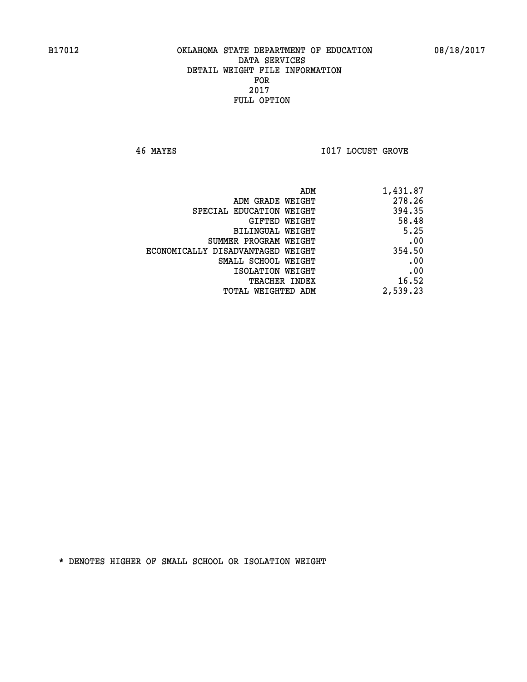**46 MAYES I017 LOCUST GROVE** 

| 1,431.87 |
|----------|
| 278.26   |
| 394.35   |
| 58.48    |
| 5.25     |
| .00      |
| 354.50   |
| .00      |
| .00      |
| 16.52    |
| 2,539.23 |
|          |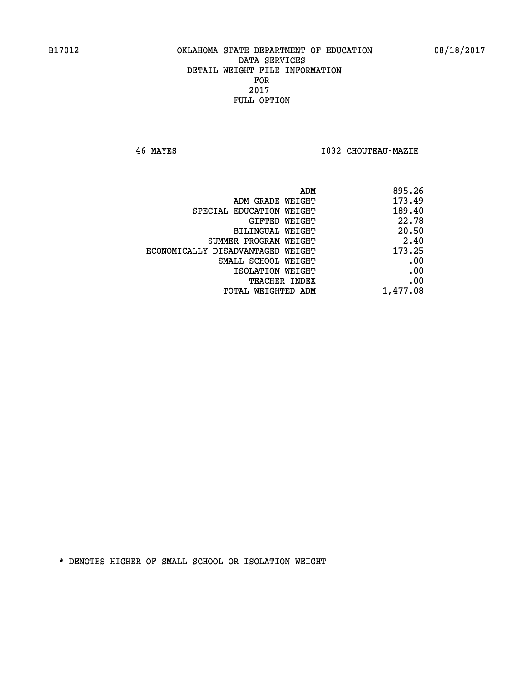**46 MAYES I032 CHOUTEAU-MAZIE** 

| ADM<br>895.26 |                                   |
|---------------|-----------------------------------|
| 173.49        | ADM GRADE WEIGHT                  |
| 189.40        | SPECIAL EDUCATION WEIGHT          |
| 22.78         | GIFTED WEIGHT                     |
| 20.50         | <b>BILINGUAL WEIGHT</b>           |
| 2.40          | SUMMER PROGRAM WEIGHT             |
| 173.25        | ECONOMICALLY DISADVANTAGED WEIGHT |
| .00           | SMALL SCHOOL WEIGHT               |
| .00           | ISOLATION WEIGHT                  |
| .00           | <b>TEACHER INDEX</b>              |
| 1,477.08      | TOTAL WEIGHTED ADM                |
|               |                                   |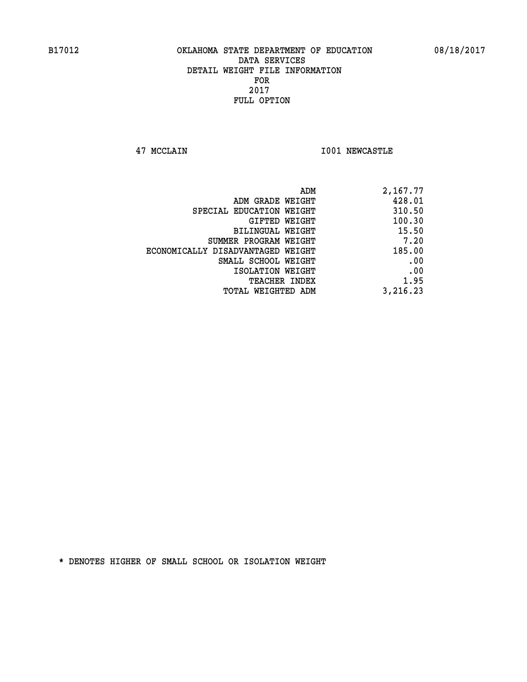**47 MCCLAIN I001 NEWCASTLE** 

| ADM                               | 2,167.77 |
|-----------------------------------|----------|
| ADM GRADE WEIGHT                  | 428.01   |
| SPECIAL EDUCATION WEIGHT          | 310.50   |
| GIFTED WEIGHT                     | 100.30   |
| BILINGUAL WEIGHT                  | 15.50    |
| SUMMER PROGRAM WEIGHT             | 7.20     |
| ECONOMICALLY DISADVANTAGED WEIGHT | 185.00   |
| SMALL SCHOOL WEIGHT               | .00      |
| ISOLATION WEIGHT                  | .00      |
| <b>TEACHER INDEX</b>              | 1.95     |
| TOTAL WEIGHTED ADM                | 3,216.23 |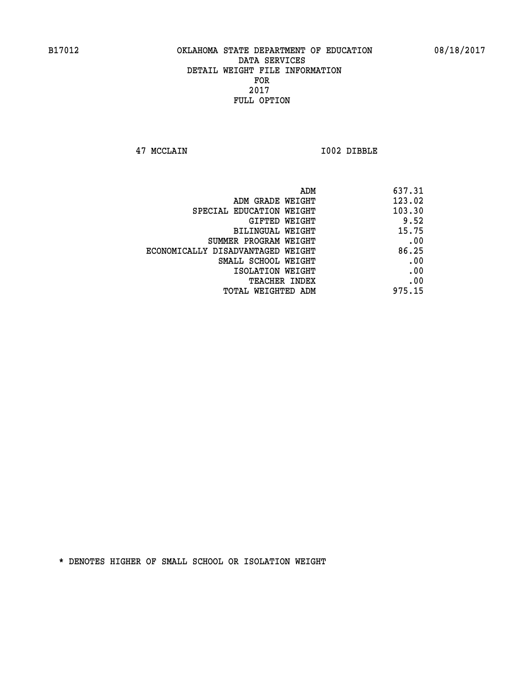**47 MCCLAIN I002 DIBBLE** 

| 637.31 |
|--------|
| 123.02 |
| 103.30 |
| 9.52   |
| 15.75  |
| .00    |
| 86.25  |
| .00    |
| .00    |
| .00    |
| 975.15 |
|        |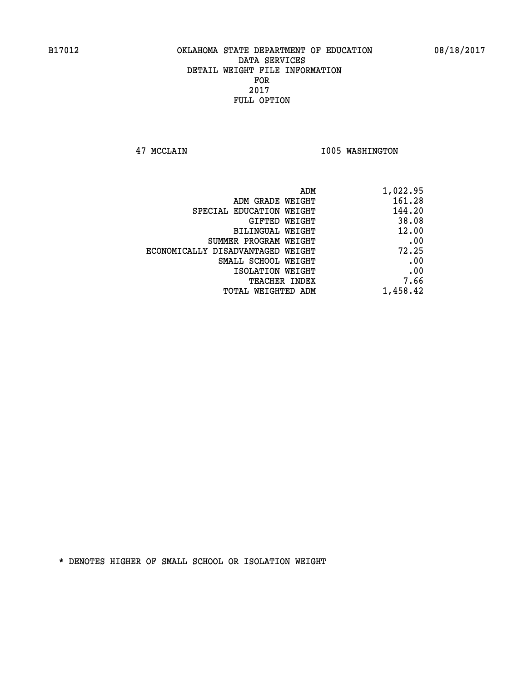**47 MCCLAIN I005 WASHINGTON** 

| 1,022.95 |
|----------|
| 161.28   |
| 144.20   |
| 38.08    |
| 12.00    |
| .00      |
| 72.25    |
| .00      |
| .00      |
| 7.66     |
| 1,458.42 |
|          |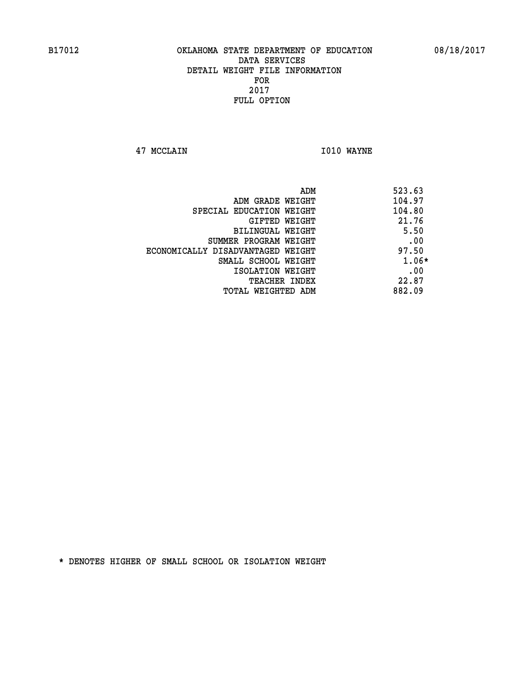**47 MCCLAIN I010 WAYNE** 

| ADM                               | 523.63 |
|-----------------------------------|--------|
| ADM GRADE WEIGHT                  | 104.97 |
| SPECIAL EDUCATION WEIGHT          | 104.80 |
| GIFTED WEIGHT                     | 21.76  |
| BILINGUAL WEIGHT                  | 5.50   |
| SUMMER PROGRAM WEIGHT             | .00    |
| ECONOMICALLY DISADVANTAGED WEIGHT | 97.50  |
| SMALL SCHOOL WEIGHT               | 1.06*  |
| ISOLATION WEIGHT                  | .00    |
| <b>TEACHER INDEX</b>              | 22.87  |
| TOTAL WEIGHTED ADM                | 882.09 |
|                                   |        |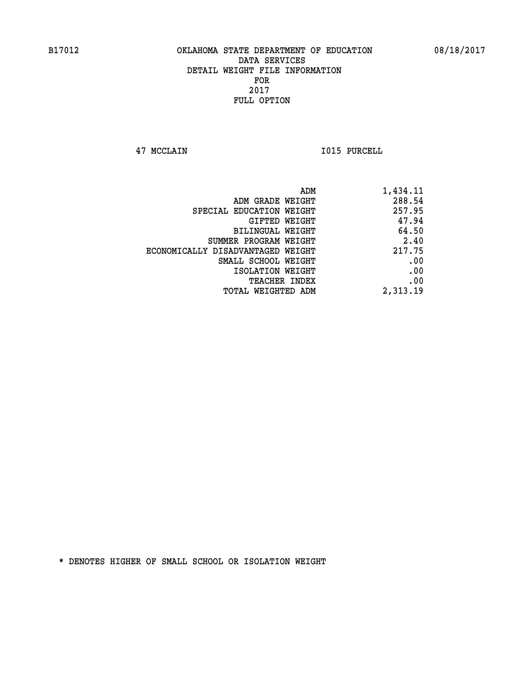**47 MCCLAIN I015 PURCELL** 

| 1,434.11 |
|----------|
| 288.54   |
| 257.95   |
| 47.94    |
| 64.50    |
| 2.40     |
| 217.75   |
| .00      |
| .00      |
| .00      |
| 2,313.19 |
|          |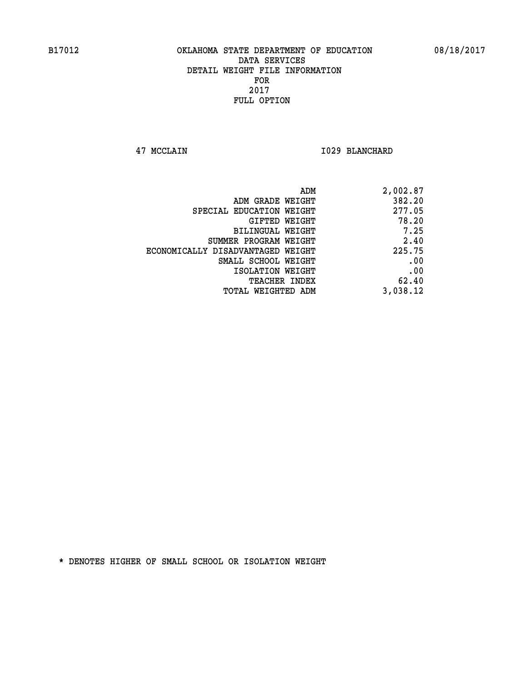**47 MCCLAIN I029 BLANCHARD** 

| 2,002.87 |
|----------|
| 382.20   |
| 277.05   |
| 78.20    |
| 7.25     |
| 2.40     |
| 225.75   |
| .00      |
| .00      |
| 62.40    |
| 3,038.12 |
|          |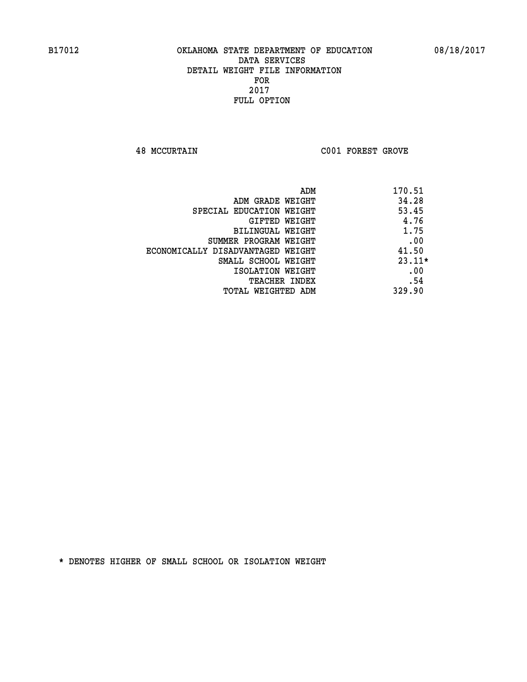**48 MCCURTAIN C001 FOREST GROVE** 

|                                   | ADM | 170.51   |
|-----------------------------------|-----|----------|
| ADM GRADE WEIGHT                  |     | 34.28    |
| SPECIAL EDUCATION WEIGHT          |     | 53.45    |
| GIFTED WEIGHT                     |     | 4.76     |
| BILINGUAL WEIGHT                  |     | 1.75     |
| SUMMER PROGRAM WEIGHT             |     | .00      |
| ECONOMICALLY DISADVANTAGED WEIGHT |     | 41.50    |
| SMALL SCHOOL WEIGHT               |     | $23.11*$ |
| ISOLATION WEIGHT                  |     | .00      |
| TEACHER INDEX                     |     | .54      |
| TOTAL WEIGHTED ADM                |     | 329.90   |
|                                   |     |          |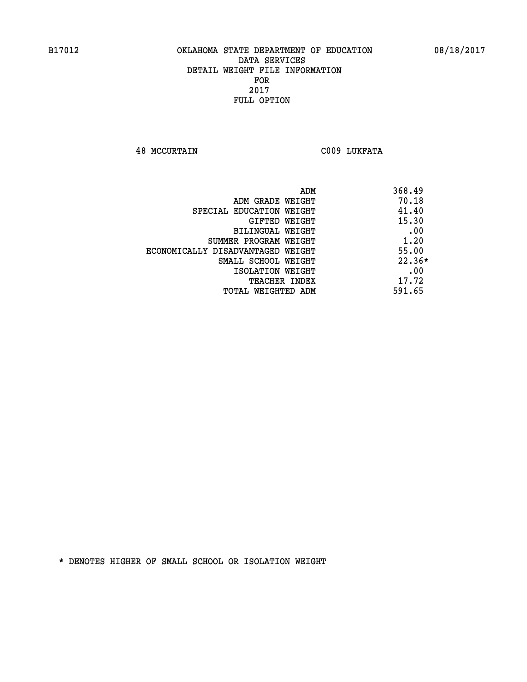**48 MCCURTAIN C009 LUKFATA** 

| ADM                               | 368.49   |
|-----------------------------------|----------|
| ADM GRADE WEIGHT                  | 70.18    |
| SPECIAL EDUCATION WEIGHT          | 41.40    |
| GIFTED WEIGHT                     | 15.30    |
| <b>BILINGUAL WEIGHT</b>           | .00      |
| SUMMER PROGRAM WEIGHT             | 1.20     |
| ECONOMICALLY DISADVANTAGED WEIGHT | 55.00    |
| SMALL SCHOOL WEIGHT               | $22.36*$ |
| ISOLATION WEIGHT                  | .00      |
| <b>TEACHER INDEX</b>              | 17.72    |
| TOTAL WEIGHTED ADM                | 591.65   |
|                                   |          |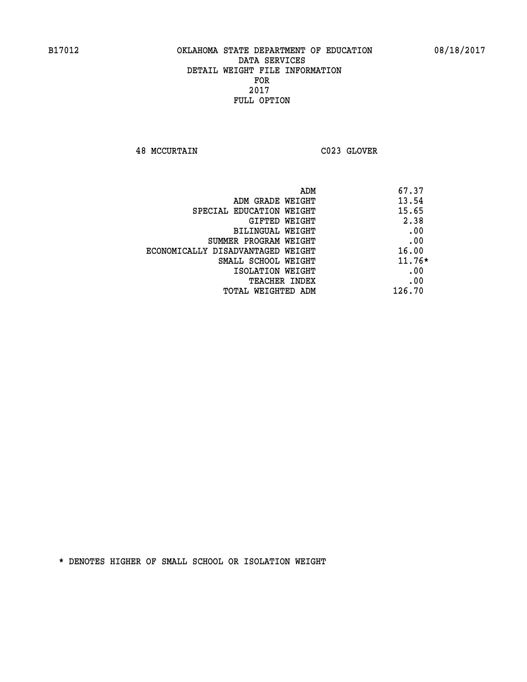**48 MCCURTAIN C023 GLOVER** 

| 67.37<br>ADM                               |  |
|--------------------------------------------|--|
| 13.54<br>ADM GRADE WEIGHT                  |  |
| 15.65<br>SPECIAL EDUCATION WEIGHT          |  |
| 2.38<br>GIFTED WEIGHT                      |  |
| .00<br>BILINGUAL WEIGHT                    |  |
| .00<br>SUMMER PROGRAM WEIGHT               |  |
| 16.00<br>ECONOMICALLY DISADVANTAGED WEIGHT |  |
| $11.76*$<br>SMALL SCHOOL WEIGHT            |  |
| .00<br>ISOLATION WEIGHT                    |  |
| .00<br>TEACHER INDEX                       |  |
| 126.70<br>TOTAL WEIGHTED ADM               |  |
|                                            |  |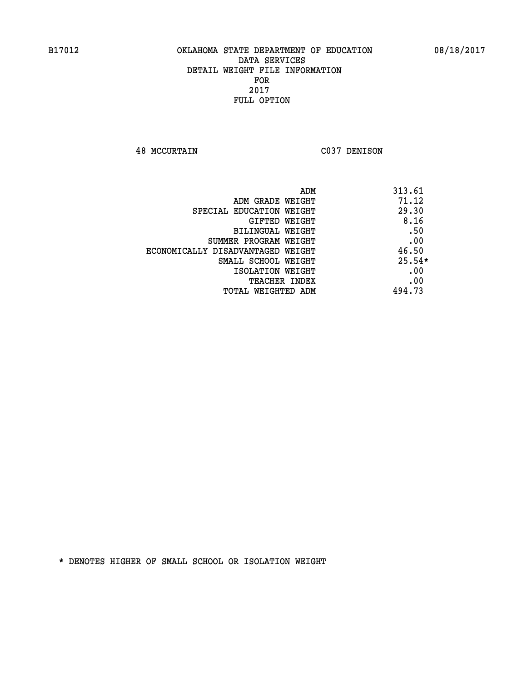**48 MCCURTAIN C037 DENISON** 

| ADM                               | 313.61   |
|-----------------------------------|----------|
| ADM GRADE WEIGHT                  | 71.12    |
| SPECIAL EDUCATION WEIGHT          | 29.30    |
| GIFTED WEIGHT                     | 8.16     |
| <b>BILINGUAL WEIGHT</b>           | .50      |
| SUMMER PROGRAM WEIGHT             | .00      |
| ECONOMICALLY DISADVANTAGED WEIGHT | 46.50    |
| SMALL SCHOOL WEIGHT               | $25.54*$ |
| ISOLATION WEIGHT                  | .00      |
| <b>TEACHER INDEX</b>              | .00      |
| TOTAL WEIGHTED ADM                | 494.73   |
|                                   |          |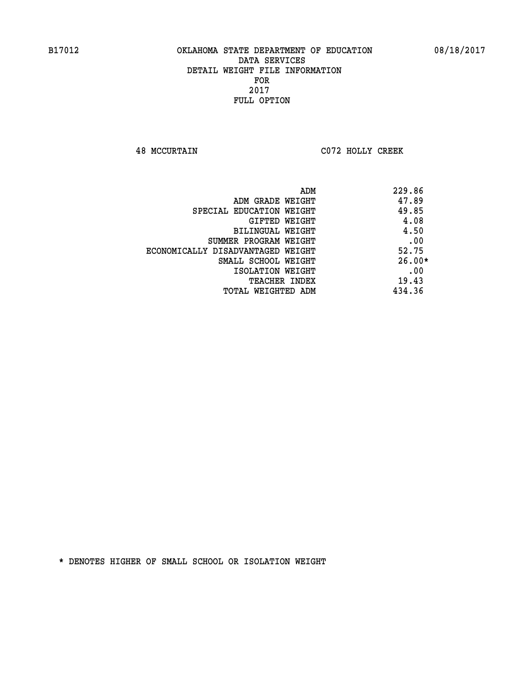**48 MCCURTAIN C072 HOLLY CREEK** 

| ADM                               | 229.86   |
|-----------------------------------|----------|
| ADM GRADE WEIGHT                  | 47.89    |
| SPECIAL EDUCATION WEIGHT          | 49.85    |
| GIFTED WEIGHT                     | 4.08     |
| <b>BILINGUAL WEIGHT</b>           | 4.50     |
| SUMMER PROGRAM WEIGHT             | .00      |
| ECONOMICALLY DISADVANTAGED WEIGHT | 52.75    |
| SMALL SCHOOL WEIGHT               | $26.00*$ |
| ISOLATION WEIGHT                  | .00      |
| <b>TEACHER INDEX</b>              | 19.43    |
| TOTAL WEIGHTED ADM                | 434.36   |
|                                   |          |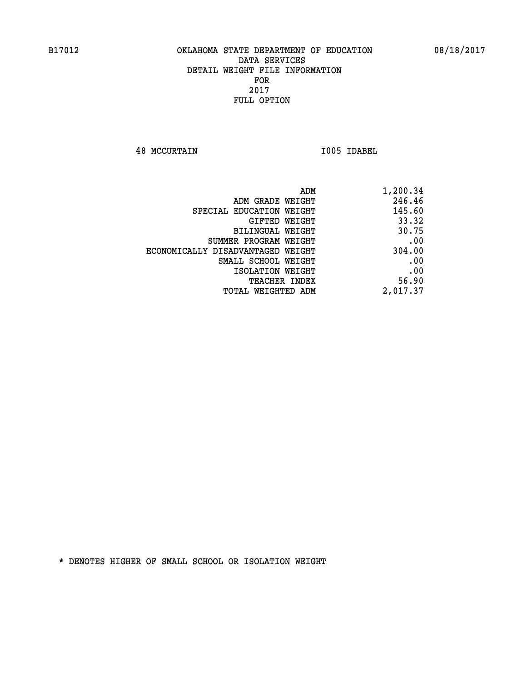**48 MCCURTAIN I005 IDABEL** 

| 1,200.34 |
|----------|
| 246.46   |
| 145.60   |
| 33.32    |
| 30.75    |
| .00      |
| 304.00   |
| .00      |
| .00      |
| 56.90    |
| 2,017.37 |
|          |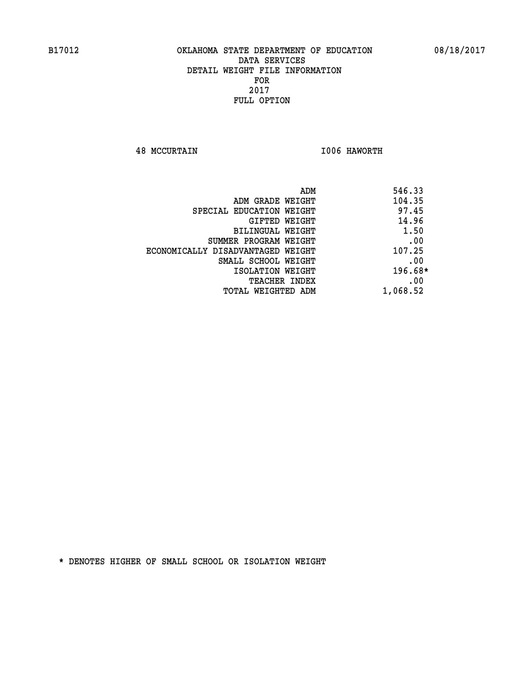**48 MCCURTAIN I006 HAWORTH** 

| ADM<br>546.33 |                                   |
|---------------|-----------------------------------|
| 104.35        | ADM GRADE WEIGHT                  |
| 97.45         | SPECIAL EDUCATION WEIGHT          |
| 14.96         | GIFTED WEIGHT                     |
| 1.50          | BILINGUAL WEIGHT                  |
| .00           | SUMMER PROGRAM WEIGHT             |
| 107.25        | ECONOMICALLY DISADVANTAGED WEIGHT |
| .00           | SMALL SCHOOL WEIGHT               |
| $196.68*$     | ISOLATION WEIGHT                  |
| .00           | <b>TEACHER INDEX</b>              |
| 1,068.52      | TOTAL WEIGHTED ADM                |
|               |                                   |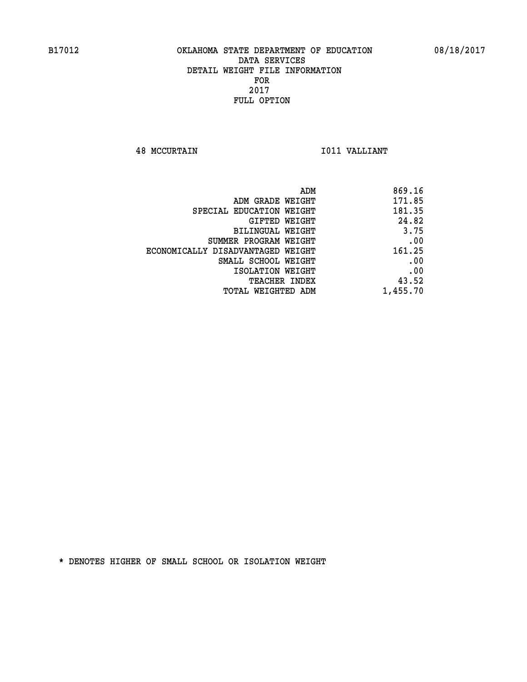**48 MCCURTAIN I011 VALLIANT** 

| ADM                               | 869.16   |
|-----------------------------------|----------|
| ADM GRADE WEIGHT                  | 171.85   |
| SPECIAL EDUCATION WEIGHT          | 181.35   |
| GIFTED WEIGHT                     | 24.82    |
| BILINGUAL WEIGHT                  | 3.75     |
| SUMMER PROGRAM WEIGHT             | .00      |
| ECONOMICALLY DISADVANTAGED WEIGHT | 161.25   |
| SMALL SCHOOL WEIGHT               | .00      |
| ISOLATION WEIGHT                  | .00      |
| <b>TEACHER INDEX</b>              | 43.52    |
| TOTAL WEIGHTED ADM                | 1,455.70 |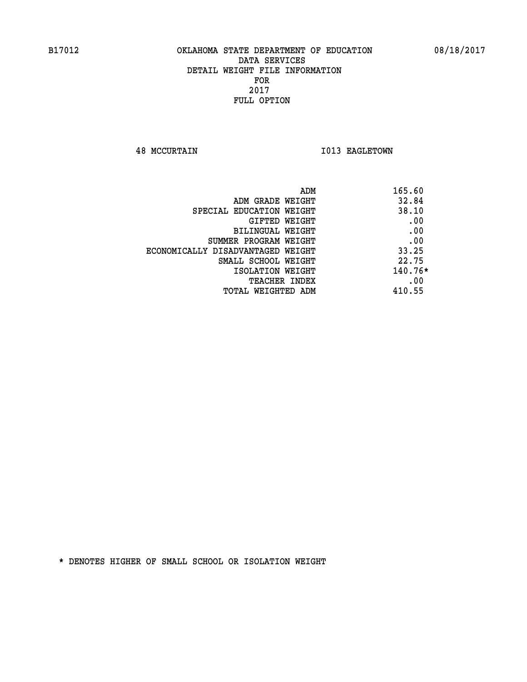**48 MCCURTAIN 1013 EAGLETOWN** 

| ADM                               | 165.60    |
|-----------------------------------|-----------|
| ADM GRADE WEIGHT                  | 32.84     |
| SPECIAL EDUCATION WEIGHT          | 38.10     |
| GIFTED WEIGHT                     | .00       |
| BILINGUAL WEIGHT                  | .00       |
| SUMMER PROGRAM WEIGHT             | .00       |
| ECONOMICALLY DISADVANTAGED WEIGHT | 33.25     |
| SMALL SCHOOL WEIGHT               | 22.75     |
| ISOLATION WEIGHT                  | $140.76*$ |
| <b>TEACHER INDEX</b>              | .00       |
| TOTAL WEIGHTED ADM                | 410.55    |
|                                   |           |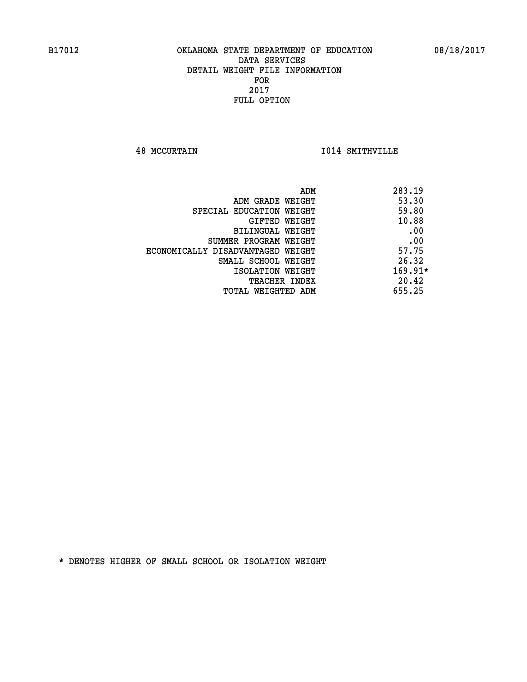**48 MCCURTAIN I014 SMITHVILLE** 

|                                   | ADM | 283.19    |
|-----------------------------------|-----|-----------|
| ADM GRADE WEIGHT                  |     | 53.30     |
| SPECIAL EDUCATION WEIGHT          |     | 59.80     |
| GIFTED WEIGHT                     |     | 10.88     |
| BILINGUAL WEIGHT                  |     | .00       |
| SUMMER PROGRAM WEIGHT             |     | .00       |
| ECONOMICALLY DISADVANTAGED WEIGHT |     | 57.75     |
| SMALL SCHOOL WEIGHT               |     | 26.32     |
| ISOLATION WEIGHT                  |     | $169.91*$ |
| TEACHER INDEX                     |     | 20.42     |
| TOTAL WEIGHTED ADM                |     | 655.25    |
|                                   |     |           |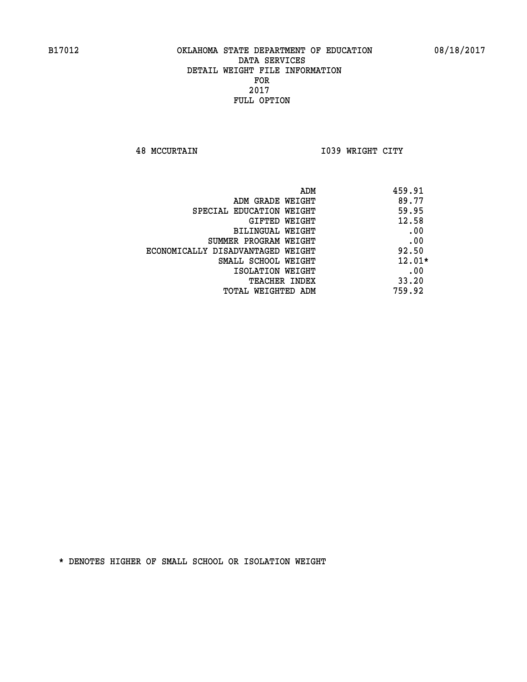**48 MCCURTAIN I039 WRIGHT CITY** 

| ADM                               | 459.91   |
|-----------------------------------|----------|
| ADM GRADE WEIGHT                  | 89.77    |
| SPECIAL EDUCATION WEIGHT          | 59.95    |
| GIFTED WEIGHT                     | 12.58    |
| BILINGUAL WEIGHT                  | .00      |
| SUMMER PROGRAM WEIGHT             | .00      |
| ECONOMICALLY DISADVANTAGED WEIGHT | 92.50    |
| SMALL SCHOOL WEIGHT               | $12.01*$ |
| ISOLATION WEIGHT                  | .00      |
| <b>TEACHER INDEX</b>              | 33.20    |
| TOTAL WEIGHTED ADM                | 759.92   |
|                                   |          |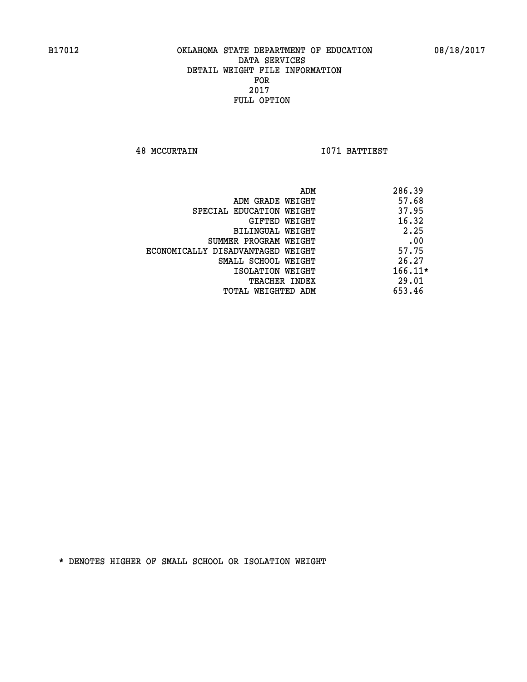**48 MCCURTAIN I071 BATTIEST** 

| 286.39    |
|-----------|
| 57.68     |
| 37.95     |
| 16.32     |
| 2.25      |
| .00       |
| 57.75     |
| 26.27     |
| $166.11*$ |
| 29.01     |
| 653.46    |
|           |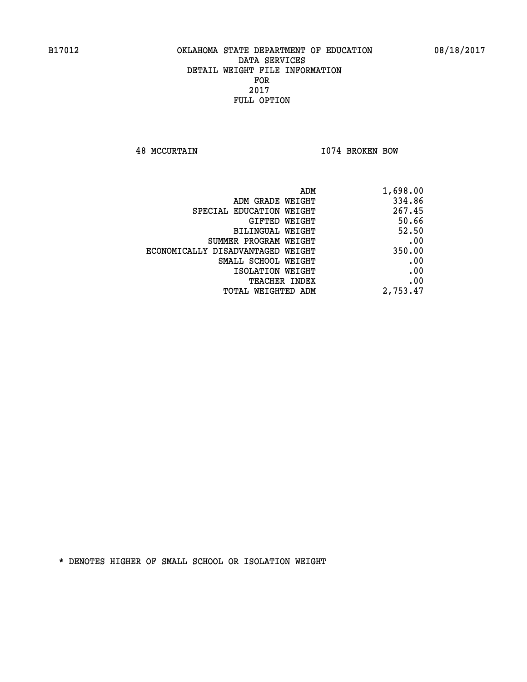**48 MCCURTAIN I074 BROKEN BOW** 

| ADM                               | 1,698.00 |
|-----------------------------------|----------|
| ADM GRADE WEIGHT                  | 334.86   |
| SPECIAL EDUCATION WEIGHT          | 267.45   |
| <b>GIFTED WEIGHT</b>              | 50.66    |
| BILINGUAL WEIGHT                  | 52.50    |
| SUMMER PROGRAM WEIGHT             | .00      |
| ECONOMICALLY DISADVANTAGED WEIGHT | 350.00   |
| SMALL SCHOOL WEIGHT               | .00      |
| ISOLATION WEIGHT                  | .00      |
| <b>TEACHER INDEX</b>              | .00      |
| TOTAL WEIGHTED ADM                | 2,753.47 |
|                                   |          |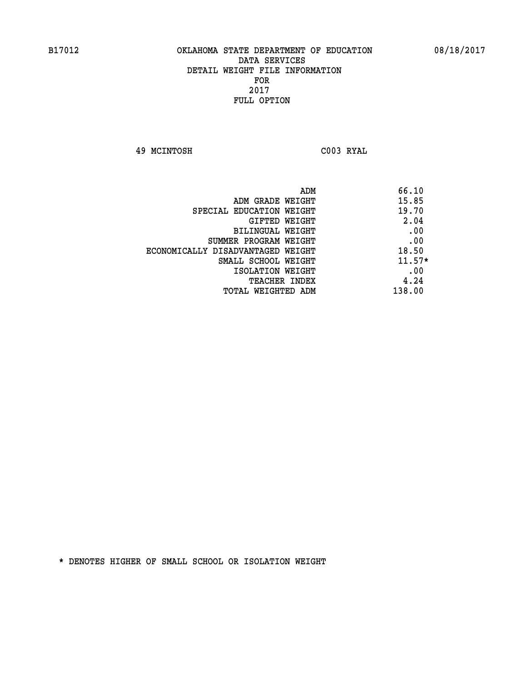**49 MCINTOSH C003 RYAL** 

|                                   | ADM | 66.10    |
|-----------------------------------|-----|----------|
| ADM GRADE WEIGHT                  |     | 15.85    |
| SPECIAL EDUCATION WEIGHT          |     | 19.70    |
| GIFTED WEIGHT                     |     | 2.04     |
| BILINGUAL WEIGHT                  |     | .00      |
| SUMMER PROGRAM WEIGHT             |     | .00      |
| ECONOMICALLY DISADVANTAGED WEIGHT |     | 18.50    |
| SMALL SCHOOL WEIGHT               |     | $11.57*$ |
| ISOLATION WEIGHT                  |     | .00      |
| <b>TEACHER INDEX</b>              |     | 4.24     |
| TOTAL WEIGHTED ADM                |     | 138.00   |
|                                   |     |          |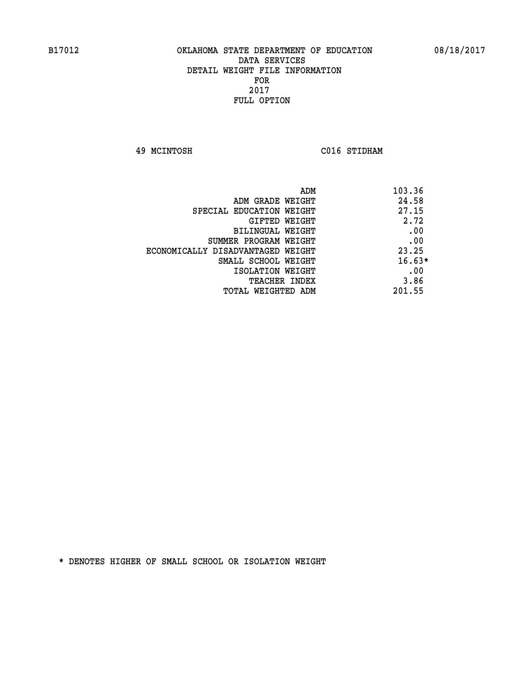**49 MCINTOSH C016 STIDHAM** 

| 103.36   | ADM                               |
|----------|-----------------------------------|
| 24.58    | ADM GRADE WEIGHT                  |
| 27.15    | SPECIAL EDUCATION WEIGHT          |
| 2.72     | <b>GIFTED WEIGHT</b>              |
| .00      | BILINGUAL WEIGHT                  |
| .00      | SUMMER PROGRAM WEIGHT             |
| 23.25    | ECONOMICALLY DISADVANTAGED WEIGHT |
| $16.63*$ | SMALL SCHOOL WEIGHT               |
| .00      | ISOLATION WEIGHT                  |
| 3.86     | <b>TEACHER INDEX</b>              |
| 201.55   | TOTAL WEIGHTED ADM                |
|          |                                   |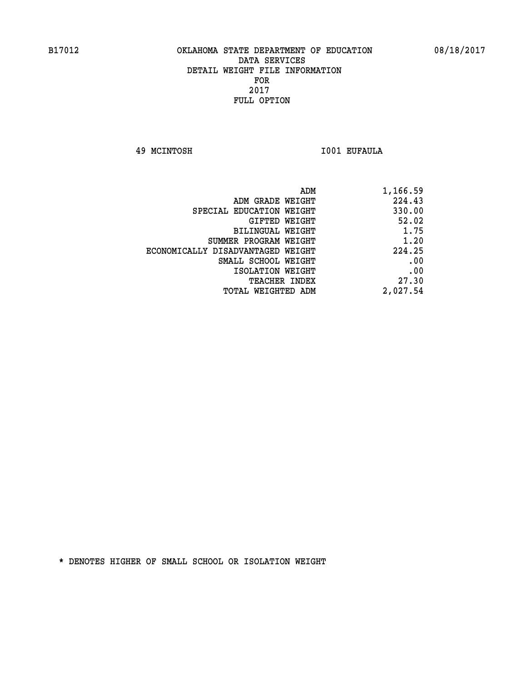**49 MCINTOSH I001 EUFAULA** 

| 1,166.59 |
|----------|
| 224.43   |
| 330.00   |
| 52.02    |
| 1.75     |
| 1.20     |
| 224.25   |
| .00      |
| .00      |
| 27.30    |
| 2,027.54 |
|          |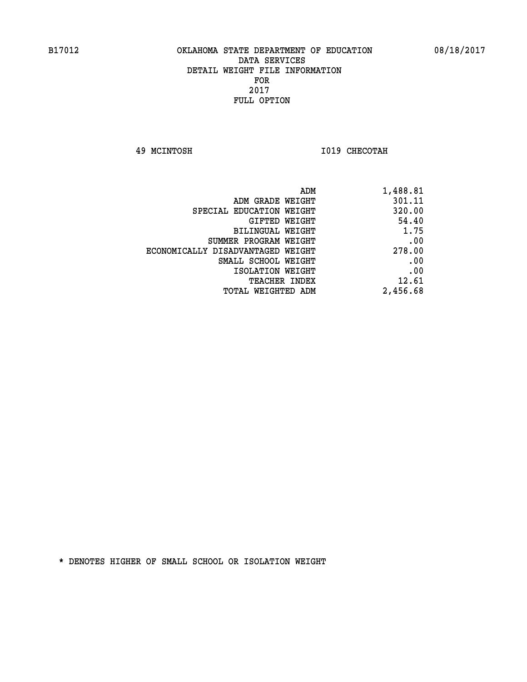**49 MCINTOSH I019 CHECOTAH** 

| ADM                               | 1,488.81 |
|-----------------------------------|----------|
| ADM GRADE WEIGHT                  | 301.11   |
| SPECIAL EDUCATION WEIGHT          | 320.00   |
| GIFTED WEIGHT                     | 54.40    |
| BILINGUAL WEIGHT                  | 1.75     |
| SUMMER PROGRAM WEIGHT             | .00      |
| ECONOMICALLY DISADVANTAGED WEIGHT | 278.00   |
| SMALL SCHOOL WEIGHT               | .00      |
| ISOLATION WEIGHT                  | .00      |
| <b>TEACHER INDEX</b>              | 12.61    |
| TOTAL WEIGHTED ADM                | 2,456.68 |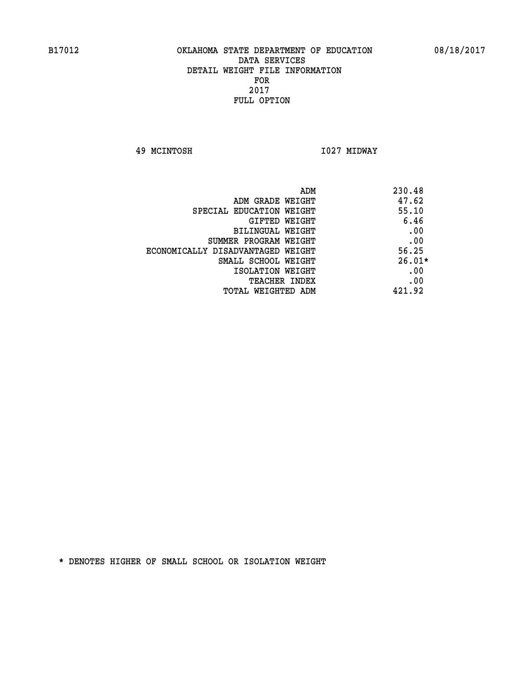**49 MCINTOSH I027 MIDWAY** 

| ADM                               | 230.48   |
|-----------------------------------|----------|
| ADM GRADE WEIGHT                  | 47.62    |
| SPECIAL EDUCATION WEIGHT          | 55.10    |
| GIFTED WEIGHT                     | 6.46     |
| BILINGUAL WEIGHT                  | .00      |
| SUMMER PROGRAM WEIGHT             | .00      |
| ECONOMICALLY DISADVANTAGED WEIGHT | 56.25    |
| SMALL SCHOOL WEIGHT               | $26.01*$ |
| ISOLATION WEIGHT                  | .00      |
| <b>TEACHER INDEX</b>              | .00      |
| TOTAL WEIGHTED ADM                | 421.92   |
|                                   |          |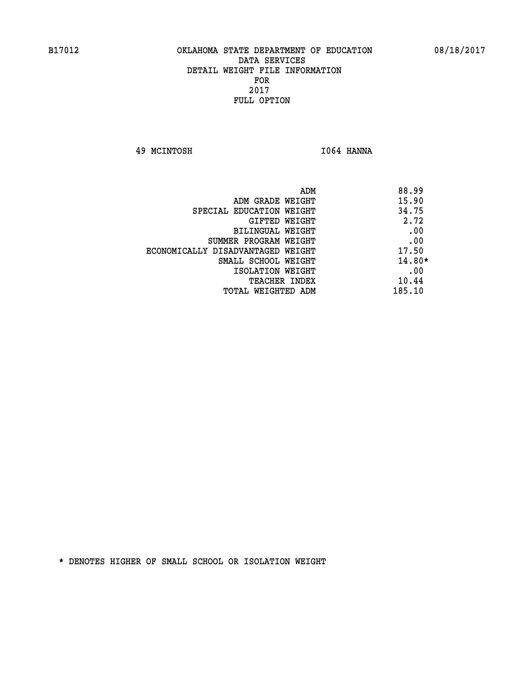**49 MCINTOSH I064 HANNA** 

| ADM                               | 88.99    |
|-----------------------------------|----------|
| ADM GRADE WEIGHT                  | 15.90    |
| SPECIAL EDUCATION WEIGHT          | 34.75    |
| GIFTED WEIGHT                     | 2.72     |
| BILINGUAL WEIGHT                  | .00      |
| SUMMER PROGRAM WEIGHT             | .00      |
| ECONOMICALLY DISADVANTAGED WEIGHT | 17.50    |
| SMALL SCHOOL WEIGHT               | $14.80*$ |
| ISOLATION WEIGHT                  | .00      |
| <b>TEACHER INDEX</b>              | 10.44    |
| 185.10<br>TOTAL WEIGHTED ADM      |          |
|                                   |          |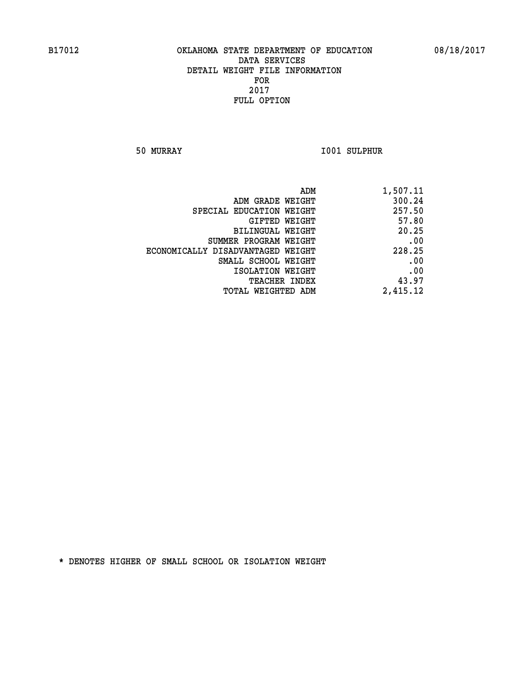**50 MURRAY I001 SULPHUR** 

| 1,507.11 |
|----------|
| 300.24   |
| 257.50   |
| 57.80    |
| 20.25    |
| .00      |
| 228.25   |
| .00      |
| .00      |
| 43.97    |
| 2,415.12 |
|          |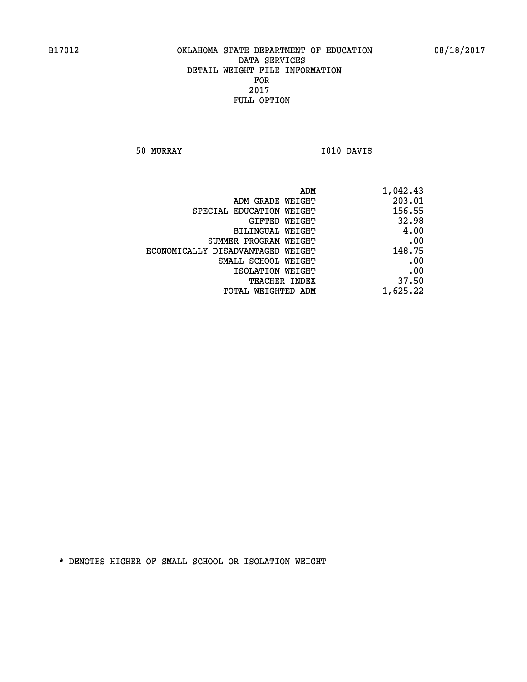**50 MURRAY I010 DAVIS** 

| ADM GRADE WEIGHT<br>SPECIAL EDUCATION WEIGHT<br>GIFTED WEIGHT<br><b>BILINGUAL WEIGHT</b><br>SUMMER PROGRAM WEIGHT<br>ECONOMICALLY DISADVANTAGED WEIGHT<br>SMALL SCHOOL WEIGHT<br>ISOLATION WEIGHT<br>TEACHER INDEX | ADM                | 1,042.43 |
|--------------------------------------------------------------------------------------------------------------------------------------------------------------------------------------------------------------------|--------------------|----------|
|                                                                                                                                                                                                                    |                    | 203.01   |
|                                                                                                                                                                                                                    |                    | 156.55   |
|                                                                                                                                                                                                                    |                    | 32.98    |
|                                                                                                                                                                                                                    |                    | 4.00     |
|                                                                                                                                                                                                                    |                    | .00      |
|                                                                                                                                                                                                                    |                    | 148.75   |
|                                                                                                                                                                                                                    |                    | .00      |
|                                                                                                                                                                                                                    |                    | .00      |
|                                                                                                                                                                                                                    |                    | 37.50    |
|                                                                                                                                                                                                                    | TOTAL WEIGHTED ADM | 1,625.22 |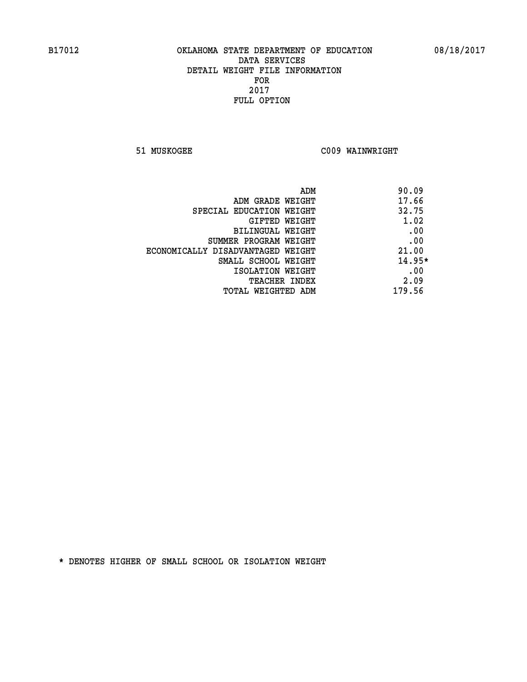**51 MUSKOGEE C009 WAINWRIGHT** 

| 90.09    |                                   |
|----------|-----------------------------------|
| 17.66    | ADM GRADE WEIGHT                  |
| 32.75    | SPECIAL EDUCATION WEIGHT          |
| 1.02     | <b>GIFTED WEIGHT</b>              |
| .00      | BILINGUAL WEIGHT                  |
| .00      | SUMMER PROGRAM WEIGHT             |
| 21.00    | ECONOMICALLY DISADVANTAGED WEIGHT |
| $14.95*$ | SMALL SCHOOL WEIGHT               |
| .00      | ISOLATION WEIGHT                  |
| 2.09     | <b>TEACHER INDEX</b>              |
| 179.56   | TOTAL WEIGHTED ADM                |
|          |                                   |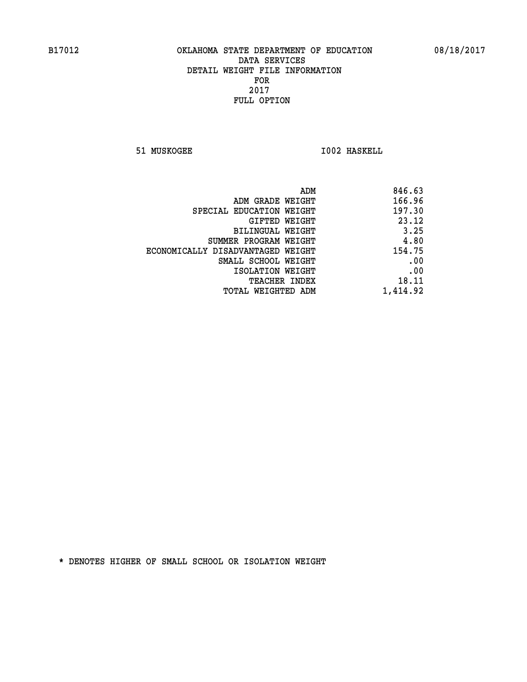**51 MUSKOGEE 1002 HASKELL** 

| 846.63<br>ADM                               |
|---------------------------------------------|
| 166.96<br>ADM GRADE WEIGHT                  |
| 197.30<br>SPECIAL EDUCATION WEIGHT          |
| 23.12<br>GIFTED WEIGHT                      |
| 3.25<br>BILINGUAL WEIGHT                    |
| 4.80<br>SUMMER PROGRAM WEIGHT               |
| 154.75<br>ECONOMICALLY DISADVANTAGED WEIGHT |
| .00<br>SMALL SCHOOL WEIGHT                  |
| .00<br>ISOLATION WEIGHT                     |
| 18.11<br><b>TEACHER INDEX</b>               |
| 1,414.92<br>TOTAL WEIGHTED ADM              |
|                                             |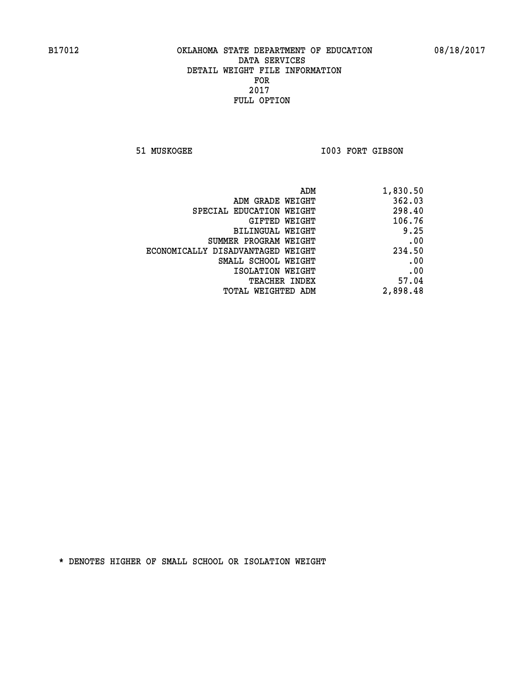51 MUSKOGEE 1003 FORT GIBSON

| 1,830.50 |
|----------|
| 362.03   |
| 298.40   |
| 106.76   |
| 9.25     |
| .00      |
| 234.50   |
| .00      |
| .00      |
| 57.04    |
| 2,898.48 |
|          |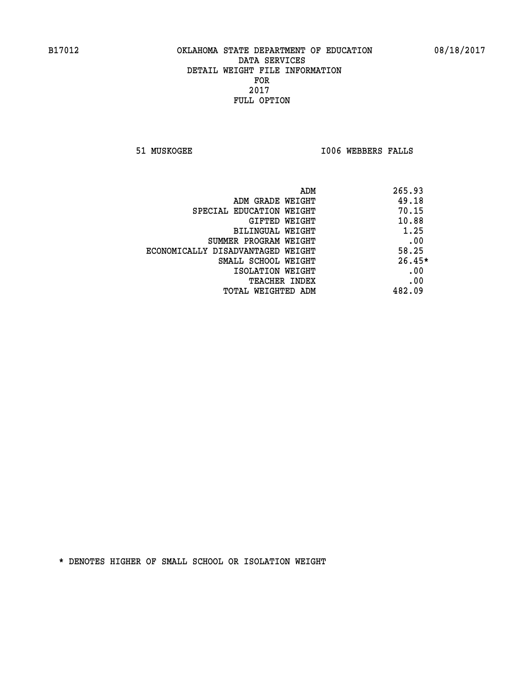**51 MUSKOGEE I006 WEBBERS FALLS** 

| ADM                               | 265.93   |
|-----------------------------------|----------|
| ADM GRADE WEIGHT                  | 49.18    |
| SPECIAL EDUCATION WEIGHT          | 70.15    |
| GIFTED WEIGHT                     | 10.88    |
| BILINGUAL WEIGHT                  | 1.25     |
| SUMMER PROGRAM WEIGHT             | .00      |
| ECONOMICALLY DISADVANTAGED WEIGHT | 58.25    |
| SMALL SCHOOL WEIGHT               | $26.45*$ |
| ISOLATION WEIGHT                  | .00      |
| <b>TEACHER INDEX</b>              | .00      |
| TOTAL WEIGHTED ADM                | 482.09   |
|                                   |          |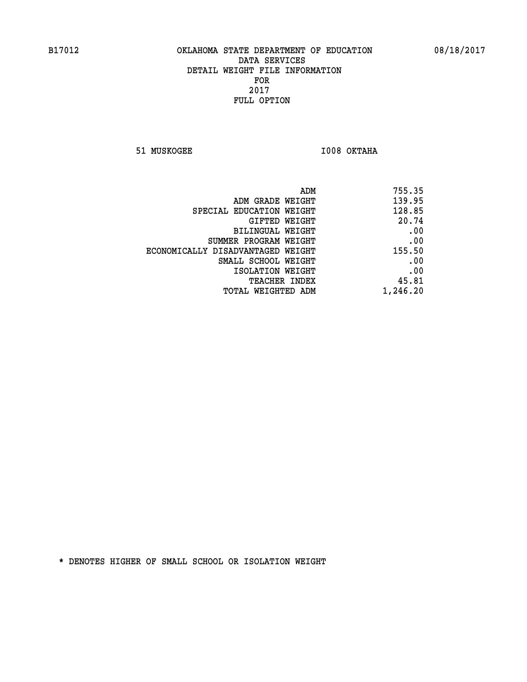**51 MUSKOGEE I008 OKTAHA** 

| ADM                               | 755.35   |
|-----------------------------------|----------|
| ADM GRADE WEIGHT                  | 139.95   |
| SPECIAL EDUCATION WEIGHT          | 128.85   |
| GIFTED WEIGHT                     | 20.74    |
| BILINGUAL WEIGHT                  | .00      |
| SUMMER PROGRAM WEIGHT             | .00      |
| ECONOMICALLY DISADVANTAGED WEIGHT | 155.50   |
| SMALL SCHOOL WEIGHT               | .00      |
| ISOLATION WEIGHT                  | .00      |
| TEACHER INDEX                     | 45.81    |
| TOTAL WEIGHTED ADM                | 1,246.20 |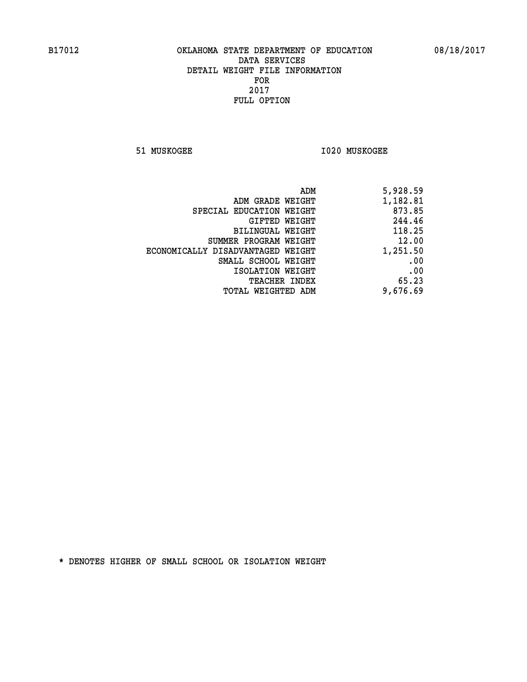**51 MUSKOGEE I020 MUSKOGEE** 

| 5,928.59 |
|----------|
| 1,182.81 |
| 873.85   |
| 244.46   |
| 118.25   |
| 12.00    |
| 1,251.50 |
| .00      |
| .00      |
| 65.23    |
| 9,676.69 |
|          |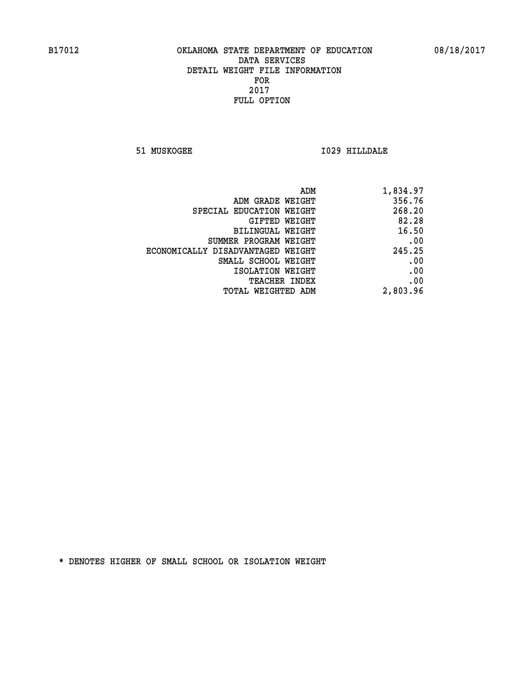**51 MUSKOGEE I029 HILLDALE** 

| 1,834.97 |
|----------|
| 356.76   |
| 268.20   |
| 82.28    |
| 16.50    |
| .00      |
| 245.25   |
| .00      |
| .00      |
| .00      |
| 2,803.96 |
|          |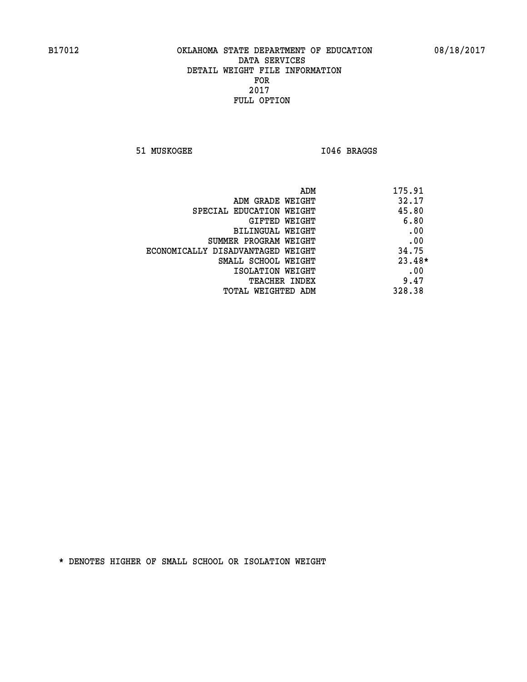51 MUSKOGEE 1046 BRAGGS

| ADM                               | 175.91   |
|-----------------------------------|----------|
| ADM GRADE WEIGHT                  | 32.17    |
| SPECIAL EDUCATION WEIGHT          | 45.80    |
| GIFTED WEIGHT                     | 6.80     |
| BILINGUAL WEIGHT                  | .00      |
| SUMMER PROGRAM WEIGHT             | .00      |
| ECONOMICALLY DISADVANTAGED WEIGHT | 34.75    |
| SMALL SCHOOL WEIGHT               | $23.48*$ |
| ISOLATION WEIGHT                  | .00      |
| <b>TEACHER INDEX</b>              | 9.47     |
| TOTAL WEIGHTED ADM                | 328.38   |
|                                   |          |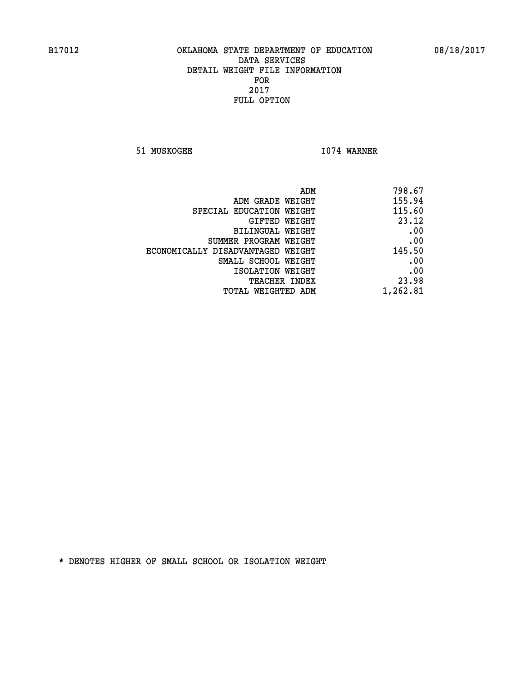**51 MUSKOGEE 1074 WARNER** 

| 798.67   |
|----------|
| 155.94   |
| 115.60   |
| 23.12    |
| .00      |
| .00      |
| 145.50   |
| .00      |
| .00      |
| 23.98    |
| 1,262.81 |
|          |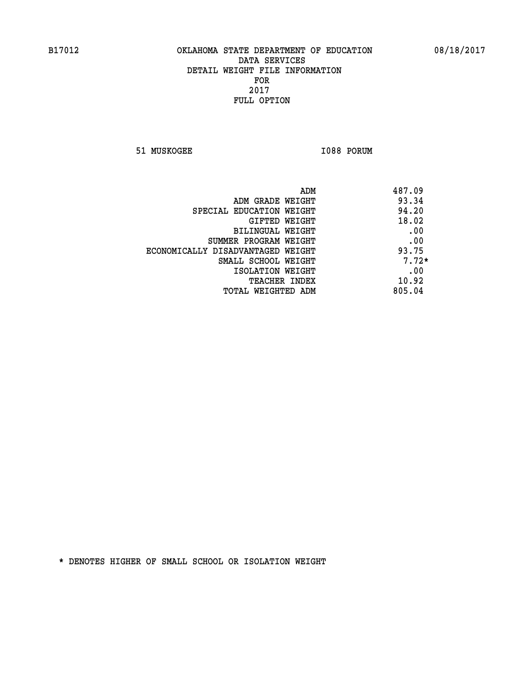**51 MUSKOGEE 1088 PORUM** 

| 487.09<br>ADM                              |  |
|--------------------------------------------|--|
| 93.34<br>ADM GRADE WEIGHT                  |  |
| 94.20<br>SPECIAL EDUCATION WEIGHT          |  |
| 18.02<br>GIFTED WEIGHT                     |  |
| .00<br>BILINGUAL WEIGHT                    |  |
| .00<br>SUMMER PROGRAM WEIGHT               |  |
| 93.75<br>ECONOMICALLY DISADVANTAGED WEIGHT |  |
| $7.72*$<br>SMALL SCHOOL WEIGHT             |  |
| .00<br>ISOLATION WEIGHT                    |  |
| 10.92<br><b>TEACHER INDEX</b>              |  |
| 805.04<br>TOTAL WEIGHTED ADM               |  |
|                                            |  |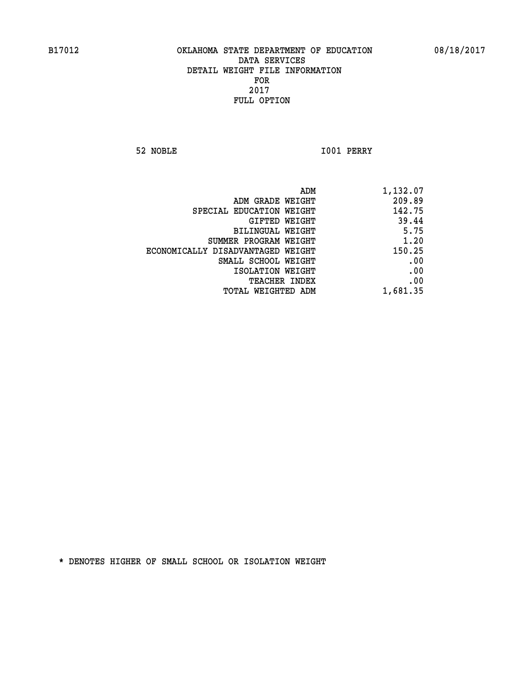**52 NOBLE I001 PERRY** 

|                                   | ADM<br>1,132.07 |
|-----------------------------------|-----------------|
| ADM GRADE WEIGHT                  | 209.89          |
| SPECIAL EDUCATION WEIGHT          | 142.75          |
| GIFTED WEIGHT                     | 39.44           |
| <b>BILINGUAL WEIGHT</b>           | 5.75            |
| SUMMER PROGRAM WEIGHT             | 1.20            |
| ECONOMICALLY DISADVANTAGED WEIGHT | 150.25          |
| SMALL SCHOOL WEIGHT               | .00             |
| ISOLATION WEIGHT                  | .00             |
| TEACHER INDEX                     | .00             |
| TOTAL WEIGHTED ADM                | 1,681.35        |
|                                   |                 |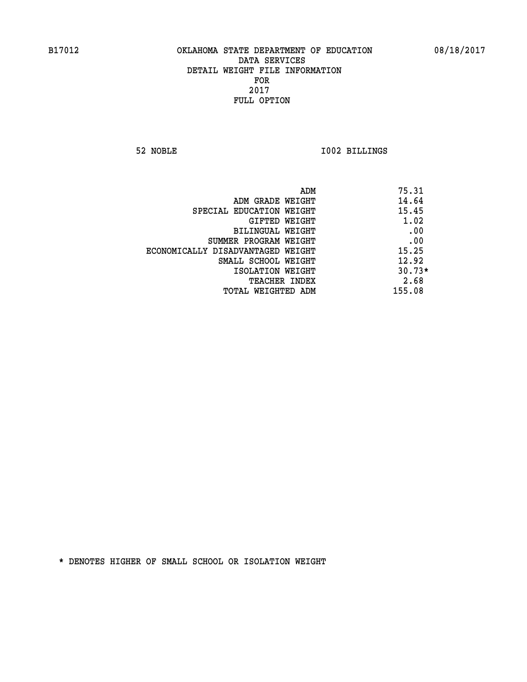**52 NOBLE I002 BILLINGS** 

|                                   | ADM | 75.31    |
|-----------------------------------|-----|----------|
| ADM GRADE WEIGHT                  |     | 14.64    |
| SPECIAL EDUCATION WEIGHT          |     | 15.45    |
| GIFTED WEIGHT                     |     | 1.02     |
| BILINGUAL WEIGHT                  |     | .00      |
| SUMMER PROGRAM WEIGHT             |     | .00      |
| ECONOMICALLY DISADVANTAGED WEIGHT |     | 15.25    |
| SMALL SCHOOL WEIGHT               |     | 12.92    |
| ISOLATION WEIGHT                  |     | $30.73*$ |
| TEACHER INDEX                     |     | 2.68     |
| TOTAL WEIGHTED ADM                |     | 155.08   |
|                                   |     |          |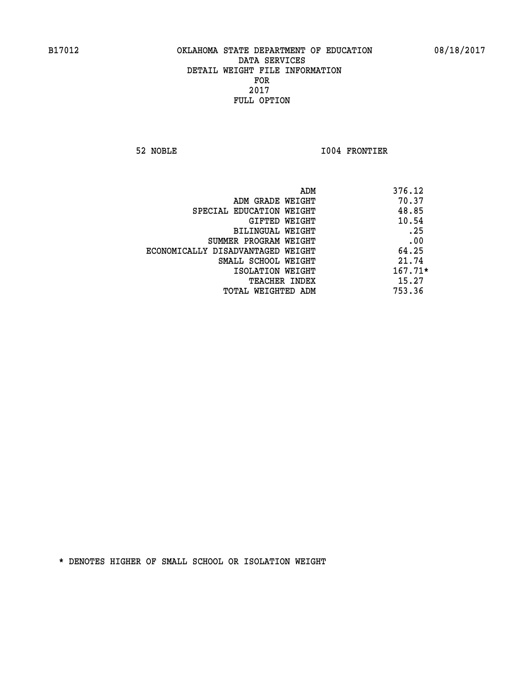**52 NOBLE I004 FRONTIER** 

|                                   | ADM<br>376.12 |
|-----------------------------------|---------------|
| ADM GRADE WEIGHT                  | 70.37         |
| SPECIAL EDUCATION WEIGHT          | 48.85         |
| GIFTED WEIGHT                     | 10.54         |
| BILINGUAL WEIGHT                  | .25           |
| SUMMER PROGRAM WEIGHT             | .00           |
| ECONOMICALLY DISADVANTAGED WEIGHT | 64.25         |
| SMALL SCHOOL WEIGHT               | 21.74         |
| ISOLATION WEIGHT                  | $167.71*$     |
| <b>TEACHER INDEX</b>              | 15.27         |
| TOTAL WEIGHTED ADM                | 753.36        |
|                                   |               |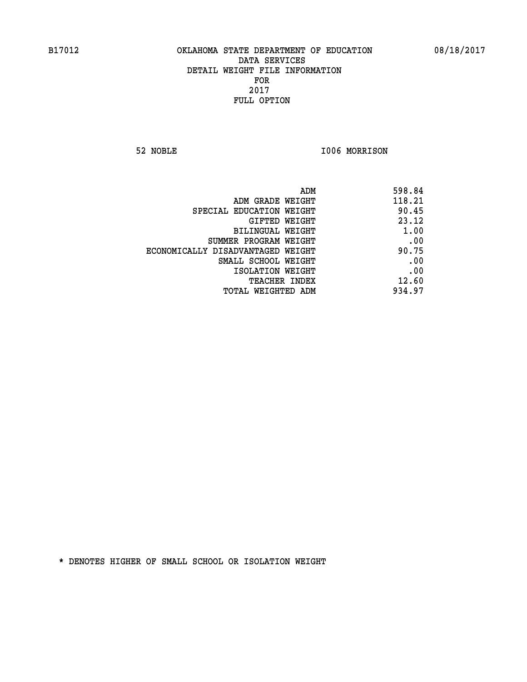**52 NOBLE I006 MORRISON** 

|                                   | ADM | 598.84 |
|-----------------------------------|-----|--------|
| ADM GRADE WEIGHT                  |     | 118.21 |
| SPECIAL EDUCATION WEIGHT          |     | 90.45  |
| GIFTED WEIGHT                     |     | 23.12  |
| BILINGUAL WEIGHT                  |     | 1.00   |
| SUMMER PROGRAM WEIGHT             |     | .00    |
| ECONOMICALLY DISADVANTAGED WEIGHT |     | 90.75  |
| SMALL SCHOOL WEIGHT               |     | .00    |
| ISOLATION WEIGHT                  |     | .00    |
| TEACHER INDEX                     |     | 12.60  |
| TOTAL WEIGHTED ADM                |     | 934.97 |
|                                   |     |        |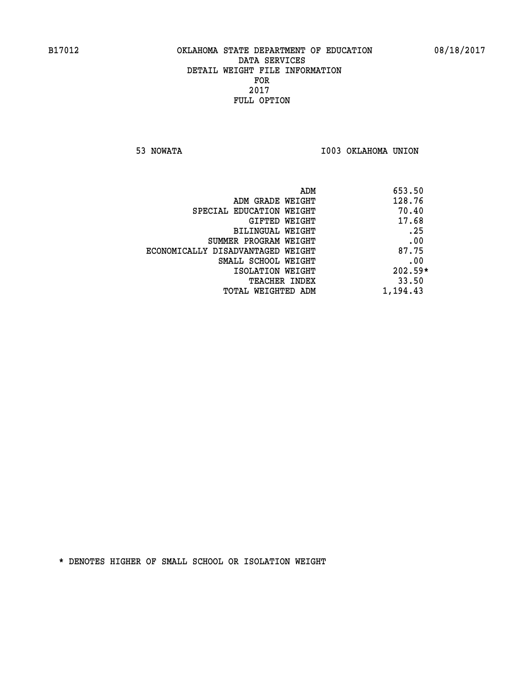**53 NOWATA I003 OKLAHOMA UNION** 

| 653.50<br>ADM |                                   |
|---------------|-----------------------------------|
| 128.76        | ADM GRADE WEIGHT                  |
| 70.40         | SPECIAL EDUCATION WEIGHT          |
| 17.68         | GIFTED WEIGHT                     |
| .25           | BILINGUAL WEIGHT                  |
| .00           | SUMMER PROGRAM WEIGHT             |
| 87.75         | ECONOMICALLY DISADVANTAGED WEIGHT |
| .00           | SMALL SCHOOL WEIGHT               |
| $202.59*$     | ISOLATION WEIGHT                  |
| 33.50         | <b>TEACHER INDEX</b>              |
| 1,194.43      | TOTAL WEIGHTED ADM                |
|               |                                   |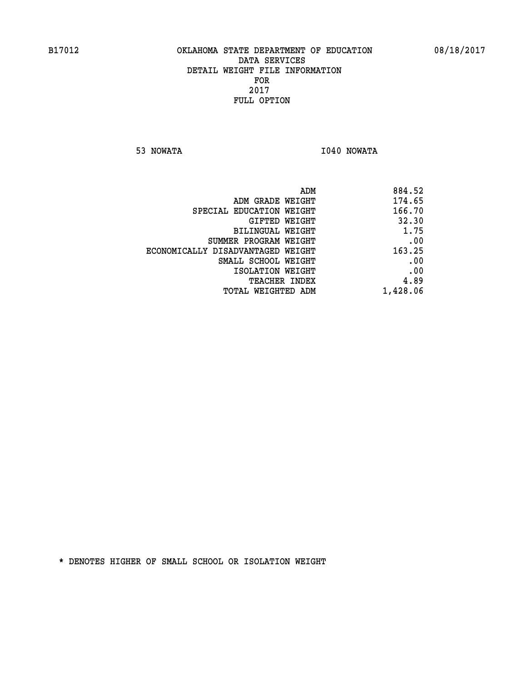**53 NOWATA I040 NOWATA** 

| ADM<br>884.52                               |
|---------------------------------------------|
| 174.65<br>ADM GRADE WEIGHT                  |
| 166.70<br>SPECIAL EDUCATION WEIGHT          |
| 32.30<br>GIFTED WEIGHT                      |
| 1.75<br><b>BILINGUAL WEIGHT</b>             |
| .00<br>SUMMER PROGRAM WEIGHT                |
| 163.25<br>ECONOMICALLY DISADVANTAGED WEIGHT |
| .00<br>SMALL SCHOOL WEIGHT                  |
| .00<br>ISOLATION WEIGHT                     |
| 4.89<br>TEACHER INDEX                       |
| 1,428.06<br>TOTAL WEIGHTED ADM              |
|                                             |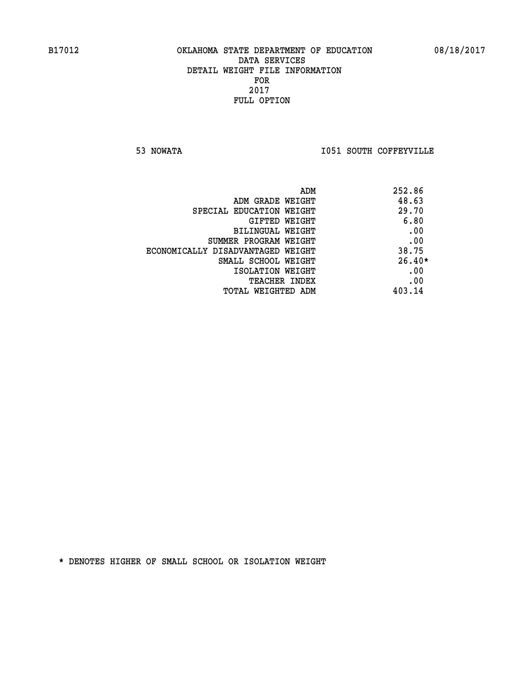**53 NOWATA I051 SOUTH COFFEYVILLE** 

| ADM                               | 252.86   |
|-----------------------------------|----------|
| ADM GRADE WEIGHT                  | 48.63    |
| SPECIAL EDUCATION WEIGHT          | 29.70    |
| GIFTED WEIGHT                     | 6.80     |
| BILINGUAL WEIGHT                  | .00      |
| SUMMER PROGRAM WEIGHT             | .00      |
| ECONOMICALLY DISADVANTAGED WEIGHT | 38.75    |
| SMALL SCHOOL WEIGHT               | $26.40*$ |
| ISOLATION WEIGHT                  | .00      |
| <b>TEACHER INDEX</b>              | .00      |
| TOTAL WEIGHTED ADM                | 403.14   |
|                                   |          |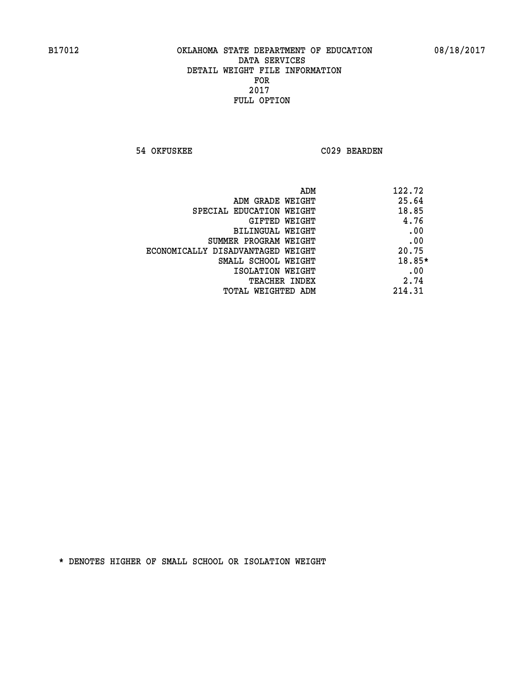**54 OKFUSKEE C029 BEARDEN** 

| ADM<br>122.72                              |  |
|--------------------------------------------|--|
| 25.64<br>ADM GRADE WEIGHT                  |  |
| 18.85<br>SPECIAL EDUCATION WEIGHT          |  |
| 4.76<br>GIFTED WEIGHT                      |  |
| .00<br>BILINGUAL WEIGHT                    |  |
| .00<br>SUMMER PROGRAM WEIGHT               |  |
| 20.75<br>ECONOMICALLY DISADVANTAGED WEIGHT |  |
| 18.85*<br>SMALL SCHOOL WEIGHT              |  |
| .00<br>ISOLATION WEIGHT                    |  |
| 2.74<br><b>TEACHER INDEX</b>               |  |
| 214.31<br>TOTAL WEIGHTED ADM               |  |
|                                            |  |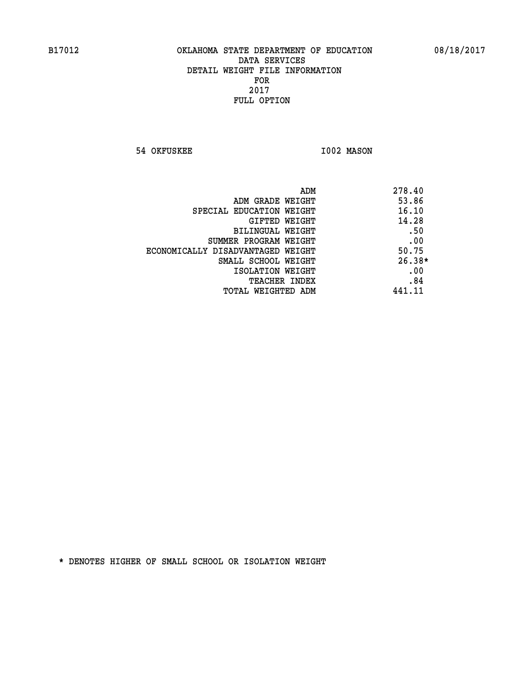**54 OKFUSKEE 1002 MASON** 

|                                   | 278.40<br>ADM |
|-----------------------------------|---------------|
| ADM GRADE WEIGHT                  | 53.86         |
| SPECIAL EDUCATION WEIGHT          | 16.10         |
| GIFTED WEIGHT                     | 14.28         |
| BILINGUAL WEIGHT                  | .50           |
| SUMMER PROGRAM WEIGHT             | .00           |
| ECONOMICALLY DISADVANTAGED WEIGHT | 50.75         |
| SMALL SCHOOL WEIGHT               | $26.38*$      |
| ISOLATION WEIGHT                  | .00           |
| <b>TEACHER INDEX</b>              | .84           |
| TOTAL WEIGHTED ADM                | 441.11        |
|                                   |               |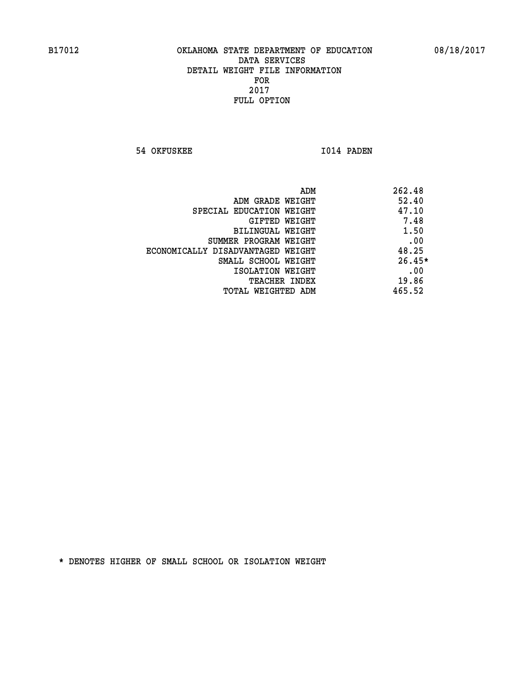**54 OKFUSKEE 1014 PADEN** 

| ADM                               | 262.48   |
|-----------------------------------|----------|
| ADM GRADE WEIGHT                  | 52.40    |
| SPECIAL EDUCATION WEIGHT          | 47.10    |
| GIFTED WEIGHT                     | 7.48     |
| BILINGUAL WEIGHT                  | 1.50     |
| SUMMER PROGRAM WEIGHT             | .00      |
| ECONOMICALLY DISADVANTAGED WEIGHT | 48.25    |
| SMALL SCHOOL WEIGHT               | $26.45*$ |
| ISOLATION WEIGHT                  | .00      |
| <b>TEACHER INDEX</b>              | 19.86    |
| TOTAL WEIGHTED ADM                | 465.52   |
|                                   |          |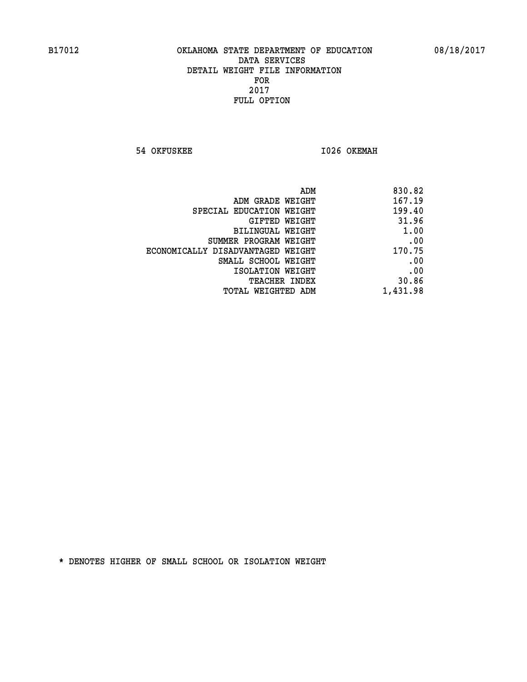**54 OKFUSKEE 1026 OKEMAH** 

| 830.82   |
|----------|
| 167.19   |
| 199.40   |
| 31.96    |
| 1.00     |
| .00      |
| 170.75   |
| .00      |
| .00      |
| 30.86    |
| 1,431.98 |
|          |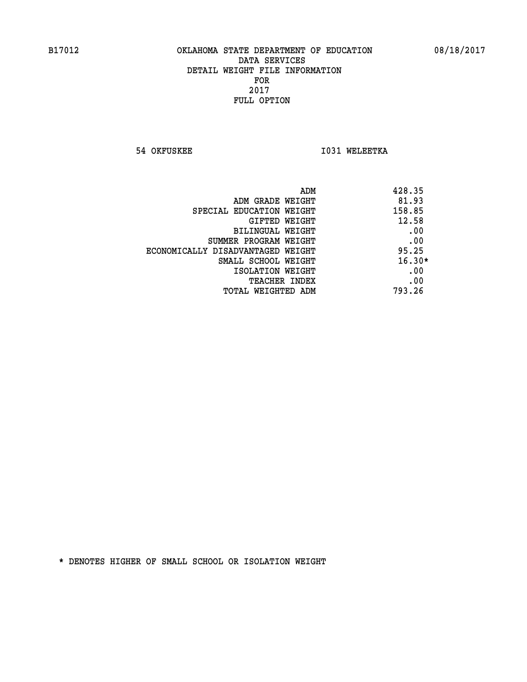**54 OKFUSKEE 1031 WELEETKA** 

| ADM                               | 428.35   |
|-----------------------------------|----------|
| ADM GRADE WEIGHT                  | 81.93    |
| SPECIAL EDUCATION WEIGHT          | 158.85   |
| GIFTED WEIGHT                     | 12.58    |
| BILINGUAL WEIGHT                  | .00      |
| SUMMER PROGRAM WEIGHT             | .00      |
| ECONOMICALLY DISADVANTAGED WEIGHT | 95.25    |
| SMALL SCHOOL WEIGHT               | $16.30*$ |
| ISOLATION WEIGHT                  | .00      |
| <b>TEACHER INDEX</b>              | .00      |
| TOTAL WEIGHTED ADM                | 793.26   |
|                                   |          |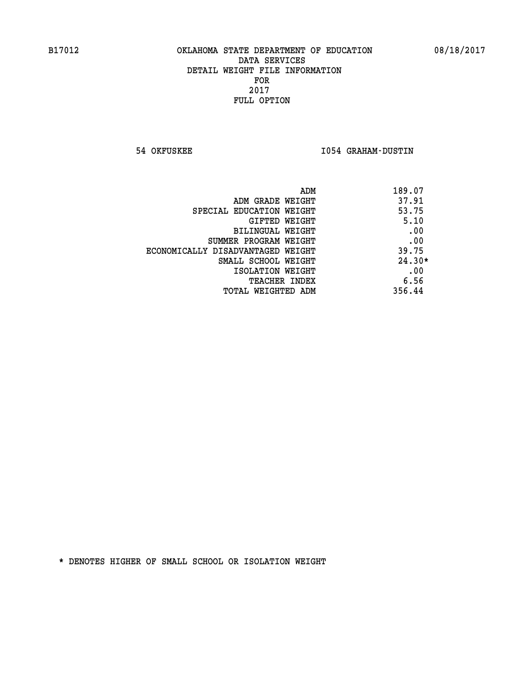**54 OKFUSKEE I054 GRAHAM-DUSTIN** 

| 189.07<br>ADM                              |  |
|--------------------------------------------|--|
| 37.91<br>ADM GRADE WEIGHT                  |  |
| 53.75<br>SPECIAL EDUCATION WEIGHT          |  |
| 5.10<br>GIFTED WEIGHT                      |  |
| .00<br>BILINGUAL WEIGHT                    |  |
| .00<br>SUMMER PROGRAM WEIGHT               |  |
| 39.75<br>ECONOMICALLY DISADVANTAGED WEIGHT |  |
| $24.30*$<br>SMALL SCHOOL WEIGHT            |  |
| .00<br>ISOLATION WEIGHT                    |  |
| 6.56<br><b>TEACHER INDEX</b>               |  |
| 356.44<br>TOTAL WEIGHTED ADM               |  |
|                                            |  |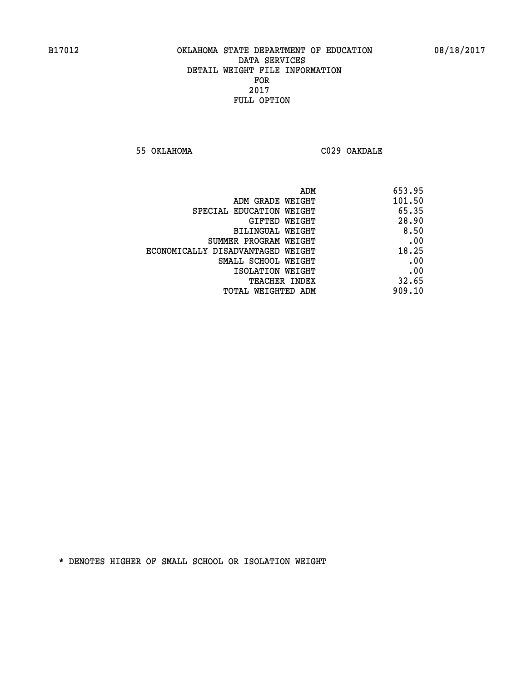**55 OKLAHOMA C029 OAKDALE** 

|                                   | ADM<br>653.95 |
|-----------------------------------|---------------|
| ADM GRADE WEIGHT                  | 101.50        |
| SPECIAL EDUCATION WEIGHT          | 65.35         |
| GIFTED WEIGHT                     | 28.90         |
| <b>BILINGUAL WEIGHT</b>           | 8.50          |
| SUMMER PROGRAM WEIGHT             | .00           |
| ECONOMICALLY DISADVANTAGED WEIGHT | 18.25         |
| SMALL SCHOOL WEIGHT               | .00           |
| ISOLATION WEIGHT                  | .00           |
| <b>TEACHER INDEX</b>              | 32.65         |
| TOTAL WEIGHTED ADM                | 909.10        |
|                                   |               |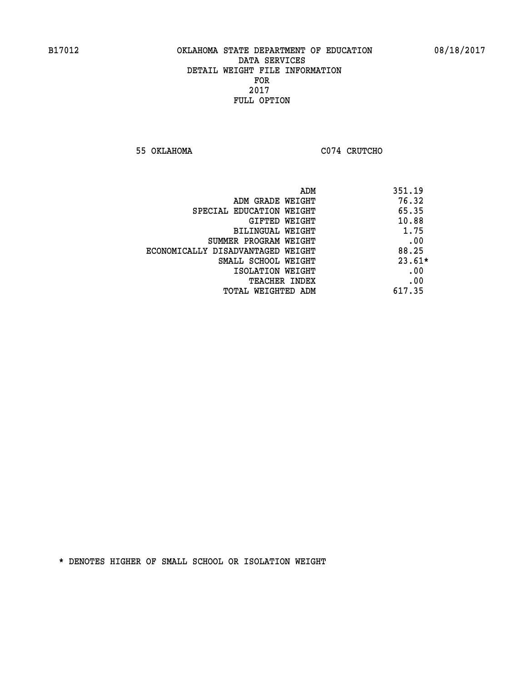**55 OKLAHOMA C074 CRUTCHO** 

| ADM                               | 351.19   |
|-----------------------------------|----------|
| ADM GRADE WEIGHT                  | 76.32    |
| SPECIAL EDUCATION WEIGHT          | 65.35    |
| <b>GIFTED WEIGHT</b>              | 10.88    |
| BILINGUAL WEIGHT                  | 1.75     |
| SUMMER PROGRAM WEIGHT             | .00      |
| ECONOMICALLY DISADVANTAGED WEIGHT | 88.25    |
| SMALL SCHOOL WEIGHT               | $23.61*$ |
| ISOLATION WEIGHT                  | .00      |
| <b>TEACHER INDEX</b>              | .00      |
| TOTAL WEIGHTED ADM                | 617.35   |
|                                   |          |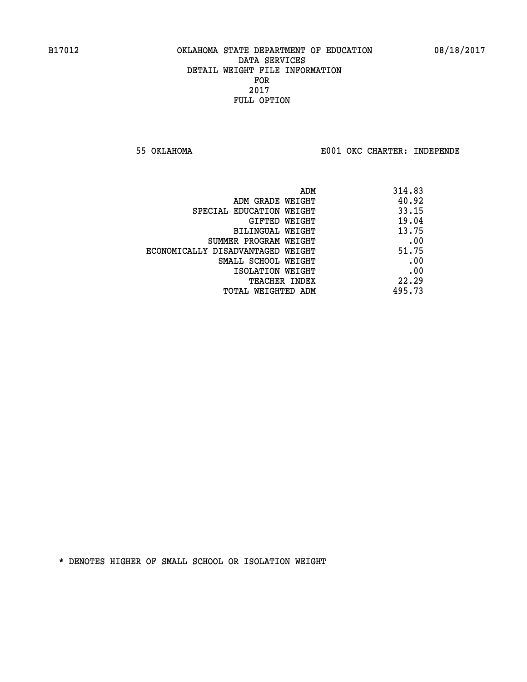**55 OKLAHOMA E001 OKC CHARTER: INDEPENDE**

| ADM                               | 314.83 |
|-----------------------------------|--------|
| ADM GRADE WEIGHT                  | 40.92  |
| SPECIAL EDUCATION WEIGHT          | 33.15  |
| GIFTED WEIGHT                     | 19.04  |
| BILINGUAL WEIGHT                  | 13.75  |
| SUMMER PROGRAM WEIGHT             | .00    |
| ECONOMICALLY DISADVANTAGED WEIGHT | 51.75  |
| SMALL SCHOOL WEIGHT               | .00    |
| ISOLATION WEIGHT                  | .00    |
| <b>TEACHER INDEX</b>              | 22.29  |
| TOTAL WEIGHTED ADM                | 495.73 |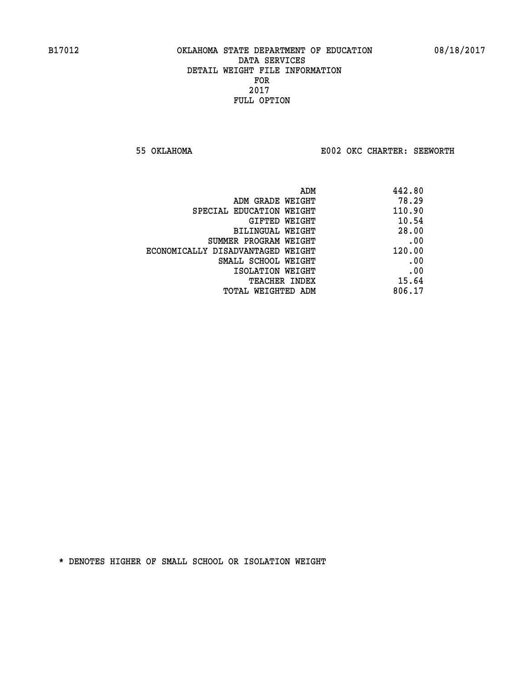**55 OKLAHOMA E002 OKC CHARTER: SEEWORTH** 

| ADM                               | 442.80 |
|-----------------------------------|--------|
| ADM GRADE WEIGHT                  | 78.29  |
| SPECIAL EDUCATION WEIGHT          | 110.90 |
| GIFTED WEIGHT                     | 10.54  |
| BILINGUAL WEIGHT                  | 28.00  |
| SUMMER PROGRAM WEIGHT             | .00    |
| ECONOMICALLY DISADVANTAGED WEIGHT | 120.00 |
| SMALL SCHOOL WEIGHT               | .00    |
| ISOLATION WEIGHT                  | .00    |
| <b>TEACHER INDEX</b>              | 15.64  |
| TOTAL WEIGHTED ADM                | 806.17 |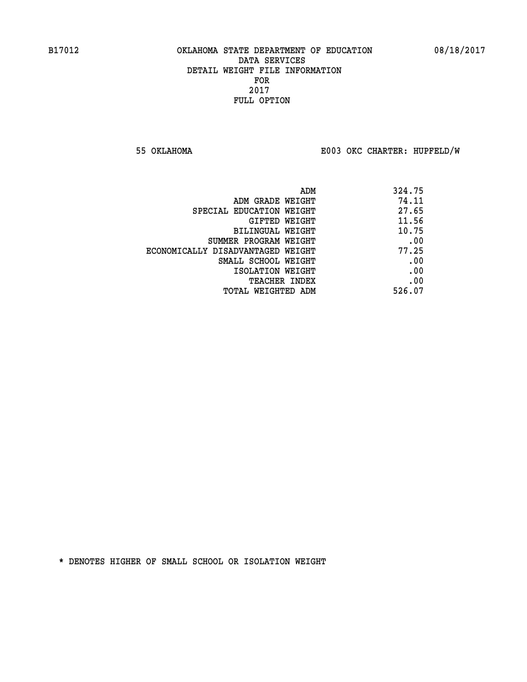**55 OKLAHOMA E003 OKC CHARTER: HUPFELD/W**

|                                   | 324.75<br>ADM |
|-----------------------------------|---------------|
| ADM GRADE WEIGHT                  | 74.11         |
| SPECIAL EDUCATION WEIGHT          | 27.65         |
| GIFTED WEIGHT                     | 11.56         |
| BILINGUAL WEIGHT                  | 10.75         |
| SUMMER PROGRAM WEIGHT             | .00           |
| ECONOMICALLY DISADVANTAGED WEIGHT | 77.25         |
| SMALL SCHOOL WEIGHT               | .00           |
| ISOLATION WEIGHT                  | .00           |
| <b>TEACHER INDEX</b>              | .00           |
| TOTAL WEIGHTED ADM                | 526.07        |
|                                   |               |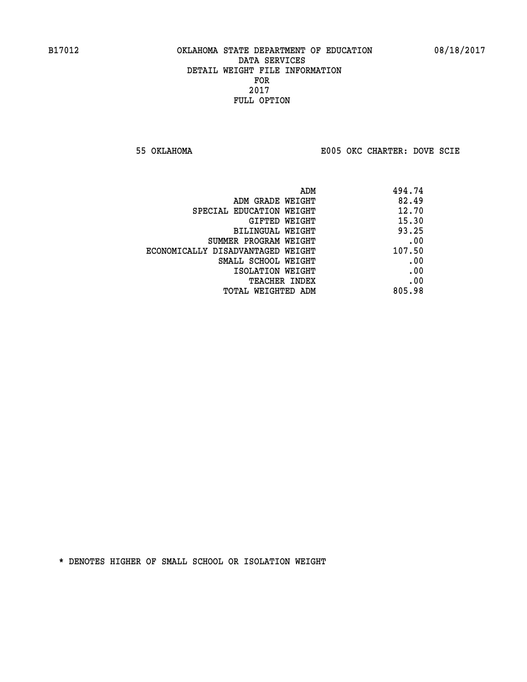**55 OKLAHOMA E005 OKC CHARTER: DOVE SCIE**

| ADM                               | 494.74 |
|-----------------------------------|--------|
| ADM GRADE WEIGHT                  | 82.49  |
| SPECIAL EDUCATION WEIGHT          | 12.70  |
| GIFTED WEIGHT                     | 15.30  |
| BILINGUAL WEIGHT                  | 93.25  |
| SUMMER PROGRAM WEIGHT             | .00    |
| ECONOMICALLY DISADVANTAGED WEIGHT | 107.50 |
| SMALL SCHOOL WEIGHT               | .00    |
| ISOLATION WEIGHT                  | .00    |
| <b>TEACHER INDEX</b>              | .00    |
| TOTAL WEIGHTED ADM                | 805.98 |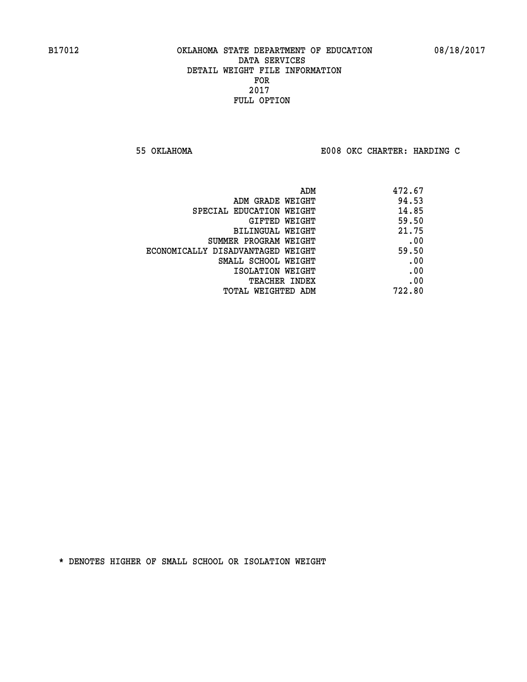**55 OKLAHOMA E008 OKC CHARTER: HARDING C**

| ADM                               | 472.67 |
|-----------------------------------|--------|
| ADM GRADE WEIGHT                  | 94.53  |
| SPECIAL EDUCATION WEIGHT          | 14.85  |
| GIFTED WEIGHT                     | 59.50  |
| BILINGUAL WEIGHT                  | 21.75  |
| SUMMER PROGRAM WEIGHT             | .00    |
| ECONOMICALLY DISADVANTAGED WEIGHT | 59.50  |
| SMALL SCHOOL WEIGHT               | .00    |
| ISOLATION WEIGHT                  | .00    |
| <b>TEACHER INDEX</b>              | .00    |
| TOTAL WEIGHTED ADM                | 722.80 |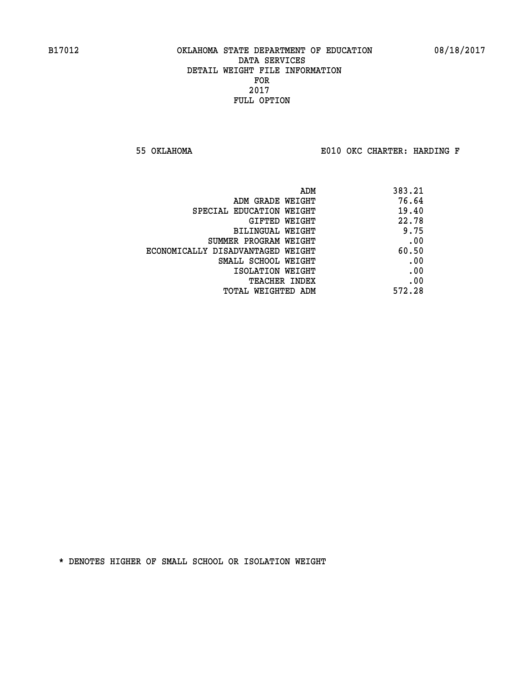**55 OKLAHOMA E010 OKC CHARTER: HARDING F**

| ADM                               | 383.21 |
|-----------------------------------|--------|
| ADM GRADE WEIGHT                  | 76.64  |
| SPECIAL EDUCATION WEIGHT          | 19.40  |
| GIFTED WEIGHT                     | 22.78  |
| BILINGUAL WEIGHT                  | 9.75   |
| SUMMER PROGRAM WEIGHT             | .00    |
| ECONOMICALLY DISADVANTAGED WEIGHT | 60.50  |
| SMALL SCHOOL WEIGHT               | .00    |
| ISOLATION WEIGHT                  | .00    |
| <b>TEACHER INDEX</b>              | .00    |
| TOTAL WEIGHTED ADM                | 572.28 |
|                                   |        |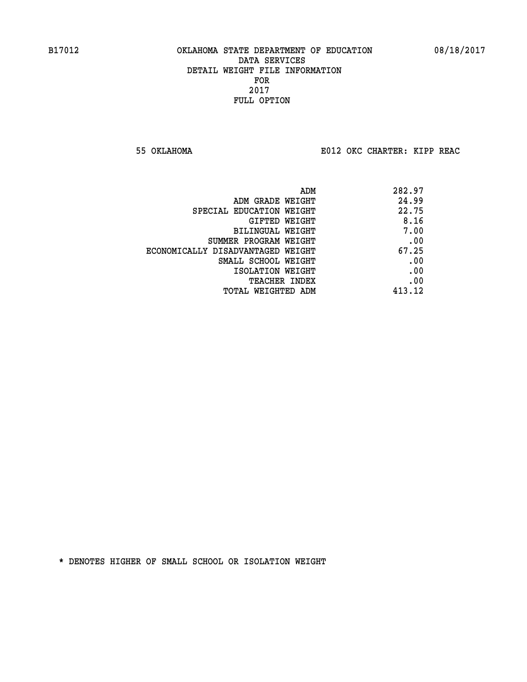**55 OKLAHOMA E012 OKC CHARTER: KIPP REAC**

|                                   | 282.97<br>ADM |  |
|-----------------------------------|---------------|--|
| ADM GRADE WEIGHT                  | 24.99         |  |
| SPECIAL EDUCATION WEIGHT          | 22.75         |  |
| GIFTED WEIGHT                     | 8.16          |  |
| BILINGUAL WEIGHT                  | 7.00          |  |
| SUMMER PROGRAM WEIGHT             | .00           |  |
| ECONOMICALLY DISADVANTAGED WEIGHT | 67.25         |  |
| SMALL SCHOOL WEIGHT               | .00           |  |
| ISOLATION WEIGHT                  | .00           |  |
| <b>TEACHER INDEX</b>              | .00           |  |
| TOTAL WEIGHTED ADM                | 413.12        |  |
|                                   |               |  |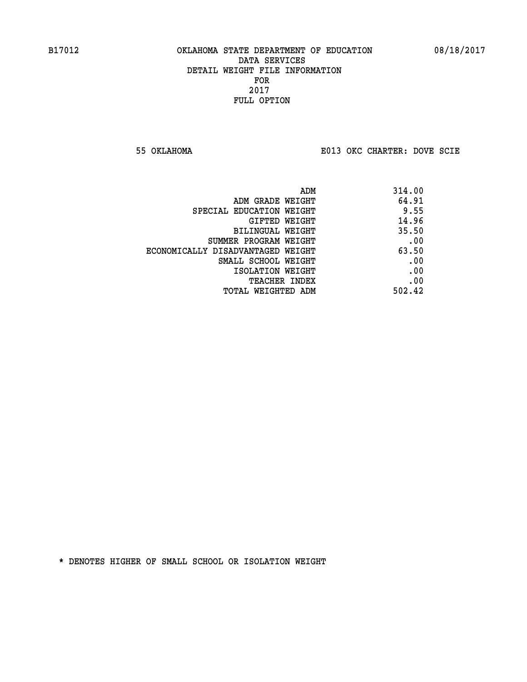**55 OKLAHOMA E013 OKC CHARTER: DOVE SCIE**

| ADM                               | 314.00 |
|-----------------------------------|--------|
| ADM GRADE WEIGHT                  | 64.91  |
| SPECIAL EDUCATION WEIGHT          | 9.55   |
| GIFTED WEIGHT                     | 14.96  |
| BILINGUAL WEIGHT                  | 35.50  |
| SUMMER PROGRAM WEIGHT             | .00    |
| ECONOMICALLY DISADVANTAGED WEIGHT | 63.50  |
| SMALL SCHOOL WEIGHT               | .00    |
| ISOLATION WEIGHT                  | .00    |
| TEACHER INDEX                     | .00    |
| TOTAL WEIGHTED ADM                | 502.42 |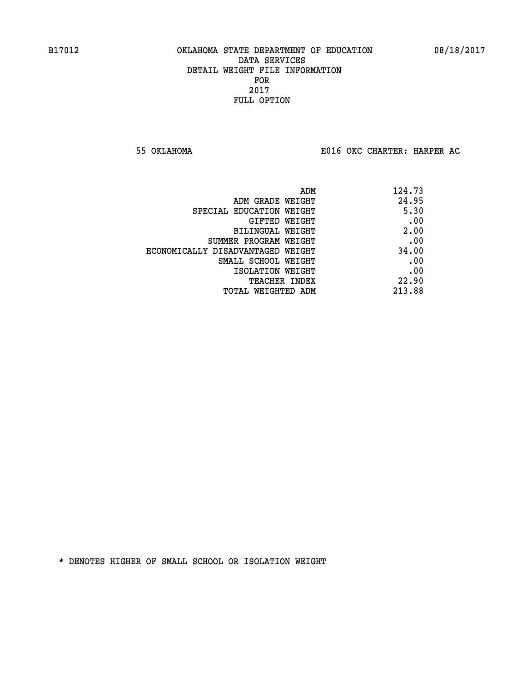**55 OKLAHOMA E016 OKC CHARTER: HARPER AC**

| 124.73 |
|--------|
| 24.95  |
| 5.30   |
| .00    |
| 2.00   |
| .00    |
| 34.00  |
| .00    |
| .00    |
| 22.90  |
| 213.88 |
|        |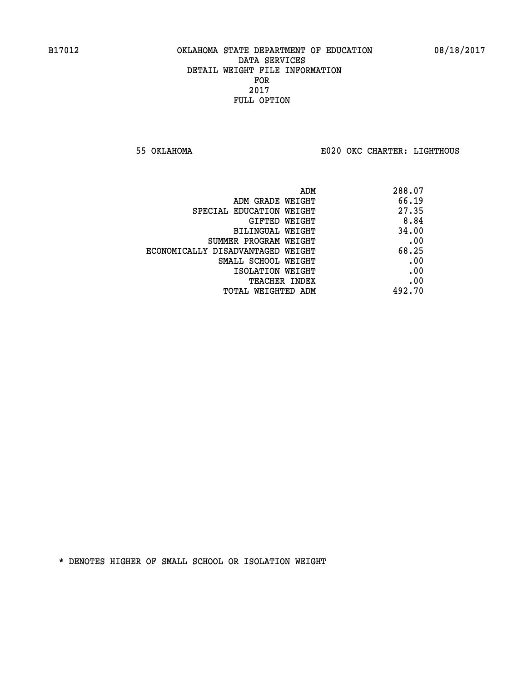**55 OKLAHOMA E020 OKC CHARTER: LIGHTHOUS**

| 288.07 |
|--------|
| 66.19  |
| 27.35  |
| 8.84   |
| 34.00  |
| .00    |
| 68.25  |
| .00    |
| .00    |
| .00    |
| 492.70 |
|        |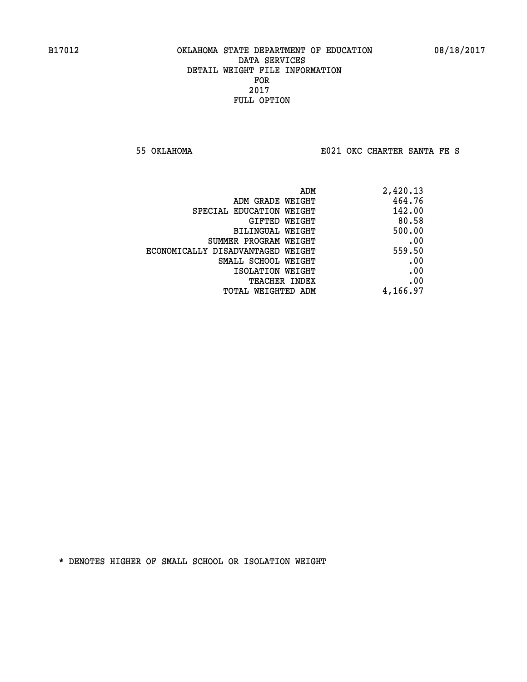**55 OKLAHOMA E021 OKC CHARTER SANTA FE S**

| 2,420.13 |
|----------|
| 464.76   |
| 142.00   |
| 80.58    |
| 500.00   |
| .00      |
| 559.50   |
| .00      |
| .00      |
| .00      |
| 4,166.97 |
|          |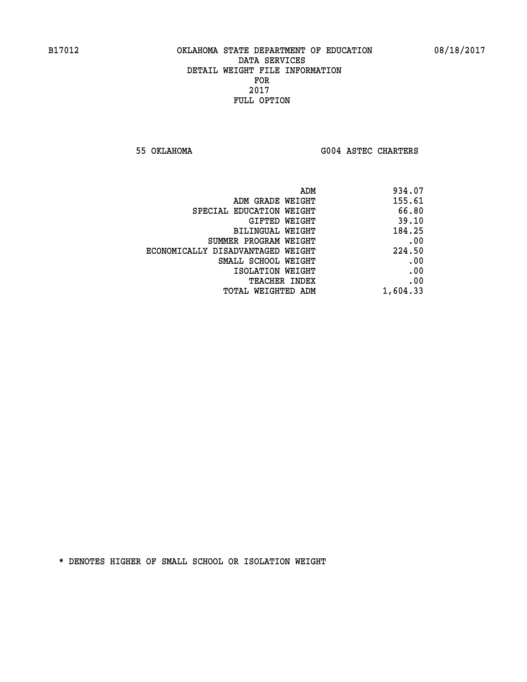**55 OKLAHOMA G004 ASTEC CHARTERS** 

| ADM                               | 934.07   |
|-----------------------------------|----------|
| ADM GRADE WEIGHT                  | 155.61   |
| SPECIAL EDUCATION WEIGHT          | 66.80    |
| <b>GIFTED WEIGHT</b>              | 39.10    |
| BILINGUAL WEIGHT                  | 184.25   |
| SUMMER PROGRAM WEIGHT             | .00      |
| ECONOMICALLY DISADVANTAGED WEIGHT | 224.50   |
| SMALL SCHOOL WEIGHT               | .00      |
| ISOLATION WEIGHT                  | .00      |
| <b>TEACHER INDEX</b>              | .00      |
| <b>TOTAL WEIGHTED ADM</b>         | 1,604.33 |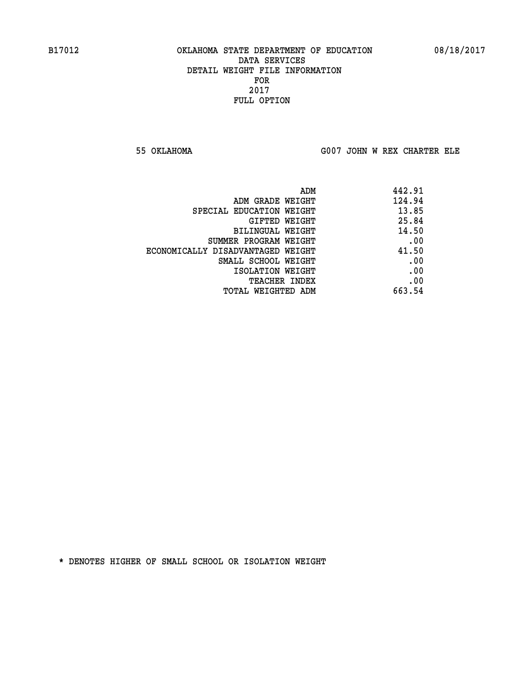**55 OKLAHOMA G007 JOHN W REX CHARTER ELE**

| 442.91 |
|--------|
| 124.94 |
| 13.85  |
| 25.84  |
| 14.50  |
| .00    |
| 41.50  |
| .00    |
| .00    |
| .00    |
| 663.54 |
|        |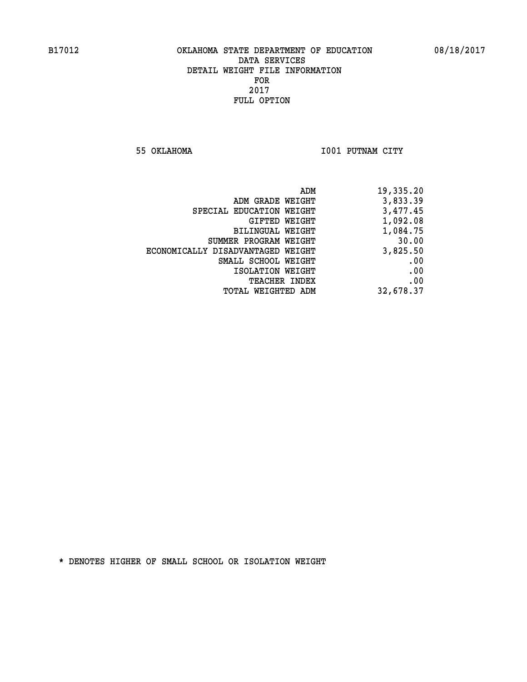**55 OKLAHOMA I001 PUTNAM CITY** 

|                                   | 19,335.20<br>ADM |
|-----------------------------------|------------------|
| ADM GRADE WEIGHT                  | 3,833.39         |
| SPECIAL EDUCATION WEIGHT          | 3,477.45         |
| GIFTED WEIGHT                     | 1,092.08         |
| BILINGUAL WEIGHT                  | 1,084.75         |
| SUMMER PROGRAM WEIGHT             | 30.00            |
| ECONOMICALLY DISADVANTAGED WEIGHT | 3,825.50         |
| SMALL SCHOOL WEIGHT               | .00              |
| ISOLATION WEIGHT                  | .00              |
| TEACHER INDEX                     | .00              |
| TOTAL WEIGHTED ADM                | 32,678.37        |
|                                   |                  |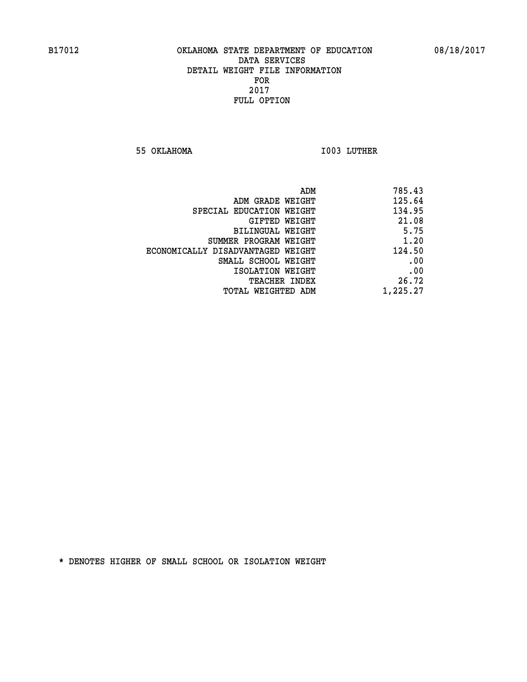**55 OKLAHOMA I003 LUTHER** 

| 785.43   |
|----------|
| 125.64   |
| 134.95   |
| 21.08    |
| 5.75     |
| 1.20     |
| 124.50   |
| .00      |
| .00      |
| 26.72    |
| 1,225.27 |
|          |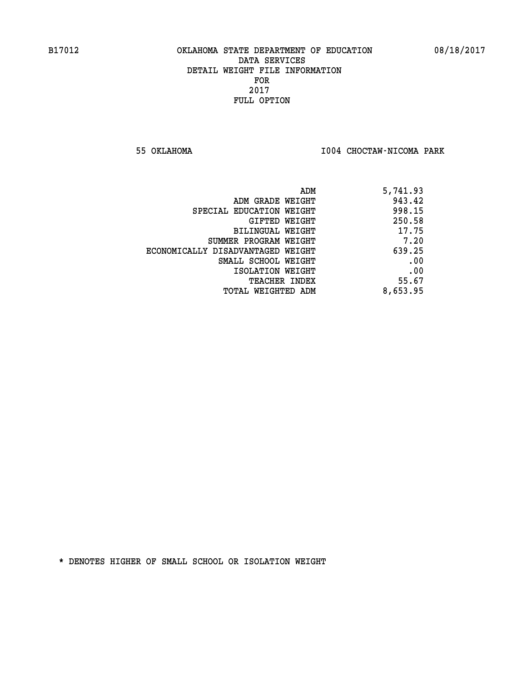**55 OKLAHOMA I004 CHOCTAW-NICOMA PARK** 

| ADM                               | 5,741.93 |
|-----------------------------------|----------|
| ADM GRADE WEIGHT                  | 943.42   |
| SPECIAL EDUCATION WEIGHT          | 998.15   |
| GIFTED WEIGHT                     | 250.58   |
| BILINGUAL WEIGHT                  | 17.75    |
| SUMMER PROGRAM WEIGHT             | 7.20     |
| ECONOMICALLY DISADVANTAGED WEIGHT | 639.25   |
| SMALL SCHOOL WEIGHT               | .00      |
| ISOLATION WEIGHT                  | .00      |
| <b>TEACHER INDEX</b>              | 55.67    |
| TOTAL WEIGHTED ADM                | 8,653.95 |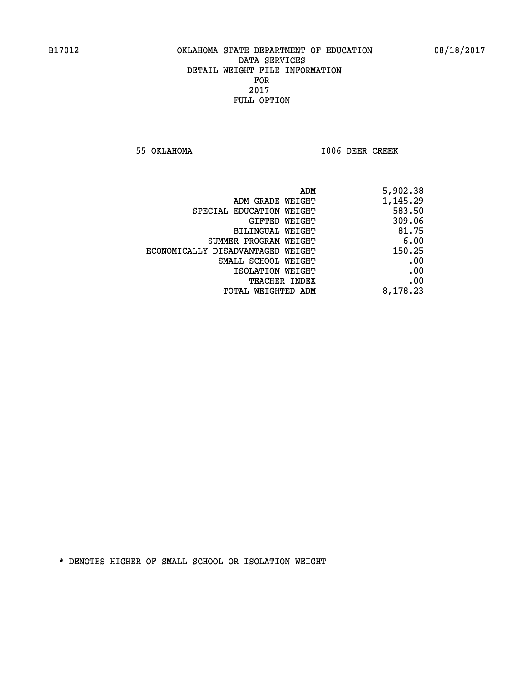**55 OKLAHOMA I006 DEER CREEK** 

| 5,902.38 |
|----------|
| 1,145.29 |
| 583.50   |
| 309.06   |
| 81.75    |
| 6.00     |
| 150.25   |
| .00      |
| .00      |
| .00      |
| 8,178.23 |
|          |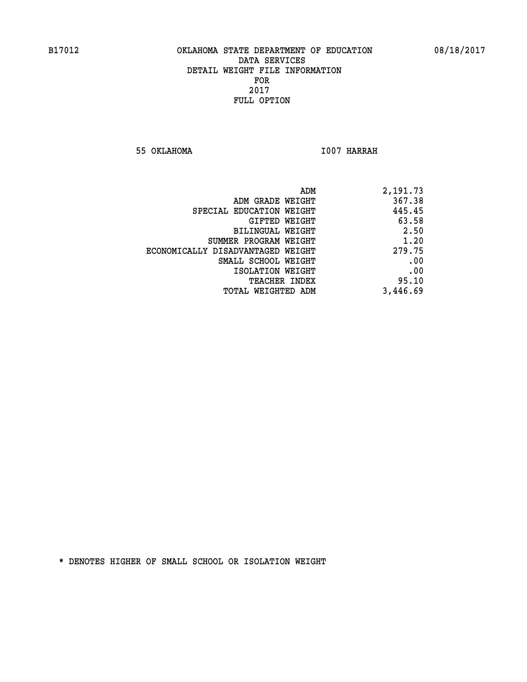**55 OKLAHOMA I007 HARRAH** 

| 2,191.73 |
|----------|
| 367.38   |
| 445.45   |
| 63.58    |
| 2.50     |
| 1.20     |
| 279.75   |
| .00      |
| .00      |
| 95.10    |
| 3,446.69 |
|          |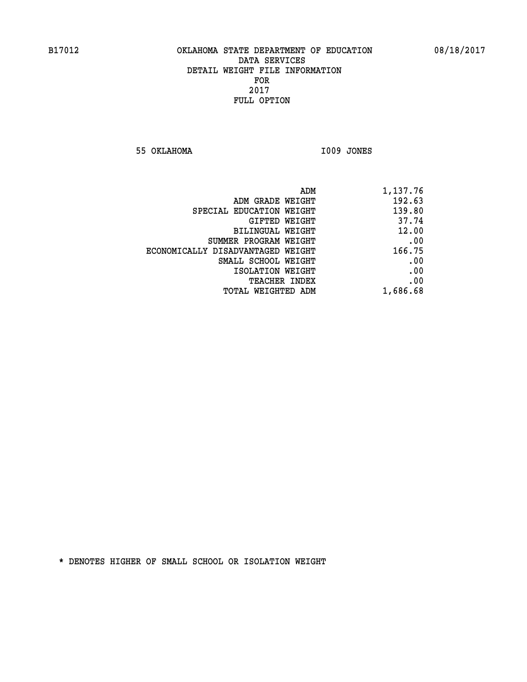**55 OKLAHOMA I009 JONES** 

| 1,137.76 |
|----------|
| 192.63   |
| 139.80   |
| 37.74    |
| 12.00    |
| .00      |
| 166.75   |
| .00      |
| .00      |
| .00      |
| 1,686.68 |
|          |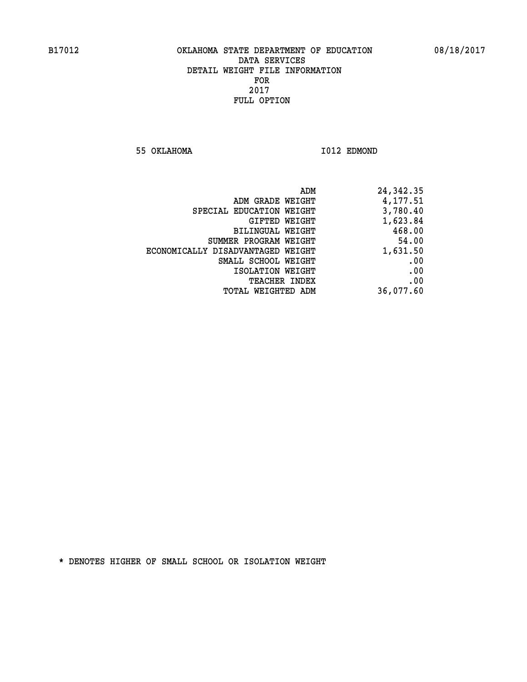**55 OKLAHOMA I012 EDMOND** 

| 24,342.35 | ADM                  |                                   |
|-----------|----------------------|-----------------------------------|
| 4,177.51  |                      | ADM GRADE WEIGHT                  |
| 3,780.40  |                      | SPECIAL EDUCATION WEIGHT          |
| 1,623.84  | GIFTED WEIGHT        |                                   |
| 468.00    |                      | BILINGUAL WEIGHT                  |
| 54.00     |                      | SUMMER PROGRAM WEIGHT             |
| 1,631.50  |                      | ECONOMICALLY DISADVANTAGED WEIGHT |
| .00       |                      | SMALL SCHOOL WEIGHT               |
| .00       |                      | ISOLATION WEIGHT                  |
| .00       | <b>TEACHER INDEX</b> |                                   |
| 36,077.60 |                      | TOTAL WEIGHTED ADM                |
|           |                      |                                   |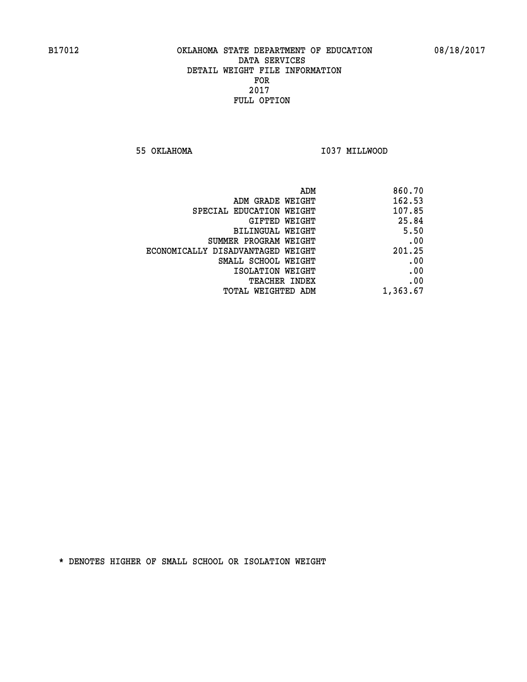**55 OKLAHOMA I037 MILLWOOD** 

| ADM                               | 860.70   |
|-----------------------------------|----------|
| ADM GRADE WEIGHT                  | 162.53   |
| SPECIAL EDUCATION WEIGHT          | 107.85   |
| GIFTED WEIGHT                     | 25.84    |
| <b>BILINGUAL WEIGHT</b>           | 5.50     |
| SUMMER PROGRAM WEIGHT             | .00      |
| ECONOMICALLY DISADVANTAGED WEIGHT | 201.25   |
| SMALL SCHOOL WEIGHT               | .00      |
| ISOLATION WEIGHT                  | .00      |
| TEACHER INDEX                     | .00      |
| TOTAL WEIGHTED ADM                | 1,363.67 |
|                                   |          |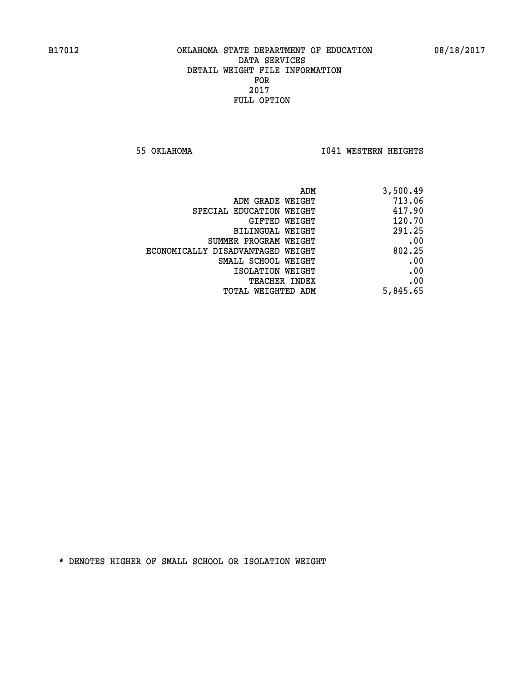**55 OKLAHOMA I041 WESTERN HEIGHTS** 

| 3,500.49 | ADM                               |
|----------|-----------------------------------|
| 713.06   | ADM GRADE WEIGHT                  |
| 417.90   | SPECIAL EDUCATION WEIGHT          |
| 120.70   | <b>GIFTED WEIGHT</b>              |
| 291.25   | BILINGUAL WEIGHT                  |
| .00      | SUMMER PROGRAM WEIGHT             |
| 802.25   | ECONOMICALLY DISADVANTAGED WEIGHT |
| .00      | SMALL SCHOOL WEIGHT               |
| .00      | ISOLATION WEIGHT                  |
| .00      | <b>TEACHER INDEX</b>              |
| 5,845.65 | TOTAL WEIGHTED ADM                |
|          |                                   |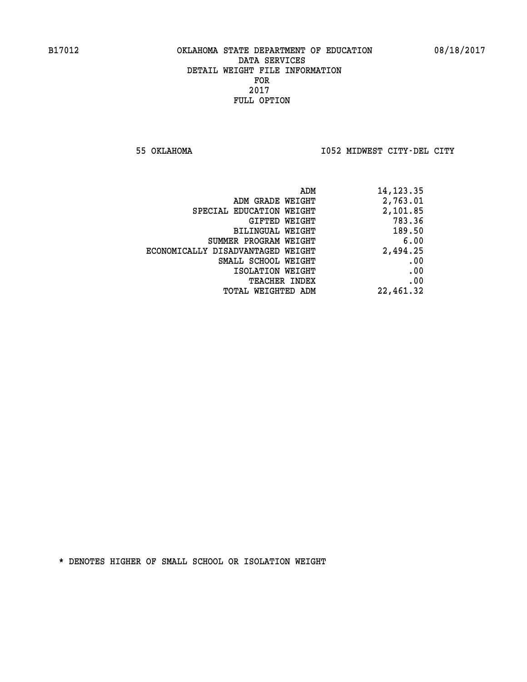**55 OKLAHOMA I052 MIDWEST CITY-DEL CITY** 

| 14, 123. 35 |
|-------------|
| 2,763.01    |
| 2,101.85    |
| 783.36      |
| 189.50      |
| 6.00        |
| 2,494.25    |
| .00         |
| .00         |
| .00         |
| 22,461.32   |
|             |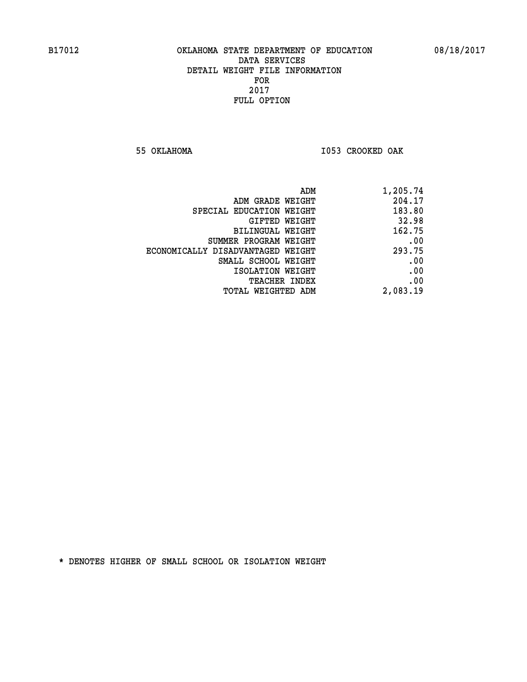**55 OKLAHOMA I053 CROOKED OAK** 

|                                   | 1,205.74<br>ADM |     |
|-----------------------------------|-----------------|-----|
| ADM GRADE WEIGHT                  | 204.17          |     |
| SPECIAL EDUCATION WEIGHT          | 183.80          |     |
| <b>GIFTED WEIGHT</b>              | 32.98           |     |
| BILINGUAL WEIGHT                  | 162.75          |     |
| SUMMER PROGRAM WEIGHT             |                 | .00 |
| ECONOMICALLY DISADVANTAGED WEIGHT | 293.75          |     |
| SMALL SCHOOL WEIGHT               |                 | .00 |
| ISOLATION WEIGHT                  |                 | .00 |
| <b>TEACHER INDEX</b>              |                 | .00 |
| <b>TOTAL WEIGHTED ADM</b>         | 2,083.19        |     |
|                                   |                 |     |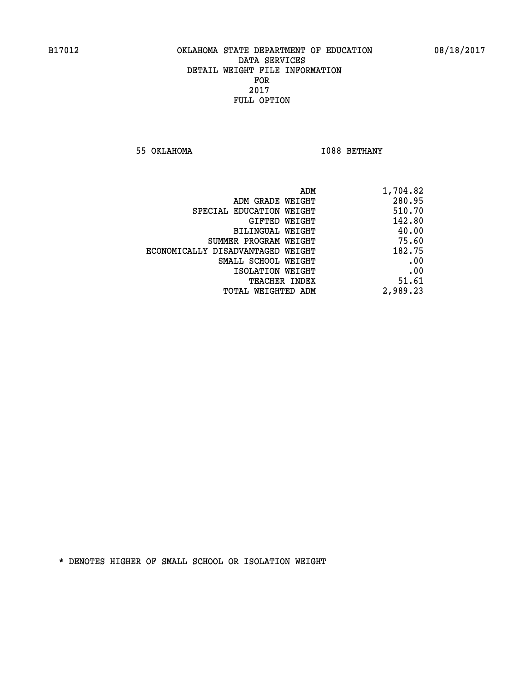**55 OKLAHOMA I088 BETHANY** 

| ADM                               | 1,704.82 |
|-----------------------------------|----------|
| ADM GRADE WEIGHT                  | 280.95   |
| SPECIAL EDUCATION WEIGHT          | 510.70   |
| GIFTED WEIGHT                     | 142.80   |
| BILINGUAL WEIGHT                  | 40.00    |
| SUMMER PROGRAM WEIGHT             | 75.60    |
| ECONOMICALLY DISADVANTAGED WEIGHT | 182.75   |
| SMALL SCHOOL WEIGHT               | .00      |
| ISOLATION WEIGHT                  | .00      |
| TEACHER INDEX                     | 51.61    |
| TOTAL WEIGHTED ADM                | 2,989.23 |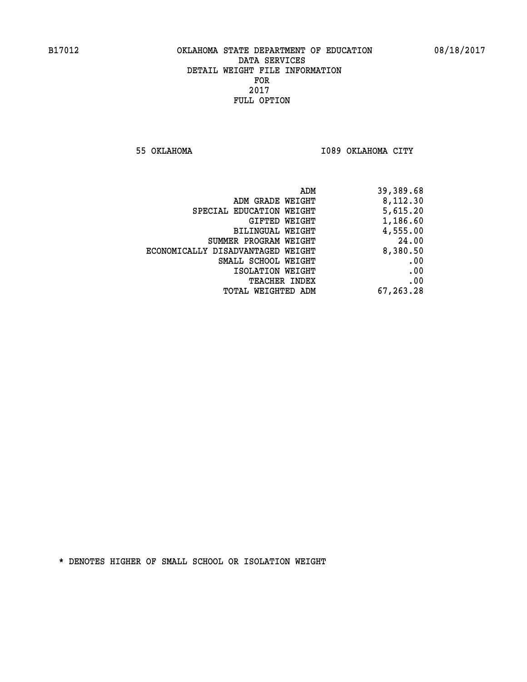**55 OKLAHOMA I089 OKLAHOMA CITY** 

|                                   | 39,389.68<br>ADM |
|-----------------------------------|------------------|
| ADM GRADE WEIGHT                  | 8,112.30         |
| SPECIAL EDUCATION WEIGHT          | 5,615.20         |
| GIFTED WEIGHT                     | 1,186.60         |
| BILINGUAL WEIGHT                  | 4,555.00         |
| SUMMER PROGRAM WEIGHT             | 24.00            |
| ECONOMICALLY DISADVANTAGED WEIGHT | 8,380.50         |
| SMALL SCHOOL WEIGHT               | .00              |
| ISOLATION WEIGHT                  | .00              |
| <b>TEACHER INDEX</b>              | .00              |
| WEIGHTED ADM<br>TOTAL             | 67,263.28        |
|                                   |                  |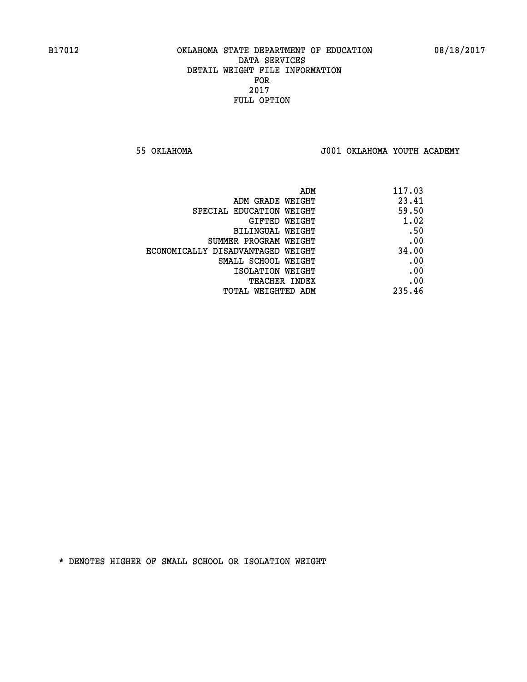**55 OKLAHOMA J001 OKLAHOMA YOUTH ACADEMY**

| ADM                               | 117.03 |
|-----------------------------------|--------|
| ADM GRADE WEIGHT                  | 23.41  |
| SPECIAL EDUCATION WEIGHT          | 59.50  |
| GIFTED WEIGHT                     | 1.02   |
| BILINGUAL WEIGHT                  | .50    |
| SUMMER PROGRAM WEIGHT             | .00    |
| ECONOMICALLY DISADVANTAGED WEIGHT | 34.00  |
| SMALL SCHOOL WEIGHT               | .00    |
| ISOLATION WEIGHT                  | .00    |
| <b>TEACHER INDEX</b>              | .00    |
| TOTAL WEIGHTED ADM                | 235.46 |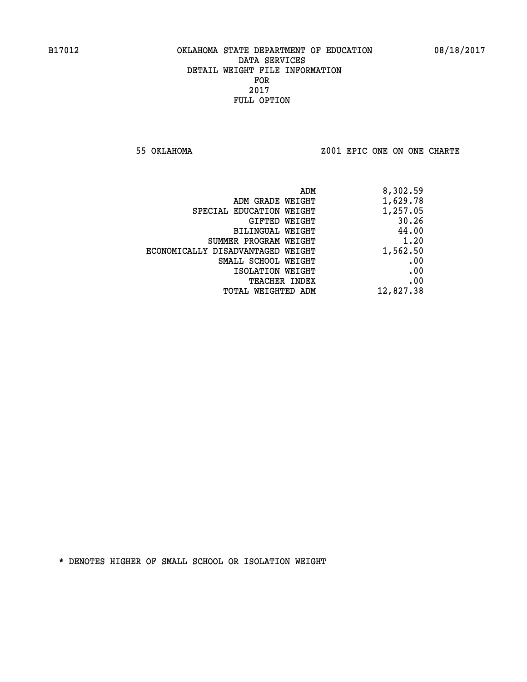**55 OKLAHOMA Z001 EPIC ONE ON ONE CHARTE**

|                                   | 8,302.59<br>ADM |
|-----------------------------------|-----------------|
| ADM GRADE WEIGHT                  | 1,629.78        |
| SPECIAL EDUCATION WEIGHT          | 1,257.05        |
| GIFTED WEIGHT                     | 30.26           |
| <b>BILINGUAL WEIGHT</b>           | 44.00           |
| SUMMER PROGRAM WEIGHT             | 1.20            |
| ECONOMICALLY DISADVANTAGED WEIGHT | 1,562.50        |
| SMALL SCHOOL WEIGHT               | .00             |
| ISOLATION WEIGHT                  | .00             |
| <b>TEACHER INDEX</b>              | .00             |
| TOTAL WEIGHTED ADM                | 12,827.38       |
|                                   |                 |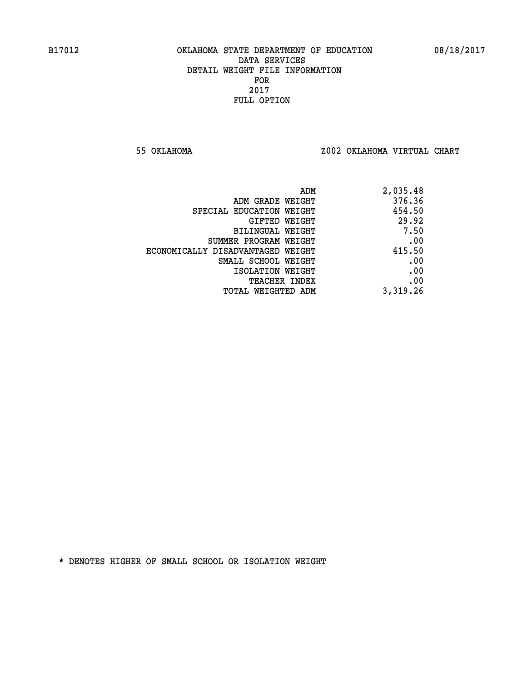**55 OKLAHOMA Z002 OKLAHOMA VIRTUAL CHART**

| ADM                               | 2,035.48 |
|-----------------------------------|----------|
| ADM GRADE WEIGHT                  | 376.36   |
| SPECIAL EDUCATION WEIGHT          | 454.50   |
| GIFTED WEIGHT                     | 29.92    |
| BILINGUAL WEIGHT                  | 7.50     |
| SUMMER PROGRAM WEIGHT             | .00      |
| ECONOMICALLY DISADVANTAGED WEIGHT | 415.50   |
| SMALL SCHOOL WEIGHT               | .00      |
| ISOLATION WEIGHT                  | .00      |
| <b>TEACHER INDEX</b>              | .00      |
| TOTAL WEIGHTED ADM                | 3,319.26 |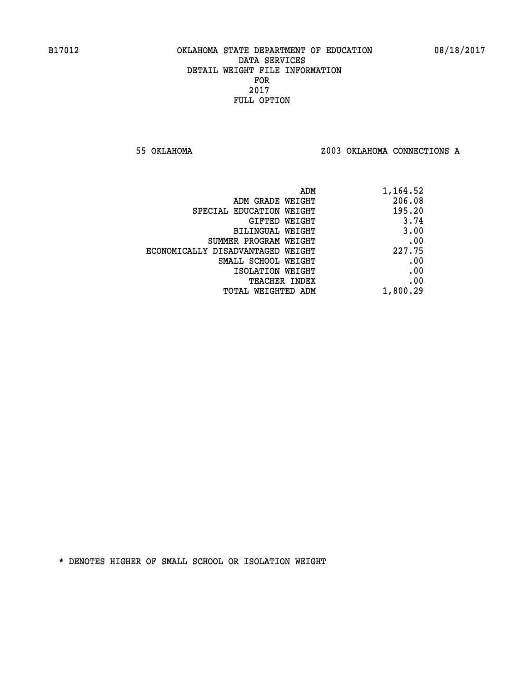**55 OKLAHOMA Z003 OKLAHOMA CONNECTIONS A**

| 1,164.52 |
|----------|
| 206.08   |
| 195.20   |
| 3.74     |
| 3.00     |
| .00      |
| 227.75   |
| .00      |
| .00      |
| .00      |
| 1,800.29 |
|          |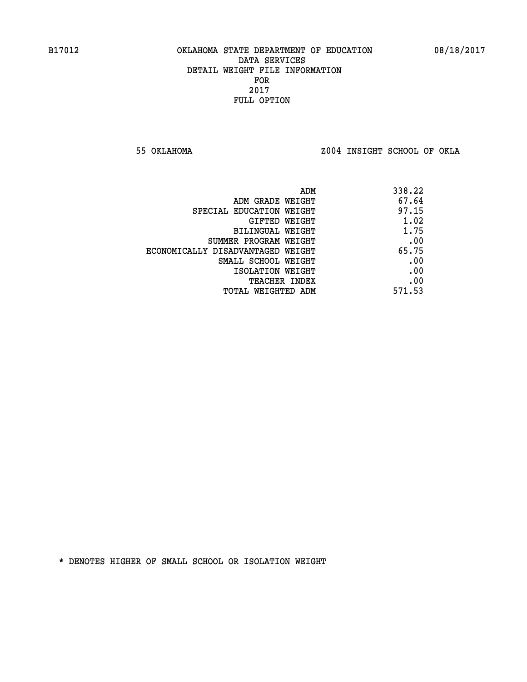**55 OKLAHOMA Z004 INSIGHT SCHOOL OF OKLA**

|                                   | 338.22<br>ADM |  |
|-----------------------------------|---------------|--|
| ADM GRADE WEIGHT                  | 67.64         |  |
| SPECIAL EDUCATION WEIGHT          | 97.15         |  |
| GIFTED WEIGHT                     | 1.02          |  |
| BILINGUAL WEIGHT                  | 1.75          |  |
| SUMMER PROGRAM WEIGHT             | .00           |  |
| ECONOMICALLY DISADVANTAGED WEIGHT | 65.75         |  |
| SMALL SCHOOL WEIGHT               | .00           |  |
| ISOLATION WEIGHT                  | .00           |  |
| TEACHER INDEX                     | .00           |  |
| TOTAL WEIGHTED ADM                | 571.53        |  |
|                                   |               |  |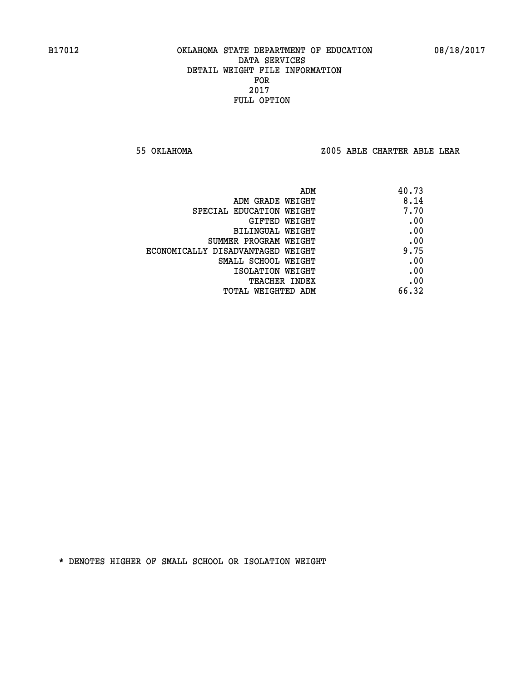**55 OKLAHOMA Z005 ABLE CHARTER ABLE LEAR**

| ADM                               | 40.73 |
|-----------------------------------|-------|
| ADM GRADE WEIGHT                  | 8.14  |
| SPECIAL EDUCATION WEIGHT          | 7.70  |
| GIFTED WEIGHT                     | .00   |
| BILINGUAL WEIGHT                  | .00   |
| SUMMER PROGRAM WEIGHT             | .00   |
| ECONOMICALLY DISADVANTAGED WEIGHT | 9.75  |
| SMALL SCHOOL WEIGHT               | .00   |
| ISOLATION WEIGHT                  | .00   |
| TEACHER INDEX                     | .00   |
| TOTAL WEIGHTED ADM                | 66.32 |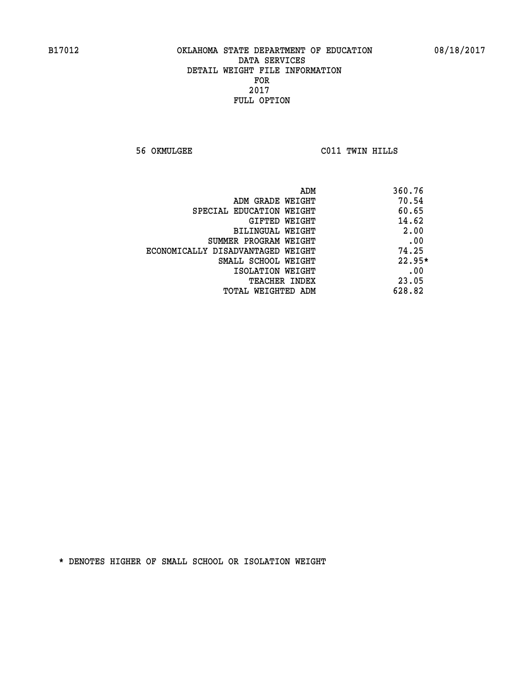**56 OKMULGEE C011 TWIN HILLS** 

| ADM                               | 360.76   |
|-----------------------------------|----------|
| ADM GRADE WEIGHT                  | 70.54    |
| SPECIAL EDUCATION WEIGHT          | 60.65    |
| <b>GIFTED WEIGHT</b>              | 14.62    |
| BILINGUAL WEIGHT                  | 2.00     |
| SUMMER PROGRAM WEIGHT             | .00      |
| ECONOMICALLY DISADVANTAGED WEIGHT | 74.25    |
| SMALL SCHOOL WEIGHT               | $22.95*$ |
| ISOLATION WEIGHT                  | .00      |
| <b>TEACHER INDEX</b>              | 23.05    |
| TOTAL WEIGHTED ADM                | 628.82   |
|                                   |          |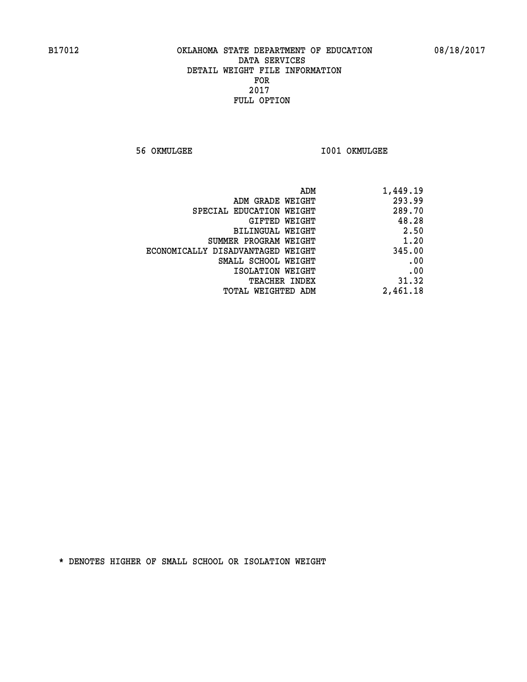**56 OKMULGEE I001 OKMULGEE** 

| ADM                               | 1,449.19 |
|-----------------------------------|----------|
| ADM GRADE WEIGHT                  | 293.99   |
| SPECIAL EDUCATION WEIGHT          | 289.70   |
| GIFTED WEIGHT                     | 48.28    |
| BILINGUAL WEIGHT                  | 2.50     |
| SUMMER PROGRAM WEIGHT             | 1.20     |
| ECONOMICALLY DISADVANTAGED WEIGHT | 345.00   |
| SMALL SCHOOL WEIGHT               | .00      |
| ISOLATION WEIGHT                  | .00      |
| TEACHER INDEX                     | 31.32    |
| TOTAL WEIGHTED ADM                | 2,461.18 |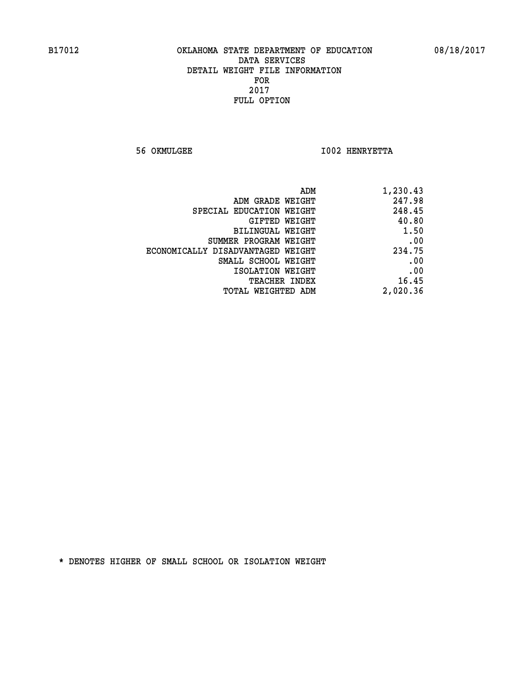**56 OKMULGEE I002 HENRYETTA** 

| 1,230.43 | ADM                               |
|----------|-----------------------------------|
| 247.98   | ADM GRADE WEIGHT                  |
| 248.45   | SPECIAL EDUCATION WEIGHT          |
| 40.80    | GIFTED WEIGHT                     |
| 1.50     | BILINGUAL WEIGHT                  |
| .00      | SUMMER PROGRAM WEIGHT             |
| 234.75   | ECONOMICALLY DISADVANTAGED WEIGHT |
| .00      | SMALL SCHOOL WEIGHT               |
| .00      | ISOLATION WEIGHT                  |
| 16.45    | <b>TEACHER INDEX</b>              |
| 2,020.36 | <b>TOTAL WEIGHTED ADM</b>         |
|          |                                   |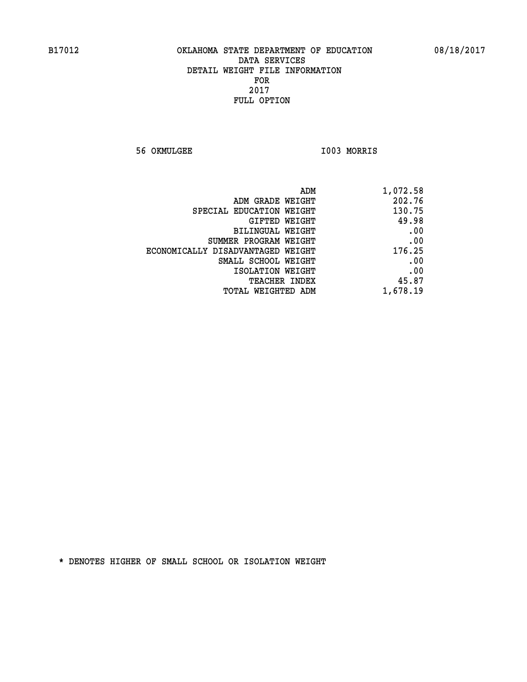**56 OKMULGEE I003 MORRIS** 

| ADM                               | 1,072.58 |
|-----------------------------------|----------|
| ADM GRADE WEIGHT                  | 202.76   |
| SPECIAL EDUCATION WEIGHT          | 130.75   |
| <b>GIFTED WEIGHT</b>              | 49.98    |
| BILINGUAL WEIGHT                  | .00      |
| SUMMER PROGRAM WEIGHT             | .00      |
| ECONOMICALLY DISADVANTAGED WEIGHT | 176.25   |
| SMALL SCHOOL WEIGHT               | .00      |
| ISOLATION WEIGHT                  | .00      |
| <b>TEACHER INDEX</b>              | 45.87    |
| <b>TOTAL WEIGHTED ADM</b>         | 1,678.19 |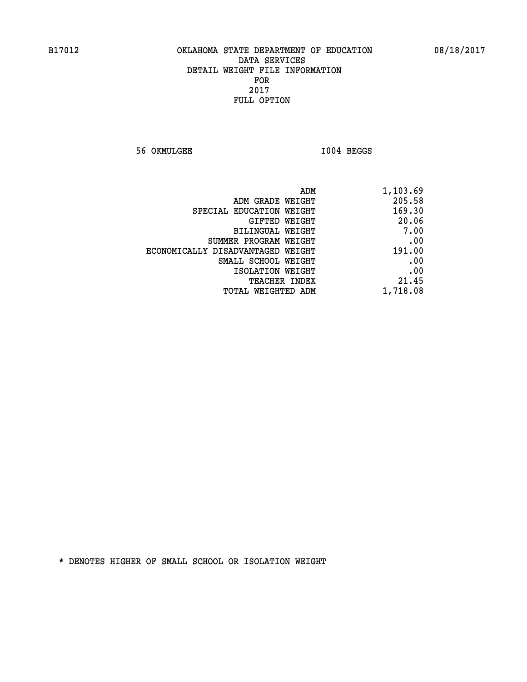**56 OKMULGEE I004 BEGGS** 

| 1,103.69 |
|----------|
| 205.58   |
| 169.30   |
| 20.06    |
| 7.00     |
| .00      |
| 191.00   |
| .00      |
| .00      |
| 21.45    |
| 1,718.08 |
|          |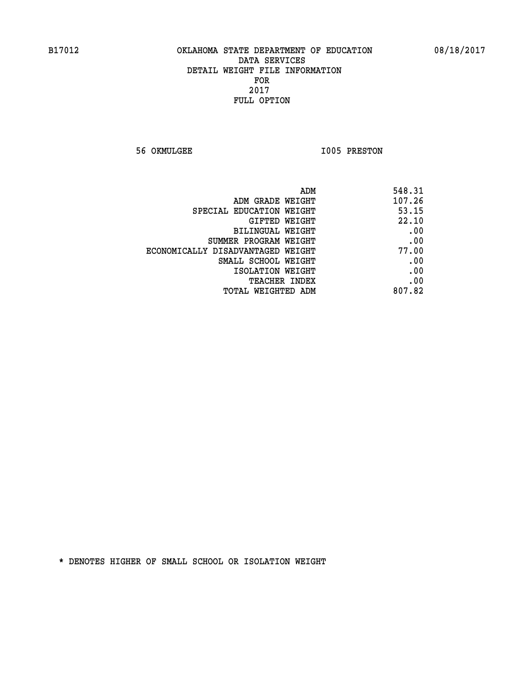**56 OKMULGEE 1005 PRESTON** 

| ADM                               | 548.31 |
|-----------------------------------|--------|
| ADM GRADE WEIGHT                  | 107.26 |
| SPECIAL EDUCATION WEIGHT          | 53.15  |
| GIFTED WEIGHT                     | 22.10  |
| BILINGUAL WEIGHT                  | .00    |
| SUMMER PROGRAM WEIGHT             | .00    |
| ECONOMICALLY DISADVANTAGED WEIGHT | 77.00  |
| SMALL SCHOOL WEIGHT               | .00    |
| ISOLATION WEIGHT                  | .00    |
| <b>TEACHER INDEX</b>              | .00    |
| <b>TOTAL WEIGHTED ADM</b>         | 807.82 |
|                                   |        |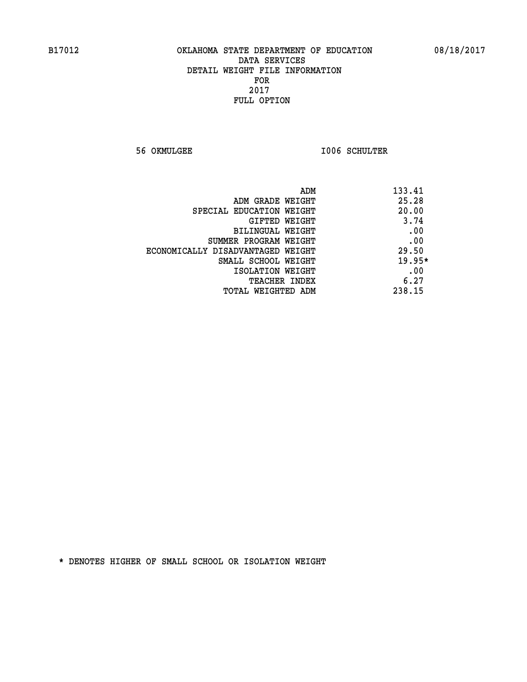**56 OKMULGEE I006 SCHULTER** 

| ADM                               | 133.41 |
|-----------------------------------|--------|
| ADM GRADE WEIGHT                  | 25.28  |
| SPECIAL EDUCATION WEIGHT          | 20.00  |
| <b>GIFTED WEIGHT</b>              | 3.74   |
| BILINGUAL WEIGHT                  | .00    |
| SUMMER PROGRAM WEIGHT             | .00    |
| ECONOMICALLY DISADVANTAGED WEIGHT | 29.50  |
| SMALL SCHOOL WEIGHT               | 19.95* |
| ISOLATION WEIGHT                  | .00    |
| <b>TEACHER INDEX</b>              | 6.27   |
| TOTAL WEIGHTED ADM                | 238.15 |
|                                   |        |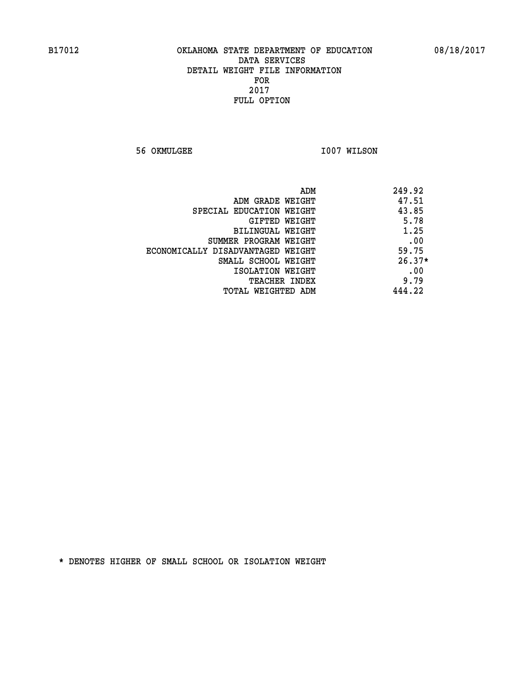**56 OKMULGEE 1007 WILSON** 

| ADM                               | 249.92   |
|-----------------------------------|----------|
| ADM GRADE WEIGHT                  | 47.51    |
| SPECIAL EDUCATION WEIGHT          | 43.85    |
| GIFTED WEIGHT                     | 5.78     |
| BILINGUAL WEIGHT                  | 1.25     |
| SUMMER PROGRAM WEIGHT             | .00      |
| ECONOMICALLY DISADVANTAGED WEIGHT | 59.75    |
| SMALL SCHOOL WEIGHT               | $26.37*$ |
| ISOLATION WEIGHT                  | .00      |
| <b>TEACHER INDEX</b>              | 9.79     |
| TOTAL WEIGHTED ADM                | 444.22   |
|                                   |          |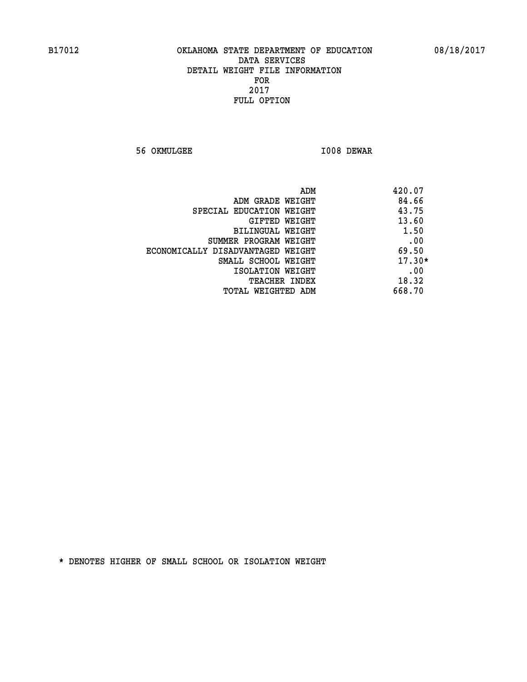**56 OKMULGEE I008 DEWAR** 

| ADM                               | 420.07   |
|-----------------------------------|----------|
| ADM GRADE WEIGHT                  | 84.66    |
| SPECIAL EDUCATION WEIGHT          | 43.75    |
| GIFTED WEIGHT                     | 13.60    |
| <b>BILINGUAL WEIGHT</b>           | 1.50     |
| SUMMER PROGRAM WEIGHT             | .00      |
| ECONOMICALLY DISADVANTAGED WEIGHT | 69.50    |
| SMALL SCHOOL WEIGHT               | $17.30*$ |
| ISOLATION WEIGHT                  | .00      |
| <b>TEACHER INDEX</b>              | 18.32    |
| TOTAL WEIGHTED ADM                | 668.70   |
|                                   |          |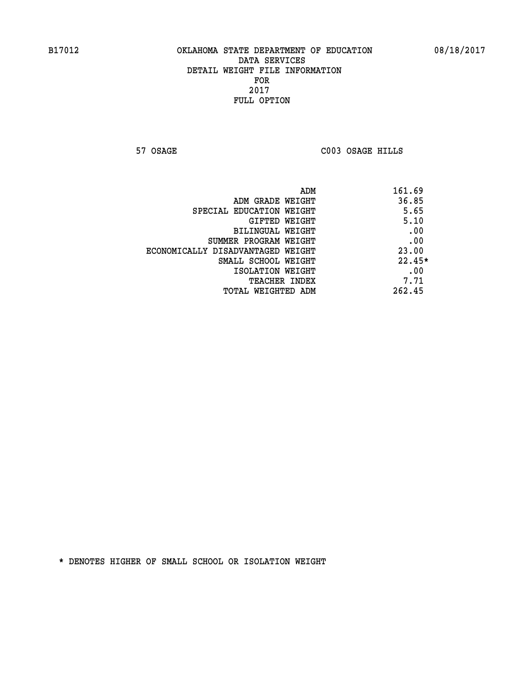**57 OSAGE C003 OSAGE HILLS** 

| ADM                               | 161.69   |
|-----------------------------------|----------|
| ADM GRADE WEIGHT                  | 36.85    |
| SPECIAL EDUCATION WEIGHT          | 5.65     |
| GIFTED WEIGHT                     | 5.10     |
| BILINGUAL WEIGHT                  | .00      |
| SUMMER PROGRAM WEIGHT             | .00      |
| ECONOMICALLY DISADVANTAGED WEIGHT | 23.00    |
| SMALL SCHOOL WEIGHT               | $22.45*$ |
| ISOLATION WEIGHT                  | .00      |
| <b>TEACHER INDEX</b>              | 7.71     |
| TOTAL WEIGHTED ADM                | 262.45   |
|                                   |          |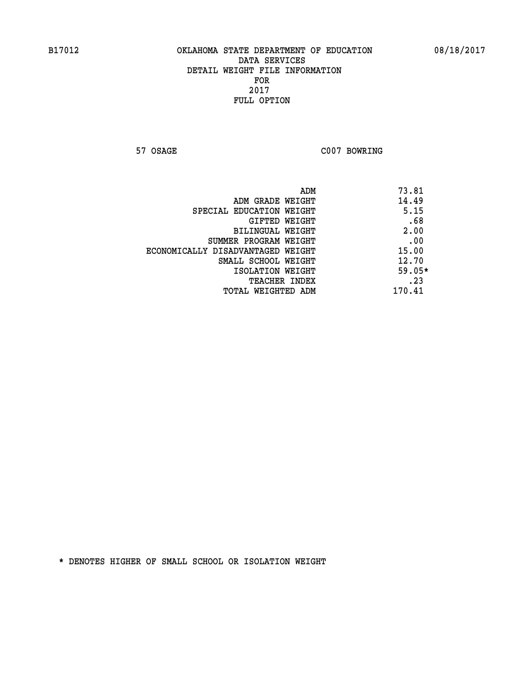**57 OSAGE C007 BOWRING** 

| ADM                               | 73.81    |
|-----------------------------------|----------|
| ADM GRADE WEIGHT                  | 14.49    |
| SPECIAL EDUCATION WEIGHT          | 5.15     |
| GIFTED WEIGHT                     | .68      |
| <b>BILINGUAL WEIGHT</b>           | 2.00     |
| SUMMER PROGRAM WEIGHT             | .00      |
| ECONOMICALLY DISADVANTAGED WEIGHT | 15.00    |
| SMALL SCHOOL WEIGHT               | 12.70    |
| ISOLATION WEIGHT                  | $59.05*$ |
| <b>TEACHER INDEX</b>              | .23      |
| TOTAL WEIGHTED ADM                | 170.41   |
|                                   |          |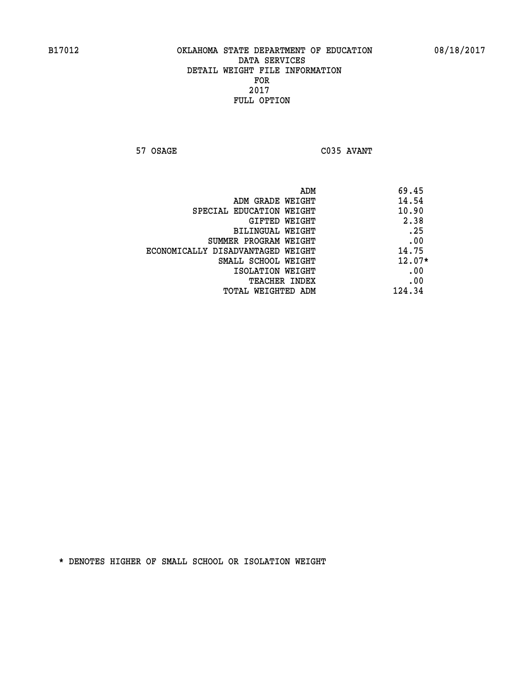**57 OSAGE C035 AVANT** 

|                                   | ADM | 69.45    |
|-----------------------------------|-----|----------|
| ADM GRADE WEIGHT                  |     | 14.54    |
| SPECIAL EDUCATION WEIGHT          |     | 10.90    |
| GIFTED WEIGHT                     |     | 2.38     |
| BILINGUAL WEIGHT                  |     | .25      |
| SUMMER PROGRAM WEIGHT             |     | .00      |
| ECONOMICALLY DISADVANTAGED WEIGHT |     | 14.75    |
| SMALL SCHOOL WEIGHT               |     | $12.07*$ |
| ISOLATION WEIGHT                  |     | .00      |
| <b>TEACHER INDEX</b>              |     | .00      |
| TOTAL WEIGHTED ADM                |     | 124.34   |
|                                   |     |          |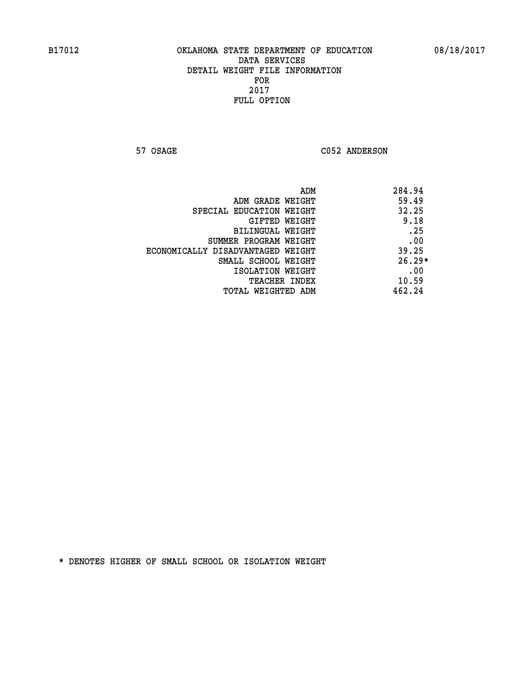57 OSAGE C052 ANDERSON

| ADM                               | 284.94   |
|-----------------------------------|----------|
| ADM GRADE WEIGHT                  | 59.49    |
| SPECIAL EDUCATION WEIGHT          | 32.25    |
| GIFTED WEIGHT                     | 9.18     |
| BILINGUAL WEIGHT                  | .25      |
| SUMMER PROGRAM WEIGHT             | .00      |
| ECONOMICALLY DISADVANTAGED WEIGHT | 39.25    |
| SMALL SCHOOL WEIGHT               | $26.29*$ |
| ISOLATION WEIGHT                  | .00      |
| TEACHER INDEX                     | 10.59    |
| TOTAL WEIGHTED ADM                | 462.24   |
|                                   |          |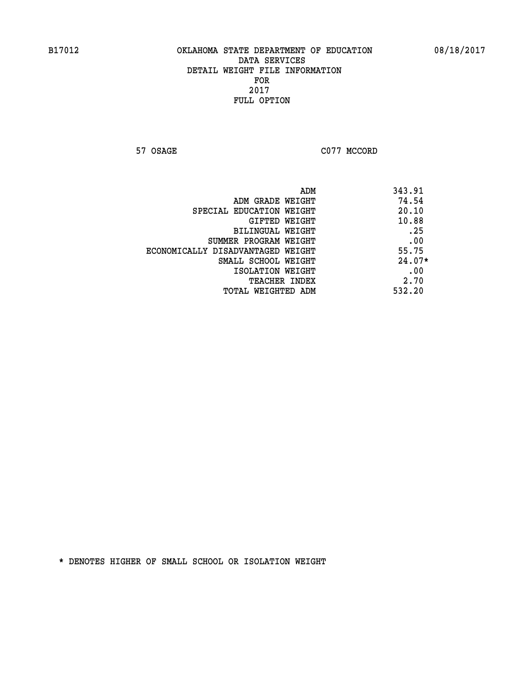**57 OSAGE C077 MCCORD** 

| ADM                               | 343.91   |
|-----------------------------------|----------|
| ADM GRADE WEIGHT                  | 74.54    |
| SPECIAL EDUCATION WEIGHT          | 20.10    |
| GIFTED WEIGHT                     | 10.88    |
| BILINGUAL WEIGHT                  | .25      |
| SUMMER PROGRAM WEIGHT             | .00      |
| ECONOMICALLY DISADVANTAGED WEIGHT | 55.75    |
| SMALL SCHOOL WEIGHT               | $24.07*$ |
| ISOLATION WEIGHT                  | .00      |
| <b>TEACHER INDEX</b>              | 2.70     |
| TOTAL WEIGHTED ADM                | 532.20   |
|                                   |          |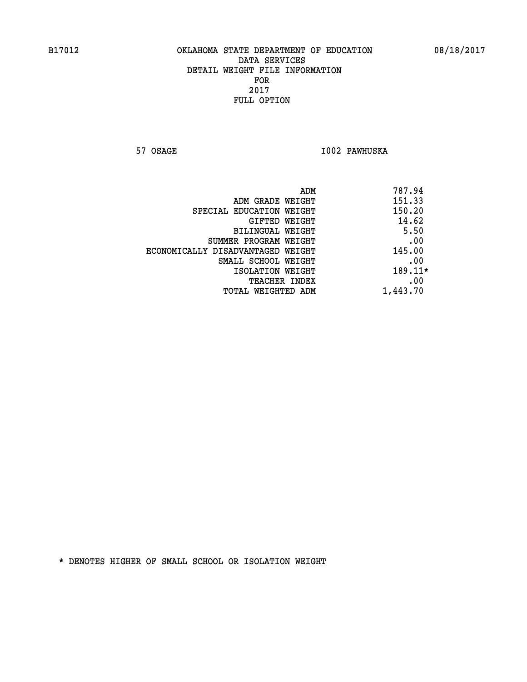**57 OSAGE I002 PAWHUSKA** 

| 787.94   | ADM                               |
|----------|-----------------------------------|
| 151.33   | ADM GRADE WEIGHT                  |
| 150.20   | SPECIAL EDUCATION WEIGHT          |
| 14.62    | GIFTED WEIGHT                     |
| 5.50     | BILINGUAL WEIGHT                  |
| .00      | SUMMER PROGRAM WEIGHT             |
| 145.00   | ECONOMICALLY DISADVANTAGED WEIGHT |
| .00      | SMALL SCHOOL WEIGHT               |
| 189.11*  | ISOLATION WEIGHT                  |
| .00      | <b>TEACHER INDEX</b>              |
| 1,443.70 | TOTAL WEIGHTED ADM                |
|          |                                   |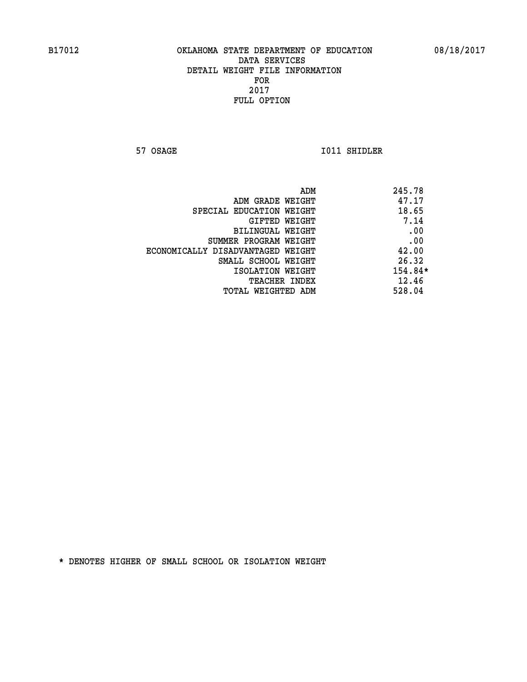**57 OSAGE 1011 SHIDLER** 

|                                   | ADM | 245.78    |
|-----------------------------------|-----|-----------|
| ADM GRADE WEIGHT                  |     | 47.17     |
| SPECIAL EDUCATION WEIGHT          |     | 18.65     |
| GIFTED WEIGHT                     |     | 7.14      |
| BILINGUAL WEIGHT                  |     | .00       |
| SUMMER PROGRAM WEIGHT             |     | .00       |
| ECONOMICALLY DISADVANTAGED WEIGHT |     | 42.00     |
| SMALL SCHOOL WEIGHT               |     | 26.32     |
| ISOLATION WEIGHT                  |     | $154.84*$ |
| TEACHER INDEX                     |     | 12.46     |
| TOTAL WEIGHTED ADM                |     | 528.04    |
|                                   |     |           |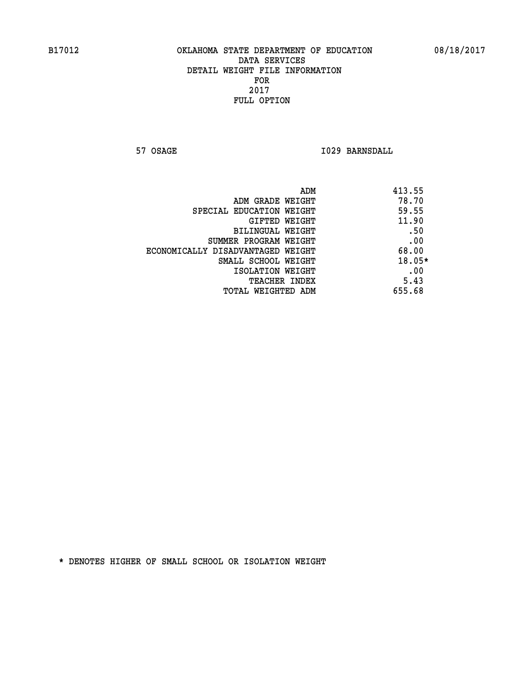**57 OSAGE 1029 BARNSDALL** 

| ADM<br>413.55                              |  |
|--------------------------------------------|--|
| 78.70<br>ADM GRADE WEIGHT                  |  |
| 59.55<br>SPECIAL EDUCATION WEIGHT          |  |
| 11.90<br><b>GIFTED WEIGHT</b>              |  |
| .50<br>BILINGUAL WEIGHT                    |  |
| .00<br>SUMMER PROGRAM WEIGHT               |  |
| 68.00<br>ECONOMICALLY DISADVANTAGED WEIGHT |  |
| 18.05*<br>SMALL SCHOOL WEIGHT              |  |
| .00<br>ISOLATION WEIGHT                    |  |
| 5.43<br><b>TEACHER INDEX</b>               |  |
| 655.68<br>TOTAL WEIGHTED ADM               |  |
|                                            |  |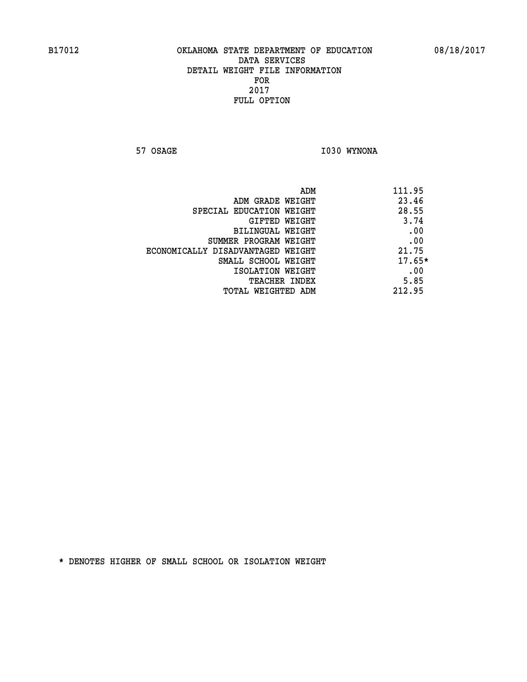**57 OSAGE 1030 WYNONA** 

| ADM<br>111.95 |                                   |
|---------------|-----------------------------------|
| 23.46         | ADM GRADE WEIGHT                  |
| 28.55         | SPECIAL EDUCATION WEIGHT          |
| 3.74          | GIFTED WEIGHT                     |
| .00           | BILINGUAL WEIGHT                  |
| .00           | SUMMER PROGRAM WEIGHT             |
| 21.75         | ECONOMICALLY DISADVANTAGED WEIGHT |
| $17.65*$      | SMALL SCHOOL WEIGHT               |
| .00           | ISOLATION WEIGHT                  |
| 5.85          | <b>TEACHER INDEX</b>              |
| 212.95        | TOTAL WEIGHTED ADM                |
|               |                                   |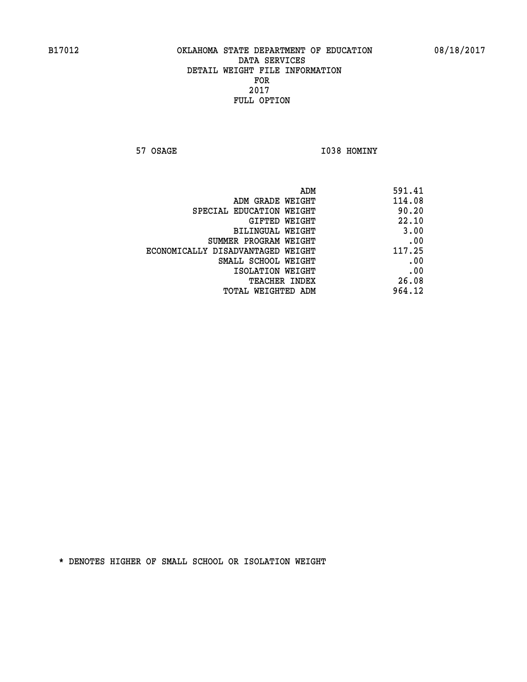**57 OSAGE 1038 HOMINY** 

| ADM                               | 591.41 |
|-----------------------------------|--------|
| ADM GRADE WEIGHT                  | 114.08 |
| SPECIAL EDUCATION WEIGHT          | 90.20  |
| GIFTED WEIGHT                     | 22.10  |
| BILINGUAL WEIGHT                  | 3.00   |
| SUMMER PROGRAM WEIGHT             | .00    |
| ECONOMICALLY DISADVANTAGED WEIGHT | 117.25 |
| SMALL SCHOOL WEIGHT               | .00    |
| ISOLATION WEIGHT                  | .00    |
| <b>TEACHER INDEX</b>              | 26.08  |
| TOTAL WEIGHTED ADM                | 964.12 |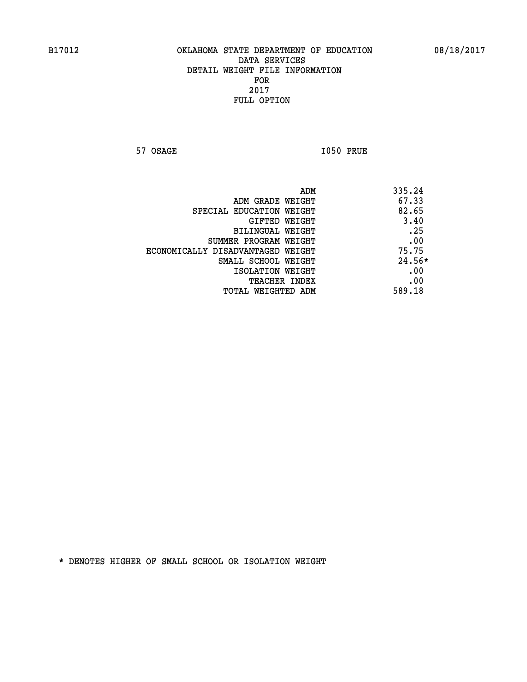**57 OSAGE I050 PRUE** 

|                                   | 335.24<br>ADM |  |
|-----------------------------------|---------------|--|
| ADM GRADE WEIGHT                  | 67.33         |  |
| SPECIAL EDUCATION WEIGHT          | 82.65         |  |
| GIFTED WEIGHT                     | 3.40          |  |
| BILINGUAL WEIGHT                  | .25           |  |
| SUMMER PROGRAM WEIGHT             | .00           |  |
| ECONOMICALLY DISADVANTAGED WEIGHT | 75.75         |  |
| SMALL SCHOOL WEIGHT               | $24.56*$      |  |
| ISOLATION WEIGHT                  | .00           |  |
| <b>TEACHER INDEX</b>              | .00           |  |
| TOTAL WEIGHTED ADM                | 589.18        |  |
|                                   |               |  |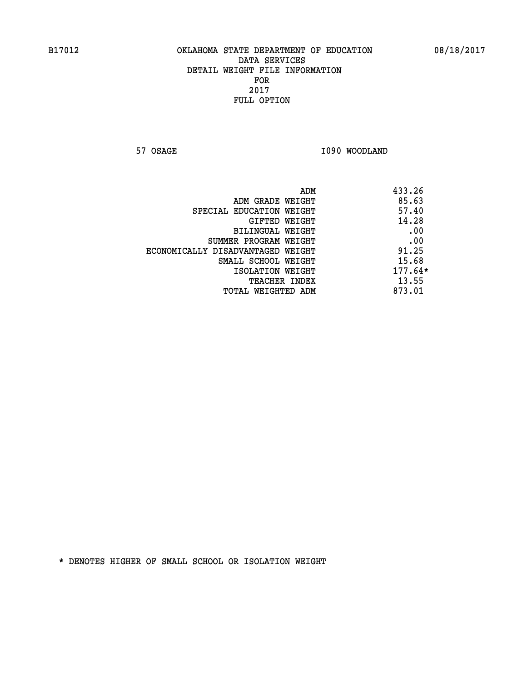**57 OSAGE 1090 WOODLAND** 

|                                   | ADM | 433.26    |
|-----------------------------------|-----|-----------|
| ADM GRADE WEIGHT                  |     | 85.63     |
| SPECIAL EDUCATION WEIGHT          |     | 57.40     |
| GIFTED WEIGHT                     |     | 14.28     |
| BILINGUAL WEIGHT                  |     | .00       |
| SUMMER PROGRAM WEIGHT             |     | .00       |
| ECONOMICALLY DISADVANTAGED WEIGHT |     | 91.25     |
| SMALL SCHOOL WEIGHT               |     | 15.68     |
| ISOLATION WEIGHT                  |     | $177.64*$ |
| TEACHER INDEX                     |     | 13.55     |
| TOTAL WEIGHTED ADM                |     | 873.01    |
|                                   |     |           |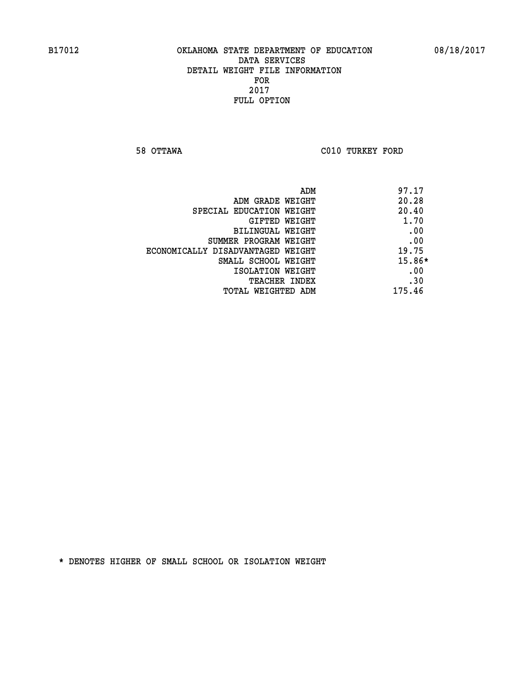**58 OTTAWA C010 TURKEY FORD** 

| ADM                               | 97.17    |
|-----------------------------------|----------|
| ADM GRADE WEIGHT                  | 20.28    |
| SPECIAL EDUCATION WEIGHT          | 20.40    |
| GIFTED WEIGHT                     | 1.70     |
| <b>BILINGUAL WEIGHT</b>           | .00      |
| SUMMER PROGRAM WEIGHT             | .00      |
| ECONOMICALLY DISADVANTAGED WEIGHT | 19.75    |
| SMALL SCHOOL WEIGHT               | $15.86*$ |
| ISOLATION WEIGHT                  | .00      |
| <b>TEACHER INDEX</b>              | .30      |
| TOTAL WEIGHTED ADM                | 175.46   |
|                                   |          |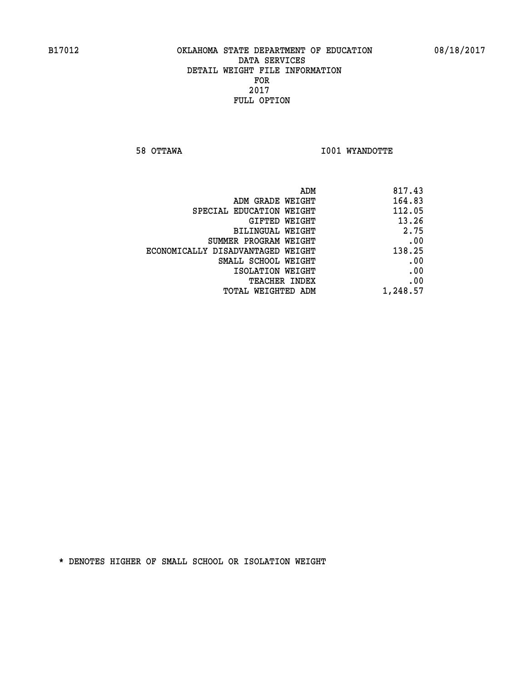**58 OTTAWA I001 WYANDOTTE** 

|                                   | ADM<br>817.43 |
|-----------------------------------|---------------|
| ADM GRADE WEIGHT                  | 164.83        |
| SPECIAL EDUCATION WEIGHT          | 112.05        |
| GIFTED WEIGHT                     | 13.26         |
| <b>BILINGUAL WEIGHT</b>           | 2.75          |
| SUMMER PROGRAM WEIGHT             | .00           |
| ECONOMICALLY DISADVANTAGED WEIGHT | 138.25        |
| SMALL SCHOOL WEIGHT               | .00           |
| ISOLATION WEIGHT                  | .00           |
| TEACHER INDEX                     | .00           |
| TOTAL WEIGHTED ADM                | 1,248.57      |
|                                   |               |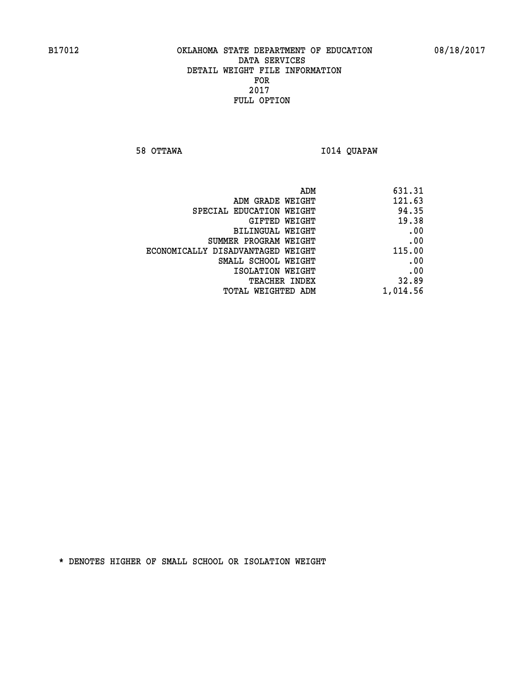**58 OTTAWA I014 QUAPAW** 

|                                   | ADM<br>631.31 |
|-----------------------------------|---------------|
| ADM GRADE WEIGHT                  | 121.63        |
| SPECIAL EDUCATION WEIGHT          | 94.35         |
| GIFTED WEIGHT                     | 19.38         |
| <b>BILINGUAL WEIGHT</b>           | .00           |
| SUMMER PROGRAM WEIGHT             | .00           |
| ECONOMICALLY DISADVANTAGED WEIGHT | 115.00        |
| SMALL SCHOOL WEIGHT               | .00           |
| ISOLATION WEIGHT                  | .00           |
| TEACHER INDEX                     | 32.89         |
| TOTAL WEIGHTED ADM                | 1,014.56      |
|                                   |               |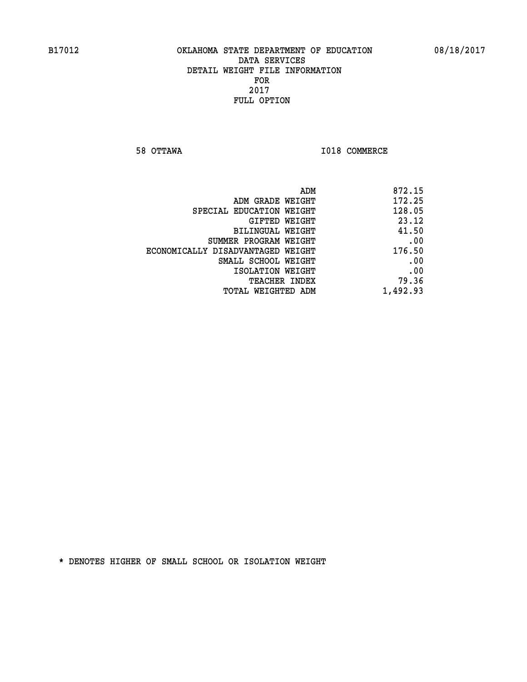**58 OTTAWA I018 COMMERCE** 

| 872.15   |
|----------|
| 172.25   |
| 128.05   |
| 23.12    |
| 41.50    |
| .00      |
| 176.50   |
| .00      |
| .00      |
| 79.36    |
| 1,492.93 |
|          |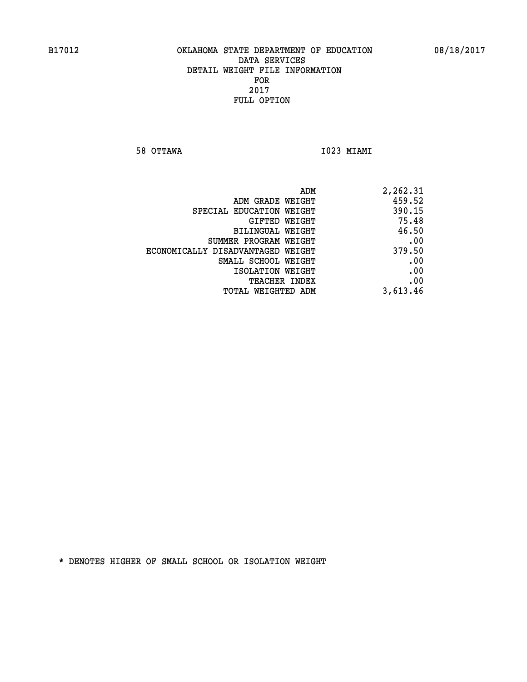**58 OTTAWA I023 MIAMI** 

| ADM                               | 2,262.31 |
|-----------------------------------|----------|
| ADM GRADE WEIGHT                  | 459.52   |
| SPECIAL EDUCATION WEIGHT          | 390.15   |
| GIFTED WEIGHT                     | 75.48    |
| BILINGUAL WEIGHT                  | 46.50    |
| SUMMER PROGRAM WEIGHT             | .00      |
| ECONOMICALLY DISADVANTAGED WEIGHT | 379.50   |
| SMALL SCHOOL WEIGHT               | .00      |
| ISOLATION WEIGHT                  | .00      |
| <b>TEACHER INDEX</b>              | .00      |
| TOTAL WEIGHTED ADM                | 3,613.46 |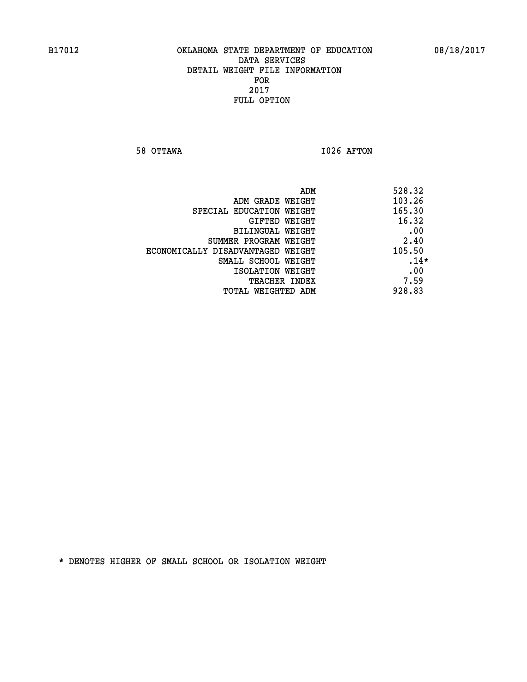**58 OTTAWA I026 AFTON** 

| ADM                               | 528.32 |
|-----------------------------------|--------|
| ADM GRADE WEIGHT                  | 103.26 |
| SPECIAL EDUCATION WEIGHT          | 165.30 |
| GIFTED WEIGHT                     | 16.32  |
| BILINGUAL WEIGHT                  | .00    |
| SUMMER PROGRAM WEIGHT             | 2.40   |
| ECONOMICALLY DISADVANTAGED WEIGHT | 105.50 |
| SMALL SCHOOL WEIGHT               | $.14*$ |
| ISOLATION WEIGHT                  | .00    |
| <b>TEACHER INDEX</b>              | 7.59   |
| TOTAL WEIGHTED ADM                | 928.83 |
|                                   |        |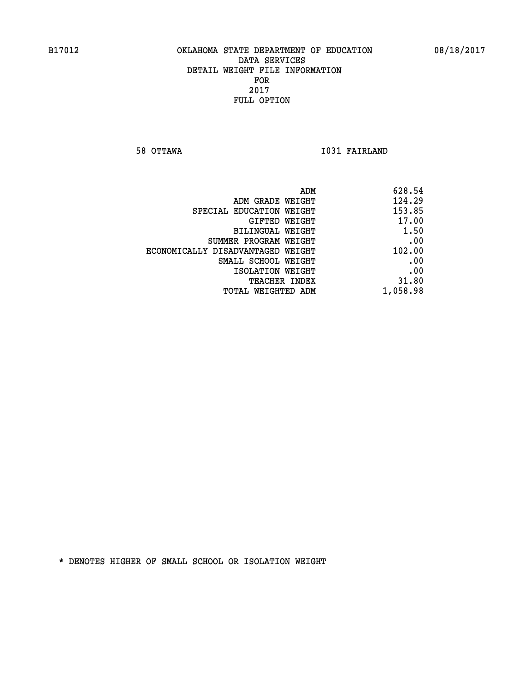**58 OTTAWA I031 FAIRLAND** 

|                                   | ADM<br>628.54 |
|-----------------------------------|---------------|
| ADM GRADE WEIGHT                  | 124.29        |
| SPECIAL EDUCATION WEIGHT          | 153.85        |
| GIFTED WEIGHT                     | 17.00         |
| BILINGUAL WEIGHT                  | 1.50          |
| SUMMER PROGRAM WEIGHT             | .00           |
| ECONOMICALLY DISADVANTAGED WEIGHT | 102.00        |
| SMALL SCHOOL WEIGHT               | .00           |
| ISOLATION WEIGHT                  | .00           |
| TEACHER INDEX                     | 31.80         |
| TOTAL WEIGHTED ADM                | 1,058.98      |
|                                   |               |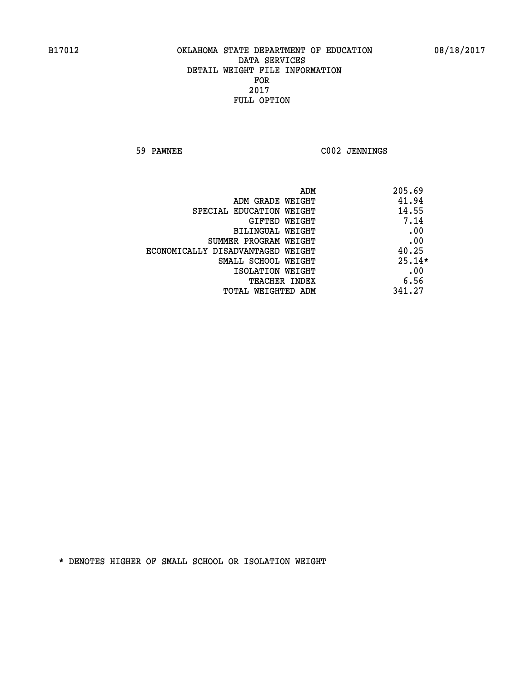**59 PAWNEE C002 JENNINGS** 

| ADM                               | 205.69   |
|-----------------------------------|----------|
| ADM GRADE WEIGHT                  | 41.94    |
| SPECIAL EDUCATION WEIGHT          | 14.55    |
| GIFTED WEIGHT                     | 7.14     |
| BILINGUAL WEIGHT                  | .00      |
| SUMMER PROGRAM WEIGHT             | .00      |
| ECONOMICALLY DISADVANTAGED WEIGHT | 40.25    |
| SMALL SCHOOL WEIGHT               | $25.14*$ |
| ISOLATION WEIGHT                  | .00      |
| TEACHER INDEX                     | 6.56     |
| TOTAL WEIGHTED ADM                | 341.27   |
|                                   |          |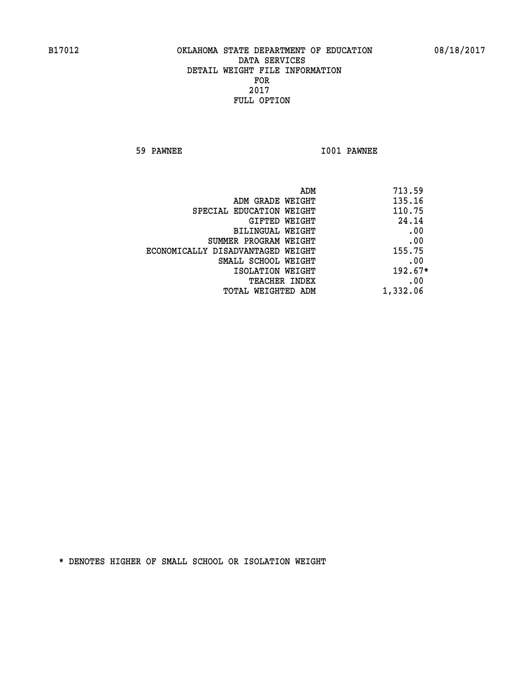**59 PAWNEE I001 PAWNEE** 

| 713.59<br>ADM |                                   |
|---------------|-----------------------------------|
| 135.16        | ADM GRADE WEIGHT                  |
| 110.75        | SPECIAL EDUCATION WEIGHT          |
| 24.14         | GIFTED WEIGHT                     |
| .00           | BILINGUAL WEIGHT                  |
| .00           | SUMMER PROGRAM WEIGHT             |
| 155.75        | ECONOMICALLY DISADVANTAGED WEIGHT |
| .00           | SMALL SCHOOL WEIGHT               |
| $192.67*$     | ISOLATION WEIGHT                  |
| .00           | TEACHER INDEX                     |
| 1,332.06      | TOTAL WEIGHTED ADM                |
|               |                                   |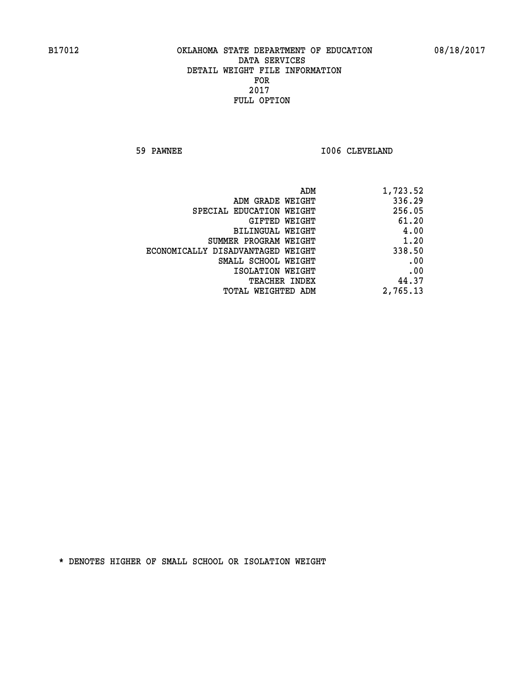**59 PAWNEE 1006 CLEVELAND** 

| 1,723.52 |
|----------|
| 336.29   |
| 256.05   |
| 61.20    |
| 4.00     |
| 1.20     |
| 338.50   |
| .00      |
| .00      |
| 44.37    |
| 2,765.13 |
|          |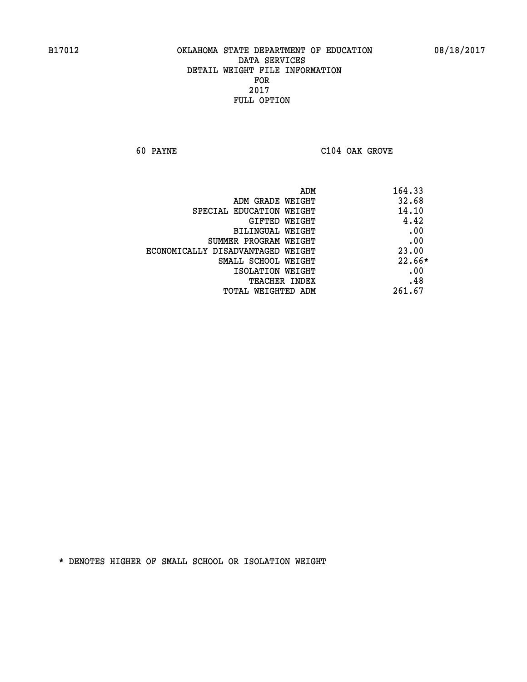**60 PAYNE C104 OAK GROVE** 

| 164.33 | ADM                               |
|--------|-----------------------------------|
| 32.68  | ADM GRADE WEIGHT                  |
| 14.10  | SPECIAL EDUCATION WEIGHT          |
| 4.42   | <b>GIFTED WEIGHT</b>              |
| .00    | BILINGUAL WEIGHT                  |
| .00    | SUMMER PROGRAM WEIGHT             |
| 23.00  | ECONOMICALLY DISADVANTAGED WEIGHT |
| 22.66* | SMALL SCHOOL WEIGHT               |
| .00    | ISOLATION WEIGHT                  |
| .48    | <b>TEACHER INDEX</b>              |
| 261.67 | TOTAL WEIGHTED ADM                |
|        |                                   |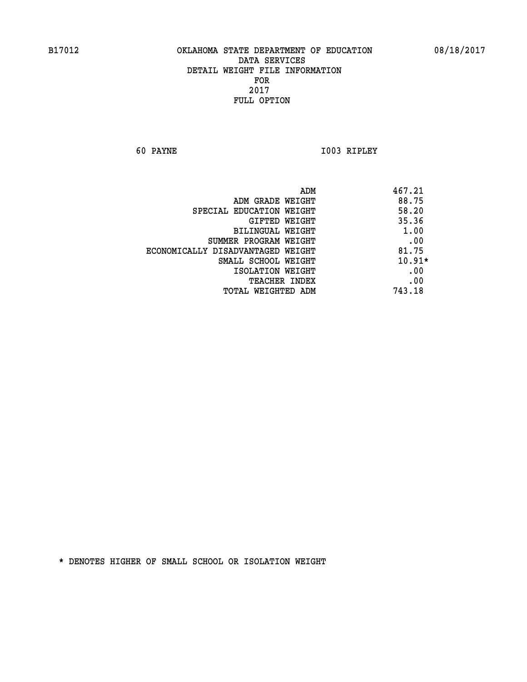**60 PAYNE I003 RIPLEY** 

|                                   | ADM<br>467.21 |
|-----------------------------------|---------------|
| ADM GRADE WEIGHT                  | 88.75         |
| SPECIAL EDUCATION WEIGHT          | 58.20         |
| GIFTED WEIGHT                     | 35.36         |
| BILINGUAL WEIGHT                  | 1.00          |
| SUMMER PROGRAM WEIGHT             | .00           |
| ECONOMICALLY DISADVANTAGED WEIGHT | 81.75         |
| SMALL SCHOOL WEIGHT               | $10.91*$      |
| ISOLATION WEIGHT                  | .00           |
| <b>TEACHER INDEX</b>              | .00           |
| TOTAL WEIGHTED ADM                | 743.18        |
|                                   |               |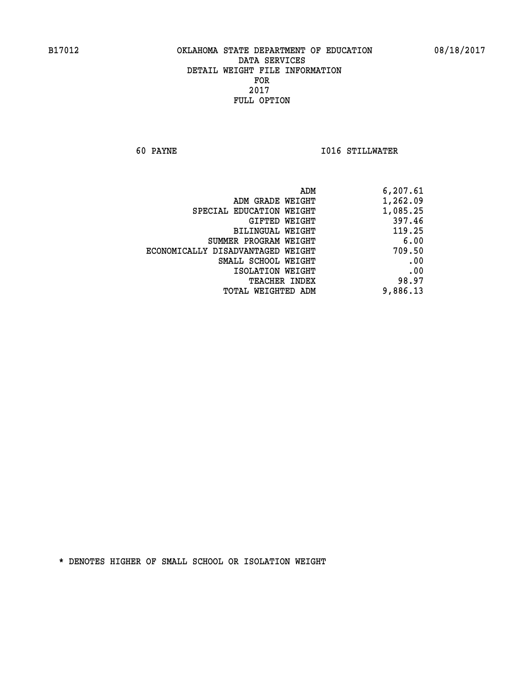**60 PAYNE I016 STILLWATER** 

| ADM                               | 6,207.61 |
|-----------------------------------|----------|
| ADM GRADE WEIGHT                  | 1,262.09 |
| SPECIAL EDUCATION WEIGHT          | 1,085.25 |
| GIFTED WEIGHT                     | 397.46   |
| BILINGUAL WEIGHT                  | 119.25   |
| SUMMER PROGRAM WEIGHT             | 6.00     |
| ECONOMICALLY DISADVANTAGED WEIGHT | 709.50   |
| SMALL SCHOOL WEIGHT               | .00      |
| ISOLATION WEIGHT                  | .00      |
| <b>TEACHER INDEX</b>              | 98.97    |
| TOTAL WEIGHTED ADM                | 9,886.13 |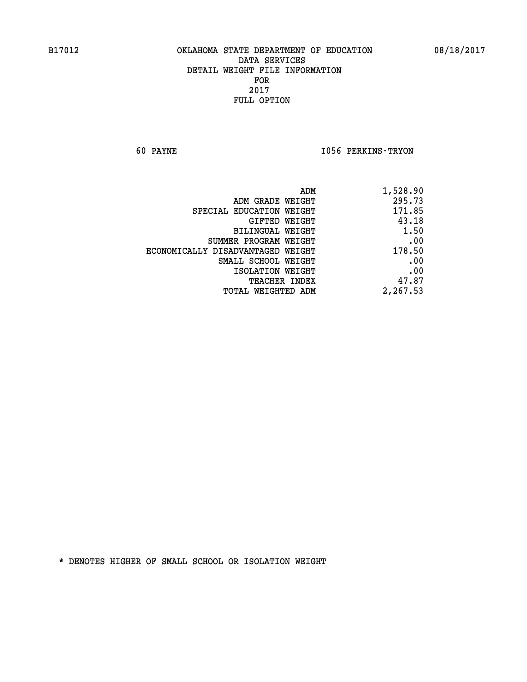**60 PAYNE I056 PERKINS-TRYON** 

| ADM<br>1,528.90 |                                   |
|-----------------|-----------------------------------|
| 295.73          | ADM GRADE WEIGHT                  |
| 171.85          | SPECIAL EDUCATION WEIGHT          |
| 43.18           | GIFTED WEIGHT                     |
| 1.50            | BILINGUAL WEIGHT                  |
| .00             | SUMMER PROGRAM WEIGHT             |
| 178.50          | ECONOMICALLY DISADVANTAGED WEIGHT |
| .00             | SMALL SCHOOL WEIGHT               |
| .00             | ISOLATION WEIGHT                  |
| 47.87           | <b>TEACHER INDEX</b>              |
| 2,267.53        | <b>TOTAL WEIGHTED ADM</b>         |
|                 |                                   |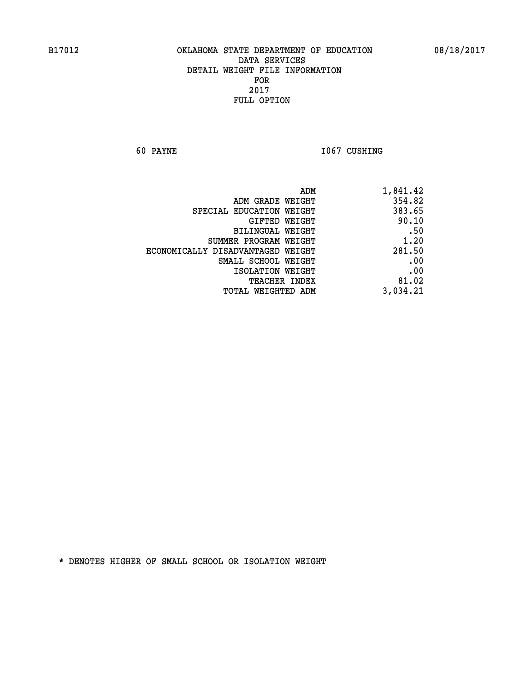**60 PAYNE 1067 CUSHING** 

| 1,841.42 |
|----------|
| 354.82   |
| 383.65   |
| 90.10    |
| .50      |
| 1.20     |
| 281.50   |
| .00      |
| .00      |
| 81.02    |
| 3,034.21 |
|          |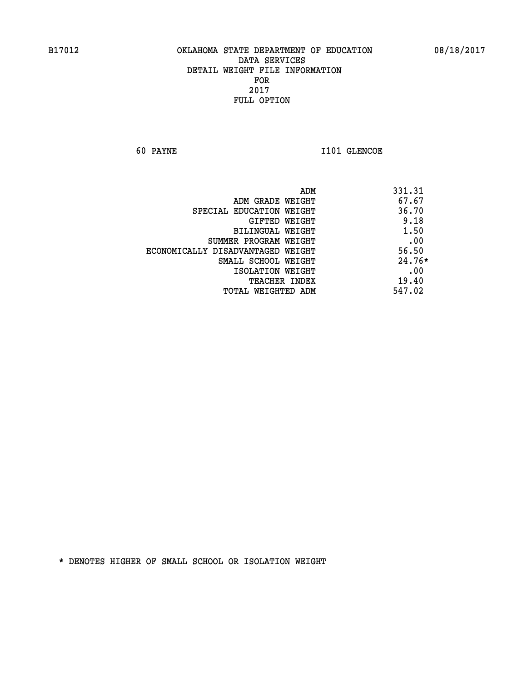**60 PAYNE 1101 GLENCOE** 

| ADM                               | 331.31   |
|-----------------------------------|----------|
| ADM GRADE WEIGHT                  | 67.67    |
| SPECIAL EDUCATION WEIGHT          | 36.70    |
| GIFTED WEIGHT                     | 9.18     |
| BILINGUAL WEIGHT                  | 1.50     |
| SUMMER PROGRAM WEIGHT             | .00      |
| ECONOMICALLY DISADVANTAGED WEIGHT | 56.50    |
| SMALL SCHOOL WEIGHT               | $24.76*$ |
| ISOLATION WEIGHT                  | .00      |
| <b>TEACHER INDEX</b>              | 19.40    |
| TOTAL WEIGHTED ADM                | 547.02   |
|                                   |          |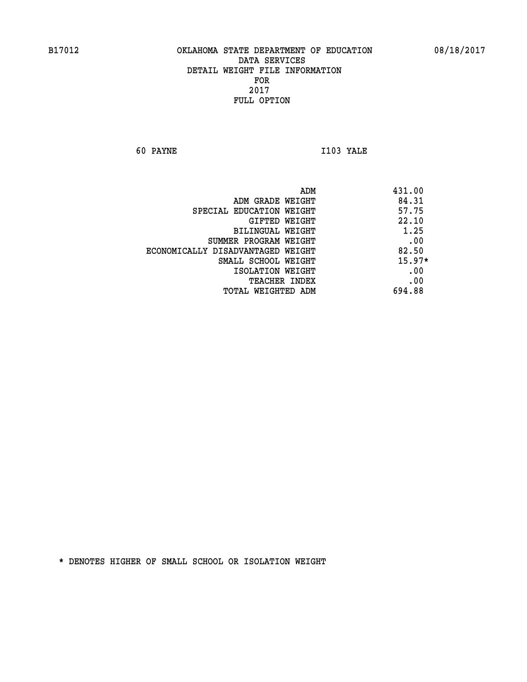**60 PAYNE I103 YALE** 

| 431.00   |
|----------|
| 84.31    |
| 57.75    |
| 22.10    |
| 1.25     |
| .00      |
| 82.50    |
| $15.97*$ |
| .00      |
| .00      |
| 694.88   |
|          |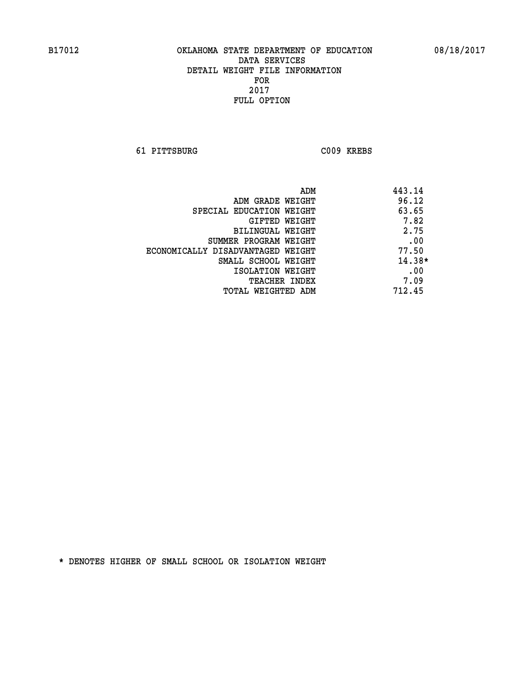**61 PITTSBURG C009 KREBS** 

|                                   | ADM | 443.14   |
|-----------------------------------|-----|----------|
| ADM GRADE WEIGHT                  |     | 96.12    |
| SPECIAL EDUCATION WEIGHT          |     | 63.65    |
| GIFTED WEIGHT                     |     | 7.82     |
| BILINGUAL WEIGHT                  |     | 2.75     |
| SUMMER PROGRAM WEIGHT             |     | .00      |
| ECONOMICALLY DISADVANTAGED WEIGHT |     | 77.50    |
| SMALL SCHOOL WEIGHT               |     | $14.38*$ |
| ISOLATION WEIGHT                  |     | .00      |
| TEACHER INDEX                     |     | 7.09     |
| TOTAL WEIGHTED ADM                |     | 712.45   |
|                                   |     |          |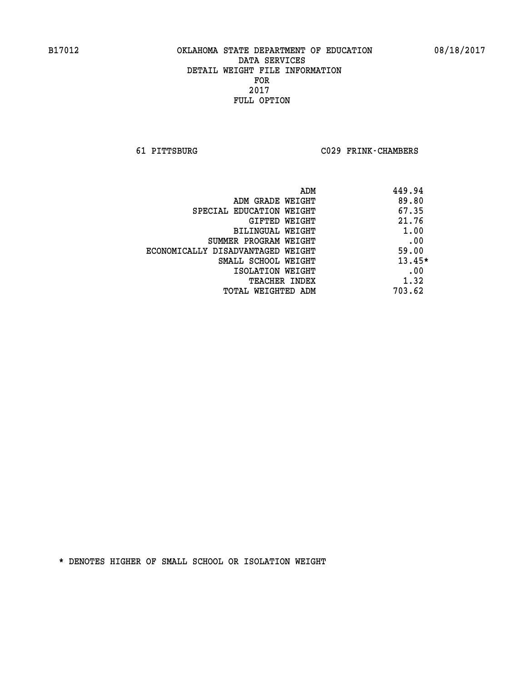**61 PITTSBURG C029 FRINK-CHAMBERS** 

| ADM                               | 449.94   |
|-----------------------------------|----------|
| ADM GRADE WEIGHT                  | 89.80    |
| SPECIAL EDUCATION WEIGHT          | 67.35    |
| GIFTED WEIGHT                     | 21.76    |
| BILINGUAL WEIGHT                  | 1.00     |
| SUMMER PROGRAM WEIGHT             | .00      |
| ECONOMICALLY DISADVANTAGED WEIGHT | 59.00    |
| SMALL SCHOOL WEIGHT               | $13.45*$ |
| ISOLATION WEIGHT                  | .00      |
| <b>TEACHER INDEX</b>              | 1.32     |
| TOTAL WEIGHTED ADM                | 703.62   |
|                                   |          |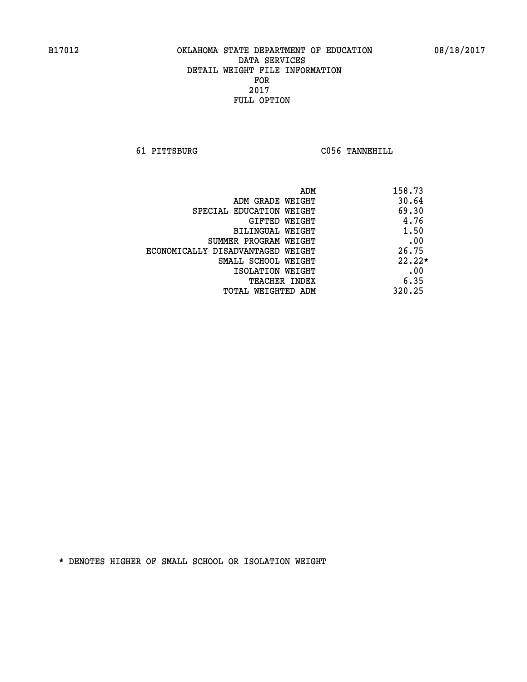**61 PITTSBURG C056 TANNEHILL** 

| ADM                               | 158.73   |
|-----------------------------------|----------|
| ADM GRADE WEIGHT                  | 30.64    |
| SPECIAL EDUCATION WEIGHT          | 69.30    |
| GIFTED WEIGHT                     | 4.76     |
| BILINGUAL WEIGHT                  | 1.50     |
| SUMMER PROGRAM WEIGHT             | .00      |
| ECONOMICALLY DISADVANTAGED WEIGHT | 26.75    |
| SMALL SCHOOL WEIGHT               | $22.22*$ |
| ISOLATION WEIGHT                  | .00      |
| <b>TEACHER INDEX</b>              | 6.35     |
| TOTAL WEIGHTED ADM                | 320.25   |
|                                   |          |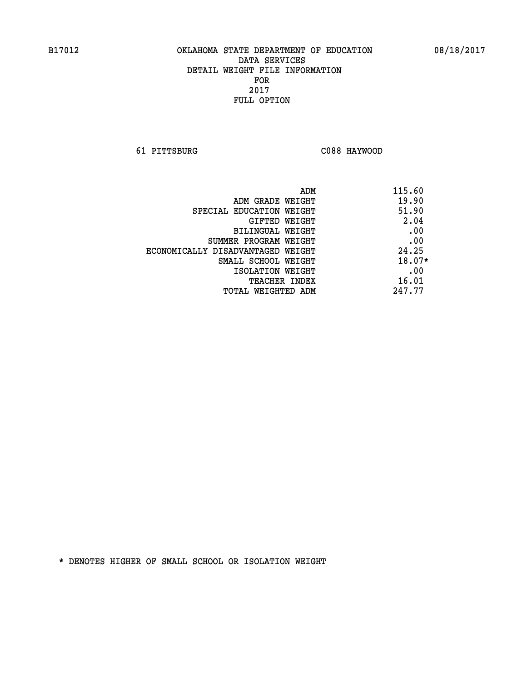**61 PITTSBURG C088 HAYWOOD** 

|                                   | ADM | 115.60   |
|-----------------------------------|-----|----------|
| ADM GRADE WEIGHT                  |     | 19.90    |
| SPECIAL EDUCATION WEIGHT          |     | 51.90    |
| GIFTED WEIGHT                     |     | 2.04     |
| BILINGUAL WEIGHT                  |     | .00      |
| SUMMER PROGRAM WEIGHT             |     | .00      |
| ECONOMICALLY DISADVANTAGED WEIGHT |     | 24.25    |
| SMALL SCHOOL WEIGHT               |     | $18.07*$ |
| ISOLATION WEIGHT                  |     | .00      |
| <b>TEACHER INDEX</b>              |     | 16.01    |
| TOTAL WEIGHTED ADM                |     | 247.77   |
|                                   |     |          |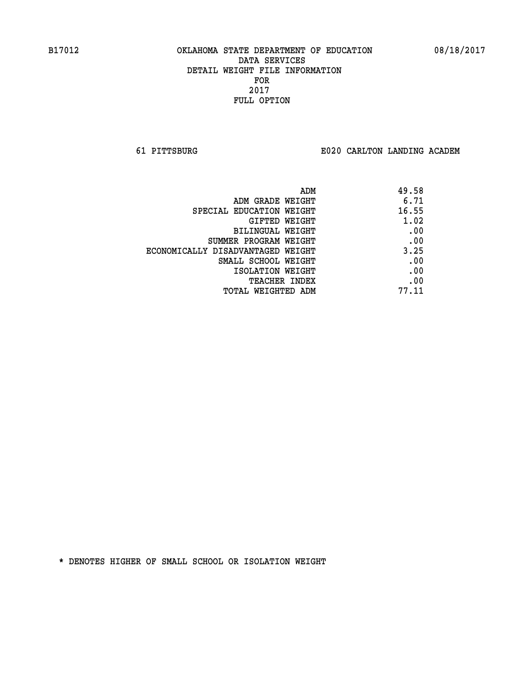**61 PITTSBURG E020 CARLTON LANDING ACADEM**

| ADM                               | 49.58 |
|-----------------------------------|-------|
| ADM GRADE WEIGHT                  | 6.71  |
| SPECIAL EDUCATION WEIGHT          | 16.55 |
| GIFTED WEIGHT                     | 1.02  |
| BILINGUAL WEIGHT                  | .00   |
| SUMMER PROGRAM WEIGHT             | .00   |
| ECONOMICALLY DISADVANTAGED WEIGHT | 3.25  |
| SMALL SCHOOL WEIGHT               | .00   |
| ISOLATION WEIGHT                  | .00   |
| <b>TEACHER INDEX</b>              | .00   |
| TOTAL WEIGHTED ADM                | 77.11 |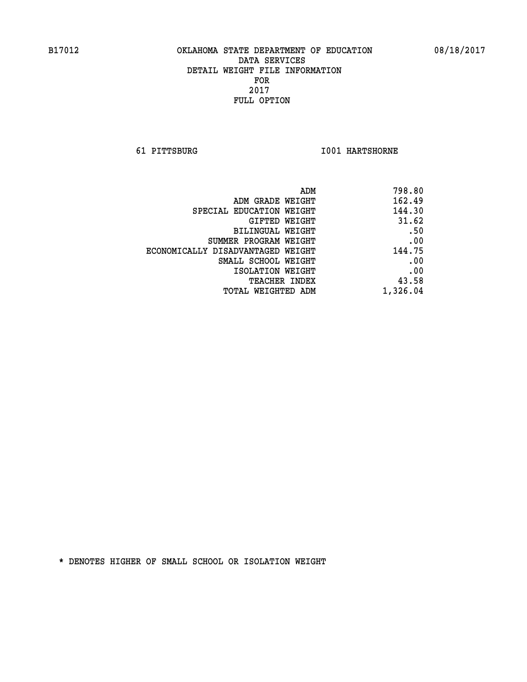**61 PITTSBURG I001 HARTSHORNE** 

| 798.80                                                                                                                                                         |
|----------------------------------------------------------------------------------------------------------------------------------------------------------------|
| 162.49                                                                                                                                                         |
| 144.30                                                                                                                                                         |
| 31.62                                                                                                                                                          |
| .50                                                                                                                                                            |
| .00                                                                                                                                                            |
| 144.75                                                                                                                                                         |
| .00                                                                                                                                                            |
| .00                                                                                                                                                            |
| 43.58                                                                                                                                                          |
| 1,326.04                                                                                                                                                       |
| ADM GRADE WEIGHT<br>GIFTED WEIGHT<br>BILINGUAL WEIGHT<br>SUMMER PROGRAM WEIGHT<br>ECONOMICALLY DISADVANTAGED WEIGHT<br>SMALL SCHOOL WEIGHT<br>ISOLATION WEIGHT |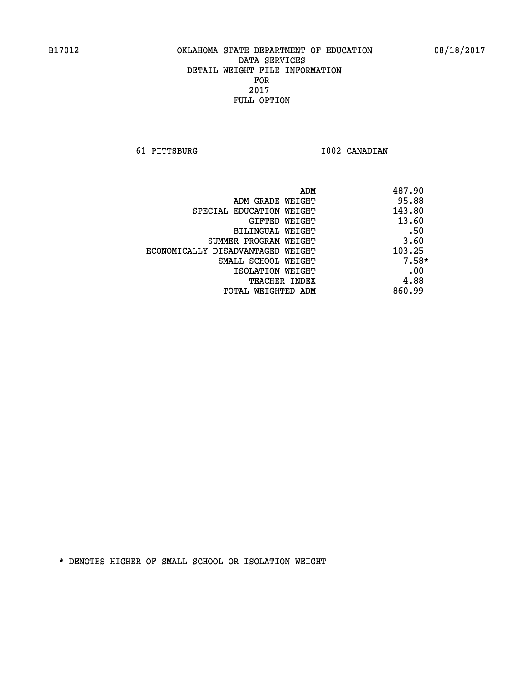**61 PITTSBURG I002 CANADIAN** 

| ADM                               | 487.90  |
|-----------------------------------|---------|
| ADM GRADE WEIGHT                  | 95.88   |
| SPECIAL EDUCATION WEIGHT          | 143.80  |
| GIFTED WEIGHT                     | 13.60   |
| BILINGUAL WEIGHT                  | .50     |
| SUMMER PROGRAM WEIGHT             | 3.60    |
| ECONOMICALLY DISADVANTAGED WEIGHT | 103.25  |
| SMALL SCHOOL WEIGHT               | $7.58*$ |
| ISOLATION WEIGHT                  | .00     |
| <b>TEACHER INDEX</b>              | 4.88    |
| TOTAL WEIGHTED ADM                | 860.99  |
|                                   |         |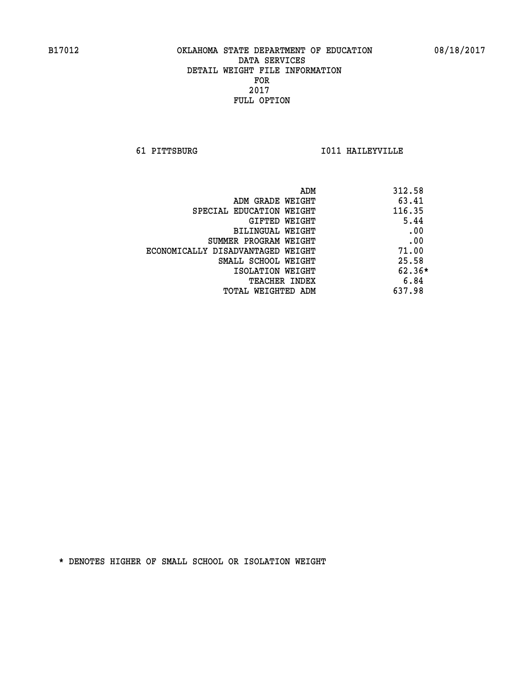**61 PITTSBURG I011 HAILEYVILLE** 

| 312.58<br>ADM                |                                   |
|------------------------------|-----------------------------------|
| 63.41<br>ADM GRADE WEIGHT    |                                   |
| 116.35                       | SPECIAL EDUCATION WEIGHT          |
| 5.44<br>GIFTED WEIGHT        |                                   |
| .00<br>BILINGUAL WEIGHT      |                                   |
| .00<br>SUMMER PROGRAM WEIGHT |                                   |
| 71.00                        | ECONOMICALLY DISADVANTAGED WEIGHT |
| 25.58<br>SMALL SCHOOL WEIGHT |                                   |
| $62.36*$<br>ISOLATION WEIGHT |                                   |
| 6.84<br><b>TEACHER INDEX</b> |                                   |
| 637.98<br>TOTAL WEIGHTED ADM |                                   |
|                              |                                   |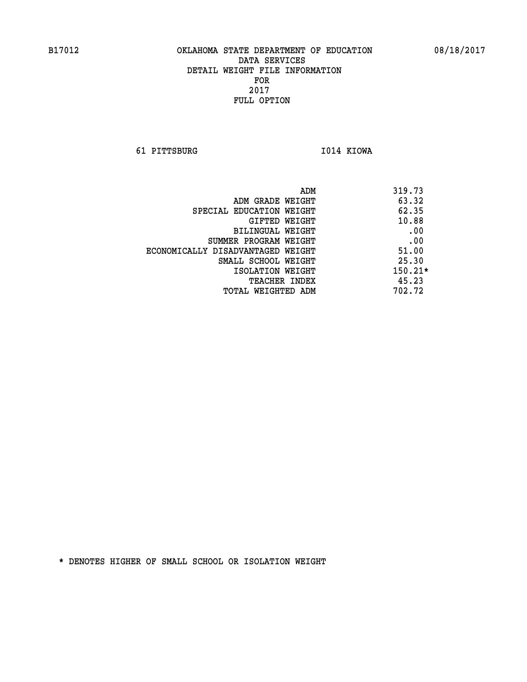**61 PITTSBURG I014 KIOWA** 

|                                   | ADM | 319.73    |
|-----------------------------------|-----|-----------|
| ADM GRADE WEIGHT                  |     | 63.32     |
| SPECIAL EDUCATION WEIGHT          |     | 62.35     |
| GIFTED WEIGHT                     |     | 10.88     |
| BILINGUAL WEIGHT                  |     | .00       |
| SUMMER PROGRAM WEIGHT             |     | .00       |
| ECONOMICALLY DISADVANTAGED WEIGHT |     | 51.00     |
| SMALL SCHOOL WEIGHT               |     | 25.30     |
| ISOLATION WEIGHT                  |     | $150.21*$ |
| <b>TEACHER INDEX</b>              |     | 45.23     |
| TOTAL WEIGHTED ADM                |     | 702.72    |
|                                   |     |           |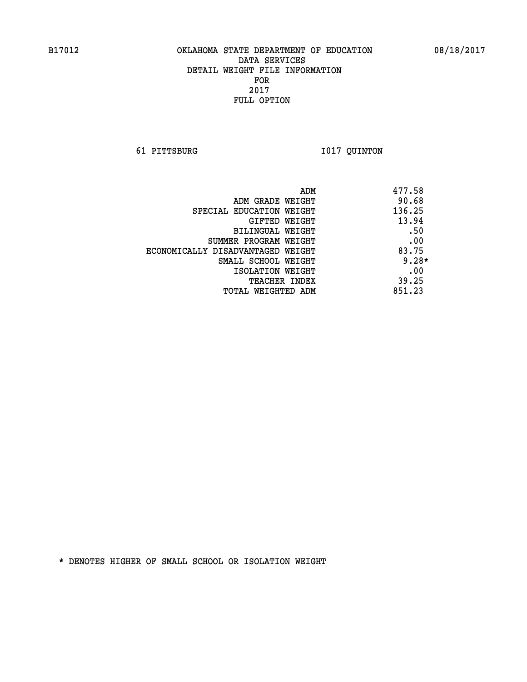**61 PITTSBURG I017 QUINTON** 

| ADM                               | 477.58  |
|-----------------------------------|---------|
| ADM GRADE WEIGHT                  | 90.68   |
| SPECIAL EDUCATION WEIGHT          | 136.25  |
| GIFTED WEIGHT                     | 13.94   |
| BILINGUAL WEIGHT                  | .50     |
| SUMMER PROGRAM WEIGHT             | .00     |
| ECONOMICALLY DISADVANTAGED WEIGHT | 83.75   |
| SMALL SCHOOL WEIGHT               | $9.28*$ |
| ISOLATION WEIGHT                  | .00     |
| <b>TEACHER INDEX</b>              | 39.25   |
| TOTAL WEIGHTED ADM                | 851.23  |
|                                   |         |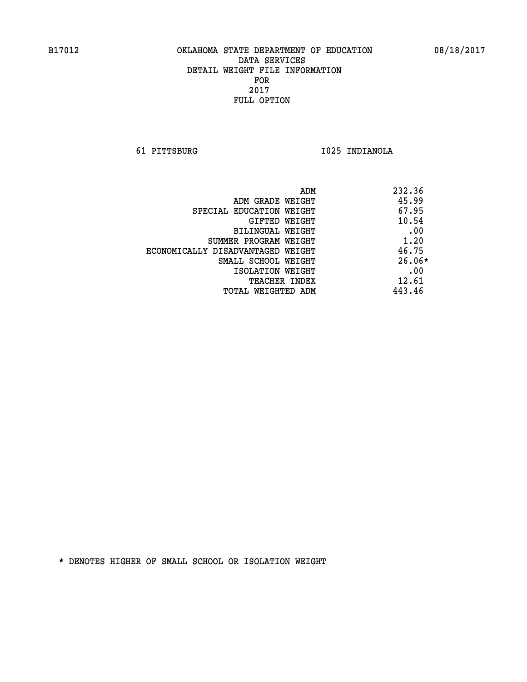**61 PITTSBURG I025 INDIANOLA** 

| ADM                               | 232.36   |
|-----------------------------------|----------|
| ADM GRADE WEIGHT                  | 45.99    |
| SPECIAL EDUCATION WEIGHT          | 67.95    |
| GIFTED WEIGHT                     | 10.54    |
| <b>BILINGUAL WEIGHT</b>           | .00      |
| SUMMER PROGRAM WEIGHT             | 1.20     |
| ECONOMICALLY DISADVANTAGED WEIGHT | 46.75    |
| SMALL SCHOOL WEIGHT               | $26.06*$ |
| ISOLATION WEIGHT                  | .00      |
| <b>TEACHER INDEX</b>              | 12.61    |
| TOTAL WEIGHTED ADM                | 443.46   |
|                                   |          |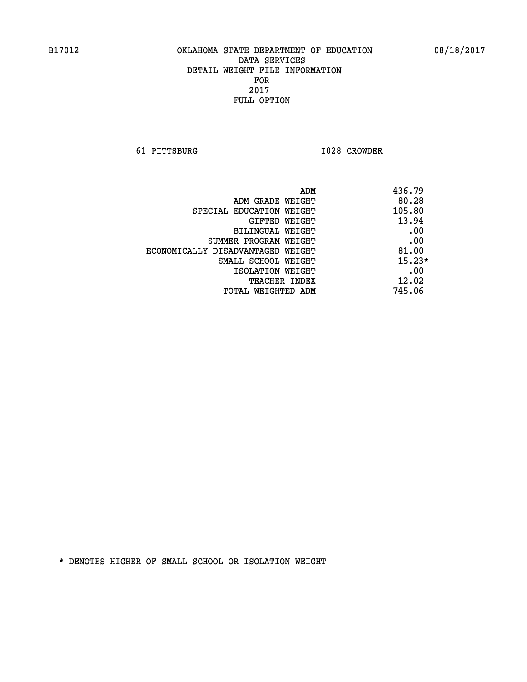**61 PITTSBURG I028 CROWDER** 

| ADM                               | 436.79   |
|-----------------------------------|----------|
| ADM GRADE WEIGHT                  | 80.28    |
| SPECIAL EDUCATION WEIGHT          | 105.80   |
| GIFTED WEIGHT                     | 13.94    |
| BILINGUAL WEIGHT                  | .00      |
| SUMMER PROGRAM WEIGHT             | .00      |
| ECONOMICALLY DISADVANTAGED WEIGHT | 81.00    |
| SMALL SCHOOL WEIGHT               | $15.23*$ |
| ISOLATION WEIGHT                  | .00      |
| <b>TEACHER INDEX</b>              | 12.02    |
| TOTAL WEIGHTED ADM                | 745.06   |
|                                   |          |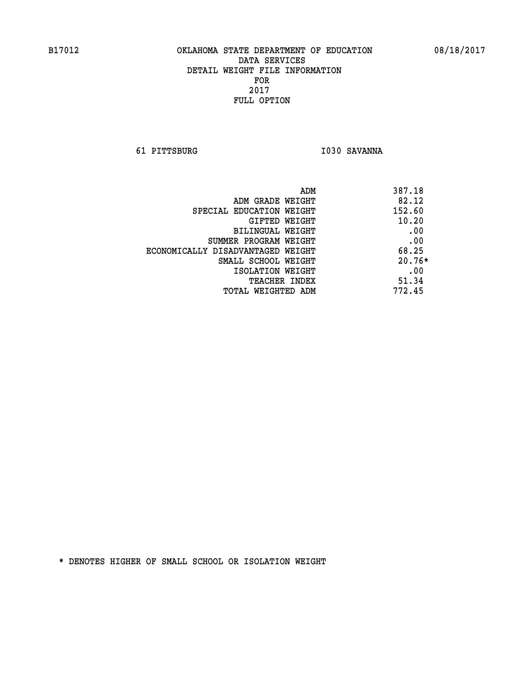**61 PITTSBURG I030 SAVANNA** 

| ADM                               | 387.18   |
|-----------------------------------|----------|
| ADM GRADE WEIGHT                  | 82.12    |
| SPECIAL EDUCATION WEIGHT          | 152.60   |
| GIFTED WEIGHT                     | 10.20    |
| BILINGUAL WEIGHT                  | .00      |
| SUMMER PROGRAM WEIGHT             | .00      |
| ECONOMICALLY DISADVANTAGED WEIGHT | 68.25    |
| SMALL SCHOOL WEIGHT               | $20.76*$ |
| ISOLATION WEIGHT                  | .00      |
| <b>TEACHER INDEX</b>              | 51.34    |
| TOTAL WEIGHTED ADM                | 772.45   |
|                                   |          |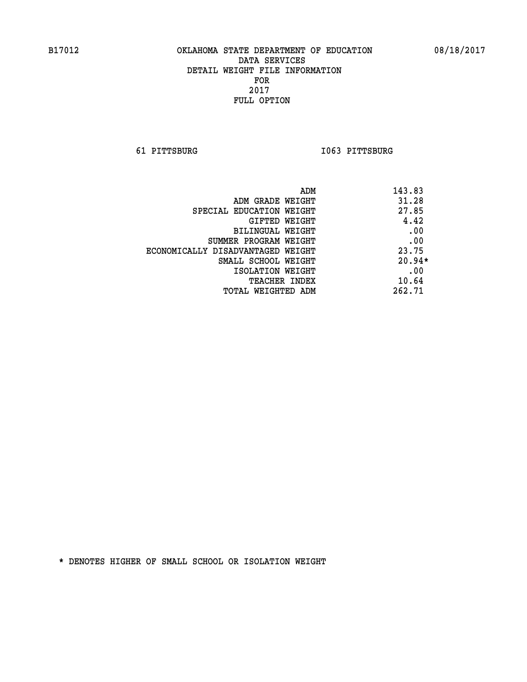**61 PITTSBURG I063 PITTSBURG** 

| 143.83<br>ADM                 |                                   |
|-------------------------------|-----------------------------------|
| 31.28                         | ADM GRADE WEIGHT                  |
| 27.85                         | SPECIAL EDUCATION WEIGHT          |
| 4.42<br>GIFTED WEIGHT         |                                   |
| .00                           | BILINGUAL WEIGHT                  |
| .00                           | SUMMER PROGRAM WEIGHT             |
| 23.75                         | ECONOMICALLY DISADVANTAGED WEIGHT |
| $20.94*$                      | SMALL SCHOOL WEIGHT               |
| .00                           | ISOLATION WEIGHT                  |
| 10.64<br><b>TEACHER INDEX</b> |                                   |
| 262.71                        | TOTAL WEIGHTED ADM                |
|                               |                                   |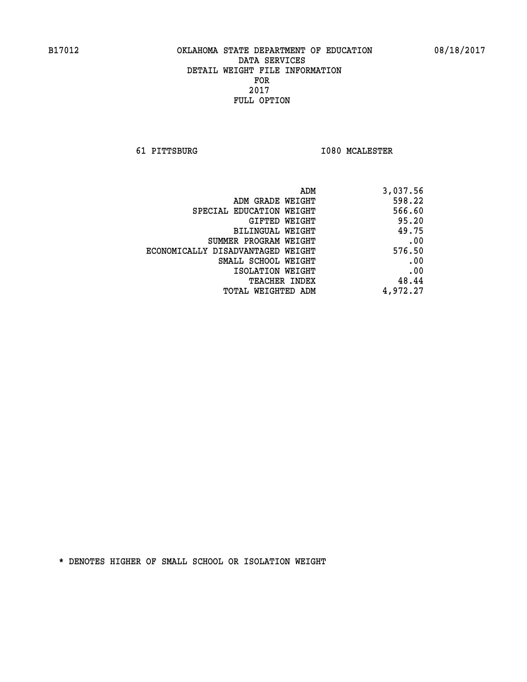**61 PITTSBURG I080 MCALESTER** 

| ADM                               | 3,037.56 |
|-----------------------------------|----------|
| ADM GRADE WEIGHT                  | 598.22   |
| SPECIAL EDUCATION WEIGHT          | 566.60   |
| GIFTED WEIGHT                     | 95.20    |
| BILINGUAL WEIGHT                  | 49.75    |
| SUMMER PROGRAM WEIGHT             | .00      |
| ECONOMICALLY DISADVANTAGED WEIGHT | 576.50   |
| SMALL SCHOOL WEIGHT               | .00      |
| ISOLATION WEIGHT                  | .00      |
| TEACHER INDEX                     | 48.44    |
| TOTAL WEIGHTED ADM                | 4,972.27 |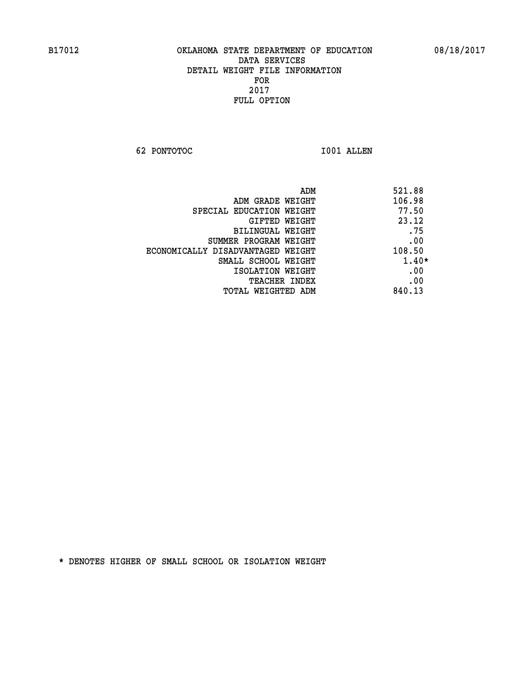**62 PONTOTOC I001 ALLEN** 

| 521.88<br>ADM                               |  |
|---------------------------------------------|--|
| 106.98<br>ADM GRADE WEIGHT                  |  |
| 77.50<br>SPECIAL EDUCATION WEIGHT           |  |
| 23.12<br>GIFTED WEIGHT                      |  |
| .75<br>BILINGUAL WEIGHT                     |  |
| .00<br>SUMMER PROGRAM WEIGHT                |  |
| 108.50<br>ECONOMICALLY DISADVANTAGED WEIGHT |  |
| 1.40*<br>SMALL SCHOOL WEIGHT                |  |
| .00<br>ISOLATION WEIGHT                     |  |
| .00<br><b>TEACHER INDEX</b>                 |  |
| 840.13<br>TOTAL WEIGHTED ADM                |  |
|                                             |  |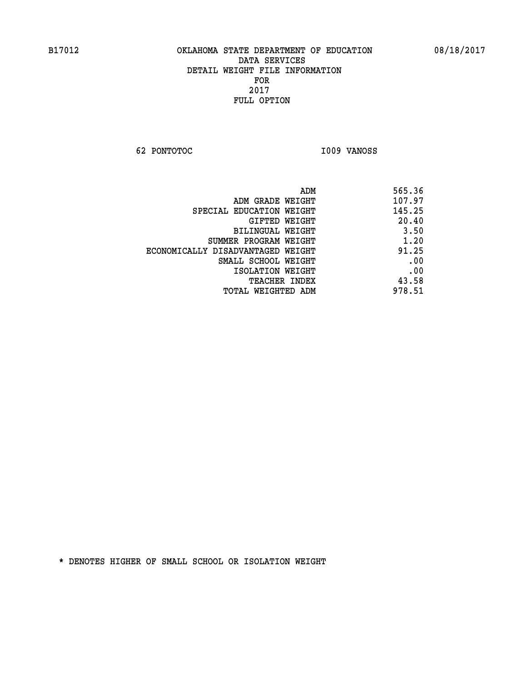**62 PONTOTOC I009 VANOSS** 

| ADM                               | 565.36 |
|-----------------------------------|--------|
| ADM GRADE WEIGHT                  | 107.97 |
| SPECIAL EDUCATION WEIGHT          | 145.25 |
| GIFTED WEIGHT                     | 20.40  |
| BILINGUAL WEIGHT                  | 3.50   |
| SUMMER PROGRAM WEIGHT             | 1.20   |
| ECONOMICALLY DISADVANTAGED WEIGHT | 91.25  |
| SMALL SCHOOL WEIGHT               | .00    |
| ISOLATION WEIGHT                  | .00    |
| <b>TEACHER INDEX</b>              | 43.58  |
| TOTAL WEIGHTED ADM                | 978.51 |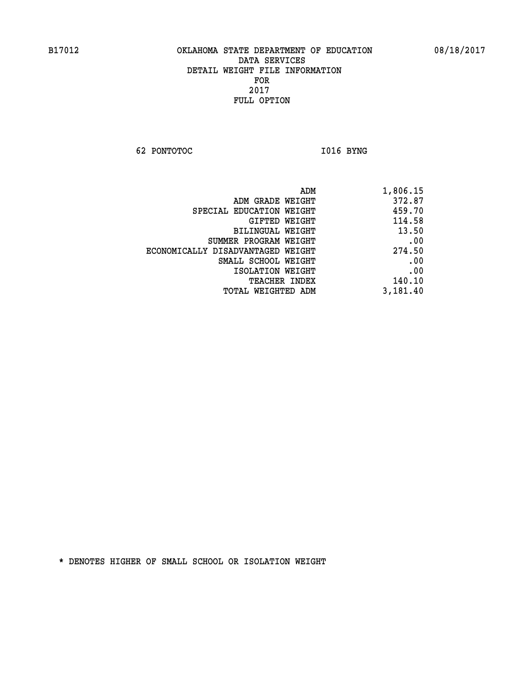**62 PONTOTOC I016 BYNG** 

|                                   | ADM<br>1,806.15 |     |
|-----------------------------------|-----------------|-----|
| ADM GRADE WEIGHT                  | 372.87          |     |
| SPECIAL EDUCATION WEIGHT          | 459.70          |     |
| GIFTED WEIGHT                     | 114.58          |     |
| <b>BILINGUAL WEIGHT</b>           | 13.50           |     |
| SUMMER PROGRAM WEIGHT             |                 | .00 |
| ECONOMICALLY DISADVANTAGED WEIGHT | 274.50          |     |
| SMALL SCHOOL WEIGHT               |                 | .00 |
| ISOLATION WEIGHT                  |                 | .00 |
| TEACHER INDEX                     | 140.10          |     |
| TOTAL WEIGHTED ADM                | 3,181.40        |     |
|                                   |                 |     |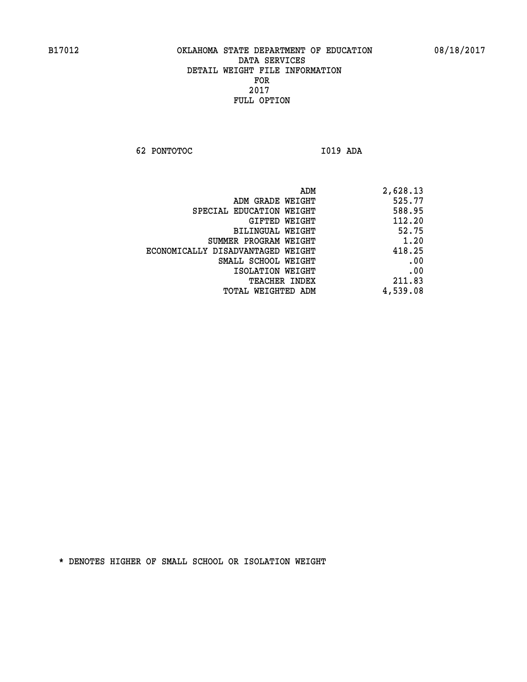**62 PONTOTOC I019 ADA** 

| ADM                               | 2,628.13 |
|-----------------------------------|----------|
| ADM GRADE WEIGHT                  | 525.77   |
| SPECIAL EDUCATION WEIGHT          | 588.95   |
| GIFTED WEIGHT                     | 112.20   |
| BILINGUAL WEIGHT                  | 52.75    |
| SUMMER PROGRAM WEIGHT             | 1.20     |
| ECONOMICALLY DISADVANTAGED WEIGHT | 418.25   |
| SMALL SCHOOL WEIGHT               | .00      |
| ISOLATION WEIGHT                  | .00      |
| TEACHER INDEX                     | 211.83   |
| TOTAL WEIGHTED ADM                | 4,539.08 |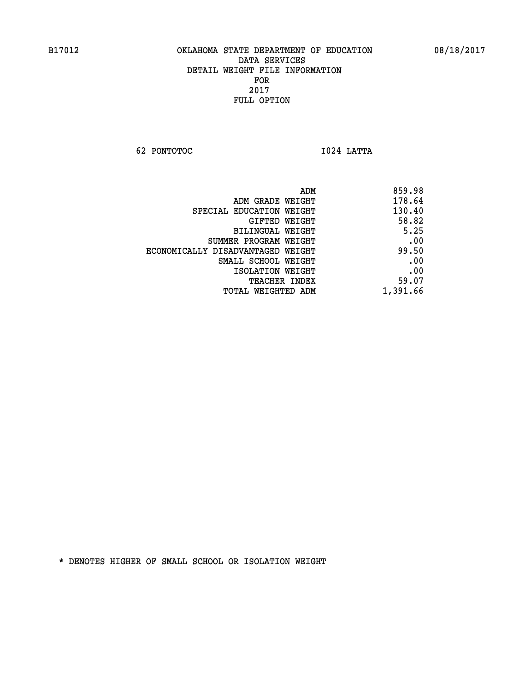**62 PONTOTOC I024 LATTA** 

| 859.98   |
|----------|
| 178.64   |
| 130.40   |
| 58.82    |
| 5.25     |
| .00      |
| 99.50    |
| .00      |
| .00      |
| 59.07    |
| 1,391.66 |
|          |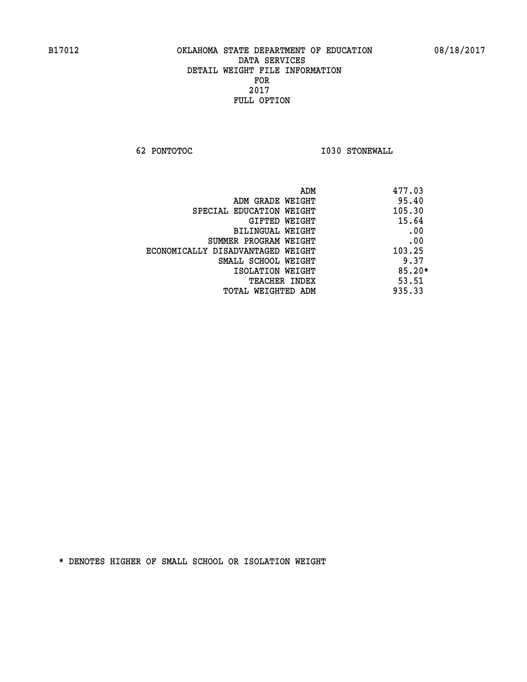**62 PONTOTOC I030 STONEWALL** 

| ADM                               | 477.03   |
|-----------------------------------|----------|
| ADM GRADE WEIGHT                  | 95.40    |
| SPECIAL EDUCATION WEIGHT          | 105.30   |
| GIFTED WEIGHT                     | 15.64    |
| BILINGUAL WEIGHT                  | .00      |
| SUMMER PROGRAM WEIGHT             | .00      |
| ECONOMICALLY DISADVANTAGED WEIGHT | 103.25   |
| SMALL SCHOOL WEIGHT               | 9.37     |
| ISOLATION WEIGHT                  | $85.20*$ |
| <b>TEACHER INDEX</b>              | 53.51    |
| TOTAL WEIGHTED ADM                | 935.33   |
|                                   |          |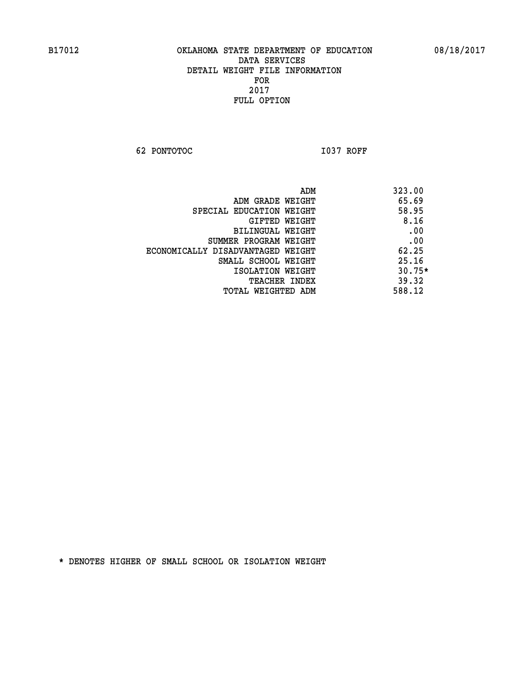**62 PONTOTOC I037 ROFF** 

|                                   | ADM | 323.00   |
|-----------------------------------|-----|----------|
| ADM GRADE WEIGHT                  |     | 65.69    |
| SPECIAL EDUCATION WEIGHT          |     | 58.95    |
| GIFTED WEIGHT                     |     | 8.16     |
| BILINGUAL WEIGHT                  |     | .00      |
| SUMMER PROGRAM WEIGHT             |     | .00      |
| ECONOMICALLY DISADVANTAGED WEIGHT |     | 62.25    |
| SMALL SCHOOL WEIGHT               |     | 25.16    |
| ISOLATION WEIGHT                  |     | $30.75*$ |
| <b>TEACHER INDEX</b>              |     | 39.32    |
| TOTAL WEIGHTED ADM                |     | 588.12   |
|                                   |     |          |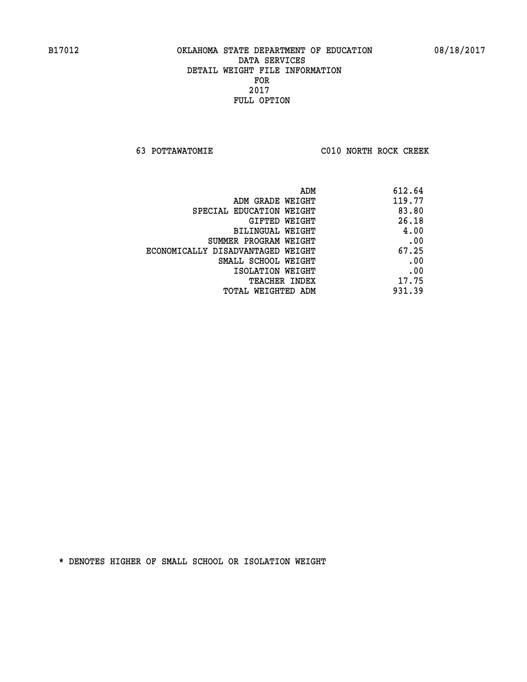**63 POTTAWATOMIE C010 NORTH ROCK CREEK** 

| ADM                               | 612.64 |
|-----------------------------------|--------|
| ADM GRADE WEIGHT                  | 119.77 |
| SPECIAL EDUCATION WEIGHT          | 83.80  |
| GIFTED WEIGHT                     | 26.18  |
| BILINGUAL WEIGHT                  | 4.00   |
| SUMMER PROGRAM WEIGHT             | .00    |
| ECONOMICALLY DISADVANTAGED WEIGHT | 67.25  |
| SMALL SCHOOL WEIGHT               | .00    |
| ISOLATION WEIGHT                  | .00    |
| <b>TEACHER INDEX</b>              | 17.75  |
| TOTAL WEIGHTED ADM                | 931.39 |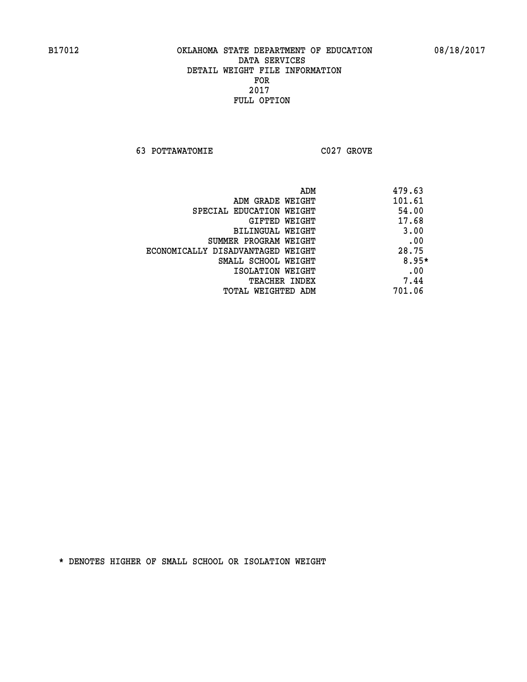**63 POTTAWATOMIE C027 GROVE** 

 **ADM 479.63 ADM GRADE WEIGHT 101.61 SPECIAL EDUCATION WEIGHT 54.00 GIFTED WEIGHT 417.68 BILINGUAL WEIGHT 3.00 SUMMER PROGRAM WEIGHT .00 ECONOMICALLY DISADVANTAGED WEIGHT 28.75 SMALL SCHOOL WEIGHT 8.95\* EXECUTED ISOLATION WEIGHT AND RESOLATION WEIGHT TEACHER INDEX** 7.44  **TOTAL WEIGHTED ADM 701.06**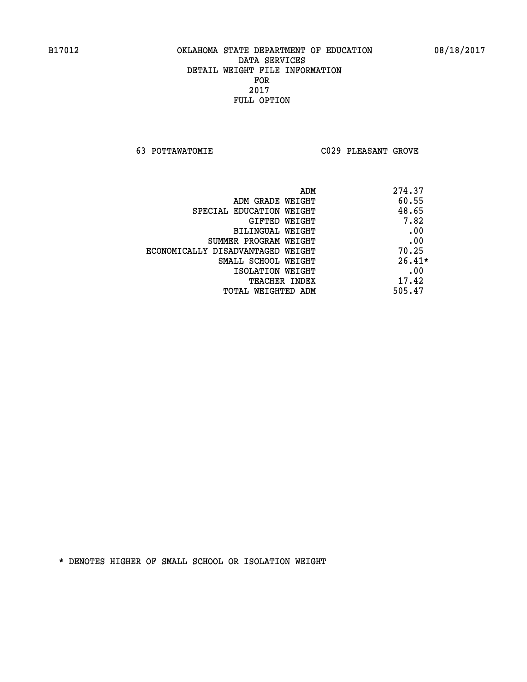**63 POTTAWATOMIE C029 PLEASANT GROVE** 

|                                   | 274.37<br>ADM |
|-----------------------------------|---------------|
| ADM GRADE WEIGHT                  | 60.55         |
| SPECIAL EDUCATION WEIGHT          | 48.65         |
| GIFTED WEIGHT                     | 7.82          |
| BILINGUAL WEIGHT                  | .00           |
| SUMMER PROGRAM WEIGHT             | .00           |
| ECONOMICALLY DISADVANTAGED WEIGHT | 70.25         |
| SMALL SCHOOL WEIGHT               | $26.41*$      |
| ISOLATION WEIGHT                  | .00           |
| <b>TEACHER INDEX</b>              | 17.42         |
| TOTAL WEIGHTED ADM                | 505.47        |
|                                   |               |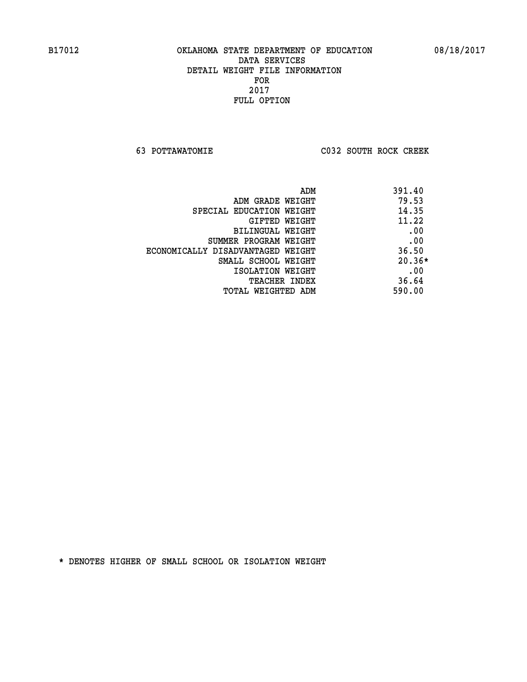**63 POTTAWATOMIE C032 SOUTH ROCK CREEK** 

| ADM                               | 391.40   |
|-----------------------------------|----------|
| ADM GRADE WEIGHT                  | 79.53    |
| SPECIAL EDUCATION WEIGHT          | 14.35    |
| GIFTED WEIGHT                     | 11.22    |
| BILINGUAL WEIGHT                  | .00      |
| SUMMER PROGRAM WEIGHT             | .00      |
| ECONOMICALLY DISADVANTAGED WEIGHT | 36.50    |
| SMALL SCHOOL WEIGHT               | $20.36*$ |
| ISOLATION WEIGHT                  | .00      |
| <b>TEACHER INDEX</b>              | 36.64    |
| TOTAL WEIGHTED ADM                | 590.00   |
|                                   |          |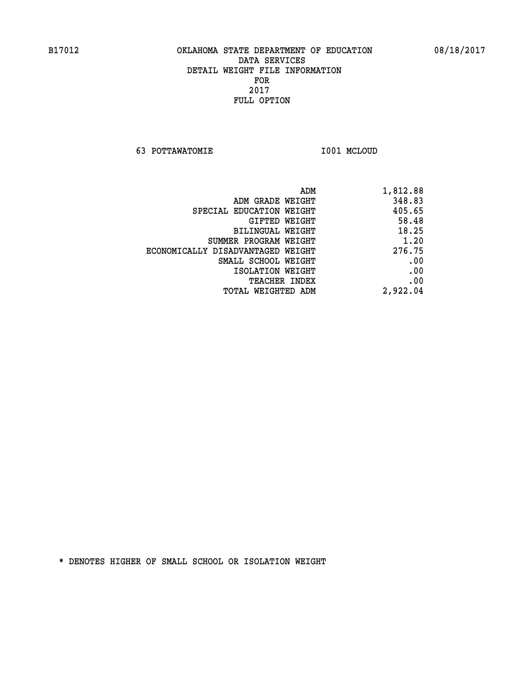**63 POTTAWATOMIE I001 MCLOUD** 

| 1,812.88 |
|----------|
| 348.83   |
| 405.65   |
| 58.48    |
| 18.25    |
| 1.20     |
| 276.75   |
| .00      |
| .00      |
| .00      |
| 2,922.04 |
|          |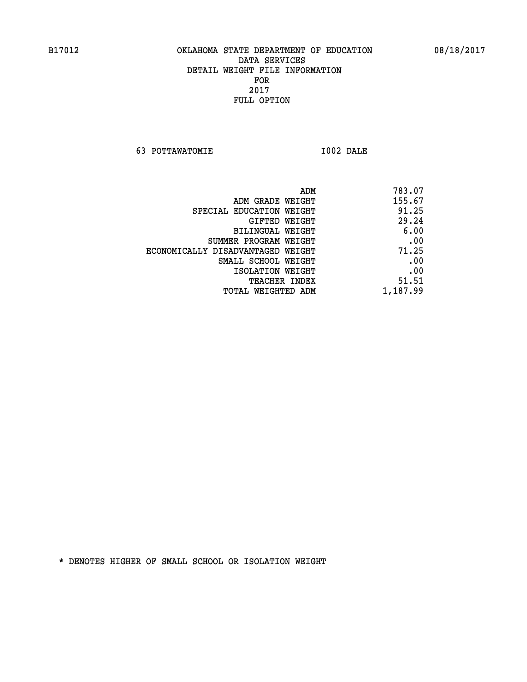**63 POTTAWATOMIE I002 DALE** 

| ADM                               | 783.07   |
|-----------------------------------|----------|
| ADM GRADE WEIGHT                  | 155.67   |
| SPECIAL EDUCATION WEIGHT          | 91.25    |
| GIFTED WEIGHT                     | 29.24    |
| BILINGUAL WEIGHT                  | 6.00     |
| SUMMER PROGRAM WEIGHT             | .00      |
| ECONOMICALLY DISADVANTAGED WEIGHT | 71.25    |
| SMALL SCHOOL WEIGHT               | .00      |
| ISOLATION WEIGHT                  | .00      |
| <b>TEACHER INDEX</b>              | 51.51    |
| TOTAL WEIGHTED ADM                | 1,187.99 |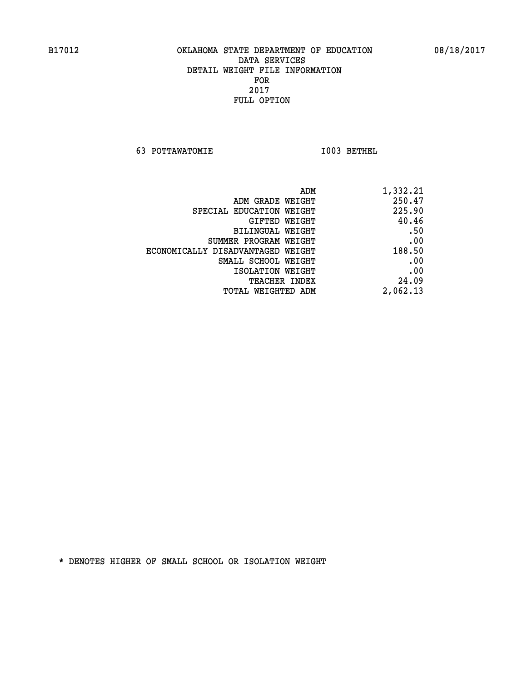**63 POTTAWATOMIE I003 BETHEL** 

| ADM                               | 1,332.21 |
|-----------------------------------|----------|
| ADM GRADE WEIGHT                  | 250.47   |
| SPECIAL EDUCATION WEIGHT          | 225.90   |
| GIFTED WEIGHT                     | 40.46    |
| <b>BILINGUAL WEIGHT</b>           | .50      |
| SUMMER PROGRAM WEIGHT             | .00      |
| ECONOMICALLY DISADVANTAGED WEIGHT | 188.50   |
| SMALL SCHOOL WEIGHT               | .00      |
| ISOLATION WEIGHT                  | .00      |
| TEACHER INDEX                     | 24.09    |
| TOTAL WEIGHTED ADM                | 2,062.13 |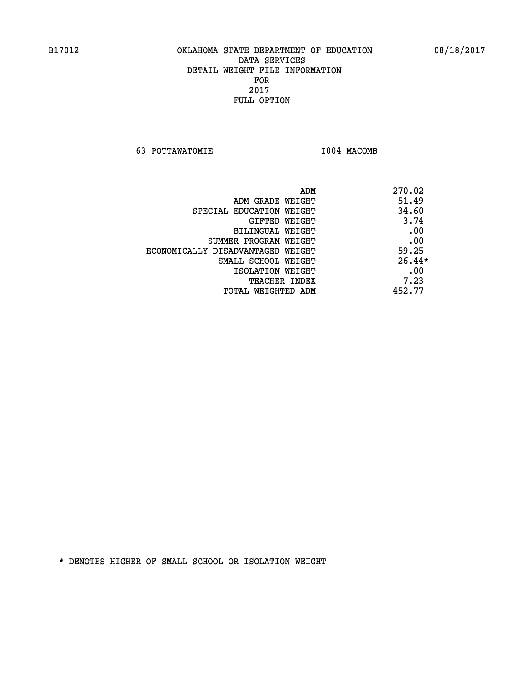**63 POTTAWATOMIE I004 MACOMB** 

|                                   | 270.02<br>ADM |
|-----------------------------------|---------------|
| ADM GRADE WEIGHT                  | 51.49         |
| SPECIAL EDUCATION WEIGHT          | 34.60         |
| GIFTED WEIGHT                     | 3.74          |
| BILINGUAL WEIGHT                  | .00           |
| SUMMER PROGRAM WEIGHT             | .00           |
| ECONOMICALLY DISADVANTAGED WEIGHT | 59.25         |
| SMALL SCHOOL WEIGHT               | $26.44*$      |
| ISOLATION WEIGHT                  | .00           |
| <b>TEACHER INDEX</b>              | 7.23          |
| TOTAL WEIGHTED ADM                | 452.77        |
|                                   |               |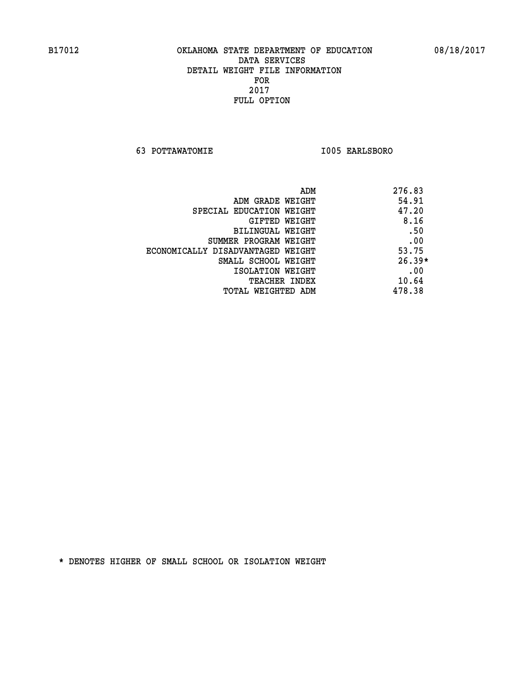**63 POTTAWATOMIE I005 EARLSBORO** 

|                                   | ADM | 276.83   |
|-----------------------------------|-----|----------|
| ADM GRADE WEIGHT                  |     | 54.91    |
| SPECIAL EDUCATION WEIGHT          |     | 47.20    |
| GIFTED WEIGHT                     |     | 8.16     |
| BILINGUAL WEIGHT                  |     | .50      |
| SUMMER PROGRAM WEIGHT             |     | .00      |
| ECONOMICALLY DISADVANTAGED WEIGHT |     | 53.75    |
| SMALL SCHOOL WEIGHT               |     | $26.39*$ |
| ISOLATION WEIGHT                  |     | .00      |
| <b>TEACHER INDEX</b>              |     | 10.64    |
| TOTAL WEIGHTED ADM                |     | 478.38   |
|                                   |     |          |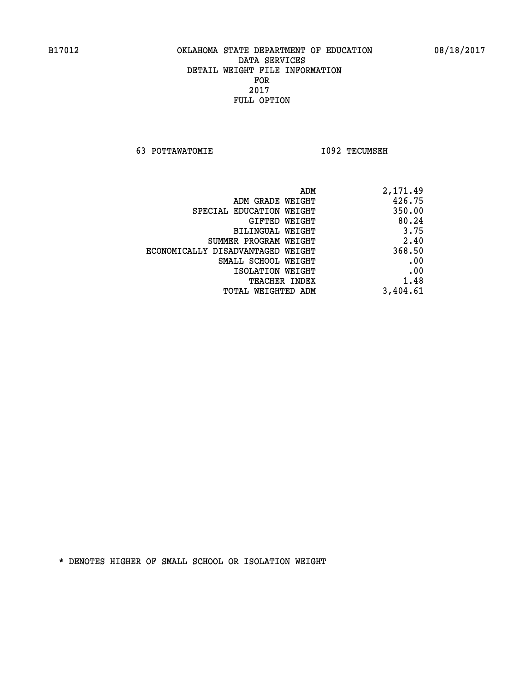**63 POTTAWATOMIE I092 TECUMSEH** 

|                                   | 426.75   |
|-----------------------------------|----------|
| ADM GRADE WEIGHT                  |          |
| SPECIAL EDUCATION WEIGHT          | 350.00   |
| GIFTED WEIGHT                     | 80.24    |
| <b>BILINGUAL WEIGHT</b>           | 3.75     |
| SUMMER PROGRAM WEIGHT             | 2.40     |
| ECONOMICALLY DISADVANTAGED WEIGHT | 368.50   |
| SMALL SCHOOL WEIGHT               | .00      |
| ISOLATION WEIGHT                  | .00      |
| TEACHER INDEX                     | 1.48     |
| TOTAL WEIGHTED ADM                | 3,404.61 |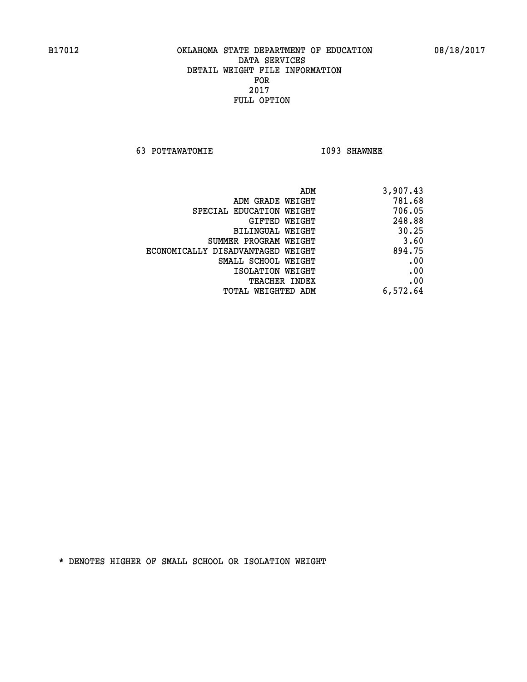**63 POTTAWATOMIE I093 SHAWNEE** 

| 3,907.43 |
|----------|
| 781.68   |
| 706.05   |
| 248.88   |
| 30.25    |
| 3.60     |
| 894.75   |
| .00      |
| .00      |
| .00      |
| 6,572.64 |
|          |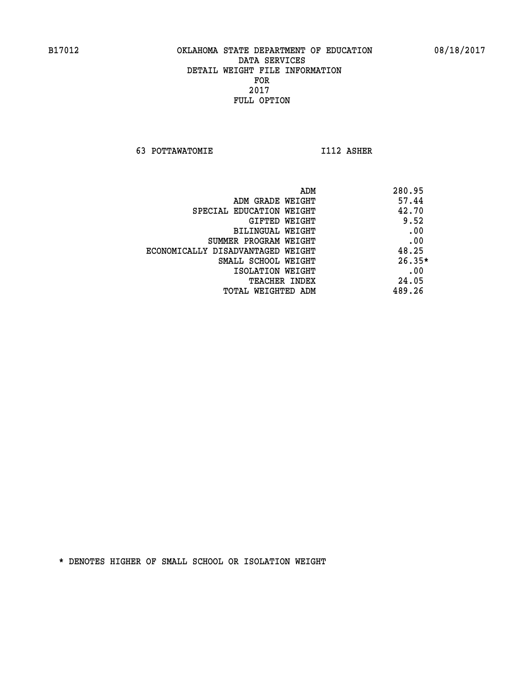**63 POTTAWATOMIE I112 ASHER** 

|                                   | ADM | 280.95   |
|-----------------------------------|-----|----------|
| ADM GRADE WEIGHT                  |     | 57.44    |
| SPECIAL EDUCATION WEIGHT          |     | 42.70    |
| GIFTED WEIGHT                     |     | 9.52     |
| BILINGUAL WEIGHT                  |     | .00      |
| SUMMER PROGRAM WEIGHT             |     | .00      |
| ECONOMICALLY DISADVANTAGED WEIGHT |     | 48.25    |
| SMALL SCHOOL WEIGHT               |     | $26.35*$ |
| ISOLATION WEIGHT                  |     | .00      |
| <b>TEACHER INDEX</b>              |     | 24.05    |
| TOTAL WEIGHTED ADM                |     | 489.26   |
|                                   |     |          |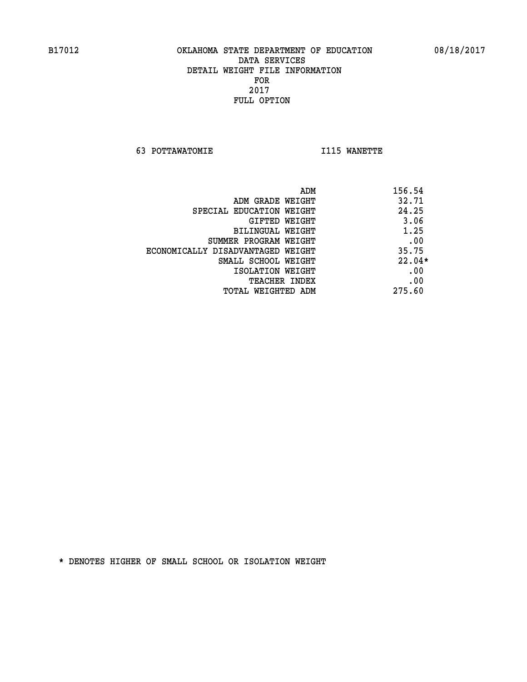**63 POTTAWATOMIE I115 WANETTE** 

| ADM                               | 156.54   |
|-----------------------------------|----------|
| ADM GRADE WEIGHT                  | 32.71    |
| SPECIAL EDUCATION WEIGHT          | 24.25    |
| GIFTED WEIGHT                     | 3.06     |
| BILINGUAL WEIGHT                  | 1.25     |
| SUMMER PROGRAM WEIGHT             | .00      |
| ECONOMICALLY DISADVANTAGED WEIGHT | 35.75    |
| SMALL SCHOOL WEIGHT               | $22.04*$ |
| ISOLATION WEIGHT                  | .00      |
| <b>TEACHER INDEX</b>              | .00      |
| TOTAL WEIGHTED ADM                | 275.60   |
|                                   |          |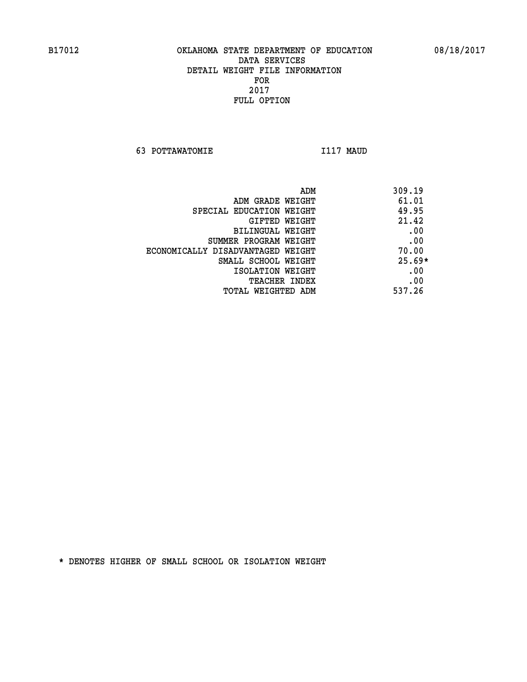**63 POTTAWATOMIE I117 MAUD** 

|                                   | ADM | 309.19   |
|-----------------------------------|-----|----------|
| ADM GRADE WEIGHT                  |     | 61.01    |
| SPECIAL EDUCATION WEIGHT          |     | 49.95    |
| GIFTED WEIGHT                     |     | 21.42    |
| BILINGUAL WEIGHT                  |     | .00      |
| SUMMER PROGRAM WEIGHT             |     | .00      |
| ECONOMICALLY DISADVANTAGED WEIGHT |     | 70.00    |
| SMALL SCHOOL WEIGHT               |     | $25.69*$ |
| ISOLATION WEIGHT                  |     | .00      |
| <b>TEACHER INDEX</b>              |     | .00      |
| TOTAL WEIGHTED ADM                |     | 537.26   |
|                                   |     |          |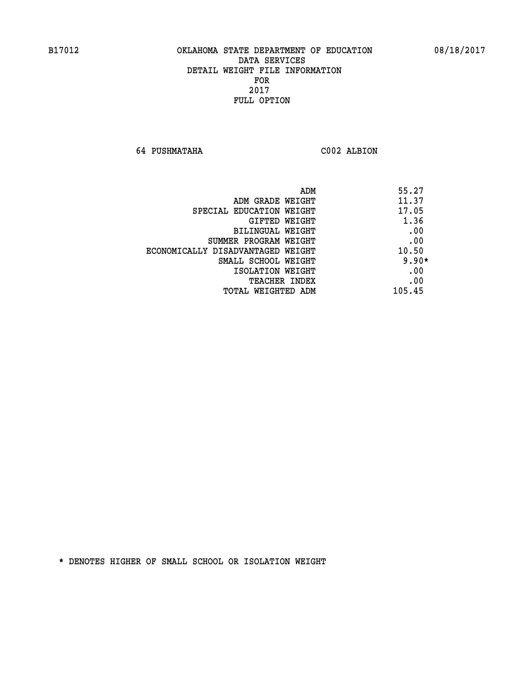**64 PUSHMATAHA C002 ALBION** 

| ADM                               | 55.27   |
|-----------------------------------|---------|
| ADM GRADE WEIGHT                  | 11.37   |
| SPECIAL EDUCATION WEIGHT          | 17.05   |
| GIFTED WEIGHT                     | 1.36    |
| BILINGUAL WEIGHT                  | .00     |
| SUMMER PROGRAM WEIGHT             | .00     |
| ECONOMICALLY DISADVANTAGED WEIGHT | 10.50   |
| SMALL SCHOOL WEIGHT               | $9.90*$ |
| ISOLATION WEIGHT                  | .00     |
| <b>TEACHER INDEX</b>              | .00     |
| TOTAL WEIGHTED ADM                | 105.45  |
|                                   |         |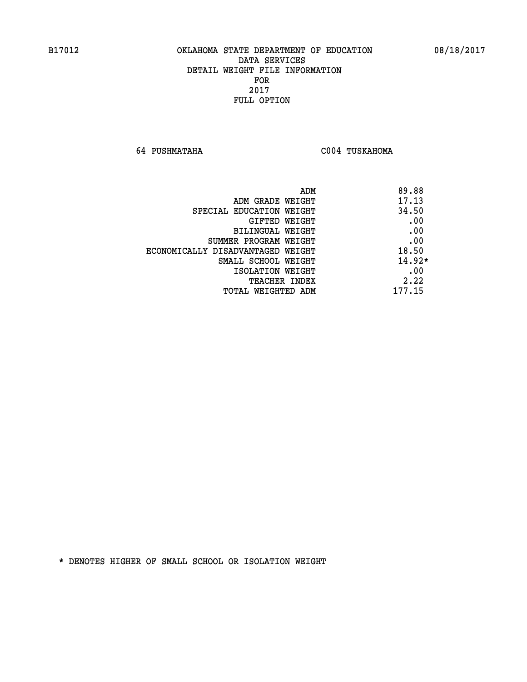**64 PUSHMATAHA C004 TUSKAHOMA** 

| ADM                               | 89.88    |
|-----------------------------------|----------|
| ADM GRADE WEIGHT                  | 17.13    |
| SPECIAL EDUCATION WEIGHT          | 34.50    |
| GIFTED WEIGHT                     | .00      |
| BILINGUAL WEIGHT                  | .00      |
| SUMMER PROGRAM WEIGHT             | .00      |
| ECONOMICALLY DISADVANTAGED WEIGHT | 18.50    |
| SMALL SCHOOL WEIGHT               | $14.92*$ |
| ISOLATION WEIGHT                  | .00      |
| <b>TEACHER INDEX</b>              | 2.22     |
| TOTAL WEIGHTED ADM                | 177.15   |
|                                   |          |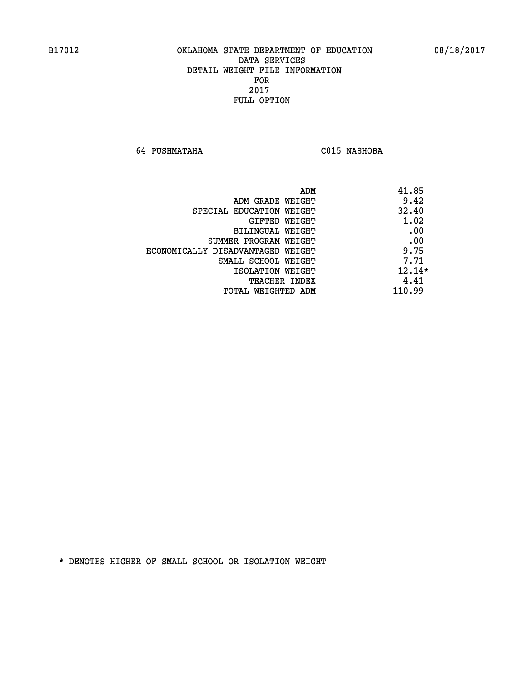**64 PUSHMATAHA C015 NASHOBA** 

|                                   | ADM<br>41.85 |
|-----------------------------------|--------------|
| ADM GRADE WEIGHT                  | 9.42         |
| SPECIAL EDUCATION WEIGHT          | 32.40        |
| GIFTED WEIGHT                     | 1.02         |
| BILINGUAL WEIGHT                  | .00          |
| SUMMER PROGRAM WEIGHT             | .00          |
| ECONOMICALLY DISADVANTAGED WEIGHT | 9.75         |
| SMALL SCHOOL WEIGHT               | 7.71         |
| ISOLATION WEIGHT                  | $12.14*$     |
| TEACHER INDEX                     | 4.41         |
| TOTAL WEIGHTED ADM                | 110.99       |
|                                   |              |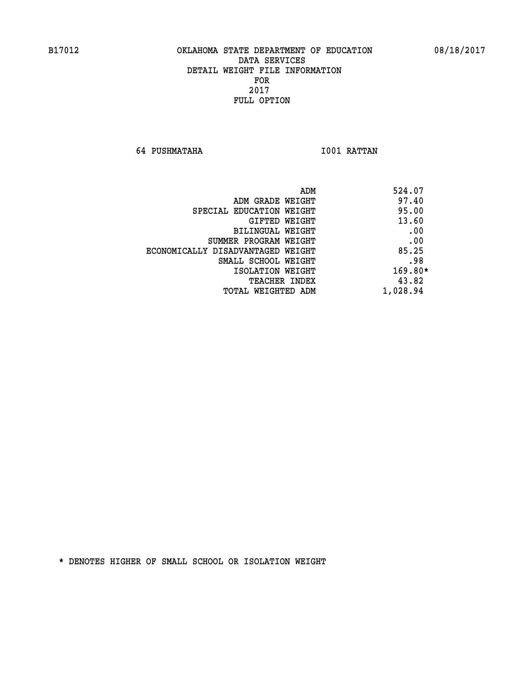**64 PUSHMATAHA I001 RATTAN** 

| ADM<br>524.07 |                                   |
|---------------|-----------------------------------|
| 97.40         | ADM GRADE WEIGHT                  |
| 95.00         | SPECIAL EDUCATION WEIGHT          |
| 13.60         | GIFTED WEIGHT                     |
| .00           | BILINGUAL WEIGHT                  |
| .00           | SUMMER PROGRAM WEIGHT             |
| 85.25         | ECONOMICALLY DISADVANTAGED WEIGHT |
| .98           | SMALL SCHOOL WEIGHT               |
| $169.80*$     | ISOLATION WEIGHT                  |
| 43.82         | TEACHER INDEX                     |
| 1,028.94      | TOTAL WEIGHTED ADM                |
|               |                                   |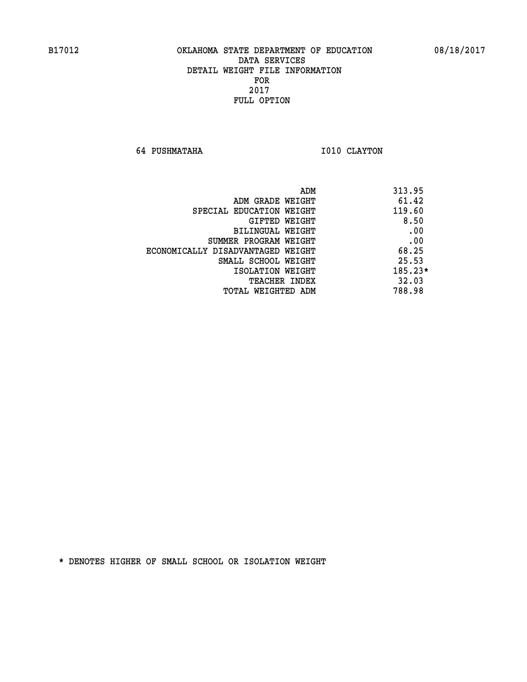**64 PUSHMATAHA 1010 CLAYTON** 

| ADM                               | 313.95    |
|-----------------------------------|-----------|
| ADM GRADE WEIGHT                  | 61.42     |
| SPECIAL EDUCATION WEIGHT          | 119.60    |
| GIFTED WEIGHT                     | 8.50      |
| BILINGUAL WEIGHT                  | .00       |
| SUMMER PROGRAM WEIGHT             | .00       |
| ECONOMICALLY DISADVANTAGED WEIGHT | 68.25     |
| SMALL SCHOOL WEIGHT               | 25.53     |
| ISOLATION WEIGHT                  | $185.23*$ |
| <b>TEACHER INDEX</b>              | 32.03     |
| TOTAL WEIGHTED ADM                | 788.98    |
|                                   |           |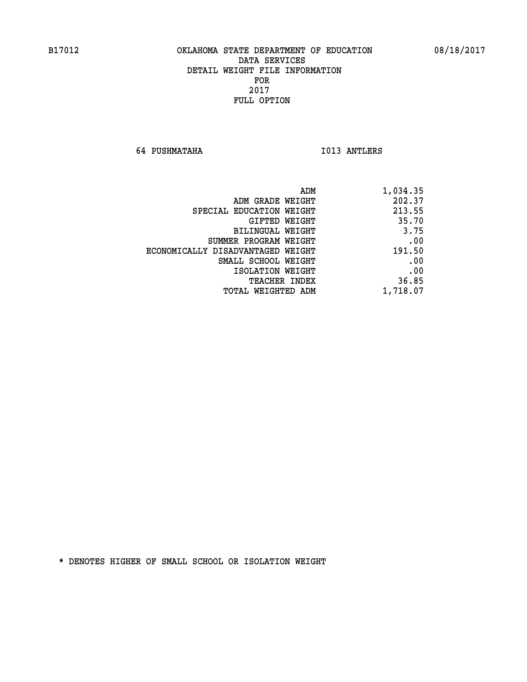**64 PUSHMATAHA I013 ANTLERS** 

| 1,034.35 |
|----------|
| 202.37   |
| 213.55   |
| 35.70    |
| 3.75     |
| .00      |
| 191.50   |
| .00      |
| .00      |
| 36.85    |
| 1,718.07 |
|          |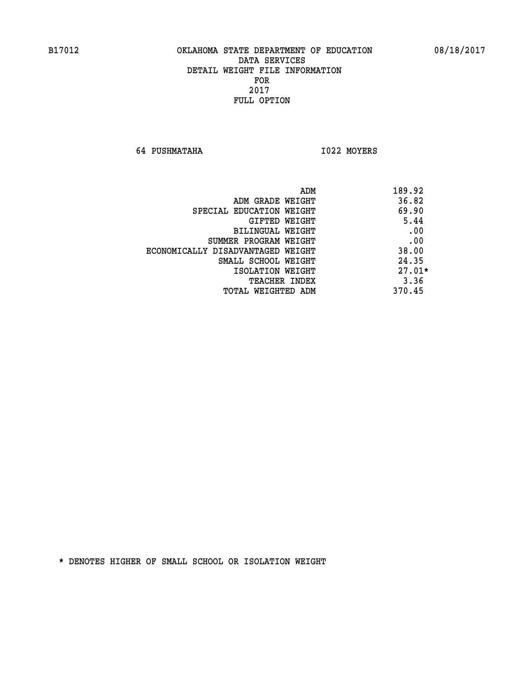**64 PUSHMATAHA I022 MOYERS** 

|                                   | ADM | 189.92   |
|-----------------------------------|-----|----------|
| ADM GRADE WEIGHT                  |     | 36.82    |
| SPECIAL EDUCATION WEIGHT          |     | 69.90    |
| GIFTED WEIGHT                     |     | 5.44     |
| BILINGUAL WEIGHT                  |     | .00      |
| SUMMER PROGRAM WEIGHT             |     | .00      |
| ECONOMICALLY DISADVANTAGED WEIGHT |     | 38.00    |
| SMALL SCHOOL WEIGHT               |     | 24.35    |
| ISOLATION WEIGHT                  |     | $27.01*$ |
| TEACHER INDEX                     |     | 3.36     |
| TOTAL WEIGHTED ADM                |     | 370.45   |
|                                   |     |          |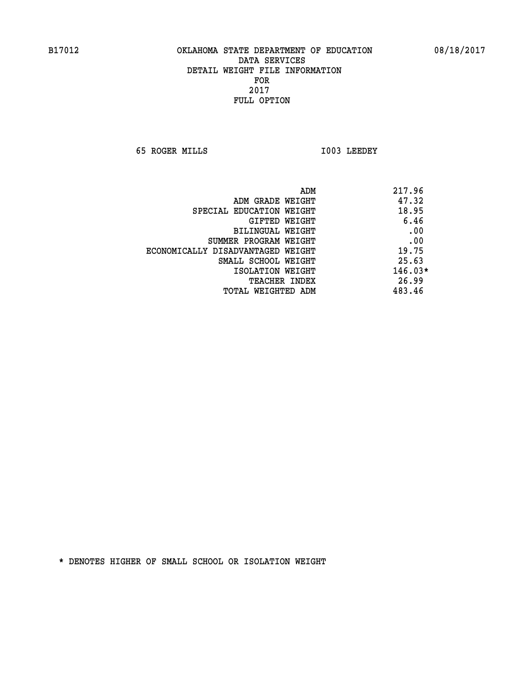**65 ROGER MILLS I003 LEEDEY** 

| 217.96<br>ADM |                                   |
|---------------|-----------------------------------|
| 47.32         | ADM GRADE WEIGHT                  |
| 18.95         | SPECIAL EDUCATION WEIGHT          |
| 6.46          | GIFTED WEIGHT                     |
| .00           | <b>BILINGUAL WEIGHT</b>           |
| .00           | SUMMER PROGRAM WEIGHT             |
| 19.75         | ECONOMICALLY DISADVANTAGED WEIGHT |
| 25.63         | SMALL SCHOOL WEIGHT               |
| $146.03*$     | ISOLATION WEIGHT                  |
| 26.99         | <b>TEACHER INDEX</b>              |
| 483.46        | TOTAL WEIGHTED ADM                |
|               |                                   |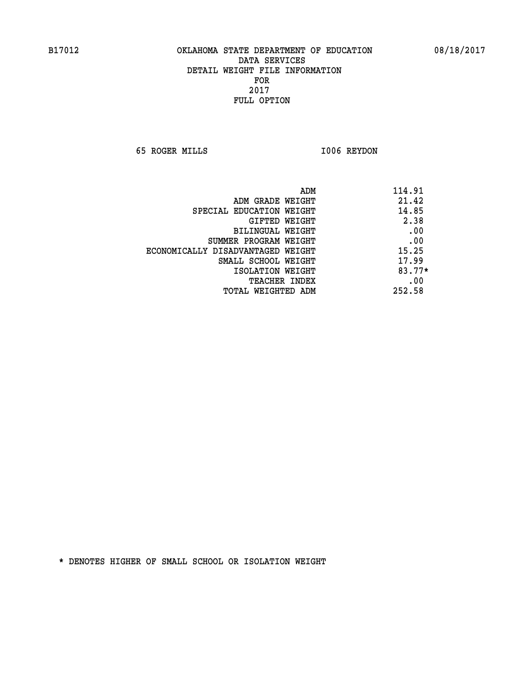**65 ROGER MILLS I006 REYDON** 

| ADM                               | 114.91 |
|-----------------------------------|--------|
| ADM GRADE WEIGHT                  | 21.42  |
| SPECIAL EDUCATION WEIGHT          | 14.85  |
| GIFTED WEIGHT                     | 2.38   |
| BILINGUAL WEIGHT                  | .00    |
| SUMMER PROGRAM WEIGHT             | .00    |
| ECONOMICALLY DISADVANTAGED WEIGHT | 15.25  |
| SMALL SCHOOL WEIGHT               | 17.99  |
| ISOLATION WEIGHT                  | 83.77* |
| <b>TEACHER INDEX</b>              | .00    |
| TOTAL WEIGHTED ADM                | 252.58 |
|                                   |        |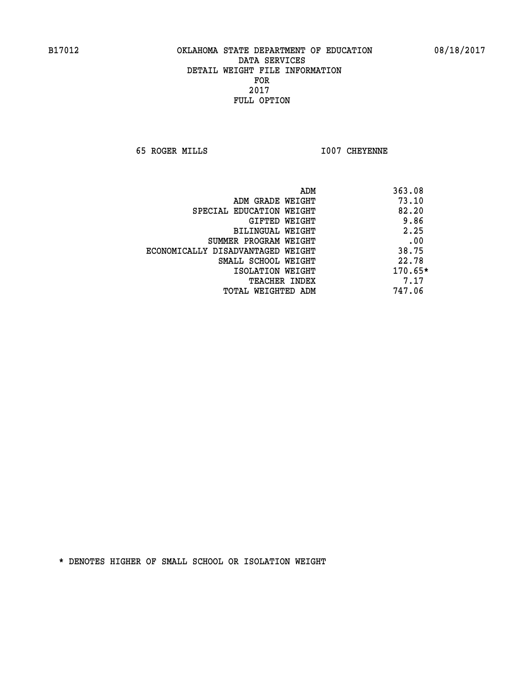**65 ROGER MILLS I007 CHEYENNE** 

|                                   | ADM | 363.08    |
|-----------------------------------|-----|-----------|
| ADM GRADE WEIGHT                  |     | 73.10     |
| SPECIAL EDUCATION WEIGHT          |     | 82.20     |
| GIFTED WEIGHT                     |     | 9.86      |
| BILINGUAL WEIGHT                  |     | 2.25      |
| SUMMER PROGRAM WEIGHT             |     | .00       |
| ECONOMICALLY DISADVANTAGED WEIGHT |     | 38.75     |
| SMALL SCHOOL WEIGHT               |     | 22.78     |
| ISOLATION WEIGHT                  |     | $170.65*$ |
| TEACHER INDEX                     |     | 7.17      |
| TOTAL WEIGHTED ADM                |     | 747.06    |
|                                   |     |           |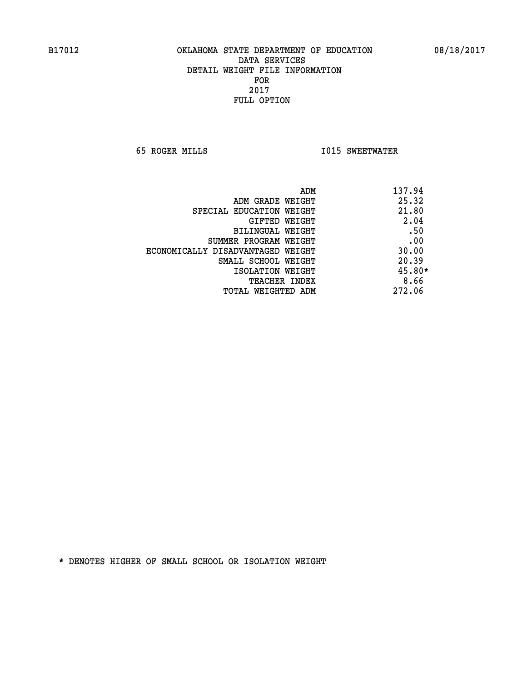**65 ROGER MILLS I015 SWEETWATER** 

| ADM                               | 137.94   |
|-----------------------------------|----------|
| ADM GRADE WEIGHT                  | 25.32    |
| SPECIAL EDUCATION WEIGHT          | 21.80    |
| GIFTED WEIGHT                     | 2.04     |
| BILINGUAL WEIGHT                  | .50      |
| SUMMER PROGRAM WEIGHT             | .00      |
| ECONOMICALLY DISADVANTAGED WEIGHT | 30.00    |
| SMALL SCHOOL WEIGHT               | 20.39    |
| ISOLATION WEIGHT                  | $45.80*$ |
| <b>TEACHER INDEX</b>              | 8.66     |
| TOTAL WEIGHTED ADM                | 272.06   |
|                                   |          |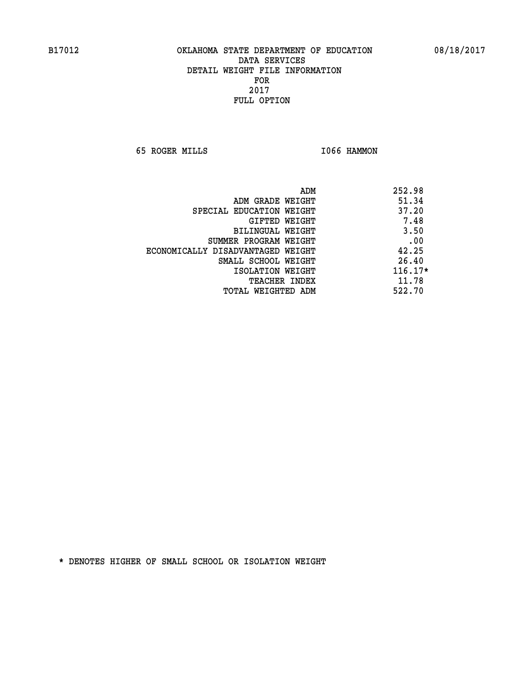**65 ROGER MILLS I066 HAMMON** 

| ADM                               | 252.98    |
|-----------------------------------|-----------|
| ADM GRADE WEIGHT                  | 51.34     |
| SPECIAL EDUCATION WEIGHT          | 37.20     |
| GIFTED WEIGHT                     | 7.48      |
| <b>BILINGUAL WEIGHT</b>           | 3.50      |
| SUMMER PROGRAM WEIGHT             | .00       |
| ECONOMICALLY DISADVANTAGED WEIGHT | 42.25     |
| SMALL SCHOOL WEIGHT               | 26.40     |
| ISOLATION WEIGHT                  | $116.17*$ |
| <b>TEACHER INDEX</b>              | 11.78     |
| TOTAL WEIGHTED ADM                | 522.70    |
|                                   |           |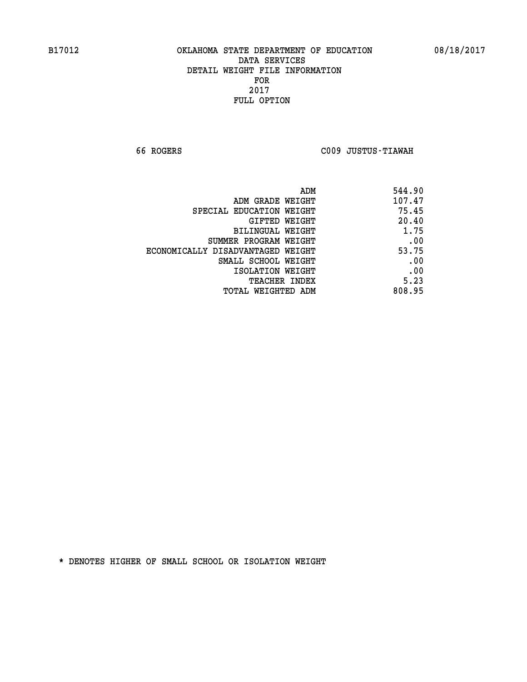**66 ROGERS C009 JUSTUS-TIAWAH** 

| ADM                               | 544.90 |
|-----------------------------------|--------|
| ADM GRADE WEIGHT                  | 107.47 |
| SPECIAL EDUCATION WEIGHT          | 75.45  |
| <b>GIFTED WEIGHT</b>              | 20.40  |
| BILINGUAL WEIGHT                  | 1.75   |
| SUMMER PROGRAM WEIGHT             | .00    |
| ECONOMICALLY DISADVANTAGED WEIGHT | 53.75  |
| SMALL SCHOOL WEIGHT               | .00    |
| ISOLATION WEIGHT                  | .00    |
| <b>TEACHER INDEX</b>              | 5.23   |
| TOTAL WEIGHTED ADM                | 808.95 |
|                                   |        |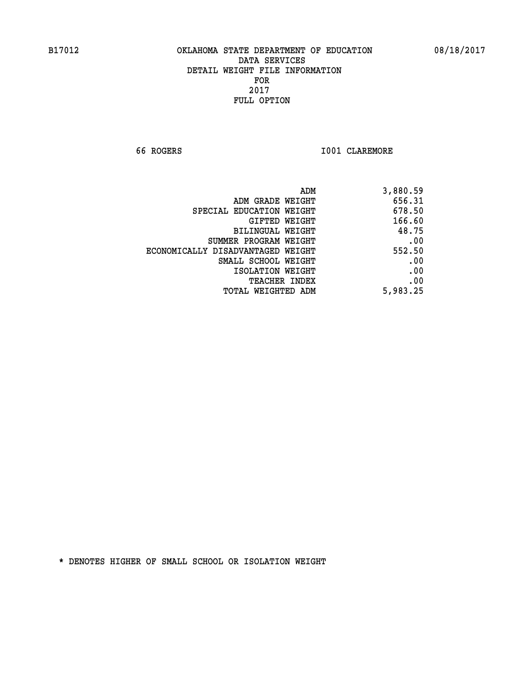**66 ROGERS I001 CLAREMORE** 

| ADM                               | 3,880.59 |
|-----------------------------------|----------|
| ADM GRADE WEIGHT                  | 656.31   |
| SPECIAL EDUCATION WEIGHT          | 678.50   |
| GIFTED WEIGHT                     | 166.60   |
| BILINGUAL WEIGHT                  | 48.75    |
| SUMMER PROGRAM WEIGHT             | .00      |
| ECONOMICALLY DISADVANTAGED WEIGHT | 552.50   |
| SMALL SCHOOL WEIGHT               | .00      |
| ISOLATION WEIGHT                  | .00      |
| <b>TEACHER INDEX</b>              | .00      |
| <b>TOTAL WEIGHTED ADM</b>         | 5,983.25 |
|                                   |          |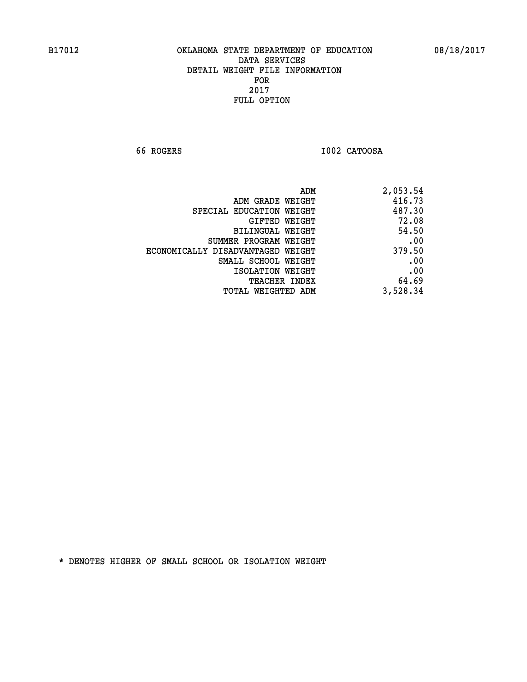**66 ROGERS I002 CATOOSA** 

| 2,053.54 |
|----------|
| 416.73   |
| 487.30   |
| 72.08    |
| 54.50    |
| .00      |
| 379.50   |
| .00      |
| .00      |
| 64.69    |
| 3,528.34 |
|          |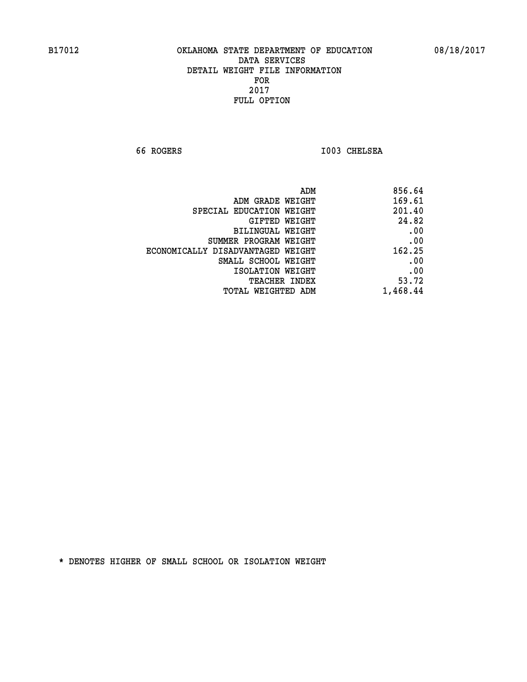**66 ROGERS I003 CHELSEA** 

| 856.64   |
|----------|
| 169.61   |
| 201.40   |
| 24.82    |
| .00      |
| .00      |
| 162.25   |
| .00      |
| .00      |
| 53.72    |
| 1,468.44 |
|          |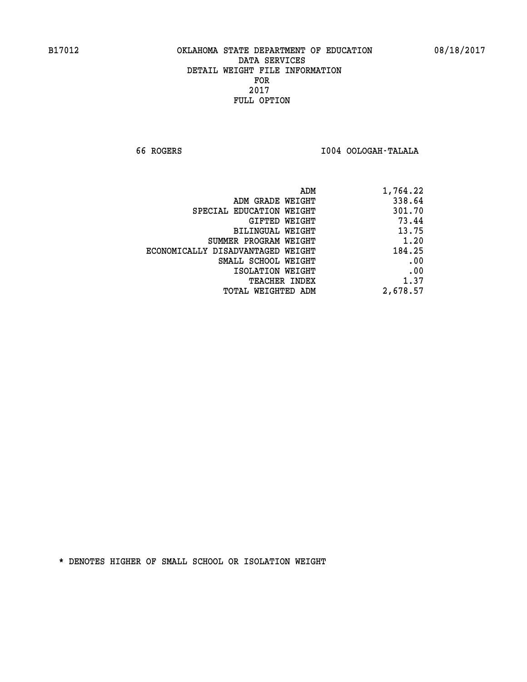**66 ROGERS I004 OOLOGAH-TALALA** 

| 1,764.22 |
|----------|
| 338.64   |
| 301.70   |
| 73.44    |
| 13.75    |
| 1.20     |
| 184.25   |
| .00      |
| .00      |
| 1.37     |
| 2,678.57 |
|          |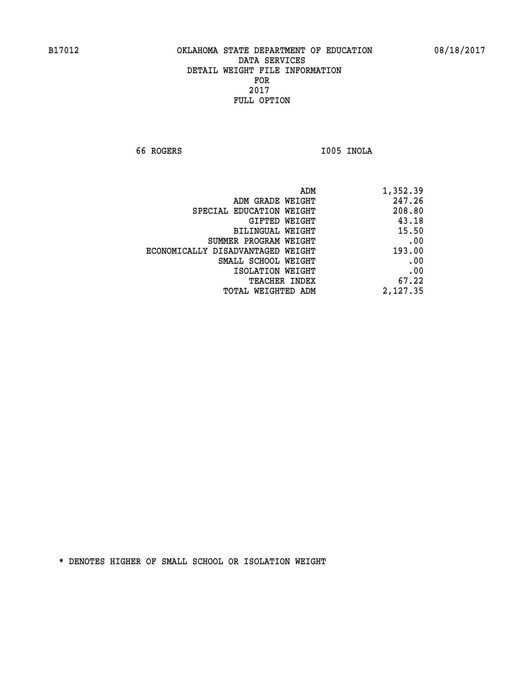**66 ROGERS I005 INOLA** 

| ADM                               | 1,352.39 |
|-----------------------------------|----------|
| ADM GRADE WEIGHT                  | 247.26   |
| SPECIAL EDUCATION WEIGHT          | 208.80   |
| <b>GIFTED WEIGHT</b>              | 43.18    |
| <b>BILINGUAL WEIGHT</b>           | 15.50    |
| SUMMER PROGRAM WEIGHT             | .00      |
| ECONOMICALLY DISADVANTAGED WEIGHT | 193.00   |
| SMALL SCHOOL WEIGHT               | .00      |
| ISOLATION WEIGHT                  | .00      |
| TEACHER INDEX                     | 67.22    |
| TOTAL WEIGHTED ADM                | 2,127.35 |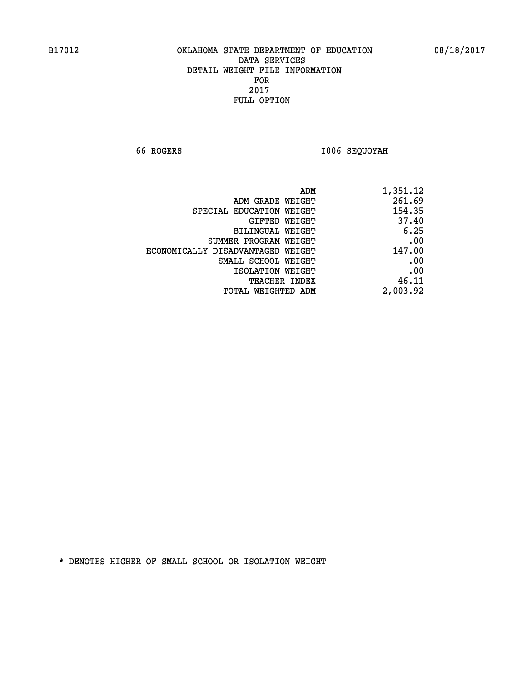**66 ROGERS I006 SEQUOYAH** 

| 1,351.12 |
|----------|
| 261.69   |
| 154.35   |
| 37.40    |
| 6.25     |
| .00      |
| 147.00   |
| .00      |
| .00      |
| 46.11    |
| 2,003.92 |
|          |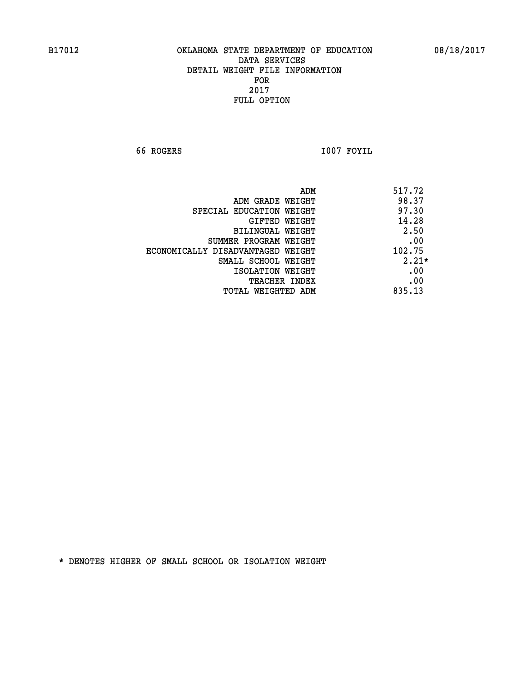**66 ROGERS I007 FOYIL** 

| ADM                               | 517.72  |
|-----------------------------------|---------|
| ADM GRADE WEIGHT                  | 98.37   |
| SPECIAL EDUCATION WEIGHT          | 97.30   |
| GIFTED WEIGHT                     | 14.28   |
| BILINGUAL WEIGHT                  | 2.50    |
| SUMMER PROGRAM WEIGHT             | .00     |
| ECONOMICALLY DISADVANTAGED WEIGHT | 102.75  |
| SMALL SCHOOL WEIGHT               | $2.21*$ |
| ISOLATION WEIGHT                  | .00     |
| <b>TEACHER INDEX</b>              | .00     |
| TOTAL WEIGHTED ADM                | 835.13  |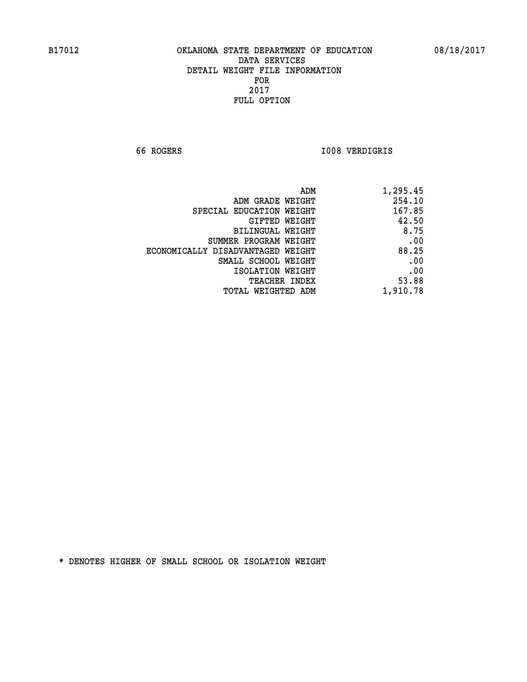**66 ROGERS I008 VERDIGRIS** 

| 254.10<br>ADM GRADE WEIGHT<br>167.85<br>SPECIAL EDUCATION WEIGHT<br>42.50<br>GIFTED WEIGHT<br>8.75<br>BILINGUAL WEIGHT<br>.00<br>SUMMER PROGRAM WEIGHT<br>88.25<br>ECONOMICALLY DISADVANTAGED WEIGHT<br>.00<br>SMALL SCHOOL WEIGHT<br>.00<br>ISOLATION WEIGHT<br>53.88<br><b>TEACHER INDEX</b><br>1,910.78<br><b>TOTAL WEIGHTED ADM</b> | ADM | 1,295.45 |
|-----------------------------------------------------------------------------------------------------------------------------------------------------------------------------------------------------------------------------------------------------------------------------------------------------------------------------------------|-----|----------|
|                                                                                                                                                                                                                                                                                                                                         |     |          |
|                                                                                                                                                                                                                                                                                                                                         |     |          |
|                                                                                                                                                                                                                                                                                                                                         |     |          |
|                                                                                                                                                                                                                                                                                                                                         |     |          |
|                                                                                                                                                                                                                                                                                                                                         |     |          |
|                                                                                                                                                                                                                                                                                                                                         |     |          |
|                                                                                                                                                                                                                                                                                                                                         |     |          |
|                                                                                                                                                                                                                                                                                                                                         |     |          |
|                                                                                                                                                                                                                                                                                                                                         |     |          |
|                                                                                                                                                                                                                                                                                                                                         |     |          |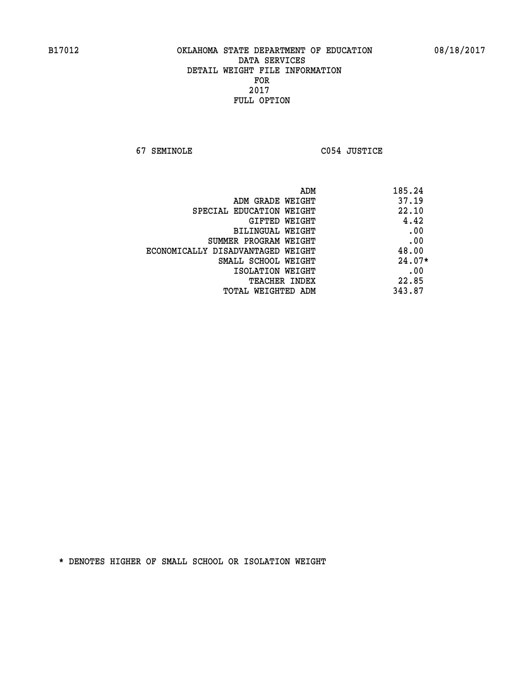**67 SEMINOLE C054 JUSTICE** 

| 185.24<br>ADM                   |                                   |
|---------------------------------|-----------------------------------|
| 37.19<br>ADM GRADE WEIGHT       |                                   |
| 22.10                           | SPECIAL EDUCATION WEIGHT          |
| 4.42<br>GIFTED WEIGHT           |                                   |
| .00<br><b>BILINGUAL WEIGHT</b>  |                                   |
| .00                             | SUMMER PROGRAM WEIGHT             |
| 48.00                           | ECONOMICALLY DISADVANTAGED WEIGHT |
| $24.07*$<br>SMALL SCHOOL WEIGHT |                                   |
| .00<br>ISOLATION WEIGHT         |                                   |
| 22.85<br><b>TEACHER INDEX</b>   |                                   |
| 343.87<br>TOTAL WEIGHTED ADM    |                                   |
|                                 |                                   |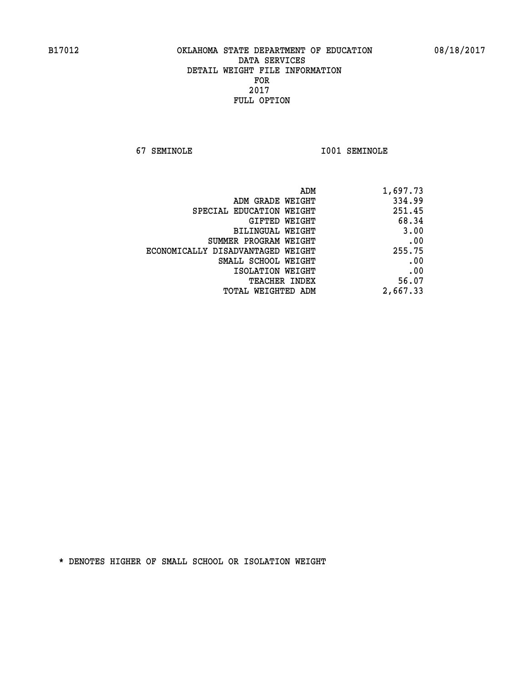**67 SEMINOLE I001 SEMINOLE** 

| 1,697.73 |
|----------|
| 334.99   |
| 251.45   |
| 68.34    |
| 3.00     |
| .00      |
| 255.75   |
| .00      |
| .00      |
| 56.07    |
| 2,667.33 |
|          |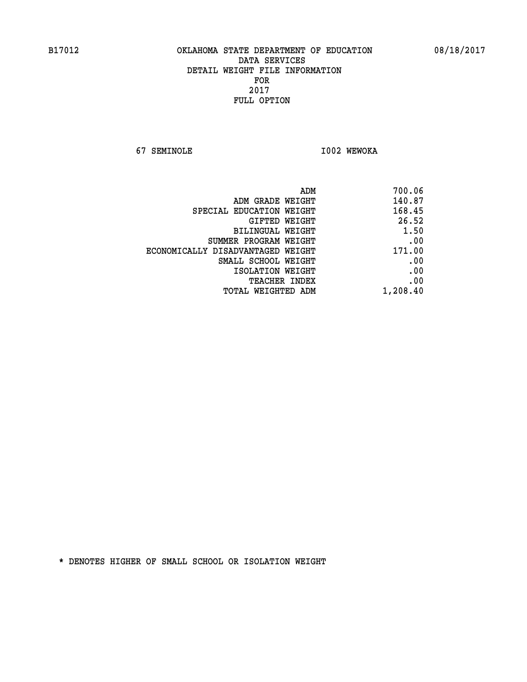**67 SEMINOLE I002 WEWOKA** 

| 700.06   |
|----------|
| 140.87   |
| 168.45   |
| 26.52    |
| 1.50     |
| .00      |
| 171.00   |
| .00      |
| .00      |
| .00      |
| 1,208.40 |
|          |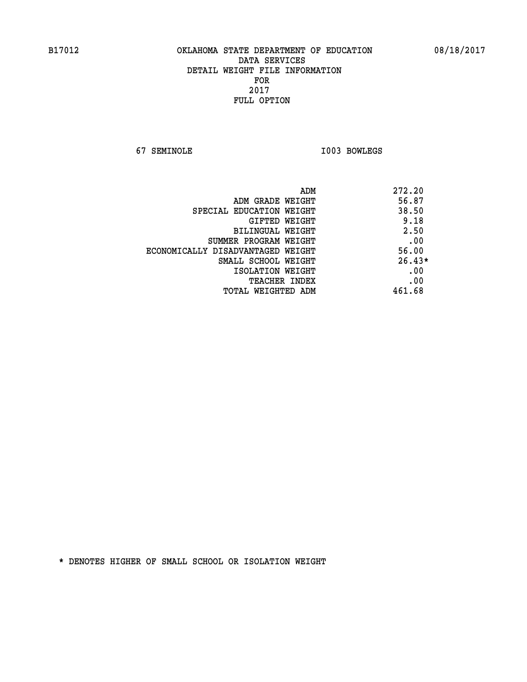**67 SEMINOLE I003 BOWLEGS** 

|                                   | 272.20<br>ADM |
|-----------------------------------|---------------|
| ADM GRADE WEIGHT                  | 56.87         |
| SPECIAL EDUCATION WEIGHT          | 38.50         |
| GIFTED WEIGHT                     | 9.18          |
| BILINGUAL WEIGHT                  | 2.50          |
| SUMMER PROGRAM WEIGHT             | .00           |
| ECONOMICALLY DISADVANTAGED WEIGHT | 56.00         |
| SMALL SCHOOL WEIGHT               | $26.43*$      |
| ISOLATION WEIGHT                  | .00           |
| <b>TEACHER INDEX</b>              | .00           |
| TOTAL WEIGHTED ADM                | 461.68        |
|                                   |               |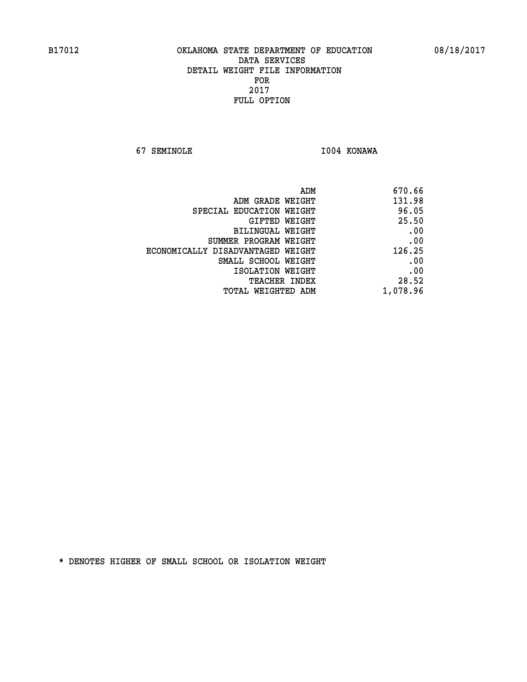**67 SEMINOLE I004 KONAWA** 

| ADM                               | 670.66   |
|-----------------------------------|----------|
| ADM GRADE WEIGHT                  | 131.98   |
| SPECIAL EDUCATION WEIGHT          | 96.05    |
| GIFTED WEIGHT                     | 25.50    |
| BILINGUAL WEIGHT                  | .00      |
| SUMMER PROGRAM WEIGHT             | .00      |
| ECONOMICALLY DISADVANTAGED WEIGHT | 126.25   |
| SMALL SCHOOL WEIGHT               | .00      |
| ISOLATION WEIGHT                  | .00      |
| <b>TEACHER INDEX</b>              | 28.52    |
| TOTAL WEIGHTED ADM                | 1,078.96 |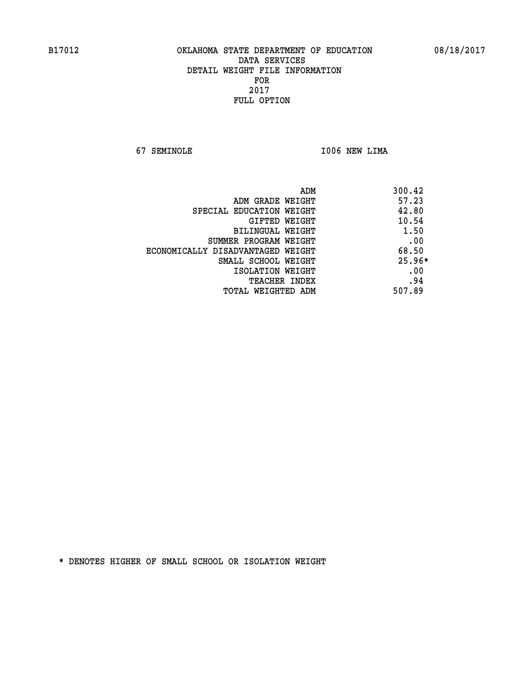**67 SEMINOLE I006 NEW LIMA** 

| ADM                               | 300.42   |
|-----------------------------------|----------|
| ADM GRADE WEIGHT                  | 57.23    |
| SPECIAL EDUCATION WEIGHT          | 42.80    |
| <b>GIFTED WEIGHT</b>              | 10.54    |
| BILINGUAL WEIGHT                  | 1.50     |
| SUMMER PROGRAM WEIGHT             | .00      |
| ECONOMICALLY DISADVANTAGED WEIGHT | 68.50    |
| SMALL SCHOOL WEIGHT               | $25.96*$ |
| ISOLATION WEIGHT                  | .00      |
| <b>TEACHER INDEX</b>              | .94      |
| TOTAL WEIGHTED ADM                | 507.89   |
|                                   |          |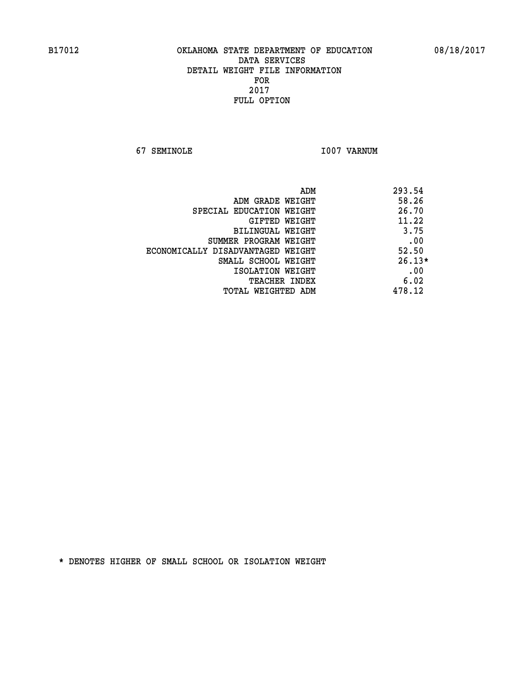**67 SEMINOLE I007 VARNUM** 

| ADM                               | 293.54   |
|-----------------------------------|----------|
| ADM GRADE WEIGHT                  | 58.26    |
| SPECIAL EDUCATION WEIGHT          | 26.70    |
| GIFTED WEIGHT                     | 11.22    |
| BILINGUAL WEIGHT                  | 3.75     |
| SUMMER PROGRAM WEIGHT             | .00      |
| ECONOMICALLY DISADVANTAGED WEIGHT | 52.50    |
| SMALL SCHOOL WEIGHT               | $26.13*$ |
| ISOLATION WEIGHT                  | .00      |
| <b>TEACHER INDEX</b>              | 6.02     |
| TOTAL WEIGHTED ADM                | 478.12   |
|                                   |          |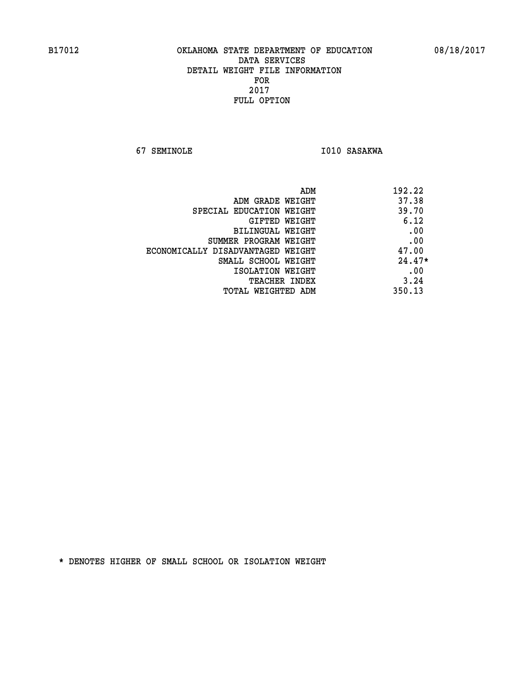**67 SEMINOLE 1010 SASAKWA** 

| ADM                               | 192.22   |
|-----------------------------------|----------|
| ADM GRADE WEIGHT                  | 37.38    |
| SPECIAL EDUCATION WEIGHT          | 39.70    |
| GIFTED WEIGHT                     | 6.12     |
| BILINGUAL WEIGHT                  | .00      |
| SUMMER PROGRAM WEIGHT             | .00      |
| ECONOMICALLY DISADVANTAGED WEIGHT | 47.00    |
| SMALL SCHOOL WEIGHT               | $24.47*$ |
| ISOLATION WEIGHT                  | .00      |
| <b>TEACHER INDEX</b>              | 3.24     |
| TOTAL WEIGHTED ADM                | 350.13   |
|                                   |          |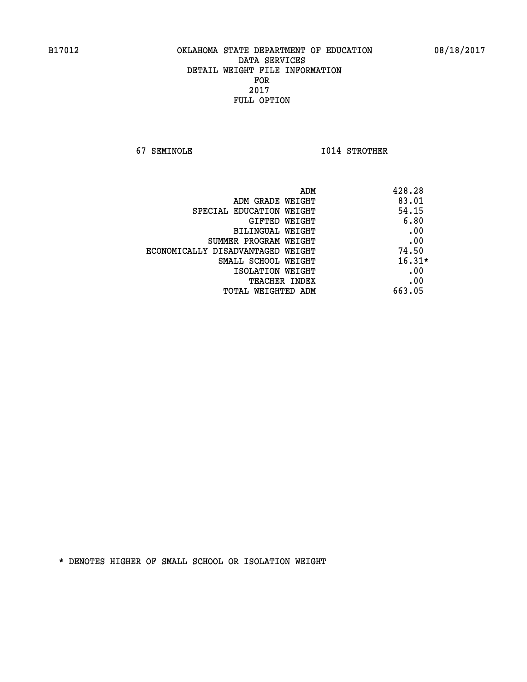**67 SEMINOLE I014 STROTHER** 

| ADM<br>428.28                              |  |
|--------------------------------------------|--|
| 83.01<br>ADM GRADE WEIGHT                  |  |
| 54.15<br>SPECIAL EDUCATION WEIGHT          |  |
| 6.80<br><b>GIFTED WEIGHT</b>               |  |
| .00<br>BILINGUAL WEIGHT                    |  |
| .00<br>SUMMER PROGRAM WEIGHT               |  |
| 74.50<br>ECONOMICALLY DISADVANTAGED WEIGHT |  |
| $16.31*$<br>SMALL SCHOOL WEIGHT            |  |
| .00<br>ISOLATION WEIGHT                    |  |
| .00<br><b>TEACHER INDEX</b>                |  |
| 663.05<br>TOTAL WEIGHTED ADM               |  |
|                                            |  |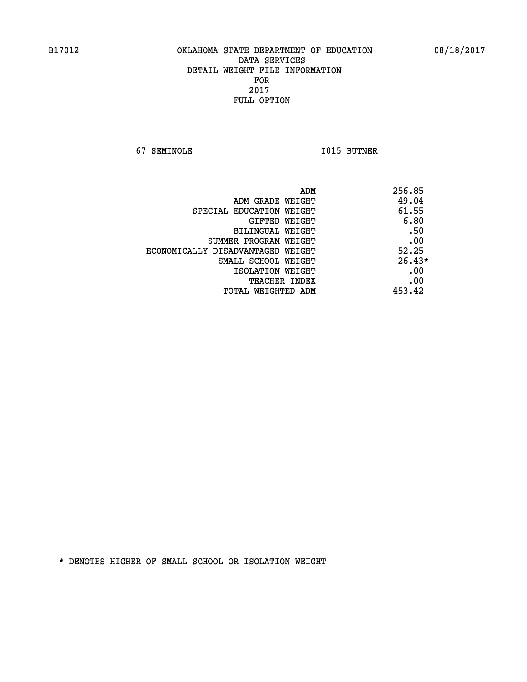**67 SEMINOLE I015 BUTNER** 

| ADM                               | 256.85   |
|-----------------------------------|----------|
| ADM GRADE WEIGHT                  | 49.04    |
| SPECIAL EDUCATION WEIGHT          | 61.55    |
| GIFTED WEIGHT                     | 6.80     |
| BILINGUAL WEIGHT                  | .50      |
| SUMMER PROGRAM WEIGHT             | .00      |
| ECONOMICALLY DISADVANTAGED WEIGHT | 52.25    |
| SMALL SCHOOL WEIGHT               | $26.43*$ |
| ISOLATION WEIGHT                  | .00      |
| <b>TEACHER INDEX</b>              | .00      |
| TOTAL WEIGHTED ADM                | 453.42   |
|                                   |          |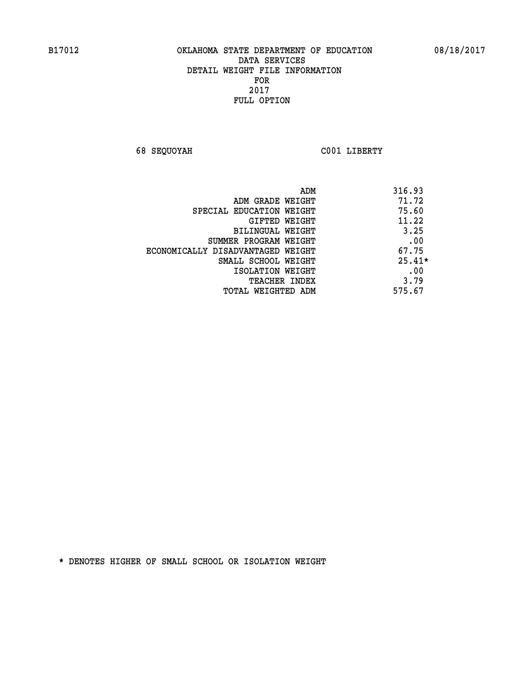**68 SEQUOYAH C001 LIBERTY** 

| ADM                               | 316.93   |
|-----------------------------------|----------|
| ADM GRADE WEIGHT                  | 71.72    |
| SPECIAL EDUCATION WEIGHT          | 75.60    |
| <b>GIFTED WEIGHT</b>              | 11.22    |
| BILINGUAL WEIGHT                  | 3.25     |
| SUMMER PROGRAM WEIGHT             | .00      |
| ECONOMICALLY DISADVANTAGED WEIGHT | 67.75    |
| SMALL SCHOOL WEIGHT               | $25.41*$ |
| ISOLATION WEIGHT                  | .00      |
| <b>TEACHER INDEX</b>              | 3.79     |
| TOTAL WEIGHTED ADM                | 575.67   |
|                                   |          |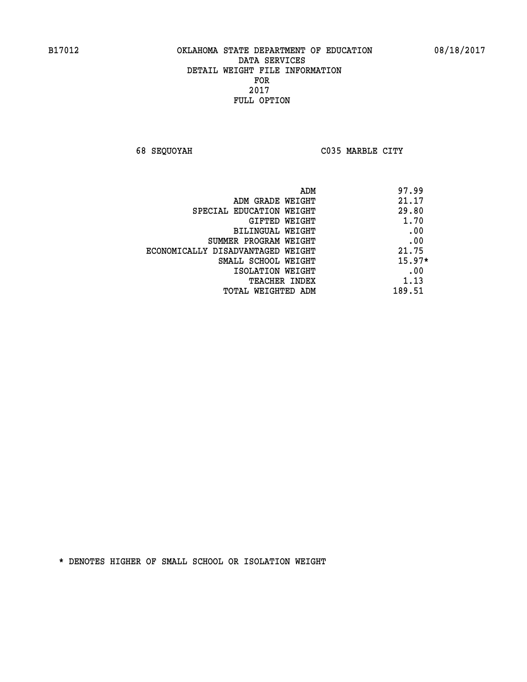**68 SEQUOYAH C035 MARBLE CITY** 

|                                   | 97.99<br>ADM |
|-----------------------------------|--------------|
| ADM GRADE WEIGHT                  | 21.17        |
| SPECIAL EDUCATION WEIGHT          | 29.80        |
| GIFTED WEIGHT                     | 1.70         |
| BILINGUAL WEIGHT                  | .00          |
| SUMMER PROGRAM WEIGHT             | .00          |
| ECONOMICALLY DISADVANTAGED WEIGHT | 21.75        |
| SMALL SCHOOL WEIGHT               | $15.97*$     |
| ISOLATION WEIGHT                  | .00          |
| <b>TEACHER INDEX</b>              | 1.13         |
| TOTAL WEIGHTED ADM                | 189.51       |
|                                   |              |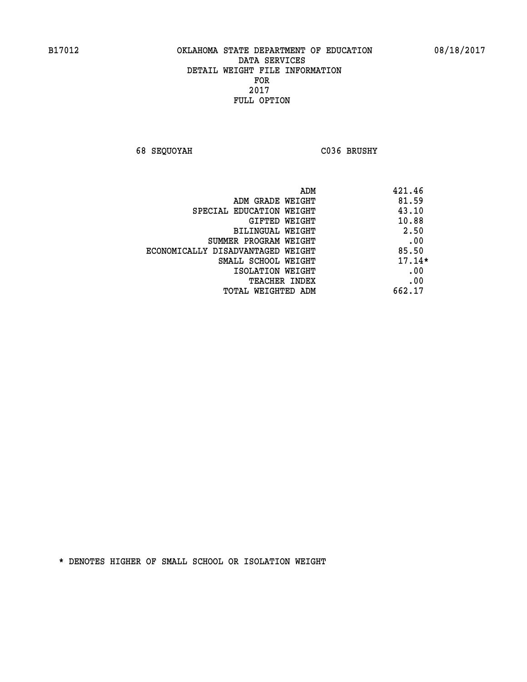**68 SEQUOYAH C036 BRUSHY** 

|                                   | 421.46<br>ADM |
|-----------------------------------|---------------|
| ADM GRADE WEIGHT                  | 81.59         |
| SPECIAL EDUCATION WEIGHT          | 43.10         |
| GIFTED WEIGHT                     | 10.88         |
| <b>BILINGUAL WEIGHT</b>           | 2.50          |
| SUMMER PROGRAM WEIGHT             | .00           |
| ECONOMICALLY DISADVANTAGED WEIGHT | 85.50         |
| SMALL SCHOOL WEIGHT               | $17.14*$      |
| ISOLATION WEIGHT                  | .00           |
| <b>TEACHER INDEX</b>              | .00           |
| TOTAL WEIGHTED ADM                | 662.17        |
|                                   |               |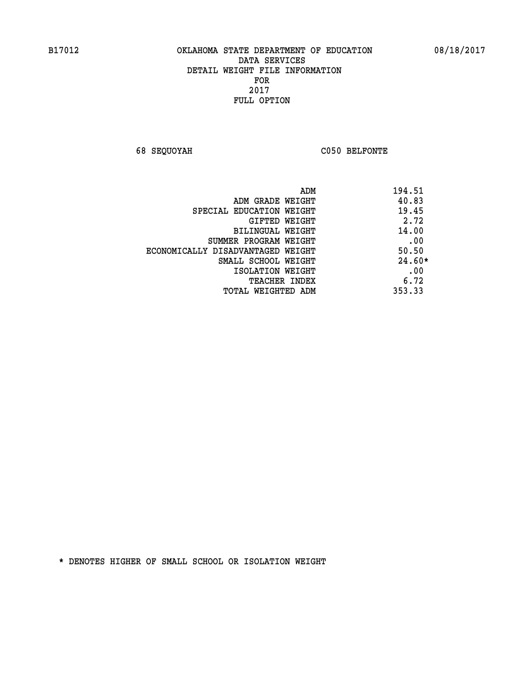**68 SEQUOYAH C050 BELFONTE** 

| 194.51<br>ADM                              |  |
|--------------------------------------------|--|
| 40.83<br>ADM GRADE WEIGHT                  |  |
| 19.45<br>SPECIAL EDUCATION WEIGHT          |  |
| 2.72<br>GIFTED WEIGHT                      |  |
| 14.00<br>BILINGUAL WEIGHT                  |  |
| .00<br>SUMMER PROGRAM WEIGHT               |  |
| 50.50<br>ECONOMICALLY DISADVANTAGED WEIGHT |  |
| $24.60*$<br>SMALL SCHOOL WEIGHT            |  |
| .00<br>ISOLATION WEIGHT                    |  |
| 6.72<br><b>TEACHER INDEX</b>               |  |
| 353.33<br>TOTAL WEIGHTED ADM               |  |
|                                            |  |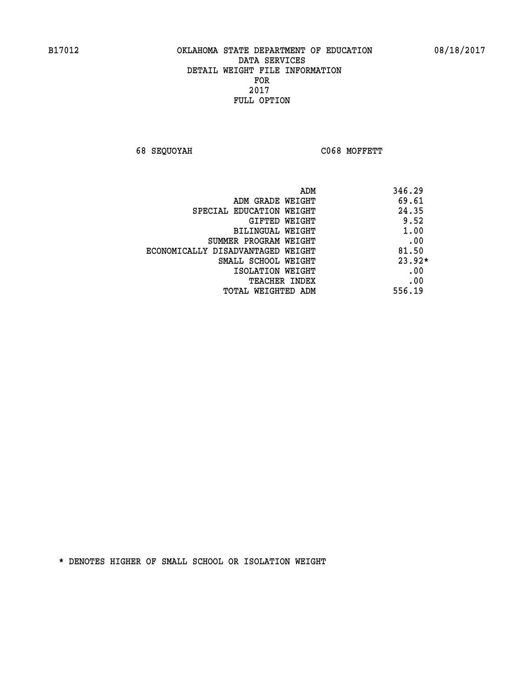**68 SEQUOYAH C068 MOFFETT** 

| ADM                               | 346.29   |
|-----------------------------------|----------|
| ADM GRADE WEIGHT                  | 69.61    |
| SPECIAL EDUCATION WEIGHT          | 24.35    |
| <b>GIFTED WEIGHT</b>              | 9.52     |
| BILINGUAL WEIGHT                  | 1.00     |
| SUMMER PROGRAM WEIGHT             | .00      |
| ECONOMICALLY DISADVANTAGED WEIGHT | 81.50    |
| SMALL SCHOOL WEIGHT               | $23.92*$ |
| ISOLATION WEIGHT                  | .00      |
| <b>TEACHER INDEX</b>              | .00      |
| TOTAL WEIGHTED ADM                | 556.19   |
|                                   |          |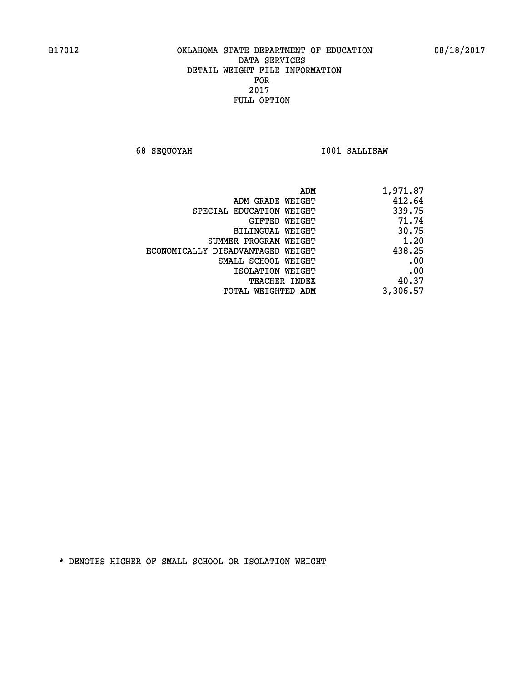**68 SEQUOYAH I001 SALLISAW** 

| 1,971.87 |
|----------|
| 412.64   |
| 339.75   |
| 71.74    |
| 30.75    |
| 1.20     |
| 438.25   |
| .00      |
| .00      |
| 40.37    |
| 3,306.57 |
|          |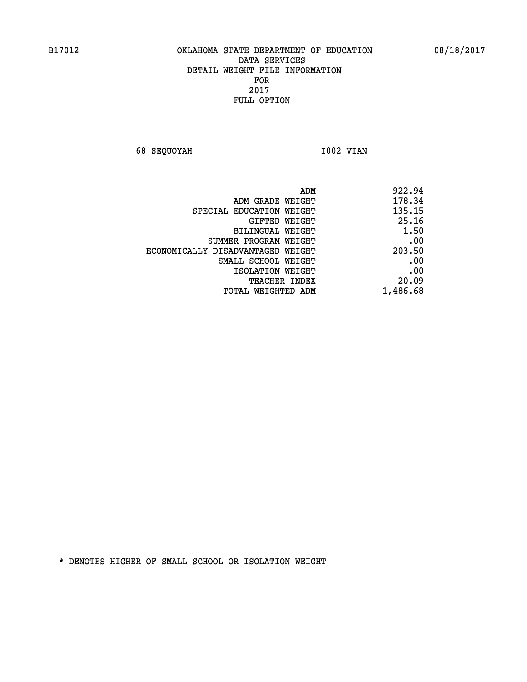**68 SEQUOYAH 1002 VIAN** 

| 922.94   |
|----------|
| 178.34   |
| 135.15   |
| 25.16    |
| 1.50     |
| .00      |
| 203.50   |
| .00      |
| .00      |
| 20.09    |
| 1,486.68 |
|          |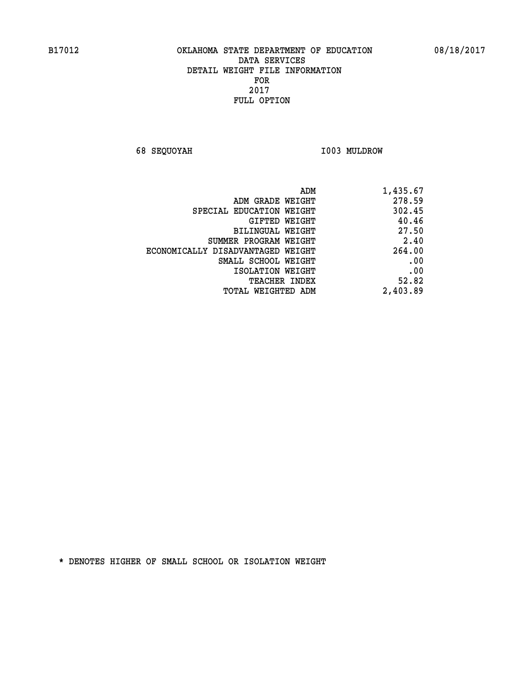**68 SEQUOYAH I003 MULDROW** 

| ADM GRADE WEIGHT<br>SPECIAL EDUCATION WEIGHT<br>GIFTED WEIGHT<br>BILINGUAL WEIGHT<br>SUMMER PROGRAM WEIGHT<br>ECONOMICALLY DISADVANTAGED WEIGHT<br>SMALL SCHOOL WEIGHT | 278.59 |
|------------------------------------------------------------------------------------------------------------------------------------------------------------------------|--------|
|                                                                                                                                                                        |        |
|                                                                                                                                                                        | 302.45 |
|                                                                                                                                                                        | 40.46  |
|                                                                                                                                                                        | 27.50  |
|                                                                                                                                                                        | 2.40   |
|                                                                                                                                                                        | 264.00 |
|                                                                                                                                                                        | .00    |
| ISOLATION WEIGHT                                                                                                                                                       | .00    |
| <b>TEACHER INDEX</b>                                                                                                                                                   | 52.82  |
| 2,403.89<br><b>TOTAL WEIGHTED ADM</b>                                                                                                                                  |        |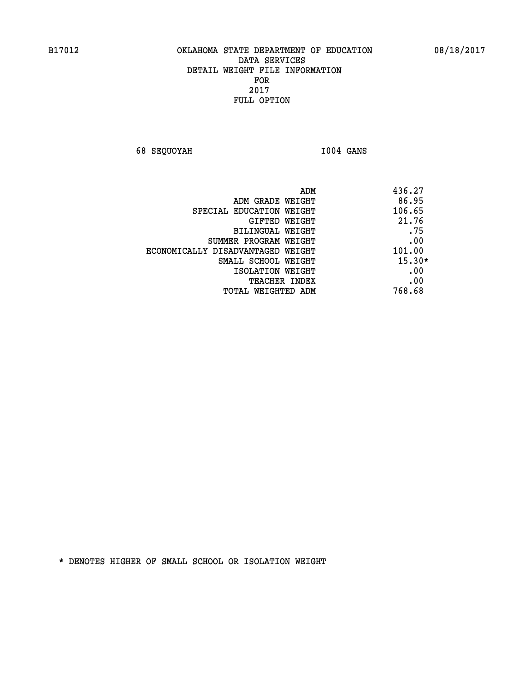**68 SEQUOYAH I004 GANS** 

| 436.27<br>ADM                               |     |
|---------------------------------------------|-----|
| 86.95<br>ADM GRADE WEIGHT                   |     |
| 106.65<br>SPECIAL EDUCATION WEIGHT          |     |
| 21.76<br>GIFTED WEIGHT                      |     |
| BILINGUAL WEIGHT                            | .75 |
| SUMMER PROGRAM WEIGHT                       | .00 |
| 101.00<br>ECONOMICALLY DISADVANTAGED WEIGHT |     |
| $15.30*$<br>SMALL SCHOOL WEIGHT             |     |
| ISOLATION WEIGHT                            | .00 |
| <b>TEACHER INDEX</b>                        | .00 |
| 768.68<br>TOTAL WEIGHTED ADM                |     |
|                                             |     |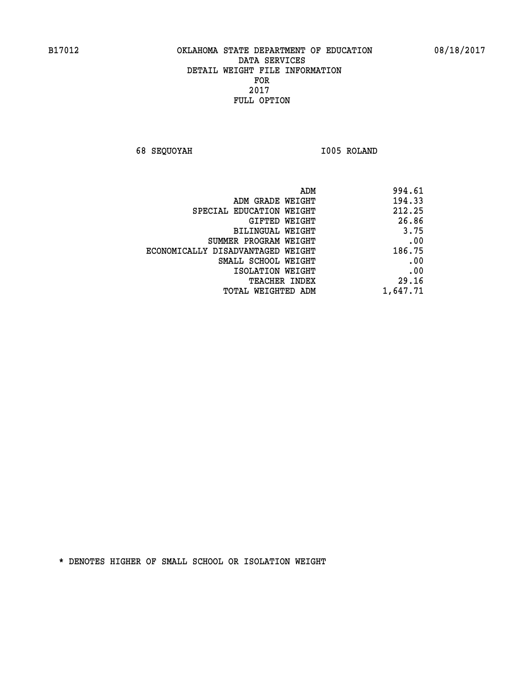**68 SEQUOYAH I005 ROLAND** 

| 994.61   |
|----------|
| 194.33   |
| 212.25   |
| 26.86    |
| 3.75     |
| .00      |
| 186.75   |
| .00      |
| .00      |
| 29.16    |
| 1,647.71 |
|          |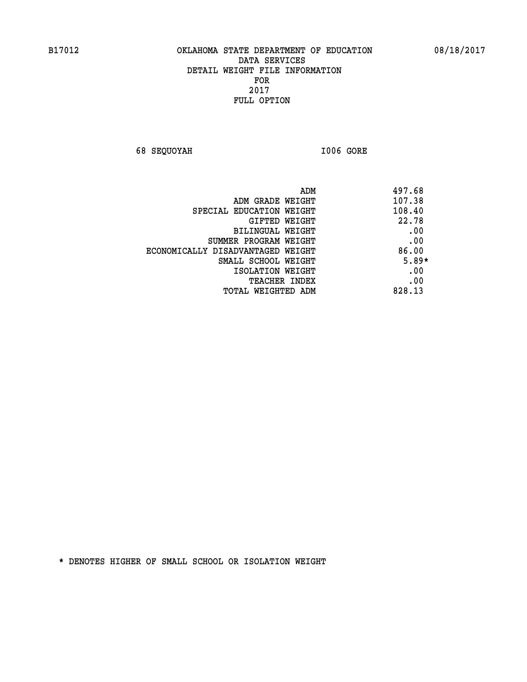**68 SEQUOYAH I006 GORE** 

| ADM                               | 497.68  |
|-----------------------------------|---------|
| ADM GRADE WEIGHT                  | 107.38  |
| SPECIAL EDUCATION WEIGHT          | 108.40  |
| GIFTED WEIGHT                     | 22.78   |
| BILINGUAL WEIGHT                  | .00     |
| SUMMER PROGRAM WEIGHT             | .00     |
| ECONOMICALLY DISADVANTAGED WEIGHT | 86.00   |
| SMALL SCHOOL WEIGHT               | $5.89*$ |
| ISOLATION WEIGHT                  | .00     |
| <b>TEACHER INDEX</b>              | .00     |
| TOTAL WEIGHTED ADM                | 828.13  |
|                                   |         |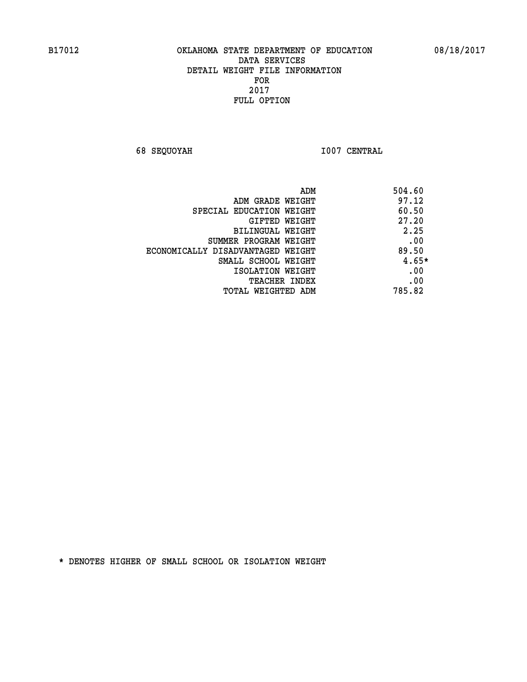**68 SEQUOYAH I007 CENTRAL** 

|                                   | ADM<br>504.60 |
|-----------------------------------|---------------|
| ADM GRADE WEIGHT                  | 97.12         |
| SPECIAL EDUCATION WEIGHT          | 60.50         |
| <b>GIFTED WEIGHT</b>              | 27.20         |
| BILINGUAL WEIGHT                  | 2.25          |
| SUMMER PROGRAM WEIGHT             | .00           |
| ECONOMICALLY DISADVANTAGED WEIGHT | 89.50         |
| SMALL SCHOOL WEIGHT               | $4.65*$       |
| ISOLATION WEIGHT                  | .00           |
| <b>TEACHER INDEX</b>              | .00           |
| TOTAL WEIGHTED ADM                | 785.82        |
|                                   |               |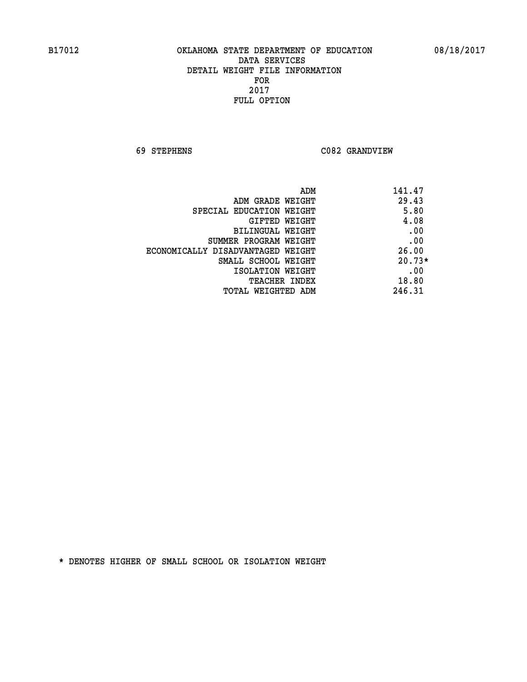**69 STEPHENS C082 GRANDVIEW** 

| 141.47   | ADM                               |
|----------|-----------------------------------|
| 29.43    | ADM GRADE WEIGHT                  |
| 5.80     | SPECIAL EDUCATION WEIGHT          |
| 4.08     | <b>GIFTED WEIGHT</b>              |
| .00      | BILINGUAL WEIGHT                  |
| .00      | SUMMER PROGRAM WEIGHT             |
| 26.00    | ECONOMICALLY DISADVANTAGED WEIGHT |
| $20.73*$ | SMALL SCHOOL WEIGHT               |
| .00      | ISOLATION WEIGHT                  |
| 18.80    | <b>TEACHER INDEX</b>              |
| 246.31   | TOTAL WEIGHTED ADM                |
|          |                                   |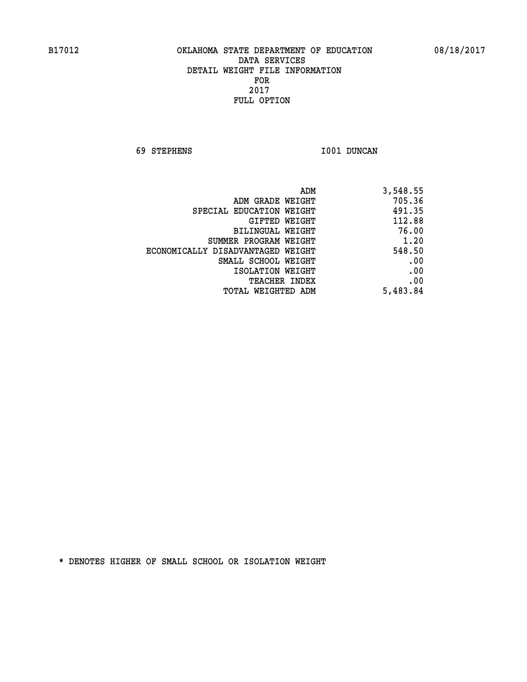**69 STEPHENS I001 DUNCAN** 

| 3,548.55 |
|----------|
| 705.36   |
| 491.35   |
| 112.88   |
| 76.00    |
| 1.20     |
| 548.50   |
| .00      |
| .00      |
| .00      |
| 5,483.84 |
|          |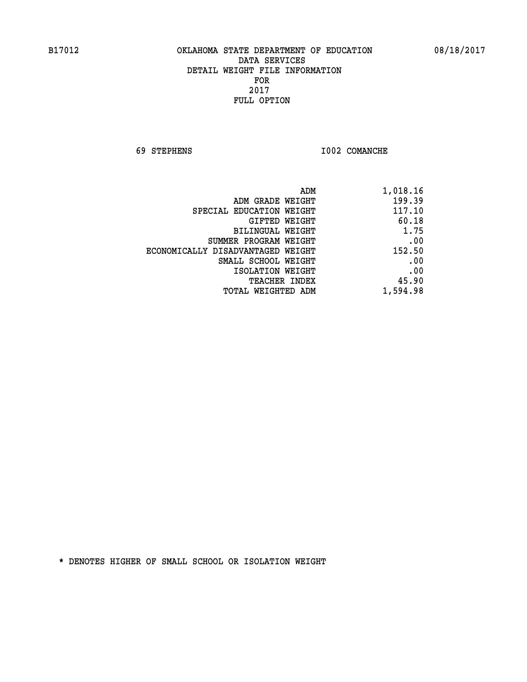**69 STEPHENS I002 COMANCHE** 

| 1,018.16 |
|----------|
| 199.39   |
| 117.10   |
| 60.18    |
| 1.75     |
| .00      |
| 152.50   |
| .00      |
| .00      |
| 45.90    |
| 1,594.98 |
|          |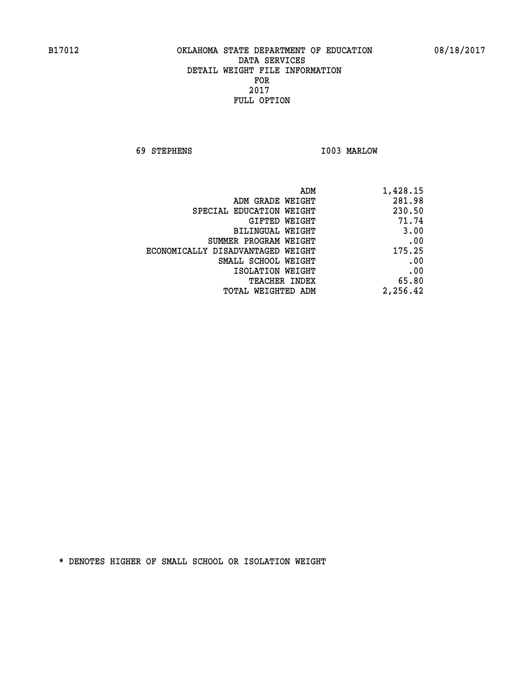**69 STEPHENS I003 MARLOW** 

| ADM                               | 1,428.15 |
|-----------------------------------|----------|
| ADM GRADE WEIGHT                  | 281.98   |
| SPECIAL EDUCATION WEIGHT          | 230.50   |
| GIFTED WEIGHT                     | 71.74    |
| <b>BILINGUAL WEIGHT</b>           | 3.00     |
| SUMMER PROGRAM WEIGHT             | .00      |
| ECONOMICALLY DISADVANTAGED WEIGHT | 175.25   |
| SMALL SCHOOL WEIGHT               | .00      |
| ISOLATION WEIGHT                  | .00      |
| <b>TEACHER INDEX</b>              | 65.80    |
| TOTAL WEIGHTED ADM                | 2,256.42 |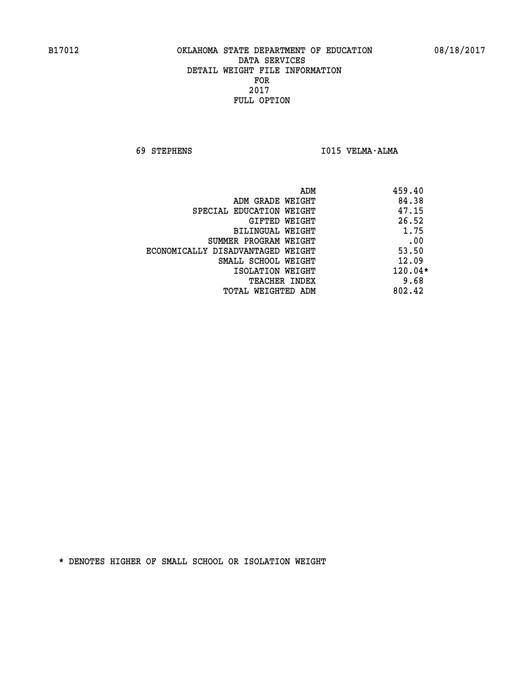**69 STEPHENS I015 VELMA-ALMA** 

| ADM                               | 459.40    |
|-----------------------------------|-----------|
| ADM GRADE WEIGHT                  | 84.38     |
| SPECIAL EDUCATION WEIGHT          | 47.15     |
| GIFTED WEIGHT                     | 26.52     |
| BILINGUAL WEIGHT                  | 1.75      |
| SUMMER PROGRAM WEIGHT             | .00       |
| ECONOMICALLY DISADVANTAGED WEIGHT | 53.50     |
| SMALL SCHOOL WEIGHT               | 12.09     |
| ISOLATION WEIGHT                  | $120.04*$ |
| <b>TEACHER INDEX</b>              | 9.68      |
| TOTAL WEIGHTED ADM                | 802.42    |
|                                   |           |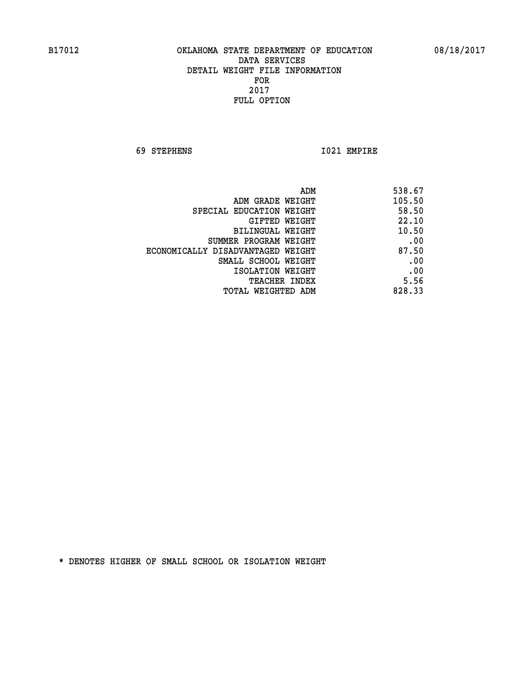**69 STEPHENS I021 EMPIRE** 

| 538.67                                     |
|--------------------------------------------|
| 105.50<br>ADM GRADE WEIGHT                 |
| 58.50<br>SPECIAL EDUCATION WEIGHT          |
| 22.10<br>GIFTED WEIGHT                     |
| 10.50<br>BILINGUAL WEIGHT                  |
| .00<br>SUMMER PROGRAM WEIGHT               |
| 87.50<br>ECONOMICALLY DISADVANTAGED WEIGHT |
| .00<br>SMALL SCHOOL WEIGHT                 |
| .00<br>ISOLATION WEIGHT                    |
| 5.56<br>TEACHER INDEX                      |
| 828.33<br>TOTAL WEIGHTED ADM               |
| ADM                                        |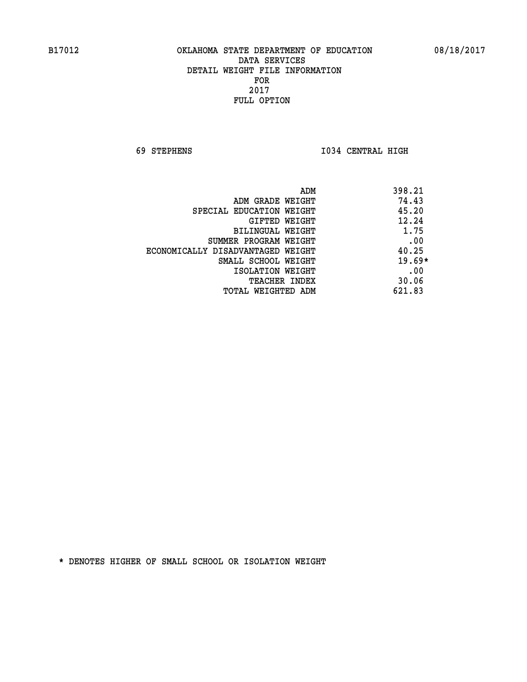**69 STEPHENS I034 CENTRAL HIGH** 

| ADM                               | 398.21   |
|-----------------------------------|----------|
| ADM GRADE WEIGHT                  | 74.43    |
| SPECIAL EDUCATION WEIGHT          | 45.20    |
| <b>GIFTED WEIGHT</b>              | 12.24    |
| BILINGUAL WEIGHT                  | 1.75     |
| SUMMER PROGRAM WEIGHT             | .00      |
| ECONOMICALLY DISADVANTAGED WEIGHT | 40.25    |
| SMALL SCHOOL WEIGHT               | $19.69*$ |
| ISOLATION WEIGHT                  | .00      |
| <b>TEACHER INDEX</b>              | 30.06    |
| TOTAL WEIGHTED ADM                | 621.83   |
|                                   |          |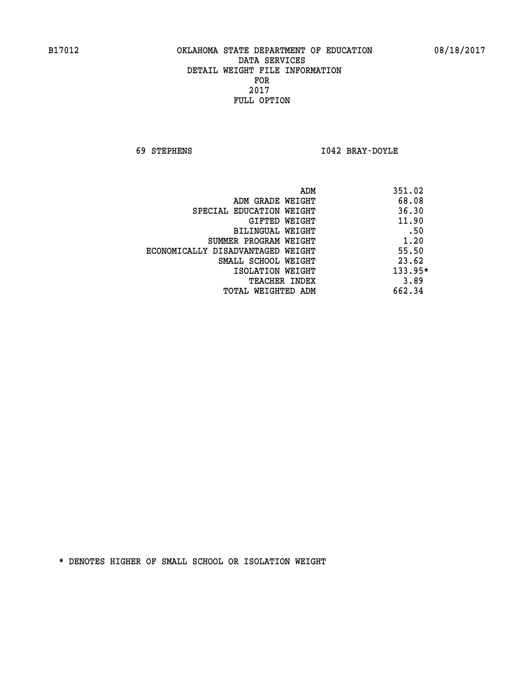**69 STEPHENS I042 BRAY-DOYLE** 

|                                   | 351.02<br>ADM |
|-----------------------------------|---------------|
| ADM GRADE WEIGHT                  | 68.08         |
| SPECIAL EDUCATION WEIGHT          | 36.30         |
| GIFTED WEIGHT                     | 11.90         |
| <b>BILINGUAL WEIGHT</b>           | .50           |
| SUMMER PROGRAM WEIGHT             | 1.20          |
| ECONOMICALLY DISADVANTAGED WEIGHT | 55.50         |
| SMALL SCHOOL WEIGHT               | 23.62         |
| ISOLATION WEIGHT                  | $133.95*$     |
| <b>TEACHER INDEX</b>              | 3.89          |
| TOTAL WEIGHTED ADM                | 662.34        |
|                                   |               |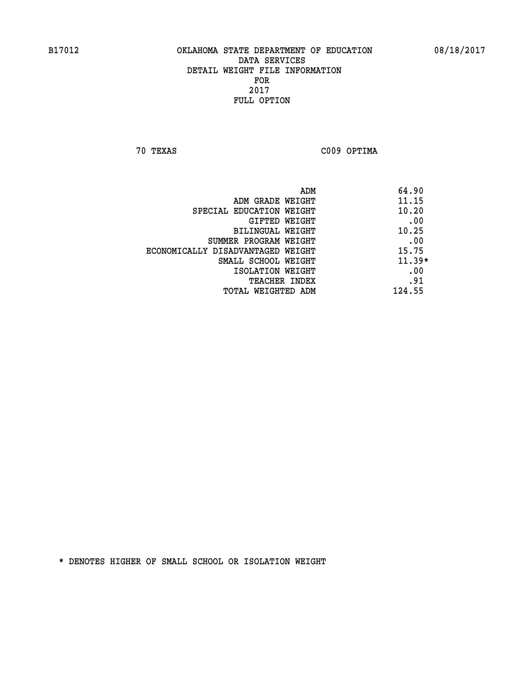**70 TEXAS C009 OPTIMA** 

| ADM                               | 64.90    |
|-----------------------------------|----------|
| ADM GRADE WEIGHT                  | 11.15    |
| SPECIAL EDUCATION WEIGHT          | 10.20    |
| GIFTED WEIGHT                     | .00      |
| BILINGUAL WEIGHT                  | 10.25    |
| SUMMER PROGRAM WEIGHT             | .00      |
| ECONOMICALLY DISADVANTAGED WEIGHT | 15.75    |
| SMALL SCHOOL WEIGHT               | $11.39*$ |
| ISOLATION WEIGHT                  | .00      |
| <b>TEACHER INDEX</b>              | .91      |
| TOTAL WEIGHTED ADM                | 124.55   |
|                                   |          |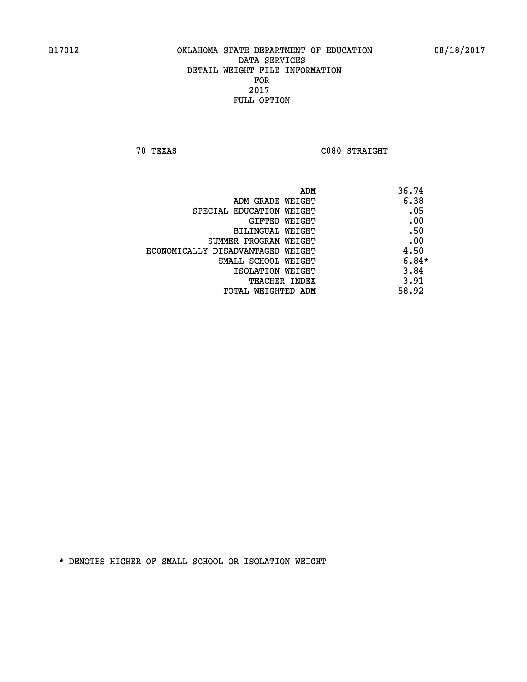**70 TEXAS C080 STRAIGHT** 

| ADM                               | 36.74   |
|-----------------------------------|---------|
| ADM GRADE WEIGHT                  | 6.38    |
| SPECIAL EDUCATION WEIGHT          | .05     |
| GIFTED WEIGHT                     | .00     |
| <b>BILINGUAL WEIGHT</b>           | .50     |
| SUMMER PROGRAM WEIGHT             | .00     |
| ECONOMICALLY DISADVANTAGED WEIGHT | 4.50    |
| SMALL SCHOOL WEIGHT               | $6.84*$ |
| ISOLATION WEIGHT                  | 3.84    |
| TEACHER INDEX                     | 3.91    |
| TOTAL WEIGHTED ADM                | 58.92   |
|                                   |         |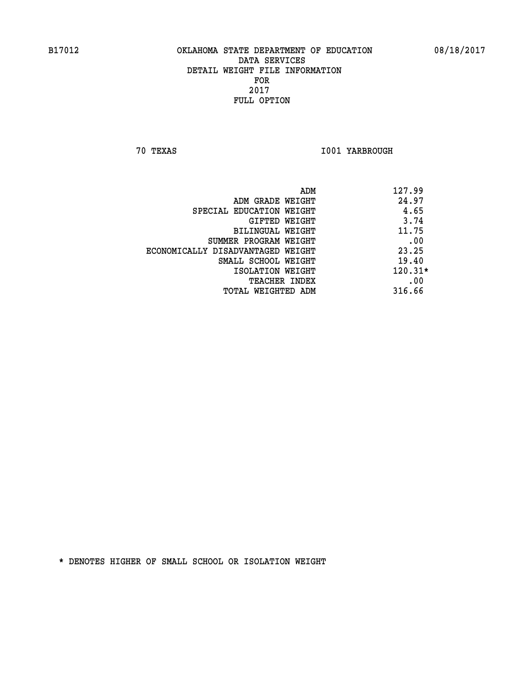**70 TEXAS I001 YARBROUGH** 

|                                   | 127.99<br>ADM |
|-----------------------------------|---------------|
| ADM GRADE WEIGHT                  | 24.97         |
| SPECIAL EDUCATION WEIGHT          | 4.65          |
| GIFTED WEIGHT                     | 3.74          |
| BILINGUAL WEIGHT                  | 11.75         |
| SUMMER PROGRAM WEIGHT             | .00           |
| ECONOMICALLY DISADVANTAGED WEIGHT | 23.25         |
| SMALL SCHOOL WEIGHT               | 19.40         |
| ISOLATION WEIGHT                  | $120.31*$     |
| <b>TEACHER INDEX</b>              | .00           |
| TOTAL WEIGHTED ADM                | 316.66        |
|                                   |               |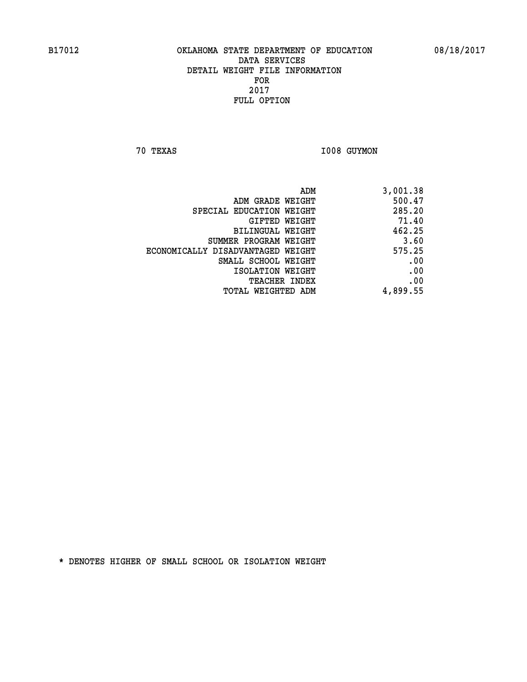**70 TEXAS I008 GUYMON** 

| ADM                               | 3,001.38 |
|-----------------------------------|----------|
| ADM GRADE WEIGHT                  | 500.47   |
| SPECIAL EDUCATION WEIGHT          | 285.20   |
| GIFTED WEIGHT                     | 71.40    |
| BILINGUAL WEIGHT                  | 462.25   |
| SUMMER PROGRAM WEIGHT             | 3.60     |
| ECONOMICALLY DISADVANTAGED WEIGHT | 575.25   |
| SMALL SCHOOL WEIGHT               | .00      |
| ISOLATION WEIGHT                  | .00      |
| <b>TEACHER INDEX</b>              | .00      |
| TOTAL WEIGHTED ADM                | 4,899.55 |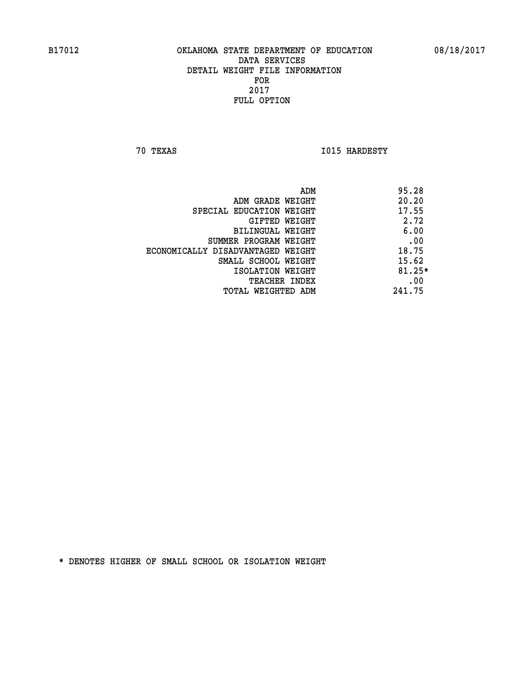**70 TEXAS I015 HARDESTY** 

|                                   | ADM | 95.28    |
|-----------------------------------|-----|----------|
| ADM GRADE WEIGHT                  |     | 20.20    |
| SPECIAL EDUCATION WEIGHT          |     | 17.55    |
| GIFTED WEIGHT                     |     | 2.72     |
| BILINGUAL WEIGHT                  |     | 6.00     |
| SUMMER PROGRAM WEIGHT             |     | .00      |
| ECONOMICALLY DISADVANTAGED WEIGHT |     | 18.75    |
| SMALL SCHOOL WEIGHT               |     | 15.62    |
| ISOLATION WEIGHT                  |     | $81.25*$ |
| TEACHER INDEX                     |     | .00      |
| TOTAL WEIGHTED ADM                |     | 241.75   |
|                                   |     |          |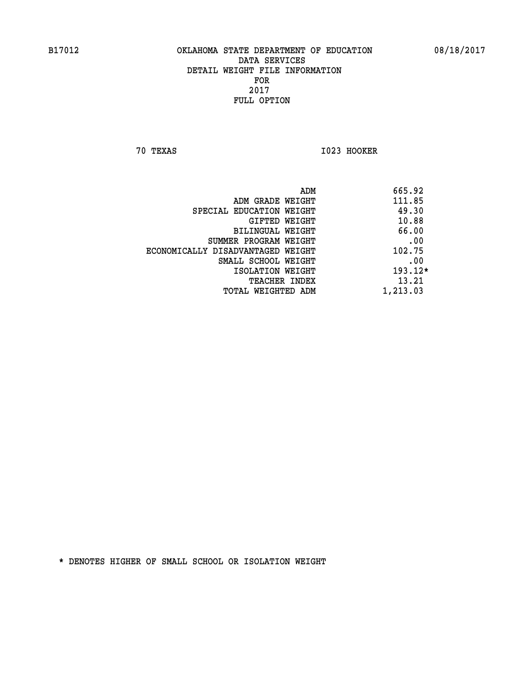**70 TEXAS I023 HOOKER** 

|                                   | ADM | 665.92    |
|-----------------------------------|-----|-----------|
| ADM GRADE WEIGHT                  |     | 111.85    |
| SPECIAL EDUCATION WEIGHT          |     | 49.30     |
| GIFTED WEIGHT                     |     | 10.88     |
| BILINGUAL WEIGHT                  |     | 66.00     |
| SUMMER PROGRAM WEIGHT             |     | .00       |
| ECONOMICALLY DISADVANTAGED WEIGHT |     | 102.75    |
| SMALL SCHOOL WEIGHT               |     | .00       |
| ISOLATION WEIGHT                  |     | $193.12*$ |
| TEACHER INDEX                     |     | 13.21     |
| TOTAL WEIGHTED ADM                |     | 1,213.03  |
|                                   |     |           |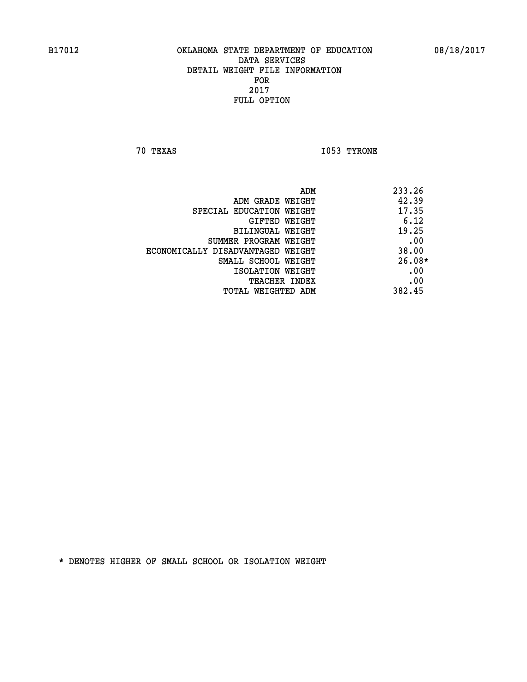**70 TEXAS I053 TYRONE** 

|                                   | 233.26<br>ADM |  |
|-----------------------------------|---------------|--|
| ADM GRADE WEIGHT                  | 42.39         |  |
| SPECIAL EDUCATION WEIGHT          | 17.35         |  |
| GIFTED WEIGHT                     | 6.12          |  |
| BILINGUAL WEIGHT                  | 19.25         |  |
| SUMMER PROGRAM WEIGHT             | .00           |  |
| ECONOMICALLY DISADVANTAGED WEIGHT | 38.00         |  |
| SMALL SCHOOL WEIGHT               | $26.08*$      |  |
| ISOLATION WEIGHT                  | .00           |  |
| <b>TEACHER INDEX</b>              | .00           |  |
| TOTAL WEIGHTED ADM                | 382.45        |  |
|                                   |               |  |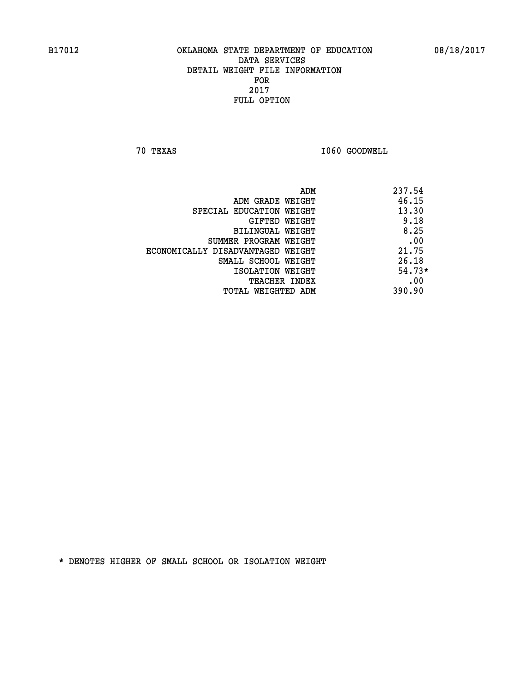**70 TEXAS I060 GOODWELL** 

|                                   | ADM | 237.54   |
|-----------------------------------|-----|----------|
| ADM GRADE WEIGHT                  |     | 46.15    |
| SPECIAL EDUCATION WEIGHT          |     | 13.30    |
| GIFTED WEIGHT                     |     | 9.18     |
| BILINGUAL WEIGHT                  |     | 8.25     |
| SUMMER PROGRAM WEIGHT             |     | .00      |
| ECONOMICALLY DISADVANTAGED WEIGHT |     | 21.75    |
| SMALL SCHOOL WEIGHT               |     | 26.18    |
| ISOLATION WEIGHT                  |     | $54.73*$ |
| <b>TEACHER INDEX</b>              |     | .00      |
| TOTAL WEIGHTED ADM                |     | 390.90   |
|                                   |     |          |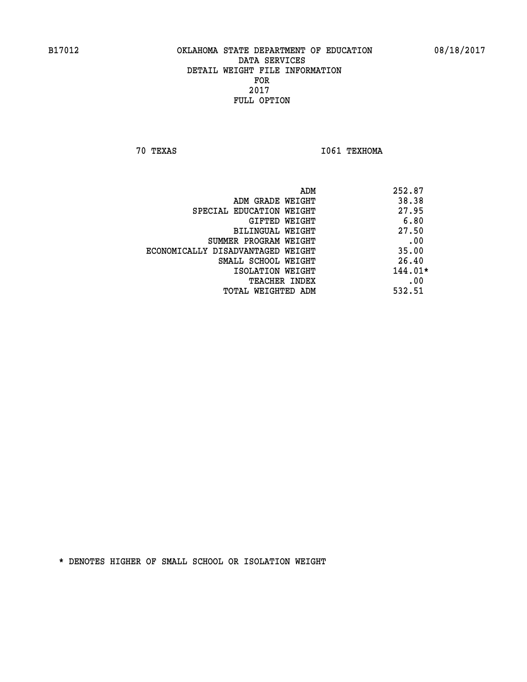**70 TEXAS I061 TEXHOMA** 

| 252.87<br>ADM                              |     |
|--------------------------------------------|-----|
| 38.38<br>ADM GRADE WEIGHT                  |     |
| 27.95<br>SPECIAL EDUCATION WEIGHT          |     |
| 6.80<br>GIFTED WEIGHT                      |     |
| 27.50<br>BILINGUAL WEIGHT                  |     |
| SUMMER PROGRAM WEIGHT                      | .00 |
| 35.00<br>ECONOMICALLY DISADVANTAGED WEIGHT |     |
| 26.40<br>SMALL SCHOOL WEIGHT               |     |
| $144.01*$<br>ISOLATION WEIGHT              |     |
| TEACHER INDEX                              | .00 |
| 532.51<br>TOTAL WEIGHTED ADM               |     |
|                                            |     |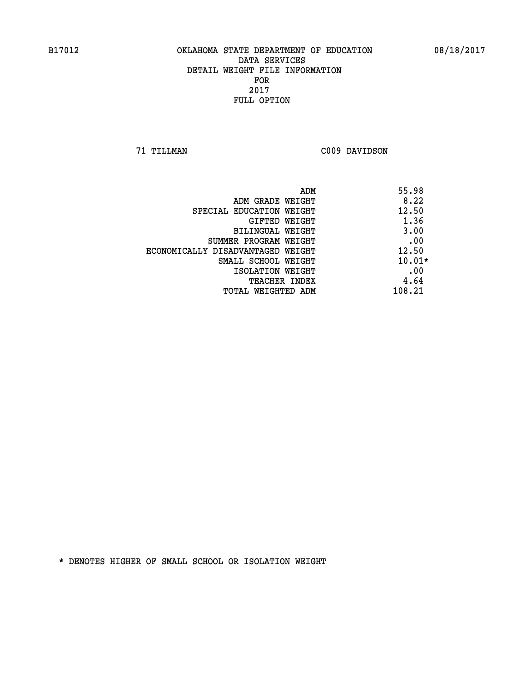**71 TILLMAN C009 DAVIDSON** 

| ADM                               | 55.98    |
|-----------------------------------|----------|
| ADM GRADE WEIGHT                  | 8.22     |
| SPECIAL EDUCATION WEIGHT          | 12.50    |
| GIFTED WEIGHT                     | 1.36     |
| BILINGUAL WEIGHT                  | 3.00     |
| SUMMER PROGRAM WEIGHT             | .00      |
| ECONOMICALLY DISADVANTAGED WEIGHT | 12.50    |
| SMALL SCHOOL WEIGHT               | $10.01*$ |
| ISOLATION WEIGHT                  | .00      |
| TEACHER INDEX                     | 4.64     |
| TOTAL WEIGHTED ADM                | 108.21   |
|                                   |          |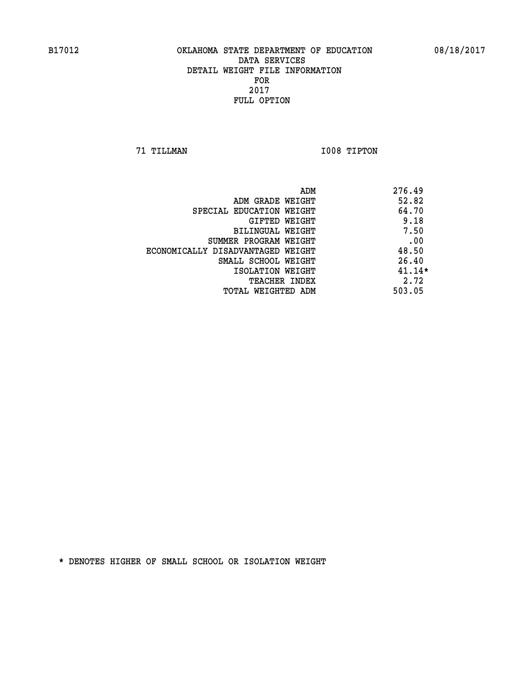**71 TILLMAN I008 TIPTON** 

| ADM                               | 276.49   |
|-----------------------------------|----------|
| ADM GRADE WEIGHT                  | 52.82    |
| SPECIAL EDUCATION WEIGHT          | 64.70    |
| GIFTED WEIGHT                     | 9.18     |
| BILINGUAL WEIGHT                  | 7.50     |
| SUMMER PROGRAM WEIGHT             | .00      |
| ECONOMICALLY DISADVANTAGED WEIGHT | 48.50    |
| SMALL SCHOOL WEIGHT               | 26.40    |
| ISOLATION WEIGHT                  | $41.14*$ |
| <b>TEACHER INDEX</b>              | 2.72     |
| TOTAL WEIGHTED ADM                | 503.05   |
|                                   |          |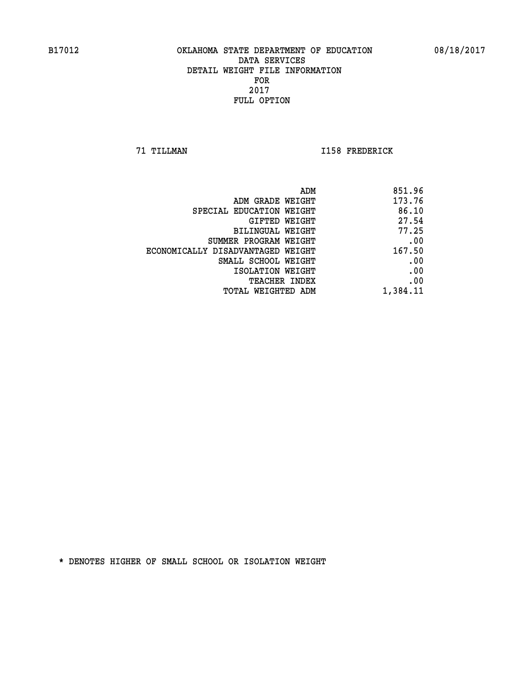**71 TILLMAN I158 FREDERICK** 

| 851.96   |
|----------|
| 173.76   |
| 86.10    |
| 27.54    |
| 77.25    |
| .00      |
| 167.50   |
| .00      |
| .00      |
| .00      |
| 1,384.11 |
|          |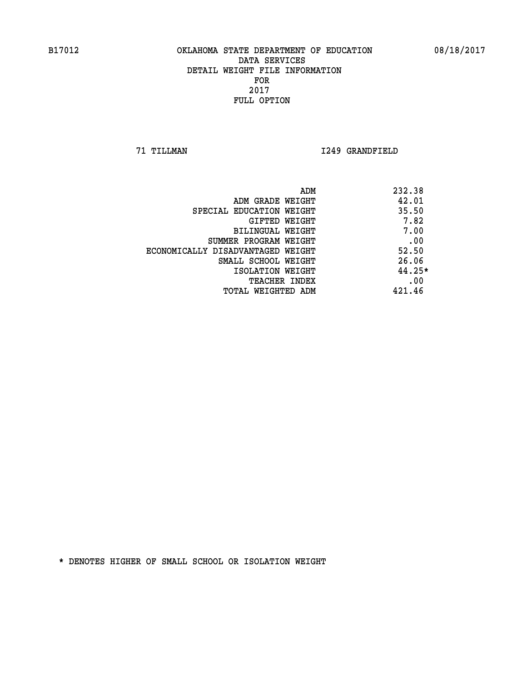**71 TILLMAN I249 GRANDFIELD** 

| ADM                               | 232.38   |
|-----------------------------------|----------|
| ADM GRADE WEIGHT                  | 42.01    |
| SPECIAL EDUCATION WEIGHT          | 35.50    |
| GIFTED WEIGHT                     | 7.82     |
| BILINGUAL WEIGHT                  | 7.00     |
| SUMMER PROGRAM WEIGHT             | .00      |
| ECONOMICALLY DISADVANTAGED WEIGHT | 52.50    |
| SMALL SCHOOL WEIGHT               | 26.06    |
| ISOLATION WEIGHT                  | $44.25*$ |
| <b>TEACHER INDEX</b>              | .00      |
| TOTAL WEIGHTED ADM                | 421.46   |
|                                   |          |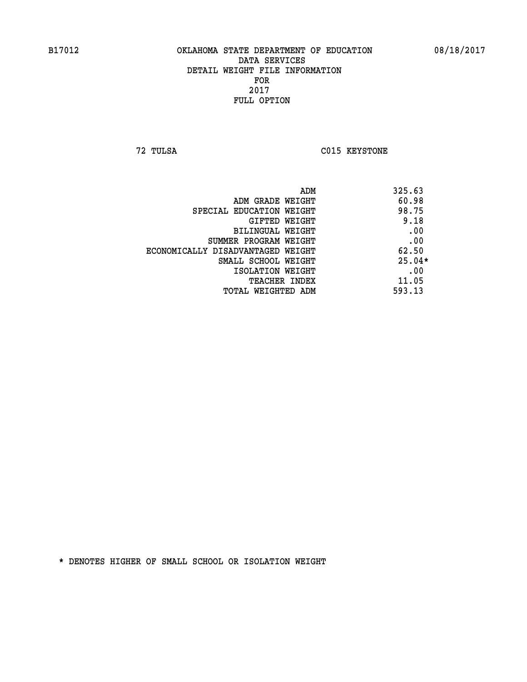**72 TULSA C015 KEYSTONE** 

| ADM                               | 325.63   |
|-----------------------------------|----------|
| ADM GRADE WEIGHT                  | 60.98    |
| SPECIAL EDUCATION WEIGHT          | 98.75    |
| GIFTED WEIGHT                     | 9.18     |
| BILINGUAL WEIGHT                  | .00      |
| SUMMER PROGRAM WEIGHT             | .00      |
| ECONOMICALLY DISADVANTAGED WEIGHT | 62.50    |
| SMALL SCHOOL WEIGHT               | $25.04*$ |
| ISOLATION WEIGHT                  | .00      |
| <b>TEACHER INDEX</b>              | 11.05    |
| TOTAL WEIGHTED ADM                | 593.13   |
|                                   |          |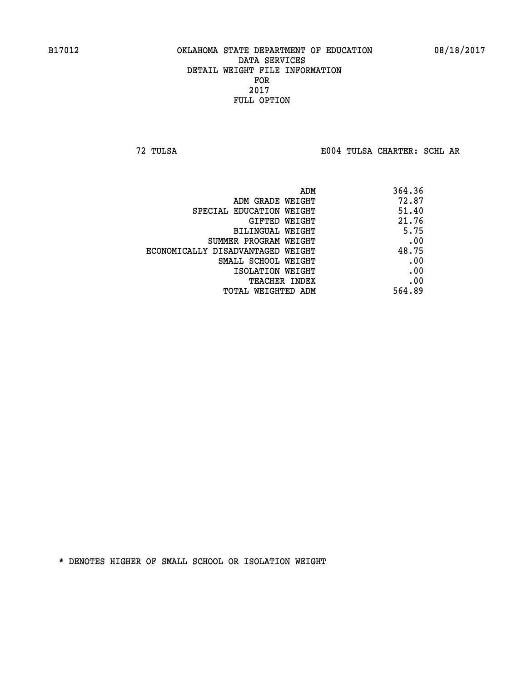**72 TULSA E004 TULSA CHARTER: SCHL AR**

|                                   | 364.36<br>ADM |
|-----------------------------------|---------------|
| ADM GRADE WEIGHT                  | 72.87         |
| SPECIAL EDUCATION WEIGHT          | 51.40         |
| GIFTED WEIGHT                     | 21.76         |
| BILINGUAL WEIGHT                  | 5.75          |
| SUMMER PROGRAM WEIGHT             | .00           |
| ECONOMICALLY DISADVANTAGED WEIGHT | 48.75         |
| SMALL SCHOOL WEIGHT               | .00           |
| ISOLATION WEIGHT                  | .00           |
| <b>TEACHER INDEX</b>              | .00           |
| TOTAL WEIGHTED ADM                | 564.89        |
|                                   |               |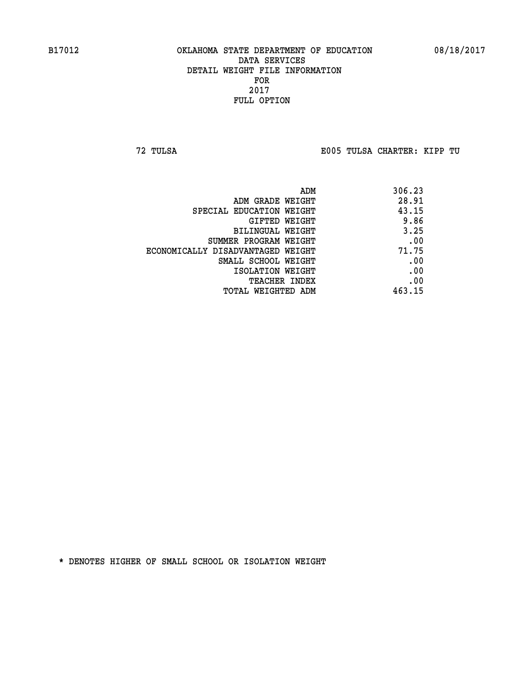**72 TULSA E005 TULSA CHARTER: KIPP TU**

| ADM                               | 306.23 |
|-----------------------------------|--------|
| ADM GRADE WEIGHT                  | 28.91  |
| SPECIAL EDUCATION WEIGHT          | 43.15  |
| GIFTED WEIGHT                     | 9.86   |
| BILINGUAL WEIGHT                  | 3.25   |
| SUMMER PROGRAM WEIGHT             | .00    |
| ECONOMICALLY DISADVANTAGED WEIGHT | 71.75  |
| SMALL SCHOOL WEIGHT               | .00    |
| ISOLATION WEIGHT                  | .00    |
| <b>TEACHER INDEX</b>              | .00    |
| TOTAL WEIGHTED ADM                | 463.15 |
|                                   |        |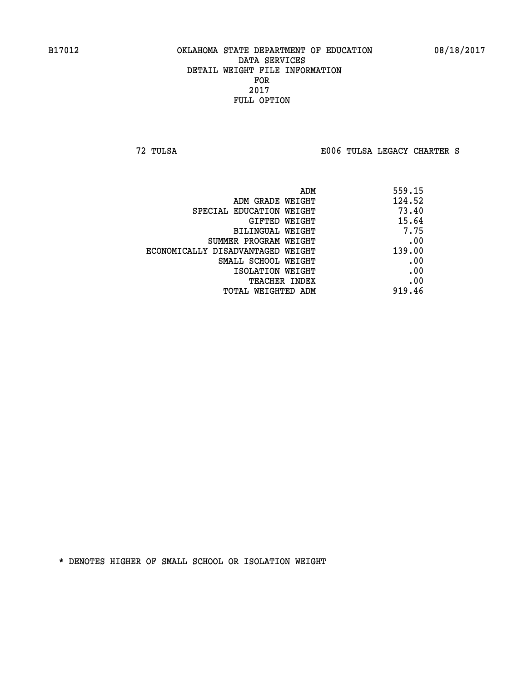**72 TULSA E006 TULSA LEGACY CHARTER S**

|                                   | 559.15<br>ADM |  |
|-----------------------------------|---------------|--|
| ADM GRADE WEIGHT                  | 124.52        |  |
| SPECIAL EDUCATION WEIGHT          | 73.40         |  |
| GIFTED WEIGHT                     | 15.64         |  |
| BILINGUAL WEIGHT                  | 7.75          |  |
| SUMMER PROGRAM WEIGHT             | .00           |  |
| ECONOMICALLY DISADVANTAGED WEIGHT | 139.00        |  |
| SMALL SCHOOL WEIGHT               | .00           |  |
| ISOLATION WEIGHT                  | .00           |  |
| TEACHER INDEX                     | .00           |  |
| TOTAL WEIGHTED ADM                | 919.46        |  |
|                                   |               |  |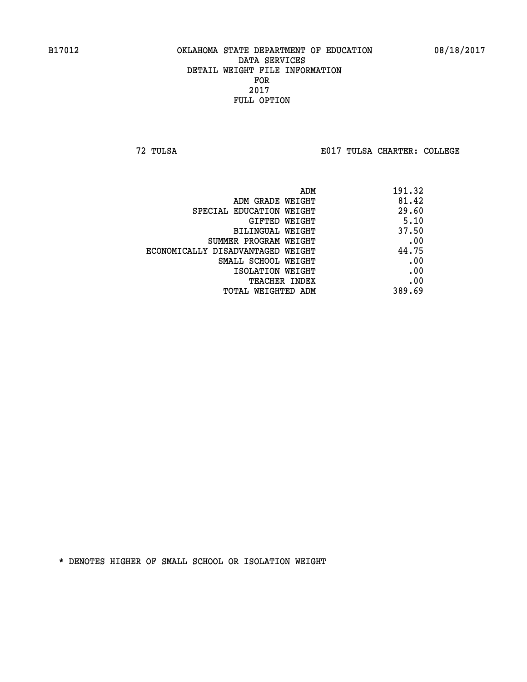**72 TULSA E017 TULSA CHARTER: COLLEGE**

| 191.32 |
|--------|
| 81.42  |
| 29.60  |
| 5.10   |
| 37.50  |
| .00    |
| 44.75  |
| .00    |
| .00    |
| .00    |
| 389.69 |
|        |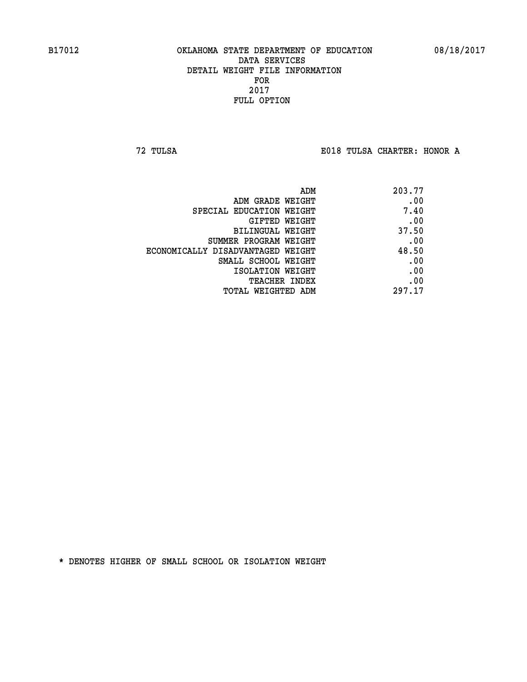**72 TULSA E018 TULSA CHARTER: HONOR A**

| ADM                               | 203.77 |
|-----------------------------------|--------|
| ADM GRADE WEIGHT                  | .00    |
| SPECIAL EDUCATION WEIGHT          | 7.40   |
| GIFTED WEIGHT                     | .00    |
| BILINGUAL WEIGHT                  | 37.50  |
| SUMMER PROGRAM WEIGHT             | .00    |
| ECONOMICALLY DISADVANTAGED WEIGHT | 48.50  |
| SMALL SCHOOL WEIGHT               | .00    |
| ISOLATION WEIGHT                  | .00    |
| TEACHER INDEX                     | .00    |
| TOTAL WEIGHTED ADM                | 297.17 |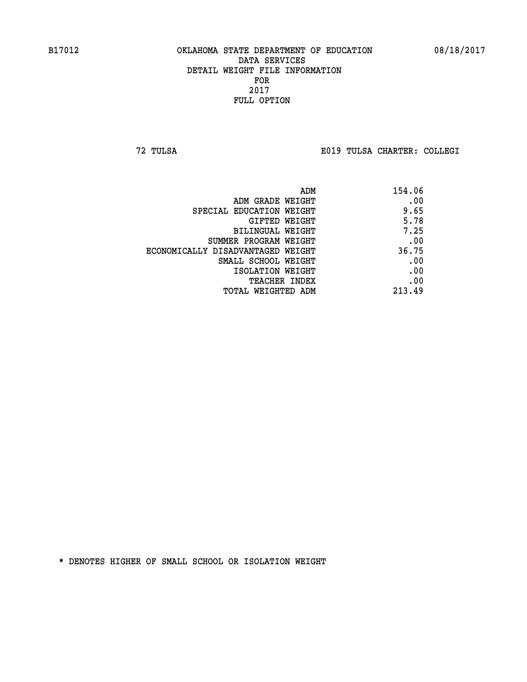**72 TULSA E019 TULSA CHARTER: COLLEGI**

| 154.06 |
|--------|
| .00    |
| 9.65   |
| 5.78   |
| 7.25   |
| .00    |
| 36.75  |
| .00    |
| .00    |
| .00    |
| 213.49 |
|        |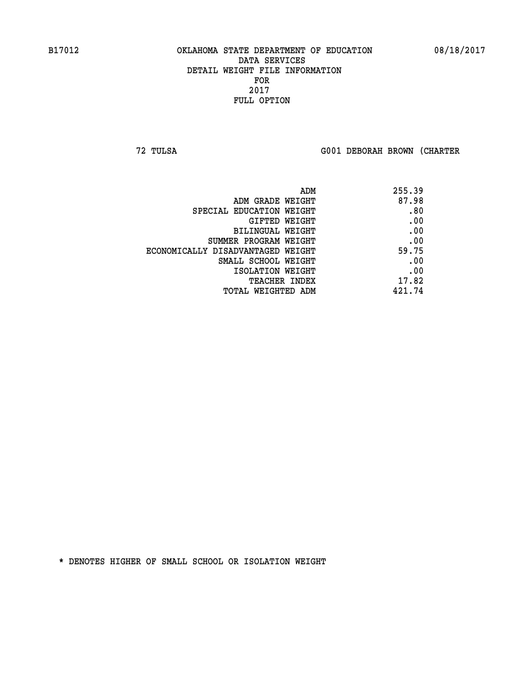**72 TULSA G001 DEBORAH BROWN (CHARTER**

| ADM                               | 255.39 |
|-----------------------------------|--------|
| ADM GRADE WEIGHT                  | 87.98  |
| SPECIAL EDUCATION WEIGHT          | .80    |
| GIFTED WEIGHT                     | .00    |
| BILINGUAL WEIGHT                  | .00    |
| SUMMER PROGRAM WEIGHT             | .00    |
| ECONOMICALLY DISADVANTAGED WEIGHT | 59.75  |
| SMALL SCHOOL WEIGHT               | .00    |
| ISOLATION WEIGHT                  | .00    |
| <b>TEACHER INDEX</b>              | 17.82  |
| TOTAL WEIGHTED ADM                | 421.74 |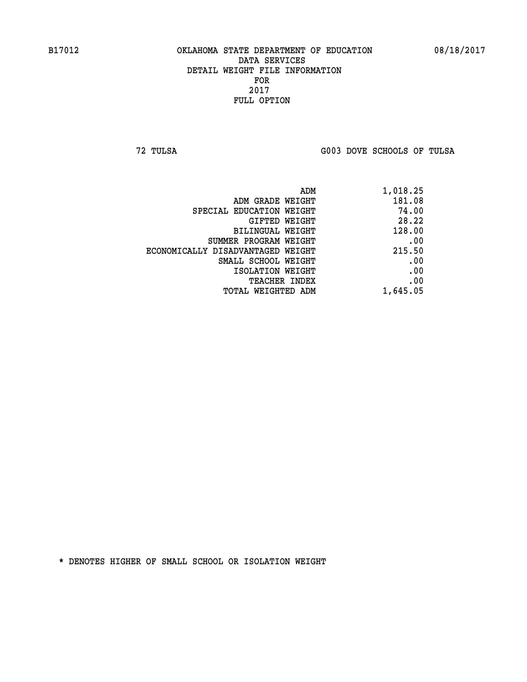**72 TULSA G003 DOVE SCHOOLS OF TULSA** 

| ADM                               | 1,018.25 |
|-----------------------------------|----------|
| ADM GRADE WEIGHT                  | 181.08   |
| SPECIAL EDUCATION WEIGHT          | 74.00    |
| GIFTED WEIGHT                     | 28.22    |
| BILINGUAL WEIGHT                  | 128.00   |
| SUMMER PROGRAM WEIGHT             | .00      |
| ECONOMICALLY DISADVANTAGED WEIGHT | 215.50   |
| SMALL SCHOOL WEIGHT               | .00      |
| ISOLATION WEIGHT                  | .00      |
| TEACHER INDEX                     | .00      |
| TOTAL WEIGHTED ADM                | 1,645.05 |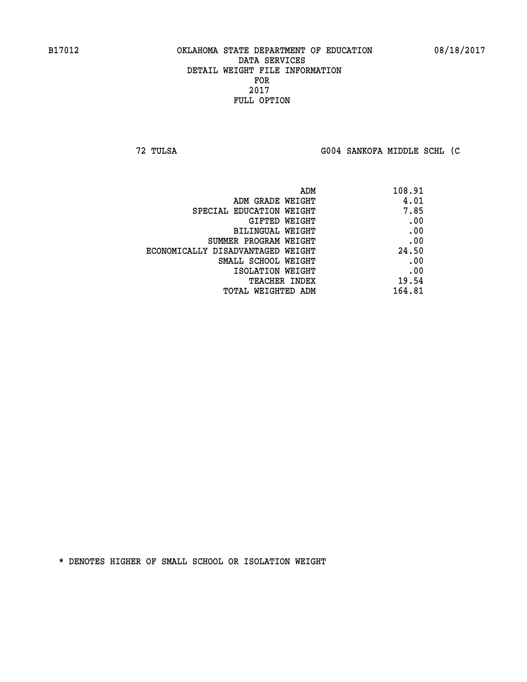**72 TULSA G004 SANKOFA MIDDLE SCHL (C**

| ADM                               | 108.91 |
|-----------------------------------|--------|
| ADM GRADE WEIGHT                  | 4.01   |
| SPECIAL EDUCATION WEIGHT          | 7.85   |
| GIFTED WEIGHT                     | .00    |
| BILINGUAL WEIGHT                  | .00    |
| SUMMER PROGRAM WEIGHT             | .00    |
| ECONOMICALLY DISADVANTAGED WEIGHT | 24.50  |
| SMALL SCHOOL WEIGHT               | .00    |
| ISOLATION WEIGHT                  | .00    |
| TEACHER INDEX                     | 19.54  |
| TOTAL WEIGHTED ADM                | 164.81 |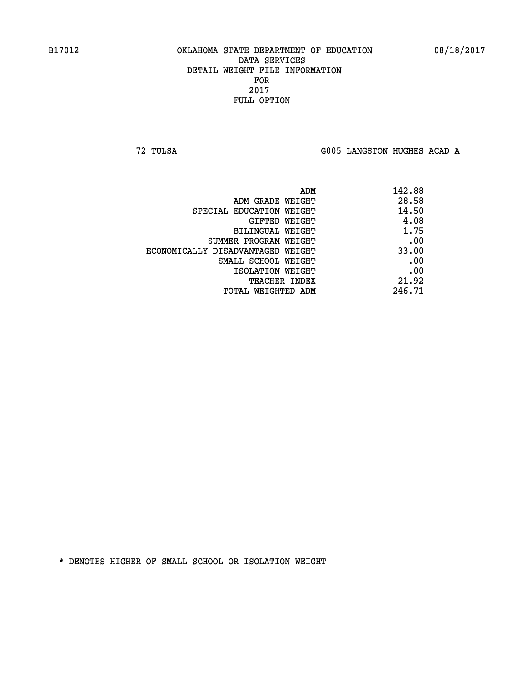**72 TULSA G005 LANGSTON HUGHES ACAD A**

| 142.88 |
|--------|
| 28.58  |
| 14.50  |
| 4.08   |
| 1.75   |
| .00    |
| 33.00  |
| .00    |
| .00    |
| 21.92  |
| 246.71 |
|        |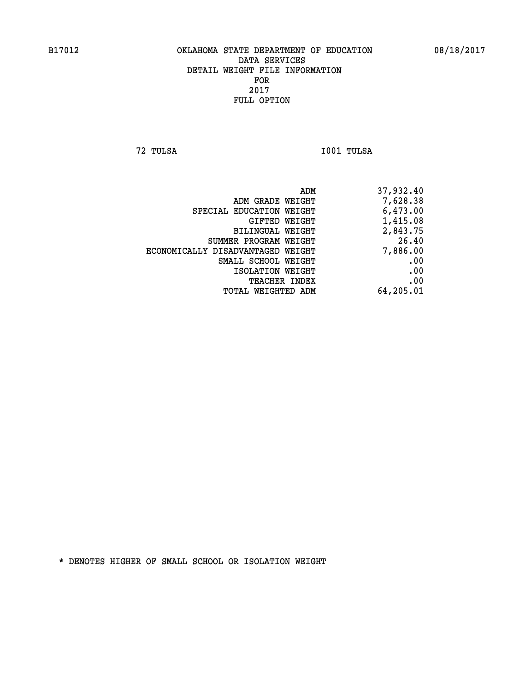**72 TULSA I001 TULSA** 

| 37,932.40 |
|-----------|
| 7,628.38  |
| 6,473.00  |
| 1,415.08  |
| 2,843.75  |
| 26.40     |
| 7,886.00  |
| .00       |
| .00       |
| .00       |
| 64,205.01 |
|           |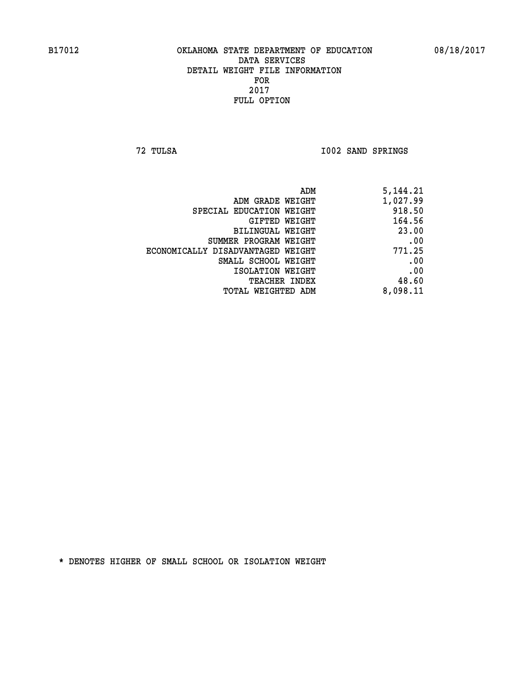**72 TULSA I002 SAND SPRINGS** 

| ADM                               | 5,144.21 |
|-----------------------------------|----------|
| ADM GRADE WEIGHT                  | 1,027.99 |
| SPECIAL EDUCATION WEIGHT          | 918.50   |
| <b>GIFTED WEIGHT</b>              | 164.56   |
| BILINGUAL WEIGHT                  | 23.00    |
| SUMMER PROGRAM WEIGHT             | .00      |
| ECONOMICALLY DISADVANTAGED WEIGHT | 771.25   |
| SMALL SCHOOL WEIGHT               | .00      |
| ISOLATION WEIGHT                  | .00      |
| <b>TEACHER INDEX</b>              | 48.60    |
| TOTAL WEIGHTED ADM                | 8,098.11 |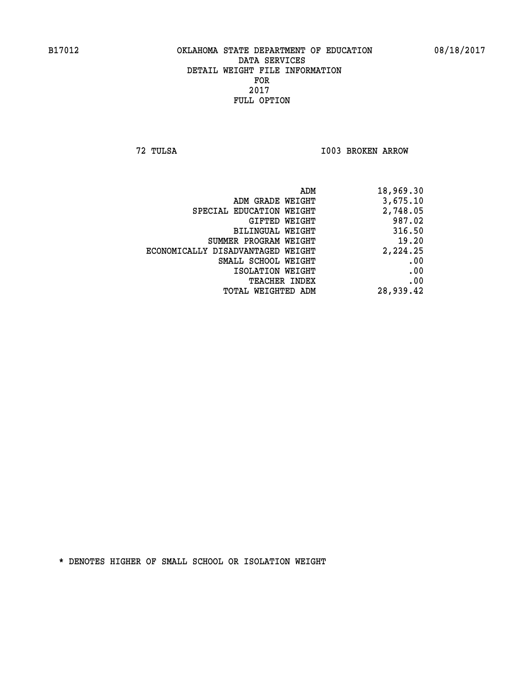**72 TULSA I003 BROKEN ARROW** 

| 18,969.30 | ADM                               |  |
|-----------|-----------------------------------|--|
| 3,675.10  | ADM GRADE WEIGHT                  |  |
| 2,748.05  | SPECIAL EDUCATION WEIGHT          |  |
| 987.02    | GIFTED WEIGHT                     |  |
| 316.50    | BILINGUAL WEIGHT                  |  |
| 19.20     | SUMMER PROGRAM WEIGHT             |  |
| 2,224.25  | ECONOMICALLY DISADVANTAGED WEIGHT |  |
| .00       | SMALL SCHOOL WEIGHT               |  |
| .00       | ISOLATION WEIGHT                  |  |
| .00       | <b>TEACHER INDEX</b>              |  |
| 28,939.42 | TOTAL WEIGHTED ADM                |  |
|           |                                   |  |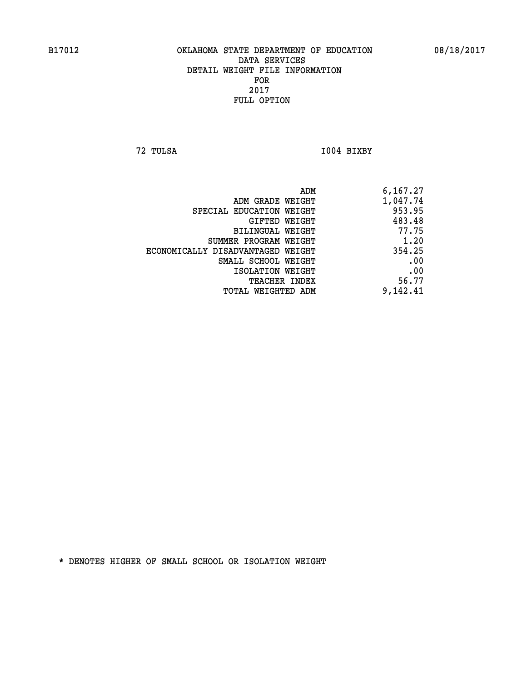**72 TULSA I004 BIXBY** 

| ADM                               | 6,167.27 |
|-----------------------------------|----------|
| ADM GRADE WEIGHT                  | 1,047.74 |
| SPECIAL EDUCATION WEIGHT          | 953.95   |
| GIFTED WEIGHT                     | 483.48   |
| BILINGUAL WEIGHT                  | 77.75    |
| SUMMER PROGRAM WEIGHT             | 1.20     |
| ECONOMICALLY DISADVANTAGED WEIGHT | 354.25   |
| SMALL SCHOOL WEIGHT               | .00      |
| ISOLATION WEIGHT                  | .00      |
| <b>TEACHER INDEX</b>              | 56.77    |
| TOTAL WEIGHTED ADM                | 9,142.41 |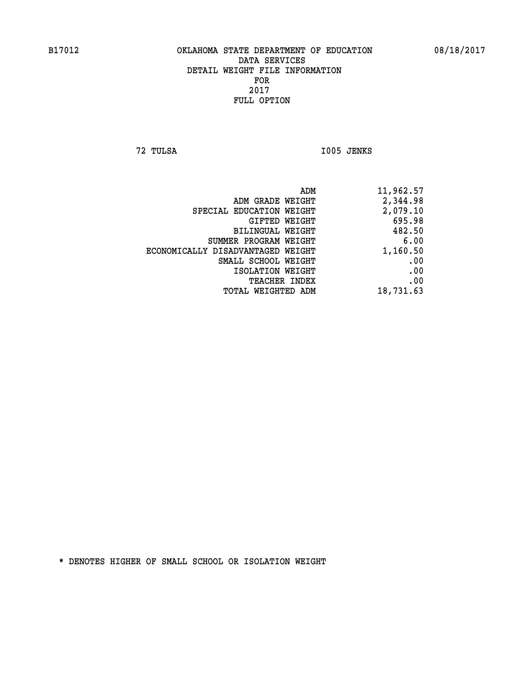**72 TULSA I005 JENKS** 

| 11,962.57 |
|-----------|
| 2,344.98  |
| 2,079.10  |
| 695.98    |
| 482.50    |
| 6.00      |
| 1,160.50  |
| .00       |
| .00       |
| .00       |
| 18,731.63 |
|           |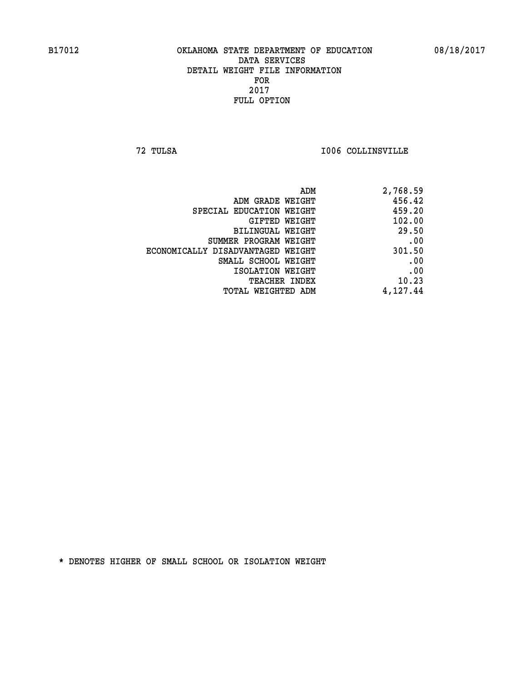**72 TULSA I006 COLLINSVILLE** 

| 2,768.59 |
|----------|
| 456.42   |
| 459.20   |
| 102.00   |
| 29.50    |
| .00      |
| 301.50   |
| .00      |
| .00      |
| 10.23    |
| 4,127.44 |
|          |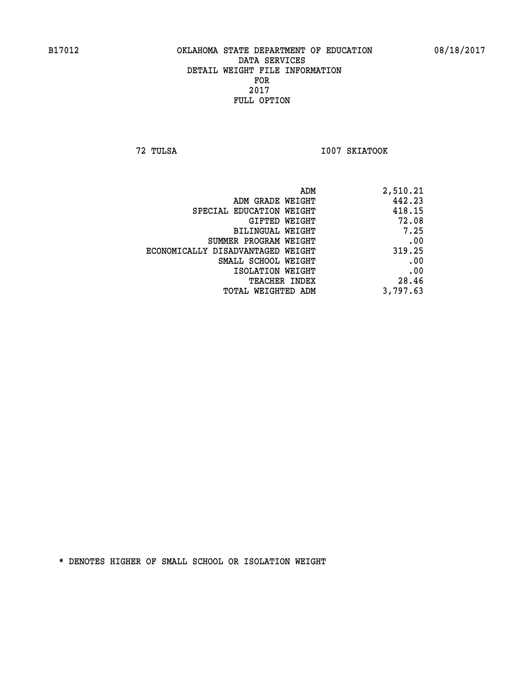**72 TULSA I007 SKIATOOK** 

| 2,510.21 |
|----------|
| 442.23   |
| 418.15   |
| 72.08    |
| 7.25     |
| .00      |
| 319.25   |
| .00      |
| .00      |
| 28.46    |
| 3,797.63 |
|          |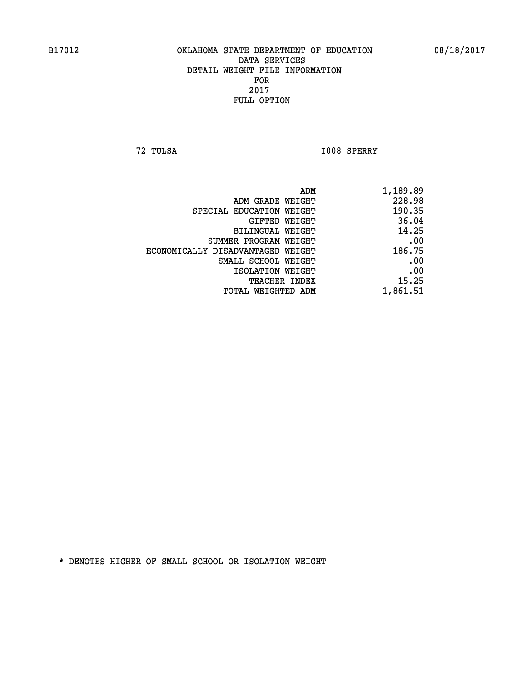**72 TULSA I008 SPERRY** 

| 1,189.89 |
|----------|
| 228.98   |
| 190.35   |
| 36.04    |
| 14.25    |
| .00      |
| 186.75   |
| .00      |
| .00      |
| 15.25    |
| 1,861.51 |
|          |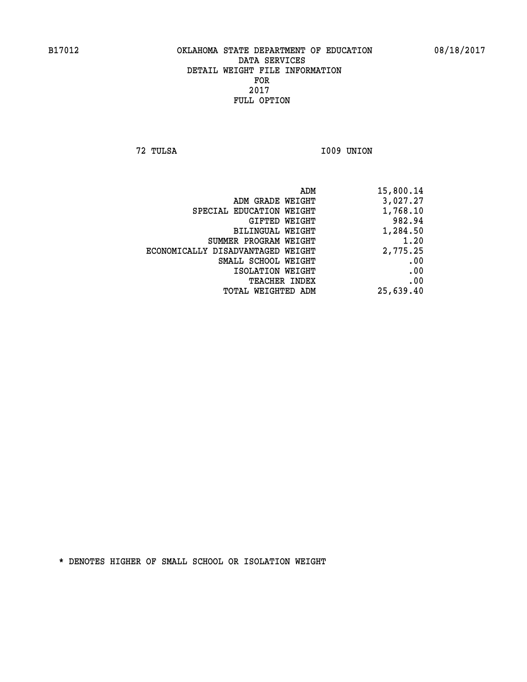**72 TULSA I009 UNION** 

| ADM                               | 15,800.14 |
|-----------------------------------|-----------|
| ADM GRADE WEIGHT                  | 3,027.27  |
| SPECIAL EDUCATION WEIGHT          | 1,768.10  |
| GIFTED WEIGHT                     | 982.94    |
| BILINGUAL WEIGHT                  | 1,284.50  |
| SUMMER PROGRAM WEIGHT             | 1.20      |
| ECONOMICALLY DISADVANTAGED WEIGHT | 2,775.25  |
| SMALL SCHOOL WEIGHT               | .00       |
| ISOLATION WEIGHT                  | .00       |
| TEACHER INDEX                     | .00       |
| TOTAL WEIGHTED ADM                | 25,639.40 |
|                                   |           |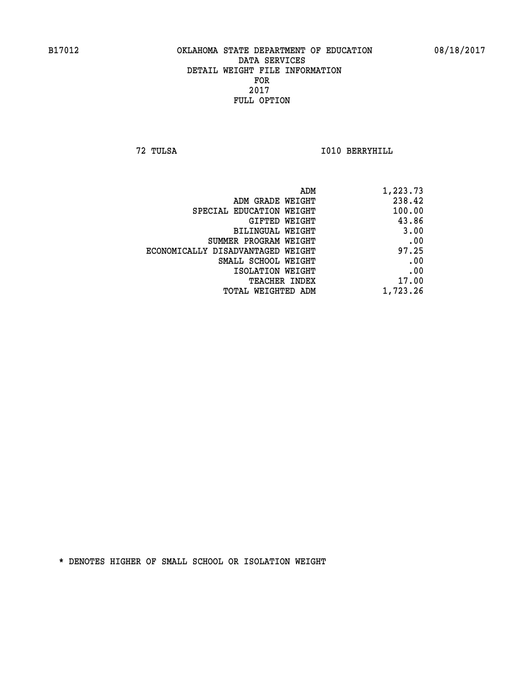**72 TULSA I010 BERRYHILL** 

| ADM                               | 1,223.73 |
|-----------------------------------|----------|
| ADM GRADE WEIGHT                  | 238.42   |
| SPECIAL EDUCATION WEIGHT          | 100.00   |
| GIFTED WEIGHT                     | 43.86    |
| <b>BILINGUAL WEIGHT</b>           | 3.00     |
| SUMMER PROGRAM WEIGHT             | .00      |
| ECONOMICALLY DISADVANTAGED WEIGHT | 97.25    |
| SMALL SCHOOL WEIGHT               | .00      |
| ISOLATION WEIGHT                  | .00      |
| TEACHER INDEX                     | 17.00    |
| TOTAL WEIGHTED ADM                | 1,723.26 |
|                                   |          |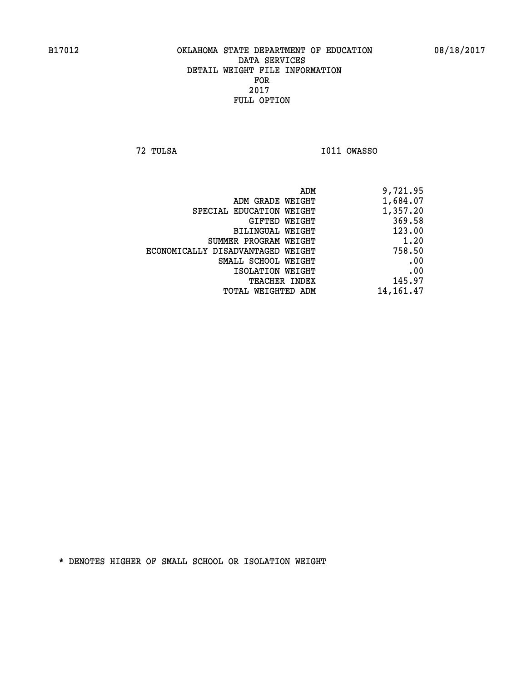**72 TULSA I011 OWASSO** 

| 9,721.95    |
|-------------|
| 1,684.07    |
| 1,357.20    |
| 369.58      |
| 123.00      |
| 1.20        |
| 758.50      |
| .00         |
| .00         |
| 145.97      |
| 14, 161. 47 |
|             |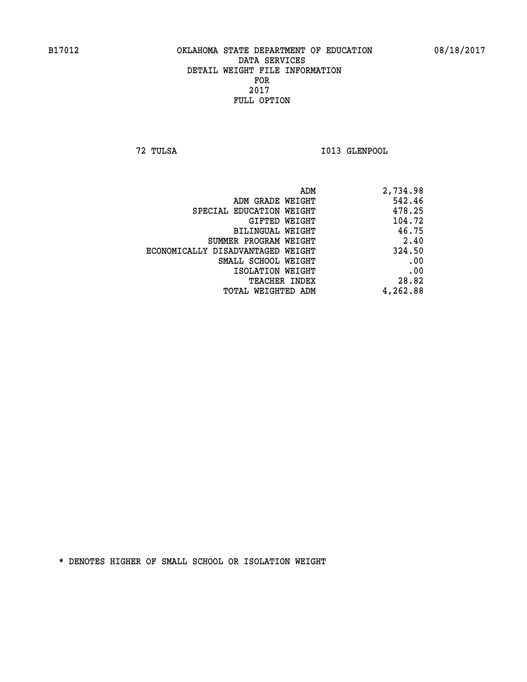**72 TULSA I013 GLENPOOL** 

| 2,734.98 |
|----------|
| 542.46   |
| 478.25   |
| 104.72   |
| 46.75    |
| 2.40     |
| 324.50   |
| .00      |
| .00      |
| 28.82    |
| 4,262.88 |
|          |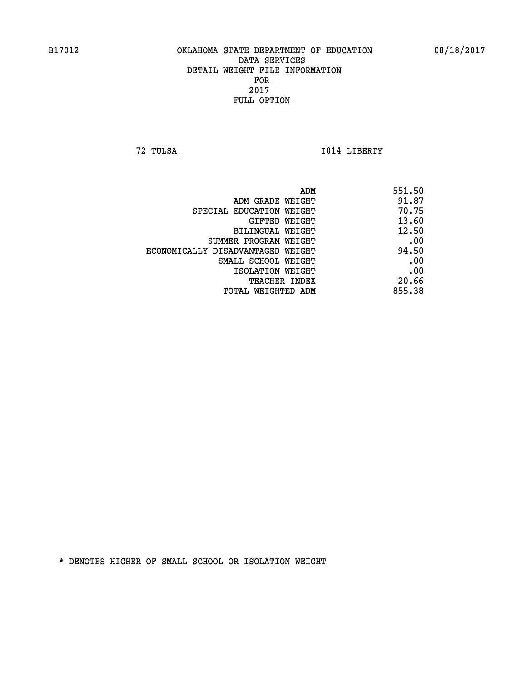**72 TULSA I014 LIBERTY** 

| ADM                               | 551.50 |
|-----------------------------------|--------|
| ADM GRADE WEIGHT                  | 91.87  |
| SPECIAL EDUCATION WEIGHT          | 70.75  |
| GIFTED WEIGHT                     | 13.60  |
| BILINGUAL WEIGHT                  | 12.50  |
| SUMMER PROGRAM WEIGHT             | .00    |
| ECONOMICALLY DISADVANTAGED WEIGHT | 94.50  |
| SMALL SCHOOL WEIGHT               | .00    |
| ISOLATION WEIGHT                  | .00    |
| TEACHER INDEX                     | 20.66  |
| TOTAL WEIGHTED ADM                | 855.38 |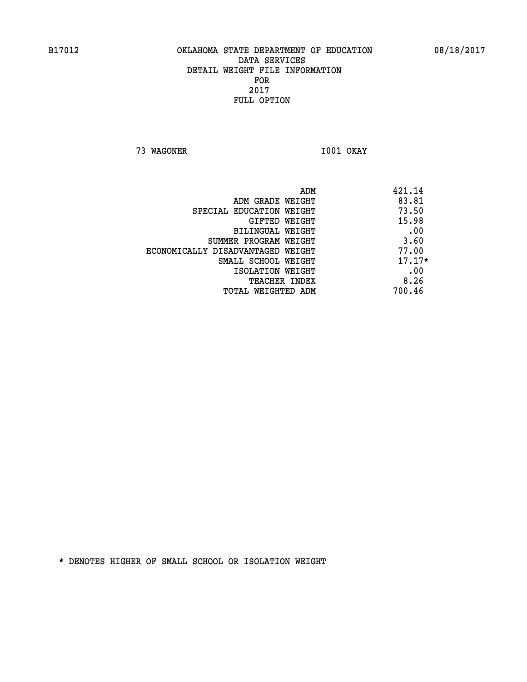**73 WAGONER I001 OKAY** 

|                                   | ADM<br>421.14 |
|-----------------------------------|---------------|
| ADM GRADE WEIGHT                  | 83.81         |
| SPECIAL EDUCATION WEIGHT          | 73.50         |
| <b>GIFTED WEIGHT</b>              | 15.98         |
| BILINGUAL WEIGHT                  | .00           |
| SUMMER PROGRAM WEIGHT             | 3.60          |
| ECONOMICALLY DISADVANTAGED WEIGHT | 77.00         |
| SMALL SCHOOL WEIGHT               | $17.17*$      |
| ISOLATION WEIGHT                  | .00           |
| <b>TEACHER INDEX</b>              | 8.26          |
| TOTAL WEIGHTED ADM                | 700.46        |
|                                   |               |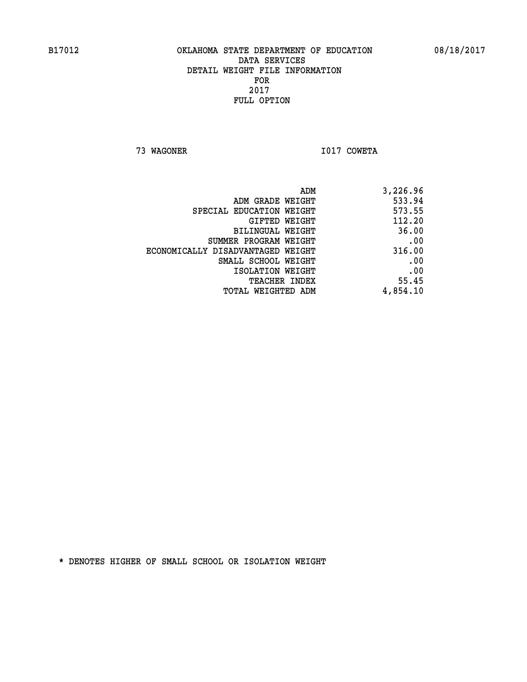**73 WAGONER I017 COWETA** 

| 3,226.96 |
|----------|
| 533.94   |
| 573.55   |
| 112.20   |
| 36.00    |
| .00      |
| 316.00   |
| .00      |
| .00      |
| 55.45    |
| 4,854.10 |
|          |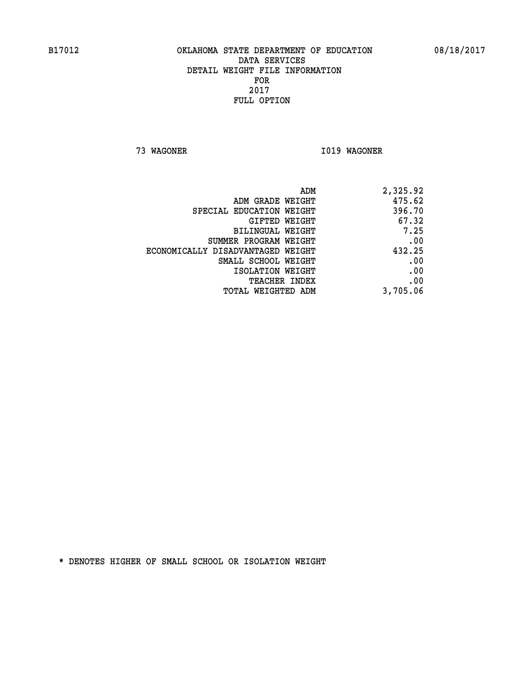**73 WAGONER I019 WAGONER** 

| 2,325.92 |
|----------|
| 475.62   |
| 396.70   |
| 67.32    |
| 7.25     |
| .00      |
| 432.25   |
| .00      |
| .00      |
| .00      |
| 3,705.06 |
|          |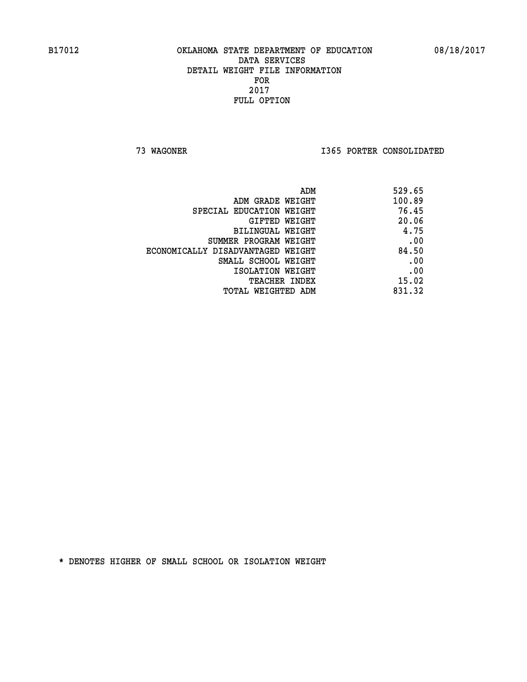**73 WAGONER I365 PORTER CONSOLIDATED** 

| ADM                               | 529.65 |
|-----------------------------------|--------|
| ADM GRADE WEIGHT                  | 100.89 |
| SPECIAL EDUCATION WEIGHT          | 76.45  |
| GIFTED WEIGHT                     | 20.06  |
| BILINGUAL WEIGHT                  | 4.75   |
| SUMMER PROGRAM WEIGHT             | .00    |
| ECONOMICALLY DISADVANTAGED WEIGHT | 84.50  |
| SMALL SCHOOL WEIGHT               | .00    |
| ISOLATION WEIGHT                  | .00    |
| <b>TEACHER INDEX</b>              | 15.02  |
| TOTAL WEIGHTED ADM                | 831.32 |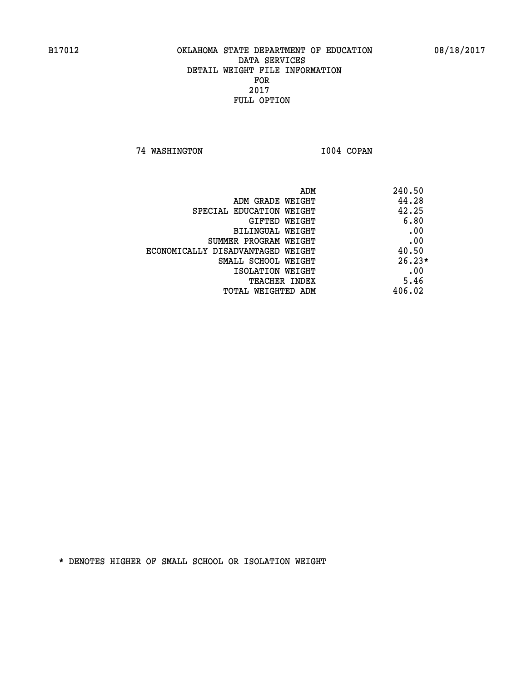**74 WASHINGTON I004 COPAN** 

| ADM                               | 240.50   |
|-----------------------------------|----------|
| ADM GRADE WEIGHT                  | 44.28    |
| SPECIAL EDUCATION WEIGHT          | 42.25    |
| GIFTED WEIGHT                     | 6.80     |
| BILINGUAL WEIGHT                  | .00      |
| SUMMER PROGRAM WEIGHT             | .00      |
| ECONOMICALLY DISADVANTAGED WEIGHT | 40.50    |
| SMALL SCHOOL WEIGHT               | $26.23*$ |
| ISOLATION WEIGHT                  | .00      |
| <b>TEACHER INDEX</b>              | 5.46     |
| TOTAL WEIGHTED ADM                | 406.02   |
|                                   |          |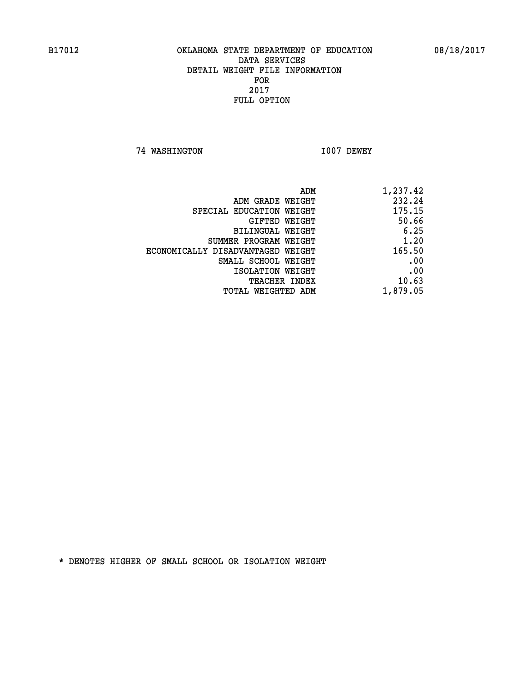**74 WASHINGTON I007 DEWEY** 

| ADM                               | 1,237.42 |
|-----------------------------------|----------|
| ADM GRADE WEIGHT                  | 232.24   |
| SPECIAL EDUCATION WEIGHT          | 175.15   |
| GIFTED WEIGHT                     | 50.66    |
| BILINGUAL WEIGHT                  | 6.25     |
| SUMMER PROGRAM WEIGHT             | 1.20     |
| ECONOMICALLY DISADVANTAGED WEIGHT | 165.50   |
| SMALL SCHOOL WEIGHT               | .00      |
| ISOLATION WEIGHT                  | .00      |
| TEACHER INDEX                     | 10.63    |
| TOTAL WEIGHTED ADM                | 1,879.05 |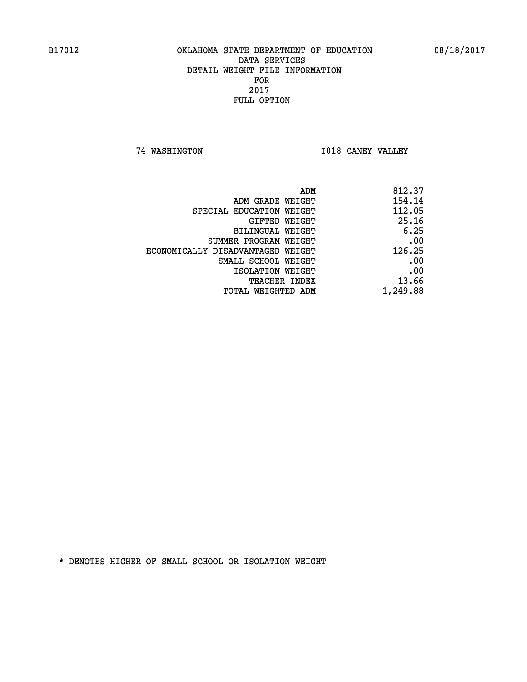**74 WASHINGTON I018 CANEY VALLEY** 

| 812.37   |
|----------|
| 154.14   |
| 112.05   |
| 25.16    |
| 6.25     |
| .00      |
| 126.25   |
| .00      |
| .00      |
| 13.66    |
| 1,249.88 |
|          |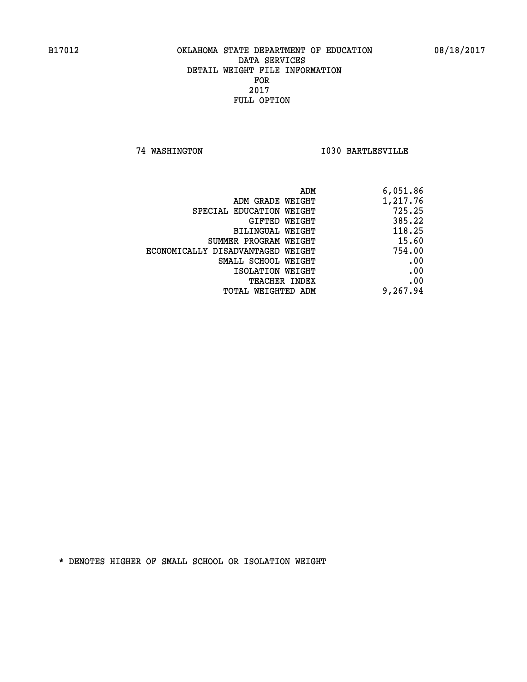**74 WASHINGTON I030 BARTLESVILLE** 

|                                   | 6,051.86<br>ADM |
|-----------------------------------|-----------------|
| ADM GRADE WEIGHT                  | 1,217.76        |
| SPECIAL EDUCATION WEIGHT          | 725.25          |
| <b>GIFTED WEIGHT</b>              | 385.22          |
| BILINGUAL WEIGHT                  | 118.25          |
| SUMMER PROGRAM WEIGHT             | 15.60           |
| ECONOMICALLY DISADVANTAGED WEIGHT | 754.00          |
| SMALL SCHOOL WEIGHT               | .00             |
| ISOLATION WEIGHT                  | .00             |
| <b>TEACHER INDEX</b>              | .00             |
| <b>TOTAL WEIGHTED ADM</b>         | 9,267.94        |
|                                   |                 |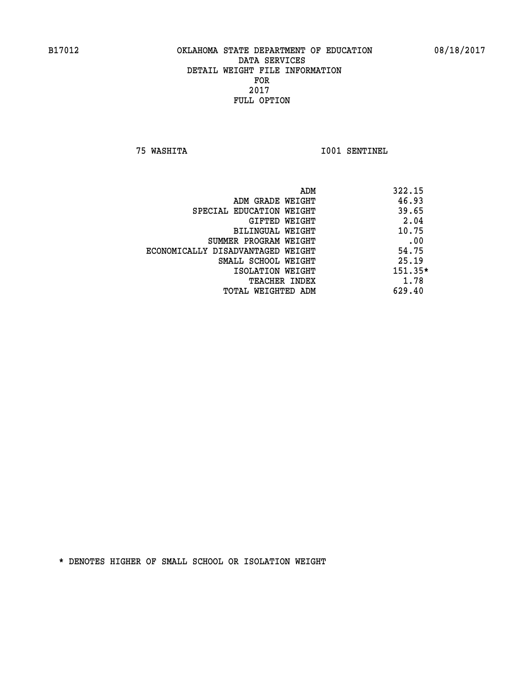**75 WASHITA I001 SENTINEL** 

|                                   | ADM | 322.15    |
|-----------------------------------|-----|-----------|
| ADM GRADE WEIGHT                  |     | 46.93     |
| SPECIAL EDUCATION WEIGHT          |     | 39.65     |
| GIFTED WEIGHT                     |     | 2.04      |
| BILINGUAL WEIGHT                  |     | 10.75     |
| SUMMER PROGRAM WEIGHT             |     | .00       |
| ECONOMICALLY DISADVANTAGED WEIGHT |     | 54.75     |
| SMALL SCHOOL WEIGHT               |     | 25.19     |
| ISOLATION WEIGHT                  |     | $151.35*$ |
| <b>TEACHER INDEX</b>              |     | 1.78      |
| TOTAL WEIGHTED ADM                |     | 629.40    |
|                                   |     |           |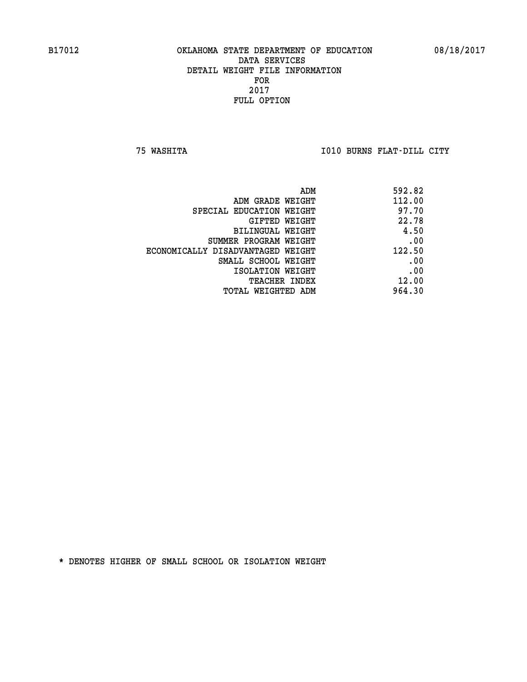**75 WASHITA I010 BURNS FLAT-DILL CITY** 

| ADM                               | 592.82 |
|-----------------------------------|--------|
| ADM GRADE WEIGHT                  | 112.00 |
| SPECIAL EDUCATION WEIGHT          | 97.70  |
| GIFTED WEIGHT                     | 22.78  |
| BILINGUAL WEIGHT                  | 4.50   |
| SUMMER PROGRAM WEIGHT             | .00    |
| ECONOMICALLY DISADVANTAGED WEIGHT | 122.50 |
| SMALL SCHOOL WEIGHT               | .00    |
| ISOLATION WEIGHT                  | .00    |
| <b>TEACHER INDEX</b>              | 12.00  |
| TOTAL WEIGHTED ADM                | 964.30 |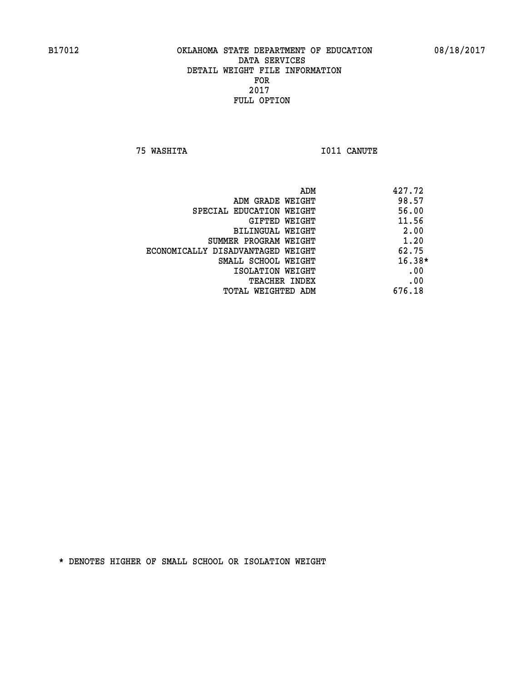**75 WASHITA I011 CANUTE** 

|                                   | ADM<br>427.72 |
|-----------------------------------|---------------|
| ADM GRADE WEIGHT                  | 98.57         |
| SPECIAL EDUCATION WEIGHT          | 56.00         |
| <b>GIFTED WEIGHT</b>              | 11.56         |
| BILINGUAL WEIGHT                  | 2.00          |
| SUMMER PROGRAM WEIGHT             | 1.20          |
| ECONOMICALLY DISADVANTAGED WEIGHT | 62.75         |
| SMALL SCHOOL WEIGHT               | $16.38*$      |
| ISOLATION WEIGHT                  | .00           |
| TEACHER INDEX                     | .00           |
| TOTAL WEIGHTED ADM                | 676.18        |
|                                   |               |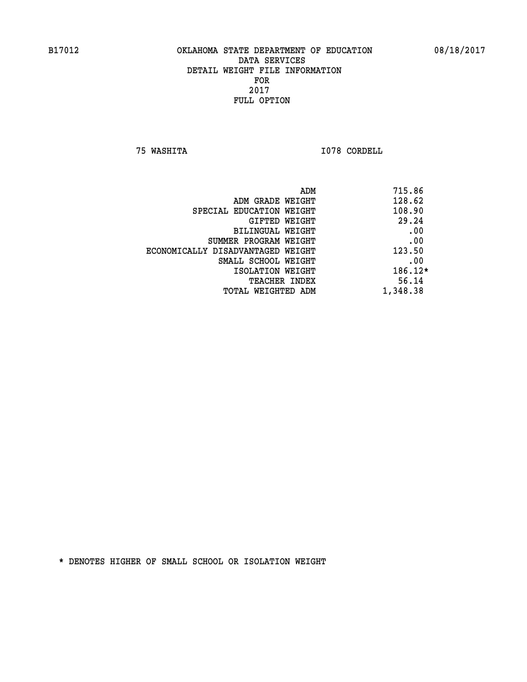**75 WASHITA I078 CORDELL** 

| ADM<br>715.86 |                                   |
|---------------|-----------------------------------|
| 128.62        | ADM GRADE WEIGHT                  |
| 108.90        | SPECIAL EDUCATION WEIGHT          |
| 29.24         | GIFTED WEIGHT                     |
| .00           | BILINGUAL WEIGHT                  |
| .00           | SUMMER PROGRAM WEIGHT             |
| 123.50        | ECONOMICALLY DISADVANTAGED WEIGHT |
| .00           | SMALL SCHOOL WEIGHT               |
| 186.12*       | ISOLATION WEIGHT                  |
| 56.14         | <b>TEACHER INDEX</b>              |
| 1,348.38      | TOTAL WEIGHTED ADM                |
|               |                                   |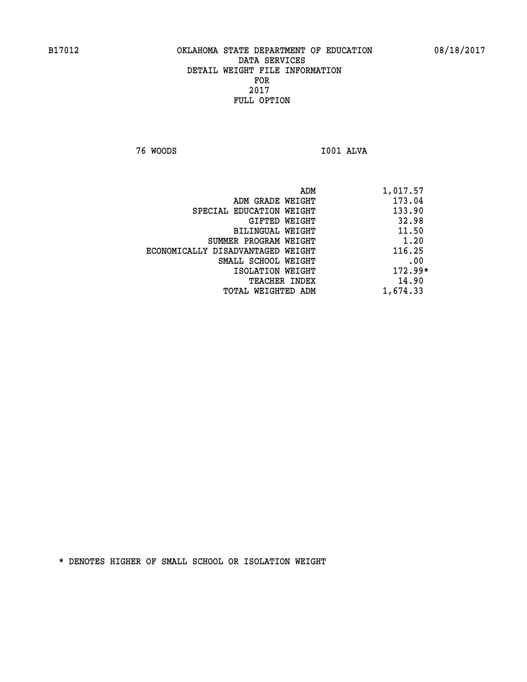**76 WOODS I001 ALVA** 

| 1,017.57  | ADM                               |
|-----------|-----------------------------------|
| 173.04    | ADM GRADE WEIGHT                  |
| 133.90    | SPECIAL EDUCATION WEIGHT          |
| 32.98     | GIFTED WEIGHT                     |
| 11.50     | BILINGUAL WEIGHT                  |
| 1.20      | SUMMER PROGRAM WEIGHT             |
| 116.25    | ECONOMICALLY DISADVANTAGED WEIGHT |
| .00       | SMALL SCHOOL WEIGHT               |
| $172.99*$ | ISOLATION WEIGHT                  |
| 14.90     | <b>TEACHER INDEX</b>              |
| 1,674.33  | TOTAL WEIGHTED ADM                |
|           |                                   |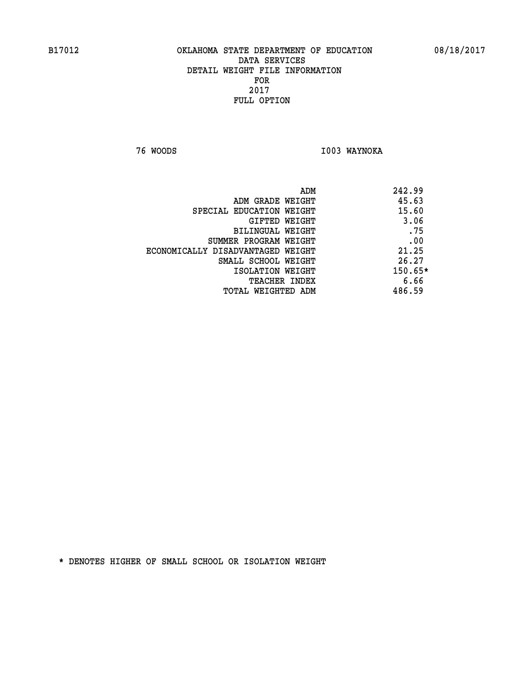**76 WOODS I003 WAYNOKA** 

|                                   | ADM | 242.99  |
|-----------------------------------|-----|---------|
| ADM GRADE WEIGHT                  |     | 45.63   |
| SPECIAL EDUCATION WEIGHT          |     | 15.60   |
| GIFTED WEIGHT                     |     | 3.06    |
| BILINGUAL WEIGHT                  |     | .75     |
| SUMMER PROGRAM WEIGHT             |     | .00     |
| ECONOMICALLY DISADVANTAGED WEIGHT |     | 21.25   |
| SMALL SCHOOL WEIGHT               |     | 26.27   |
| ISOLATION WEIGHT                  |     | 150.65* |
| TEACHER INDEX                     |     | 6.66    |
| TOTAL WEIGHTED ADM                |     | 486.59  |
|                                   |     |         |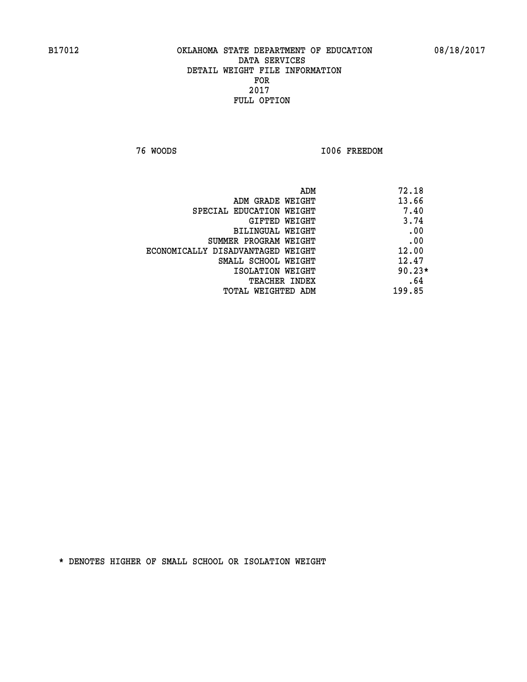**76 WOODS I006 FREEDOM** 

| ADM                               | 72.18    |
|-----------------------------------|----------|
| ADM GRADE WEIGHT                  | 13.66    |
| SPECIAL EDUCATION WEIGHT          | 7.40     |
| <b>GIFTED WEIGHT</b>              | 3.74     |
| BILINGUAL WEIGHT                  | .00      |
| SUMMER PROGRAM WEIGHT             | .00      |
| ECONOMICALLY DISADVANTAGED WEIGHT | 12.00    |
| SMALL SCHOOL WEIGHT               | 12.47    |
| ISOLATION WEIGHT                  | $90.23*$ |
| TEACHER INDEX                     | .64      |
| TOTAL WEIGHTED ADM                | 199.85   |
|                                   |          |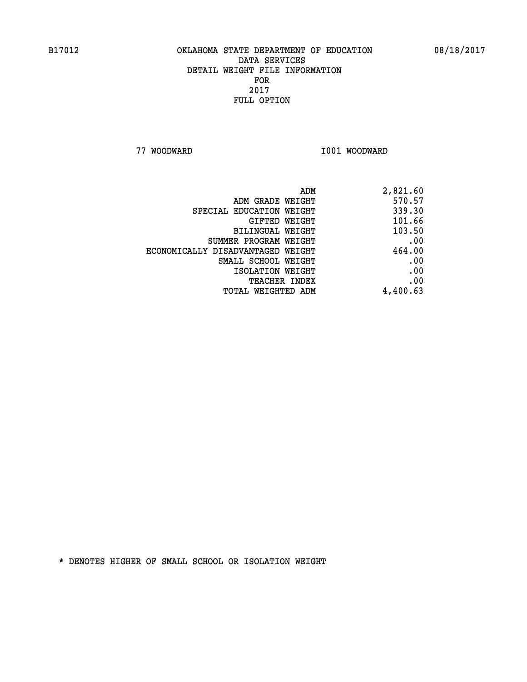**77 WOODWARD I001 WOODWARD** 

| 2,821.60 |
|----------|
| 570.57   |
| 339.30   |
| 101.66   |
| 103.50   |
| .00      |
| 464.00   |
| .00      |
| .00      |
| .00      |
| 4,400.63 |
|          |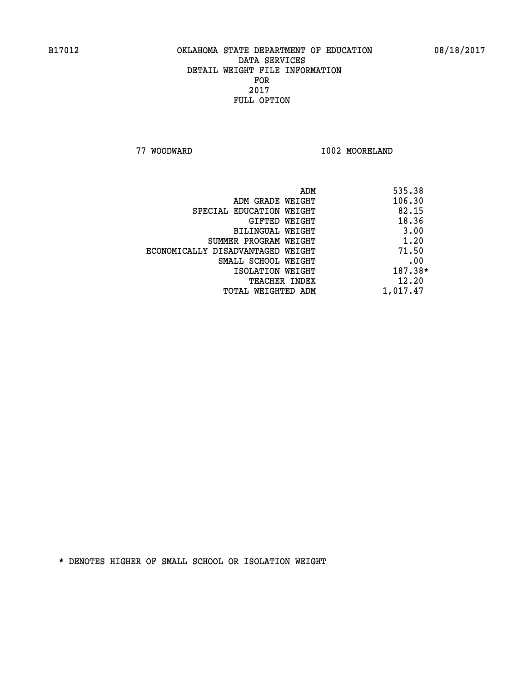**77 WOODWARD I002 MOORELAND** 

|                                   | ADM | 535.38   |
|-----------------------------------|-----|----------|
| ADM GRADE WEIGHT                  |     | 106.30   |
| SPECIAL EDUCATION WEIGHT          |     | 82.15    |
| GIFTED WEIGHT                     |     | 18.36    |
| BILINGUAL WEIGHT                  |     | 3.00     |
| SUMMER PROGRAM WEIGHT             |     | 1.20     |
| ECONOMICALLY DISADVANTAGED WEIGHT |     | 71.50    |
| SMALL SCHOOL WEIGHT               |     | .00      |
| ISOLATION WEIGHT                  |     | 187.38*  |
| TEACHER INDEX                     |     | 12.20    |
| TOTAL WEIGHTED ADM                |     | 1,017.47 |
|                                   |     |          |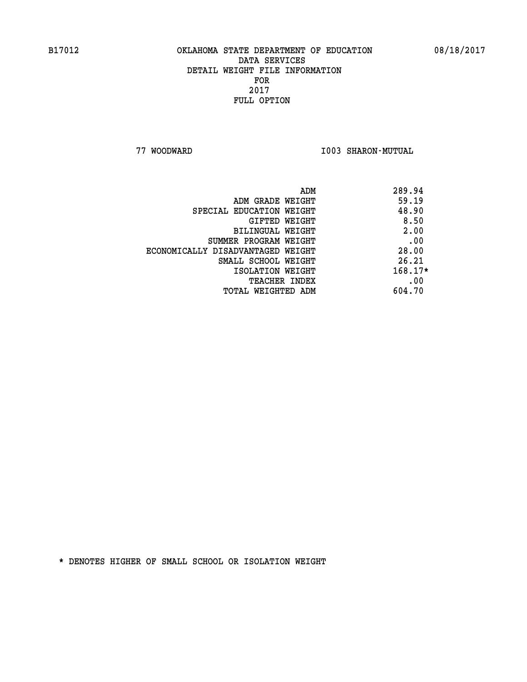**77 WOODWARD I003 SHARON-MUTUAL** 

| ADM                               | 289.94    |
|-----------------------------------|-----------|
| ADM GRADE WEIGHT                  | 59.19     |
| SPECIAL EDUCATION WEIGHT          | 48.90     |
| GIFTED WEIGHT                     | 8.50      |
| BILINGUAL WEIGHT                  | 2.00      |
| SUMMER PROGRAM WEIGHT             | .00       |
| ECONOMICALLY DISADVANTAGED WEIGHT | 28.00     |
| SMALL SCHOOL WEIGHT               | 26.21     |
| ISOLATION WEIGHT                  | $168.17*$ |
| <b>TEACHER INDEX</b>              | .00       |
| TOTAL WEIGHTED ADM                | 604.70    |
|                                   |           |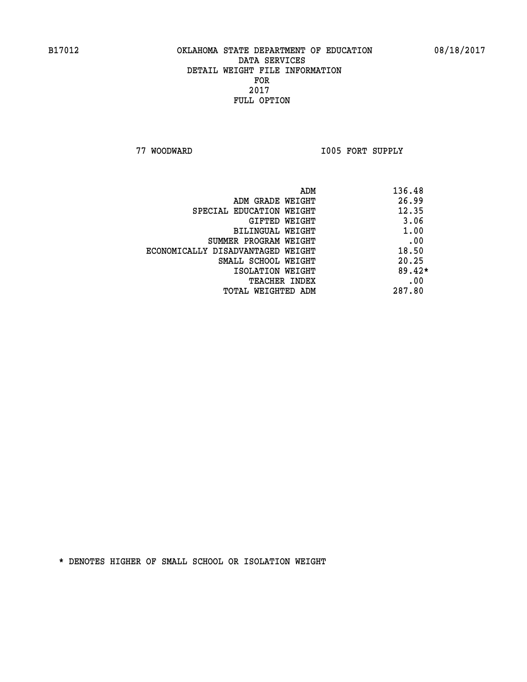**77 WOODWARD I005 FORT SUPPLY** 

|                                   | ADM | 136.48   |
|-----------------------------------|-----|----------|
| ADM GRADE WEIGHT                  |     | 26.99    |
| SPECIAL EDUCATION WEIGHT          |     | 12.35    |
| GIFTED WEIGHT                     |     | 3.06     |
| BILINGUAL WEIGHT                  |     | 1.00     |
| SUMMER PROGRAM WEIGHT             |     | .00      |
| ECONOMICALLY DISADVANTAGED WEIGHT |     | 18.50    |
| SMALL SCHOOL WEIGHT               |     | 20.25    |
| ISOLATION WEIGHT                  |     | $89.42*$ |
| TEACHER INDEX                     |     | .00      |
| TOTAL WEIGHTED ADM                |     | 287.80   |
|                                   |     |          |